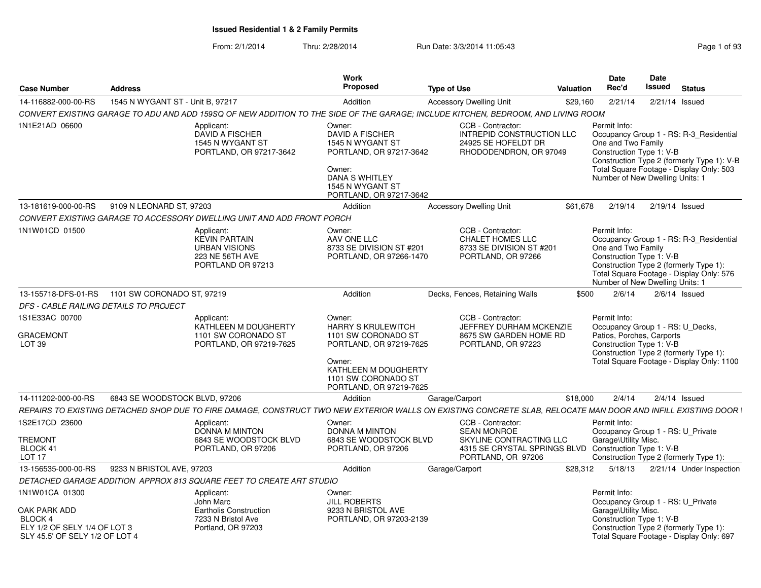| <b>Case Number</b>                                                | <b>Address</b>                                 |                                                                                                                                                              | Work<br>Proposed                                                                                                                                                          | <b>Type of Use</b>                                                                                                                                | <b>Valuation</b> | <b>Date</b><br>Rec'd                                                                                      | <b>Date</b><br>Issued | <b>Status</b>                                                                                                                     |
|-------------------------------------------------------------------|------------------------------------------------|--------------------------------------------------------------------------------------------------------------------------------------------------------------|---------------------------------------------------------------------------------------------------------------------------------------------------------------------------|---------------------------------------------------------------------------------------------------------------------------------------------------|------------------|-----------------------------------------------------------------------------------------------------------|-----------------------|-----------------------------------------------------------------------------------------------------------------------------------|
| 14-116882-000-00-RS                                               | 1545 N WYGANT ST - Unit B. 97217               |                                                                                                                                                              | Addition                                                                                                                                                                  | <b>Accessory Dwelling Unit</b>                                                                                                                    | \$29,160         | 2/21/14                                                                                                   | 2/21/14 Issued        |                                                                                                                                   |
|                                                                   |                                                | CONVERT EXISTING GARAGE TO ADU AND ADD 159SQ OF NEW ADDITION TO THE SIDE OF THE GARAGE: INCLUDE KITCHEN. BEDROOM. AND LIVING ROOM                            |                                                                                                                                                                           |                                                                                                                                                   |                  |                                                                                                           |                       |                                                                                                                                   |
| 1N1E21AD 06600                                                    |                                                | Applicant:<br>DAVID A FISCHER<br>1545 N WYGANT ST<br>PORTLAND, OR 97217-3642                                                                                 | Owner:<br>DAVID A FISCHER<br>1545 N WYGANT ST<br>PORTLAND, OR 97217-3642<br>Owner:<br><b>DANA S WHITLEY</b><br>1545 N WYGANT ST<br>PORTLAND, OR 97217-3642                | CCB - Contractor:<br>INTREPID CONSTRUCTION LLC<br>24925 SE HOFELDT DR<br>RHODODENDRON, OR 97049                                                   |                  | Permit Info:<br>One and Two Family<br>Construction Type 1: V-B<br>Number of New Dwelling Units: 1         |                       | Occupancy Group 1 - RS: R-3 Residential<br>Construction Type 2 (formerly Type 1): V-B<br>Total Square Footage - Display Only: 503 |
| 13-181619-000-00-RS                                               | 9109 N LEONARD ST, 97203                       |                                                                                                                                                              | Addition                                                                                                                                                                  | <b>Accessory Dwelling Unit</b>                                                                                                                    | \$61,678         | 2/19/14                                                                                                   | 2/19/14 Issued        |                                                                                                                                   |
|                                                                   |                                                | CONVERT EXISTING GARAGE TO ACCESSORY DWELLING UNIT AND ADD FRONT PORCH                                                                                       |                                                                                                                                                                           |                                                                                                                                                   |                  |                                                                                                           |                       |                                                                                                                                   |
| 1N1W01CD 01500                                                    |                                                | Applicant:<br><b>KEVIN PARTAIN</b><br><b>URBAN VISIONS</b><br>223 NE 56TH AVE<br>PORTLAND OR 97213                                                           | Owner:<br>AAV ONE LLC<br>8733 SE DIVISION ST #201<br>PORTLAND, OR 97266-1470                                                                                              | CCB - Contractor:<br><b>CHALET HOMES LLC</b><br>8733 SE DIVISION ST #201<br>PORTLAND, OR 97266                                                    |                  | Permit Info:<br>One and Two Family<br>Construction Type 1: V-B<br>Number of New Dwelling Units: 1         |                       | Occupancy Group 1 - RS: R-3_Residential<br>Construction Type 2 (formerly Type 1):<br>Total Square Footage - Display Only: 576     |
|                                                                   | 13-155718-DFS-01-RS 1101 SW CORONADO ST, 97219 |                                                                                                                                                              | Addition                                                                                                                                                                  | Decks, Fences, Retaining Walls                                                                                                                    | \$500            | 2/6/14                                                                                                    |                       | $2/6/14$ Issued                                                                                                                   |
| DFS - CABLE RAILING DETAILS TO PROJECT                            |                                                |                                                                                                                                                              |                                                                                                                                                                           |                                                                                                                                                   |                  |                                                                                                           |                       |                                                                                                                                   |
| 1S1E33AC 00700<br><b>GRACEMONT</b><br><b>LOT 39</b>               |                                                | Applicant:<br>KATHLEEN M DOUGHERTY<br>1101 SW CORONADO ST<br>PORTLAND, OR 97219-7625                                                                         | Owner:<br><b>HARRY S KRULEWITCH</b><br>1101 SW CORONADO ST<br>PORTLAND, OR 97219-7625<br>Owner:<br>KATHLEEN M DOUGHERTY<br>1101 SW CORONADO ST<br>PORTLAND, OR 97219-7625 | CCB - Contractor:<br>JEFFREY DURHAM MCKENZIE<br>8675 SW GARDEN HOME RD<br>PORTLAND, OR 97223                                                      |                  | Permit Info:<br>Occupancy Group 1 - RS: U_Decks,<br>Patios, Porches, Carports<br>Construction Type 1: V-B |                       | Construction Type 2 (formerly Type 1):<br>Total Square Footage - Display Only: 1100                                               |
| 14-111202-000-00-RS                                               | 6843 SE WOODSTOCK BLVD, 97206                  |                                                                                                                                                              | Addition                                                                                                                                                                  | Garage/Carport                                                                                                                                    | \$18,000         | 2/4/14                                                                                                    |                       | $2/4/14$ Issued                                                                                                                   |
|                                                                   |                                                | REPAIRS TO EXISTING DETACHED SHOP DUE TO FIRE DAMAGE, CONSTRUCT TWO NEW EXTERIOR WALLS ON EXISTING CONCRETE SLAB, RELOCATE MAN DOOR AND INFILL EXISTING DOOR |                                                                                                                                                                           |                                                                                                                                                   |                  |                                                                                                           |                       |                                                                                                                                   |
| 1S2E17CD 23600<br><b>TREMONT</b><br>BLOCK 41<br>LOT <sub>17</sub> |                                                | Applicant:<br><b>DONNA M MINTON</b><br>6843 SE WOODSTOCK BLVD<br>PORTLAND, OR 97206                                                                          | Owner:<br><b>DONNA M MINTON</b><br>6843 SE WOODSTOCK BLVD<br>PORTLAND, OR 97206                                                                                           | CCB - Contractor:<br><b>SEAN MONROE</b><br>SKYLINE CONTRACTING LLC<br>4315 SE CRYSTAL SPRINGS BLVD Construction Type 1: V-B<br>PORTLAND, OR 97206 |                  | Permit Info:<br>Occupancy Group 1 - RS: U Private<br>Garage\Utility Misc.                                 |                       |                                                                                                                                   |
| 13-156535-000-00-RS                                               | 9233 N BRISTOL AVE, 97203                      |                                                                                                                                                              | Addition                                                                                                                                                                  | Garage/Carport                                                                                                                                    | \$28,312         | 5/18/13                                                                                                   |                       | Construction Type 2 (formerly Type 1):<br>2/21/14 Under Inspection                                                                |
|                                                                   |                                                | DETACHED GARAGE ADDITION APPROX 813 SQUARE FEET TO CREATE ART STUDIO                                                                                         |                                                                                                                                                                           |                                                                                                                                                   |                  |                                                                                                           |                       |                                                                                                                                   |
| 1N1W01CA 01300                                                    |                                                |                                                                                                                                                              | Owner:                                                                                                                                                                    |                                                                                                                                                   |                  | Permit Info:                                                                                              |                       |                                                                                                                                   |
| OAK PARK ADD<br>BLOCK 4                                           |                                                | Applicant:<br>John Marc<br>Eartholis Construction<br>7233 N Bristol Ave                                                                                      | <b>JILL ROBERTS</b><br>9233 N BRISTOL AVE<br>PORTLAND, OR 97203-2139                                                                                                      |                                                                                                                                                   |                  | Occupancy Group 1 - RS: U_Private<br>Garage\Utility Misc.<br>Construction Type 1: V-B                     |                       |                                                                                                                                   |
| ELY 1/2 OF SELY 1/4 OF LOT 3<br>SLY 45.5' OF SELY 1/2 OF LOT 4    |                                                | Portland, OR 97203                                                                                                                                           |                                                                                                                                                                           |                                                                                                                                                   |                  |                                                                                                           |                       | Construction Type 2 (formerly Type 1):<br>Total Square Footage - Display Only: 697                                                |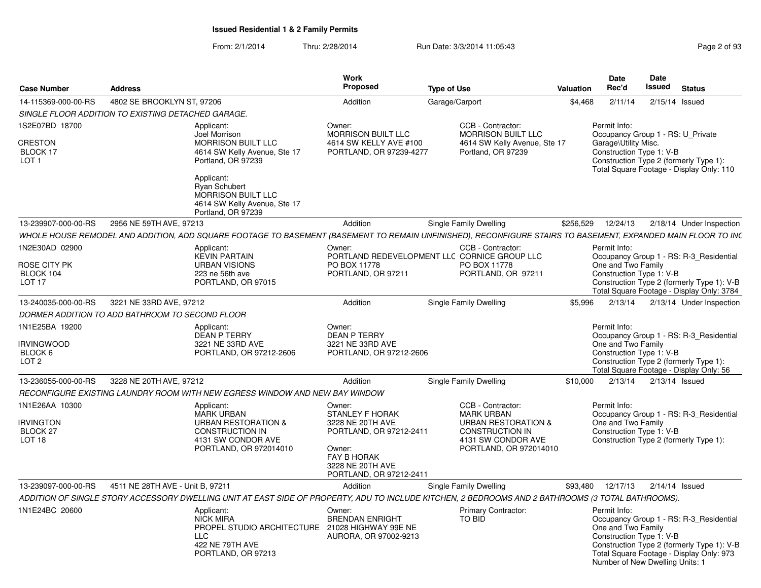| <b>Case Number</b>                                    | <b>Address</b>                                                                                                                                               | Work<br>Proposed                                                                                       | <b>Type of Use</b>                                                                | <b>Valuation</b> | Date<br>Rec'd                      | Date<br>Issued<br><b>Status</b>                                                                                                                                                                  |
|-------------------------------------------------------|--------------------------------------------------------------------------------------------------------------------------------------------------------------|--------------------------------------------------------------------------------------------------------|-----------------------------------------------------------------------------------|------------------|------------------------------------|--------------------------------------------------------------------------------------------------------------------------------------------------------------------------------------------------|
| 14-115369-000-00-RS                                   | 4802 SE BROOKLYN ST, 97206                                                                                                                                   | Addition                                                                                               | Garage/Carport                                                                    | \$4,468          | 2/11/14                            | 2/15/14 Issued                                                                                                                                                                                   |
|                                                       | SINGLE FLOOR ADDITION TO EXISTING DETACHED GARAGE.                                                                                                           |                                                                                                        |                                                                                   |                  |                                    |                                                                                                                                                                                                  |
| 1S2E07BD 18700                                        | Applicant:                                                                                                                                                   | Owner:                                                                                                 | CCB - Contractor:                                                                 |                  | Permit Info:                       |                                                                                                                                                                                                  |
| <b>CRESTON</b><br><b>BLOCK 17</b><br>LOT <sub>1</sub> | Joel Morrison<br><b>MORRISON BUILT LLC</b><br>4614 SW Kelly Avenue, Ste 17<br>Portland, OR 97239<br>Applicant:                                               | MORRISON BUILT LLC<br>4614 SW KELLY AVE #100<br>PORTLAND, OR 97239-4277                                | MORRISON BUILT LLC<br>4614 SW Kelly Avenue, Ste 17<br>Portland, OR 97239          |                  | Garage\Utility Misc.               | Occupancy Group 1 - RS: U_Private<br>Construction Type 1: V-B<br>Construction Type 2 (formerly Type 1):<br>Total Square Footage - Display Only: 110                                              |
|                                                       | <b>Rvan Schubert</b><br>MORRISON BUILT LLC<br>4614 SW Kelly Avenue, Ste 17<br>Portland, OR 97239                                                             |                                                                                                        |                                                                                   |                  |                                    |                                                                                                                                                                                                  |
| 13-239907-000-00-RS                                   | 2956 NE 59TH AVE, 97213                                                                                                                                      | Addition                                                                                               | Single Family Dwelling                                                            | \$256,529        | 12/24/13                           | 2/18/14 Under Inspection                                                                                                                                                                         |
|                                                       | WHOLE HOUSE REMODEL AND ADDITION, ADD SQUARE FOOTAGE TO BASEMENT (BASEMENT TO REMAIN UNFINISHED), RECONFIGURE STAIRS TO BASEMENT, EXPANDED MAIN FLOOR TO IN( |                                                                                                        |                                                                                   |                  |                                    |                                                                                                                                                                                                  |
| 1N2E30AD 02900<br>ROSE CITY PK                        | Applicant:<br><b>KEVIN PARTAIN</b><br><b>URBAN VISIONS</b>                                                                                                   | Owner:<br>PO BOX 11778                                                                                 | CCB - Contractor:<br>PORTLAND REDEVELOPMENT LLC CORNICE GROUP LLC<br>PO BOX 11778 |                  | Permit Info:<br>One and Two Family | Occupancy Group 1 - RS: R-3 Residential                                                                                                                                                          |
| BLOCK 104<br>LOT <sub>17</sub>                        | 223 ne 56th ave<br>PORTLAND, OR 97015                                                                                                                        | PORTLAND, OR 97211                                                                                     | PORTLAND, OR 97211                                                                |                  |                                    | Construction Type 1: V-B<br>Construction Type 2 (formerly Type 1): V-B<br>Total Square Footage - Display Only: 3784                                                                              |
| 13-240035-000-00-RS                                   | 3221 NE 33RD AVE, 97212                                                                                                                                      | Addition                                                                                               | Single Family Dwelling                                                            | \$5.996          | 2/13/14                            | 2/13/14 Under Inspection                                                                                                                                                                         |
|                                                       | DORMER ADDITION TO ADD BATHROOM TO SECOND FLOOR                                                                                                              |                                                                                                        |                                                                                   |                  |                                    |                                                                                                                                                                                                  |
| 1N1E25BA 19200                                        | Applicant:                                                                                                                                                   | Owner:                                                                                                 |                                                                                   |                  | Permit Info:                       |                                                                                                                                                                                                  |
| irvingwood<br>BLOCK 6<br>LOT <sub>2</sub>             | DEAN P TERRY<br>3221 NE 33RD AVE<br>PORTLAND, OR 97212-2606                                                                                                  | DEAN P TERRY<br>3221 NE 33RD AVE<br>PORTLAND, OR 97212-2606                                            |                                                                                   |                  | One and Two Family                 | Occupancy Group 1 - RS: R-3_Residential<br>Construction Type 1: V-B<br>Construction Type 2 (formerly Type 1):<br>Total Square Footage - Display Only: 56                                         |
| 13-236055-000-00-RS                                   | 3228 NE 20TH AVE, 97212                                                                                                                                      | Addition                                                                                               | <b>Single Family Dwelling</b>                                                     | \$10,000         |                                    | 2/13/14  2/13/14  Issued                                                                                                                                                                         |
|                                                       | RECONFIGURE EXISTING LAUNDRY ROOM WITH NEW EGRESS WINDOW AND NEW BAY WINDOW                                                                                  |                                                                                                        |                                                                                   |                  |                                    |                                                                                                                                                                                                  |
| 1N1E26AA 10300                                        | Applicant:                                                                                                                                                   | Owner:                                                                                                 | CCB - Contractor:                                                                 |                  | Permit Info:                       |                                                                                                                                                                                                  |
|                                                       | MARK URBAN                                                                                                                                                   | <b>STANLEY F HORAK</b>                                                                                 | <b>MARK URBAN</b>                                                                 |                  |                                    | Occupancy Group 1 - RS: R-3_Residential                                                                                                                                                          |
| <b>RVINGTON</b>                                       | <b>URBAN RESTORATION &amp;</b>                                                                                                                               | 3228 NE 20TH AVE                                                                                       | <b>URBAN RESTORATION &amp;</b>                                                    |                  | One and Two Family                 |                                                                                                                                                                                                  |
| BLOCK 27<br><b>LOT 18</b>                             | <b>CONSTRUCTION IN</b><br>4131 SW CONDOR AVE<br>PORTLAND, OR 972014010                                                                                       | PORTLAND, OR 97212-2411<br>Owner:<br><b>FAY B HORAK</b><br>3228 NE 20TH AVE<br>PORTLAND, OR 97212-2411 | <b>CONSTRUCTION IN</b><br>4131 SW CONDOR AVE<br>PORTLAND, OR 972014010            |                  |                                    | Construction Type 1: V-B<br>Construction Type 2 (formerly Type 1):                                                                                                                               |
| 13-239097-000-00-RS                                   | 4511 NE 28TH AVE - Unit B, 97211                                                                                                                             | Addition                                                                                               | Single Family Dwelling                                                            | \$93.480         | 12/17/13                           | 2/14/14 Issued                                                                                                                                                                                   |
|                                                       | ADDITION OF SINGLE STORY ACCESSORY DWELLING UNIT AT EAST SIDE OF PROPERTY, ADU TO INCLUDE KITCHEN, 2 BEDROOMS AND 2 BATHROOMS (3 TOTAL BATHROOMS).           |                                                                                                        |                                                                                   |                  |                                    |                                                                                                                                                                                                  |
| 1N1E24BC 20600                                        |                                                                                                                                                              | Owner:                                                                                                 | <b>Primary Contractor:</b>                                                        |                  | Permit Info:                       |                                                                                                                                                                                                  |
|                                                       | Applicant:<br>NICK MIRA<br>PROPEL STUDIO ARCHITECTURE 21028 HIGHWAY 99E NE<br>LLC<br>422 NE 79TH AVE<br>PORTLAND, OR 97213                                   | <b>BRENDAN ENRIGHT</b><br>AURORA, OR 97002-9213                                                        | TO BID                                                                            |                  | One and Two Family                 | Occupancy Group 1 - RS: R-3_Residential<br>Construction Type 1: V-B<br>Construction Type 2 (formerly Type 1): V-B<br>Total Square Footage - Display Only: 973<br>Number of New Dwelling Units: 1 |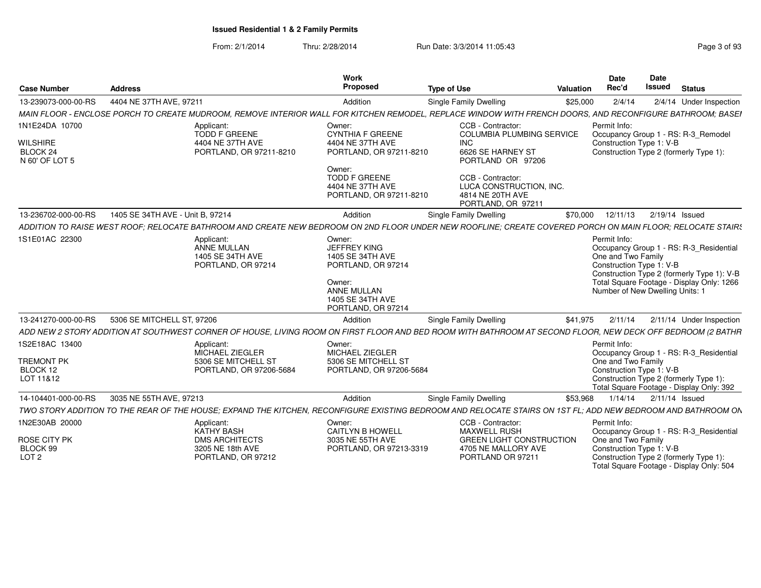| <b>Case Number</b>                            | <b>Address</b>                   |                                                                                                                                                              | Work<br>Proposed                                                        | <b>Type of Use</b>                                                                     | Valuation | Date<br>Rec'd                      | <b>Date</b><br><b>Issued</b>                                                                                   | <b>Status</b>                                                                         |
|-----------------------------------------------|----------------------------------|--------------------------------------------------------------------------------------------------------------------------------------------------------------|-------------------------------------------------------------------------|----------------------------------------------------------------------------------------|-----------|------------------------------------|----------------------------------------------------------------------------------------------------------------|---------------------------------------------------------------------------------------|
| 13-239073-000-00-RS                           | 4404 NE 37TH AVE, 97211          |                                                                                                                                                              | Addition                                                                | <b>Single Family Dwelling</b>                                                          | \$25,000  | 2/4/14                             |                                                                                                                | 2/4/14 Under Inspection                                                               |
|                                               |                                  | MAIN FLOOR - ENCLOSE PORCH TO CREATE MUDROOM, REMOVE INTERIOR WALL FOR KITCHEN REMODEL, REPLACE WINDOW WITH FRENCH DOORS, AND RECONFIGURE BATHROOM; BASEI    |                                                                         |                                                                                        |           |                                    |                                                                                                                |                                                                                       |
| 1N1E24DA 10700                                |                                  | Applicant:<br><b>TODD F GREENE</b>                                                                                                                           | Owner:<br><b>CYNTHIA F GREENE</b>                                       | CCB - Contractor:<br><b>COLUMBIA PLUMBING SERVICE</b>                                  |           | Permit Info:                       | Occupancy Group 1 - RS: R-3_Remodel                                                                            |                                                                                       |
| <b>WILSHIRE</b><br>BLOCK 24<br>N 60' OF LOT 5 |                                  | 4404 NE 37TH AVE<br>PORTLAND, OR 97211-8210                                                                                                                  | 4404 NE 37TH AVE<br>PORTLAND, OR 97211-8210<br>Owner:                   | <b>INC</b><br>6626 SE HARNEY ST<br>PORTLAND OR 97206                                   |           |                                    | Construction Type 1: V-B<br>Construction Type 2 (formerly Type 1):                                             |                                                                                       |
|                                               |                                  |                                                                                                                                                              | <b>TODD F GREENE</b><br>4404 NE 37TH AVE<br>PORTLAND, OR 97211-8210     | CCB - Contractor:<br>LUCA CONSTRUCTION, INC.<br>4814 NE 20TH AVE<br>PORTLAND, OR 97211 |           |                                    |                                                                                                                |                                                                                       |
| 13-236702-000-00-RS                           | 1405 SE 34TH AVE - Unit B, 97214 |                                                                                                                                                              | Addition                                                                | <b>Single Family Dwelling</b>                                                          | \$70,000  | 12/11/13                           | 2/19/14 Issued                                                                                                 |                                                                                       |
|                                               |                                  | ADDITION TO RAISE WEST ROOF: RELOCATE BATHROOM AND CREATE NEW BEDROOM ON 2ND FLOOR UNDER NEW ROOFLINE; CREATE COVERED PORCH ON MAIN FLOOR; RELOCATE STAIR!   |                                                                         |                                                                                        |           |                                    |                                                                                                                |                                                                                       |
| 1S1E01AC 22300                                |                                  | Applicant:<br>ANNE MULLAN<br>1405 SE 34TH AVE<br>PORTLAND, OR 97214                                                                                          | Owner:<br><b>JEFFREY KING</b><br>1405 SE 34TH AVE<br>PORTLAND, OR 97214 |                                                                                        |           | Permit Info:<br>One and Two Family | Construction Type 1: V-B                                                                                       | Occupancy Group 1 - RS: R-3_Residential<br>Construction Type 2 (formerly Type 1): V-B |
|                                               |                                  |                                                                                                                                                              | Owner:<br>ANNE MULLAN<br>1405 SE 34TH AVE<br>PORTLAND, OR 97214         |                                                                                        |           |                                    | Number of New Dwelling Units: 1                                                                                | Total Square Footage - Display Only: 1266                                             |
| 13-241270-000-00-RS                           | 5306 SE MITCHELL ST, 97206       |                                                                                                                                                              | Addition                                                                | <b>Single Family Dwelling</b>                                                          | \$41,975  | 2/11/14                            |                                                                                                                | 2/11/14 Under Inspection                                                              |
|                                               |                                  | ADD NEW 2 STORY ADDITION AT SOUTHWEST CORNER OF HOUSE, LIVING ROOM ON FIRST FLOOR AND BED ROOM WITH BATHROOM AT SECOND FLOOR, NEW DECK OFF BEDROOM (2 BATHR  |                                                                         |                                                                                        |           |                                    |                                                                                                                |                                                                                       |
| 1S2E18AC 13400                                |                                  | Applicant:<br>MICHAEL ZIEGLER                                                                                                                                | Owner:<br>MICHAEL ZIEGLER                                               |                                                                                        |           | Permit Info:                       |                                                                                                                | Occupancy Group 1 - RS: R-3_Residential                                               |
| TREMONT PK<br>BLOCK 12<br>LOT 11&12           |                                  | 5306 SE MITCHELL ST<br>PORTLAND, OR 97206-5684                                                                                                               | 5306 SE MITCHELL ST<br>PORTLAND, OR 97206-5684                          |                                                                                        |           | One and Two Family                 | Construction Type 1: V-B<br>Construction Type 2 (formerly Type 1):<br>Total Square Footage - Display Only: 392 |                                                                                       |
| 14-104401-000-00-RS                           | 3035 NE 55TH AVE, 97213          |                                                                                                                                                              | Addition                                                                | Single Family Dwelling                                                                 | \$53.968  |                                    | 1/14/14  2/11/14  Issued                                                                                       |                                                                                       |
|                                               |                                  | TWO STORY ADDITION TO THE REAR OF THE HOUSE: EXPAND THE KITCHEN. RECONFIGURE EXISTING BEDROOM AND RELOCATE STAIRS ON 1ST FL: ADD NEW BEDROOM AND BATHROOM ON |                                                                         |                                                                                        |           |                                    |                                                                                                                |                                                                                       |
| 1N2E30AB 20000                                |                                  | Applicant:                                                                                                                                                   | Owner:                                                                  | CCB - Contractor:                                                                      |           | Permit Info:                       |                                                                                                                |                                                                                       |
| ROSE CITY PK                                  |                                  | KATHY BASH<br><b>DMS ARCHITECTS</b>                                                                                                                          | <b>CAITLYN B HOWELL</b><br>3035 NE 55TH AVE                             | <b>MAXWELL RUSH</b><br><b>GREEN LIGHT CONSTRUCTION</b>                                 |           | One and Two Family                 |                                                                                                                | Occupancy Group 1 - RS: R-3 Residential                                               |
| BLOCK 99<br>LOT <sub>2</sub>                  |                                  | 3205 NE 18th AVE<br>PORTLAND, OR 97212                                                                                                                       | PORTLAND, OR 97213-3319                                                 | 4705 NE MALLORY AVE<br>PORTLAND OR 97211                                               |           |                                    | Construction Type 1: V-B<br>Construction Type 2 (formerly Type 1)<br>Total Square Footage - Display Only: 504  |                                                                                       |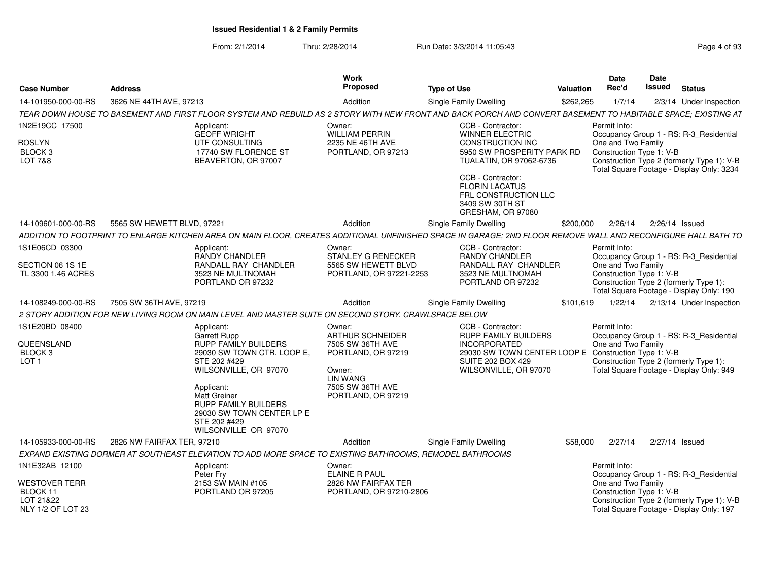|  | Page 4 of 93 |
|--|--------------|
|--|--------------|

| <b>Case Number</b>                                               | <b>Address</b>                                                                                                                                                 | Work<br>Proposed                                                          | <b>Type of Use</b>                                                                                                                                   | Valuation | <b>Date</b><br>Rec'd               | Date<br>Issued           | <b>Status</b>                                                                                                                      |
|------------------------------------------------------------------|----------------------------------------------------------------------------------------------------------------------------------------------------------------|---------------------------------------------------------------------------|------------------------------------------------------------------------------------------------------------------------------------------------------|-----------|------------------------------------|--------------------------|------------------------------------------------------------------------------------------------------------------------------------|
| 14-101950-000-00-RS                                              | 3626 NE 44TH AVE, 97213                                                                                                                                        | Addition                                                                  | Single Family Dwelling                                                                                                                               | \$262,265 | 1/7/14                             |                          | 2/3/14 Under Inspection                                                                                                            |
|                                                                  | TEAR DOWN HOUSE TO BASEMENT AND FIRST FLOOR SYSTEM AND REBUILD AS 2 STORY WITH NEW FRONT AND BACK PORCH AND CONVERT BASEMENT TO HABITABLE SPACE; EXISTING AT   |                                                                           |                                                                                                                                                      |           |                                    |                          |                                                                                                                                    |
| 1N2E19CC 17500<br><b>ROSLYN</b><br>BLOCK <sub>3</sub><br>LOT 7&8 | Applicant:<br><b>GEOFF WRIGHT</b><br>UTF CONSULTING<br>17740 SW FLORENCE ST<br>BEAVERTON, OR 97007                                                             | Owner:<br><b>WILLIAM PERRIN</b><br>2235 NE 46TH AVE<br>PORTLAND, OR 97213 | CCB - Contractor:<br><b>WINNER ELECTRIC</b><br>CONSTRUCTION INC<br>5950 SW PROSPERITY PARK RD<br><b>TUALATIN, OR 97062-6736</b><br>CCB - Contractor: |           | Permit Info:<br>One and Two Family | Construction Type 1: V-B | Occupancy Group 1 - RS: R-3_Residential<br>Construction Type 2 (formerly Type 1): V-B<br>Total Square Footage - Display Only: 3234 |
|                                                                  |                                                                                                                                                                |                                                                           | <b>FLORIN LACATUS</b><br>FRL CONSTRUCTION LLC<br>3409 SW 30TH ST<br>GRESHAM, OR 97080                                                                |           |                                    |                          |                                                                                                                                    |
| 14-109601-000-00-RS                                              | 5565 SW HEWETT BLVD, 97221                                                                                                                                     | Addition                                                                  | Single Family Dwelling                                                                                                                               | \$200,000 | 2/26/14                            | 2/26/14 Issued           |                                                                                                                                    |
|                                                                  | ADDITION TO FOOTPRINT TO ENLARGE KITCHEN AREA ON MAIN FLOOR, CREATES ADDITIONAL UNFINISHED SPACE IN GARAGE; 2ND FLOOR REMOVE WALL AND RECONFIGURE HALL BATH TO |                                                                           |                                                                                                                                                      |           |                                    |                          |                                                                                                                                    |
| 1S1E06CD 03300                                                   | Applicant:<br>RANDY CHANDLER                                                                                                                                   | Owner:<br><b>STANLEY G RENECKER</b>                                       | CCB - Contractor:<br><b>RANDY CHANDLER</b>                                                                                                           |           | Permit Info:                       |                          | Occupancy Group 1 - RS: R-3 Residential                                                                                            |
| SECTION 06 1S 1E<br>TL 3300 1.46 ACRES                           | <b>RANDALL RAY CHANDLER</b><br>3523 NE MULTNOMAH<br>PORTLAND OR 97232                                                                                          | 5565 SW HEWETT BLVD<br>PORTLAND, OR 97221-2253                            | RANDALL RAY CHANDLER<br>3523 NE MULTNOMAH<br>PORTLAND OR 97232                                                                                       |           | One and Two Family                 | Construction Type 1: V-B | Construction Type 2 (formerly Type 1):<br>Total Square Footage - Display Only: 190                                                 |
| 14-108249-000-00-RS                                              | 7505 SW 36TH AVE, 97219                                                                                                                                        | Addition                                                                  | Single Family Dwelling                                                                                                                               | \$101,619 | 1/22/14                            |                          | 2/13/14 Under Inspection                                                                                                           |
|                                                                  | 2 STORY ADDITION FOR NEW LIVING ROOM ON MAIN LEVEL AND MASTER SUITE ON SECOND STORY. CRAWLSPACE BELOW                                                          |                                                                           |                                                                                                                                                      |           |                                    |                          |                                                                                                                                    |
| 1S1E20BD 08400                                                   | Applicant:                                                                                                                                                     | Owner:                                                                    | CCB - Contractor:                                                                                                                                    |           | Permit Info:                       |                          |                                                                                                                                    |
|                                                                  | <b>Garrett Rupp</b>                                                                                                                                            | ARTHUR SCHNEIDER                                                          | <b>RUPP FAMILY BUILDERS</b>                                                                                                                          |           |                                    |                          | Occupancy Group 1 - RS: R-3_Residential                                                                                            |
| QUEENSLAND<br>BLOCK <sub>3</sub>                                 | <b>RUPP FAMILY BUILDERS</b><br>29030 SW TOWN CTR. LOOP E,                                                                                                      | 7505 SW 36TH AVE<br>PORTLAND, OR 97219                                    | <b>INCORPORATED</b><br>29030 SW TOWN CENTER LOOP E Construction Type 1: V-B                                                                          |           | One and Two Family                 |                          |                                                                                                                                    |
| LOT <sub>1</sub>                                                 | STE 202 #429<br>WILSONVILLE, OR 97070                                                                                                                          | Owner:                                                                    | <b>SUITE 202 BOX 429</b><br>WILSONVILLE, OR 97070                                                                                                    |           |                                    |                          | Construction Type 2 (formerly Type 1):<br>Total Square Footage - Display Only: 949                                                 |
|                                                                  | Applicant:<br><b>Matt Greiner</b><br><b>RUPP FAMILY BUILDERS</b><br>29030 SW TOWN CENTER LP E<br>STE 202 #429<br>WILSONVILLE OR 97070                          | <b>LIN WANG</b><br>7505 SW 36TH AVE<br>PORTLAND, OR 97219                 |                                                                                                                                                      |           |                                    |                          |                                                                                                                                    |
| 14-105933-000-00-RS                                              | 2826 NW FAIRFAX TER, 97210                                                                                                                                     | Addition                                                                  | Single Family Dwelling                                                                                                                               | \$58,000  | 2/27/14                            | 2/27/14 Issued           |                                                                                                                                    |
|                                                                  | EXPAND EXISTING DORMER AT SOUTHEAST ELEVATION TO ADD MORE SPACE TO EXISTING BATHROOMS, REMODEL BATHROOMS                                                       |                                                                           |                                                                                                                                                      |           |                                    |                          |                                                                                                                                    |
| 1N1E32AB 12100                                                   | Applicant:<br>Peter Frv                                                                                                                                        | Owner:<br><b>ELAINE R PAUL</b>                                            |                                                                                                                                                      |           | Permit Info:                       |                          | Occupancy Group 1 - RS: R-3_Residential                                                                                            |
| <b>WESTOVER TERR</b><br>BLOCK 11<br>LOT 21&22                    | 2153 SW MAIN #105<br>PORTLAND OR 97205                                                                                                                         | 2826 NW FAIRFAX TER<br>PORTLAND, OR 97210-2806                            |                                                                                                                                                      |           | One and Two Family                 | Construction Type 1: V-B | Construction Type 2 (formerly Type 1): V-B                                                                                         |
| NLY 1/2 OF LOT 23                                                |                                                                                                                                                                |                                                                           |                                                                                                                                                      |           |                                    |                          | Total Square Footage - Display Only: 197                                                                                           |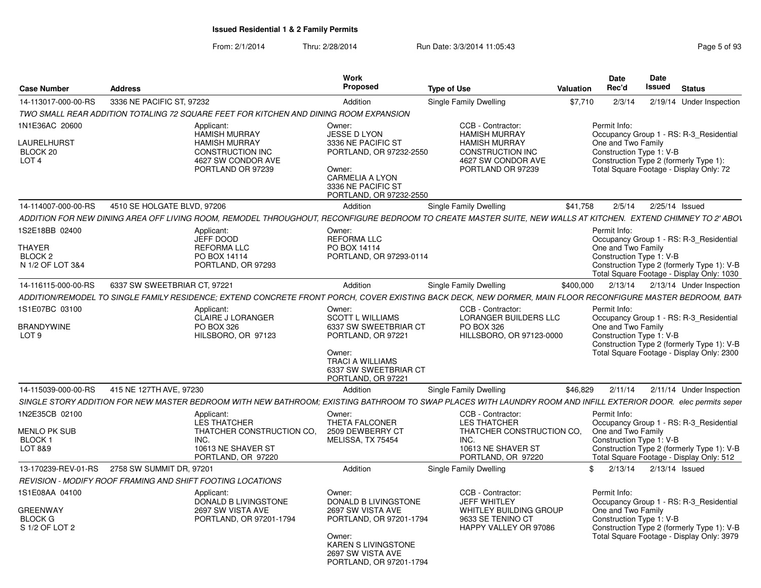| <b>Case Number</b>               | <b>Address</b>                                                                        | Work<br>Proposed                                                | <b>Type of Use</b>                              | Date<br>Date<br>Rec'd<br>Issued<br><b>Status</b><br>Valuation                                                                                                   |
|----------------------------------|---------------------------------------------------------------------------------------|-----------------------------------------------------------------|-------------------------------------------------|-----------------------------------------------------------------------------------------------------------------------------------------------------------------|
|                                  | 14-113017-000-00-RS 3336 NE PACIFIC ST, 97232                                         | Addition                                                        | Single Family Dwelling                          | \$7,710 2/3/14 2/19/14 Under Inspection                                                                                                                         |
|                                  | TWO SMALL REAR ADDITION TOTALING 72 SQUARE FEET FOR KITCHEN AND DINING ROOM EXPANSION |                                                                 |                                                 |                                                                                                                                                                 |
| 1N1E36AC 20600                   | Applicant:                                                                            | Owner:                                                          | CCB - Contractor:                               | Permit Info:                                                                                                                                                    |
|                                  | <b>HAMISH MURRAY</b>                                                                  | JESSE D LYON                                                    | <b>HAMISH MURRAY</b>                            | Occupancy Group 1 - RS: R-3 Residential                                                                                                                         |
| <b>AURELHURST</b><br>BLOCK 20    | <b>HAMISH MURRAY</b><br><b>CONSTRUCTION INC</b>                                       | 3336 NE PACIFIC ST<br>PORTLAND, OR 97232-2550                   | <b>HAMISH MURRAY</b><br><b>CONSTRUCTION INC</b> | One and Two Family<br>Construction Type 1: V-B                                                                                                                  |
| LOT <sub>4</sub>                 | 4627 SW CONDOR AVE                                                                    |                                                                 | 4627 SW CONDOR AVE                              | Construction Type 2 (formerly Type 1):                                                                                                                          |
|                                  | PORTLAND OR 97239                                                                     | Owner:<br><b>CARMELIA A LYON</b>                                | PORTLAND OR 97239                               | Total Square Footage - Display Only: 72                                                                                                                         |
|                                  |                                                                                       | 3336 NE PACIFIC ST                                              |                                                 |                                                                                                                                                                 |
|                                  |                                                                                       | PORTLAND, OR 97232-2550                                         |                                                 |                                                                                                                                                                 |
|                                  | 14-114007-000-00-RS 4510 SE HOLGATE BLVD, 97206                                       | Addition                                                        | Single Family Dwelling                          | \$41,758  2/5/14  2/25/14  Issued                                                                                                                               |
|                                  |                                                                                       |                                                                 |                                                 | ADDITION FOR NEW DINING AREA OFF LIVING ROOM, REMODEL THROUGHOUT, RECONFIGURE BEDROOM TO CREATE MASTER SUITE, NEW WALLS AT KITCHEN. EXTEND CHIMNEY TO 2' ABOV   |
| IS2E18BB 02400                   | Applicant:<br>JEFF DOOD                                                               | Owner:<br><b>REFORMA LLC</b>                                    |                                                 | Permit Info:<br>Occupancy Group 1 - RS: R-3_Residential                                                                                                         |
| <b>THAYFF</b>                    | <b>REFORMA LLC</b>                                                                    | PO BOX 14114                                                    |                                                 | One and Two Family                                                                                                                                              |
| BLOCK 2<br>N 1/2 OF LOT 3&4      | PO BOX 14114<br>PORTLAND, OR 97293                                                    | PORTLAND, OR 97293-0114                                         |                                                 | Construction Type 1: V-B<br>Construction Type 2 (formerly Type 1): V-B                                                                                          |
|                                  |                                                                                       |                                                                 |                                                 | Total Square Footage - Display Only: 1030                                                                                                                       |
| 14-116115-000-00-RS              | 6337 SW SWEETBRIAR CT, 97221                                                          | Addition                                                        | <b>Single Family Dwelling</b>                   | \$400,000 2/13/14 2/13/14 Under Inspection                                                                                                                      |
|                                  |                                                                                       |                                                                 |                                                 | ADDITION/REMODEL TO SINGLE FAMILY RESIDENCE; EXTEND CONCRETE FRONT PORCH, COVER EXISTING BACK DECK, NEW DORMER, MAIN FLOOR RECONFIGURE MASTER BEDROOM, BATH     |
| 1S1E07BC 03100                   | Applicant:                                                                            | Owner:                                                          | CCB - Contractor:                               | Permit Info:                                                                                                                                                    |
| <b>BRANDYWINE</b>                | <b>CLAIRE J LORANGER</b><br>PO BOX 326                                                | <b>SCOTT L WILLIAMS</b><br>6337 SW SWEETBRIAR CT                | LORANGER BUILDERS LLC<br>PO BOX 326             | Occupancy Group 1 - RS: R-3_Residential<br>One and Two Family                                                                                                   |
| LOT 9                            | HILSBORO, OR 97123                                                                    | PORTLAND, OR 97221                                              | HILLSBORO, OR 97123-0000                        | Construction Type 1: V-B                                                                                                                                        |
|                                  |                                                                                       | Owner:                                                          |                                                 | Construction Type 2 (formerly Type 1): V-B<br>Total Square Footage - Display Only: 2300                                                                         |
|                                  |                                                                                       | <b>TRACI A WILLIAMS</b>                                         |                                                 |                                                                                                                                                                 |
|                                  |                                                                                       | 6337 SW SWEETBRIAR CT<br>PORTLAND, OR 97221                     |                                                 |                                                                                                                                                                 |
|                                  | 14-115039-000-00-RS 415 NE 127TH AVE, 97230                                           | Addition                                                        | <b>Single Family Dwelling</b>                   | \$46.829 2/11/14<br>2/11/14 Under Inspection                                                                                                                    |
|                                  |                                                                                       |                                                                 |                                                 | SINGLE STORY ADDITION FOR NEW MASTER BEDROOM WITH NEW BATHROOM: EXISTING BATHROOM TO SWAP PLACES WITH LAUNDRY ROOM AND INFILL EXTERIOR DOOR. elec permits seper |
| 1N2E35CB 02100                   | Applicant:                                                                            | Owner:                                                          | CCB - Contractor:                               | Permit Info:                                                                                                                                                    |
|                                  | LES THATCHER                                                                          | THETA FALCONER                                                  | <b>LES THATCHER</b>                             | Occupancy Group 1 - RS: R-3_Residential                                                                                                                         |
| <b>MENLO PK SUB</b><br>BLOCK 1   |                                                                                       | THATCHER CONSTRUCTION CO. 2509 DEWBERRY CT<br>MELISSA, TX 75454 | THATCHER CONSTRUCTION CO,<br>INC.               | One and Two Family<br>Construction Type 1: V-B                                                                                                                  |
| LOT 8&9                          | 10613 NE SHAVER ST                                                                    |                                                                 | 10613 NE SHAVER ST                              | Construction Type 2 (formerly Type 1): V-B                                                                                                                      |
|                                  | PORTLAND, OR 97220                                                                    |                                                                 | PORTLAND, OR 97220                              | Total Square Footage - Display Only: 512                                                                                                                        |
|                                  | 13-170239-REV-01-RS  2758 SW SUMMIT DR, 97201                                         | Addition                                                        | Single Family Dwelling                          | 2/13/14   2/13/14   Issued                                                                                                                                      |
|                                  | REVISION - MODIFY ROOF FRAMING AND SHIFT FOOTING LOCATIONS                            | Owner:                                                          | CCB - Contractor:                               |                                                                                                                                                                 |
| 1S1E08AA 04100                   | Applicant:<br>DONALD B LIVINGSTONE                                                    | <b>DONALD B LIVINGSTONE</b>                                     | JEFF WHITLEY                                    | Permit Info:<br>Occupancy Group 1 - RS: R-3 Residential                                                                                                         |
| <b>GREENWAY</b>                  | 2697 SW VISTA AVE                                                                     | 2697 SW VISTA AVE                                               | WHITLEY BUILDING GROUP                          | One and Two Family                                                                                                                                              |
| <b>BLOCK G</b><br>S 1/2 OF LOT 2 | PORTLAND, OR 97201-1794                                                               | PORTLAND, OR 97201-1794                                         | 9633 SE TENINO CT<br>HAPPY VALLEY OR 97086      | Construction Type 1: V-B<br>Construction Type 2 (formerly Type 1): V-B                                                                                          |
|                                  |                                                                                       | Owner:                                                          |                                                 | Total Square Footage - Display Only: 3979                                                                                                                       |
|                                  |                                                                                       | <b>KAREN S LIVINGSTONE</b><br>2697 SW VISTA AVE                 |                                                 |                                                                                                                                                                 |
|                                  |                                                                                       | PORTLAND, OR 97201-1794                                         |                                                 |                                                                                                                                                                 |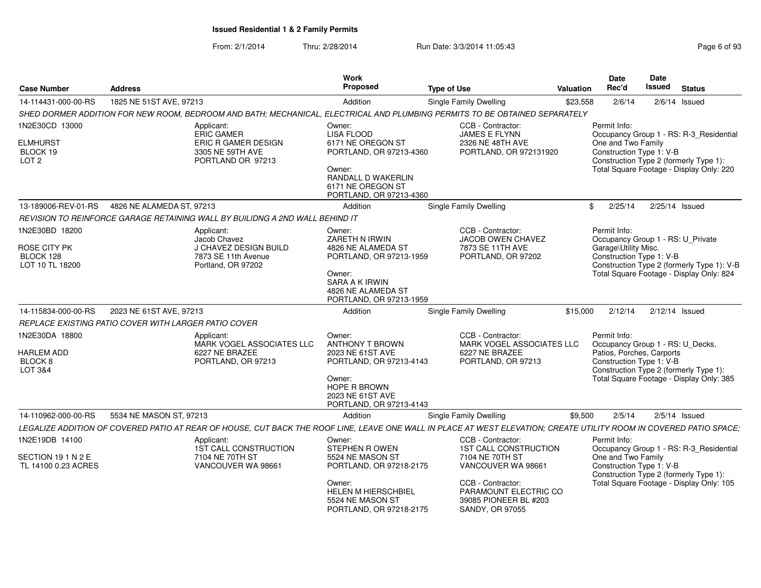| <b>Case Number</b>                                                | <b>Address</b>                                                                                                                                                      | <b>Work</b><br><b>Proposed</b>                                                                                                                                | <b>Type of Use</b>                                                                                                                                                                          | <b>Valuation</b> | <b>Date</b><br>Rec'd                                                                                      | Date<br><b>Issued</b> | <b>Status</b>                                                                                                                 |
|-------------------------------------------------------------------|---------------------------------------------------------------------------------------------------------------------------------------------------------------------|---------------------------------------------------------------------------------------------------------------------------------------------------------------|---------------------------------------------------------------------------------------------------------------------------------------------------------------------------------------------|------------------|-----------------------------------------------------------------------------------------------------------|-----------------------|-------------------------------------------------------------------------------------------------------------------------------|
| 14-114431-000-00-RS                                               | 1825 NE 51ST AVE, 97213                                                                                                                                             | Addition                                                                                                                                                      | <b>Single Family Dwelling</b>                                                                                                                                                               | \$23,558         | 2/6/14                                                                                                    |                       | $2/6/14$ Issued                                                                                                               |
|                                                                   | SHED DORMER ADDITION FOR NEW ROOM, BEDROOM AND BATH; MECHANICAL, ELECTRICAL AND PLUMBING PERMITS TO BE OBTAINED SEPARATELY                                          |                                                                                                                                                               |                                                                                                                                                                                             |                  |                                                                                                           |                       |                                                                                                                               |
| 1N2E30CD 13000<br><b>ELMHURST</b><br>BLOCK 19<br>LOT <sub>2</sub> | Applicant:<br><b>ERIC GAMER</b><br>ERIC R GAMER DESIGN<br>3305 NE 59TH AVE<br>PORTLAND OR 97213                                                                     | Owner:<br><b>LISA FLOOD</b><br>6171 NE OREGON ST<br>PORTLAND, OR 97213-4360<br>Owner:<br>RANDALL D WAKERLIN<br>6171 NE OREGON ST<br>PORTLAND, OR 97213-4360   | CCB - Contractor:<br><b>JAMES E FLYNN</b><br>2326 NE 48TH AVE<br>PORTLAND, OR 972131920                                                                                                     |                  | Permit Info:<br>One and Two Family<br>Construction Type 1: V-B                                            |                       | Occupancy Group 1 - RS: R-3_Residential<br>Construction Type 2 (formerly Type 1):<br>Total Square Footage - Display Only: 220 |
| 13-189006-REV-01-RS                                               | 4826 NE ALAMEDA ST, 97213                                                                                                                                           | Addition                                                                                                                                                      | <b>Single Family Dwelling</b>                                                                                                                                                               | \$               | 2/25/14                                                                                                   |                       | $2/25/14$ Issued                                                                                                              |
|                                                                   | REVISION TO REINFORCE GARAGE RETAINING WALL BY BUILIDNG A 2ND WALL BEHIND IT                                                                                        |                                                                                                                                                               |                                                                                                                                                                                             |                  |                                                                                                           |                       |                                                                                                                               |
| 1N2E30BD 18200<br>ROSE CITY PK<br>BLOCK 128<br>LOT 10 TL 18200    | Applicant:<br>Jacob Chavez<br>J CHAVEZ DESIGN BUILD<br>7873 SE 11th Avenue<br>Portland, OR 97202                                                                    | Owner:<br>ZARETH N IRWIN<br>4826 NE ALAMEDA ST<br>PORTLAND, OR 97213-1959<br>Owner:<br>SARA A K IRWIN<br>4826 NE ALAMEDA ST<br>PORTLAND, OR 97213-1959        | CCB - Contractor:<br><b>JACOB OWEN CHAVEZ</b><br>7873 SE 11TH AVE<br>PORTLAND, OR 97202                                                                                                     |                  | Permit Info:<br>Occupancy Group 1 - RS: U_Private<br>Garage\Utility Misc.<br>Construction Type 1: V-B     |                       | Construction Type 2 (formerly Type 1): V-B<br>Total Square Footage - Display Only: 824                                        |
| 14-115834-000-00-RS                                               | 2023 NE 61ST AVE, 97213                                                                                                                                             | Addition                                                                                                                                                      | <b>Single Family Dwelling</b>                                                                                                                                                               | \$15,000         | 2/12/14                                                                                                   |                       | $2/12/14$ Issued                                                                                                              |
|                                                                   | REPLACE EXISTING PATIO COVER WITH LARGER PATIO COVER                                                                                                                |                                                                                                                                                               |                                                                                                                                                                                             |                  |                                                                                                           |                       |                                                                                                                               |
| 1N2E30DA 18800<br>HARLEM ADD<br>BLOCK <sub>8</sub><br>LOT 3&4     | Applicant:<br>MARK VOGEL ASSOCIATES LLC<br>6227 NE BRAZEE<br>PORTLAND, OR 97213                                                                                     | Owner:<br><b>ANTHONY T BROWN</b><br>2023 NE 61ST AVE<br>PORTLAND, OR 97213-4143<br>Owner:<br>HOPE R BROWN<br>2023 NE 61ST AVE<br>PORTLAND, OR 97213-4143      | CCB - Contractor:<br>MARK VOGEL ASSOCIATES LLC<br>6227 NE BRAZEE<br>PORTLAND, OR 97213                                                                                                      |                  | Permit Info:<br>Occupancy Group 1 - RS: U_Decks,<br>Patios, Porches, Carports<br>Construction Type 1: V-B |                       | Construction Type 2 (formerly Type 1):<br>Total Square Footage - Display Only: 385                                            |
| 14-110962-000-00-RS                                               | 5534 NE MASON ST, 97213                                                                                                                                             | Addition                                                                                                                                                      | Single Family Dwelling                                                                                                                                                                      | \$9,500          | 2/5/14                                                                                                    |                       | $2/5/14$ Issued                                                                                                               |
|                                                                   | LEGALIZE ADDITION OF COVERED PATIO AT REAR OF HOUSE, CUT BACK THE ROOF LINE, LEAVE ONE WALL IN PLACE AT WEST ELEVATION; CREATE UTILITY ROOM IN COVERED PATIO SPACE; |                                                                                                                                                               |                                                                                                                                                                                             |                  |                                                                                                           |                       |                                                                                                                               |
| 1N2E19DB 14100<br>SECTION 19 1 N 2 E<br>TL 14100 0.23 ACRES       | Applicant:<br>1ST CALL CONSTRUCTION<br>7104 NE 70TH ST<br>VANCOUVER WA 98661                                                                                        | Owner:<br>STEPHEN ROWEN<br>5524 NE MASON ST<br>PORTLAND, OR 97218-2175<br>Owner:<br><b>HELEN M HIERSCHBIEL</b><br>5524 NE MASON ST<br>PORTLAND, OR 97218-2175 | CCB - Contractor:<br><b>1ST CALL CONSTRUCTION</b><br>7104 NE 70TH ST<br>VANCOUVER WA 98661<br>CCB - Contractor:<br>PARAMOUNT ELECTRIC CO<br>39085 PIONEER BL #203<br><b>SANDY, OR 97055</b> |                  | Permit Info:<br>One and Two Family<br>Construction Type 1: V-B                                            |                       | Occupancy Group 1 - RS: R-3_Residential<br>Construction Type 2 (formerly Type 1):<br>Total Square Footage - Display Only: 105 |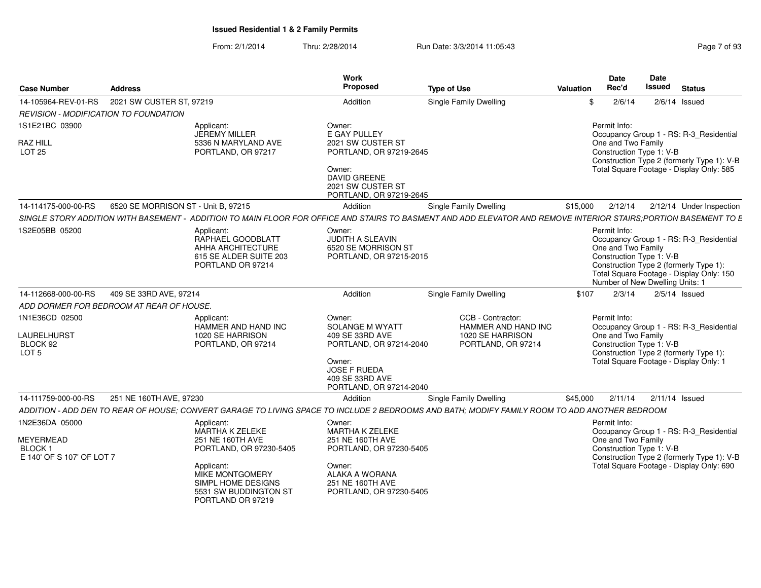| Page 7 of 93 |
|--------------|
|--------------|

| <b>Case Number</b>                                                  | <b>Address</b>                                 |                                                                                                                                                                                   | Work<br>Proposed                                                                                                                                        | <b>Type of Use</b>                                                                                                                            | Valuation | <b>Date</b><br>Rec'd                                           | Date<br><b>Issued</b><br><b>Status</b>                                                                                                                           |
|---------------------------------------------------------------------|------------------------------------------------|-----------------------------------------------------------------------------------------------------------------------------------------------------------------------------------|---------------------------------------------------------------------------------------------------------------------------------------------------------|-----------------------------------------------------------------------------------------------------------------------------------------------|-----------|----------------------------------------------------------------|------------------------------------------------------------------------------------------------------------------------------------------------------------------|
|                                                                     | 14-105964-REV-01-RS   2021 SW CUSTER ST, 97219 |                                                                                                                                                                                   | Addition                                                                                                                                                | Single Family Dwelling                                                                                                                        |           | 2/6/14                                                         | $2/6/14$ Issued                                                                                                                                                  |
|                                                                     | REVISION - MODIFICATION TO FOUNDATION          |                                                                                                                                                                                   |                                                                                                                                                         |                                                                                                                                               |           |                                                                |                                                                                                                                                                  |
| 1S1E21BC 03900<br><b>RAZ HILL</b><br><b>LOT 25</b>                  |                                                | Applicant:<br>JEREMY MILLER<br>5336 N MARYLAND AVE<br>PORTLAND, OR 97217                                                                                                          | Owner:<br>E GAY PULLEY<br>2021 SW CUSTER ST<br>PORTLAND, OR 97219-2645<br>Owner:<br><b>DAVID GREENE</b><br>2021 SW CUSTER ST<br>PORTLAND, OR 97219-2645 |                                                                                                                                               |           | Permit Info:<br>One and Two Family<br>Construction Type 1: V-B | Occupancy Group 1 - RS: R-3_Residential<br>Construction Type 2 (formerly Type 1): V-B<br>Total Square Footage - Display Only: 585                                |
| 14-114175-000-00-RS                                                 | 6520 SE MORRISON ST - Unit B, 97215            |                                                                                                                                                                                   | Addition                                                                                                                                                | Single Family Dwelling                                                                                                                        | \$15,000  | 2/12/14                                                        | 2/12/14 Under Inspection                                                                                                                                         |
|                                                                     | SINGLE STORY ADDITION WITH BASEMENT -          |                                                                                                                                                                                   |                                                                                                                                                         | - ADDITION TO MAIN FLOOR FOR OFFICE AND STAIRS TO BASMENT AND ADD ELEVATOR AND REMOVE INTERIOR STAIRS;PORTION BASEMENT TO E                   |           |                                                                |                                                                                                                                                                  |
| 1S2E05BB 05200                                                      |                                                | Applicant:<br>RAPHAEL GOODBLATT<br>AHHA ARCHITECTURE<br>615 SE ALDER SUITE 203<br>PORTLAND OR 97214                                                                               | Owner:<br>JUDITH A SLEAVIN<br>6520 SE MORRISON ST<br>PORTLAND, OR 97215-2015                                                                            |                                                                                                                                               |           | Permit Info:<br>One and Two Family<br>Construction Type 1: V-B | Occupancy Group 1 - RS: R-3_Residential<br>Construction Type 2 (formerly Type 1):<br>Total Square Footage - Display Only: 150<br>Number of New Dwelling Units: 1 |
| 14-112668-000-00-RS                                                 | 409 SE 33RD AVE, 97214                         |                                                                                                                                                                                   | Addition                                                                                                                                                | <b>Single Family Dwelling</b>                                                                                                                 | \$107     | 2/3/14                                                         | $2/5/14$ Issued                                                                                                                                                  |
|                                                                     | ADD DORMER FOR BEDROOM AT REAR OF HOUSE.       |                                                                                                                                                                                   |                                                                                                                                                         |                                                                                                                                               |           |                                                                |                                                                                                                                                                  |
| 1N1E36CD 02500<br>LAURELHURST<br>BLOCK 92<br>LOT <sub>5</sub>       |                                                | Applicant:<br>HAMMER AND HAND INC<br>1020 SE HARRISON<br>PORTLAND, OR 97214                                                                                                       | Owner:<br>SOLANGE M WYATT<br>409 SE 33RD AVE<br>PORTLAND, OR 97214-2040<br>Owner:<br><b>JOSE F RUEDA</b><br>409 SE 33RD AVE<br>PORTLAND, OR 97214-2040  | CCB - Contractor:<br>HAMMER AND HAND INC<br>1020 SE HARRISON<br>PORTLAND, OR 97214                                                            |           | Permit Info:<br>One and Two Family<br>Construction Type 1: V-B | Occupancy Group 1 - RS: R-3_Residential<br>Construction Type 2 (formerly Type 1):<br>Total Square Footage - Display Only: 1                                      |
|                                                                     | 14-111759-000-00-RS 251 NE 160TH AVE, 97230    |                                                                                                                                                                                   | Addition                                                                                                                                                | <b>Single Family Dwelling</b>                                                                                                                 | \$45,000  |                                                                | 2/11/14  2/11/14  Issued                                                                                                                                         |
|                                                                     |                                                |                                                                                                                                                                                   |                                                                                                                                                         | ADDITION - ADD DEN TO REAR OF HOUSE; CONVERT GARAGE TO LIVING SPACE TO INCLUDE 2 BEDROOMS AND BATH; MODIFY FAMILY ROOM TO ADD ANOTHER BEDROOM |           |                                                                |                                                                                                                                                                  |
| 1N2E36DA 05000<br>MEYERMEAD<br>BLOCK 1<br>E 140' OF S 107' OF LOT 7 |                                                | Applicant:<br>MARTHA K ZELEKE<br>251 NE 160TH AVE<br>PORTLAND, OR 97230-5405<br>Applicant:<br>MIKE MONTGOMERY<br>SIMPL HOME DESIGNS<br>5531 SW BUDDINGTON ST<br>PORTLAND OR 97219 | Owner:<br>MARTHA K ZELEKE<br>251 NE 160TH AVE<br>PORTLAND, OR 97230-5405<br>Owner:<br>ALAKA A WORANA<br>251 NE 160TH AVE<br>PORTLAND, OR 97230-5405     |                                                                                                                                               |           | Permit Info:<br>One and Two Family<br>Construction Type 1: V-B | Occupancy Group 1 - RS: R-3_Residential<br>Construction Type 2 (formerly Type 1): V-B<br>Total Square Footage - Display Only: 690                                |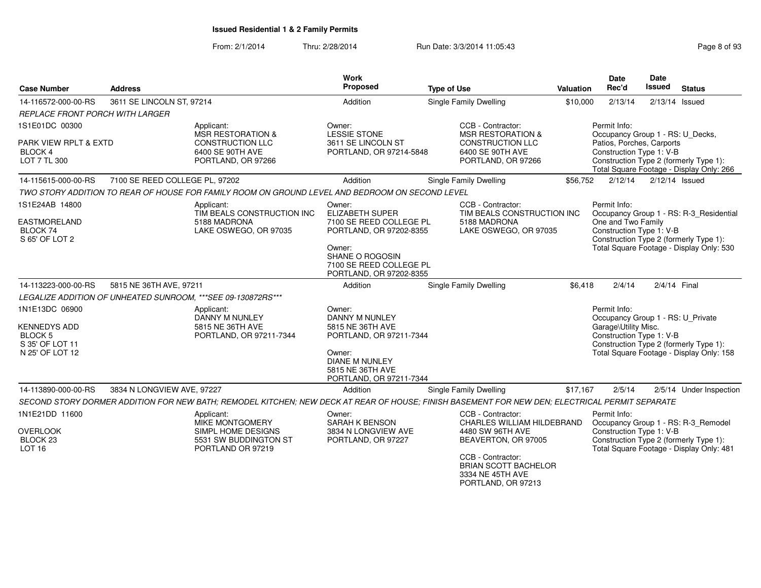#### From: 2/1/2014Thru: 2/28/2014 **Run Date: 3/3/2014 11:05:43** Page

| <b>Case Number</b>                                                                            | <b>Address</b>                 |                                                                                                                                                | Work<br>Proposed                                                                                                                                                          | <b>Type of Use</b>                                                                                                                             | <b>Valuation</b> | <b>Date</b><br>Rec'd                                                                                      | <b>Date</b><br><b>Issued</b> | <b>Status</b>                                                                                                             |
|-----------------------------------------------------------------------------------------------|--------------------------------|------------------------------------------------------------------------------------------------------------------------------------------------|---------------------------------------------------------------------------------------------------------------------------------------------------------------------------|------------------------------------------------------------------------------------------------------------------------------------------------|------------------|-----------------------------------------------------------------------------------------------------------|------------------------------|---------------------------------------------------------------------------------------------------------------------------|
| 14-116572-000-00-RS                                                                           | 3611 SE LINCOLN ST, 97214      |                                                                                                                                                | Addition                                                                                                                                                                  | Single Family Dwelling                                                                                                                         | \$10,000         | 2/13/14                                                                                                   | $2/13/14$ Issued             |                                                                                                                           |
| <b>REPLACE FRONT PORCH WITH LARGER</b>                                                        |                                |                                                                                                                                                |                                                                                                                                                                           |                                                                                                                                                |                  |                                                                                                           |                              |                                                                                                                           |
| 1S1E01DC 00300<br>PARK VIEW RPLT & EXTD<br><b>BLOCK 4</b><br>LOT 7 TL 300                     |                                | Applicant:<br>MSR RESTORATION &<br><b>CONSTRUCTION LLC</b><br>6400 SE 90TH AVE<br>PORTLAND, OR 97266                                           | Owner:<br><b>LESSIE STONE</b><br>3611 SE LINCOLN ST<br>PORTLAND, OR 97214-5848                                                                                            | CCB - Contractor:<br><b>MSR RESTORATION &amp;</b><br><b>CONSTRUCTION LLC</b><br>6400 SE 90TH AVE<br>PORTLAND, OR 97266                         |                  | Permit Info:<br>Occupancy Group 1 - RS: U Decks,<br>Patios, Porches, Carports<br>Construction Type 1: V-B |                              | Construction Type 2 (formerly Type 1):<br>Total Square Footage - Display Only: 266                                        |
| 14-115615-000-00-RS                                                                           | 7100 SE REED COLLEGE PL, 97202 |                                                                                                                                                | Addition                                                                                                                                                                  | Single Family Dwelling                                                                                                                         | \$56,752         | 2/12/14                                                                                                   | $2/12/14$ Issued             |                                                                                                                           |
|                                                                                               |                                | TWO STORY ADDITION TO REAR OF HOUSE FOR FAMILY ROOM ON GROUND LEVEL AND BEDROOM ON SECOND LEVEL                                                |                                                                                                                                                                           |                                                                                                                                                |                  |                                                                                                           |                              |                                                                                                                           |
| 1S1E24AB 14800<br>EASTMORELAND<br>BLOCK 74<br>S 65' OF LOT 2                                  |                                | Applicant:<br>TIM BEALS CONSTRUCTION INC<br>5188 MADRONA<br>LAKE OSWEGO, OR 97035                                                              | Owner:<br><b>ELIZABETH SUPER</b><br>7100 SE REED COLLEGE PL<br>PORTLAND, OR 97202-8355<br>Owner:<br>SHANE O ROGOSIN<br>7100 SE REED COLLEGE PL<br>PORTLAND, OR 97202-8355 | CCB - Contractor:<br>TIM BEALS CONSTRUCTION INC<br>5188 MADRONA<br>LAKE OSWEGO, OR 97035                                                       |                  | Permit Info:<br>One and Two Family<br>Construction Type 1: V-B<br>Construction Type 2 (formerly Type 1):  |                              | Occupancy Group 1 - RS: R-3_Residential<br>Total Square Footage - Display Only: 530                                       |
| 14-113223-000-00-RS                                                                           | 5815 NE 36TH AVE, 97211        |                                                                                                                                                | Addition                                                                                                                                                                  | Single Family Dwelling                                                                                                                         | \$6.418          | 2/4/14                                                                                                    | 2/4/14 Final                 |                                                                                                                           |
|                                                                                               |                                | LEGALIZE ADDITION OF UNHEATED SUNROOM. ***SEE 09-130872RS***                                                                                   |                                                                                                                                                                           |                                                                                                                                                |                  |                                                                                                           |                              |                                                                                                                           |
| 1N1E13DC 06900<br><b>KENNEDYS ADD</b><br><b>BLOCK 5</b><br>S 35' OF LOT 11<br>N 25' OF LOT 12 |                                | Applicant:<br>DANNY M NUNLEY<br>5815 NE 36TH AVE<br>PORTLAND, OR 97211-7344                                                                    | Owner:<br>DANNY M NUNLEY<br>5815 NE 36TH AVE<br>PORTLAND, OR 97211-7344<br>Owner:<br><b>DIANE M NUNLEY</b><br>5815 NE 36TH AVE<br>PORTLAND, OR 97211-7344                 |                                                                                                                                                |                  | Permit Info:<br>Occupancy Group 1 - RS: U_Private<br>Garage\Utility Misc.<br>Construction Type 1: V-B     |                              | Construction Type 2 (formerly Type 1):<br>Total Square Footage - Display Only: 158                                        |
| 14-113890-000-00-RS                                                                           | 3834 N LONGVIEW AVE, 97227     |                                                                                                                                                | Addition                                                                                                                                                                  | <b>Single Family Dwelling</b>                                                                                                                  | \$17,167         | 2/5/14                                                                                                    |                              | 2/5/14 Under Inspection                                                                                                   |
|                                                                                               |                                | SECOND STORY DORMER ADDITION FOR NEW BATH; REMODEL KITCHEN; NEW DECK AT REAR OF HOUSE; FINISH BASEMENT FOR NEW DEN; ELECTRICAL PERMIT SEPARATE |                                                                                                                                                                           |                                                                                                                                                |                  |                                                                                                           |                              |                                                                                                                           |
| 1N1E21DD 11600<br><b>OVERLOOK</b><br>BLOCK <sub>23</sub><br><b>LOT 16</b>                     |                                | Applicant:<br><b>MIKE MONTGOMERY</b><br>SIMPL HOME DESIGNS<br>5531 SW BUDDINGTON ST<br>PORTLAND OR 97219                                       | Owner:<br><b>SARAH K BENSON</b><br>3834 N LONGVIEW AVE<br>PORTLAND, OR 97227                                                                                              | CCB - Contractor:<br>CHARLES WILLIAM HILDEBRAND<br>4480 SW 96TH AVE<br>BEAVERTON, OR 97005<br>CCB - Contractor:<br><b>BRIAN SCOTT BACHELOR</b> |                  | Permit Info:<br>Construction Type 1: V-B                                                                  |                              | Occupancy Group 1 - RS: R-3_Remodel<br>Construction Type 2 (formerly Type 1):<br>Total Square Footage - Display Only: 481 |

3334 NE 45TH AVE PORTLAND, OR 97213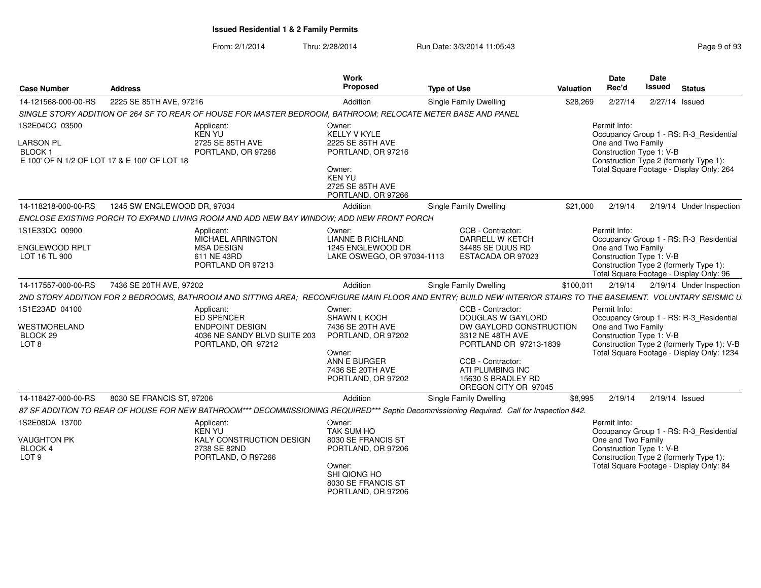| <b>Case Number</b>                                                        | <b>Address</b>                               |                                                                                                                                                                                                                                                                                   | Work<br>Proposed                                                                                                                             | <b>Type of Use</b> |                                                                                                                                      | Valuation | <b>Date</b><br>Rec'd                                           | <b>Date</b><br>Issued | <b>Status</b>                                                                                                                      |
|---------------------------------------------------------------------------|----------------------------------------------|-----------------------------------------------------------------------------------------------------------------------------------------------------------------------------------------------------------------------------------------------------------------------------------|----------------------------------------------------------------------------------------------------------------------------------------------|--------------------|--------------------------------------------------------------------------------------------------------------------------------------|-----------|----------------------------------------------------------------|-----------------------|------------------------------------------------------------------------------------------------------------------------------------|
| 14-121568-000-00-RS                                                       | 2225 SE 85TH AVE, 97216                      |                                                                                                                                                                                                                                                                                   | Addition                                                                                                                                     |                    | Single Family Dwelling                                                                                                               | \$28,269  | 2/27/14                                                        | 2/27/14 Issued        |                                                                                                                                    |
|                                                                           |                                              | SINGLE STORY ADDITION OF 264 SF TO REAR OF HOUSE FOR MASTER BEDROOM, BATHROOM; RELOCATE METER BASE AND PANEL                                                                                                                                                                      |                                                                                                                                              |                    |                                                                                                                                      |           |                                                                |                       |                                                                                                                                    |
| 1S2E04CC 03500<br>LARSON PL<br><b>BLOCK1</b>                              | E 100' OF N 1/2 OF LOT 17 & E 100' OF LOT 18 | Applicant:<br><b>KEN YU</b><br>2725 SE 85TH AVE<br>PORTLAND, OR 97266                                                                                                                                                                                                             | Owner:<br><b>KELLY V KYLE</b><br>2225 SE 85TH AVE<br>PORTLAND, OR 97216<br>Owner:<br><b>KEN YU</b><br>2725 SE 85TH AVE<br>PORTLAND, OR 97266 |                    |                                                                                                                                      |           | Permit Info:<br>One and Two Family<br>Construction Type 1: V-B |                       | Occupancy Group 1 - RS: R-3 Residential<br>Construction Type 2 (formerly Type 1):<br>Total Square Footage - Display Only: 264      |
| 14-118218-000-00-RS                                                       | 1245 SW ENGLEWOOD DR, 97034                  |                                                                                                                                                                                                                                                                                   | Addition                                                                                                                                     |                    | Single Family Dwelling                                                                                                               | \$21,000  | 2/19/14                                                        |                       | 2/19/14 Under Inspection                                                                                                           |
|                                                                           |                                              | ENCLOSE EXISTING PORCH TO EXPAND LIVING ROOM AND ADD NEW BAY WINDOW; ADD NEW FRONT PORCH                                                                                                                                                                                          |                                                                                                                                              |                    |                                                                                                                                      |           |                                                                |                       |                                                                                                                                    |
| 1S1E33DC 00900<br>ENGLEWOOD RPLT<br>LOT 16 TL 900                         |                                              | Applicant:<br>MICHAEL ARRINGTON<br><b>MSA DESIGN</b><br>611 NE 43RD<br>PORTLAND OR 97213                                                                                                                                                                                          | Owner:<br>LIANNE B RICHLAND<br>1245 ENGLEWOOD DR<br>LAKE OSWEGO, OR 97034-1113                                                               |                    | CCB - Contractor:<br><b>DARRELL W KETCH</b><br>34485 SE DUUS RD<br>ESTACADA OR 97023                                                 |           | Permit Info:<br>One and Two Family<br>Construction Type 1: V-B |                       | Occupancy Group 1 - RS: R-3 Residential<br>Construction Type 2 (formerly Type 1):<br>Total Square Footage - Display Only: 96       |
| 14-117557-000-00-RS                                                       | 7436 SE 20TH AVE, 97202                      |                                                                                                                                                                                                                                                                                   | Addition                                                                                                                                     |                    | Single Family Dwelling                                                                                                               | \$100,011 | 2/19/14                                                        |                       | 2/19/14 Under Inspection                                                                                                           |
| 1S1E23AD 04100<br>WESTMORELAND<br>BLOCK <sub>29</sub><br>LOT <sub>8</sub> |                                              | 2ND STORY ADDITION FOR 2 BEDROOMS, BATHROOM AND SITTING AREA; RECONFIGURE MAIN FLOOR AND ENTRY; BUILD NEW INTERIOR STAIRS TO THE BASEMENT. VOLUNTARY SEISMIC U<br>Applicant:<br><b>ED SPENCER</b><br><b>ENDPOINT DESIGN</b><br>4036 NE SANDY BLVD SUITE 203<br>PORTLAND, OR 97212 | Owner:<br>SHAWN L KOCH<br>7436 SE 20TH AVE<br>PORTLAND, OR 97202<br>Owner:<br>ANN E BURGER                                                   |                    | CCB - Contractor:<br>DOUGLAS W GAYLORD<br>DW GAYLORD CONSTRUCTION<br>3312 NE 48TH AVE<br>PORTLAND OR 97213-1839<br>CCB - Contractor: |           | Permit Info:<br>One and Two Family<br>Construction Type 1: V-B |                       | Occupancy Group 1 - RS: R-3_Residential<br>Construction Type 2 (formerly Type 1): V-B<br>Total Square Footage - Display Only: 1234 |
|                                                                           |                                              |                                                                                                                                                                                                                                                                                   | 7436 SE 20TH AVE<br>PORTLAND, OR 97202                                                                                                       |                    | ATI PLUMBING INC<br>15630 S BRADLEY RD<br>OREGON CITY OR 97045                                                                       |           |                                                                |                       |                                                                                                                                    |
| 14-118427-000-00-RS                                                       | 8030 SE FRANCIS ST, 97206                    |                                                                                                                                                                                                                                                                                   | Addition                                                                                                                                     |                    | Single Family Dwelling                                                                                                               | \$8,995   | 2/19/14                                                        | $2/19/14$ Issued      |                                                                                                                                    |
|                                                                           |                                              | 87 SF ADDITION TO REAR OF HOUSE FOR NEW BATHROOM*** DECOMMISSIONING REQUIRED*** Septic Decommissioning Required. Call for Inspection 842.                                                                                                                                         |                                                                                                                                              |                    |                                                                                                                                      |           |                                                                |                       |                                                                                                                                    |
| 1S2E08DA 13700                                                            |                                              | Applicant:<br><b>KEN YU</b>                                                                                                                                                                                                                                                       | Owner:<br>TAK SUM HO                                                                                                                         |                    |                                                                                                                                      |           | Permit Info:<br>One and Two Family                             |                       | Occupancy Group 1 - RS: R-3_Residential                                                                                            |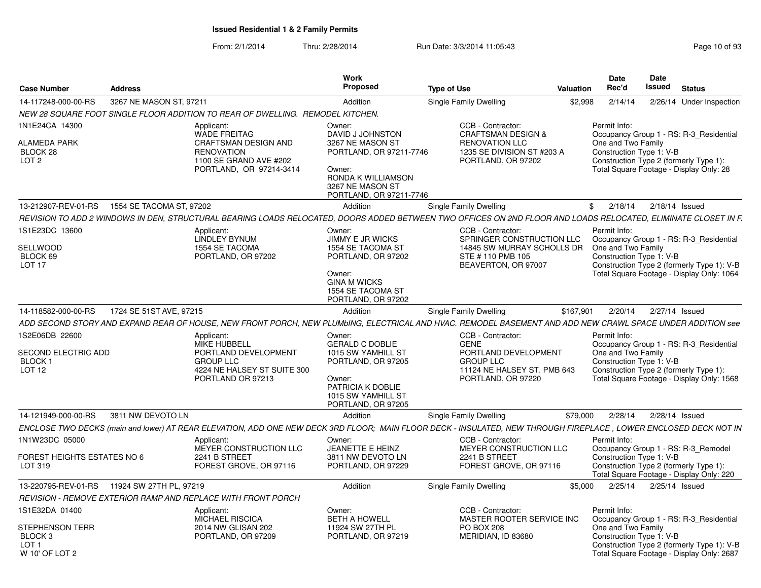| <b>Case Number</b>                                                                                   | <b>Address</b>           |                                                                                                                                            | Work<br><b>Proposed</b>                                                                                                                                  | <b>Type of Use</b>                                                                                                                                               | Valuation | <b>Date</b><br>Rec'd                                           | <b>Date</b><br><b>Issued</b> | <b>Status</b>                                                                                                                      |
|------------------------------------------------------------------------------------------------------|--------------------------|--------------------------------------------------------------------------------------------------------------------------------------------|----------------------------------------------------------------------------------------------------------------------------------------------------------|------------------------------------------------------------------------------------------------------------------------------------------------------------------|-----------|----------------------------------------------------------------|------------------------------|------------------------------------------------------------------------------------------------------------------------------------|
| 14-117248-000-00-RS                                                                                  | 3267 NE MASON ST. 97211  |                                                                                                                                            | Addition                                                                                                                                                 | Single Family Dwelling                                                                                                                                           | \$2.998   | 2/14/14                                                        |                              | 2/26/14 Under Inspection                                                                                                           |
|                                                                                                      |                          | NEW 28 SQUARE FOOT SINGLE FLOOR ADDITION TO REAR OF DWELLING. REMODEL KITCHEN.                                                             |                                                                                                                                                          |                                                                                                                                                                  |           |                                                                |                              |                                                                                                                                    |
| 1N1E24CA 14300<br><b>ALAMEDA PARK</b><br>BLOCK 28<br>LOT <sub>2</sub>                                |                          | Applicant:<br><b>WADE FREITAG</b><br><b>CRAFTSMAN DESIGN AND</b><br><b>RENOVATION</b><br>1100 SE GRAND AVE #202<br>PORTLAND, OR 97214-3414 | Owner:<br>DAVID J JOHNSTON<br>3267 NE MASON ST<br>PORTLAND, OR 97211-7746<br>Owner:<br>RONDA K WILLIAMSON<br>3267 NE MASON ST<br>PORTLAND, OR 97211-7746 | CCB - Contractor:<br><b>CRAFTSMAN DESIGN &amp;</b><br><b>RENOVATION LLC</b><br>1235 SE DIVISION ST #203 A<br>PORTLAND, OR 97202                                  |           | Permit Info:<br>One and Two Family<br>Construction Type 1: V-B |                              | Occupancy Group 1 - RS: R-3 Residential<br>Construction Type 2 (formerly Type 1):<br>Total Square Footage - Display Only: 28       |
| 13-212907-REV-01-RS                                                                                  | 1554 SE TACOMA ST, 97202 |                                                                                                                                            | Addition                                                                                                                                                 | Single Family Dwelling                                                                                                                                           |           | 2/18/14<br>\$                                                  | $2/18/14$ Issued             |                                                                                                                                    |
|                                                                                                      |                          |                                                                                                                                            |                                                                                                                                                          | REVISION TO ADD 2 WINDOWS IN DEN, STRUCTURAL BEARING LOADS RELOCATED, DOORS ADDED BETWEEN TWO OFFICES ON 2ND FLOOR AND LOADS RELOCATED, ELIMINATE CLOSET IN F.   |           |                                                                |                              |                                                                                                                                    |
| 1S1E23DC 13600<br>SELLWOOD<br>BLOCK 69<br>LOT <sub>17</sub>                                          |                          | Applicant:<br><b>LINDLEY BYNUM</b><br>1554 SE TACOMA<br>PORTLAND, OR 97202                                                                 | Owner:<br><b>JIMMY E JR WICKS</b><br>1554 SE TACOMA ST<br>PORTLAND, OR 97202<br>Owner:<br><b>GINA M WICKS</b><br>1554 SE TACOMA ST<br>PORTLAND, OR 97202 | CCB - Contractor:<br>SPRINGER CONSTRUCTION LLC<br>14845 SW MURRAY SCHOLLS DR<br>STE #110 PMB 105<br>BEAVERTON, OR 97007                                          |           | Permit Info:<br>One and Two Family<br>Construction Type 1: V-B |                              | Occupancy Group 1 - RS: R-3 Residential<br>Construction Type 2 (formerly Type 1): V-B<br>Total Square Footage - Display Only: 1064 |
| 14-118582-000-00-RS                                                                                  | 1724 SE 51ST AVE, 97215  |                                                                                                                                            | Addition                                                                                                                                                 | Single Family Dwelling                                                                                                                                           | \$167,901 | 2/20/14                                                        | 2/27/14 Issued               |                                                                                                                                    |
|                                                                                                      |                          |                                                                                                                                            |                                                                                                                                                          | ADD SECOND STORY AND EXPAND REAR OF HOUSE, NEW FRONT PORCH, NEW PLUMbING, ELECTRICAL AND HVAC. REMODEL BASEMENT AND ADD NEW CRAWL SPACE UNDER ADDITION see       |           |                                                                |                              |                                                                                                                                    |
| 1S2E06DB 22600<br><b>SECOND ELECTRIC ADD</b><br>BLOCK 1<br>LOT <sub>12</sub>                         |                          | Applicant:<br>MIKE HUBBELL<br>PORTLAND DEVELOPMENT<br><b>GROUP LLC</b><br>4224 NE HALSEY ST SUITE 300<br>PORTLAND OR 97213                 | Owner:<br><b>GERALD C DOBLIE</b><br>1015 SW YAMHILL ST<br>PORTLAND, OR 97205<br>Owner:<br>PATRICIA K DOBLIE<br>1015 SW YAMHILL ST<br>PORTLAND, OR 97205  | CCB - Contractor:<br><b>GENE</b><br>PORTLAND DEVELOPMENT<br><b>GROUP LLC</b><br>11124 NE HALSEY ST. PMB 643<br>PORTLAND, OR 97220                                |           | Permit Info:<br>One and Two Family<br>Construction Type 1: V-B |                              | Occupancy Group 1 - RS: R-3_Residential<br>Construction Type 2 (formerly Type 1):<br>Total Square Footage - Display Only: 1568     |
| 14-121949-000-00-RS                                                                                  | 3811 NW DEVOTO LN        |                                                                                                                                            | Addition                                                                                                                                                 | Single Family Dwelling                                                                                                                                           | \$79.000  | 2/28/14                                                        | 2/28/14 Issued               |                                                                                                                                    |
|                                                                                                      |                          |                                                                                                                                            |                                                                                                                                                          | ENCLOSE TWO DECKS (main and lower) AT REAR ELEVATION, ADD ONE NEW DECK 3RD FLOOR; MAIN FLOOR DECK - INSULATED, NEW THROUGH FIREPLACE, LOWER ENCLOSED DECK NOT IN |           |                                                                |                              |                                                                                                                                    |
| 1N1W23DC 05000<br>FOREST HEIGHTS ESTATES NO 6<br>LOT 319                                             |                          | Applicant:<br>MEYER CONSTRUCTION LLC<br>2241 B STREET<br>FOREST GROVE, OR 97116                                                            | Owner:<br>JEANETTE E HEINZ<br>3811 NW DEVOTO LN<br>PORTLAND, OR 97229                                                                                    | CCB - Contractor:<br>MEYER CONSTRUCTION LLC<br>2241 B STREET<br>FOREST GROVE, OR 97116                                                                           |           | Permit Info:<br>Construction Type 1: V-B                       |                              | Occupancy Group 1 - RS: R-3 Remodel<br>Construction Type 2 (formerly Type 1):<br>Total Square Footage - Display Only: 220          |
|                                                                                                      |                          |                                                                                                                                            | Addition                                                                                                                                                 | Single Family Dwelling                                                                                                                                           | \$5,000   | 2/25/14                                                        | 2/25/14 Issued               |                                                                                                                                    |
|                                                                                                      |                          | REVISION - REMOVE EXTERIOR RAMP AND REPLACE WITH FRONT PORCH                                                                               |                                                                                                                                                          |                                                                                                                                                                  |           |                                                                |                              |                                                                                                                                    |
| 1S1E32DA 01400<br><b>STEPHENSON TERR</b><br>BLOCK <sub>3</sub><br>LOT <sub>1</sub><br>W 10' OF LOT 2 |                          | Applicant:<br><b>MICHAEL RISCICA</b><br>2014 NW GLISAN 202<br>PORTLAND, OR 97209                                                           | Owner:<br><b>BETH A HOWELL</b><br>11924 SW 27TH PL<br>PORTLAND, OR 97219                                                                                 | CCB - Contractor:<br>MASTER ROOTER SERVICE INC<br><b>PO BOX 208</b><br>MERIDIAN, ID 83680                                                                        |           | Permit Info:<br>One and Two Family<br>Construction Type 1: V-B |                              | Occupancy Group 1 - RS: R-3 Residential<br>Construction Type 2 (formerly Type 1): V-B<br>Total Square Footage - Display Only: 2687 |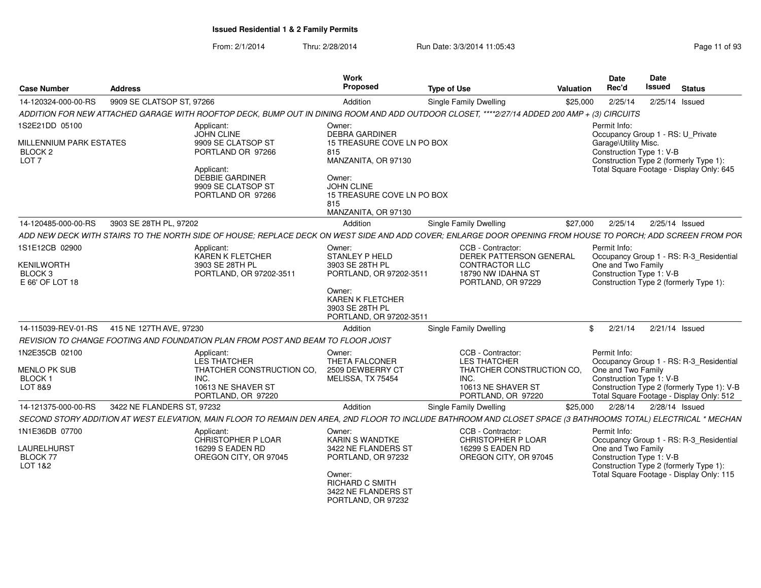| <b>Case Number</b>                                                | <b>Address</b>             |                                                                                                                                                                | Work<br>Proposed                                                                        | <b>Type of Use</b>                                  | Valuation | <b>Date</b><br>Rec'd                                                                                               | <b>Date</b><br><b>Issued</b> | <b>Status</b>  |  |
|-------------------------------------------------------------------|----------------------------|----------------------------------------------------------------------------------------------------------------------------------------------------------------|-----------------------------------------------------------------------------------------|-----------------------------------------------------|-----------|--------------------------------------------------------------------------------------------------------------------|------------------------------|----------------|--|
| 14-120324-000-00-RS                                               | 9909 SE CLATSOP ST, 97266  |                                                                                                                                                                | Addition                                                                                | <b>Single Family Dwelling</b>                       | \$25,000  | 2/25/14                                                                                                            |                              | 2/25/14 Issued |  |
|                                                                   |                            | ADDITION FOR NEW ATTACHED GARAGE WITH ROOFTOP DECK, BUMP OUT IN DINING ROOM AND ADD OUTDOOR CLOSET, ****2/27/14 ADDED 200 AMP + (3) CIRCUITS                   |                                                                                         |                                                     |           |                                                                                                                    |                              |                |  |
| 1S2E21DD 05100                                                    |                            | Applicant:<br>JOHN CLINE                                                                                                                                       | Owner:<br><b>DEBRA GARDINER</b>                                                         |                                                     |           | Permit Info:<br>Occupancy Group 1 - RS: U_Private                                                                  |                              |                |  |
| MILLENNIUM PARK ESTATES<br>BLOCK <sub>2</sub><br>LOT <sub>7</sub> |                            | 9909 SE CLATSOP ST<br>PORTLAND OR 97266                                                                                                                        | 15 TREASURE COVE LN PO BOX<br>815<br>MANZANITA, OR 97130                                |                                                     |           | Garage\Utility Misc.<br>Construction Type 1: V-B<br>Construction Type 2 (formerly Type 1):                         |                              |                |  |
|                                                                   |                            | Applicant:<br><b>DEBBIE GARDINER</b><br>9909 SE CLATSOP ST<br>PORTLAND OR 97266                                                                                | Owner:<br><b>JOHN CLINE</b><br>15 TREASURE COVE LN PO BOX<br>815<br>MANZANITA, OR 97130 |                                                     |           | Total Square Footage - Display Only: 645                                                                           |                              |                |  |
| 14-120485-000-00-RS                                               | 3903 SE 28TH PL, 97202     |                                                                                                                                                                | Addition                                                                                | Single Family Dwelling                              | \$27,000  | 2/25/14                                                                                                            |                              | 2/25/14 Issued |  |
|                                                                   |                            | ADD NEW DECK WITH STAIRS TO THE NORTH SIDE OF HOUSE: REPLACE DECK ON WEST SIDE AND ADD COVER: ENLARGE DOOR OPENING FROM HOUSE TO PORCH: ADD SCREEN FROM POR    |                                                                                         |                                                     |           |                                                                                                                    |                              |                |  |
| 1S1E12CB 02900                                                    |                            | Applicant:<br>KAREN K FLETCHER                                                                                                                                 | Owner:<br>STANLEY P HELD                                                                | CCB - Contractor:<br><b>DEREK PATTERSON GENERAL</b> |           | Permit Info:<br>Occupancy Group 1 - RS: R-3_Residential                                                            |                              |                |  |
| KENILWORTH                                                        |                            | 3903 SE 28TH PL                                                                                                                                                | 3903 SE 28TH PL                                                                         | <b>CONTRACTOR LLC</b>                               |           | One and Two Family                                                                                                 |                              |                |  |
| BLOCK <sub>3</sub><br>E 66' OF LOT 18                             |                            | PORTLAND, OR 97202-3511                                                                                                                                        | PORTLAND, OR 97202-3511                                                                 | 18790 NW IDAHNA ST<br>PORTLAND, OR 97229            |           | Construction Type 1: V-B<br>Construction Type 2 (formerly Type 1):                                                 |                              |                |  |
|                                                                   |                            |                                                                                                                                                                | Owner:<br><b>KAREN K FLETCHER</b><br>3903 SE 28TH PL<br>PORTLAND, OR 97202-3511         |                                                     |           |                                                                                                                    |                              |                |  |
| 14-115039-REV-01-RS                                               | 415 NE 127TH AVE, 97230    |                                                                                                                                                                | Addition                                                                                | <b>Single Family Dwelling</b>                       |           | 2/21/14<br>\$                                                                                                      |                              | 2/21/14 Issued |  |
|                                                                   |                            | REVISION TO CHANGE FOOTING AND FOUNDATION PLAN FROM POST AND BEAM TO FLOOR JOIST                                                                               |                                                                                         |                                                     |           |                                                                                                                    |                              |                |  |
| 1N2E35CB 02100                                                    |                            | Applicant:<br>LES THATCHER                                                                                                                                     | Owner:<br><b>THETA FALCONER</b>                                                         | CCB - Contractor:<br><b>LES THATCHER</b>            |           | Permit Info:<br>Occupancy Group 1 - RS: R-3 Residential                                                            |                              |                |  |
| <b>MENLO PK SUB</b>                                               |                            | THATCHER CONSTRUCTION CO.<br>INC.                                                                                                                              | 2509 DEWBERRY CT<br>MELISSA, TX 75454                                                   | THATCHER CONSTRUCTION CO.                           |           | One and Two Family                                                                                                 |                              |                |  |
| BLOCK <sub>1</sub><br>LOT 8&9                                     |                            | 10613 NE SHAVER ST<br>PORTLAND, OR 97220                                                                                                                       |                                                                                         | INC.<br>10613 NE SHAVER ST<br>PORTLAND, OR 97220    |           | Construction Type 1: V-B<br>Construction Type 2 (formerly Type 1): V-B<br>Total Square Footage - Display Only: 512 |                              |                |  |
| 14-121375-000-00-RS                                               | 3422 NE FLANDERS ST. 97232 |                                                                                                                                                                | Addition                                                                                | <b>Single Family Dwelling</b>                       | \$25,000  | 2/28/14                                                                                                            | 2/28/14 Issued               |                |  |
|                                                                   |                            | SECOND STORY ADDITION AT WEST ELEVATION, MAIN FLOOR TO REMAIN DEN AREA, 2ND FLOOR TO INCLUDE BATHROOM AND CLOSET SPACE (3 BATHROOMS TOTAL) ELECTRICAL * MECHAN |                                                                                         |                                                     |           |                                                                                                                    |                              |                |  |
| 1N1E36DB 07700                                                    |                            | Applicant:<br>CHRISTOPHER P LOAR                                                                                                                               | Owner:<br><b>KARIN S WANDTKE</b>                                                        | CCB - Contractor:<br>CHRISTOPHER P LOAR             |           | Permit Info:<br>Occupancy Group 1 - RS: R-3_Residential                                                            |                              |                |  |
| LAURELHURST<br>BLOCK 77<br>LOT 1&2                                |                            | 16299 S EADEN RD<br>OREGON CITY, OR 97045                                                                                                                      | 3422 NE FLANDERS ST<br>PORTLAND, OR 97232                                               | 16299 S EADEN RD<br>OREGON CITY, OR 97045           |           | One and Two Family<br>Construction Type 1: V-B<br>Construction Type 2 (formerly Type 1):                           |                              |                |  |
|                                                                   |                            |                                                                                                                                                                | Owner:<br><b>RICHARD C SMITH</b><br>3422 NE FLANDERS ST<br>PORTLAND, OR 97232           |                                                     |           | Total Square Footage - Display Only: 115                                                                           |                              |                |  |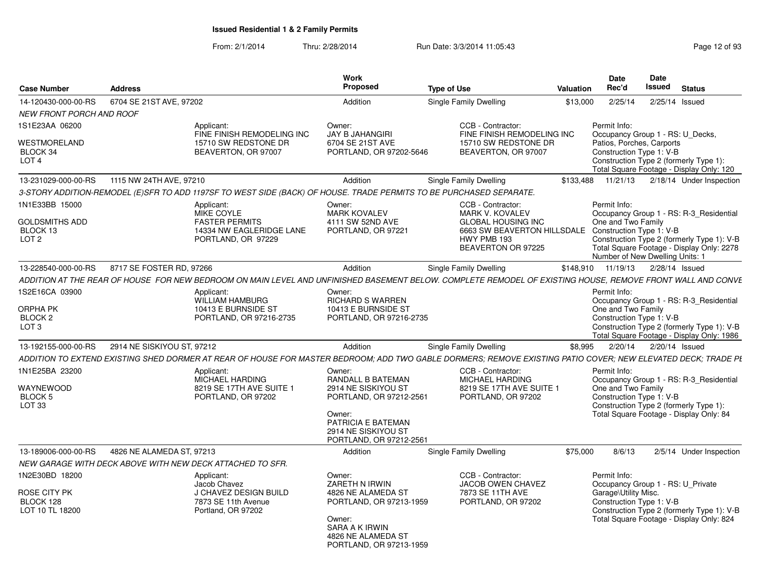| <b>Case Number</b>                                                      | <b>Address</b>                                                                                                                                               |                                                                                       | Work<br>Proposed                                                                                                                 | <b>Type of Use</b>            |                                                                                                                                                                | <b>Valuation</b> | Date<br>Rec'd                                                                                                                                                                                               | Date<br>Issued           | <b>Status</b> |                         |
|-------------------------------------------------------------------------|--------------------------------------------------------------------------------------------------------------------------------------------------------------|---------------------------------------------------------------------------------------|----------------------------------------------------------------------------------------------------------------------------------|-------------------------------|----------------------------------------------------------------------------------------------------------------------------------------------------------------|------------------|-------------------------------------------------------------------------------------------------------------------------------------------------------------------------------------------------------------|--------------------------|---------------|-------------------------|
| 14-120430-000-00-RS                                                     | 6704 SE 21ST AVE, 97202                                                                                                                                      |                                                                                       | Addition                                                                                                                         | Single Family Dwelling        |                                                                                                                                                                | \$13,000         | 2/25/14                                                                                                                                                                                                     | $2/25/14$ Issued         |               |                         |
| NEW FRONT PORCH AND ROOF                                                |                                                                                                                                                              |                                                                                       |                                                                                                                                  |                               |                                                                                                                                                                |                  |                                                                                                                                                                                                             |                          |               |                         |
| 1S1E23AA 06200                                                          | Applicant:                                                                                                                                                   | FINE FINISH REMODELING INC                                                            | Owner:<br><b>JAY B JAHANGIRI</b>                                                                                                 |                               | CCB - Contractor:<br>FINE FINISH REMODELING INC                                                                                                                |                  | Permit Info:<br>Occupancy Group 1 - RS: U_Decks,                                                                                                                                                            |                          |               |                         |
| WESTMORELAND<br>BLOCK 34<br>LOT <sub>4</sub>                            |                                                                                                                                                              | 15710 SW REDSTONE DR<br>BEAVERTON, OR 97007                                           | 6704 SE 21ST AVE<br>PORTLAND, OR 97202-5646                                                                                      |                               | 15710 SW REDSTONE DR<br>BEAVERTON, OR 97007                                                                                                                    |                  | Patios, Porches, Carports<br>Construction Type 1: V-B<br>Construction Type 2 (formerly Type 1):<br>Total Square Footage - Display Only: 120                                                                 |                          |               |                         |
| 13-231029-000-00-RS                                                     | 1115 NW 24TH AVE, 97210                                                                                                                                      |                                                                                       | Addition                                                                                                                         | <b>Single Family Dwelling</b> |                                                                                                                                                                | \$133.488        | 11/21/13                                                                                                                                                                                                    | 2/18/14 Under Inspection |               |                         |
|                                                                         | 3-STORY ADDITION-REMODEL (E)SFR TO ADD 1197SF TO WEST SIDE (BACK) OF HOUSE. TRADE PERMITS TO BE PURCHASED SEPARATE.                                          |                                                                                       |                                                                                                                                  |                               |                                                                                                                                                                |                  |                                                                                                                                                                                                             |                          |               |                         |
| 1N1E33BB 15000<br><b>GOLDSMITHS ADD</b><br>BLOCK 13<br>LOT <sub>2</sub> | Applicant:                                                                                                                                                   | MIKE COYLE<br><b>FASTER PERMITS</b><br>14334 NW EAGLERIDGE LANE<br>PORTLAND, OR 97229 | Owner:<br><b>MARK KOVALEV</b><br>4111 SW 52ND AVE<br>PORTLAND, OR 97221                                                          |                               | CCB - Contractor:<br>MARK V. KOVALEV<br><b>GLOBAL HOUSING INC</b><br>6663 SW BEAVERTON HILLSDALE Construction Type 1: V-B<br>HWY PMB 193<br>BEAVERTON OR 97225 |                  | Permit Info:<br>Occupancy Group 1 - RS: R-3_Residential<br>One and Two Family<br>Construction Type 2 (formerly Type 1): V-B<br>Total Square Footage - Display Only: 2278<br>Number of New Dwelling Units: 1 |                          |               |                         |
| 13-228540-000-00-RS                                                     | 8717 SE FOSTER RD. 97266                                                                                                                                     |                                                                                       | Addition                                                                                                                         | Single Family Dwelling        |                                                                                                                                                                | \$148.910        | 11/19/13                                                                                                                                                                                                    | 2/28/14 Issued           |               |                         |
|                                                                         | ADDITION AT THE REAR OF HOUSE  FOR NEW BEDROOM ON MAIN LEVEL AND UNFINISHED BASEMENT BELOW. COMPLETE REMODEL OF EXISTING HOUSE. REMOVE FRONT WALL AND CONVE  |                                                                                       |                                                                                                                                  |                               |                                                                                                                                                                |                  |                                                                                                                                                                                                             |                          |               |                         |
| 1S2E16CA 03900                                                          | Applicant:                                                                                                                                                   | <b>WILLIAM HAMBURG</b>                                                                | Owner:<br>RICHARD S WARREN                                                                                                       |                               |                                                                                                                                                                |                  | Permit Info:<br>Occupancy Group 1 - RS: R-3 Residential                                                                                                                                                     |                          |               |                         |
| ORPHA PK<br>BLOCK <sub>2</sub><br>LOT <sub>3</sub>                      |                                                                                                                                                              | 10413 E BURNSIDE ST<br>PORTLAND, OR 97216-2735                                        | 10413 E BURNSIDE ST<br>PORTLAND, OR 97216-2735                                                                                   |                               |                                                                                                                                                                |                  | One and Two Family<br>Construction Type 1: V-B<br>Construction Type 2 (formerly Type 1): V-B<br>Total Square Footage - Display Only: 1986                                                                   |                          |               |                         |
| 13-192155-000-00-RS                                                     | 2914 NE SISKIYOU ST, 97212                                                                                                                                   |                                                                                       | Addition                                                                                                                         | <b>Single Family Dwelling</b> |                                                                                                                                                                | \$8,995          | 2/20/14                                                                                                                                                                                                     | 2/20/14 Issued           |               |                         |
|                                                                         | ADDITION TO EXTEND EXISTING SHED DORMER AT REAR OF HOUSE FOR MASTER BEDROOM: ADD TWO GABLE DORMERS: REMOVE EXISTING PATIO COVER: NEW ELEVATED DECK: TRADE PL |                                                                                       |                                                                                                                                  |                               |                                                                                                                                                                |                  |                                                                                                                                                                                                             |                          |               |                         |
| 1N1E25BA 23200                                                          | Applicant:                                                                                                                                                   | MICHAEL HARDING                                                                       | Owner:<br>RANDALL B BATEMAN                                                                                                      |                               | CCB - Contractor:<br><b>MICHAEL HARDING</b>                                                                                                                    |                  | Permit Info:<br>Occupancy Group 1 - RS: R-3 Residential                                                                                                                                                     |                          |               |                         |
| WAYNEWOOD<br>BLOCK 5<br>LOT <sub>33</sub>                               |                                                                                                                                                              | 8219 SE 17TH AVE SUITE 1<br>PORTLAND, OR 97202                                        | 2914 NE SISKIYOU ST<br>PORTLAND, OR 97212-2561<br>Owner:<br>PATRICIA E BATEMAN<br>2914 NE SISKIYOU ST<br>PORTLAND, OR 97212-2561 |                               | 8219 SE 17TH AVE SUITE 1<br>PORTLAND, OR 97202                                                                                                                 |                  | One and Two Family<br>Construction Type 1: V-B<br>Construction Type 2 (formerly Type 1):<br>Total Square Footage - Display Only: 84                                                                         |                          |               |                         |
| 13-189006-000-00-RS                                                     | 4826 NE ALAMEDA ST, 97213                                                                                                                                    |                                                                                       | Addition                                                                                                                         | Single Family Dwelling        |                                                                                                                                                                | \$75,000         | 8/6/13                                                                                                                                                                                                      |                          |               | 2/5/14 Under Inspection |
|                                                                         | NEW GARAGE WITH DECK ABOVE WITH NEW DECK ATTACHED TO SFR.                                                                                                    |                                                                                       |                                                                                                                                  |                               |                                                                                                                                                                |                  |                                                                                                                                                                                                             |                          |               |                         |
| 1N2E30BD 18200<br>ROSE CITY PK<br>BLOCK 128                             | Applicant:                                                                                                                                                   | Jacob Chavez<br>J CHAVEZ DESIGN BUILD<br>7873 SE 11th Avenue                          | Owner:<br>ZARETH N IRWIN<br>4826 NE ALAMEDA ST<br>PORTLAND, OR 97213-1959                                                        |                               | CCB - Contractor:<br><b>JACOB OWEN CHAVEZ</b><br>7873 SE 11TH AVE<br>PORTLAND, OR 97202                                                                        |                  | Permit Info:<br>Occupancy Group 1 - RS: U Private<br>Garage\Utility Misc.<br>Construction Type 1: V-B                                                                                                       |                          |               |                         |
| LOT 10 TL 18200                                                         |                                                                                                                                                              | Portland, OR 97202                                                                    | Owner:<br>SARA A K IRWIN<br>4826 NE ALAMEDA ST<br>PORTLAND, OR 97213-1959                                                        |                               |                                                                                                                                                                |                  | Construction Type 2 (formerly Type 1): V-B<br>Total Square Footage - Display Only: 824                                                                                                                      |                          |               |                         |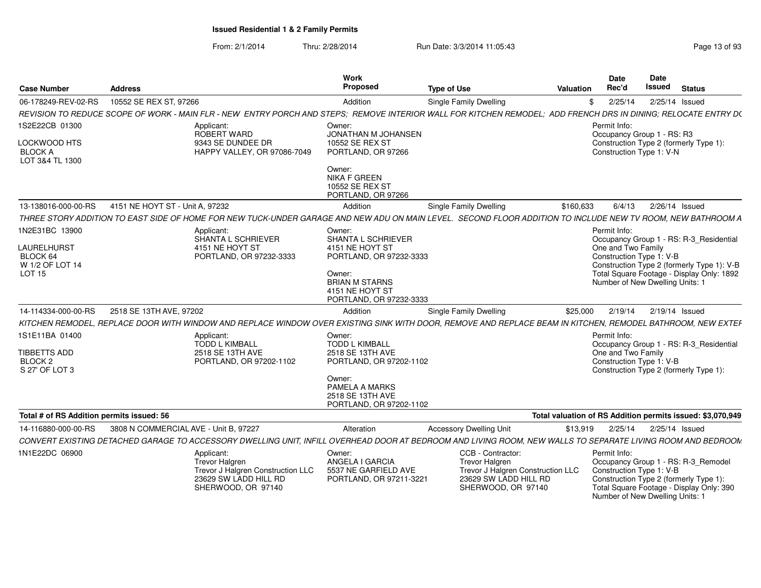| Page 13 of 93 |  |  |
|---------------|--|--|
|---------------|--|--|

|                                                             |                                                                                                                                                                | Work                                                                                                                   |                                                                                                                                | <b>Date</b>                                    | <b>Date</b>                                                                                                                                                         |
|-------------------------------------------------------------|----------------------------------------------------------------------------------------------------------------------------------------------------------------|------------------------------------------------------------------------------------------------------------------------|--------------------------------------------------------------------------------------------------------------------------------|------------------------------------------------|---------------------------------------------------------------------------------------------------------------------------------------------------------------------|
| <b>Case Number</b>                                          | <b>Address</b>                                                                                                                                                 | Proposed                                                                                                               | <b>Type of Use</b><br>Valuation                                                                                                | Rec'd                                          | Issued<br><b>Status</b>                                                                                                                                             |
| 06-178249-REV-02-RS                                         | 10552 SE REX ST, 97266                                                                                                                                         | Addition                                                                                                               | <b>Single Family Dwelling</b>                                                                                                  | 2/25/14                                        | 2/25/14 Issued                                                                                                                                                      |
|                                                             | REVISION TO REDUCE SCOPE OF WORK - MAIN FLR - NEW ENTRY PORCH AND STEPS: REMOVE INTERIOR WALL FOR KITCHEN REMODEL; ADD FRENCH DRS IN DINING; RELOCATE ENTRY D( |                                                                                                                        |                                                                                                                                |                                                |                                                                                                                                                                     |
| 1S2E22CB 01300<br>LOCKWOOD HTS<br><b>BLOCK A</b>            | Applicant:<br>ROBERT WARD<br>9343 SE DUNDEE DR<br>HAPPY VALLEY, OR 97086-7049                                                                                  | Owner:<br>JONATHAN M JOHANSEN<br>10552 SE REX ST<br>PORTLAND, OR 97266                                                 |                                                                                                                                | Permit Info:<br>Construction Type 1: V-N       | Occupancy Group 1 - RS: R3<br>Construction Type 2 (formerly Type 1):                                                                                                |
| LOT 3&4 TL 1300                                             |                                                                                                                                                                | Owner:<br><b>NIKA F GREEN</b><br>10552 SE REX ST<br>PORTLAND, OR 97266                                                 |                                                                                                                                |                                                |                                                                                                                                                                     |
| 13-138016-000-00-RS                                         | 4151 NE HOYT ST - Unit A, 97232                                                                                                                                | Addition                                                                                                               | \$160,633<br>Single Family Dwelling                                                                                            | 6/4/13                                         | 2/26/14 Issued                                                                                                                                                      |
|                                                             | THREE STORY ADDITION TO EAST SIDE OF HOME FOR NEW TUCK-UNDER GARAGE AND NEW ADU ON MAIN LEVEL. SECOND FLOOR ADDITION TO INCLUDE NEW TV ROOM. NEW BATHROOM A    |                                                                                                                        |                                                                                                                                |                                                |                                                                                                                                                                     |
| 1N2E31BC 13900                                              | Applicant:                                                                                                                                                     | Owner:                                                                                                                 |                                                                                                                                | Permit Info:                                   |                                                                                                                                                                     |
| LAURELHURST<br>BLOCK 64<br>W 1/2 OF LOT 14<br><b>LOT 15</b> | SHANTA L SCHRIEVER<br>4151 NE HOYT ST<br>PORTLAND, OR 97232-3333                                                                                               | SHANTA L SCHRIEVER<br>4151 NE HOYT ST<br>PORTLAND, OR 97232-3333<br>Owner:<br><b>BRIAN M STARNS</b><br>4151 NE HOYT ST |                                                                                                                                | One and Two Family<br>Construction Type 1: V-B | Occupancy Group 1 - RS: R-3_Residential<br>Construction Type 2 (formerly Type 1): V-B<br>Total Square Footage - Display Only: 1892<br>Number of New Dwelling Units: |
|                                                             |                                                                                                                                                                | PORTLAND, OR 97232-3333                                                                                                |                                                                                                                                |                                                |                                                                                                                                                                     |
| 14-114334-000-00-RS                                         | 2518 SE 13TH AVE, 97202                                                                                                                                        | Addition                                                                                                               | Single Family Dwelling<br>\$25,000                                                                                             |                                                | 2/19/14  2/19/14  Issued                                                                                                                                            |
|                                                             | KITCHEN REMODEL. REPLACE DOOR WITH WINDOW AND REPLACE WINDOW OVER EXISTING SINK WITH DOOR. REMOVE AND REPLACE BEAM IN KITCHEN. REMODEL BATHROOM. NEW EXTER     |                                                                                                                        |                                                                                                                                |                                                |                                                                                                                                                                     |
| 1S1E11BA 01400                                              | Applicant:<br><b>TODD L KIMBALL</b>                                                                                                                            | Owner:<br><b>TODD L KIMBALL</b>                                                                                        |                                                                                                                                | Permit Info:                                   | Occupancy Group 1 - RS: R-3_Residential                                                                                                                             |
| TIBBETTS ADD<br>BLOCK <sub>2</sub><br>S 27' OF LOT 3        | 2518 SE 13TH AVE<br>PORTLAND, OR 97202-1102                                                                                                                    | 2518 SE 13TH AVE<br>PORTLAND, OR 97202-1102<br>Owner:                                                                  |                                                                                                                                | One and Two Family<br>Construction Type 1: V-B | Construction Type 2 (formerly Type 1):                                                                                                                              |
|                                                             |                                                                                                                                                                | PAMELA A MARKS<br>2518 SE 13TH AVE<br>PORTLAND, OR 97202-1102                                                          |                                                                                                                                |                                                |                                                                                                                                                                     |
| Total # of RS Addition permits issued: 56                   |                                                                                                                                                                |                                                                                                                        |                                                                                                                                |                                                | Total valuation of RS Addition permits issued: \$3,070,949                                                                                                          |
| 14-116880-000-00-RS                                         | 3808 N COMMERCIAL AVE - Unit B, 97227                                                                                                                          | Alteration                                                                                                             | \$13,919<br><b>Accessory Dwelling Unit</b>                                                                                     |                                                | 2/25/14  2/25/14  Issued                                                                                                                                            |
|                                                             | CONVERT EXISTING DETACHED GARAGE TO ACCESSORY DWELLING UNIT, INFILL OVERHEAD DOOR AT BEDROOM AND LIVING ROOM, NEW WALLS TO SEPARATE LIVING ROOM AND BEDROOM    |                                                                                                                        |                                                                                                                                |                                                |                                                                                                                                                                     |
| 1N1E22DC 06900                                              | Applicant:<br><b>Trevor Halgren</b><br>Trevor J Halgren Construction LLC<br>23629 SW LADD HILL RD<br>SHERWOOD, OR 97140                                        | Owner:<br>ANGELA I GARCIA<br>5537 NE GARFIELD AVE<br>PORTLAND, OR 97211-3221                                           | CCB - Contractor:<br><b>Trevor Halgren</b><br>Trevor J Halgren Construction LLC<br>23629 SW LADD HILL RD<br>SHERWOOD, OR 97140 | Permit Info:<br>Construction Type 1: V-B       | Occupancy Group 1 - RS: R-3_Remodel<br>Construction Type 2 (formerly Type 1):<br>Total Square Footage - Display Only: 390<br>Number of New Dwelling Units:          |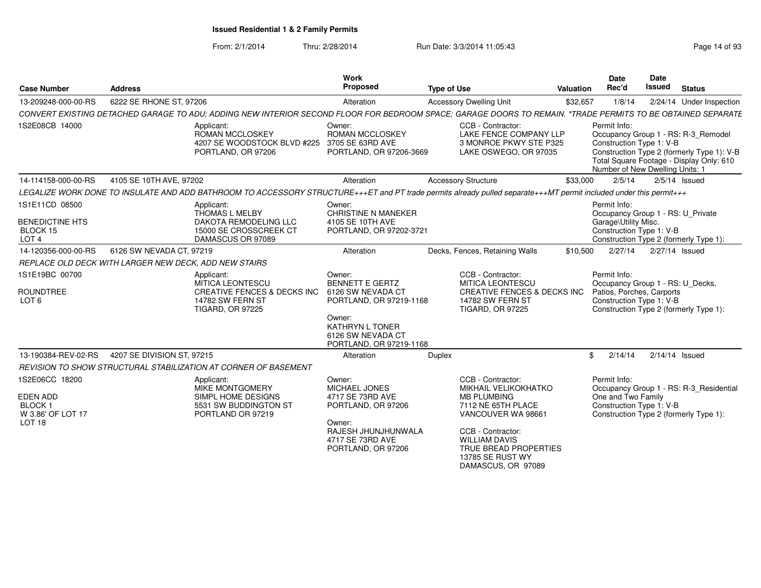| <b>Case Number</b>                                                      | <b>Address</b>                                        |                                                                                                                                                                    | <b>Work</b><br><b>Proposed</b>                                                                                       | <b>Type of Use</b> |                                                                                                                                       | Valuation | Date<br>Rec'd                                                                                                                                       | <b>Date</b><br>Issued | <b>Status</b>                                                                                                                 |
|-------------------------------------------------------------------------|-------------------------------------------------------|--------------------------------------------------------------------------------------------------------------------------------------------------------------------|----------------------------------------------------------------------------------------------------------------------|--------------------|---------------------------------------------------------------------------------------------------------------------------------------|-----------|-----------------------------------------------------------------------------------------------------------------------------------------------------|-----------------------|-------------------------------------------------------------------------------------------------------------------------------|
| 13-209248-000-00-RS                                                     | 6222 SE RHONE ST, 97206                               |                                                                                                                                                                    | Alteration                                                                                                           |                    | <b>Accessory Dwelling Unit</b>                                                                                                        | \$32,657  | 1/8/14                                                                                                                                              |                       | 2/24/14 Under Inspection                                                                                                      |
|                                                                         |                                                       | CONVERT EXISTING DETACHED GARAGE TO ADU; ADDING NEW INTERIOR SECOND FLOOR FOR BEDROOM SPACE; GARAGE DOORS TO REMAIN. *TRADE PERMITS TO BE OBTAINED SEPARATE        |                                                                                                                      |                    |                                                                                                                                       |           |                                                                                                                                                     |                       |                                                                                                                               |
| 1S2E08CB 14000                                                          |                                                       | Applicant:<br><b>ROMAN MCCLOSKEY</b><br>4207 SE WOODSTOCK BLVD #225<br>PORTLAND, OR 97206                                                                          | Owner:<br><b>ROMAN MCCLOSKEY</b><br>3705 SE 63RD AVE<br>PORTLAND, OR 97206-3669                                      |                    | CCB - Contractor:<br>LAKE FENCE COMPANY LLP<br>3 MONROE PKWY STE P325<br>LAKE OSWEGO, OR 97035                                        |           | Permit Info:<br>Construction Type 1: V-B<br>Number of New Dwelling Units: 1                                                                         |                       | Occupancy Group 1 - RS: R-3_Remodel<br>Construction Type 2 (formerly Type 1): V-B<br>Total Square Footage - Display Only: 610 |
| 14-114158-000-00-RS                                                     | 4105 SE 10TH AVE, 97202                               |                                                                                                                                                                    | Alteration                                                                                                           |                    | <b>Accessory Structure</b>                                                                                                            | \$33,000  | 2/5/14                                                                                                                                              |                       | $2/5/14$ Issued                                                                                                               |
|                                                                         |                                                       | LEGALIZE WORK DONE TO INSULATE AND ADD BATHROOM TO ACCESSORY STRUCTURE+++ET and PT trade permits already pulled separate+++MT permit included under this permit+++ |                                                                                                                      |                    |                                                                                                                                       |           |                                                                                                                                                     |                       |                                                                                                                               |
| 1S1E11CD 08500                                                          |                                                       | Applicant:<br>THOMAS L MELBY                                                                                                                                       | Owner:<br><b>CHRISTINE N MANEKER</b>                                                                                 |                    |                                                                                                                                       |           | Permit Info:<br>Occupancy Group 1 - RS: U_Private                                                                                                   |                       |                                                                                                                               |
| <b>BENEDICTINE HTS</b><br>BLOCK 15<br>LOT <sub>4</sub>                  |                                                       | DAKOTA REMODELING LLC<br>15000 SE CROSSCREEK CT<br>DAMASCUS OR 97089                                                                                               | 4105 SE 10TH AVE<br>PORTLAND, OR 97202-3721                                                                          |                    |                                                                                                                                       |           | Garage\Utility Misc.<br>Construction Type 1: V-B<br>Construction Type 2 (formerly Type 1):                                                          |                       |                                                                                                                               |
| 14-120356-000-00-RS                                                     | 6126 SW NEVADA CT, 97219                              |                                                                                                                                                                    | Alteration                                                                                                           |                    | Decks, Fences, Retaining Walls                                                                                                        | \$10,500  | 2/27/14                                                                                                                                             | 2/27/14 Issued        |                                                                                                                               |
|                                                                         | REPLACE OLD DECK WITH LARGER NEW DECK, ADD NEW STAIRS |                                                                                                                                                                    |                                                                                                                      |                    |                                                                                                                                       |           |                                                                                                                                                     |                       |                                                                                                                               |
| 1S1E19BC 00700<br><b>ROUNDTREE</b><br>LOT <sub>6</sub>                  |                                                       | Applicant:<br><b>MITICA LEONTESCU</b><br><b>CREATIVE FENCES &amp; DECKS INC</b><br><b>14782 SW FERN ST</b><br><b>TIGARD, OR 97225</b>                              | Owner:<br><b>BENNETT E GERTZ</b><br>6126 SW NEVADA CT<br>PORTLAND, OR 97219-1168<br>Owner:<br><b>KATHRYN L TONER</b> |                    | CCB - Contractor:<br><b>MITICA LEONTESCU</b><br><b>CREATIVE FENCES &amp; DECKS INC</b><br>14782 SW FERN ST<br><b>TIGARD, OR 97225</b> |           | Permit Info:<br>Occupancy Group 1 - RS: U_Decks,<br>Patios, Porches, Carports<br>Construction Type 1: V-B<br>Construction Type 2 (formerly Type 1): |                       |                                                                                                                               |
|                                                                         |                                                       |                                                                                                                                                                    | 6126 SW NEVADA CT<br>PORTLAND, OR 97219-1168                                                                         |                    |                                                                                                                                       |           |                                                                                                                                                     |                       |                                                                                                                               |
| 13-190384-REV-02-RS                                                     | 4207 SE DIVISION ST, 97215                            |                                                                                                                                                                    | Alteration                                                                                                           | Duplex             |                                                                                                                                       |           | \$<br>2/14/14                                                                                                                                       | $2/14/14$ Issued      |                                                                                                                               |
|                                                                         |                                                       | REVISION TO SHOW STRUCTURAL STABILIZATION AT CORNER OF BASEMENT                                                                                                    |                                                                                                                      |                    |                                                                                                                                       |           |                                                                                                                                                     |                       |                                                                                                                               |
| 1S2E06CC 18200<br><b>EDEN ADD</b><br><b>BLOCK1</b><br>W 3.86' OF LOT 17 |                                                       | Applicant:<br><b>MIKE MONTGOMERY</b><br>SIMPL HOME DESIGNS<br>5531 SW BUDDINGTON ST<br>PORTLAND OR 97219                                                           | Owner:<br>MICHAEL JONES<br>4717 SE 73RD AVE<br>PORTLAND, OR 97206                                                    |                    | CCB - Contractor:<br><b>MIKHAIL VELIKOKHATKO</b><br><b>MB PLUMBING</b><br>7112 NE 65TH PLACE<br>VANCOUVER WA 98661                    |           | Permit Info:<br>One and Two Family<br>Construction Type 1: V-B<br>Construction Type 2 (formerly Type 1):                                            |                       | Occupancy Group 1 - RS: R-3_Residential                                                                                       |
| LOT <sub>18</sub>                                                       |                                                       |                                                                                                                                                                    | Owner:<br>RAJESH JHUNJHUNWALA<br>4717 SE 73RD AVE<br>PORTLAND, OR 97206                                              |                    | CCB - Contractor:<br><b>WILLIAM DAVIS</b><br>TRUE BREAD PROPERTIES<br>13785 SE RUST WY<br>DAMASCUS, OR 97089                          |           |                                                                                                                                                     |                       |                                                                                                                               |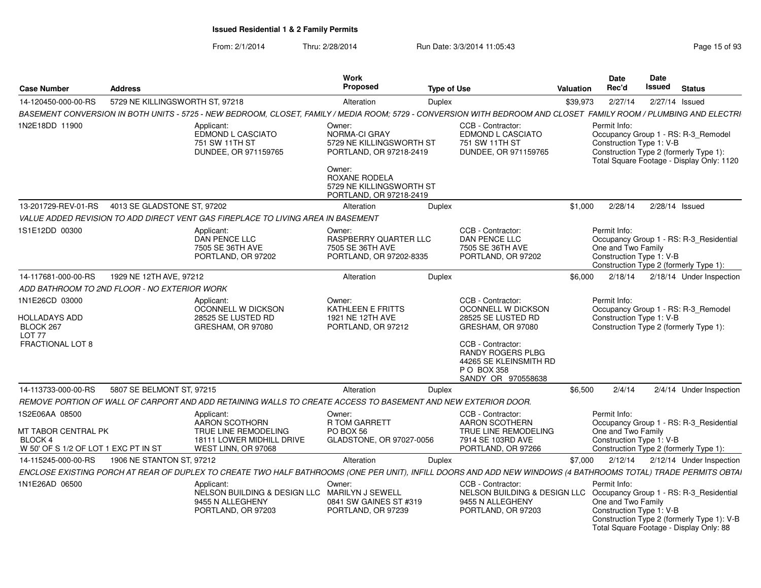| <b>Case Number</b>                                                                                  | <b>Address</b>                               |                                                                                                                                                                   | Work<br>Proposed                                                                                                                                                        | <b>Type of Use</b> |                                                                                                                                                                                                    | <b>Valuation</b> | Date<br>Rec'd                                                                                                             | Date<br>Issued | <b>Status</b> |                                            |
|-----------------------------------------------------------------------------------------------------|----------------------------------------------|-------------------------------------------------------------------------------------------------------------------------------------------------------------------|-------------------------------------------------------------------------------------------------------------------------------------------------------------------------|--------------------|----------------------------------------------------------------------------------------------------------------------------------------------------------------------------------------------------|------------------|---------------------------------------------------------------------------------------------------------------------------|----------------|---------------|--------------------------------------------|
| 14-120450-000-00-RS                                                                                 | 5729 NE KILLINGSWORTH ST, 97218              |                                                                                                                                                                   | Alteration                                                                                                                                                              | Duplex             |                                                                                                                                                                                                    | \$39,973         | 2/27/14                                                                                                                   | 2/27/14 Issued |               |                                            |
|                                                                                                     |                                              | BASEMENT CONVERSION IN BOTH UNITS - 5725 - NEW BEDROOM, CLOSET, FAMILY / MEDIA ROOM; 5729 - CONVERSION WITH BEDROOM AND CLOSET FAMILY ROOM / PLUMBING AND ELECTRI |                                                                                                                                                                         |                    |                                                                                                                                                                                                    |                  |                                                                                                                           |                |               |                                            |
| 1N2E18DD 11900                                                                                      |                                              | Applicant:<br><b>EDMOND L CASCIATO</b><br>751 SW 11TH ST<br>DUNDEE, OR 971159765                                                                                  | Owner:<br><b>NORMA-CI GRAY</b><br>5729 NE KILLINGSWORTH ST<br>PORTLAND, OR 97218-2419<br>Owner:<br>ROXANE RODELA<br>5729 NE KILLINGSWORTH ST<br>PORTLAND, OR 97218-2419 |                    | CCB - Contractor:<br><b>EDMOND L CASCIATO</b><br>751 SW 11TH ST<br>DUNDEE, OR 971159765                                                                                                            |                  | Permit Info:<br>Occupancy Group 1 - RS: R-3_Remodel<br>Construction Type 1: V-B<br>Construction Type 2 (formerly Type 1): |                |               | Total Square Footage - Display Only: 1120  |
| 13-201729-REV-01-RS                                                                                 | 4013 SE GLADSTONE ST. 97202                  |                                                                                                                                                                   | Alteration                                                                                                                                                              | Duplex             |                                                                                                                                                                                                    | \$1,000          | 2/28/14                                                                                                                   | 2/28/14 Issued |               |                                            |
|                                                                                                     |                                              | VALUE ADDED REVISION TO ADD DIRECT VENT GAS FIREPLACE TO LIVING AREA IN BASEMENT                                                                                  |                                                                                                                                                                         |                    |                                                                                                                                                                                                    |                  |                                                                                                                           |                |               |                                            |
| 1S1E12DD 00300                                                                                      |                                              | Applicant:<br>DAN PENCE LLC<br>7505 SE 36TH AVE<br>PORTLAND, OR 97202                                                                                             | Owner:<br>RASPBERRY QUARTER LLC<br>7505 SE 36TH AVE<br>PORTLAND, OR 97202-8335                                                                                          |                    | CCB - Contractor:<br><b>DAN PENCE LLC</b><br>7505 SE 36TH AVE<br>PORTLAND, OR 97202                                                                                                                |                  | Permit Info:<br>One and Two Family<br>Construction Type 1: V-B<br>Construction Type 2 (formerly Type 1):                  |                |               | Occupancy Group 1 - RS: R-3_Residential    |
| 14-117681-000-00-RS                                                                                 | 1929 NE 12TH AVE, 97212                      |                                                                                                                                                                   | Alteration                                                                                                                                                              | Duplex             |                                                                                                                                                                                                    | \$6,000          | 2/18/14                                                                                                                   |                |               | 2/18/14 Under Inspection                   |
|                                                                                                     | ADD BATHROOM TO 2ND FLOOR - NO EXTERIOR WORK |                                                                                                                                                                   |                                                                                                                                                                         |                    |                                                                                                                                                                                                    |                  |                                                                                                                           |                |               |                                            |
| 1N1E26CD 03000<br><b>HOLLADAYS ADD</b><br>BLOCK 267<br>LOT <sub>77</sub><br><b>FRACTIONAL LOT 8</b> |                                              | Applicant:<br>OCONNELL W DICKSON<br>28525 SE LUSTED RD<br>GRESHAM, OR 97080                                                                                       | Owner:<br>KATHLEEN E FRITTS<br>1921 NE 12TH AVE<br>PORTLAND, OR 97212                                                                                                   |                    | CCB - Contractor:<br>OCONNELL W DICKSON<br>28525 SE LUSTED RD<br>GRESHAM, OR 97080<br>CCB - Contractor:<br><b>RANDY ROGERS PLBG</b><br>44265 SE KLEINSMITH RD<br>P O BOX 358<br>SANDY OR 970558638 |                  | Permit Info:<br>Occupancy Group 1 - RS: R-3 Remodel<br>Construction Type 1: V-B<br>Construction Type 2 (formerly Type 1): |                |               |                                            |
| 14-113733-000-00-RS                                                                                 | 5807 SE BELMONT ST, 97215                    |                                                                                                                                                                   | Alteration                                                                                                                                                              | Duplex             |                                                                                                                                                                                                    | \$6,500          | 2/4/14                                                                                                                    |                |               | 2/4/14 Under Inspection                    |
|                                                                                                     |                                              | REMOVE PORTION OF WALL OF CARPORT AND ADD RETAINING WALLS TO CREATE ACCESS TO BASEMENT AND NEW EXTERIOR DOOR.                                                     |                                                                                                                                                                         |                    |                                                                                                                                                                                                    |                  |                                                                                                                           |                |               |                                            |
| 1S2E06AA 08500<br>MT TABOR CENTRAL PK<br><b>BLOCK 4</b><br>W 50' OF S 1/2 OF LOT 1 EXC PT IN ST     |                                              | Applicant:<br>AARON SCOTHORN<br>TRUE LINE REMODELING<br>18111 LOWER MIDHILL DRIVE<br>WEST LINN, OR 97068                                                          | Owner:<br><b>R TOM GARRETT</b><br>PO BOX 56<br>GLADSTONE, OR 97027-0056                                                                                                 |                    | CCB - Contractor:<br>AARON SCOTHERN<br>TRUE LINE REMODELING<br>7914 SE 103RD AVE<br>PORTLAND, OR 97266                                                                                             |                  | Permit Info:<br>One and Two Family<br>Construction Type 1: V-B<br>Construction Type 2 (formerly Type 1):                  |                |               | Occupancy Group 1 - RS: R-3_Residential    |
| 14-115245-000-00-RS                                                                                 | 1906 NE STANTON ST, 97212                    |                                                                                                                                                                   | Alteration                                                                                                                                                              | Duplex             |                                                                                                                                                                                                    | \$7,000          | 2/12/14                                                                                                                   |                |               | 2/12/14 Under Inspection                   |
|                                                                                                     |                                              | ENCLOSE EXISTING PORCH AT REAR OF DUPLEX TO CREATE TWO HALF BATHROOMS (ONE PER UNIT), INFILL DOORS AND ADD NEW WINDOWS (4 BATHROOMS TOTAL) TRADE PERMITS OBTAI    |                                                                                                                                                                         |                    |                                                                                                                                                                                                    |                  |                                                                                                                           |                |               |                                            |
| 1N1E26AD 06500                                                                                      |                                              | Applicant<br>NELSON BUILDING & DESIGN LLC MARILYN J SEWELL<br>9455 N ALLEGHENY<br>PORTLAND, OR 97203                                                              | Owner:<br>0841 SW GAINES ST #319<br>PORTLAND, OR 97239                                                                                                                  |                    | CCB - Contractor:<br>NELSON BUILDING & DESIGN LLC Occupancy Group 1 - RS: R-3_Residential<br>9455 N ALLEGHENY<br>PORTLAND, OR 97203                                                                |                  | Permit Info:<br>One and Two Family<br>Construction Type 1: V-B<br>Total Square Footage - Display Only: 88                 |                |               | Construction Type 2 (formerly Type 1): V-B |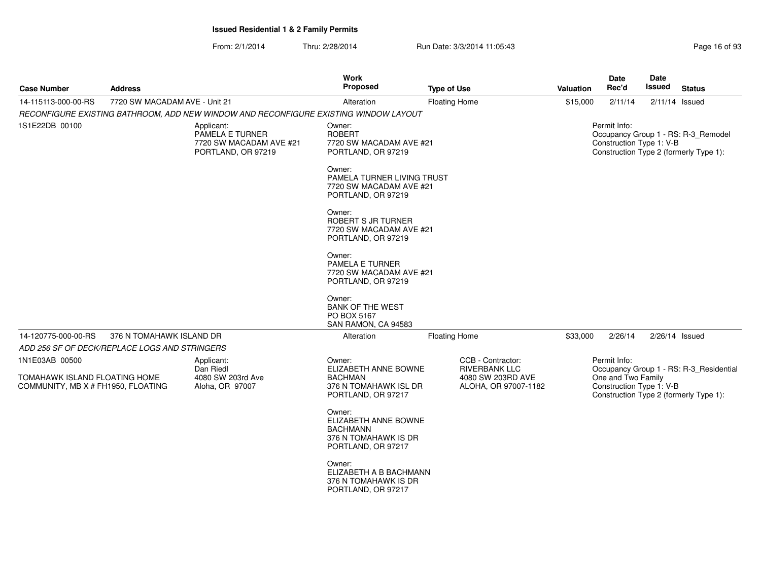| <b>Case Number</b>                                                                    | <b>Address</b>                |                                                                                      | <b>Work</b><br>Proposed                                                                         | <b>Type of Use</b>                                                                     | Valuation | <b>Date</b><br>Rec'd                                           | Date<br><b>Issued</b> | <b>Status</b>                                                                     |
|---------------------------------------------------------------------------------------|-------------------------------|--------------------------------------------------------------------------------------|-------------------------------------------------------------------------------------------------|----------------------------------------------------------------------------------------|-----------|----------------------------------------------------------------|-----------------------|-----------------------------------------------------------------------------------|
| 14-115113-000-00-RS                                                                   | 7720 SW MACADAM AVE - Unit 21 |                                                                                      | Alteration                                                                                      | <b>Floating Home</b>                                                                   | \$15,000  | 2/11/14                                                        |                       | $2/11/14$ Issued                                                                  |
|                                                                                       |                               | RECONFIGURE EXISTING BATHROOM, ADD NEW WINDOW AND RECONFIGURE EXISTING WINDOW LAYOUT |                                                                                                 |                                                                                        |           |                                                                |                       |                                                                                   |
| 1S1E22DB 00100                                                                        |                               | Applicant:<br>PAMELA E TURNER<br>7720 SW MACADAM AVE #21<br>PORTLAND, OR 97219       | Owner:<br><b>ROBERT</b><br>7720 SW MACADAM AVE #21<br>PORTLAND, OR 97219                        |                                                                                        |           | Permit Info:<br>Construction Type 1: V-B                       |                       | Occupancy Group 1 - RS: R-3_Remodel<br>Construction Type 2 (formerly Type 1):     |
|                                                                                       |                               |                                                                                      | Owner:<br>PAMELA TURNER LIVING TRUST<br>7720 SW MACADAM AVE #21<br>PORTLAND, OR 97219           |                                                                                        |           |                                                                |                       |                                                                                   |
|                                                                                       |                               |                                                                                      | Owner:<br>ROBERT S JR TURNER<br>7720 SW MACADAM AVE #21<br>PORTLAND, OR 97219                   |                                                                                        |           |                                                                |                       |                                                                                   |
|                                                                                       |                               |                                                                                      | Owner:<br>PAMELA E TURNER<br>7720 SW MACADAM AVE #21<br>PORTLAND, OR 97219                      |                                                                                        |           |                                                                |                       |                                                                                   |
|                                                                                       |                               |                                                                                      | Owner:<br><b>BANK OF THE WEST</b><br>PO BOX 5167<br>SAN RAMON, CA 94583                         |                                                                                        |           |                                                                |                       |                                                                                   |
| 14-120775-000-00-RS                                                                   | 376 N TOMAHAWK ISLAND DR      |                                                                                      | Alteration                                                                                      | <b>Floating Home</b>                                                                   | \$33,000  | 2/26/14                                                        |                       | 2/26/14 Issued                                                                    |
| ADD 256 SF OF DECK/REPLACE LOGS AND STRINGERS                                         |                               |                                                                                      |                                                                                                 |                                                                                        |           |                                                                |                       |                                                                                   |
| 1N1E03AB 00500<br>TOMAHAWK ISLAND FLOATING HOME<br>COMMUNITY, MB X # FH1950, FLOATING |                               | Applicant:<br>Dan Riedl<br>4080 SW 203rd Ave<br>Aloha, OR 97007                      | Owner:<br>ELIZABETH ANNE BOWNE<br><b>BACHMAN</b><br>376 N TOMAHAWK ISL DR<br>PORTLAND, OR 97217 | CCB - Contractor:<br><b>RIVERBANK LLC</b><br>4080 SW 203RD AVE<br>ALOHA, OR 97007-1182 |           | Permit Info:<br>One and Two Family<br>Construction Type 1: V-B |                       | Occupancy Group 1 - RS: R-3 Residential<br>Construction Type 2 (formerly Type 1): |
|                                                                                       |                               |                                                                                      | Owner:<br>ELIZABETH ANNE BOWNE<br><b>BACHMANN</b><br>376 N TOMAHAWK IS DR<br>PORTLAND, OR 97217 |                                                                                        |           |                                                                |                       |                                                                                   |
|                                                                                       |                               |                                                                                      | Owner:<br>ELIZABETH A B BACHMANN<br>376 N TOMAHAWK IS DR<br>PORTLAND, OR 97217                  |                                                                                        |           |                                                                |                       |                                                                                   |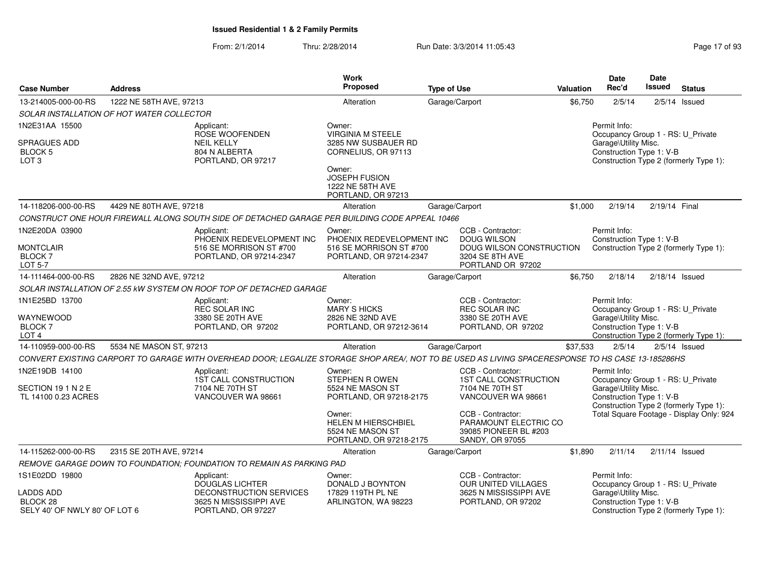| <b>Case Number</b>                                                    | <b>Address</b>                            |                                                                                                                                                   | <b>Work</b><br>Proposed                                                                   | <b>Type of Use</b> |                                                                                                             | Valuation | <b>Date</b><br>Rec'd                                                                                  | Date<br><b>Issued</b> | <b>Status</b>                            |
|-----------------------------------------------------------------------|-------------------------------------------|---------------------------------------------------------------------------------------------------------------------------------------------------|-------------------------------------------------------------------------------------------|--------------------|-------------------------------------------------------------------------------------------------------------|-----------|-------------------------------------------------------------------------------------------------------|-----------------------|------------------------------------------|
| 13-214005-000-00-RS                                                   | 1222 NE 58TH AVE, 97213                   |                                                                                                                                                   | Alteration                                                                                |                    | Garage/Carport                                                                                              | \$6,750   | 2/5/14                                                                                                |                       | $2/5/14$ Issued                          |
|                                                                       | SOLAR INSTALLATION OF HOT WATER COLLECTOR |                                                                                                                                                   |                                                                                           |                    |                                                                                                             |           |                                                                                                       |                       |                                          |
| 1N2E31AA 15500                                                        |                                           | Applicant:<br>ROSE WOOFENDEN                                                                                                                      | Owner:<br><b>VIRGINIA M STEELE</b>                                                        |                    |                                                                                                             |           | Permit Info:<br>Occupancy Group 1 - RS: U Private                                                     |                       |                                          |
| SPRAGUES ADD<br>BLOCK <sub>5</sub><br>LOT <sub>3</sub>                |                                           | <b>NEIL KELLY</b><br>804 N ALBERTA<br>PORTLAND, OR 97217                                                                                          | 3285 NW SUSBAUER RD<br>CORNELIUS, OR 97113                                                |                    |                                                                                                             |           | Garage\Utility Misc.<br>Construction Type 1: V-B                                                      |                       | Construction Type 2 (formerly Type 1):   |
|                                                                       |                                           |                                                                                                                                                   | Owner:<br><b>JOSEPH FUSION</b><br>1222 NE 58TH AVE<br>PORTLAND, OR 97213                  |                    |                                                                                                             |           |                                                                                                       |                       |                                          |
| 14-118206-000-00-RS                                                   | 4429 NE 80TH AVE, 97218                   |                                                                                                                                                   | Alteration                                                                                |                    | Garage/Carport                                                                                              | \$1,000   | 2/19/14                                                                                               | 2/19/14 Final         |                                          |
|                                                                       |                                           | CONSTRUCT ONE HOUR FIREWALL ALONG SOUTH SIDE OF DETACHED GARAGE PER BUILDING CODE APPEAL 10466                                                    |                                                                                           |                    |                                                                                                             |           |                                                                                                       |                       |                                          |
| 1N2E20DA 03900<br>MONTCLAIR<br><b>BLOCK7</b><br><b>LOT 5-7</b>        |                                           | Applicant:<br>PHOENIX REDEVELOPMENT INC<br>516 SE MORRISON ST #700<br>PORTLAND, OR 97214-2347                                                     | Owner:<br>PHOENIX REDEVELOPMENT INC<br>516 SE MORRISON ST #700<br>PORTLAND, OR 97214-2347 |                    | CCB - Contractor:<br><b>DOUG WILSON</b><br>DOUG WILSON CONSTRUCTION<br>3204 SE 8TH AVE<br>PORTLAND OR 97202 |           | Permit Info:<br>Construction Type 1: V-B                                                              |                       | Construction Type 2 (formerly Type 1):   |
| 14-111464-000-00-RS                                                   | 2826 NE 32ND AVE, 97212                   |                                                                                                                                                   | Alteration                                                                                |                    | Garage/Carport                                                                                              | \$6,750   | 2/18/14                                                                                               |                       | $2/18/14$ Issued                         |
|                                                                       |                                           | SOLAR INSTALLATION OF 2.55 KW SYSTEM ON ROOF TOP OF DETACHED GARAGE                                                                               |                                                                                           |                    |                                                                                                             |           |                                                                                                       |                       |                                          |
| 1N1E25BD 13700<br>WAYNEWOOD<br>BLOCK <sub>7</sub><br>LOT <sub>4</sub> |                                           | Applicant:<br><b>REC SOLAR INC</b><br>3380 SE 20TH AVE<br>PORTLAND, OR 97202                                                                      | Owner:<br><b>MARY S HICKS</b><br>2826 NE 32ND AVE<br>PORTLAND, OR 97212-3614              |                    | CCB - Contractor:<br>REC SOLAR INC<br>3380 SE 20TH AVE<br>PORTLAND, OR 97202                                |           | Permit Info:<br>Occupancy Group 1 - RS: U_Private<br>Garage\Utility Misc.<br>Construction Type 1: V-B |                       | Construction Type 2 (formerly Type 1):   |
| 14-110959-000-00-RS                                                   | 5534 NE MASON ST, 97213                   |                                                                                                                                                   | Alteration                                                                                |                    | Garage/Carport                                                                                              | \$37,533  | 2/5/14                                                                                                |                       | $2/5/14$ Issued                          |
|                                                                       |                                           | CONVERT EXISTING CARPORT TO GARAGE WITH OVERHEAD DOOR; LEGALIZE STORAGE SHOP AREA/, NOT TO BE USED AS LIVING SPACERESPONSE TO HS CASE 13-185286HS |                                                                                           |                    |                                                                                                             |           |                                                                                                       |                       |                                          |
| 1N2E19DB 14100<br>SECTION 19 1 N 2 E<br>TL 14100 0.23 ACRES           |                                           | Applicant:<br><b>1ST CALL CONSTRUCTION</b><br>7104 NE 70TH ST<br>VANCOUVER WA 98661                                                               | Owner:<br><b>STEPHEN R OWEN</b><br>5524 NE MASON ST<br>PORTLAND, OR 97218-2175            |                    | CCB - Contractor:<br><b>1ST CALL CONSTRUCTION</b><br>7104 NE 70TH ST<br>VANCOUVER WA 98661                  |           | Permit Info:<br>Occupancy Group 1 - RS: U_Private<br>Garage\Utility Misc.<br>Construction Type 1: V-B |                       | Construction Type 2 (formerly Type 1):   |
|                                                                       |                                           |                                                                                                                                                   | Owner:<br>HELEN M HIERSCHBIEL<br>5524 NE MASON ST<br>PORTLAND, OR 97218-2175              |                    | CCB - Contractor:<br>PARAMOUNT ELECTRIC CO<br>39085 PIONEER BL #203<br>SANDY, OR 97055                      |           |                                                                                                       |                       | Total Square Footage - Display Only: 924 |
| 14-115262-000-00-RS                                                   | 2315 SE 20TH AVE, 97214                   |                                                                                                                                                   | Alteration                                                                                |                    | Garage/Carport                                                                                              | \$1,890   | 2/11/14                                                                                               |                       | $2/11/14$ Issued                         |
|                                                                       |                                           | REMOVE GARAGE DOWN TO FOUNDATION; FOUNDATION TO REMAIN AS PARKING PAD                                                                             |                                                                                           |                    |                                                                                                             |           |                                                                                                       |                       |                                          |
| 1S1E02DD 19800                                                        |                                           | Applicant:<br><b>DOUGLAS LICHTER</b>                                                                                                              | Owner:<br>DONALD J BOYNTON                                                                |                    | CCB - Contractor:<br>OUR UNITED VILLAGES                                                                    |           | Permit Info:<br>Occupancy Group 1 - RS: U_Private                                                     |                       |                                          |
| LADDS ADD<br>BLOCK <sub>28</sub><br>SELY 40' OF NWLY 80' OF LOT 6     |                                           | DECONSTRUCTION SERVICES<br>3625 N MISSISSIPPI AVE<br>PORTLAND, OR 97227                                                                           | 17829 119TH PL NE<br>ARLINGTON, WA 98223                                                  |                    | 3625 N MISSISSIPPI AVE<br>PORTLAND, OR 97202                                                                |           | Garage\Utility Misc.<br>Construction Type 1: V-B                                                      |                       | Construction Type 2 (formerly Type 1):   |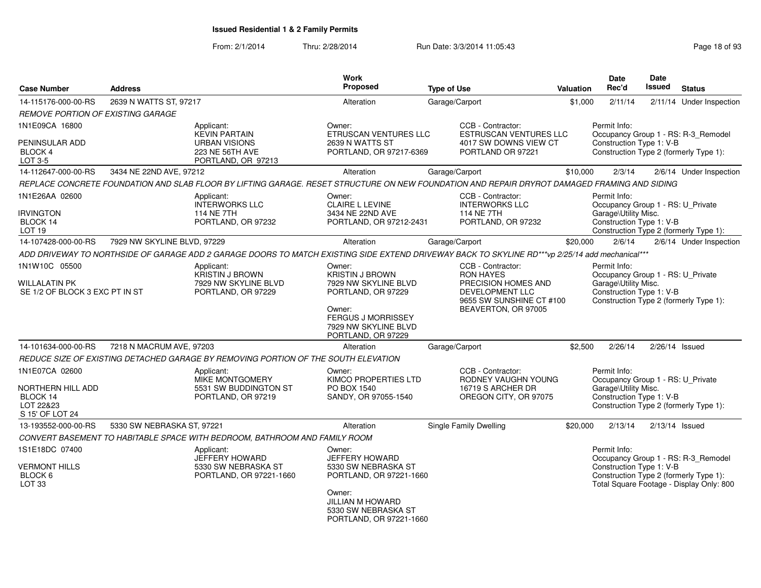| <b>Case Number</b>                                                                     | <b>Address</b>              |                                                                                                     | <b>Work</b><br>Proposed                                                                                                                                                  | <b>Type of Use</b>                                                                                                                              | <b>Valuation</b> | <b>Date</b><br>Rec'd                                                                                                                            | Date<br><b>Issued</b> | <b>Status</b>                                                                                                             |
|----------------------------------------------------------------------------------------|-----------------------------|-----------------------------------------------------------------------------------------------------|--------------------------------------------------------------------------------------------------------------------------------------------------------------------------|-------------------------------------------------------------------------------------------------------------------------------------------------|------------------|-------------------------------------------------------------------------------------------------------------------------------------------------|-----------------------|---------------------------------------------------------------------------------------------------------------------------|
| 14-115176-000-00-RS                                                                    | 2639 N WATTS ST, 97217      |                                                                                                     | Alteration                                                                                                                                                               | Garage/Carport                                                                                                                                  | \$1,000          | 2/11/14                                                                                                                                         |                       | 2/11/14 Under Inspection                                                                                                  |
| REMOVE PORTION OF EXISTING GARAGE                                                      |                             |                                                                                                     |                                                                                                                                                                          |                                                                                                                                                 |                  |                                                                                                                                                 |                       |                                                                                                                           |
| 1N1E09CA 16800<br>PENINSULAR ADD<br>BLOCK 4<br>LOT 3-5                                 |                             | Applicant:<br><b>KEVIN PARTAIN</b><br><b>URBAN VISIONS</b><br>223 NE 56TH AVE<br>PORTLAND, OR 97213 | Owner:<br>ETRUSCAN VENTURES LLC<br>2639 N WATTS ST<br>PORTLAND, OR 97217-6369                                                                                            | CCB - Contractor:<br><b>ESTRUSCAN VENTURES LLC</b><br>4017 SW DOWNS VIEW CT<br>PORTLAND OR 97221                                                |                  | Permit Info:<br>Construction Type 1: V-B<br>Construction Type 2 (formerly Type 1):                                                              |                       | Occupancy Group 1 - RS: R-3_Remodel                                                                                       |
| 14-112647-000-00-RS                                                                    | 3434 NE 22ND AVE, 97212     |                                                                                                     | Alteration                                                                                                                                                               | Garage/Carport                                                                                                                                  | \$10,000         | 2/3/14                                                                                                                                          |                       | 2/6/14 Under Inspection                                                                                                   |
|                                                                                        |                             |                                                                                                     |                                                                                                                                                                          | REPLACE CONCRETE FOUNDATION AND SLAB FLOOR BY LIFTING GARAGE. RESET STRUCTURE ON NEW FOUNDATION AND REPAIR DRYROT DAMAGED FRAMING AND SIDING    |                  |                                                                                                                                                 |                       |                                                                                                                           |
| 1N1E26AA 02600<br>irvington<br>BLOCK 14<br>LOT <sub>19</sub>                           |                             | Applicant:<br><b>INTERWORKS LLC</b><br>114 NE 7TH<br>PORTLAND, OR 97232                             | Owner:<br><b>CLAIRE L LEVINE</b><br>3434 NE 22ND AVE<br>PORTLAND, OR 97212-2431                                                                                          | CCB - Contractor:<br><b>INTERWORKS LLC</b><br>114 NE 7TH<br>PORTLAND, OR 97232                                                                  |                  | Permit Info:<br>Occupancy Group 1 - RS: U_Private<br>Garage\Utility Misc.<br>Construction Type 1: V-B                                           |                       | Construction Type 2 (formerly Type 1):                                                                                    |
| 14-107428-000-00-RS                                                                    | 7929 NW SKYLINE BLVD, 97229 |                                                                                                     | Alteration                                                                                                                                                               | Garage/Carport                                                                                                                                  | \$20,000         | 2/6/14                                                                                                                                          |                       | 2/6/14 Under Inspection                                                                                                   |
|                                                                                        |                             |                                                                                                     |                                                                                                                                                                          | ADD DRIVEWAY TO NORTHSIDE OF GARAGE ADD 2 GARAGE DOORS TO MATCH EXISTING SIDE EXTEND DRIVEWAY BACK TO SKYLINE RD***vp 2/25/14 add mechanical*** |                  |                                                                                                                                                 |                       |                                                                                                                           |
| 1N1W10C 05500<br><b>WILLALATIN PK</b><br>SE 1/2 OF BLOCK 3 EXC PT IN ST                |                             | Applicant:<br><b>KRISTIN J BROWN</b><br>7929 NW SKYLINE BLVD<br>PORTLAND, OR 97229                  | Owner:<br><b>KRISTIN J BROWN</b><br>7929 NW SKYLINE BLVD<br>PORTLAND, OR 97229<br>Owner:<br><b>FERGUS J MORRISSEY</b><br>7929 NW SKYLINE BLVD<br>PORTLAND, OR 97229      | CCB - Contractor:<br><b>RON HAYES</b><br>PRECISION HOMES AND<br><b>DEVELOPMENT LLC</b><br>9655 SW SUNSHINE CT #100<br>BEAVERTON, OR 97005       |                  | Permit Info:<br>Occupancy Group 1 - RS: U_Private<br>Garage\Utility Misc.<br>Construction Type 1: V-B<br>Construction Type 2 (formerly Type 1): |                       |                                                                                                                           |
| 14-101634-000-00-RS                                                                    | 7218 N MACRUM AVE, 97203    |                                                                                                     | Alteration                                                                                                                                                               | Garage/Carport                                                                                                                                  | \$2,500          | 2/26/14                                                                                                                                         | 2/26/14 Issued        |                                                                                                                           |
|                                                                                        |                             | REDUCE SIZE OF EXISTING DETACHED GARAGE BY REMOVING PORTION OF THE SOUTH ELEVATION                  |                                                                                                                                                                          |                                                                                                                                                 |                  |                                                                                                                                                 |                       |                                                                                                                           |
| 1N1E07CA 02600<br><b>NORTHERN HILL ADD</b><br>BLOCK 14<br>LOT 22&23<br>S 15' OF LOT 24 |                             | Applicant:<br><b>MIKE MONTGOMERY</b><br>5531 SW BUDDINGTON ST<br>PORTLAND, OR 97219                 | Owner:<br>KIMCO PROPERTIES LTD<br>PO BOX 1540<br>SANDY, OR 97055-1540                                                                                                    | CCB - Contractor:<br>RODNEY VAUGHN YOUNG<br>16719 S ARCHER DR<br>OREGON CITY, OR 97075                                                          |                  | Permit Info:<br>Occupancy Group 1 - RS: U_Private<br>Garage\Utility Misc.<br>Construction Type 1: V-B<br>Construction Type 2 (formerly Type 1): |                       |                                                                                                                           |
| 13-193552-000-00-RS                                                                    | 5330 SW NEBRASKA ST, 97221  |                                                                                                     | Alteration                                                                                                                                                               | Single Family Dwelling                                                                                                                          | \$20,000         | 2/13/14                                                                                                                                         | $2/13/14$ Issued      |                                                                                                                           |
|                                                                                        |                             | CONVERT BASEMENT TO HABITABLE SPACE WITH BEDROOM, BATHROOM AND FAMILY ROOM                          |                                                                                                                                                                          |                                                                                                                                                 |                  |                                                                                                                                                 |                       |                                                                                                                           |
| 1S1E18DC 07400<br>VERMONT HILLS<br>BLOCK 6<br>LOT <sub>33</sub>                        |                             | Applicant:<br>JEFFERY HOWARD<br>5330 SW NEBRASKA ST<br>PORTLAND, OR 97221-1660                      | Owner:<br><b>JEFFERY HOWARD</b><br>5330 SW NEBRASKA ST<br>PORTLAND, OR 97221-1660<br>Owner:<br><b>JILLIAN M HOWARD</b><br>5330 SW NEBRASKA ST<br>PORTLAND, OR 97221-1660 |                                                                                                                                                 |                  | Permit Info:<br>Construction Type 1: V-B                                                                                                        |                       | Occupancy Group 1 - RS: R-3_Remodel<br>Construction Type 2 (formerly Type 1):<br>Total Square Footage - Display Only: 800 |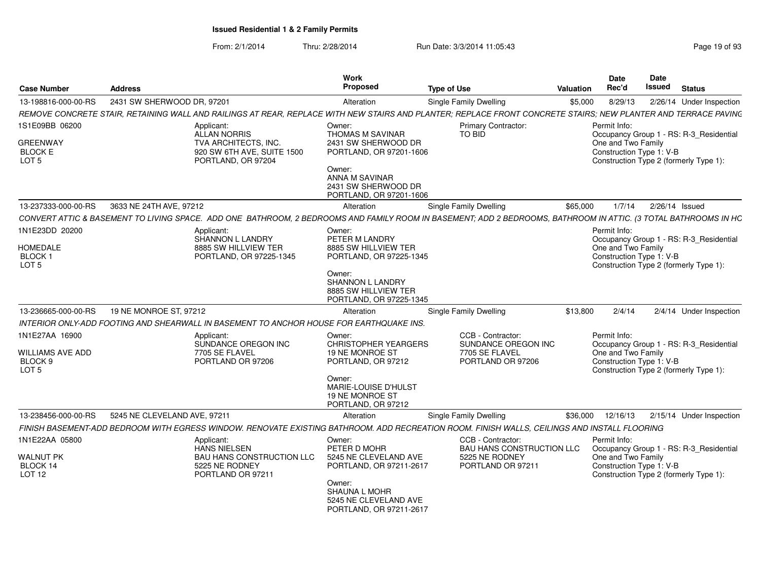| <b>Case Number</b>                                                | <b>Address</b>                                                                                                                                                  | <b>Work</b><br><b>Proposed</b>                                                                               | <b>Type of Use</b>                                                                           | <b>Valuation</b> | Date<br>Rec'd                                                  | Date<br>Issued   | <b>Status</b>                                                                     |
|-------------------------------------------------------------------|-----------------------------------------------------------------------------------------------------------------------------------------------------------------|--------------------------------------------------------------------------------------------------------------|----------------------------------------------------------------------------------------------|------------------|----------------------------------------------------------------|------------------|-----------------------------------------------------------------------------------|
| 13-198816-000-00-RS                                               | 2431 SW SHERWOOD DR, 97201                                                                                                                                      | Alteration                                                                                                   | <b>Single Family Dwelling</b>                                                                | \$5,000          | 8/29/13                                                        |                  | 2/26/14 Under Inspection                                                          |
|                                                                   | REMOVE CONCRETE STAIR, RETAINING WALL AND RAILINGS AT REAR, REPLACE WITH NEW STAIRS AND PLANTER; REPLACE FRONT CONCRETE STAIRS; NEW PLANTER AND TERRACE PAVINC  |                                                                                                              |                                                                                              |                  |                                                                |                  |                                                                                   |
| 1S1E09BB 06200                                                    | Applicant:<br><b>ALLAN NORRIS</b>                                                                                                                               | Owner:<br><b>THOMAS M SAVINAR</b>                                                                            | Primary Contractor:<br>TO BID                                                                |                  | Permit Info:                                                   |                  | Occupancy Group 1 - RS: R-3_Residential                                           |
| <b>GREENWAY</b><br><b>BLOCK E</b><br>LOT <sub>5</sub>             | TVA ARCHITECTS, INC.<br>920 SW 6TH AVE, SUITE 1500<br>PORTLAND, OR 97204                                                                                        | 2431 SW SHERWOOD DR<br>PORTLAND, OR 97201-1606                                                               |                                                                                              |                  | One and Two Family<br>Construction Type 1: V-B                 |                  | Construction Type 2 (formerly Type 1):                                            |
|                                                                   |                                                                                                                                                                 | Owner:<br>ANNA M SAVINAR<br>2431 SW SHERWOOD DR<br>PORTLAND, OR 97201-1606                                   |                                                                                              |                  |                                                                |                  |                                                                                   |
| 13-237333-000-00-RS                                               | 3633 NE 24TH AVE, 97212                                                                                                                                         | Alteration                                                                                                   | Single Family Dwelling                                                                       | \$65,000         | 1/7/14                                                         | $2/26/14$ Issued |                                                                                   |
|                                                                   | CONVERT ATTIC & BASEMENT TO LIVING SPACE. ADD ONE BATHROOM, 2 BEDROOMS AND FAMILY ROOM IN BASEMENT; ADD 2 BEDROOMS, BATHROOM IN ATTIC. (3 TOTAL BATHROOMS IN HC |                                                                                                              |                                                                                              |                  |                                                                |                  |                                                                                   |
| 1N1E23DD 20200<br>HOMEDALE<br><b>BLOCK1</b><br>LOT 5              | Applicant:<br>SHANNON L LANDRY<br>8885 SW HILLVIEW TER<br>PORTLAND, OR 97225-1345                                                                               | Owner:<br>PETER M LANDRY<br>8885 SW HILLVIEW TER<br>PORTLAND, OR 97225-1345                                  |                                                                                              |                  | Permit Info:<br>One and Two Family<br>Construction Type 1: V-B |                  | Occupancy Group 1 - RS: R-3_Residential<br>Construction Type 2 (formerly Type 1): |
|                                                                   |                                                                                                                                                                 | Owner:<br>SHANNON L LANDRY<br>8885 SW HILLVIEW TER<br>PORTLAND, OR 97225-1345                                |                                                                                              |                  |                                                                |                  |                                                                                   |
| 13-236665-000-00-RS                                               | 19 NE MONROE ST, 97212                                                                                                                                          | Alteration                                                                                                   | Single Family Dwelling                                                                       | \$13,800         | 2/4/14                                                         |                  | 2/4/14 Under Inspection                                                           |
|                                                                   | INTERIOR ONLY-ADD FOOTING AND SHEARWALL IN BASEMENT TO ANCHOR HOUSE FOR EARTHQUAKE INS.                                                                         |                                                                                                              |                                                                                              |                  |                                                                |                  |                                                                                   |
| 1N1E27AA 16900<br>WILLIAMS AVE ADD<br>BLOCK 9<br>LOT <sub>5</sub> | Applicant:<br>SUNDANCE OREGON INC<br>7705 SE FLAVEL<br>PORTLAND OR 97206                                                                                        | Owner:<br><b>CHRISTOPHER YEARGERS</b><br>19 NE MONROE ST<br>PORTLAND, OR 97212                               | CCB - Contractor:<br>SUNDANCE OREGON INC<br>7705 SE FLAVEL<br>PORTLAND OR 97206              |                  | Permit Info:<br>One and Two Family<br>Construction Type 1: V-B |                  | Occupancy Group 1 - RS: R-3_Residential<br>Construction Type 2 (formerly Type 1): |
|                                                                   |                                                                                                                                                                 | Owner:<br>MARIE-LOUISE D'HULST<br>19 NE MONROE ST<br>PORTLAND, OR 97212                                      |                                                                                              |                  |                                                                |                  |                                                                                   |
| 13-238456-000-00-RS                                               | 5245 NE CLEVELAND AVE, 97211                                                                                                                                    | Alteration                                                                                                   | <b>Single Family Dwelling</b>                                                                | \$36,000         | 12/16/13                                                       |                  | 2/15/14 Under Inspection                                                          |
|                                                                   | FINISH BASEMENT-ADD BEDROOM WITH EGRESS WINDOW. RENOVATE EXISTING BATHROOM. ADD RECREATION ROOM. FINISH WALLS, CEILINGS AND INSTALL FLOORING                    |                                                                                                              |                                                                                              |                  |                                                                |                  |                                                                                   |
| 1N1E22AA 05800<br>WALNUT PK<br>BLOCK 14<br><b>LOT 12</b>          | Applicant:<br><b>HANS NIELSEN</b><br><b>BAU HANS CONSTRUCTION LLC</b><br>5225 NE RODNEY<br>PORTLAND OR 97211                                                    | Owner:<br>PETER D MOHR<br>5245 NE CLEVELAND AVE<br>PORTLAND, OR 97211-2617<br>Owner:<br><b>SHAUNA L MOHR</b> | CCB - Contractor:<br><b>BAU HANS CONSTRUCTION LLC</b><br>5225 NE RODNEY<br>PORTLAND OR 97211 |                  | Permit Info:<br>One and Two Family<br>Construction Type 1: V-B |                  | Occupancy Group 1 - RS: R-3 Residential<br>Construction Type 2 (formerly Type 1): |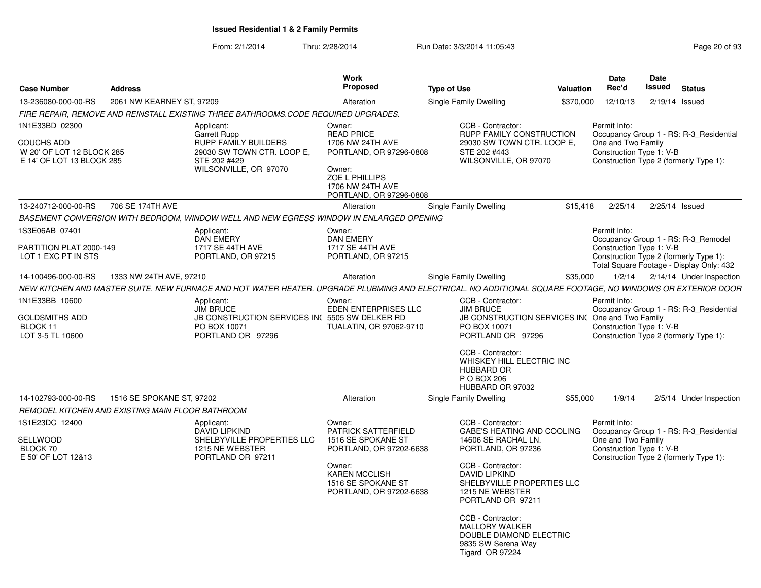| <b>Case Number</b>                                                                            | <b>Address</b>            |                                                                                                                                                            | <b>Work</b><br>Proposed                                                                                                                                 | <b>Type of Use</b> |                                                                                                                                                                                                                                                                                                                     | <b>Valuation</b> | Date<br>Rec'd                                                  | <b>Date</b><br><b>Issued</b> | <b>Status</b>                                                                                                             |
|-----------------------------------------------------------------------------------------------|---------------------------|------------------------------------------------------------------------------------------------------------------------------------------------------------|---------------------------------------------------------------------------------------------------------------------------------------------------------|--------------------|---------------------------------------------------------------------------------------------------------------------------------------------------------------------------------------------------------------------------------------------------------------------------------------------------------------------|------------------|----------------------------------------------------------------|------------------------------|---------------------------------------------------------------------------------------------------------------------------|
| 13-236080-000-00-RS                                                                           | 2061 NW KEARNEY ST, 97209 |                                                                                                                                                            | Alteration                                                                                                                                              |                    | Single Family Dwelling                                                                                                                                                                                                                                                                                              | \$370,000        | 12/10/13                                                       | $2/19/14$ Issued             |                                                                                                                           |
|                                                                                               |                           | FIRE REPAIR, REMOVE AND REINSTALL EXISTING THREE BATHROOMS.CODE REQUIRED UPGRADES.                                                                         |                                                                                                                                                         |                    |                                                                                                                                                                                                                                                                                                                     |                  |                                                                |                              |                                                                                                                           |
| 1N1E33BD 02300<br><b>COUCHS ADD</b><br>W 20' OF LOT 12 BLOCK 285<br>E 14' OF LOT 13 BLOCK 285 |                           | Applicant:<br>Garrett Rupp<br><b>RUPP FAMILY BUILDERS</b><br>29030 SW TOWN CTR. LOOP E,<br>STE 202 #429<br>WILSONVILLE, OR 97070                           | Owner:<br><b>READ PRICE</b><br>1706 NW 24TH AVE<br>PORTLAND, OR 97296-0808<br>Owner:<br>ZOE L PHILLIPS<br>1706 NW 24TH AVE<br>PORTLAND, OR 97296-0808   |                    | CCB - Contractor:<br>RUPP FAMILY CONSTRUCTION<br>29030 SW TOWN CTR. LOOP E,<br>STE 202 #443<br>WILSONVILLE, OR 97070                                                                                                                                                                                                |                  | Permit Info:<br>One and Two Family<br>Construction Type 1: V-B |                              | Occupancy Group 1 - RS: R-3 Residential<br>Construction Type 2 (formerly Type 1):                                         |
| 13-240712-000-00-RS                                                                           | 706 SE 174TH AVE          |                                                                                                                                                            | Alteration                                                                                                                                              |                    | Single Family Dwelling                                                                                                                                                                                                                                                                                              | \$15,418         | 2/25/14                                                        |                              | 2/25/14 Issued                                                                                                            |
|                                                                                               |                           | BASEMENT CONVERSION WITH BEDROOM, WINDOW WELL AND NEW EGRESS WINDOW IN ENLARGED OPENING                                                                    |                                                                                                                                                         |                    |                                                                                                                                                                                                                                                                                                                     |                  |                                                                |                              |                                                                                                                           |
| 1S3E06AB 07401<br>PARTITION PLAT 2000-149<br>LOT 1 EXC PT IN STS                              |                           | Applicant:<br>DAN EMERY<br><b>1717 SE 44TH AVE</b><br>PORTLAND, OR 97215                                                                                   | Owner:<br>DAN EMERY<br>1717 SE 44TH AVE<br>PORTLAND, OR 97215                                                                                           |                    |                                                                                                                                                                                                                                                                                                                     |                  | Permit Info:<br>Construction Type 1: V-B                       |                              | Occupancy Group 1 - RS: R-3_Remodel<br>Construction Type 2 (formerly Type 1):<br>Total Square Footage - Display Only: 432 |
| 14-100496-000-00-RS                                                                           | 1333 NW 24TH AVE, 97210   |                                                                                                                                                            | Alteration                                                                                                                                              |                    | Single Family Dwelling                                                                                                                                                                                                                                                                                              | \$35,000         | 1/2/14                                                         |                              | 2/14/14 Under Inspection                                                                                                  |
|                                                                                               |                           | NEW KITCHEN AND MASTER SUITE. NEW FURNACE AND HOT WATER HEATER. UPGRADE PLUBMING AND ELECTRICAL. NO ADDITIONAL SQUARE FOOTAGE, NO WINDOWS OR EXTERIOR DOOR |                                                                                                                                                         |                    |                                                                                                                                                                                                                                                                                                                     |                  |                                                                |                              |                                                                                                                           |
| 1N1E33BB 10600<br><b>GOLDSMITHS ADD</b><br>BLOCK 11<br>LOT 3-5 TL 10600                       |                           | Applicant:<br><b>JIM BRUCE</b><br>JB CONSTRUCTION SERVICES INC 5505 SW DELKER RD<br>PO BOX 10071<br>PORTLAND OR 97296                                      | Owner:<br><b>EDEN ENTERPRISES LLC</b><br>TUALATIN, OR 97062-9710                                                                                        |                    | CCB - Contractor:<br><b>JIM BRUCE</b><br>JB CONSTRUCTION SERVICES INC One and Two Family<br>PO BOX 10071<br>PORTLAND OR 97296<br>CCB - Contractor:<br>WHISKEY HILL ELECTRIC INC<br><b>HUBBARD OR</b><br>P O BOX 206<br>HUBBARD OR 97032                                                                             |                  | Permit Info:<br>Construction Type 1: V-B                       |                              | Occupancy Group 1 - RS: R-3_Residential<br>Construction Type 2 (formerly Type 1):                                         |
| 14-102793-000-00-RS                                                                           | 1516 SE SPOKANE ST, 97202 |                                                                                                                                                            | Alteration                                                                                                                                              |                    | Single Family Dwelling                                                                                                                                                                                                                                                                                              | \$55,000         | 1/9/14                                                         |                              | 2/5/14 Under Inspection                                                                                                   |
| REMODEL KITCHEN AND EXISTING MAIN FLOOR BATHROOM<br>1S1E23DC 12400                            |                           | Applicant:                                                                                                                                                 | Owner:                                                                                                                                                  |                    | CCB - Contractor:                                                                                                                                                                                                                                                                                                   |                  | Permit Info:                                                   |                              |                                                                                                                           |
| SELLWOOD<br>BLOCK 70<br>E 50' OF LOT 12&13                                                    |                           | <b>DAVID LIPKIND</b><br>SHELBYVILLE PROPERTIES LLC<br>1215 NE WEBSTER<br>PORTLAND OR 97211                                                                 | PATRICK SATTERFIELD<br>1516 SE SPOKANE ST<br>PORTLAND, OR 97202-6638<br>Owner:<br><b>KAREN MCCLISH</b><br>1516 SE SPOKANE ST<br>PORTLAND, OR 97202-6638 |                    | <b>GABE'S HEATING AND COOLING</b><br>14606 SE RACHAL LN.<br>PORTLAND, OR 97236<br>CCB - Contractor:<br><b>DAVID LIPKIND</b><br>SHELBYVILLE PROPERTIES LLC<br>1215 NE WEBSTER<br>PORTLAND OR 97211<br>CCB - Contractor:<br><b>MALLORY WALKER</b><br>DOUBLE DIAMOND ELECTRIC<br>9835 SW Serena Way<br>Tigard OR 97224 |                  | One and Two Family<br>Construction Type 1: V-B                 |                              | Occupancy Group 1 - RS: R-3_Residential<br>Construction Type 2 (formerly Type 1):                                         |
|                                                                                               |                           |                                                                                                                                                            |                                                                                                                                                         |                    |                                                                                                                                                                                                                                                                                                                     |                  |                                                                |                              |                                                                                                                           |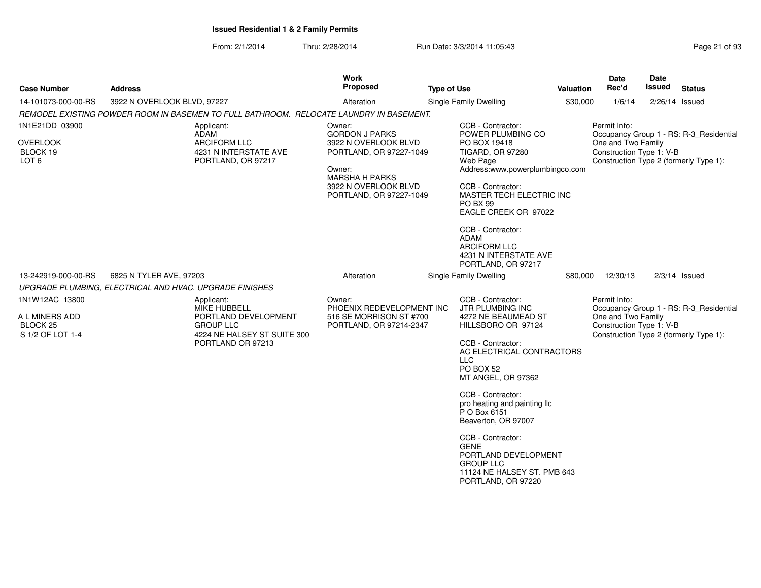| <b>Case Number</b>                                                | <b>Address</b>                                                                               | <b>Work</b><br>Proposed                                                                                                                                                  | <b>Type of Use</b>                                                                                                                                                                                                                                        | Valuation                                                                                                        | Date<br>Rec'd                                                                                            | Date<br>Issued | <b>Status</b>                           |
|-------------------------------------------------------------------|----------------------------------------------------------------------------------------------|--------------------------------------------------------------------------------------------------------------------------------------------------------------------------|-----------------------------------------------------------------------------------------------------------------------------------------------------------------------------------------------------------------------------------------------------------|------------------------------------------------------------------------------------------------------------------|----------------------------------------------------------------------------------------------------------|----------------|-----------------------------------------|
| 14-101073-000-00-RS                                               | 3922 N OVERLOOK BLVD, 97227                                                                  | Alteration                                                                                                                                                               | Single Family Dwelling                                                                                                                                                                                                                                    | \$30,000                                                                                                         | 1/6/14                                                                                                   | 2/26/14 Issued |                                         |
|                                                                   | REMODEL EXISTING POWDER ROOM IN BASEMEN TO FULL BATHROOM. RELOCATE LAUNDRY IN BASEMENT.      |                                                                                                                                                                          |                                                                                                                                                                                                                                                           |                                                                                                                  |                                                                                                          |                |                                         |
| 1N1E21DD 03900<br><b>OVERLOOK</b><br>BLOCK 19<br>LOT <sub>6</sub> | Applicant:<br><b>ADAM</b><br>ARCIFORM LLC<br>4231 N INTERSTATE AVE<br>PORTLAND, OR 97217     | Owner:<br><b>GORDON J PARKS</b><br>3922 N OVERLOOK BLVD<br>PORTLAND, OR 97227-1049<br>Owner:<br><b>MARSHA H PARKS</b><br>3922 N OVERLOOK BLVD<br>PORTLAND, OR 97227-1049 | CCB - Contractor:<br>POWER PLUMBING CO<br>PO BOX 19418<br><b>TIGARD, OR 97280</b><br>Web Page<br>CCB - Contractor:<br><b>PO BX 99</b><br>CCB - Contractor:<br><b>ADAM</b><br><b>ARCIFORM LLC</b><br>PORTLAND, OR 97217                                    | Address:www.powerplumbingco.com<br>MASTER TECH ELECTRIC INC<br>EAGLE CREEK OR 97022<br>4231 N INTERSTATE AVE     | Permit Info:<br>One and Two Family<br>Construction Type 1: V-B<br>Construction Type 2 (formerly Type 1): |                | Occupancy Group 1 - RS: R-3_Residential |
| 13-242919-000-00-RS                                               | 6825 N TYLER AVE, 97203                                                                      | Alteration                                                                                                                                                               | Single Family Dwelling                                                                                                                                                                                                                                    | \$80,000                                                                                                         | 12/30/13                                                                                                 |                | $2/3/14$ Issued                         |
|                                                                   | UPGRADE PLUMBING, ELECTRICAL AND HVAC. UPGRADE FINISHES                                      |                                                                                                                                                                          |                                                                                                                                                                                                                                                           |                                                                                                                  |                                                                                                          |                |                                         |
| 1N1W12AC 13800                                                    | Applicant:<br>MIKE HUBBELL                                                                   | Owner:<br>PHOENIX REDEVELOPMENT INC                                                                                                                                      | CCB - Contractor:<br>JTR PLUMBING INC                                                                                                                                                                                                                     |                                                                                                                  | Permit Info:                                                                                             |                | Occupancy Group 1 - RS: R-3_Residential |
| A L MINERS ADD<br>BLOCK <sub>25</sub><br>S 1/2 OF LOT 1-4         | PORTLAND DEVELOPMENT<br><b>GROUP LLC</b><br>4224 NE HALSEY ST SUITE 300<br>PORTLAND OR 97213 | 516 SE MORRISON ST #700<br>PORTLAND, OR 97214-2347                                                                                                                       | 4272 NE BEAUMEAD ST<br>HILLSBORO OR 97124<br>CCB - Contractor:<br><b>LLC</b><br>PO BOX 52<br>MT ANGEL, OR 97362<br>CCB - Contractor:<br>P O Box 6151<br>Beaverton, OR 97007<br>CCB - Contractor:<br><b>GENE</b><br><b>GROUP LLC</b><br>PORTLAND, OR 97220 | AC ELECTRICAL CONTRACTORS<br>pro heating and painting Ilc<br>PORTLAND DEVELOPMENT<br>11124 NE HALSEY ST. PMB 643 | One and Two Family<br>Construction Type 1: V-B<br>Construction Type 2 (formerly Type 1):                 |                |                                         |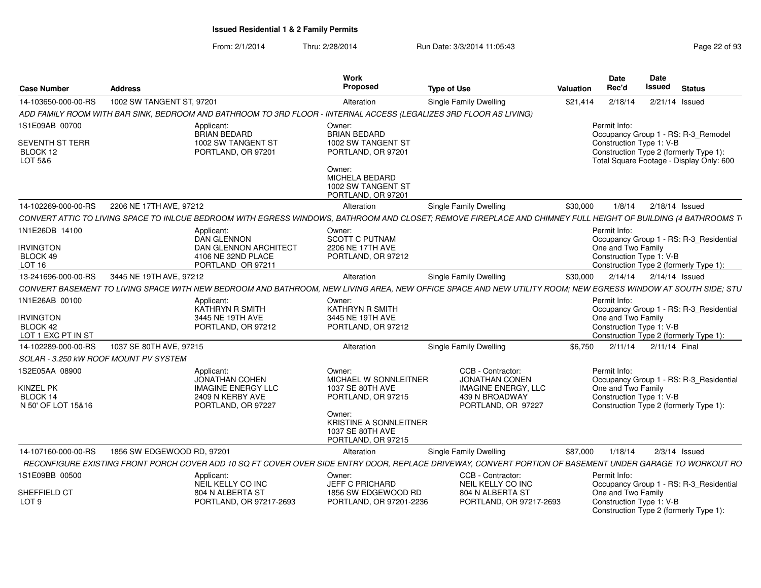| <b>Case Number</b>                                            | <b>Address</b>                                                                                                                                                | Work<br>Proposed                                                                  | <b>Type of Use</b>                                                                                               | <b>Valuation</b> | Date<br>Rec'd                                                  | <b>Date</b><br><b>Issued</b> | <b>Status</b>                                                                      |
|---------------------------------------------------------------|---------------------------------------------------------------------------------------------------------------------------------------------------------------|-----------------------------------------------------------------------------------|------------------------------------------------------------------------------------------------------------------|------------------|----------------------------------------------------------------|------------------------------|------------------------------------------------------------------------------------|
| 14-103650-000-00-RS                                           | 1002 SW TANGENT ST, 97201                                                                                                                                     | Alteration                                                                        | Single Family Dwelling                                                                                           | \$21.414         | 2/18/14                                                        |                              | 2/21/14 Issued                                                                     |
|                                                               | ADD FAMILY ROOM WITH BAR SINK, BEDROOM AND BATHROOM TO 3RD FLOOR - INTERNAL ACCESS (LEGALIZES 3RD FLOOR AS LIVING)                                            |                                                                                   |                                                                                                                  |                  |                                                                |                              |                                                                                    |
| 1S1E09AB 00700                                                | Applicant:<br><b>BRIAN BEDARD</b>                                                                                                                             | Owner:<br><b>BRIAN BEDARD</b>                                                     |                                                                                                                  |                  | Permit Info:                                                   |                              | Occupancy Group 1 - RS: R-3 Remodel                                                |
| SEVENTH ST TERR<br>BLOCK 12<br>LOT 5&6                        | 1002 SW TANGENT ST<br>PORTLAND, OR 97201                                                                                                                      | 1002 SW TANGENT ST<br>PORTLAND, OR 97201                                          |                                                                                                                  |                  | Construction Type 1: V-B                                       |                              | Construction Type 2 (formerly Type 1):<br>Total Square Footage - Display Only: 600 |
|                                                               |                                                                                                                                                               | Owner:<br>MICHELA BEDARD<br>1002 SW TANGENT ST<br>PORTLAND, OR 97201              |                                                                                                                  |                  |                                                                |                              |                                                                                    |
| 14-102269-000-00-RS                                           | 2206 NE 17TH AVE, 97212                                                                                                                                       | Alteration                                                                        | Single Family Dwelling                                                                                           | \$30,000         | 1/8/14                                                         |                              | 2/18/14 Issued                                                                     |
|                                                               | CONVERT ATTIC TO LIVING SPACE TO INLCUE BEDROOM WITH EGRESS WINDOWS, BATHROOM AND CLOSET; REMOVE FIREPLACE AND CHIMNEY FULL HEIGHT OF BUILDING (4 BATHROOMS T |                                                                                   |                                                                                                                  |                  |                                                                |                              |                                                                                    |
| 1N1E26DB 14100                                                | Applicant:<br><b>DAN GLENNON</b>                                                                                                                              | Owner:<br><b>SCOTT C PUTNAM</b>                                                   |                                                                                                                  |                  | Permit Info:                                                   |                              | Occupancy Group 1 - RS: R-3 Residential                                            |
| <b>IRVINGTON</b>                                              | <b>DAN GLENNON ARCHITECT</b>                                                                                                                                  | 2206 NE 17TH AVE                                                                  |                                                                                                                  |                  | One and Two Family                                             |                              |                                                                                    |
| BLOCK 49<br><b>LOT 16</b>                                     | 4106 NE 32ND PLACE<br>PORTLAND OR 97211                                                                                                                       | PORTLAND, OR 97212                                                                |                                                                                                                  |                  | Construction Type 1: V-B                                       |                              | Construction Type 2 (formerly Type 1):                                             |
| 13-241696-000-00-RS                                           | 3445 NE 19TH AVE, 97212                                                                                                                                       | Alteration                                                                        | Single Family Dwelling                                                                                           | \$30,000         | 2/14/14                                                        |                              | 2/14/14 Issued                                                                     |
|                                                               | CONVERT BASEMENT TO LIVING SPACE WITH NEW BEDROOM AND BATHROOM. NEW LIVING AREA, NEW OFFICE SPACE AND NEW UTILITY ROOM: NEW EGRESS WINDOW AT SOUTH SIDE: STU  |                                                                                   |                                                                                                                  |                  |                                                                |                              |                                                                                    |
| 1N1E26AB 00100                                                | Applicant:                                                                                                                                                    | Owner:                                                                            |                                                                                                                  |                  | Permit Info:                                                   |                              |                                                                                    |
|                                                               | KATHRYN R SMITH                                                                                                                                               | <b>KATHRYN R SMITH</b>                                                            |                                                                                                                  |                  |                                                                |                              | Occupancy Group 1 - RS: R-3_Residential                                            |
| <b>IRVINGTON</b><br>BLOCK 42                                  | 3445 NE 19TH AVE<br>PORTLAND, OR 97212                                                                                                                        | 3445 NE 19TH AVE<br>PORTLAND, OR 97212                                            |                                                                                                                  |                  | One and Two Family<br>Construction Type 1: V-B                 |                              |                                                                                    |
| LOT 1 EXC PT IN ST                                            |                                                                                                                                                               |                                                                                   |                                                                                                                  |                  |                                                                |                              | Construction Type 2 (formerly Type 1):                                             |
| 14-102289-000-00-RS                                           | 1037 SE 80TH AVE, 97215                                                                                                                                       | Alteration                                                                        | <b>Single Family Dwelling</b>                                                                                    | \$6.750          | 2/11/14                                                        | 2/11/14 Final                |                                                                                    |
| SOLAR - 3.250 KW ROOF MOUNT PV SYSTEM                         |                                                                                                                                                               |                                                                                   |                                                                                                                  |                  |                                                                |                              |                                                                                    |
| 1S2E05AA 08900<br>KINZEL PK<br>BLOCK 14<br>N 50' OF LOT 15&16 | Applicant:<br><b>JONATHAN COHEN</b><br><b>IMAGINE ENERGY LLC</b><br>2409 N KERBY AVE<br>PORTLAND, OR 97227                                                    | Owner:<br>MICHAEL W SONNLEITNER<br>1037 SE 80TH AVE<br>PORTLAND, OR 97215         | CCB - Contractor:<br><b>JONATHAN CONEN</b><br><b>IMAGINE ENERGY, LLC</b><br>439 N BROADWAY<br>PORTLAND, OR 97227 |                  | Permit Info:<br>One and Two Family<br>Construction Type 1: V-B |                              | Occupancy Group 1 - RS: R-3_Residential<br>Construction Type 2 (formerly Type 1):  |
|                                                               |                                                                                                                                                               | Owner:<br><b>KRISTINE A SONNLEITNER</b><br>1037 SE 80TH AVE<br>PORTLAND, OR 97215 |                                                                                                                  |                  |                                                                |                              |                                                                                    |
| 14-107160-000-00-RS                                           | 1856 SW EDGEWOOD RD, 97201                                                                                                                                    | Alteration                                                                        | Single Family Dwelling                                                                                           | \$87,000         | 1/18/14                                                        |                              | $2/3/14$ Issued                                                                    |
|                                                               | RECONFIGURE EXISTING FRONT PORCH COVER ADD 10 SQ FT COVER OVER SIDE ENTRY DOOR, REPLACE DRIVEWAY, CONVERT PORTION OF BASEMENT UNDER GARAGE TO WORKOUT RO      |                                                                                   |                                                                                                                  |                  |                                                                |                              |                                                                                    |
| 1S1E09BB 00500                                                | Applicant:<br>NEIL KELLY CO INC                                                                                                                               | Owner:<br><b>JEFF C PRICHARD</b>                                                  | CCB - Contractor:<br>NEIL KELLY CO INC                                                                           |                  | Permit Info:                                                   |                              | Occupancy Group 1 - RS: R-3 Residential                                            |
| SHEFFIELD CT<br>LOT <sub>9</sub>                              | 804 N ALBERTA ST<br>PORTLAND, OR 97217-2693                                                                                                                   | 1856 SW EDGEWOOD RD<br>PORTLAND, OR 97201-2236                                    | 804 N ALBERTA ST<br>PORTLAND, OR 97217-2693                                                                      |                  | One and Two Family<br>Construction Type 1: V-B                 |                              | Construction Type 2 (formerly Type 1):                                             |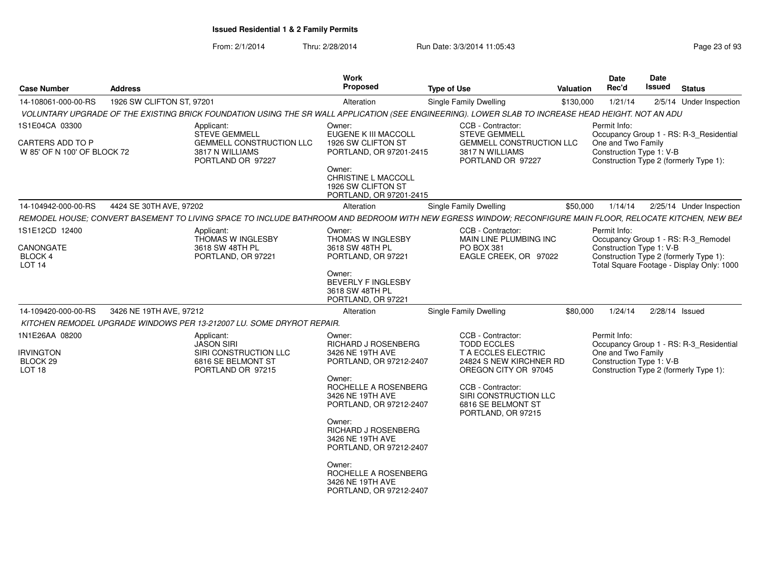| <b>Case Number</b>                                     | <b>Address</b>            |                                                                                                                                                           | <b>Work</b><br>Proposed                                                               | <b>Type of Use</b>                                                                     | <b>Valuation</b> | Date<br>Rec'd                                                                            | <b>Date</b><br>Issued | <b>Status</b>                             |
|--------------------------------------------------------|---------------------------|-----------------------------------------------------------------------------------------------------------------------------------------------------------|---------------------------------------------------------------------------------------|----------------------------------------------------------------------------------------|------------------|------------------------------------------------------------------------------------------|-----------------------|-------------------------------------------|
| 14-108061-000-00-RS                                    | 1926 SW CLIFTON ST, 97201 |                                                                                                                                                           | Alteration                                                                            | Single Family Dwelling                                                                 | \$130,000        | 1/21/14                                                                                  |                       | 2/5/14 Under Inspection                   |
|                                                        |                           | VOLUNTARY UPGRADE OF THE EXISTING BRICK FOUNDATION USING THE SR WALL APPLICATION (SEE ENGINEERING). LOWER SLAB TO INCREASE HEAD HEIGHT. NOT AN ADU        |                                                                                       |                                                                                        |                  |                                                                                          |                       |                                           |
| 1S1E04CA 03300                                         |                           | Applicant:<br><b>STEVE GEMMELL</b>                                                                                                                        | Owner:<br>EUGENE K III MACCOLL                                                        | CCB - Contractor:<br><b>STEVE GEMMELL</b>                                              |                  | Permit Info:                                                                             |                       | Occupancy Group 1 - RS: R-3_Residential   |
| <b>CARTERS ADD TO P</b><br>W 85' OF N 100' OF BLOCK 72 |                           | <b>GEMMELL CONSTRUCTION LLC</b><br>3817 N WILLIAMS<br>PORTLAND OR 97227                                                                                   | 1926 SW CLIFTON ST<br>PORTLAND, OR 97201-2415                                         | <b>GEMMELL CONSTRUCTION LLC</b><br>3817 N WILLIAMS<br>PORTLAND OR 97227                |                  | One and Two Family<br>Construction Type 1: V-B<br>Construction Type 2 (formerly Type 1): |                       |                                           |
|                                                        |                           |                                                                                                                                                           | Owner:<br><b>CHRISTINE L MACCOLL</b><br>1926 SW CLIFTON ST<br>PORTLAND, OR 97201-2415 |                                                                                        |                  |                                                                                          |                       |                                           |
| 14-104942-000-00-RS                                    | 4424 SE 30TH AVE, 97202   |                                                                                                                                                           | Alteration                                                                            | Single Family Dwelling                                                                 | \$50,000         | 1/14/14                                                                                  |                       | 2/25/14 Under Inspection                  |
|                                                        |                           | REMODEL HOUSE: CONVERT BASEMENT TO LIVING SPACE TO INCLUDE BATHROOM AND BEDROOM WITH NEW EGRESS WINDOW: RECONFIGURE MAIN FLOOR, RELOCATE KITCHEN, NEW BEA |                                                                                       |                                                                                        |                  |                                                                                          |                       |                                           |
| 1S1E12CD 12400                                         |                           | Applicant:<br>THOMAS W INGLESBY                                                                                                                           | Owner:<br><b>THOMAS W INGLESBY</b>                                                    | CCB - Contractor:<br>MAIN LINE PLUMBING INC                                            |                  | Permit Info:                                                                             |                       | Occupancy Group 1 - RS: R-3 Remodel       |
| CANONGATE<br><b>BLOCK 4</b><br><b>LOT 14</b>           |                           | 3618 SW 48TH PL<br>PORTLAND, OR 97221                                                                                                                     | 3618 SW 48TH PL<br>PORTLAND, OR 97221                                                 | PO BOX 381<br>EAGLE CREEK, OR 97022                                                    |                  | Construction Type 1: V-B<br>Construction Type 2 (formerly Type 1):                       |                       | Total Square Footage - Display Only: 1000 |
|                                                        |                           |                                                                                                                                                           | Owner:<br><b>BEVERLY F INGLESBY</b><br>3618 SW 48TH PL<br>PORTLAND, OR 97221          |                                                                                        |                  |                                                                                          |                       |                                           |
| 14-109420-000-00-RS                                    | 3426 NE 19TH AVE, 97212   |                                                                                                                                                           | Alteration                                                                            | <b>Single Family Dwelling</b>                                                          | \$80,000         | 1/24/14                                                                                  | 2/28/14 Issued        |                                           |
|                                                        |                           | KITCHEN REMODEL UPGRADE WINDOWS PER 13-212007 LU. SOME DRYROT REPAIR.                                                                                     |                                                                                       |                                                                                        |                  |                                                                                          |                       |                                           |
| 1N1E26AA 08200                                         |                           | Applicant:<br><b>JASON SIRI</b>                                                                                                                           | Owner:<br>RICHARD J ROSENBERG                                                         | CCB - Contractor:<br><b>TODD ECCLES</b>                                                |                  | Permit Info:                                                                             |                       | Occupancy Group 1 - RS: R-3_Residential   |
| <b>IRVINGTON</b><br>BLOCK 29<br>LOT <sub>18</sub>      |                           | SIRI CONSTRUCTION LLC<br>6816 SE BELMONT ST<br>PORTLAND OR 97215                                                                                          | 3426 NE 19TH AVE<br>PORTLAND, OR 97212-2407                                           | T A ECCLES ELECTRIC<br>24824 S NEW KIRCHNER RD<br>OREGON CITY OR 97045                 |                  | One and Two Family<br>Construction Type 1: V-B<br>Construction Type 2 (formerly Type 1): |                       |                                           |
|                                                        |                           |                                                                                                                                                           | Owner:<br>ROCHELLE A ROSENBERG<br>3426 NE 19TH AVE<br>PORTLAND, OR 97212-2407         | CCB - Contractor:<br>SIRI CONSTRUCTION LLC<br>6816 SE BELMONT ST<br>PORTLAND, OR 97215 |                  |                                                                                          |                       |                                           |
|                                                        |                           |                                                                                                                                                           | Owner:<br>RICHARD J ROSENBERG<br>3426 NE 19TH AVE<br>PORTLAND, OR 97212-2407          |                                                                                        |                  |                                                                                          |                       |                                           |
|                                                        |                           |                                                                                                                                                           | Owner:<br>ROCHELLE A ROSENBERG<br>3426 NE 19TH AVE<br>PORTLAND, OR 97212-2407         |                                                                                        |                  |                                                                                          |                       |                                           |
|                                                        |                           |                                                                                                                                                           |                                                                                       |                                                                                        |                  |                                                                                          |                       |                                           |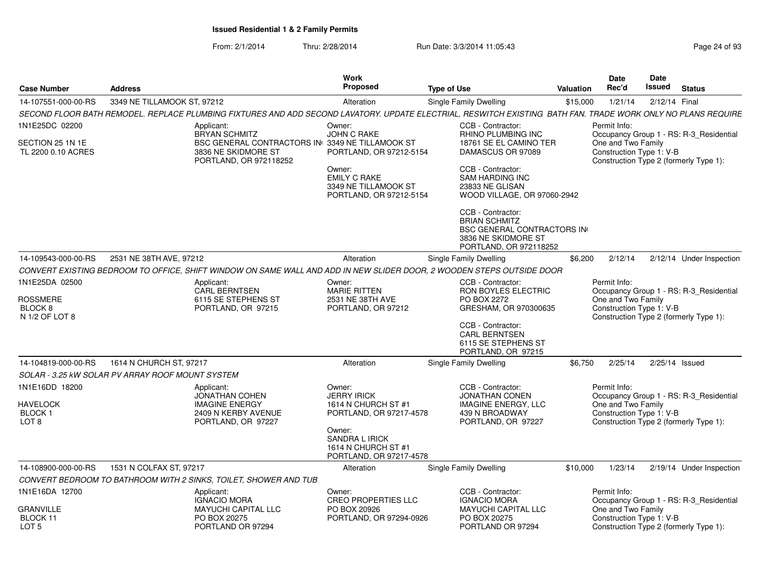| <b>Case Number</b>                                                     | <b>Address</b>                                                                                                                                               | <b>Work</b><br><b>Proposed</b>                                                    | <b>Type of Use</b>                                                                                                              | Valuation | <b>Date</b><br>Rec'd                                                                                     | <b>Date</b><br>Issued | <b>Status</b>                           |
|------------------------------------------------------------------------|--------------------------------------------------------------------------------------------------------------------------------------------------------------|-----------------------------------------------------------------------------------|---------------------------------------------------------------------------------------------------------------------------------|-----------|----------------------------------------------------------------------------------------------------------|-----------------------|-----------------------------------------|
| 14-107551-000-00-RS                                                    | 3349 NE TILLAMOOK ST, 97212                                                                                                                                  | Alteration                                                                        | <b>Single Family Dwelling</b>                                                                                                   | \$15,000  | 1/21/14                                                                                                  | 2/12/14 Final         |                                         |
|                                                                        | SECOND FLOOR BATH REMODEL. REPLACE PLUMBING FIXTURES AND ADD SECOND LAVATORY. UPDATE ELECTRIAL, RESWITCH EXISTING BATH FAN. TRADE WORK ONLY NO PLANS REQUIRE |                                                                                   |                                                                                                                                 |           |                                                                                                          |                       |                                         |
| 1N1E25DC 02200                                                         | Applicant:<br><b>BRYAN SCHMITZ</b>                                                                                                                           | Owner:<br><b>JOHN C RAKE</b>                                                      | CCB - Contractor:<br>RHINO PLUMBING INC                                                                                         |           | Permit Info:                                                                                             |                       | Occupancy Group 1 - RS: R-3_Residential |
| SECTION 25 1N 1E<br>TL 2200 0.10 ACRES                                 | BSC GENERAL CONTRACTORS IN 3349 NE TILLAMOOK ST<br>3836 NE SKIDMORE ST<br>PORTLAND, OR 972118252                                                             | PORTLAND, OR 97212-5154                                                           | 18761 SE EL CAMINO TER<br>DAMASCUS OR 97089                                                                                     |           | One and Two Family<br>Construction Type 1: V-B                                                           |                       | Construction Type 2 (formerly Type 1):  |
|                                                                        |                                                                                                                                                              | Owner:<br><b>EMILY C RAKE</b><br>3349 NE TILLAMOOK ST<br>PORTLAND, OR 97212-5154  | CCB - Contractor:<br><b>SAM HARDING INC</b><br>23833 NE GLISAN<br>WOOD VILLAGE, OR 97060-2942                                   |           |                                                                                                          |                       |                                         |
|                                                                        |                                                                                                                                                              |                                                                                   | CCB - Contractor:<br><b>BRIAN SCHMITZ</b><br><b>BSC GENERAL CONTRACTORS IN</b><br>3836 NE SKIDMORE ST<br>PORTLAND, OR 972118252 |           |                                                                                                          |                       |                                         |
| 14-109543-000-00-RS                                                    | 2531 NE 38TH AVE, 97212                                                                                                                                      | Alteration                                                                        | Single Family Dwelling                                                                                                          | \$6,200   | 2/12/14                                                                                                  |                       | 2/12/14 Under Inspection                |
|                                                                        | CONVERT EXISTING BEDROOM TO OFFICE, SHIFT WINDOW ON SAME WALL AND ADD IN NEW SLIDER DOOR, 2 WOODEN STEPS OUTSIDE DOOR                                        |                                                                                   |                                                                                                                                 |           |                                                                                                          |                       |                                         |
| 1N1E25DA 02500                                                         | Applicant:<br><b>CARL BERNTSEN</b>                                                                                                                           | Owner:<br><b>MARIE RITTEN</b>                                                     | CCB - Contractor:<br>RON BOYLES ELECTRIC                                                                                        |           | Permit Info:                                                                                             |                       | Occupancy Group 1 - RS: R-3 Residential |
| <b>ROSSMERE</b><br>BLOCK <sub>8</sub><br>N 1/2 OF LOT 8                | 6115 SE STEPHENS ST<br>PORTLAND, OR 97215                                                                                                                    | 2531 NE 38TH AVE<br>PORTLAND, OR 97212                                            | PO BOX 2272<br>GRESHAM, OR 970300635                                                                                            |           | One and Two Family<br>Construction Type 1: V-B<br>Construction Type 2 (formerly Type 1):                 |                       |                                         |
|                                                                        |                                                                                                                                                              |                                                                                   | CCB - Contractor:<br><b>CARL BERNTSEN</b><br>6115 SE STEPHENS ST<br>PORTLAND, OR 97215                                          |           |                                                                                                          |                       |                                         |
| 14-104819-000-00-RS                                                    | 1614 N CHURCH ST, 97217                                                                                                                                      | Alteration                                                                        | Single Family Dwelling                                                                                                          | \$6.750   | 2/25/14                                                                                                  |                       | $2/25/14$ Issued                        |
|                                                                        | SOLAR - 3.25 KW SOLAR PV ARRAY ROOF MOUNT SYSTEM                                                                                                             |                                                                                   |                                                                                                                                 |           |                                                                                                          |                       |                                         |
| 1N1E16DD 18200<br><b>HAVELOCK</b><br><b>BLOCK1</b><br>LOT <sub>8</sub> | Applicant:<br><b>JONATHAN COHEN</b><br><b>IMAGINE ENERGY</b><br>2409 N KERBY AVENUE<br>PORTLAND, OR 97227                                                    | Owner:<br><b>JERRY IRICK</b><br>1614 N CHURCH ST #1<br>PORTLAND, OR 97217-4578    | CCB - Contractor:<br><b>JONATHAN CONEN</b><br><b>IMAGINE ENERGY, LLC</b><br>439 N BROADWAY<br>PORTLAND, OR 97227                |           | Permit Info:<br>One and Two Family<br>Construction Type 1: V-B<br>Construction Type 2 (formerly Type 1): |                       | Occupancy Group 1 - RS: R-3_Residential |
|                                                                        |                                                                                                                                                              | Owner:<br><b>SANDRA L IRICK</b><br>1614 N CHURCH ST #1<br>PORTLAND, OR 97217-4578 |                                                                                                                                 |           |                                                                                                          |                       |                                         |
| 14-108900-000-00-RS                                                    | 1531 N COLFAX ST, 97217                                                                                                                                      | Alteration                                                                        | Single Family Dwelling                                                                                                          | \$10,000  | 1/23/14                                                                                                  |                       | 2/19/14 Under Inspection                |
|                                                                        | CONVERT BEDROOM TO BATHROOM WITH 2 SINKS, TOILET, SHOWER AND TUB                                                                                             |                                                                                   |                                                                                                                                 |           |                                                                                                          |                       |                                         |
| 1N1E16DA 12700                                                         | Applicant:<br><b>IGNACIO MORA</b>                                                                                                                            | Owner:<br>CREO PROPERTIES LLC                                                     | CCB - Contractor:<br><b>IGNACIO MORA</b>                                                                                        |           | Permit Info:                                                                                             |                       | Occupancy Group 1 - RS: R-3_Residential |
| <b>GRANVILLE</b><br>BLOCK 11<br>LOT <sub>5</sub>                       | <b>MAYUCHI CAPITAL LLC</b><br>PO BOX 20275<br>PORTLAND OR 97294                                                                                              | PO BOX 20926<br>PORTLAND, OR 97294-0926                                           | <b>MAYUCHI CAPITAL LLC</b><br>PO BOX 20275<br>PORTLAND OR 97294                                                                 |           | One and Two Family<br>Construction Type 1: V-B                                                           |                       | Construction Type 2 (formerly Type 1):  |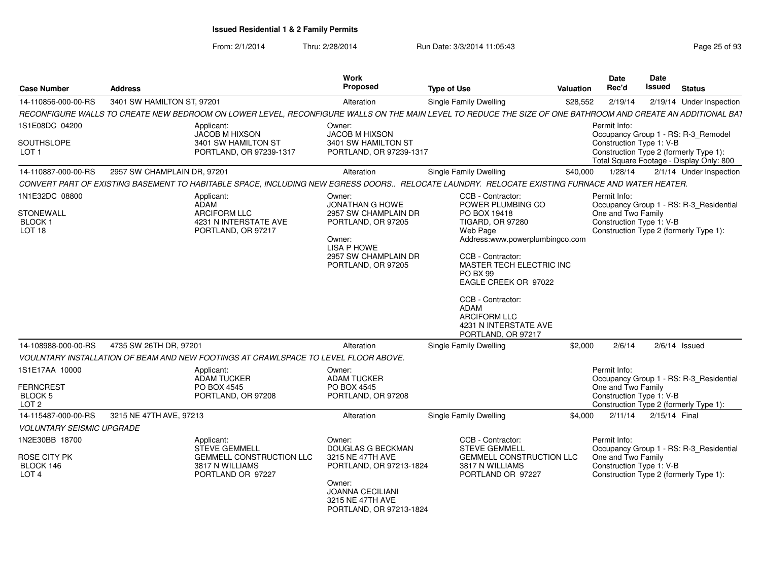| <b>Case Number</b>                                          | <b>Address</b>              |                                                                                                                                                             | Work<br>Proposed                                                                                                  | <b>Type of Use</b>                                                                                                                                                                                                                                                      | Valuation | <b>Date</b><br>Rec'd                                           | <b>Date</b><br><b>Issued</b> | <b>Status</b>                                                                                                             |
|-------------------------------------------------------------|-----------------------------|-------------------------------------------------------------------------------------------------------------------------------------------------------------|-------------------------------------------------------------------------------------------------------------------|-------------------------------------------------------------------------------------------------------------------------------------------------------------------------------------------------------------------------------------------------------------------------|-----------|----------------------------------------------------------------|------------------------------|---------------------------------------------------------------------------------------------------------------------------|
| 14-110856-000-00-RS                                         | 3401 SW HAMILTON ST, 97201  |                                                                                                                                                             | Alteration                                                                                                        | <b>Single Family Dwelling</b>                                                                                                                                                                                                                                           | \$28,552  | 2/19/14                                                        |                              | 2/19/14 Under Inspection                                                                                                  |
|                                                             |                             | RECONFIGURE WALLS TO CREATE NEW BEDROOM ON LOWER LEVEL, RECONFIGURE WALLS ON THE MAIN LEVEL TO REDUCE THE SIZE OF ONE BATHROOM AND CREATE AN ADDITIONAL BAT |                                                                                                                   |                                                                                                                                                                                                                                                                         |           |                                                                |                              |                                                                                                                           |
| 1S1E08DC 04200                                              |                             | Applicant:                                                                                                                                                  | Owner:                                                                                                            |                                                                                                                                                                                                                                                                         |           | Permit Info:                                                   |                              |                                                                                                                           |
| SOUTHSLOPE<br>LOT <sub>1</sub>                              |                             | JACOB M HIXSON<br>3401 SW HAMILTON ST<br>PORTLAND, OR 97239-1317                                                                                            | JACOB M HIXSON<br>3401 SW HAMILTON ST<br>PORTLAND, OR 97239-1317                                                  |                                                                                                                                                                                                                                                                         |           | Construction Type 1: V-B                                       |                              | Occupancy Group 1 - RS: R-3_Remodel<br>Construction Type 2 (formerly Type 1):<br>Total Square Footage - Display Only: 800 |
| 14-110887-000-00-RS                                         | 2957 SW CHAMPLAIN DR, 97201 |                                                                                                                                                             | Alteration                                                                                                        | Single Family Dwelling                                                                                                                                                                                                                                                  | \$40,000  | 1/28/14                                                        |                              | 2/1/14 Under Inspection                                                                                                   |
|                                                             |                             | CONVERT PART OF EXISTING BASEMENT TO HABITABLE SPACE, INCLUDING NEW EGRESS DOORS RELOCATE LAUNDRY. RELOCATE EXISTING FURNACE AND WATER HEATER.              |                                                                                                                   |                                                                                                                                                                                                                                                                         |           |                                                                |                              |                                                                                                                           |
| 1N1E32DC 08800                                              |                             | Applicant:<br>ADAM                                                                                                                                          | Owner:<br><b>JONATHAN G HOWE</b>                                                                                  | CCB - Contractor:<br>POWER PLUMBING CO                                                                                                                                                                                                                                  |           | Permit Info:                                                   |                              | Occupancy Group 1 - RS: R-3 Residential                                                                                   |
| <b>STONEWALL</b><br>BLOCK <sub>1</sub><br>LOT <sub>18</sub> |                             | <b>ARCIFORM LLC</b><br>4231 N INTERSTATE AVE<br>PORTLAND, OR 97217                                                                                          | 2957 SW CHAMPLAIN DR<br>PORTLAND, OR 97205<br>Owner:<br>LISA P HOWE<br>2957 SW CHAMPLAIN DR<br>PORTLAND, OR 97205 | PO BOX 19418<br>TIGARD, OR 97280<br>Web Page<br>Address:www.powerplumbingco.com<br>CCB - Contractor:<br>MASTER TECH ELECTRIC INC<br>PO BX 99<br>EAGLE CREEK OR 97022<br>CCB - Contractor:<br>ADAM<br><b>ARCIFORM LLC</b><br>4231 N INTERSTATE AVE<br>PORTLAND, OR 97217 |           | One and Two Family<br>Construction Type 1: V-B                 |                              | Construction Type 2 (formerly Type 1):                                                                                    |
| 14-108988-000-00-RS                                         | 4735 SW 26TH DR, 97201      |                                                                                                                                                             | Alteration                                                                                                        | Single Family Dwelling                                                                                                                                                                                                                                                  | \$2,000   | 2/6/14                                                         |                              | $2/6/14$ Issued                                                                                                           |
|                                                             |                             | VOULNTARY INSTALLATION OF BEAM AND NEW FOOTINGS AT CRAWLSPACE TO LEVEL FLOOR ABOVE.                                                                         |                                                                                                                   |                                                                                                                                                                                                                                                                         |           |                                                                |                              |                                                                                                                           |
| 1S1E17AA 10000<br><b>FERNCREST</b><br><b>BLOCK 5</b>        |                             | Applicant:<br><b>ADAM TUCKER</b><br>PO BOX 4545<br>PORTLAND, OR 97208                                                                                       | Owner:<br><b>ADAM TUCKER</b><br>PO BOX 4545<br>PORTLAND, OR 97208                                                 |                                                                                                                                                                                                                                                                         |           | Permit Info:<br>One and Two Family<br>Construction Type 1: V-B |                              | Occupancy Group 1 - RS: R-3_Residential                                                                                   |
| LOT <sub>2</sub>                                            |                             |                                                                                                                                                             |                                                                                                                   |                                                                                                                                                                                                                                                                         |           |                                                                |                              | Construction Type 2 (formerly Type 1):                                                                                    |
| 14-115487-000-00-RS                                         | 3215 NE 47TH AVE, 97213     |                                                                                                                                                             | Alteration                                                                                                        | <b>Single Family Dwelling</b>                                                                                                                                                                                                                                           | \$4,000   | 2/11/14                                                        | 2/15/14 Final                |                                                                                                                           |
| <b>VOLUNTARY SEISMIC UPGRADE</b>                            |                             |                                                                                                                                                             |                                                                                                                   |                                                                                                                                                                                                                                                                         |           |                                                                |                              |                                                                                                                           |
| 1N2E30BB 18700                                              |                             | Applicant:<br>STEVE GEMMELL                                                                                                                                 | Owner:<br>DOUGLAS G BECKMAN                                                                                       | CCB - Contractor:<br><b>STEVE GEMMELL</b>                                                                                                                                                                                                                               |           | Permit Info:                                                   |                              | Occupancy Group 1 - RS: R-3 Residential                                                                                   |
| ROSE CITY PK<br>BLOCK 146<br>LOT <sub>4</sub>               |                             | <b>GEMMELL CONSTRUCTION LLC</b><br>3817 N WILLIAMS<br>PORTLAND OR 97227                                                                                     | 3215 NE 47TH AVE<br>PORTLAND, OR 97213-1824                                                                       | <b>GEMMELL CONSTRUCTION LLC</b><br>3817 N WILLIAMS<br>PORTLAND OR 97227                                                                                                                                                                                                 |           | One and Two Family<br>Construction Type 1: V-B                 |                              | Construction Type 2 (formerly Type 1):                                                                                    |
|                                                             |                             |                                                                                                                                                             | Owner:<br><b>JOANNA CECILIANI</b><br>3215 NE 47TH AVE<br>PORTLAND, OR 97213-1824                                  |                                                                                                                                                                                                                                                                         |           |                                                                |                              |                                                                                                                           |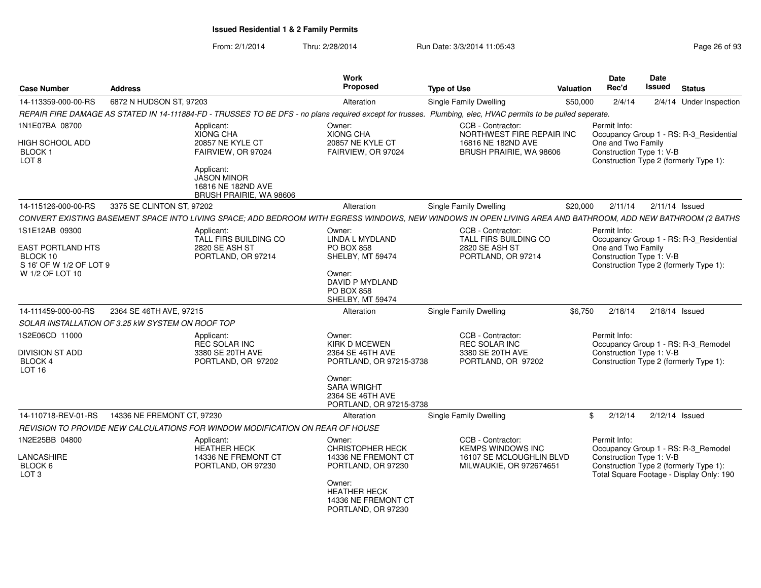| <b>Case Number</b>                                                                                   | <b>Address</b>                                   |                                                                                        | Work<br>Proposed                                                                                                     | <b>Type of Use</b>                                                                                                                                           | Valuation | Date<br>Rec'd                                                                                            | <b>Date</b><br>Issued | <b>Status</b>                                                                      |
|------------------------------------------------------------------------------------------------------|--------------------------------------------------|----------------------------------------------------------------------------------------|----------------------------------------------------------------------------------------------------------------------|--------------------------------------------------------------------------------------------------------------------------------------------------------------|-----------|----------------------------------------------------------------------------------------------------------|-----------------------|------------------------------------------------------------------------------------|
| 14-113359-000-00-RS                                                                                  | 6872 N HUDSON ST. 97203                          |                                                                                        | Alteration                                                                                                           | Single Family Dwelling                                                                                                                                       | \$50,000  | 2/4/14                                                                                                   |                       | 2/4/14 Under Inspection                                                            |
|                                                                                                      |                                                  |                                                                                        |                                                                                                                      | REPAIR FIRE DAMAGE AS STATED IN 14-111884-FD - TRUSSES TO BE DFS - no plans required except for trusses. Plumbing, elec, HVAC permits to be pulled seperate. |           |                                                                                                          |                       |                                                                                    |
| 1N1E07BA 08700<br>HIGH SCHOOL ADD<br>BLOCK <sub>1</sub><br>LOT <sub>8</sub>                          |                                                  | Applicant:<br><b>XIONG CHA</b><br>20857 NE KYLE CT<br>FAIRVIEW, OR 97024<br>Applicant: | Owner:<br><b>XIONG CHA</b><br>20857 NE KYLE CT<br>FAIRVIEW, OR 97024                                                 | CCB - Contractor:<br>NORTHWEST FIRE REPAIR INC<br>16816 NE 182ND AVE<br>BRUSH PRAIRIE, WA 98606                                                              |           | Permit Info:<br>One and Two Family<br>Construction Type 1: V-B<br>Construction Type 2 (formerly Type 1): |                       | Occupancy Group 1 - RS: R-3 Residential                                            |
|                                                                                                      |                                                  | <b>JASON MINOR</b><br>16816 NE 182ND AVE<br>BRUSH PRAIRIE, WA 98606                    |                                                                                                                      |                                                                                                                                                              |           |                                                                                                          |                       |                                                                                    |
| 14-115126-000-00-RS                                                                                  | 3375 SE CLINTON ST, 97202                        |                                                                                        | Alteration                                                                                                           | Single Family Dwelling                                                                                                                                       | \$20,000  | 2/11/14                                                                                                  | $2/11/14$ Issued      |                                                                                    |
|                                                                                                      |                                                  |                                                                                        |                                                                                                                      | CONVERT EXISTING BASEMENT SPACE INTO LIVING SPACE; ADD BEDROOM WITH EGRESS WINDOWS, NEW WINDOWS IN OPEN LIVING AREA AND BATHROOM, ADD NEW BATHROOM (2 BATHS  |           |                                                                                                          |                       |                                                                                    |
| 1S1E12AB 09300<br><b>EAST PORTLAND HTS</b><br>BLOCK 10<br>S 16' OF W 1/2 OF LOT 9<br>W 1/2 OF LOT 10 |                                                  | Applicant:<br><b>TALL FIRS BUILDING CO</b><br>2820 SE ASH ST<br>PORTLAND, OR 97214     | Owner:<br>LINDA L MYDLAND<br><b>PO BOX 858</b><br>SHELBY, MT 59474<br>Owner:<br>DAVID P MYDLAND<br><b>PO BOX 858</b> | CCB - Contractor:<br><b>TALL FIRS BUILDING CO</b><br>2820 SE ASH ST<br>PORTLAND, OR 97214                                                                    |           | Permit Info:<br>One and Two Family<br>Construction Type 1: V-B                                           |                       | Occupancy Group 1 - RS: R-3_Residential<br>Construction Type 2 (formerly Type 1):  |
|                                                                                                      |                                                  |                                                                                        | SHELBY, MT 59474                                                                                                     |                                                                                                                                                              |           |                                                                                                          |                       |                                                                                    |
| 14-111459-000-00-RS                                                                                  | 2364 SE 46TH AVE, 97215                          |                                                                                        | Alteration                                                                                                           | Single Family Dwelling                                                                                                                                       | \$6,750   | 2/18/14                                                                                                  | 2/18/14 Issued        |                                                                                    |
|                                                                                                      | SOLAR INSTALLATION OF 3.25 kW SYSTEM ON ROOF TOP |                                                                                        |                                                                                                                      |                                                                                                                                                              |           |                                                                                                          |                       |                                                                                    |
| 1S2E06CD 11000<br>DIVISION ST ADD<br>BLOCK 4<br>LOT 16                                               |                                                  | Applicant:<br><b>REC SOLAR INC</b><br>3380 SE 20TH AVE<br>PORTLAND, OR 97202           | Owner:<br>KIRK D MCEWEN<br>2364 SE 46TH AVE<br>PORTLAND, OR 97215-3738                                               | CCB - Contractor:<br>REC SOLAR INC<br>3380 SE 20TH AVE<br>PORTLAND, OR 97202                                                                                 |           | Permit Info:<br>Construction Type 1: V-B<br>Construction Type 2 (formerly Type 1):                       |                       | Occupancy Group 1 - RS: R-3_Remodel                                                |
|                                                                                                      |                                                  |                                                                                        | Owner:<br><b>SARA WRIGHT</b><br>2364 SE 46TH AVE<br>PORTLAND, OR 97215-3738                                          |                                                                                                                                                              |           |                                                                                                          |                       |                                                                                    |
| 14-110718-REV-01-RS                                                                                  | 14336 NE FREMONT CT. 97230                       |                                                                                        | Alteration                                                                                                           | Single Family Dwelling                                                                                                                                       |           | 2/12/14<br>$\mathbf{F}$                                                                                  | 2/12/14 Issued        |                                                                                    |
|                                                                                                      |                                                  | REVISION TO PROVIDE NEW CALCULATIONS FOR WINDOW MODIFICATION ON REAR OF HOUSE          |                                                                                                                      |                                                                                                                                                              |           |                                                                                                          |                       |                                                                                    |
| 1N2E25BB 04800                                                                                       |                                                  | Applicant:<br><b>HEATHER HECK</b>                                                      | Owner:<br><b>CHRISTOPHER HECK</b>                                                                                    | CCB - Contractor:<br><b>KEMPS WINDOWS INC</b>                                                                                                                |           | Permit Info:                                                                                             |                       | Occupancy Group 1 - RS: R-3_Remodel                                                |
| LANCASHIRE<br>BLOCK 6<br>LOT <sub>3</sub>                                                            |                                                  | 14336 NE FREMONT CT<br>PORTLAND, OR 97230                                              | 14336 NE FREMONT CT<br>PORTLAND, OR 97230                                                                            | 16107 SE MCLOUGHLIN BLVD<br>MILWAUKIE, OR 972674651                                                                                                          |           | Construction Type 1: V-B                                                                                 |                       | Construction Type 2 (formerly Type 1):<br>Total Square Footage - Display Only: 190 |
|                                                                                                      |                                                  |                                                                                        | Owner:<br><b>HEATHER HECK</b><br>14336 NE FREMONT CT<br>PORTLAND, OR 97230                                           |                                                                                                                                                              |           |                                                                                                          |                       |                                                                                    |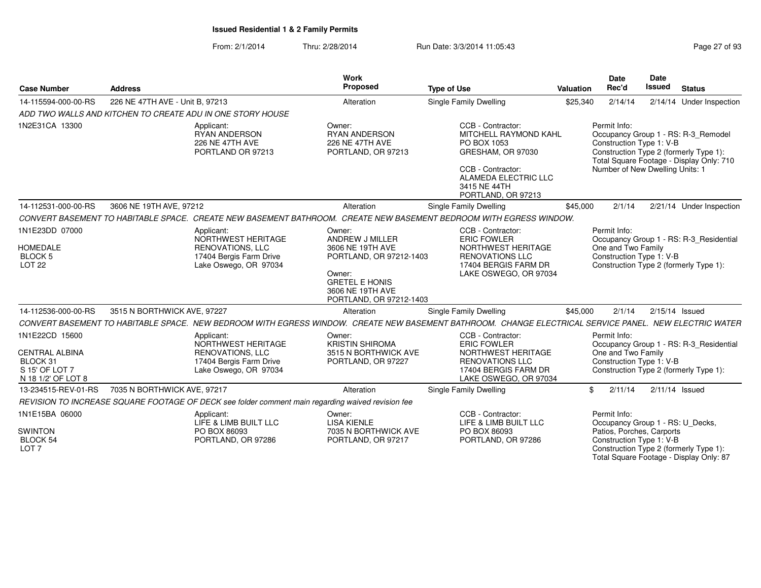| <b>Case Number</b>                                                                          | <b>Address</b>                  |                                                                                                                 | <b>Work</b><br>Proposed                                                                                                                                    | <b>Type of Use</b>                                                                                                                                                | <b>Valuation</b> | <b>Date</b><br>Rec'd                                                                                      | <b>Date</b><br><b>Issued</b> | <b>Status</b>                                                                                                             |
|---------------------------------------------------------------------------------------------|---------------------------------|-----------------------------------------------------------------------------------------------------------------|------------------------------------------------------------------------------------------------------------------------------------------------------------|-------------------------------------------------------------------------------------------------------------------------------------------------------------------|------------------|-----------------------------------------------------------------------------------------------------------|------------------------------|---------------------------------------------------------------------------------------------------------------------------|
| 14-115594-000-00-RS                                                                         | 226 NE 47TH AVE - Unit B, 97213 |                                                                                                                 | Alteration                                                                                                                                                 | <b>Single Family Dwelling</b>                                                                                                                                     | \$25,340         | 2/14/14                                                                                                   |                              | 2/14/14 Under Inspection                                                                                                  |
|                                                                                             |                                 | ADD TWO WALLS AND KITCHEN TO CREATE ADU IN ONE STORY HOUSE                                                      |                                                                                                                                                            |                                                                                                                                                                   |                  |                                                                                                           |                              |                                                                                                                           |
| 1N2E31CA 13300                                                                              |                                 | Applicant:<br><b>RYAN ANDERSON</b><br>226 NE 47TH AVE<br>PORTLAND OR 97213                                      | Owner:<br><b>RYAN ANDERSON</b><br>226 NE 47TH AVE<br>PORTLAND, OR 97213                                                                                    | CCB - Contractor:<br>MITCHELL RAYMOND KAHL<br>PO BOX 1053<br>GRESHAM, OR 97030<br>CCB - Contractor:<br>ALAMEDA ELECTRIC LLC<br>3415 NE 44TH<br>PORTLAND, OR 97213 |                  | Permit Info:<br>Construction Type 1: V-B<br>Number of New Dwelling Units: 1                               |                              | Occupancy Group 1 - RS: R-3_Remodel<br>Construction Type 2 (formerly Type 1):<br>Total Square Footage - Display Only: 710 |
| 14-112531-000-00-RS                                                                         | 3606 NE 19TH AVE, 97212         |                                                                                                                 | Alteration                                                                                                                                                 | Single Family Dwelling                                                                                                                                            | \$45,000         | 2/1/14                                                                                                    |                              | 2/21/14 Under Inspection                                                                                                  |
|                                                                                             |                                 |                                                                                                                 |                                                                                                                                                            | CONVERT BASEMENT TO HABITABLE SPACE. CREATE NEW BASEMENT BATHROOM. CREATE NEW BASEMENT BEDROOM WITH EGRESS WINDOW.                                                |                  |                                                                                                           |                              |                                                                                                                           |
| 1N1E23DD 07000<br><b>HOMEDALE</b><br><b>BLOCK 5</b><br><b>LOT 22</b>                        |                                 | Applicant:<br>NORTHWEST HERITAGE<br><b>RENOVATIONS, LLC</b><br>17404 Bergis Farm Drive<br>Lake Oswego, OR 97034 | Owner:<br>ANDREW J MILLER<br>3606 NE 19TH AVE<br>PORTLAND, OR 97212-1403<br>Owner:<br><b>GRETEL E HONIS</b><br>3606 NE 19TH AVE<br>PORTLAND, OR 97212-1403 | CCB - Contractor:<br><b>ERIC FOWLER</b><br>NORTHWEST HERITAGE<br><b>RENOVATIONS LLC</b><br>17404 BERGIS FARM DR<br>LAKE OSWEGO, OR 97034                          |                  | Permit Info:<br>One and Two Family<br>Construction Type 1: V-B                                            |                              | Occupancy Group 1 - RS: R-3_Residential<br>Construction Type 2 (formerly Type 1):                                         |
| 14-112536-000-00-RS                                                                         | 3515 N BORTHWICK AVE, 97227     |                                                                                                                 | Alteration                                                                                                                                                 | Single Family Dwelling                                                                                                                                            | \$45,000         | 2/1/14                                                                                                    | 2/15/14 Issued               |                                                                                                                           |
|                                                                                             |                                 |                                                                                                                 |                                                                                                                                                            | CONVERT BASEMENT TO HABITABLE SPACE. NEW BEDROOM WITH EGRESS WINDOW. CREATE NEW BASEMENT BATHROOM. CHANGE ELECTRICAL SERVICE PANEL. NEW ELECTRIC WATER            |                  |                                                                                                           |                              |                                                                                                                           |
| 1N1E22CD 15600<br><b>CENTRAL ALBINA</b><br>BLOCK 31<br>S 15' OF LOT 7<br>N 18 1/2' OF LOT 8 |                                 | Applicant:<br>NORTHWEST HERITAGE<br><b>RENOVATIONS, LLC</b><br>17404 Bergis Farm Drive<br>Lake Oswego, OR 97034 | Owner:<br><b>KRISTIN SHIROMA</b><br>3515 N BORTHWICK AVE<br>PORTLAND, OR 97227                                                                             | CCB - Contractor:<br><b>ERIC FOWLER</b><br>NORTHWEST HERITAGE<br><b>RENOVATIONS LLC</b><br>17404 BERGIS FARM DR<br>LAKE OSWEGO, OR 97034                          |                  | Permit Info:<br>One and Two Family<br>Construction Type 1: V-B                                            |                              | Occupancy Group 1 - RS: R-3_Residential<br>Construction Type 2 (formerly Type 1):                                         |
| 13-234515-REV-01-RS                                                                         | 7035 N BORTHWICK AVE, 97217     |                                                                                                                 | Alteration                                                                                                                                                 | Single Family Dwelling                                                                                                                                            | \$               | 2/11/14                                                                                                   | $2/11/14$ Issued             |                                                                                                                           |
|                                                                                             |                                 | REVISION TO INCREASE SQUARE FOOTAGE OF DECK see folder comment main regarding waived revision fee               |                                                                                                                                                            |                                                                                                                                                                   |                  |                                                                                                           |                              |                                                                                                                           |
| 1N1E15BA 06000<br><b>SWINTON</b><br>BLOCK 54<br>LOT <sub>7</sub>                            |                                 | Applicant:<br>LIFE & LIMB BUILT LLC<br>PO BOX 86093<br>PORTLAND, OR 97286                                       | Owner:<br><b>LISA KIENLE</b><br>7035 N BORTHWICK AVE<br>PORTLAND, OR 97217                                                                                 | CCB - Contractor:<br>LIFE & LIMB BUILT LLC<br>PO BOX 86093<br>PORTLAND, OR 97286                                                                                  |                  | Permit Info:<br>Occupancy Group 1 - RS: U Decks,<br>Patios, Porches, Carports<br>Construction Type 1: V-B |                              | Construction Type 2 (formerly Type 1):<br>Total Square Footage - Display Only: 87                                         |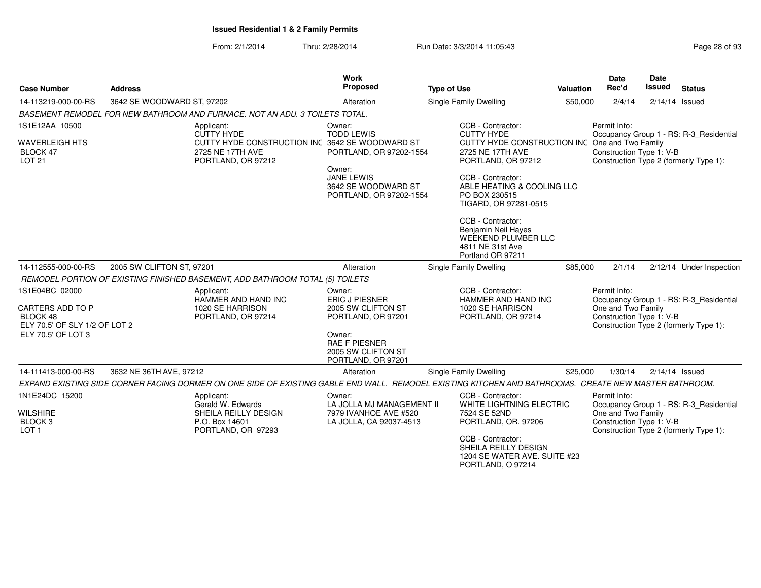| <b>Case Number</b>                                                              | <b>Address</b>             |                                                                                                                                                       | Work<br>Proposed                                                                        | <b>Type of Use</b>                                                                                                                                                                     | Valuation | <b>Date</b><br>Rec'd                                                                                     | <b>Date</b><br><b>Issued</b> | <b>Status</b>                                                                     |
|---------------------------------------------------------------------------------|----------------------------|-------------------------------------------------------------------------------------------------------------------------------------------------------|-----------------------------------------------------------------------------------------|----------------------------------------------------------------------------------------------------------------------------------------------------------------------------------------|-----------|----------------------------------------------------------------------------------------------------------|------------------------------|-----------------------------------------------------------------------------------|
| 14-113219-000-00-RS                                                             | 3642 SE WOODWARD ST, 97202 |                                                                                                                                                       | Alteration                                                                              | <b>Single Family Dwelling</b>                                                                                                                                                          | \$50,000  | 2/4/14                                                                                                   | $2/14/14$ Issued             |                                                                                   |
|                                                                                 |                            | BASEMENT REMODEL FOR NEW BATHROOM AND FURNACE. NOT AN ADU. 3 TOILETS TOTAL.                                                                           |                                                                                         |                                                                                                                                                                                        |           |                                                                                                          |                              |                                                                                   |
| 1S1E12AA 10500                                                                  |                            | Applicant:<br><b>CUTTY HYDE</b>                                                                                                                       | Owner:<br><b>TODD LEWIS</b>                                                             | CCB - Contractor:<br><b>CUTTY HYDE</b>                                                                                                                                                 |           | Permit Info:                                                                                             |                              | Occupancy Group 1 - RS: R-3_Residential                                           |
| <b>WAVERLEIGH HTS</b><br>BLOCK 47<br><b>LOT 21</b>                              |                            | CUTTY HYDE CONSTRUCTION INC 3642 SE WOODWARD ST<br>2725 NE 17TH AVE<br>PORTLAND, OR 97212                                                             | PORTLAND, OR 97202-1554                                                                 | CUTTY HYDE CONSTRUCTION INC One and Two Family<br>2725 NE 17TH AVE<br>PORTLAND, OR 97212                                                                                               |           | Construction Type 1: V-B                                                                                 |                              | Construction Type 2 (formerly Type 1):                                            |
|                                                                                 |                            |                                                                                                                                                       | Owner:<br><b>JANE LEWIS</b><br>3642 SE WOODWARD ST<br>PORTLAND, OR 97202-1554           | CCB - Contractor:<br>ABLE HEATING & COOLING LLC<br>PO BOX 230515<br>TIGARD, OR 97281-0515                                                                                              |           |                                                                                                          |                              |                                                                                   |
|                                                                                 |                            |                                                                                                                                                       |                                                                                         | CCB - Contractor:<br>Benjamin Neil Hayes<br><b>WEEKEND PLUMBER LLC</b><br>4811 NE 31st Ave<br>Portland OR 97211                                                                        |           |                                                                                                          |                              |                                                                                   |
| 14-112555-000-00-RS                                                             | 2005 SW CLIFTON ST, 97201  |                                                                                                                                                       | Alteration                                                                              | Single Family Dwelling                                                                                                                                                                 | \$85,000  | 2/1/14                                                                                                   |                              | 2/12/14 Under Inspection                                                          |
|                                                                                 |                            | REMODEL PORTION OF EXISTING FINISHED BASEMENT, ADD BATHROOM TOTAL (5) TOILETS                                                                         |                                                                                         |                                                                                                                                                                                        |           |                                                                                                          |                              |                                                                                   |
| 1S1E04BC 02000<br>CARTERS ADD TO P<br>BLOCK 48<br>ELY 70.5' OF SLY 1/2 OF LOT 2 |                            | Applicant:<br>HAMMER AND HAND INC<br>1020 SE HARRISON<br>PORTLAND, OR 97214                                                                           | Owner:<br><b>ERIC J PIESNER</b><br>2005 SW CLIFTON ST<br>PORTLAND, OR 97201             | CCB - Contractor:<br>HAMMER AND HAND INC<br>1020 SE HARRISON<br>PORTLAND, OR 97214                                                                                                     |           | Permit Info:<br>One and Two Family<br>Construction Type 1: V-B                                           |                              | Occupancy Group 1 - RS: R-3_Residential<br>Construction Type 2 (formerly Type 1): |
| ELY 70.5' OF LOT 3                                                              |                            |                                                                                                                                                       | Owner:<br><b>RAE F PIESNER</b><br>2005 SW CLIFTON ST<br>PORTLAND, OR 97201              |                                                                                                                                                                                        |           |                                                                                                          |                              |                                                                                   |
| 14-111413-000-00-RS                                                             | 3632 NE 36TH AVE, 97212    |                                                                                                                                                       | Alteration                                                                              | <b>Single Family Dwelling</b>                                                                                                                                                          | \$25,000  | 1/30/14                                                                                                  |                              | $2/14/14$ Issued                                                                  |
|                                                                                 |                            | EXPAND EXISTING SIDE CORNER FACING DORMER ON ONE SIDE OF EXISTING GABLE END WALL. REMODEL EXISTING KITCHEN AND BATHROOMS. CREATE NEW MASTER BATHROOM. |                                                                                         |                                                                                                                                                                                        |           |                                                                                                          |                              |                                                                                   |
| 1N1E24DC 15200<br><b>WILSHIRE</b><br>BLOCK <sub>3</sub><br>LOT <sub>1</sub>     |                            | Applicant:<br>Gerald W. Edwards<br>SHEILA REILLY DESIGN<br>P.O. Box 14601<br>PORTLAND, OR 97293                                                       | Owner:<br>LA JOLLA MJ MANAGEMENT II<br>7979 IVANHOE AVE #520<br>LA JOLLA, CA 92037-4513 | CCB - Contractor:<br>WHITE LIGHTNING ELECTRIC<br>7524 SE 52ND<br>PORTLAND, OR. 97206<br>CCB - Contractor:<br>SHEILA REILLY DESIGN<br>1204 SE WATER AVE. SUITE #23<br>PORTLAND, O 97214 |           | Permit Info:<br>One and Two Family<br>Construction Type 1: V-B<br>Construction Type 2 (formerly Type 1): |                              | Occupancy Group 1 - RS: R-3_Residential                                           |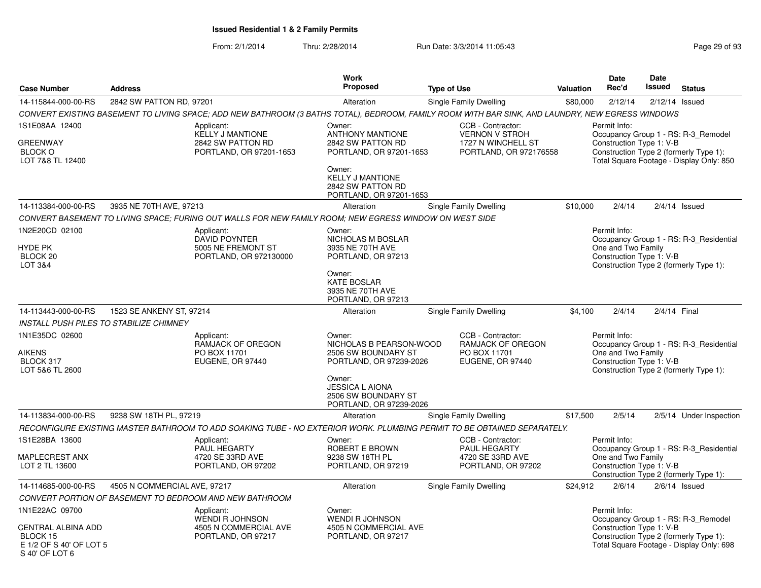| <b>Case Number</b>                                                                            | <b>Address</b>                                                                                                                                   |                                                                         | Work<br>Proposed                                                                                                                                                          | <b>Type of Use</b>                                                                         | Valuation | Date<br>Rec'd                                                                                            | Date<br>Issued   | <b>Status</b>                                                                   |
|-----------------------------------------------------------------------------------------------|--------------------------------------------------------------------------------------------------------------------------------------------------|-------------------------------------------------------------------------|---------------------------------------------------------------------------------------------------------------------------------------------------------------------------|--------------------------------------------------------------------------------------------|-----------|----------------------------------------------------------------------------------------------------------|------------------|---------------------------------------------------------------------------------|
| 14-115844-000-00-RS                                                                           | 2842 SW PATTON RD, 97201                                                                                                                         |                                                                         | Alteration                                                                                                                                                                | Single Family Dwelling                                                                     | \$80,000  | 2/12/14                                                                                                  | $2/12/14$ Issued |                                                                                 |
|                                                                                               | CONVERT EXISTING BASEMENT TO LIVING SPACE; ADD NEW BATHROOM (3 BATHS TOTAL), BEDROOM, FAMILY ROOM WITH BAR SINK, AND LAUNDRY, NEW EGRESS WINDOWS |                                                                         |                                                                                                                                                                           |                                                                                            |           |                                                                                                          |                  |                                                                                 |
| 1S1E08AA 12400<br><b>GREENWAY</b><br><b>BLOCK O</b><br>LOT 7&8 TL 12400                       | Applicant:                                                                                                                                       | <b>KELLY J MANTIONE</b><br>2842 SW PATTON RD<br>PORTLAND, OR 97201-1653 | Owner:<br><b>ANTHONY MANTIONE</b><br>2842 SW PATTON RD<br>PORTLAND, OR 97201-1653<br>Owner:<br><b>KELLY J MANTIONE</b><br>2842 SW PATTON RD<br>PORTLAND, OR 97201-1653    | CCB - Contractor:<br><b>VERNON V STROH</b><br>1727 N WINCHELL ST<br>PORTLAND, OR 972176558 |           | Permit Info:<br>Construction Type 1: V-B<br>Construction Type 2 (formerly Type 1):                       |                  | Occupancy Group 1 - RS: R-3_Remodel<br>Total Square Footage - Display Only: 850 |
| 14-113384-000-00-RS                                                                           | 3935 NE 70TH AVE, 97213                                                                                                                          |                                                                         | Alteration                                                                                                                                                                | Single Family Dwelling                                                                     | \$10,000  | 2/4/14                                                                                                   |                  | $2/4/14$ Issued                                                                 |
|                                                                                               | CONVERT BASEMENT TO LIVING SPACE: FURING OUT WALLS FOR NEW FAMILY ROOM: NEW EGRESS WINDOW ON WEST SIDE                                           |                                                                         |                                                                                                                                                                           |                                                                                            |           |                                                                                                          |                  |                                                                                 |
| 1N2E20CD 02100<br><b>HYDE PK</b><br>BLOCK 20<br>LOT 3&4                                       | Applicant:                                                                                                                                       | <b>DAVID POYNTER</b><br>5005 NE FREMONT ST<br>PORTLAND, OR 972130000    | Owner:<br>NICHOLAS M BOSLAR<br>3935 NE 70TH AVE<br>PORTLAND, OR 97213<br>Owner:<br><b>KATE BOSLAR</b><br>3935 NE 70TH AVE<br>PORTLAND, OR 97213                           |                                                                                            |           | Permit Info:<br>One and Two Family<br>Construction Type 1: V-B<br>Construction Type 2 (formerly Type 1): |                  | Occupancy Group 1 - RS: R-3 Residential                                         |
| 14-113443-000-00-RS                                                                           | 1523 SE ANKENY ST, 97214                                                                                                                         |                                                                         | Alteration                                                                                                                                                                | Single Family Dwelling                                                                     | \$4,100   | 2/4/14                                                                                                   | 2/4/14 Final     |                                                                                 |
|                                                                                               | INSTALL PUSH PILES TO STABILIZE CHIMNEY                                                                                                          |                                                                         |                                                                                                                                                                           |                                                                                            |           |                                                                                                          |                  |                                                                                 |
| 1N1E35DC 02600<br>AIKENS<br>BLOCK 317<br>LOT 5&6 TL 2600                                      | Applicant:                                                                                                                                       | RAMJACK OF OREGON<br>PO BOX 11701<br>EUGENE, OR 97440                   | Owner:<br>NICHOLAS B PEARSON-WOOD<br>2506 SW BOUNDARY ST<br>PORTLAND, OR 97239-2026<br>Owner:<br><b>JESSICA L AIONA</b><br>2506 SW BOUNDARY ST<br>PORTLAND, OR 97239-2026 | CCB - Contractor:<br>RAMJACK OF OREGON<br>PO BOX 11701<br>EUGENE, OR 97440                 |           | Permit Info:<br>One and Two Family<br>Construction Type 1: V-B<br>Construction Type 2 (formerly Type 1): |                  | Occupancy Group 1 - RS: R-3 Residential                                         |
| 14-113834-000-00-RS                                                                           | 9238 SW 18TH PL, 97219                                                                                                                           |                                                                         | Alteration                                                                                                                                                                | Single Family Dwelling                                                                     | \$17,500  | 2/5/14                                                                                                   |                  | 2/5/14 Under Inspection                                                         |
|                                                                                               | RECONFIGURE EXISTING MASTER BATHROOM TO ADD SOAKING TUBE - NO EXTERIOR WORK. PLUMBING PERMIT TO BE OBTAINED SEPARATELY.                          |                                                                         |                                                                                                                                                                           |                                                                                            |           |                                                                                                          |                  |                                                                                 |
| 1S1E28BA 13600<br>MAPLECREST ANX<br>LOT 2 TL 13600                                            | Applicant:                                                                                                                                       | <b>PAUL HEGARTY</b><br>4720 SE 33RD AVE<br>PORTLAND, OR 97202           | Owner:<br>ROBERT E BROWN<br>9238 SW 18TH PL<br>PORTLAND, OR 97219                                                                                                         | CCB - Contractor:<br><b>PAUL HEGARTY</b><br>4720 SE 33RD AVE<br>PORTLAND, OR 97202         |           | Permit Info:<br>One and Two Family<br>Construction Type 1: V-B<br>Construction Type 2 (formerly Type 1): |                  | Occupancy Group 1 - RS: R-3_Residential                                         |
| 14-114685-000-00-RS                                                                           | 4505 N COMMERCIAL AVE, 97217                                                                                                                     |                                                                         | Alteration                                                                                                                                                                | Single Family Dwelling                                                                     | \$24,912  | 2/6/14                                                                                                   |                  | $2/6/14$ Issued                                                                 |
|                                                                                               | CONVERT PORTION OF BASEMENT TO BEDROOM AND NEW BATHROOM                                                                                          |                                                                         |                                                                                                                                                                           |                                                                                            |           |                                                                                                          |                  |                                                                                 |
| 1N1E22AC 09700<br>CENTRAL ALBINA ADD<br>BLOCK 15<br>E 1/2 OF S 40' OF LOT 5<br>S 40' OF LOT 6 | Applicant:                                                                                                                                       | <b>WENDI R JOHNSON</b><br>4505 N COMMERCIAL AVE<br>PORTLAND, OR 97217   | Owner:<br><b>WENDI R JOHNSON</b><br>4505 N COMMERCIAL AVE<br>PORTLAND, OR 97217                                                                                           |                                                                                            |           | Permit Info:<br>Construction Type 1: V-B<br>Construction Type 2 (formerly Type 1):                       |                  | Occupancy Group 1 - RS: R-3 Remodel<br>Total Square Footage - Display Only: 698 |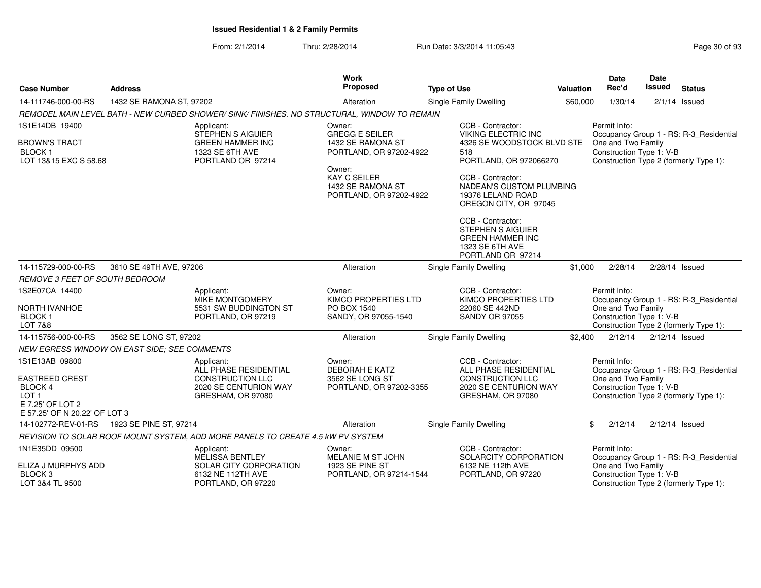| <b>Case Number</b>                                                                                               | <b>Address</b>                                      |                                                                                                              | <b>Work</b><br>Proposed                                                                                                                                          | <b>Type of Use</b>                                                                                                                                                                                                                                                                                                  | Valuation | Date<br>Rec'd                                                  | <b>Date</b><br><b>Issued</b> | <b>Status</b>                                                                     |
|------------------------------------------------------------------------------------------------------------------|-----------------------------------------------------|--------------------------------------------------------------------------------------------------------------|------------------------------------------------------------------------------------------------------------------------------------------------------------------|---------------------------------------------------------------------------------------------------------------------------------------------------------------------------------------------------------------------------------------------------------------------------------------------------------------------|-----------|----------------------------------------------------------------|------------------------------|-----------------------------------------------------------------------------------|
| 14-111746-000-00-RS                                                                                              | 1432 SE RAMONA ST, 97202                            |                                                                                                              | Alteration                                                                                                                                                       | Single Family Dwelling                                                                                                                                                                                                                                                                                              | \$60,000  | 1/30/14                                                        |                              | $2/1/14$ Issued                                                                   |
|                                                                                                                  |                                                     | REMODEL MAIN LEVEL BATH - NEW CURBED SHOWER/ SINK/ FINISHES. NO STRUCTURAL, WINDOW TO REMAIN                 |                                                                                                                                                                  |                                                                                                                                                                                                                                                                                                                     |           |                                                                |                              |                                                                                   |
| 1S1E14DB 19400<br><b>BROWN'S TRACT</b><br><b>BLOCK1</b><br>LOT 13&15 EXC S 58.68                                 |                                                     | Applicant:<br><b>STEPHEN S AIGUIER</b><br><b>GREEN HAMMER INC</b><br>1323 SE 6TH AVE<br>PORTLAND OR 97214    | Owner:<br><b>GREGG E SEILER</b><br>1432 SE RAMONA ST<br>PORTLAND, OR 97202-4922<br>Owner:<br><b>KAY C SEILER</b><br>1432 SE RAMONA ST<br>PORTLAND, OR 97202-4922 | CCB - Contractor:<br>VIKING ELECTRIC INC<br>4326 SE WOODSTOCK BLVD STE<br>518<br>PORTLAND, OR 972066270<br>CCB - Contractor:<br>NADEAN'S CUSTOM PLUMBING<br>19376 LELAND ROAD<br>OREGON CITY, OR 97045<br>CCB - Contractor:<br>STEPHEN S AIGUIER<br><b>GREEN HAMMER INC</b><br>1323 SE 6TH AVE<br>PORTLAND OR 97214 |           | Permit Info:<br>One and Two Family<br>Construction Type 1: V-B |                              | Occupancy Group 1 - RS: R-3_Residential<br>Construction Type 2 (formerly Type 1): |
| 14-115729-000-00-RS                                                                                              | 3610 SE 49TH AVE, 97206                             |                                                                                                              | Alteration                                                                                                                                                       | Single Family Dwelling                                                                                                                                                                                                                                                                                              | \$1,000   | 2/28/14                                                        | 2/28/14 Issued               |                                                                                   |
| <b>REMOVE 3 FEET OF SOUTH BEDROOM</b>                                                                            |                                                     |                                                                                                              |                                                                                                                                                                  |                                                                                                                                                                                                                                                                                                                     |           |                                                                |                              |                                                                                   |
| 1S2E07CA 14400<br>NORTH IVANHOE<br><b>BLOCK1</b><br><b>LOT 7&amp;8</b>                                           |                                                     | Applicant:<br><b>MIKE MONTGOMERY</b><br>5531 SW BUDDINGTON ST<br>PORTLAND, OR 97219                          | Owner:<br><b>KIMCO PROPERTIES LTD</b><br>PO BOX 1540<br>SANDY, OR 97055-1540                                                                                     | CCB - Contractor:<br>KIMCO PROPERTIES LTD<br>22060 SE 442ND<br><b>SANDY OR 97055</b>                                                                                                                                                                                                                                |           | Permit Info:<br>One and Two Family<br>Construction Type 1: V-B |                              | Occupancy Group 1 - RS: R-3_Residential<br>Construction Type 2 (formerly Type 1): |
| 14-115756-000-00-RS                                                                                              | 3562 SE LONG ST, 97202                              |                                                                                                              | Alteration                                                                                                                                                       | Single Family Dwelling                                                                                                                                                                                                                                                                                              | \$2,400   | 2/12/14                                                        | $2/12/14$ Issued             |                                                                                   |
|                                                                                                                  | <b>NEW EGRESS WINDOW ON EAST SIDE: SEE COMMENTS</b> |                                                                                                              |                                                                                                                                                                  |                                                                                                                                                                                                                                                                                                                     |           |                                                                |                              |                                                                                   |
| 1S1E13AB 09800<br><b>EASTREED CREST</b><br>BLOCK 4<br>LOT 1<br>E 7.25' OF LOT 2<br>E 57.25' OF N 20.22' OF LOT 3 |                                                     | Applicant:<br>ALL PHASE RESIDENTIAL<br><b>CONSTRUCTION LLC</b><br>2020 SE CENTURION WAY<br>GRESHAM, OR 97080 | Owner:<br>DEBORAH E KATZ<br>3562 SE LONG ST<br>PORTLAND, OR 97202-3355                                                                                           | CCB - Contractor:<br>ALL PHASE RESIDENTIAL<br><b>CONSTRUCTION LLC</b><br>2020 SE CENTURION WAY<br>GRESHAM, OR 97080                                                                                                                                                                                                 |           | Permit Info:<br>One and Two Family<br>Construction Type 1: V-B |                              | Occupancy Group 1 - RS: R-3_Residential<br>Construction Type 2 (formerly Type 1): |
| 14-102772-REV-01-RS                                                                                              | 1923 SE PINE ST, 97214                              |                                                                                                              | Alteration                                                                                                                                                       | Single Family Dwelling                                                                                                                                                                                                                                                                                              |           | \$<br>2/12/14                                                  | $2/12/14$ Issued             |                                                                                   |
|                                                                                                                  |                                                     | REVISION TO SOLAR ROOF MOUNT SYSTEM, ADD MORE PANELS TO CREATE 4.5 KW PV SYSTEM                              |                                                                                                                                                                  |                                                                                                                                                                                                                                                                                                                     |           |                                                                |                              |                                                                                   |
| 1N1E35DD 09500<br>ELIZA J MURPHYS ADD<br>BLOCK <sub>3</sub><br>LOT 3&4 TL 9500                                   |                                                     | Applicant:<br><b>MELISSA BENTLEY</b><br>SOLAR CITY CORPORATION<br>6132 NE 112TH AVE<br>PORTLAND, OR 97220    | Owner:<br>MELANIE M ST JOHN<br>1923 SE PINE ST<br>PORTLAND, OR 97214-1544                                                                                        | CCB - Contractor:<br>SOLARCITY CORPORATION<br>6132 NE 112th AVE<br>PORTLAND, OR 97220                                                                                                                                                                                                                               |           | Permit Info:<br>One and Two Family<br>Construction Type 1: V-B |                              | Occupancy Group 1 - RS: R-3_Residential<br>Construction Type 2 (formerly Type 1): |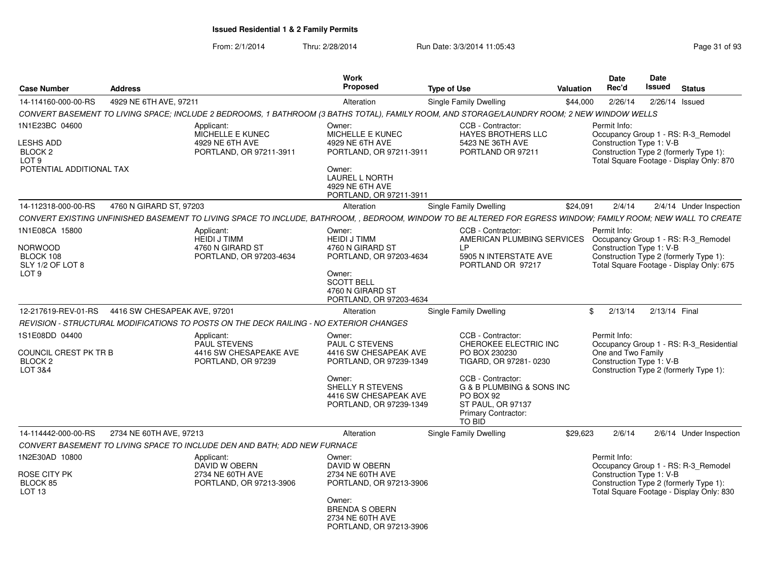| <b>Case Number</b>                                                                                       | <b>Address</b>               |                                                                                        | Work<br>Proposed                                                                                                                                                             | <b>Type of Use</b>                                                                                                                                                                                                             | <b>Valuation</b> | <b>Date</b><br>Rec'd                                           | Date<br>Issued   | <b>Status</b>                                                                                                             |
|----------------------------------------------------------------------------------------------------------|------------------------------|----------------------------------------------------------------------------------------|------------------------------------------------------------------------------------------------------------------------------------------------------------------------------|--------------------------------------------------------------------------------------------------------------------------------------------------------------------------------------------------------------------------------|------------------|----------------------------------------------------------------|------------------|---------------------------------------------------------------------------------------------------------------------------|
| 14-114160-000-00-RS                                                                                      | 4929 NE 6TH AVE, 97211       |                                                                                        | Alteration                                                                                                                                                                   | Single Family Dwelling                                                                                                                                                                                                         | \$44,000         | 2/26/14                                                        | $2/26/14$ Issued |                                                                                                                           |
|                                                                                                          |                              |                                                                                        |                                                                                                                                                                              | CONVERT BASEMENT TO LIVING SPACE; INCLUDE 2 BEDROOMS, 1 BATHROOM (3 BATHS TOTAL), FAMILY ROOM, AND STORAGE/LAUNDRY ROOM; 2 NEW WINDOW WELLS                                                                                    |                  |                                                                |                  |                                                                                                                           |
| 1N1E23BC 04600<br><b>LESHS ADD</b><br>BLOCK <sub>2</sub><br>LOT <sub>9</sub><br>POTENTIAL ADDITIONAL TAX |                              | Applicant:<br>MICHELLE E KUNEC<br>4929 NE 6TH AVE<br>PORTLAND, OR 97211-3911           | Owner:<br>MICHELLE E KUNEC<br>4929 NE 6TH AVE<br>PORTLAND, OR 97211-3911<br>Owner:<br>LAUREL L NORTH<br>4929 NE 6TH AVE<br>PORTLAND, OR 97211-3911                           | CCB - Contractor:<br>HAYES BROTHERS LLC<br>5423 NE 36TH AVE<br>PORTLAND OR 97211                                                                                                                                               |                  | Permit Info:<br>Construction Type 1: V-B                       |                  | Occupancy Group 1 - RS: R-3_Remodel<br>Construction Type 2 (formerly Type 1):<br>Total Square Footage - Display Only: 870 |
| 14-112318-000-00-RS                                                                                      | 4760 N GIRARD ST, 97203      |                                                                                        | Alteration                                                                                                                                                                   | <b>Single Family Dwelling</b>                                                                                                                                                                                                  | \$24,091         | 2/4/14                                                         |                  | 2/4/14 Under Inspection                                                                                                   |
|                                                                                                          |                              |                                                                                        |                                                                                                                                                                              | CONVERT EXISTING UNFINISHED BASEMENT TO LIVING SPACE TO INCLUDE, BATHROOM, , BEDROOM, WINDOW TO BE ALTERED FOR EGRESS WINDOW; FAMILY ROOM; NEW WALL TO CREATE                                                                  |                  |                                                                |                  |                                                                                                                           |
| 1N1E08CA 15800<br>Norwood<br>BLOCK 108<br>SLY 1/2 OF LOT 8<br>LOT <sub>9</sub>                           |                              | Applicant:<br><b>HEIDI J TIMM</b><br>4760 N GIRARD ST<br>PORTLAND, OR 97203-4634       | Owner:<br><b>HEIDI J TIMM</b><br>4760 N GIRARD ST<br>PORTLAND, OR 97203-4634<br>Owner:<br><b>SCOTT BELL</b><br>4760 N GIRARD ST<br>PORTLAND, OR 97203-4634                   | CCB - Contractor:<br>AMERICAN PLUMBING SERVICES Occupancy Group 1 - RS: R-3_Remodel<br>I P<br>5905 N INTERSTATE AVE<br>PORTLAND OR 97217                                                                                       |                  | Permit Info:<br>Construction Type 1: V-B                       |                  | Construction Type 2 (formerly Type 1):<br>Total Square Footage - Display Only: 675                                        |
| 12-217619-REV-01-RS                                                                                      | 4416 SW CHESAPEAK AVE, 97201 |                                                                                        | Alteration                                                                                                                                                                   | <b>Single Family Dwelling</b>                                                                                                                                                                                                  |                  | 2/13/14<br>\$                                                  | 2/13/14 Final    |                                                                                                                           |
|                                                                                                          |                              | REVISION - STRUCTURAL MODIFICATIONS TO POSTS ON THE DECK RAILING - NO EXTERIOR CHANGES |                                                                                                                                                                              |                                                                                                                                                                                                                                |                  |                                                                |                  |                                                                                                                           |
| 1S1E08DD 04400<br>COUNCIL CREST PK TR B<br>BLOCK 2<br>LOT 3&4                                            |                              | Applicant:<br><b>PAUL STEVENS</b><br>4416 SW CHESAPEAKE AVE<br>PORTLAND, OR 97239      | Owner:<br><b>PAUL C STEVENS</b><br>4416 SW CHESAPEAK AVE<br>PORTLAND, OR 97239-1349<br>Owner:<br><b>SHELLY R STEVENS</b><br>4416 SW CHESAPEAK AVE<br>PORTLAND, OR 97239-1349 | CCB - Contractor:<br>CHEROKEE ELECTRIC INC<br>PO BOX 230230<br>TIGARD, OR 97281-0230<br>CCB - Contractor:<br>G & B PLUMBING & SONS INC<br>PO BOX 92<br><b>ST PAUL, OR 97137</b><br><b>Primary Contractor:</b><br><b>TO BID</b> |                  | Permit Info:<br>One and Two Family<br>Construction Type 1: V-B |                  | Occupancy Group 1 - RS: R-3 Residential<br>Construction Type 2 (formerly Type 1):                                         |
| 14-114442-000-00-RS                                                                                      | 2734 NE 60TH AVE, 97213      |                                                                                        | Alteration                                                                                                                                                                   | <b>Single Family Dwelling</b>                                                                                                                                                                                                  | \$29,623         | 2/6/14                                                         |                  | 2/6/14 Under Inspection                                                                                                   |
|                                                                                                          |                              | CONVERT BASEMENT TO LIVING SPACE TO INCLUDE DEN AND BATH: ADD NEW FURNACE              |                                                                                                                                                                              |                                                                                                                                                                                                                                |                  |                                                                |                  |                                                                                                                           |
| 1N2E30AD 10800<br>ROSE CITY PK<br>BLOCK 85<br>LOT <sub>13</sub>                                          |                              | Applicant:<br>DAVID W OBERN<br>2734 NE 60TH AVE<br>PORTLAND, OR 97213-3906             | Owner:<br>DAVID W OBERN<br>2734 NE 60TH AVE<br>PORTLAND, OR 97213-3906<br>Owner:<br><b>BRENDA S OBERN</b><br>2734 NE 60TH AVE<br>PORTLAND, OR 97213-3906                     |                                                                                                                                                                                                                                |                  | Permit Info:<br>Construction Type 1: V-B                       |                  | Occupancy Group 1 - RS: R-3_Remodel<br>Construction Type 2 (formerly Type 1):<br>Total Square Footage - Display Only: 830 |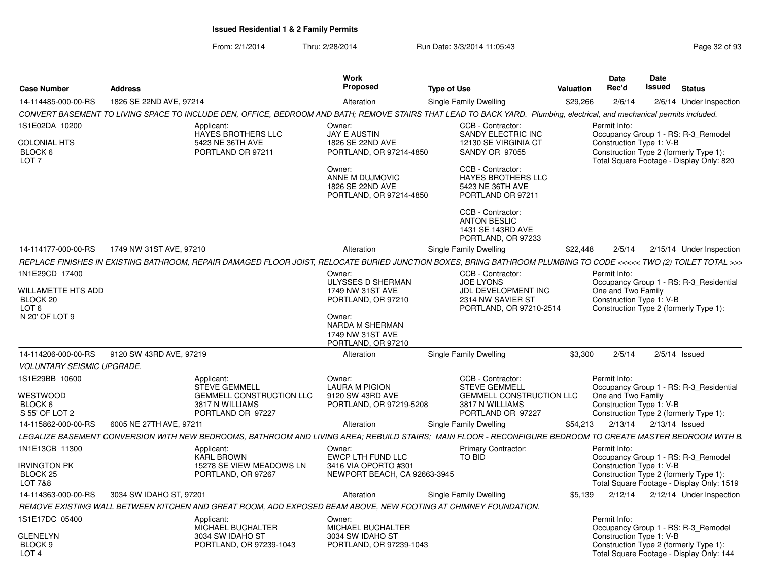| <b>Case Number</b>                                        | <b>Address</b>          |                                                                                                                                                                         | Work<br><b>Proposed</b>                                                  | <b>Type of Use</b>                                                                      | Valuation | Date<br>Rec'd                                  | Date<br><b>Issued</b> | <b>Status</b>                                                                       |
|-----------------------------------------------------------|-------------------------|-------------------------------------------------------------------------------------------------------------------------------------------------------------------------|--------------------------------------------------------------------------|-----------------------------------------------------------------------------------------|-----------|------------------------------------------------|-----------------------|-------------------------------------------------------------------------------------|
| 1826 SE 22ND AVE, 97214<br>14-114485-000-00-RS            |                         |                                                                                                                                                                         | Alteration                                                               | Single Family Dwelling                                                                  | \$29,266  | 2/6/14                                         |                       | 2/6/14 Under Inspection                                                             |
|                                                           |                         | CONVERT BASEMENT TO LIVING SPACE TO INCLUDE DEN, OFFICE, BEDROOM AND BATH; REMOVE STAIRS THAT LEAD TO BACK YARD. Plumbing, electrical, and mechanical permits included. |                                                                          |                                                                                         |           |                                                |                       |                                                                                     |
| 1S1E02DA 10200                                            |                         | Applicant:<br>HAYES BROTHERS LLC                                                                                                                                        | Owner:<br><b>JAY E AUSTIN</b>                                            | CCB - Contractor:<br>SANDY ELECTRIC INC                                                 |           | Permit Info:                                   |                       | Occupancy Group 1 - RS: R-3_Remodel                                                 |
| <b>COLONIAL HTS</b><br>BLOCK 6<br>LOT <sub>7</sub>        |                         | 5423 NE 36TH AVE<br>PORTLAND OR 97211                                                                                                                                   | 1826 SE 22ND AVE<br>PORTLAND, OR 97214-4850                              | 12130 SE VIRGINIA CT<br><b>SANDY OR 97055</b>                                           |           | Construction Type 1: V-B                       |                       | Construction Type 2 (formerly Type 1):<br>Total Square Footage - Display Only: 820  |
|                                                           |                         |                                                                                                                                                                         | Owner:<br>ANNE M DUJMOVIC<br>1826 SE 22ND AVE<br>PORTLAND, OR 97214-4850 | CCB - Contractor:<br><b>HAYES BROTHERS LLC</b><br>5423 NE 36TH AVE<br>PORTLAND OR 97211 |           |                                                |                       |                                                                                     |
|                                                           |                         |                                                                                                                                                                         |                                                                          | CCB - Contractor:<br><b>ANTON BESLIC</b><br>1431 SE 143RD AVE<br>PORTLAND, OR 97233     |           |                                                |                       |                                                                                     |
| 14-114177-000-00-RS                                       | 1749 NW 31ST AVE, 97210 |                                                                                                                                                                         | Alteration                                                               | Single Family Dwelling                                                                  | \$22,448  | 2/5/14                                         |                       | 2/15/14 Under Inspection                                                            |
|                                                           |                         | REPLACE FINISHES IN EXISTING BATHROOM, REPAIR DAMAGED FLOOR JOIST, RELOCATE BURIED JUNCTION BOXES, BRING BATHROOM PLUMBING TO CODE <<<<< TWO (2) TOILET TOTAL >>>       |                                                                          |                                                                                         |           |                                                |                       |                                                                                     |
| 1N1E29CD 17400                                            |                         |                                                                                                                                                                         | Owner:                                                                   | CCB - Contractor:                                                                       |           | Permit Info:                                   |                       |                                                                                     |
|                                                           |                         |                                                                                                                                                                         | ULYSSES D SHERMAN                                                        | <b>JOE LYONS</b>                                                                        |           | One and Two Family                             |                       | Occupancy Group 1 - RS: R-3_Residential                                             |
| <b>WILLAMETTE HTS ADD</b><br>BLOCK 20                     |                         |                                                                                                                                                                         | 1749 NW 31ST AVE<br>PORTLAND, OR 97210                                   | JDL DEVELOPMENT INC<br>2314 NW SAVIER ST                                                |           | Construction Type 1: V-B                       |                       |                                                                                     |
| LOT 6                                                     |                         |                                                                                                                                                                         |                                                                          | PORTLAND, OR 97210-2514                                                                 |           |                                                |                       | Construction Type 2 (formerly Type 1):                                              |
| N 20' OF LOT 9                                            |                         |                                                                                                                                                                         | Owner:<br>NARDA M SHERMAN<br>1749 NW 31ST AVE<br>PORTLAND, OR 97210      |                                                                                         |           |                                                |                       |                                                                                     |
| 14-114206-000-00-RS                                       | 9120 SW 43RD AVE, 97219 |                                                                                                                                                                         | Alteration                                                               | Single Family Dwelling                                                                  | \$3,300   | 2/5/14                                         |                       | $2/5/14$ Issued                                                                     |
| <i>VOLUNTARY SEISMIC UPGRADE.</i>                         |                         |                                                                                                                                                                         |                                                                          |                                                                                         |           |                                                |                       |                                                                                     |
| 1S1E29BB 10600                                            |                         | Applicant:<br><b>STEVE GEMMELL</b>                                                                                                                                      | Owner:<br><b>LAURA M PIGION</b>                                          | CCB - Contractor:<br><b>STEVE GEMMELL</b>                                               |           | Permit Info:                                   |                       | Occupancy Group 1 - RS: R-3 Residential                                             |
| WESTWOOD<br>BLOCK 6<br>S 55' OF LOT 2                     |                         | GEMMELL CONSTRUCTION LLC<br>3817 N WILLIAMS<br>PORTLAND OR 97227                                                                                                        | 9120 SW 43RD AVE<br>PORTLAND, OR 97219-5208                              | GEMMELL CONSTRUCTION LLC<br>3817 N WILLIAMS<br>PORTLAND OR 97227                        |           | One and Two Family<br>Construction Type 1: V-B |                       | Construction Type 2 (formerly Type 1):                                              |
| 14-115862-000-00-RS                                       | 6005 NE 27TH AVE, 97211 |                                                                                                                                                                         | Alteration                                                               | Single Family Dwelling                                                                  | \$54,213  | 2/13/14                                        |                       | $2/13/14$ Issued                                                                    |
|                                                           |                         | LEGALIZE BASEMENT CONVERSION WITH NEW BEDROOMS, BATHROOM AND LIVING AREA; REBUILD STAIRS; MAIN FLOOR - RECONFIGURE BEDROOM TO CREATE MASTER BEDROOM WITH B              |                                                                          |                                                                                         |           |                                                |                       |                                                                                     |
| 1N1E13CB 11300                                            |                         | Applicant:<br><b>KARL BROWN</b>                                                                                                                                         | Owner:<br>EWCP LTH FUND LLC                                              | Primary Contractor:<br>TO BID                                                           |           | Permit Info:                                   |                       | Occupancy Group 1 - RS: R-3_Remodel                                                 |
| Irvington PK<br>BLOCK <sub>25</sub><br>LOT 7&8            |                         | 15278 SE VIEW MEADOWS LN<br>PORTLAND, OR 97267                                                                                                                          | 3416 VIA OPORTO #301<br>NEWPORT BEACH, CA 92663-3945                     |                                                                                         |           | Construction Type 1: V-B                       |                       | Construction Type 2 (formerly Type 1):<br>Total Square Footage - Display Only: 1519 |
| 14-114363-000-00-RS                                       | 3034 SW IDAHO ST, 97201 |                                                                                                                                                                         | Alteration                                                               | Single Family Dwelling                                                                  | \$5,139   | 2/12/14                                        |                       | 2/12/14 Under Inspection                                                            |
|                                                           |                         | REMOVE EXISTING WALL BETWEEN KITCHEN AND GREAT ROOM. ADD EXPOSED BEAM ABOVE. NEW FOOTING AT CHIMNEY FOUNDATION.                                                         |                                                                          |                                                                                         |           |                                                |                       |                                                                                     |
| 1S1E17DC 05400                                            |                         | Applicant:<br>MICHAEL BUCHALTER                                                                                                                                         | Owner:<br>MICHAEL BUCHALTER                                              |                                                                                         |           | Permit Info:                                   |                       | Occupancy Group 1 - RS: R-3 Remodel                                                 |
| <b>GLENELYN</b><br>BLOCK <sub>9</sub><br>LOT <sub>4</sub> |                         | 3034 SW IDAHO ST<br>PORTLAND, OR 97239-1043                                                                                                                             | 3034 SW IDAHO ST<br>PORTLAND, OR 97239-1043                              |                                                                                         |           | Construction Type 1: V-B                       |                       | Construction Type 2 (formerly Type 1):<br>Total Square Footage - Display Only: 144  |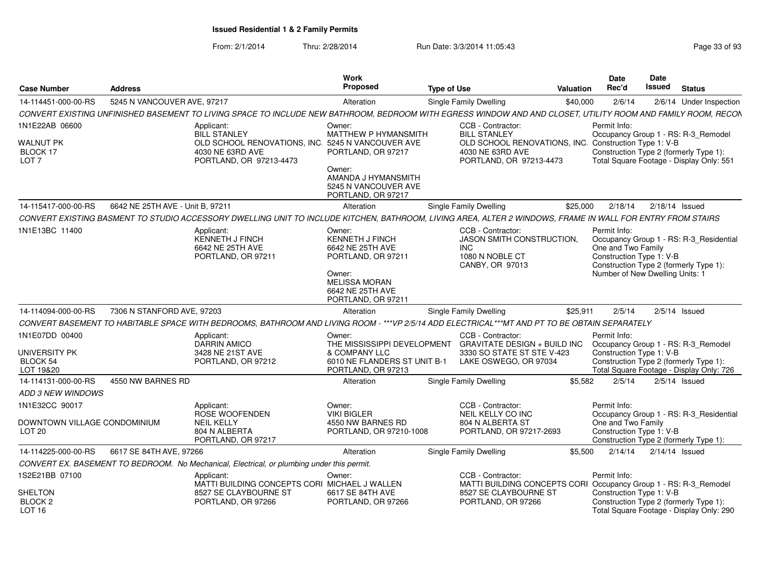| <b>Case Number</b>                                              | <b>Address</b>                   |                                                                                                                                                              | Work<br><b>Proposed</b>                                                                                                                                | <b>Type of Use</b> |                                                                                                           | <b>Valuation</b> | <b>Date</b><br>Rec'd                                                                              | Date<br><b>Issued</b> | <b>Status</b>                                                                                                             |
|-----------------------------------------------------------------|----------------------------------|--------------------------------------------------------------------------------------------------------------------------------------------------------------|--------------------------------------------------------------------------------------------------------------------------------------------------------|--------------------|-----------------------------------------------------------------------------------------------------------|------------------|---------------------------------------------------------------------------------------------------|-----------------------|---------------------------------------------------------------------------------------------------------------------------|
| 14-114451-000-00-RS                                             | 5245 N VANCOUVER AVE, 97217      |                                                                                                                                                              | Alteration                                                                                                                                             |                    | <b>Single Family Dwelling</b>                                                                             | \$40,000         | 2/6/14                                                                                            |                       | 2/6/14 Under Inspection                                                                                                   |
|                                                                 |                                  | CONVERT EXISTING UNFINISHED BASEMENT TO LIVING SPACE TO INCLUDE NEW BATHROOM, BEDROOM WITH EGRESS WINDOW AND AND CLOSET, UTILITY ROOM AND FAMILY ROOM, RECON |                                                                                                                                                        |                    |                                                                                                           |                  |                                                                                                   |                       |                                                                                                                           |
| 1N1E22AB 06600                                                  |                                  | Applicant:<br><b>BILL STANLEY</b>                                                                                                                            | Owner:<br><b>MATTHEW P HYMANSMITH</b>                                                                                                                  |                    | CCB - Contractor:<br><b>BILL STANLEY</b>                                                                  |                  | Permit Info:                                                                                      |                       | Occupancy Group 1 - RS: R-3_Remodel                                                                                       |
| WALNUT PK<br>BLOCK 17<br>LOT <sub>7</sub>                       |                                  | OLD SCHOOL RENOVATIONS, INC.<br>4030 NE 63RD AVE<br>PORTLAND, OR 97213-4473                                                                                  | 5245 N VANCOUVER AVE<br>PORTLAND, OR 97217<br>Owner:<br>AMANDA J HYMANSMITH<br>5245 N VANCOUVER AVE<br>PORTLAND, OR 97217                              |                    | OLD SCHOOL RENOVATIONS, INC. Construction Type 1: V-B<br>4030 NE 63RD AVE<br>PORTLAND, OR 97213-4473      |                  |                                                                                                   |                       | Construction Type 2 (formerly Type 1):<br>Total Square Footage - Display Only: 551                                        |
| 14-115417-000-00-RS                                             | 6642 NE 25TH AVE - Unit B, 97211 |                                                                                                                                                              | Alteration                                                                                                                                             |                    | Single Family Dwelling                                                                                    | \$25,000         | 2/18/14                                                                                           |                       | $2/18/14$ Issued                                                                                                          |
|                                                                 |                                  | CONVERT EXISTING BASMENT TO STUDIO ACCESSORY DWELLING UNIT TO INCLUDE KITCHEN. BATHROOM, LIVING AREA, ALTER 2 WINDOWS, FRAME IN WALL FOR ENTRY FROM STAIRS   |                                                                                                                                                        |                    |                                                                                                           |                  |                                                                                                   |                       |                                                                                                                           |
| 1N1E13BC 11400                                                  |                                  | Applicant:<br>KENNETH J FINCH<br>6642 NE 25TH AVE<br>PORTLAND, OR 97211                                                                                      | Owner:<br><b>KENNETH J FINCH</b><br>6642 NE 25TH AVE<br>PORTLAND, OR 97211<br>Owner:<br><b>MELISSA MORAN</b><br>6642 NE 25TH AVE<br>PORTLAND, OR 97211 |                    | CCB - Contractor:<br><b>JASON SMITH CONSTRUCTION.</b><br><b>INC</b><br>1080 N NOBLE CT<br>CANBY, OR 97013 |                  | Permit Info:<br>One and Two Family<br>Construction Type 1: V-B<br>Number of New Dwelling Units: 1 |                       | Occupancy Group 1 - RS: R-3_Residential<br>Construction Type 2 (formerly Type 1):                                         |
| 14-114094-000-00-RS                                             | 7306 N STANFORD AVE, 97203       |                                                                                                                                                              | Alteration                                                                                                                                             |                    | <b>Single Family Dwelling</b>                                                                             | \$25,911         | 2/5/14                                                                                            |                       | $2/5/14$ Issued                                                                                                           |
|                                                                 |                                  | CONVERT BASEMENT TO HABITABLE SPACE WITH BEDROOMS, BATHROOM AND LIVING ROOM - ***VP 2/5/14 ADD ELECTRICAL***MT AND PT TO BE OBTAIN SEPARATELY                |                                                                                                                                                        |                    |                                                                                                           |                  |                                                                                                   |                       |                                                                                                                           |
| 1N1E07DD 00400<br>UNIVERSITY PK<br><b>BLOCK 54</b><br>LOT 19&20 |                                  | Applicant:<br><b>DARRIN AMICO</b><br>3428 NE 21ST AVE<br>PORTLAND, OR 97212                                                                                  | Owner:<br>THE MISSISSIPPI DEVELOPMENT<br>& COMPANY LLC<br>6010 NE FLANDERS ST UNIT B-1<br>PORTLAND, OR 97213                                           |                    | CCB - Contractor:<br>GRAVITATE DESIGN + BUILD INC<br>3330 SO STATE ST STE V-423<br>LAKE OSWEGO, OR 97034  |                  | Permit Info:<br>Construction Type 1: V-B                                                          |                       | Occupancy Group 1 - RS: R-3 Remodel<br>Construction Type 2 (formerly Type 1):<br>Total Square Footage - Display Only: 726 |
| 14-114131-000-00-RS                                             | 4550 NW BARNES RD                |                                                                                                                                                              | Alteration                                                                                                                                             |                    | Single Family Dwelling                                                                                    | \$5,582          | 2/5/14                                                                                            |                       | $2/5/14$ Issued                                                                                                           |
| ADD 3 NEW WINDOWS                                               |                                  |                                                                                                                                                              |                                                                                                                                                        |                    |                                                                                                           |                  |                                                                                                   |                       |                                                                                                                           |
| 1N1E32CC 90017                                                  |                                  | Applicant:<br>ROSE WOOFENDEN                                                                                                                                 | Owner:<br><b>VIKI BIGLER</b>                                                                                                                           |                    | CCB - Contractor:<br>NEIL KELLY CO INC                                                                    |                  | Permit Info:                                                                                      |                       | Occupancy Group 1 - RS: R-3_Residential                                                                                   |
| DOWNTOWN VILLAGE CONDOMINIUM<br>LOT <sub>20</sub>               |                                  | <b>NEIL KELLY</b><br>804 N ALBERTA<br>PORTLAND, OR 97217                                                                                                     | 4550 NW BARNES RD<br>PORTLAND, OR 97210-1008                                                                                                           |                    | 804 N ALBERTA ST<br>PORTLAND, OR 97217-2693                                                               |                  | One and Two Family<br>Construction Type 1: V-B                                                    |                       | Construction Type 2 (formerly Type 1):                                                                                    |
| 14-114225-000-00-RS                                             | 6617 SE 84TH AVE, 97266          |                                                                                                                                                              | Alteration                                                                                                                                             |                    | <b>Single Family Dwelling</b>                                                                             | \$5,500          | 2/14/14                                                                                           |                       | $2/14/14$ Issued                                                                                                          |
|                                                                 |                                  | CONVERT EX. BASEMENT TO BEDROOM. No Mechanical, Electrical, or plumbing under this permit.                                                                   |                                                                                                                                                        |                    |                                                                                                           |                  |                                                                                                   |                       |                                                                                                                           |
| 1S2E21BB 07100                                                  |                                  | Applicant:<br>MATTI BUILDING CONCEPTS CORI MICHAEL J WALLEN                                                                                                  | Owner:                                                                                                                                                 |                    | CCB - Contractor:<br>MATTI BUILDING CONCEPTS CORI Occupancy Group 1 - RS: R-3_Remodel                     |                  | Permit Info:                                                                                      |                       |                                                                                                                           |
| <b>SHELTON</b><br>BLOCK <sub>2</sub><br><b>LOT 16</b>           |                                  | 8527 SE CLAYBOURNE ST<br>PORTLAND, OR 97266                                                                                                                  | 6617 SE 84TH AVE<br>PORTLAND, OR 97266                                                                                                                 |                    | 8527 SE CLAYBOURNE ST<br>PORTLAND, OR 97266                                                               |                  | Construction Type 1: V-B                                                                          |                       | Construction Type 2 (formerly Type 1):<br>Total Square Footage - Display Only: 290                                        |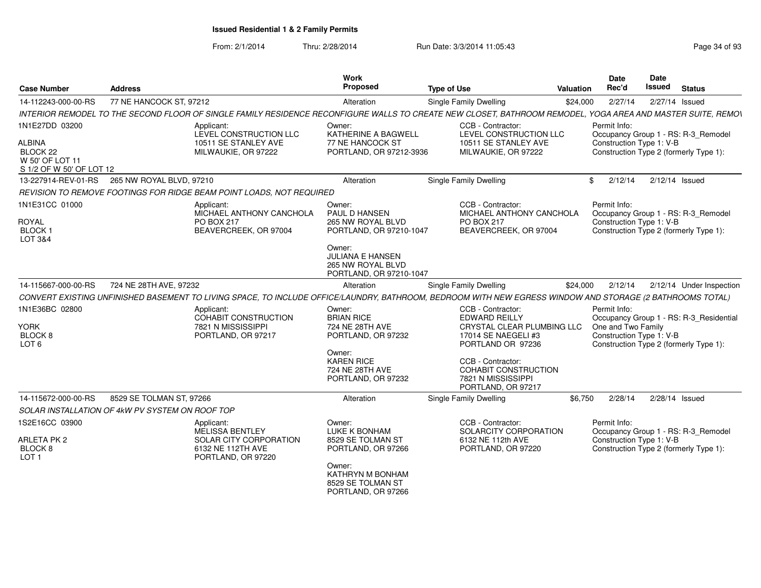| <b>Case Number</b>                                                | <b>Address</b>           |                                                                                                                                                             | <b>Work</b><br>Proposed                                                                    | <b>Type of Use</b>                                                                                                  | Valuation | <b>Date</b><br>Rec'd                                           | <b>Date</b><br>Issued | <b>Status</b>                                                                     |  |
|-------------------------------------------------------------------|--------------------------|-------------------------------------------------------------------------------------------------------------------------------------------------------------|--------------------------------------------------------------------------------------------|---------------------------------------------------------------------------------------------------------------------|-----------|----------------------------------------------------------------|-----------------------|-----------------------------------------------------------------------------------|--|
| 14-112243-000-00-RS                                               | 77 NE HANCOCK ST, 97212  |                                                                                                                                                             | Alteration                                                                                 | Single Family Dwelling                                                                                              | \$24,000  | 2/27/14                                                        |                       | 2/27/14 Issued                                                                    |  |
|                                                                   |                          | INTERIOR REMODEL TO THE SECOND FLOOR OF SINGLE FAMILY RESIDENCE RECONFIGURE WALLS TO CREATE NEW CLOSET, BATHROOM REMODEL, YOGA AREA AND MASTER SUITE, REMON |                                                                                            |                                                                                                                     |           |                                                                |                       |                                                                                   |  |
| 1N1E27DD 03200                                                    |                          | Applicant:<br>LEVEL CONSTRUCTION LLC                                                                                                                        | Owner:<br>KATHERINE A BAGWELL                                                              | CCB - Contractor:<br>LEVEL CONSTRUCTION LLC                                                                         |           | Permit Info:                                                   |                       | Occupancy Group 1 - RS: R-3_Remodel                                               |  |
| ALBINA<br>BLOCK 22<br>W 50' OF LOT 11<br>S 1/2 OF W 50' OF LOT 12 |                          | 10511 SE STANLEY AVE<br>MILWAUKIE, OR 97222                                                                                                                 | 77 NE HANCOCK ST<br>10511 SE STANLEY AVE<br>PORTLAND, OR 97212-3936<br>MILWAUKIE, OR 97222 |                                                                                                                     |           |                                                                |                       | Construction Type 1: V-B<br>Construction Type 2 (formerly Type 1):                |  |
| 13-227914-REV-01-RS                                               | 265 NW ROYAL BLVD, 97210 |                                                                                                                                                             | Alteration                                                                                 | Single Family Dwelling                                                                                              |           | 2/12/14<br>\$                                                  |                       | 2/12/14 Issued                                                                    |  |
|                                                                   |                          | REVISION TO REMOVE FOOTINGS FOR RIDGE BEAM POINT LOADS, NOT REQUIRED                                                                                        |                                                                                            |                                                                                                                     |           |                                                                |                       |                                                                                   |  |
| 1N1E31CC 01000<br><b>ROYAL</b>                                    |                          | Applicant:<br>MICHAEL ANTHONY CANCHOLA<br>PO BOX 217                                                                                                        | Owner:<br>PAUL D HANSEN<br>265 NW ROYAL BLVD                                               | CCB - Contractor:<br>MICHAEL ANTHONY CANCHOLA<br><b>PO BOX 217</b>                                                  |           | Permit Info:<br>Construction Type 1: V-B                       |                       | Occupancy Group 1 - RS: R-3_Remodel                                               |  |
| BLOCK <sub>1</sub><br>LOT 3&4                                     |                          | BEAVERCREEK, OR 97004                                                                                                                                       | PORTLAND, OR 97210-1047                                                                    | BEAVERCREEK, OR 97004                                                                                               |           |                                                                |                       | Construction Type 2 (formerly Type 1):                                            |  |
|                                                                   |                          |                                                                                                                                                             | Owner:<br>JULIANA E HANSEN<br>265 NW ROYAL BLVD<br>PORTLAND, OR 97210-1047                 |                                                                                                                     |           |                                                                |                       |                                                                                   |  |
| 14-115667-000-00-RS                                               | 724 NE 28TH AVE, 97232   |                                                                                                                                                             | Alteration                                                                                 | Single Family Dwelling                                                                                              | \$24,000  | 2/12/14                                                        |                       | 2/12/14 Under Inspection                                                          |  |
|                                                                   |                          | CONVERT EXISTING UNFINISHED BASEMENT TO LIVING SPACE, TO INCLUDE OFFICE/LAUNDRY, BATHROOM, BEDROOM WITH NEW EGRESS WINDOW AND STORAGE (2 BATHROOMS TOTAL)   |                                                                                            |                                                                                                                     |           |                                                                |                       |                                                                                   |  |
| 1N1E36BC 02800<br>YORK<br>BLOCK <sub>8</sub><br>LOT <sub>6</sub>  |                          | Applicant:<br>COHABIT CONSTRUCTION<br>7821 N MISSISSIPPI<br>PORTLAND, OR 97217                                                                              | Owner:<br><b>BRIAN RICE</b><br>724 NE 28TH AVE<br>PORTLAND, OR 97232                       | CCB - Contractor:<br><b>EDWARD REILLY</b><br>CRYSTAL CLEAR PLUMBING LLC<br>17014 SE NAEGELI #3<br>PORTLAND OR 97236 |           | Permit Info:<br>One and Two Family<br>Construction Type 1: V-B |                       | Occupancy Group 1 - RS: R-3_Residential<br>Construction Type 2 (formerly Type 1): |  |
|                                                                   |                          |                                                                                                                                                             | Owner:<br><b>KAREN RICE</b><br>724 NE 28TH AVE<br>PORTLAND, OR 97232                       | CCB - Contractor:<br><b>COHABIT CONSTRUCTION</b><br>7821 N MISSISSIPPI<br>PORTLAND, OR 97217                        |           |                                                                |                       |                                                                                   |  |
| 14-115672-000-00-RS                                               | 8529 SE TOLMAN ST, 97266 |                                                                                                                                                             | Alteration                                                                                 | <b>Single Family Dwelling</b>                                                                                       | \$6,750   | 2/28/14                                                        |                       | 2/28/14 Issued                                                                    |  |
| SOLAR INSTALLATION OF 4kW PV SYSTEM ON ROOF TOP                   |                          |                                                                                                                                                             |                                                                                            |                                                                                                                     |           |                                                                |                       |                                                                                   |  |
| 1S2E16CC 03900                                                    |                          | Applicant:<br><b>MELISSA BENTLEY</b>                                                                                                                        | Owner:<br>LUKE K BONHAM                                                                    | CCB - Contractor:<br>SOLARCITY CORPORATION                                                                          |           | Permit Info:                                                   |                       | Occupancy Group 1 - RS: R-3 Remodel                                               |  |
| <b>ARLETA PK 2</b><br>BLOCK <sub>8</sub><br>LOT <sub>1</sub>      |                          | SOLAR CITY CORPORATION<br>6132 NE 112TH AVE<br>PORTLAND, OR 97220                                                                                           | 8529 SE TOLMAN ST<br>PORTLAND, OR 97266                                                    | 6132 NE 112th AVE<br>PORTLAND, OR 97220                                                                             |           | Construction Type 1: V-B                                       |                       | Construction Type 2 (formerly Type 1):                                            |  |
|                                                                   |                          |                                                                                                                                                             | Owner:<br>KATHRYN M BONHAM<br>8529 SE TOLMAN ST<br>PORTLAND, OR 97266                      |                                                                                                                     |           |                                                                |                       |                                                                                   |  |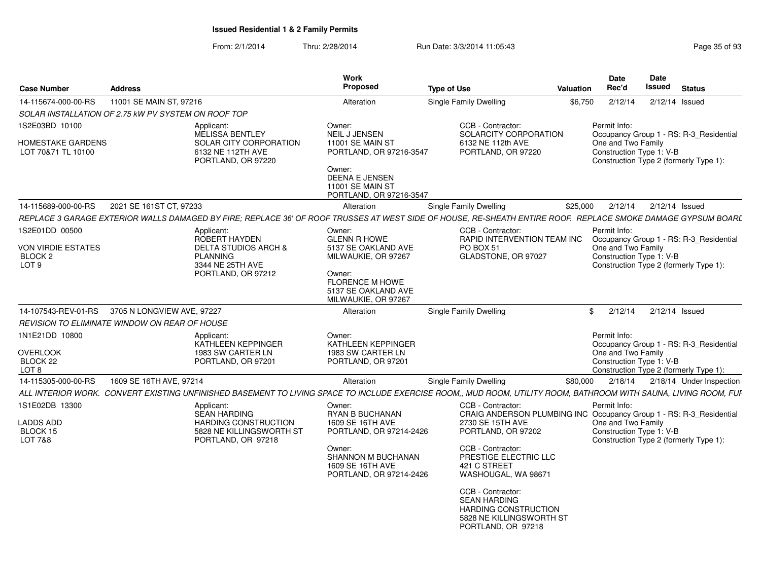| <b>Case Number</b>                                | <b>Address</b>                                      |                                                                                                                                                                   | Work<br><b>Proposed</b>                                                                                                                                      | <b>Type of Use</b>                                                                                                 | Valuation | Date<br>Rec'd                                  | <b>Date</b><br><b>Issued</b> | <b>Status</b>                                                                     |
|---------------------------------------------------|-----------------------------------------------------|-------------------------------------------------------------------------------------------------------------------------------------------------------------------|--------------------------------------------------------------------------------------------------------------------------------------------------------------|--------------------------------------------------------------------------------------------------------------------|-----------|------------------------------------------------|------------------------------|-----------------------------------------------------------------------------------|
| 14-115674-000-00-RS                               | 11001 SE MAIN ST, 97216                             |                                                                                                                                                                   | Alteration                                                                                                                                                   | <b>Single Family Dwelling</b>                                                                                      | \$6.750   | 2/12/14                                        |                              | $2/12/14$ Issued                                                                  |
|                                                   | SOLAR INSTALLATION OF 2.75 kW PV SYSTEM ON ROOF TOP |                                                                                                                                                                   |                                                                                                                                                              |                                                                                                                    |           |                                                |                              |                                                                                   |
| 1S2E03BD 10100                                    |                                                     | Applicant:                                                                                                                                                        | Owner:                                                                                                                                                       | CCB - Contractor:                                                                                                  |           | Permit Info:                                   |                              |                                                                                   |
| HOMESTAKE GARDENS<br>LOT 70&71 TL 10100           |                                                     | <b>MELISSA BENTLEY</b><br>SOLAR CITY CORPORATION<br>6132 NE 112TH AVE<br>PORTLAND, OR 97220                                                                       | <b>NEIL J JENSEN</b><br><b>11001 SE MAIN ST</b><br>PORTLAND, OR 97216-3547<br>Owner:<br>DEENA E JENSEN<br><b>11001 SE MAIN ST</b><br>PORTLAND, OR 97216-3547 | SOLARCITY CORPORATION<br>6132 NE 112th AVE<br>PORTLAND, OR 97220                                                   |           | One and Two Family<br>Construction Type 1: V-B |                              | Occupancy Group 1 - RS: R-3_Residential<br>Construction Type 2 (formerly Type 1): |
| 14-115689-000-00-RS                               | 2021 SE 161ST CT, 97233                             |                                                                                                                                                                   | Alteration                                                                                                                                                   | Single Family Dwelling                                                                                             | \$25,000  | 2/12/14                                        |                              | $2/12/14$ Issued                                                                  |
|                                                   |                                                     | REPLACE 3 GARAGE EXTERIOR WALLS DAMAGED BY FIRE; REPLACE 36' OF ROOF TRUSSES AT WEST SIDE OF HOUSE, RE-SHEATH ENTIRE ROOF. REPLACE SMOKE DAMAGE GYPSUM BOARL      |                                                                                                                                                              |                                                                                                                    |           |                                                |                              |                                                                                   |
| 1S2E01DD 00500                                    |                                                     | Applicant:                                                                                                                                                        | Owner:                                                                                                                                                       | CCB - Contractor:                                                                                                  |           | Permit Info:                                   |                              |                                                                                   |
| VON VIRDIE ESTATES<br>BLOCK 2<br>LOT <sub>9</sub> |                                                     | <b>ROBERT HAYDEN</b><br><b>DELTA STUDIOS ARCH &amp;</b><br><b>PLANNING</b><br>3344 NE 25TH AVE<br>PORTLAND, OR 97212                                              | <b>GLENN R HOWE</b><br>5137 SE OAKLAND AVE<br>MILWAUKIE, OR 97267<br>Owner:                                                                                  | RAPID INTERVENTION TEAM INC<br>PO BOX 51<br>GLADSTONE, OR 97027                                                    |           | One and Two Family<br>Construction Type 1: V-B |                              | Occupancy Group 1 - RS: R-3_Residential<br>Construction Type 2 (formerly Type 1): |
|                                                   |                                                     |                                                                                                                                                                   | <b>FLORENCE M HOWE</b><br>5137 SE OAKLAND AVE<br>MILWAUKIE, OR 97267                                                                                         |                                                                                                                    |           |                                                |                              |                                                                                   |
| 14-107543-REV-01-RS                               | 3705 N LONGVIEW AVE, 97227                          |                                                                                                                                                                   | Alteration                                                                                                                                                   | Single Family Dwelling                                                                                             |           | 2/12/14<br>\$                                  |                              | $2/12/14$ Issued                                                                  |
|                                                   | REVISION TO ELIMINATE WINDOW ON REAR OF HOUSE       |                                                                                                                                                                   |                                                                                                                                                              |                                                                                                                    |           |                                                |                              |                                                                                   |
| 1N1E21DD 10800                                    |                                                     | Applicant:<br>KATHLEEN KEPPINGER                                                                                                                                  | Owner:<br>KATHLEEN KEPPINGER                                                                                                                                 |                                                                                                                    |           | Permit Info:                                   |                              | Occupancy Group 1 - RS: R-3_Residential                                           |
| <b>OVERLOOK</b><br>BLOCK 22<br>LOT <sub>8</sub>   |                                                     | 1983 SW CARTER LN<br>PORTLAND, OR 97201                                                                                                                           | 1983 SW CARTER LN<br>PORTLAND, OR 97201                                                                                                                      |                                                                                                                    |           | One and Two Family<br>Construction Type 1: V-B |                              | Construction Type 2 (formerly Type 1):                                            |
| 14-115305-000-00-RS                               | 1609 SE 16TH AVE, 97214                             |                                                                                                                                                                   | Alteration                                                                                                                                                   | Single Family Dwelling                                                                                             | \$80,000  | 2/18/14                                        |                              | 2/18/14 Under Inspection                                                          |
|                                                   |                                                     | ALL INTERIOR WORK.  CONVERT EXISTING UNFINISHED BASEMENT TO LIVING SPACE TO INCLUDE EXERCISE ROOM., MUD ROOM, UTILITY ROOM, BATHROOM WITH SAUNA, LIVING ROOM, FUI |                                                                                                                                                              |                                                                                                                    |           |                                                |                              |                                                                                   |
| 1S1E02DB 13300                                    |                                                     | Applicant:                                                                                                                                                        | Owner:                                                                                                                                                       | CCB - Contractor:                                                                                                  |           | Permit Info:                                   |                              |                                                                                   |
| <b>LADDS ADD</b><br>BLOCK 15<br>LOT 7&8           |                                                     | <b>SEAN HARDING</b><br>HARDING CONSTRUCTION<br>5828 NE KILLINGSWORTH ST<br>PORTLAND, OR 97218                                                                     | <b>RYAN B BUCHANAN</b><br>1609 SE 16TH AVE<br>PORTLAND, OR 97214-2426                                                                                        | CRAIG ANDERSON PLUMBING INC Occupancy Group 1 - RS: R-3_Residential<br>2730 SE 15TH AVE<br>PORTLAND, OR 97202      |           | One and Two Family<br>Construction Type 1: V-B |                              | Construction Type 2 (formerly Type 1):                                            |
|                                                   |                                                     |                                                                                                                                                                   | Owner:<br><b>SHANNON M BUCHANAN</b><br>1609 SE 16TH AVE<br>PORTLAND, OR 97214-2426                                                                           | CCB - Contractor:<br>PRESTIGE ELECTRIC LLC<br>421 C STREET<br>WASHOUGAL, WA 98671                                  |           |                                                |                              |                                                                                   |
|                                                   |                                                     |                                                                                                                                                                   |                                                                                                                                                              | CCB - Contractor:<br><b>SEAN HARDING</b><br>HARDING CONSTRUCTION<br>5828 NE KILLINGSWORTH ST<br>PORTLAND, OR 97218 |           |                                                |                              |                                                                                   |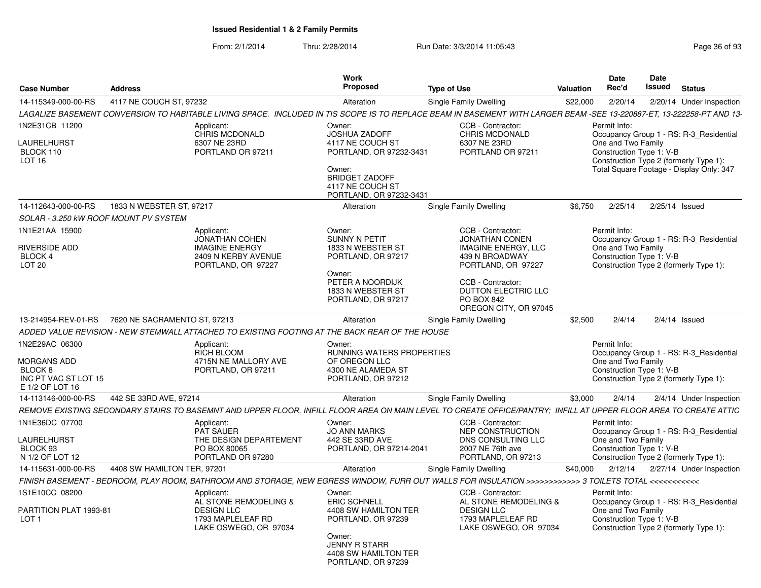| <b>Case Number</b><br><b>Address</b>                                                       |                                       |                                                                                                                                                                       | Work<br>Proposed                                                                                                                                                | <b>Type of Use</b>                                                                                                                                                         |          |                                                                | Date<br><b>Issued</b> | <b>Status</b>                                                                                                                 |
|--------------------------------------------------------------------------------------------|---------------------------------------|-----------------------------------------------------------------------------------------------------------------------------------------------------------------------|-----------------------------------------------------------------------------------------------------------------------------------------------------------------|----------------------------------------------------------------------------------------------------------------------------------------------------------------------------|----------|----------------------------------------------------------------|-----------------------|-------------------------------------------------------------------------------------------------------------------------------|
| 14-115349-000-00-RS                                                                        | 4117 NE COUCH ST, 97232               |                                                                                                                                                                       | Alteration                                                                                                                                                      | Single Family Dwelling                                                                                                                                                     | \$22,000 | 2/20/14                                                        |                       | 2/20/14 Under Inspection                                                                                                      |
|                                                                                            |                                       | LAGALIZE BASEMENT CONVERSION TO HABITABLE LIVING SPACE. INCLUDED IN TIS SCOPE IS TO REPLACE BEAM IN BASEMENT WITH LARGER BEAM -SEE 13-220887-ET, 13-222258-PT AND 13- |                                                                                                                                                                 |                                                                                                                                                                            |          |                                                                |                       |                                                                                                                               |
| 1N2E31CB 11200<br>LAURELHURST<br>BLOCK 110<br>LOT <sub>16</sub>                            |                                       | Applicant:<br>CHRIS MCDONALD<br>6307 NE 23RD<br>PORTLAND OR 97211                                                                                                     | Owner:<br><b>JOSHUA ZADOFF</b><br>4117 NE COUCH ST<br>PORTLAND, OR 97232-3431<br>Owner:<br><b>BRIDGET ZADOFF</b><br>4117 NE COUCH ST<br>PORTLAND, OR 97232-3431 | CCB - Contractor:<br>CHRIS MCDONALD<br>6307 NE 23RD<br>PORTLAND OR 97211                                                                                                   |          | Permit Info:<br>One and Two Family<br>Construction Type 1: V-B |                       | Occupancy Group 1 - RS: R-3_Residential<br>Construction Type 2 (formerly Type 1):<br>Total Square Footage - Display Only: 347 |
| 14-112643-000-00-RS                                                                        | 1833 N WEBSTER ST, 97217              |                                                                                                                                                                       | Alteration                                                                                                                                                      | Single Family Dwelling                                                                                                                                                     | \$6,750  | 2/25/14                                                        |                       | $2/25/14$ Issued                                                                                                              |
|                                                                                            | SOLAR - 3.250 KW ROOF MOUNT PV SYSTEM |                                                                                                                                                                       |                                                                                                                                                                 |                                                                                                                                                                            |          |                                                                |                       |                                                                                                                               |
| 1N1E21AA 15900<br>RIVERSIDE ADD<br><b>BLOCK 4</b><br>LOT <sub>20</sub>                     |                                       | Applicant:<br><b>JONATHAN COHEN</b><br><b>IMAGINE ENERGY</b><br>2409 N KERBY AVENUE<br>PORTLAND, OR 97227                                                             | Owner:<br><b>SUNNY N PETIT</b><br>1833 N WEBSTER ST<br>PORTLAND, OR 97217<br>Owner:<br>PETER A NOORDIJK<br>1833 N WEBSTER ST<br>PORTLAND, OR 97217              | CCB - Contractor:<br><b>JONATHAN CONEN</b><br><b>IMAGINE ENERGY, LLC</b><br>439 N BROADWAY<br>PORTLAND, OR 97227<br>CCB - Contractor:<br>DUTTON ELECTRIC LLC<br>PO BOX 842 |          | Permit Info:<br>One and Two Family<br>Construction Type 1: V-B |                       | Occupancy Group 1 - RS: R-3_Residential<br>Construction Type 2 (formerly Type 1):                                             |
|                                                                                            |                                       |                                                                                                                                                                       |                                                                                                                                                                 | OREGON CITY, OR 97045                                                                                                                                                      |          |                                                                |                       |                                                                                                                               |
| 13-214954-REV-01-RS                                                                        | 7620 NE SACRAMENTO ST, 97213          |                                                                                                                                                                       | Alteration                                                                                                                                                      | Single Family Dwelling                                                                                                                                                     | \$2,500  | 2/4/14                                                         |                       | $2/4/14$ Issued                                                                                                               |
|                                                                                            |                                       | ADDED VALUE REVISION - NEW STEMWALL ATTACHED TO EXISTING FOOTING AT THE BACK REAR OF THE HOUSE                                                                        |                                                                                                                                                                 |                                                                                                                                                                            |          |                                                                |                       |                                                                                                                               |
| 1N2E29AC 06300<br><b>MORGANS ADD</b><br>BLOCK 8<br>INC PT VAC ST LOT 15<br>E 1/2 OF LOT 16 |                                       | Applicant:<br>RICH BLOOM<br>4715N NE MALLORY AVE<br>PORTLAND, OR 97211                                                                                                | Owner:<br><b>RUNNING WATERS PROPERTIES</b><br>OF OREGON LLC<br>4300 NE ALAMEDA ST<br>PORTLAND, OR 97212                                                         |                                                                                                                                                                            |          | Permit Info:<br>One and Two Family<br>Construction Type 1: V-B |                       | Occupancy Group 1 - RS: R-3 Residential<br>Construction Type 2 (formerly Type 1):                                             |
| 14-113146-000-00-RS                                                                        | 442 SE 33RD AVE, 97214                |                                                                                                                                                                       | Alteration                                                                                                                                                      | Single Family Dwelling                                                                                                                                                     | \$3,000  | 2/4/14                                                         |                       | 2/4/14 Under Inspection                                                                                                       |
|                                                                                            |                                       | REMOVE EXISTING SECONDARY STAIRS TO BASEMNT AND UPPER FLOOR, INFILL FLOOR AREA ON MAIN LEVEL TO CREATE OFFICE/PANTRY; INFILL AT UPPER FLOOR AREA TO CREATE ATTIC      |                                                                                                                                                                 |                                                                                                                                                                            |          |                                                                |                       |                                                                                                                               |
| 1N1E36DC 07700<br>LAURELHURST<br>BLOCK 93<br>N 1/2 OF LOT 12                               |                                       | Applicant:<br><b>PAT SAUER</b><br>THE DESIGN DEPARTEMENT<br>PO BOX 80065<br>PORTLAND OR 97280                                                                         | Owner:<br><b>JO ANN MARKS</b><br>442 SE 33RD AVE<br>PORTLAND, OR 97214-2041                                                                                     | CCB - Contractor:<br>NEP CONSTRUCTION<br>DNS CONSULTING LLC<br>2007 NE 76th ave<br>PORTLAND, OR 97213                                                                      |          | Permit Info:<br>One and Two Family<br>Construction Type 1: V-B |                       | Occupancy Group 1 - RS: R-3_Residential<br>Construction Type 2 (formerly Type 1):                                             |
| 14-115631-000-00-RS                                                                        | 4408 SW HAMILTON TER, 97201           |                                                                                                                                                                       | Alteration                                                                                                                                                      | Single Family Dwelling                                                                                                                                                     | \$40,000 | 2/12/14                                                        |                       | 2/27/14 Under Inspection                                                                                                      |
|                                                                                            |                                       | FINISH BASEMENT - BEDROOM, PLAY ROOM, BATHROOM AND STORAGE, NEW EGRESS WINDOW, FURR OUT WALLS FOR INSULATION >>>>>>>>>>>> 3 TOILETS TOTAL <<<<<<<<<<<<<<              |                                                                                                                                                                 |                                                                                                                                                                            |          |                                                                |                       |                                                                                                                               |
| 1S1E10CC 08200<br>PARTITION PLAT 1993-81<br>LOT <sub>1</sub>                               |                                       | Applicant:<br>AL STONE REMODELING &<br><b>DESIGN LLC</b><br>1793 MAPLELEAF RD<br>LAKE OSWEGO, OR 97034                                                                | Owner:<br><b>ERIC SCHNELL</b><br>4408 SW HAMILTON TER<br>PORTLAND, OR 97239<br>Owner:<br><b>JENNY R STARR</b><br>4408 SW HAMILTON TER<br>PORTLAND, OR 97239     | CCB - Contractor:<br>AL STONE REMODELING &<br><b>DESIGN LLC</b><br>1793 MAPLELEAF RD<br>LAKE OSWEGO, OR 97034                                                              |          | Permit Info:<br>One and Two Family<br>Construction Type 1: V-B |                       | Occupancy Group 1 - RS: R-3 Residential<br>Construction Type 2 (formerly Type 1):                                             |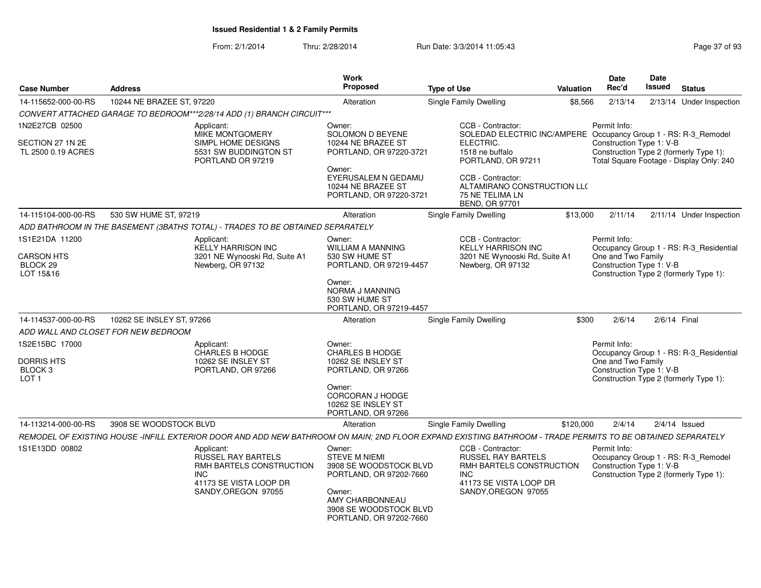| <b>Case Number</b>                                          | <b>Address</b>                      |                                                                                                                                                            | <b>Work</b><br><b>Proposed</b>                                                      | <b>Type of Use</b>                                                                                                 | <b>Valuation</b> | Date<br>Rec'd                                                                            | Date<br>Issued | <b>Status</b>                            |
|-------------------------------------------------------------|-------------------------------------|------------------------------------------------------------------------------------------------------------------------------------------------------------|-------------------------------------------------------------------------------------|--------------------------------------------------------------------------------------------------------------------|------------------|------------------------------------------------------------------------------------------|----------------|------------------------------------------|
| 14-115652-000-00-RS                                         | 10244 NE BRAZEE ST, 97220           |                                                                                                                                                            | Alteration                                                                          | Single Family Dwelling                                                                                             | \$8,566          | 2/13/14                                                                                  |                | 2/13/14 Under Inspection                 |
|                                                             |                                     | CONVERT ATTACHED GARAGE TO BEDROOM***2/28/14 ADD (1) BRANCH CIRCUIT***                                                                                     |                                                                                     |                                                                                                                    |                  |                                                                                          |                |                                          |
| 1N2E27CB 02500                                              |                                     | Applicant:<br>MIKE MONTGOMERY                                                                                                                              | Owner:<br><b>SOLOMON D BEYENE</b>                                                   | CCB - Contractor:<br>SOLEDAD ELECTRIC INC/AMPERE Occupancy Group 1 - RS: R-3_Remodel                               |                  | Permit Info:                                                                             |                |                                          |
| SECTION 27 1N 2E<br>TL 2500 0.19 ACRES                      |                                     | SIMPL HOME DESIGNS<br>5531 SW BUDDINGTON ST<br>PORTLAND OR 97219                                                                                           | 10244 NE BRAZEE ST<br>PORTLAND, OR 97220-3721                                       | ELECTRIC.<br>1518 ne buffalo<br>PORTLAND, OR 97211                                                                 |                  | Construction Type 1: V-B<br>Construction Type 2 (formerly Type 1):                       |                | Total Square Footage - Display Only: 240 |
|                                                             |                                     |                                                                                                                                                            | Owner:<br>EYERUSALEM N GEDAMU<br>10244 NE BRAZEE ST<br>PORTLAND, OR 97220-3721      | CCB - Contractor:<br>ALTAMIRANO CONSTRUCTION LL(<br>75 NE TELIMA LN<br>BEND, OR 97701                              |                  |                                                                                          |                |                                          |
| 14-115104-000-00-RS                                         | 530 SW HUME ST, 97219               |                                                                                                                                                            | Alteration                                                                          | Single Family Dwelling                                                                                             | \$13,000         | 2/11/14                                                                                  |                | 2/11/14 Under Inspection                 |
|                                                             |                                     | ADD BATHROOM IN THE BASEMENT (3BATHS TOTAL) - TRADES TO BE OBTAINED SEPARATELY                                                                             |                                                                                     |                                                                                                                    |                  |                                                                                          |                |                                          |
| 1S1E21DA 11200                                              |                                     | Applicant:<br><b>KELLY HARRISON INC</b>                                                                                                                    | Owner:<br>WILLIAM A MANNING                                                         | CCB - Contractor:<br><b>KELLY HARRISON INC</b>                                                                     |                  | Permit Info:                                                                             |                | Occupancy Group 1 - RS: R-3_Residential  |
| <b>CARSON HTS</b><br>BLOCK <sub>29</sub><br>LOT 15&16       |                                     | 3201 NE Wynooski Rd, Suite A1<br>Newberg, OR 97132                                                                                                         | 530 SW HUME ST<br>PORTLAND, OR 97219-4457                                           | 3201 NE Wynooski Rd, Suite A1<br>Newberg, OR 97132                                                                 |                  | One and Two Family<br>Construction Type 1: V-B<br>Construction Type 2 (formerly Type 1): |                |                                          |
|                                                             |                                     |                                                                                                                                                            | Owner:<br>NORMA J MANNING<br>530 SW HUME ST<br>PORTLAND, OR 97219-4457              |                                                                                                                    |                  |                                                                                          |                |                                          |
| 14-114537-000-00-RS                                         | 10262 SE INSLEY ST, 97266           |                                                                                                                                                            | Alteration                                                                          | <b>Single Family Dwelling</b>                                                                                      | \$300            | 2/6/14                                                                                   | 2/6/14 Final   |                                          |
|                                                             | ADD WALL AND CLOSET FOR NEW BEDROOM |                                                                                                                                                            |                                                                                     |                                                                                                                    |                  |                                                                                          |                |                                          |
| 1S2E15BC 17000                                              |                                     | Applicant:<br>CHARLES B HODGE                                                                                                                              | Owner:<br><b>CHARLES B HODGE</b>                                                    |                                                                                                                    |                  | Permit Info:                                                                             |                | Occupancy Group 1 - RS: R-3_Residential  |
| <b>DORRIS HTS</b><br>BLOCK <sub>3</sub><br>LOT <sub>1</sub> |                                     | 10262 SE INSLEY ST<br>PORTLAND, OR 97266                                                                                                                   | 10262 SE INSLEY ST<br>PORTLAND, OR 97266                                            |                                                                                                                    |                  | One and Two Family<br>Construction Type 1: V-B<br>Construction Type 2 (formerly Type 1): |                |                                          |
|                                                             |                                     |                                                                                                                                                            | Owner:<br><b>CORCORAN J HODGE</b><br>10262 SE INSLEY ST<br>PORTLAND, OR 97266       |                                                                                                                    |                  |                                                                                          |                |                                          |
| 14-113214-000-00-RS                                         | 3908 SE WOODSTOCK BLVD              |                                                                                                                                                            | Alteration                                                                          | Single Family Dwelling                                                                                             | \$120,000        | 2/4/14                                                                                   |                | $2/4/14$ Issued                          |
|                                                             |                                     | REMODEL OF EXISTING HOUSE -INFILL EXTERIOR DOOR AND ADD NEW BATHROOM ON MAIN; 2ND FLOOR EXPAND EXISTING BATHROOM - TRADE PERMITS TO BE OBTAINED SEPARATELY |                                                                                     |                                                                                                                    |                  |                                                                                          |                |                                          |
| 1S1E13DD 00802                                              |                                     | Applicant:<br>RUSSEL RAY BARTELS<br>RMH BARTELS CONSTRUCTION<br>INC<br>41173 SE VISTA LOOP DR                                                              | Owner:<br><b>STEVE M NIEMI</b><br>3908 SE WOODSTOCK BLVD<br>PORTLAND, OR 97202-7660 | CCB - Contractor:<br><b>RUSSEL RAY BARTELS</b><br>RMH BARTELS CONSTRUCTION<br><b>INC</b><br>41173 SE VISTA LOOP DR |                  | Permit Info:<br>Construction Type 1: V-B<br>Construction Type 2 (formerly Type 1):       |                | Occupancy Group 1 - RS: R-3_Remodel      |
|                                                             |                                     | SANDY, OREGON 97055                                                                                                                                        | Owner:<br>AMY CHARBONNEAU<br>3908 SE WOODSTOCK BLVD<br>PORTLAND, OR 97202-7660      | SANDY, OREGON 97055                                                                                                |                  |                                                                                          |                |                                          |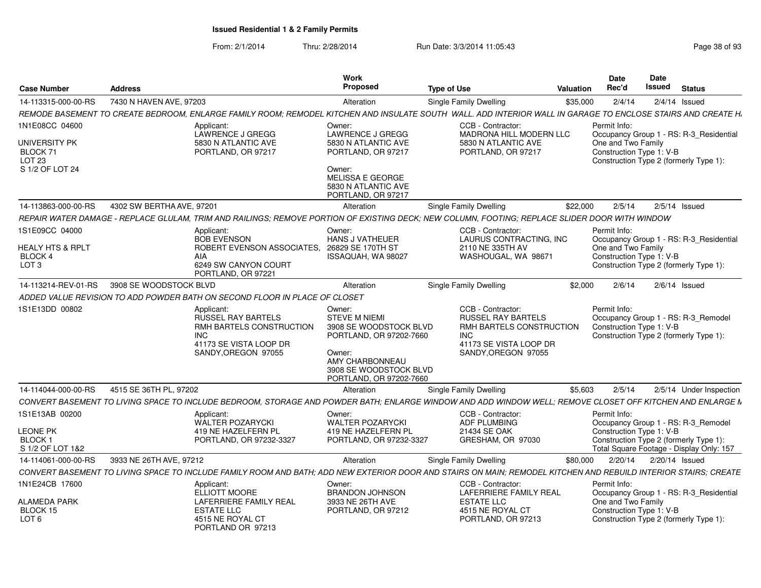| <b>Case Number</b>                                                           | <b>Address</b>                                                                                                                                                  | Work<br>Proposed                                                                                                                                                      | <b>Type of Use</b>                                                                                                                        | Valuation | <b>Date</b><br>Rec'd               | Date<br>Issued                                                     | <b>Status</b>                            |
|------------------------------------------------------------------------------|-----------------------------------------------------------------------------------------------------------------------------------------------------------------|-----------------------------------------------------------------------------------------------------------------------------------------------------------------------|-------------------------------------------------------------------------------------------------------------------------------------------|-----------|------------------------------------|--------------------------------------------------------------------|------------------------------------------|
| 14-113315-000-00-RS                                                          | 7430 N HAVEN AVE, 97203                                                                                                                                         | Alteration                                                                                                                                                            | <b>Single Family Dwelling</b>                                                                                                             | \$35,000  | 2/4/14                             | $2/4/14$ Issued                                                    |                                          |
|                                                                              | REMODE BASEMENT TO CREATE BEDROOM, ENLARGE FAMILY ROOM; REMODEL KITCHEN AND INSULATE SOUTH WALL. ADD INTERIOR WALL IN GARAGE TO ENCLOSE STAIRS AND CREATE H.    |                                                                                                                                                                       |                                                                                                                                           |           |                                    |                                                                    |                                          |
| 1N1E08CC 04600<br>UNIVERSITY PK<br>BLOCK 71<br>LOT 23<br>S 1/2 OF LOT 24     | Applicant:<br>LAWRENCE J GREGG<br>5830 N ATLANTIC AVE<br>PORTLAND, OR 97217                                                                                     | Owner:<br><b>LAWRENCE J GREGG</b><br>5830 N ATLANTIC AVE<br>PORTLAND, OR 97217<br>Owner:                                                                              | CCB - Contractor:<br><b>MADRONA HILL MODERN LLC</b><br>5830 N ATLANTIC AVE<br>PORTLAND, OR 97217                                          |           | Permit Info:<br>One and Two Family | Construction Type 1: V-B<br>Construction Type 2 (formerly Type 1): | Occupancy Group 1 - RS: R-3 Residential  |
|                                                                              |                                                                                                                                                                 | <b>MELISSA E GEORGE</b><br>5830 N ATLANTIC AVE<br>PORTLAND, OR 97217                                                                                                  |                                                                                                                                           |           |                                    |                                                                    |                                          |
| 14-113863-000-00-RS                                                          | 4302 SW BERTHA AVE, 97201                                                                                                                                       | Alteration                                                                                                                                                            | <b>Single Family Dwelling</b>                                                                                                             | \$22,000  | 2/5/14                             | $2/5/14$ Issued                                                    |                                          |
|                                                                              | REPAIR WATER DAMAGE - REPLACE GLULAM. TRIM AND RAILINGS: REMOVE PORTION OF EXISTING DECK: NEW COLUMN. FOOTING: REPLACE SLIDER DOOR WITH WINDOW                  |                                                                                                                                                                       |                                                                                                                                           |           |                                    |                                                                    |                                          |
| 1S1E09CC 04000<br><b>HEALY HTS &amp; RPLT</b><br>BLOCK 4<br>LOT <sub>3</sub> | Applicant:<br><b>BOB EVENSON</b><br>ROBERT EVENSON ASSOCIATES,<br>AIA<br>6249 SW CANYON COURT<br>PORTLAND, OR 97221                                             | Owner:<br><b>HANS J VATHEUER</b><br>26829 SE 170TH ST<br>ISSAQUAH, WA 98027                                                                                           | CCB - Contractor:<br>LAURUS CONTRACTING, INC<br>2110 NE 335TH AV<br>WASHOUGAL, WA 98671                                                   |           | Permit Info:<br>One and Two Family | Construction Type 1: V-B<br>Construction Type 2 (formerly Type 1): | Occupancy Group 1 - RS: R-3_Residential  |
| 14-113214-REV-01-RS                                                          | 3908 SE WOODSTOCK BLVD                                                                                                                                          | Alteration                                                                                                                                                            | Single Family Dwelling                                                                                                                    | \$2,000   | 2/6/14                             |                                                                    | $2/6/14$ Issued                          |
|                                                                              | ADDED VALUE REVISION TO ADD POWDER BATH ON SECOND FLOOR IN PLACE OF CLOSET                                                                                      |                                                                                                                                                                       |                                                                                                                                           |           |                                    |                                                                    |                                          |
| 1S1E13DD 00802                                                               | Applicant:<br><b>RUSSEL RAY BARTELS</b><br>RMH BARTELS CONSTRUCTION<br><b>INC</b><br>41173 SE VISTA LOOP DR<br>SANDY, OREGON 97055                              | Owner:<br><b>STEVE M NIEMI</b><br>3908 SE WOODSTOCK BLVD<br>PORTLAND, OR 97202-7660<br>Owner:<br>AMY CHARBONNEAU<br>3908 SE WOODSTOCK BLVD<br>PORTLAND, OR 97202-7660 | CCB - Contractor:<br><b>RUSSEL RAY BARTELS</b><br>RMH BARTELS CONSTRUCTION<br><b>INC</b><br>41173 SE VISTA LOOP DR<br>SANDY, OREGON 97055 |           | Permit Info:                       | Construction Type 1: V-B<br>Construction Type 2 (formerly Type 1): | Occupancy Group 1 - RS: R-3_Remodel      |
| 14-114044-000-00-RS                                                          | 4515 SE 36TH PL, 97202                                                                                                                                          | Alteration                                                                                                                                                            | <b>Single Family Dwelling</b>                                                                                                             | \$5,603   | 2/5/14                             |                                                                    | 2/5/14 Under Inspection                  |
|                                                                              | CONVERT BASEMENT TO LIVING SPACE TO INCLUDE BEDROOM. STORAGE AND POWDER BATH: ENLARGE WINDOW AND ADD WINDOW WELL: REMOVE CLOSET OFF KITCHEN AND ENLARGE M       |                                                                                                                                                                       |                                                                                                                                           |           |                                    |                                                                    |                                          |
| 1S1E13AB 00200                                                               | Applicant:<br>WALTER POZARYCKI                                                                                                                                  | Owner:<br><b>WALTER POZARYCKI</b>                                                                                                                                     | CCB - Contractor:<br><b>ADF PLUMBING</b>                                                                                                  |           | Permit Info:                       |                                                                    | Occupancy Group 1 - RS: R-3_Remodel      |
| <b>LEONE PK</b><br><b>BLOCK1</b><br>S 1/2 OF LOT 1&2                         | 419 NE HAZELFERN PL<br>PORTLAND, OR 97232-3327                                                                                                                  | 419 NE HAZELFERN PL<br>PORTLAND, OR 97232-3327                                                                                                                        | 21434 SE OAK<br>GRESHAM, OR 97030                                                                                                         |           |                                    | Construction Type 1: V-B<br>Construction Type 2 (formerly Type 1): | Total Square Footage - Display Only: 157 |
| 14-114061-000-00-RS                                                          | 3933 NE 26TH AVE, 97212                                                                                                                                         | Alteration                                                                                                                                                            | Single Family Dwelling                                                                                                                    | \$80,000  |                                    | 2/20/14  2/20/14  Issued                                           |                                          |
|                                                                              | CONVERT BASEMENT TO LIVING SPACE TO INCLUDE FAMILY ROOM AND BATH; ADD NEW EXTERIOR DOOR AND STAIRS ON MAIN; REMODEL KITCHEN AND REBUILD INTERIOR STAIRS; CREATE |                                                                                                                                                                       |                                                                                                                                           |           |                                    |                                                                    |                                          |
| 1N1E24CB 17600<br>ALAMEDA PARK<br>BLOCK 15                                   | Applicant:<br><b>ELLIOTT MOORE</b><br><b>LAFERRIERE FAMILY REAL</b><br><b>ESTATE LLC</b>                                                                        | Owner:<br><b>BRANDON JOHNSON</b><br>3933 NE 26TH AVE<br>PORTLAND, OR 97212                                                                                            | CCB - Contractor:<br><b>LAFERRIERE FAMILY REAL</b><br><b>ESTATE LLC</b><br>4515 NE ROYAL CT                                               |           | Permit Info:<br>One and Two Family | Construction Type 1: V-B                                           | Occupancy Group 1 - RS: R-3 Residential  |
| LOT <sub>6</sub>                                                             | 4515 NE ROYAL CT<br>PORTLAND OR 97213                                                                                                                           |                                                                                                                                                                       | PORTLAND, OR 97213                                                                                                                        |           |                                    | Construction Type 2 (formerly Type 1):                             |                                          |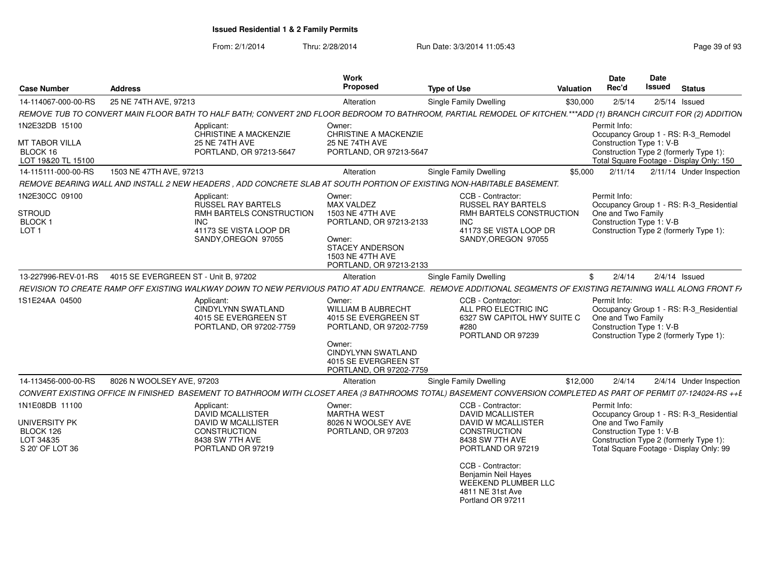| <b>Case Number</b>                                                   | <b>Address</b>                                                                                                                     | Work<br><b>Proposed</b>                                                                                                                                                                                           | <b>Type of Use</b>                                                                                                                                                                                   | Valuation | <b>Date</b><br>Rec'd                                           | Date<br>Issued | <b>Status</b>                                                                      |
|----------------------------------------------------------------------|------------------------------------------------------------------------------------------------------------------------------------|-------------------------------------------------------------------------------------------------------------------------------------------------------------------------------------------------------------------|------------------------------------------------------------------------------------------------------------------------------------------------------------------------------------------------------|-----------|----------------------------------------------------------------|----------------|------------------------------------------------------------------------------------|
| 14-114067-000-00-RS                                                  | 25 NE 74TH AVE, 97213                                                                                                              | Alteration                                                                                                                                                                                                        | Single Family Dwelling                                                                                                                                                                               | \$30,000  | 2/5/14                                                         |                | $2/5/14$ Issued                                                                    |
|                                                                      |                                                                                                                                    | REMOVE TUB TO CONVERT MAIN FLOOR BATH TO HALF BATH; CONVERT 2ND FLOOR BEDROOM TO BATHROOM, PARTIAL REMODEL OF KITCHEN.***ADD (1) BRANCH CIRCUIT FOR (2) ADDITION                                                  |                                                                                                                                                                                                      |           |                                                                |                |                                                                                    |
| 1N2E32DB 15100                                                       | Applicant:<br>CHRISTINE A MACKENZIE                                                                                                | Owner:<br><b>CHRISTINE A MACKENZIE</b>                                                                                                                                                                            |                                                                                                                                                                                                      |           | Permit Info:                                                   |                | Occupancy Group 1 - RS: R-3 Remodel                                                |
| <b>MT TABOR VILLA</b><br>BLOCK 16<br>LOT 19&20 TL 15100              | 25 NE 74TH AVE<br>PORTLAND, OR 97213-5647                                                                                          | <b>25 NE 74TH AVE</b><br>PORTLAND, OR 97213-5647                                                                                                                                                                  |                                                                                                                                                                                                      |           | Construction Type 1: V-B                                       |                | Construction Type 2 (formerly Type 1):<br>Total Square Footage - Display Only: 150 |
| 14-115111-000-00-RS                                                  | 1503 NE 47TH AVE, 97213                                                                                                            | Alteration                                                                                                                                                                                                        | <b>Single Family Dwelling</b>                                                                                                                                                                        | \$5.000   | 2/11/14                                                        |                | 2/11/14 Under Inspection                                                           |
|                                                                      |                                                                                                                                    | REMOVE BEARING WALL AND INSTALL 2 NEW HEADERS, ADD CONCRETE SLAB AT SOUTH PORTION OF EXISTING NON-HABITABLE BASEMENT.                                                                                             |                                                                                                                                                                                                      |           |                                                                |                |                                                                                    |
| 1N2E30CC 09100<br><b>STROUD</b><br><b>BLOCK1</b><br>LOT <sub>1</sub> | Applicant:<br><b>RUSSEL RAY BARTELS</b><br>RMH BARTELS CONSTRUCTION<br><b>INC</b><br>41173 SE VISTA LOOP DR<br>SANDY, OREGON 97055 | Owner:<br><b>MAX VALDEZ</b><br>1503 NE 47TH AVE<br>PORTLAND, OR 97213-2133<br>Owner:<br><b>STACEY ANDERSON</b><br>1503 NE 47TH AVE<br>PORTLAND, OR 97213-2133                                                     | CCB - Contractor:<br><b>RUSSEL RAY BARTELS</b><br>RMH BARTELS CONSTRUCTION<br>INC.<br>41173 SE VISTA LOOP DR<br>SANDY, OREGON 97055                                                                  |           | Permit Info:<br>One and Two Family<br>Construction Type 1: V-B |                | Occupancy Group 1 - RS: R-3 Residential<br>Construction Type 2 (formerly Type 1):  |
| 13-227996-REV-01-RS                                                  | 4015 SE EVERGREEN ST - Unit B, 97202                                                                                               | Alteration                                                                                                                                                                                                        | <b>Single Family Dwelling</b>                                                                                                                                                                        | \$        | 2/4/14                                                         |                | $2/4/14$ Issued                                                                    |
|                                                                      |                                                                                                                                    | REVISION TO CREATE RAMP OFF EXISTING WALKWAY DOWN TO NEW PERVIOUS PATIO AT ADU ENTRANCE. REMOVE ADDITIONAL SEGMENTS OF EXISTING RETAINING WALL ALONG FRONT FAIR AND THE RAMP ON THE RAMP OF THE RAMP ON THE RAMP. |                                                                                                                                                                                                      |           |                                                                |                |                                                                                    |
| 1S1E24AA 04500                                                       | Applicant:<br><b>CINDYLYNN SWATLAND</b><br>4015 SE EVERGREEN ST<br>PORTLAND, OR 97202-7759                                         | Owner:<br><b>WILLIAM B AUBRECHT</b><br>4015 SE EVERGREEN ST<br>PORTLAND, OR 97202-7759<br>Owner:<br><b>CINDYLYNN SWATLAND</b><br>4015 SE EVERGREEN ST<br>PORTLAND, OR 97202-7759                                  | CCB - Contractor:<br>ALL PRO ELECTRIC INC<br>6327 SW CAPITOL HWY SUITE C<br>#280<br>PORTLAND OR 97239                                                                                                |           | Permit Info:<br>One and Two Family<br>Construction Type 1: V-B |                | Occupancy Group 1 - RS: R-3_Residential<br>Construction Type 2 (formerly Type 1):  |
| 14-113456-000-00-RS                                                  | 8026 N WOOLSEY AVE, 97203                                                                                                          | Alteration                                                                                                                                                                                                        | <b>Single Family Dwelling</b>                                                                                                                                                                        | \$12,000  | 2/4/14                                                         |                | 2/4/14 Under Inspection                                                            |
|                                                                      |                                                                                                                                    | CONVERT EXISTING OFFICE IN FINISHED BASEMENT TO BATHROOM WITH CLOSET AREA (3 BATHROOMS TOTAL) BASEMENT CONVERSION COMPLETED AS PART OF PERMIT 07-124024-RS ++E                                                    |                                                                                                                                                                                                      |           |                                                                |                |                                                                                    |
| 1N1E08DB 11100                                                       | Applicant:<br><b>DAVID MCALLISTER</b>                                                                                              | Owner:<br><b>MARTHA WEST</b>                                                                                                                                                                                      | CCB - Contractor:<br><b>DAVID MCALLISTER</b>                                                                                                                                                         |           | Permit Info:                                                   |                | Occupancy Group 1 - RS: R-3 Residential                                            |
| <b>UNIVERSITY PK</b><br>BLOCK 126<br>LOT 34&35<br>S 20' OF LOT 36    | <b>DAVID W MCALLISTER</b><br>CONSTRUCTION<br>8438 SW 7TH AVE<br>PORTLAND OR 97219                                                  | 8026 N WOOLSEY AVE<br>PORTLAND, OR 97203                                                                                                                                                                          | <b>DAVID W MCALLISTER</b><br>CONSTRUCTION<br>8438 SW 7TH AVE<br>PORTLAND OR 97219<br>CCB - Contractor:<br>Benjamin Neil Hayes<br><b>WEEKEND PLUMBER LLC</b><br>4811 NE 31st Ave<br>Portland OR 97211 |           | One and Two Family<br>Construction Type 1: V-B                 |                | Construction Type 2 (formerly Type 1):<br>Total Square Footage - Display Only: 99  |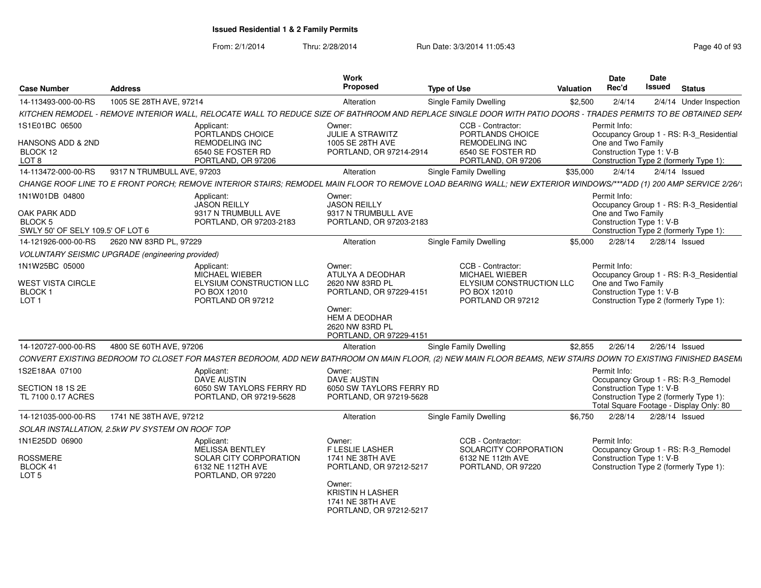| <b>Case Number</b>                                                        | <b>Address</b>             |                                                                                                                                                                   | <b>Work</b><br>Proposed                                                                                                                                  | <b>Type of Use</b>                                                                                          | Valuation | <b>Date</b><br>Rec'd                                           | Date<br>Issued | <b>Status</b>                                                                     |
|---------------------------------------------------------------------------|----------------------------|-------------------------------------------------------------------------------------------------------------------------------------------------------------------|----------------------------------------------------------------------------------------------------------------------------------------------------------|-------------------------------------------------------------------------------------------------------------|-----------|----------------------------------------------------------------|----------------|-----------------------------------------------------------------------------------|
| 14-113493-000-00-RS                                                       | 1005 SE 28TH AVE, 97214    |                                                                                                                                                                   | Alteration                                                                                                                                               | Single Family Dwelling                                                                                      | \$2,500   | 2/4/14                                                         |                | 2/4/14 Under Inspection                                                           |
|                                                                           |                            | KITCHEN REMODEL - REMOVE INTERIOR WALL, RELOCATE WALL TO REDUCE SIZE OF BATHROOM AND REPLACE SINGLE DOOR WITH PATIO DOORS - TRADES PERMITS TO BE OBTAINED SEPA    |                                                                                                                                                          |                                                                                                             |           |                                                                |                |                                                                                   |
| 1S1E01BC 06500                                                            |                            | Applicant:<br>PORTLANDS CHOICE                                                                                                                                    | Owner:<br>JULIE A STRAWITZ                                                                                                                               | CCB - Contractor:<br>PORTLANDS CHOICE                                                                       |           | Permit Info:                                                   |                | Occupancy Group 1 - RS: R-3 Residential                                           |
| HANSONS ADD & 2ND<br>BLOCK 12<br>LOT 8                                    |                            | REMODELING INC<br>6540 SE FOSTER RD<br>PORTLAND, OR 97206                                                                                                         | 1005 SE 28TH AVE<br>PORTLAND, OR 97214-2914                                                                                                              | REMODELING INC<br>6540 SE FOSTER RD<br>PORTLAND, OR 97206                                                   |           | One and Two Family<br>Construction Type 1: V-B                 |                | Construction Type 2 (formerly Type 1):                                            |
| 14-113472-000-00-RS                                                       | 9317 N TRUMBULL AVE, 97203 |                                                                                                                                                                   | Alteration                                                                                                                                               | Single Family Dwelling                                                                                      | \$35.000  | 2/4/14                                                         |                | $2/4/14$ Issued                                                                   |
|                                                                           |                            | CHANGE ROOF LINE TO E FRONT PORCH; REMOVE INTERIOR STAIRS; REMODEL MAIN FLOOR TO REMOVE LOAD BEARING WALL; NEW EXTERIOR WINDOWS/***ADD (1) 200 AMP SERVICE 2/26/1 |                                                                                                                                                          |                                                                                                             |           |                                                                |                |                                                                                   |
| 1N1W01DB 04800<br>OAK PARK ADD<br><b>BLOCK 5</b>                          |                            | Applicant:<br><b>JASON REILLY</b><br>9317 N TRUMBULL AVE<br>PORTLAND, OR 97203-2183                                                                               | Owner:<br><b>JASON REILLY</b><br>9317 N TRUMBULL AVE<br>PORTLAND, OR 97203-2183                                                                          |                                                                                                             |           | Permit Info:<br>One and Two Family<br>Construction Type 1: V-B |                | Occupancy Group 1 - RS: R-3 Residential                                           |
| SWLY 50' OF SELY 109.5' OF LOT 6                                          |                            |                                                                                                                                                                   |                                                                                                                                                          |                                                                                                             |           |                                                                |                | Construction Type 2 (formerly Type 1):                                            |
| 14-121926-000-00-RS                                                       | 2620 NW 83RD PL, 97229     |                                                                                                                                                                   | Alteration                                                                                                                                               | Single Family Dwelling                                                                                      | \$5.000   | 2/28/14                                                        |                | 2/28/14 Issued                                                                    |
| <b>VOLUNTARY SEISMIC UPGRADE (engineering provided)</b>                   |                            |                                                                                                                                                                   |                                                                                                                                                          |                                                                                                             |           |                                                                |                |                                                                                   |
| 1N1W25BC 05000<br><b>WEST VISTA CIRCLE</b><br>BLOCK 1<br>LOT <sub>1</sub> |                            | Applicant:<br>MICHAEL WIEBER<br>ELYSIUM CONSTRUCTION LLC<br>PO BOX 12010<br>PORTLAND OR 97212                                                                     | Owner:<br>ATULYA A DEODHAR<br>2620 NW 83RD PL<br>PORTLAND, OR 97229-4151<br>Owner:<br><b>HEM A DEODHAR</b><br>2620 NW 83RD PL<br>PORTLAND, OR 97229-4151 | CCB - Contractor:<br><b>MICHAEL WIEBER</b><br>ELYSIUM CONSTRUCTION LLC<br>PO BOX 12010<br>PORTLAND OR 97212 |           | Permit Info:<br>One and Two Family<br>Construction Type 1: V-B |                | Occupancy Group 1 - RS: R-3 Residential<br>Construction Type 2 (formerly Type 1): |
| 14-120727-000-00-RS                                                       | 4800 SE 60TH AVE, 97206    |                                                                                                                                                                   | Alteration                                                                                                                                               | <b>Single Family Dwelling</b>                                                                               | \$2,855   | 2/26/14                                                        |                | 2/26/14 Issued                                                                    |
|                                                                           |                            | CONVERT EXISTING BEDROOM TO CLOSET FOR MASTER BEDROOM, ADD NEW BATHROOM ON MAIN FLOOR, (2) NEW MAIN FLOOR BEAMS, NEW STAIRS DOWN TO EXISTING FINISHED BASEMI      |                                                                                                                                                          |                                                                                                             |           |                                                                |                |                                                                                   |
| 1S2E18AA 07100                                                            |                            | Applicant:<br>DAVE AUSTIN                                                                                                                                         | Owner:<br><b>DAVE AUSTIN</b>                                                                                                                             |                                                                                                             |           | Permit Info:                                                   |                | Occupancy Group 1 - RS: R-3_Remodel                                               |
| SECTION 18 1S 2E<br>TL 7100 0.17 ACRES                                    |                            | 6050 SW TAYLORS FERRY RD<br>PORTLAND, OR 97219-5628                                                                                                               | 6050 SW TAYLORS FERRY RD<br>PORTLAND, OR 97219-5628                                                                                                      |                                                                                                             |           | Construction Type 1: V-B                                       |                | Construction Type 2 (formerly Type 1):<br>Total Square Footage - Display Only: 80 |
| 14-121035-000-00-RS                                                       | 1741 NE 38TH AVE, 97212    |                                                                                                                                                                   | Alteration                                                                                                                                               | Single Family Dwelling                                                                                      | \$6,750   | 2/28/14                                                        |                | 2/28/14 Issued                                                                    |
| SOLAR INSTALLATION, 2.5kW PV SYSTEM ON ROOF TOP                           |                            |                                                                                                                                                                   |                                                                                                                                                          |                                                                                                             |           |                                                                |                |                                                                                   |
| 1N1E25DD 06900<br><b>ROSSMERE</b><br>BLOCK 41<br>LOT <sub>5</sub>         |                            | Applicant:<br><b>MELISSA BENTLEY</b><br>SOLAR CITY CORPORATION<br>6132 NE 112TH AVE<br>PORTLAND, OR 97220                                                         | Owner:<br><b>F LESLIE LASHER</b><br>1741 NE 38TH AVE<br>PORTLAND, OR 97212-5217<br>Owner:<br><b>KRISTIN H LASHER</b><br>1741 NE 38TH AVE                 | CCB - Contractor:<br>SOLARCITY CORPORATION<br>6132 NE 112th AVE<br>PORTLAND, OR 97220                       |           | Permit Info:<br>Construction Type 1: V-B                       |                | Occupancy Group 1 - RS: R-3_Remodel<br>Construction Type 2 (formerly Type 1):     |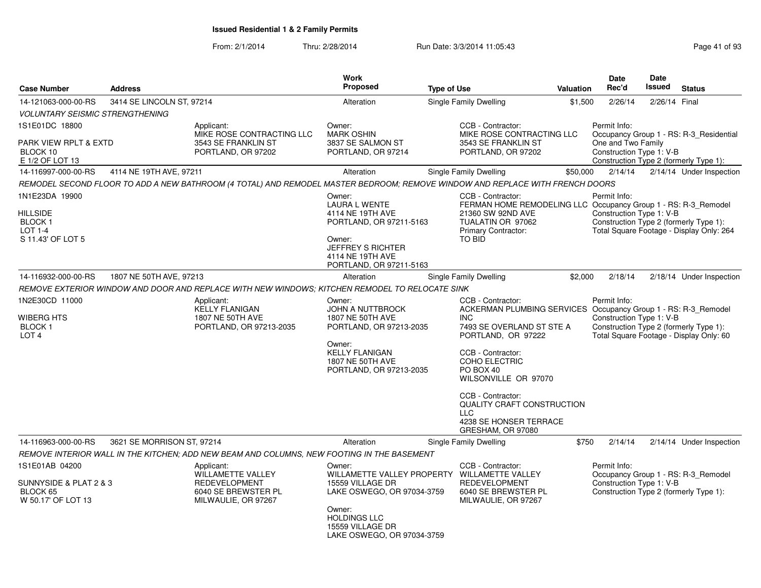| <b>Case Number</b>                                                | <b>Address</b>             |                                                                                                                              | Work<br>Proposed                                                                                                                  | <b>Type of Use</b>                                                                 | Valuation                                                      | <b>Date</b><br>Rec'd                           | <b>Date</b><br><b>Issued</b> | <b>Status</b>                                                                      |
|-------------------------------------------------------------------|----------------------------|------------------------------------------------------------------------------------------------------------------------------|-----------------------------------------------------------------------------------------------------------------------------------|------------------------------------------------------------------------------------|----------------------------------------------------------------|------------------------------------------------|------------------------------|------------------------------------------------------------------------------------|
| 14-121063-000-00-RS                                               | 3414 SE LINCOLN ST, 97214  |                                                                                                                              | Alteration                                                                                                                        | Single Family Dwelling                                                             | \$1,500                                                        | 2/26/14                                        | 2/26/14 Final                |                                                                                    |
| <b>VOLUNTARY SEISMIC STRENGTHENING</b>                            |                            |                                                                                                                              |                                                                                                                                   |                                                                                    |                                                                |                                                |                              |                                                                                    |
| 1S1E01DC 18800                                                    |                            | Applicant:                                                                                                                   | Owner:                                                                                                                            | CCB - Contractor:                                                                  |                                                                | Permit Info:                                   |                              |                                                                                    |
| PARK VIEW RPLT & EXTD<br>BLOCK 10<br>E 1/2 OF LOT 13              |                            | MIKE ROSE CONTRACTING LLC<br>3543 SE FRANKLIN ST<br>PORTLAND, OR 97202                                                       | <b>MARK OSHIN</b><br>3837 SE SALMON ST<br>PORTLAND, OR 97214                                                                      | MIKE ROSE CONTRACTING LLC<br>3543 SE FRANKLIN ST<br>PORTLAND, OR 97202             |                                                                | One and Two Family<br>Construction Type 1: V-B |                              | Occupancy Group 1 - RS: R-3_Residential<br>Construction Type 2 (formerly Type 1):  |
| 14-116997-000-00-RS                                               | 4114 NE 19TH AVE, 97211    |                                                                                                                              | Alteration                                                                                                                        | Single Family Dwelling                                                             | \$50,000                                                       | 2/14/14                                        |                              | 2/14/14 Under Inspection                                                           |
|                                                                   |                            | REMODEL SECOND FLOOR TO ADD A NEW BATHROOM (4 TOTAL) AND REMODEL MASTER BEDROOM: REMOVE WINDOW AND REPLACE WITH FRENCH DOORS |                                                                                                                                   |                                                                                    |                                                                |                                                |                              |                                                                                    |
| 1N1E23DA 19900                                                    |                            |                                                                                                                              | Owner:<br><b>LAURA L WENTE</b>                                                                                                    | CCB - Contractor:                                                                  | FERMAN HOME REMODELING LLC Occupancy Group 1 - RS: R-3_Remodel | Permit Info:                                   |                              |                                                                                    |
| HILLSIDE<br><b>BLOCK1</b><br><b>LOT 1-4</b><br>S 11.43' OF LOT 5  |                            |                                                                                                                              | 4114 NE 19TH AVE<br>PORTLAND, OR 97211-5163<br>Owner:<br>JEFFREY S RICHTER<br>4114 NE 19TH AVE<br>PORTLAND, OR 97211-5163         | 21360 SW 92ND AVE<br>TUALATIN OR 97062<br>Primary Contractor:<br><b>TO BID</b>     |                                                                | Construction Type 1: V-B                       |                              | Construction Type 2 (formerly Type 1):<br>Total Square Footage - Display Only: 264 |
| 14-116932-000-00-RS                                               | 1807 NE 50TH AVE, 97213    |                                                                                                                              | Alteration                                                                                                                        | <b>Single Family Dwelling</b>                                                      | \$2,000                                                        | 2/18/14                                        |                              | 2/18/14 Under Inspection                                                           |
|                                                                   |                            | REMOVE EXTERIOR WINDOW AND DOOR AND REPLACE WITH NEW WINDOWS: KITCHEN REMODEL TO RELOCATE SINK                               |                                                                                                                                   |                                                                                    |                                                                |                                                |                              |                                                                                    |
| 1N2E30CD 11000<br>WIBERG HTS<br><b>BLOCK1</b><br>LOT <sub>4</sub> |                            | Applicant:<br><b>KELLY FLANIGAN</b><br>1807 NE 50TH AVE<br>PORTLAND, OR 97213-2035                                           | Owner:<br><b>JOHN A NUTTBROCK</b><br>1807 NE 50TH AVE<br>PORTLAND, OR 97213-2035                                                  | CCB - Contractor:<br><b>INC</b><br>7493 SE OVERLAND ST STE A<br>PORTLAND, OR 97222 | ACKERMAN PLUMBING SERVICES Occupancy Group 1 - RS: R-3_Remodel | Permit Info:<br>Construction Type 1: V-B       |                              | Construction Type 2 (formerly Type 1):<br>Total Square Footage - Display Only: 60  |
|                                                                   |                            |                                                                                                                              | Owner:<br><b>KELLY FLANIGAN</b><br>1807 NE 50TH AVE<br>PORTLAND, OR 97213-2035                                                    | CCB - Contractor:<br>COHO ELECTRIC<br>PO BOX 40<br>WILSONVILLE OR 97070            |                                                                |                                                |                              |                                                                                    |
|                                                                   |                            |                                                                                                                              |                                                                                                                                   | CCB - Contractor:<br>$\sqcup$ C<br>4238 SE HONSER TERRACE<br>GRESHAM, OR 97080     | <b>QUALITY CRAFT CONSTRUCTION</b>                              |                                                |                              |                                                                                    |
| 14-116963-000-00-RS                                               | 3621 SE MORRISON ST, 97214 |                                                                                                                              | Alteration                                                                                                                        | Single Family Dwelling                                                             | \$750                                                          | 2/14/14                                        |                              | 2/14/14 Under Inspection                                                           |
|                                                                   |                            | REMOVE INTERIOR WALL IN THE KITCHEN; ADD NEW BEAM AND COLUMNS, NEW FOOTING IN THE BASEMENT                                   |                                                                                                                                   |                                                                                    |                                                                |                                                |                              |                                                                                    |
| 1S1E01AB 04200                                                    |                            | Applicant:<br>WILLAMETTE VALLEY                                                                                              | Owner:<br>WILLAMETTE VALLEY PROPERTY                                                                                              | CCB - Contractor:<br><b>WILLAMETTE VALLEY</b>                                      |                                                                | Permit Info:                                   |                              | Occupancy Group 1 - RS: R-3_Remodel                                                |
| SUNNYSIDE & PLAT 2 & 3<br>BLOCK 65<br>W 50.17' OF LOT 13          |                            | <b>REDEVELOPMENT</b><br>6040 SE BREWSTER PL<br>MILWAULIE, OR 97267                                                           | 15559 VILLAGE DR<br>LAKE OSWEGO, OR 97034-3759<br>Owner:<br><b>HOLDINGS LLC</b><br>15559 VILLAGE DR<br>LAKE OSWEGO, OR 97034-3759 | <b>REDEVELOPMENT</b><br>6040 SE BREWSTER PL<br>MILWAULIE, OR 97267                 |                                                                | Construction Type 1: V-B                       |                              | Construction Type 2 (formerly Type 1):                                             |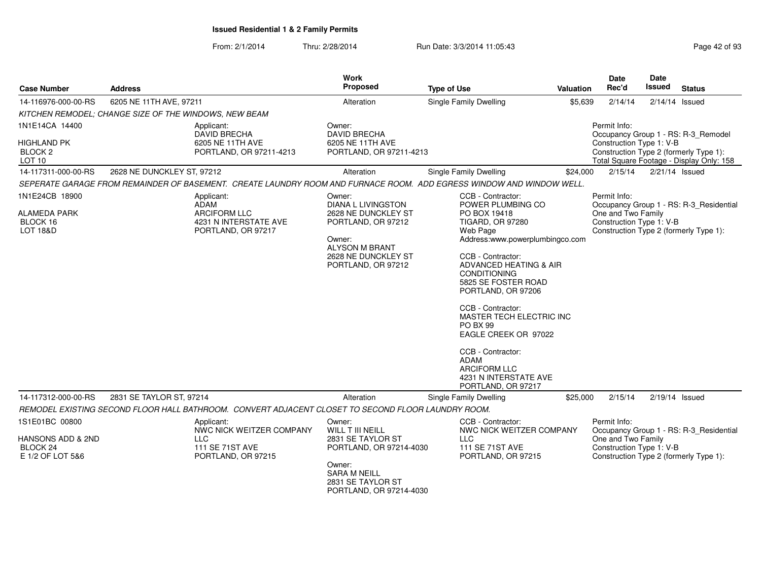| <b>Case Number</b><br><b>Address</b>                          |                                                                                                                      | <b>Work</b><br>Proposed                                                                                                   | <b>Type of Use</b>                                                                                                                                                                                                                                                                                                                                                                                              | <b>Valuation</b> | Date<br>Rec'd                                  | Date<br>Issued   | <b>Status</b>                                                                      |
|---------------------------------------------------------------|----------------------------------------------------------------------------------------------------------------------|---------------------------------------------------------------------------------------------------------------------------|-----------------------------------------------------------------------------------------------------------------------------------------------------------------------------------------------------------------------------------------------------------------------------------------------------------------------------------------------------------------------------------------------------------------|------------------|------------------------------------------------|------------------|------------------------------------------------------------------------------------|
| 14-116976-000-00-RS                                           | 6205 NE 11TH AVE, 97211                                                                                              | Alteration                                                                                                                | <b>Single Family Dwelling</b>                                                                                                                                                                                                                                                                                                                                                                                   | \$5,639          | 2/14/14                                        | $2/14/14$ Issued |                                                                                    |
|                                                               | KITCHEN REMODEL: CHANGE SIZE OF THE WINDOWS, NEW BEAM                                                                |                                                                                                                           |                                                                                                                                                                                                                                                                                                                                                                                                                 |                  |                                                |                  |                                                                                    |
| 1N1E14CA 14400                                                | Applicant:<br><b>DAVID BRECHA</b>                                                                                    | Owner:<br><b>DAVID BRECHA</b>                                                                                             |                                                                                                                                                                                                                                                                                                                                                                                                                 |                  | Permit Info:                                   |                  | Occupancy Group 1 - RS: R-3 Remodel                                                |
| <b>HIGHLAND PK</b><br>BLOCK <sub>2</sub><br>LOT <sub>10</sub> | 6205 NE 11TH AVE<br>PORTLAND, OR 97211-4213                                                                          | 6205 NE 11TH AVE<br>PORTLAND, OR 97211-4213                                                                               |                                                                                                                                                                                                                                                                                                                                                                                                                 |                  | Construction Type 1: V-B                       |                  | Construction Type 2 (formerly Type 1):<br>Total Square Footage - Display Only: 158 |
| 14-117311-000-00-RS                                           | 2628 NE DUNCKLEY ST, 97212                                                                                           | Alteration                                                                                                                | Single Family Dwelling                                                                                                                                                                                                                                                                                                                                                                                          | \$24,000         | 2/15/14                                        | $2/21/14$ Issued |                                                                                    |
|                                                               | SEPERATE GARAGE FROM REMAINDER OF BASEMENT. CREATE LAUNDRY ROOM AND FURNACE ROOM. ADD EGRESS WINDOW AND WINDOW WELL. |                                                                                                                           |                                                                                                                                                                                                                                                                                                                                                                                                                 |                  |                                                |                  |                                                                                    |
| 1N1E24CB 18900                                                | Applicant:<br>ADAM                                                                                                   | Owner:<br><b>DIANA L LIVINGSTON</b>                                                                                       | CCB - Contractor:<br>POWER PLUMBING CO                                                                                                                                                                                                                                                                                                                                                                          |                  | Permit Info:                                   |                  | Occupancy Group 1 - RS: R-3_Residential                                            |
| <b>ALAMEDA PARK</b><br>BLOCK 16<br><b>LOT 18&amp;D</b>        | <b>ARCIFORM LLC</b><br>4231 N INTERSTATE AVE<br>PORTLAND, OR 97217                                                   | 2628 NE DUNCKLEY ST<br>PORTLAND, OR 97212<br>Owner:<br><b>ALYSON M BRANT</b><br>2628 NE DUNCKLEY ST<br>PORTLAND, OR 97212 | PO BOX 19418<br><b>TIGARD, OR 97280</b><br>Web Page<br>Address:www.powerplumbingco.com<br>CCB - Contractor:<br>ADVANCED HEATING & AIR<br><b>CONDITIONING</b><br>5825 SE FOSTER ROAD<br>PORTLAND, OR 97206<br>CCB - Contractor:<br>MASTER TECH ELECTRIC INC<br><b>PO BX 99</b><br>EAGLE CREEK OR 97022<br>CCB - Contractor:<br><b>ADAM</b><br><b>ARCIFORM LLC</b><br>4231 N INTERSTATE AVE<br>PORTLAND, OR 97217 |                  | One and Two Family<br>Construction Type 1: V-B |                  | Construction Type 2 (formerly Type 1):                                             |
| 14-117312-000-00-RS                                           | 2831 SE TAYLOR ST, 97214                                                                                             | Alteration                                                                                                                | Single Family Dwelling                                                                                                                                                                                                                                                                                                                                                                                          | \$25,000         | 2/15/14                                        | 2/19/14 Issued   |                                                                                    |
|                                                               | REMODEL EXISTING SECOND FLOOR HALL BATHROOM. CONVERT ADJACENT CLOSET TO SECOND FLOOR LAUNDRY ROOM.                   |                                                                                                                           |                                                                                                                                                                                                                                                                                                                                                                                                                 |                  |                                                |                  |                                                                                    |
| 1S1E01BC 00800                                                | Applicant:<br>NWC NICK WEITZER COMPANY                                                                               | Owner:<br><b>WILL T III NEILL</b>                                                                                         | CCB - Contractor:<br>NWC NICK WEITZER COMPANY                                                                                                                                                                                                                                                                                                                                                                   |                  | Permit Info:                                   |                  | Occupancy Group 1 - RS: R-3_Residential                                            |
| HANSONS ADD & 2ND<br>BLOCK 24<br>E 1/2 OF LOT 5&6             | <b>LLC</b><br>111 SE 71ST AVE<br>PORTLAND, OR 97215                                                                  | 2831 SE TAYLOR ST<br>PORTLAND, OR 97214-4030                                                                              | <b>LLC</b><br>111 SE 71ST AVE<br>PORTLAND, OR 97215                                                                                                                                                                                                                                                                                                                                                             |                  | One and Two Family<br>Construction Type 1: V-B |                  | Construction Type 2 (formerly Type 1):                                             |
|                                                               |                                                                                                                      | Owner:<br><b>SARA M NEILL</b><br>2831 SE TAYLOR ST<br>PORTLAND, OR 97214-4030                                             |                                                                                                                                                                                                                                                                                                                                                                                                                 |                  |                                                |                  |                                                                                    |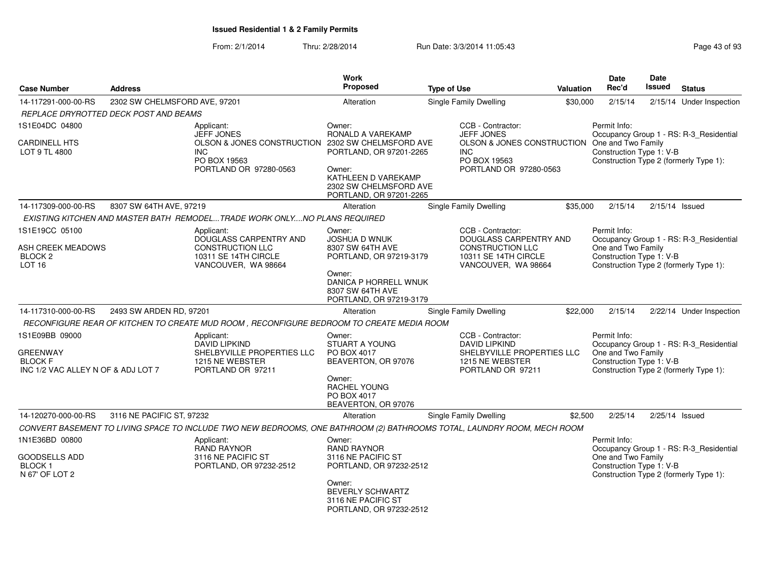| <b>Case Number</b>                                                                        | <b>Address</b>                |                                                                                                                         | <b>Work</b><br><b>Proposed</b>                                                                                | <b>Type of Use</b> |                                                                                                                       | <b>Valuation</b> | <b>Date</b><br>Rec'd                                                                                     | <b>Date</b><br>Issued | <b>Status</b>                           |
|-------------------------------------------------------------------------------------------|-------------------------------|-------------------------------------------------------------------------------------------------------------------------|---------------------------------------------------------------------------------------------------------------|--------------------|-----------------------------------------------------------------------------------------------------------------------|------------------|----------------------------------------------------------------------------------------------------------|-----------------------|-----------------------------------------|
| 14-117291-000-00-RS                                                                       | 2302 SW CHELMSFORD AVE, 97201 |                                                                                                                         | Alteration                                                                                                    |                    | Single Family Dwelling                                                                                                | \$30,000         | 2/15/14                                                                                                  |                       | 2/15/14 Under Inspection                |
| REPLACE DRYROTTED DECK POST AND BEAMS                                                     |                               |                                                                                                                         |                                                                                                               |                    |                                                                                                                       |                  |                                                                                                          |                       |                                         |
| 1S1E04DC 04800                                                                            |                               | Applicant:<br><b>JEFF JONES</b>                                                                                         | Owner:<br>RONALD A VAREKAMP                                                                                   |                    | CCB - Contractor:<br><b>JEFF JONES</b>                                                                                |                  | Permit Info:                                                                                             |                       | Occupancy Group 1 - RS: R-3_Residential |
| <b>CARDINELL HTS</b><br>LOT 9 TL 4800                                                     |                               | OLSON & JONES CONSTRUCTION 2302 SW CHELMSFORD AVE<br><b>INC</b><br>PO BOX 19563<br>PORTLAND OR 97280-0563               | PORTLAND, OR 97201-2265<br>Owner:<br>KATHLEEN D VAREKAMP<br>2302 SW CHELMSFORD AVE<br>PORTLAND, OR 97201-2265 |                    | OLSON & JONES CONSTRUCTION<br><b>INC</b><br>PO BOX 19563<br>PORTLAND OR 97280-0563                                    |                  | One and Two Family<br>Construction Type 1: V-B<br>Construction Type 2 (formerly Type 1):                 |                       |                                         |
| 14-117309-000-00-RS                                                                       | 8307 SW 64TH AVE, 97219       |                                                                                                                         | Alteration                                                                                                    |                    | Single Family Dwelling                                                                                                | \$35,000         | 2/15/14                                                                                                  | $2/15/14$ Issued      |                                         |
|                                                                                           |                               | EXISTING KITCHEN AND MASTER BATH REMODELTRADE WORK ONLYNO PLANS REQUIRED                                                |                                                                                                               |                    |                                                                                                                       |                  |                                                                                                          |                       |                                         |
| 1S1E19CC 05100<br>ASH CREEK MEADOWS<br>BLOCK <sub>2</sub><br>LOT <sub>16</sub>            |                               | Applicant:<br>DOUGLASS CARPENTRY AND<br><b>CONSTRUCTION LLC</b><br>10311 SE 14TH CIRCLE<br>VANCOUVER, WA 98664          | Owner:<br><b>JOSHUA D WNUK</b><br>8307 SW 64TH AVE<br>PORTLAND, OR 97219-3179                                 |                    | CCB - Contractor:<br>DOUGLASS CARPENTRY AND<br><b>CONSTRUCTION LLC</b><br>10311 SE 14TH CIRCLE<br>VANCOUVER, WA 98664 |                  | Permit Info:<br>One and Two Family<br>Construction Type 1: V-B<br>Construction Type 2 (formerly Type 1): |                       | Occupancy Group 1 - RS: R-3_Residential |
|                                                                                           |                               |                                                                                                                         | Owner:<br>DANICA P HORRELL WNUK<br>8307 SW 64TH AVE<br>PORTLAND, OR 97219-3179                                |                    |                                                                                                                       |                  |                                                                                                          |                       |                                         |
| 14-117310-000-00-RS                                                                       | 2493 SW ARDEN RD, 97201       |                                                                                                                         | Alteration                                                                                                    |                    | Single Family Dwelling                                                                                                | \$22,000         | 2/15/14                                                                                                  |                       | 2/22/14 Under Inspection                |
|                                                                                           |                               | RECONFIGURE REAR OF KITCHEN TO CREATE MUD ROOM, RECONFIGURE BEDROOM TO CREATE MEDIA ROOM                                |                                                                                                               |                    |                                                                                                                       |                  |                                                                                                          |                       |                                         |
| 1S1E09BB 09000<br><b>GREENWAY</b><br><b>BLOCK F</b><br>INC 1/2 VAC ALLEY N OF & ADJ LOT 7 |                               | Applicant:<br><b>DAVID LIPKIND</b><br>SHELBYVILLE PROPERTIES LLC<br>1215 NE WEBSTER<br>PORTLAND OR 97211                | Owner:<br><b>STUART A YOUNG</b><br>PO BOX 4017<br>BEAVERTON, OR 97076<br>Owner:<br><b>RACHEL YOUNG</b>        |                    | CCB - Contractor:<br>DAVID LIPKIND<br>SHELBYVILLE PROPERTIES LLC<br>1215 NE WEBSTER<br>PORTLAND OR 97211              |                  | Permit Info:<br>One and Two Family<br>Construction Type 1: V-B<br>Construction Type 2 (formerly Type 1): |                       | Occupancy Group 1 - RS: R-3_Residential |
|                                                                                           |                               |                                                                                                                         | PO BOX 4017<br>BEAVERTON, OR 97076                                                                            |                    |                                                                                                                       |                  |                                                                                                          |                       |                                         |
| 14-120270-000-00-RS                                                                       | 3116 NE PACIFIC ST, 97232     |                                                                                                                         | Alteration                                                                                                    |                    | Single Family Dwelling                                                                                                | \$2,500          | 2/25/14                                                                                                  | 2/25/14 Issued        |                                         |
|                                                                                           |                               | CONVERT BASEMENT TO LIVING SPACE TO INCLUDE TWO NEW BEDROOMS, ONE BATHROOM (2) BATHROOMS TOTAL, LAUNDRY ROOM, MECH ROOM |                                                                                                               |                    |                                                                                                                       |                  |                                                                                                          |                       |                                         |
| 1N1E36BD 00800                                                                            |                               | Applicant:<br><b>RAND RAYNOR</b>                                                                                        | Owner:<br><b>RAND RAYNOR</b>                                                                                  |                    |                                                                                                                       |                  | Permit Info:                                                                                             |                       | Occupancy Group 1 - RS: R-3_Residential |
| GOODSELLS ADD<br><b>BLOCK1</b><br>N 67' OF LOT 2                                          |                               | 3116 NE PACIFIC ST<br>PORTLAND, OR 97232-2512                                                                           | 3116 NE PACIFIC ST<br>PORTLAND, OR 97232-2512<br>Owner:<br><b>BEVERLY SCHWARTZ</b>                            |                    |                                                                                                                       |                  | One and Two Family<br>Construction Type 1: V-B<br>Construction Type 2 (formerly Type 1):                 |                       |                                         |
|                                                                                           |                               |                                                                                                                         | 3116 NE PACIFIC ST<br>PORTLAND, OR 97232-2512                                                                 |                    |                                                                                                                       |                  |                                                                                                          |                       |                                         |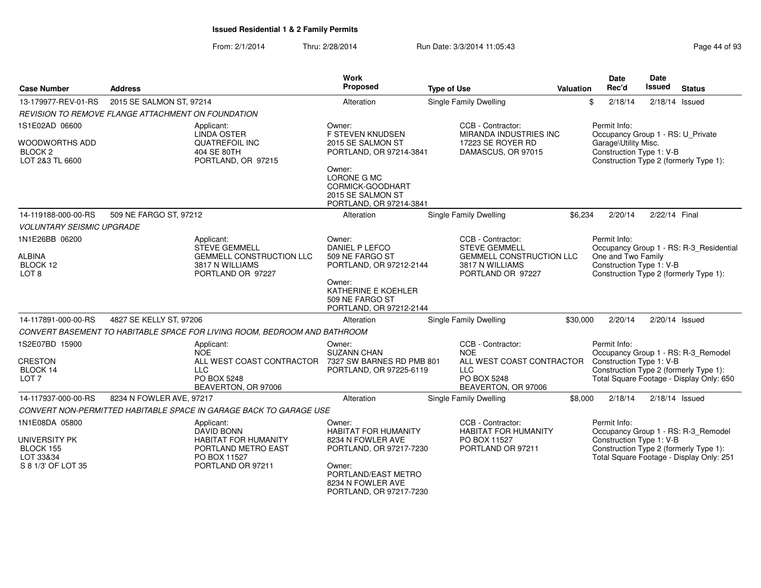| <b>Case Number</b>                            | <b>Address</b>                                     |                                                                           | Work<br>Proposed                                                                | <b>Type of Use</b>                                                      | Valuation | <b>Date</b><br>Rec'd                                                      | <b>Date</b><br><b>Issued</b> | <b>Status</b>                                                                      |
|-----------------------------------------------|----------------------------------------------------|---------------------------------------------------------------------------|---------------------------------------------------------------------------------|-------------------------------------------------------------------------|-----------|---------------------------------------------------------------------------|------------------------------|------------------------------------------------------------------------------------|
| 13-179977-REV-01-RS                           | 2015 SE SALMON ST, 97214                           |                                                                           | Alteration                                                                      | Single Family Dwelling                                                  |           | \$<br>2/18/14                                                             |                              | $2/18/14$ Issued                                                                   |
|                                               | REVISION TO REMOVE FLANGE ATTACHMENT ON FOUNDATION |                                                                           |                                                                                 |                                                                         |           |                                                                           |                              |                                                                                    |
| 1S1E02AD 06600<br><b>WOODWORTHS ADD</b>       |                                                    | Applicant:<br><b>LINDA OSTER</b><br><b>QUATREFOIL INC</b>                 | Owner:<br><b>F STEVEN KNUDSEN</b><br>2015 SE SALMON ST                          | CCB - Contractor:<br><b>MIRANDA INDUSTRIES INC</b><br>17223 SE ROYER RD |           | Permit Info:<br>Occupancy Group 1 - RS: U Private<br>Garage\Utility Misc. |                              |                                                                                    |
| BLOCK <sub>2</sub><br>LOT 2&3 TL 6600         |                                                    | 404 SE 80TH<br>PORTLAND, OR 97215                                         | PORTLAND, OR 97214-3841<br>Owner:                                               | DAMASCUS, OR 97015                                                      |           | Construction Type 1: V-B                                                  |                              | Construction Type 2 (formerly Type 1):                                             |
|                                               |                                                    |                                                                           | LORONE G MC<br>CORMICK-GOODHART<br>2015 SE SALMON ST<br>PORTLAND, OR 97214-3841 |                                                                         |           |                                                                           |                              |                                                                                    |
| 14-119188-000-00-RS                           | 509 NE FARGO ST, 97212                             |                                                                           | Alteration                                                                      | <b>Single Family Dwelling</b>                                           | \$6,234   | 2/20/14                                                                   | 2/22/14 Final                |                                                                                    |
| <b>VOLUNTARY SEISMIC UPGRADE</b>              |                                                    |                                                                           |                                                                                 |                                                                         |           |                                                                           |                              |                                                                                    |
| 1N1E26BB 06200                                |                                                    | Applicant:<br><b>STEVE GEMMELL</b>                                        | Owner:<br>DANIEL P LEFCO                                                        | CCB - Contractor:<br><b>STEVE GEMMELL</b>                               |           | Permit Info:                                                              |                              | Occupancy Group 1 - RS: R-3_Residential                                            |
| <b>ALBINA</b><br>BLOCK 12<br>LOT <sub>8</sub> |                                                    | <b>GEMMELL CONSTRUCTION LLC</b><br>3817 N WILLIAMS<br>PORTLAND OR 97227   | 509 NE FARGO ST<br>PORTLAND, OR 97212-2144                                      | <b>GEMMELL CONSTRUCTION LLC</b><br>3817 N WILLIAMS<br>PORTLAND OR 97227 |           | One and Two Family<br>Construction Type 1: V-B                            |                              | Construction Type 2 (formerly Type 1):                                             |
|                                               |                                                    |                                                                           | Owner:<br>KATHERINE E KOEHLER<br>509 NE FARGO ST<br>PORTLAND, OR 97212-2144     |                                                                         |           |                                                                           |                              |                                                                                    |
| 14-117891-000-00-RS                           | 4827 SE KELLY ST, 97206                            |                                                                           | Alteration                                                                      | <b>Single Family Dwelling</b>                                           | \$30,000  | 2/20/14                                                                   |                              | 2/20/14 Issued                                                                     |
|                                               |                                                    | CONVERT BASEMENT TO HABITABLE SPACE FOR LIVING ROOM, BEDROOM AND BATHROOM |                                                                                 |                                                                         |           |                                                                           |                              |                                                                                    |
| 1S2E07BD 15900                                |                                                    | Applicant:<br><b>NOE</b>                                                  | Owner:<br><b>SUZANN CHAN</b>                                                    | CCB - Contractor:<br><b>NOE</b>                                         |           | Permit Info:                                                              |                              | Occupancy Group 1 - RS: R-3_Remodel                                                |
| <b>CRESTON</b><br>BLOCK 14                    |                                                    | ALL WEST COAST CONTRACTOR<br><b>LLC</b>                                   | 7327 SW BARNES RD PMB 801<br>PORTLAND, OR 97225-6119                            | ALL WEST COAST CONTRACTOR<br><b>LLC</b>                                 |           | Construction Type 1: V-B                                                  |                              | Construction Type 2 (formerly Type 1):                                             |
| LOT <sub>7</sub>                              |                                                    | PO BOX 5248<br>BEAVERTON, OR 97006                                        |                                                                                 | PO BOX 5248<br>BEAVERTON, OR 97006                                      |           |                                                                           |                              | Total Square Footage - Display Only: 650                                           |
| 14-117937-000-00-RS                           | 8234 N FOWLER AVE, 97217                           |                                                                           | Alteration                                                                      | <b>Single Family Dwelling</b>                                           | \$8,000   | 2/18/14                                                                   |                              | $2/18/14$ Issued                                                                   |
|                                               |                                                    | CONVERT NON-PERMITTED HABITABLE SPACE IN GARAGE BACK TO GARAGE USE        |                                                                                 |                                                                         |           |                                                                           |                              |                                                                                    |
| 1N1E08DA 05800                                |                                                    | Applicant:<br>DAVID BONN                                                  | Owner:<br><b>HABITAT FOR HUMANITY</b>                                           | CCB - Contractor:<br><b>HABITAT FOR HUMANITY</b>                        |           | Permit Info:                                                              |                              | Occupancy Group 1 - RS: R-3_Remodel                                                |
| UNIVERSITY PK<br>BLOCK 155<br>LOT 33&34       |                                                    | <b>HABITAT FOR HUMANITY</b><br>PORTLAND METRO EAST<br>PO BOX 11527        | 8234 N FOWLER AVE<br>PORTLAND, OR 97217-7230                                    | PO BOX 11527<br>PORTLAND OR 97211                                       |           | Construction Type 1: V-B                                                  |                              | Construction Type 2 (formerly Type 1):<br>Total Square Footage - Display Only: 251 |
| S 8 1/3' OF LOT 35                            |                                                    | PORTLAND OR 97211                                                         | Owner:<br>PORTLAND/EAST METRO<br>8234 N FOWLER AVE<br>PORTLAND, OR 97217-7230   |                                                                         |           |                                                                           |                              |                                                                                    |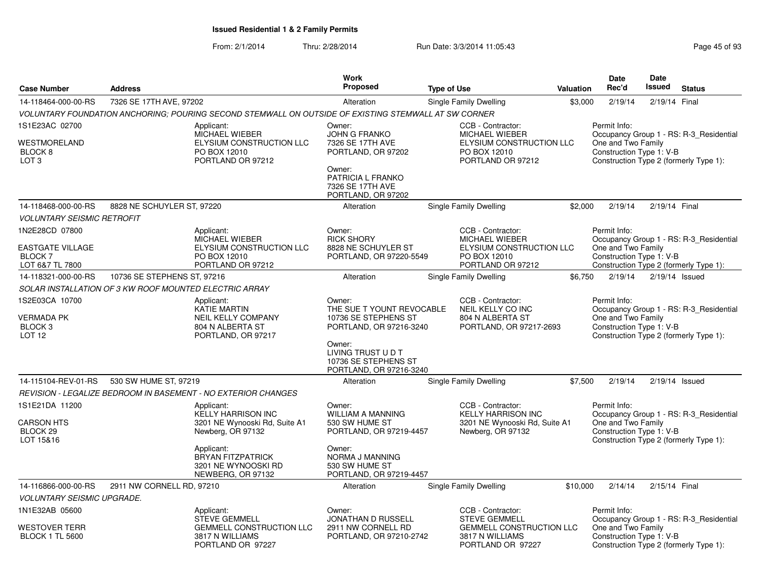|                                                                          |                                                        |                                                                                                                                         | <b>Work</b>                                                                                                                                                               |                    |                                                                                                             |                  | Date                                                                                                     | <b>Date</b>      |                                                                                   |
|--------------------------------------------------------------------------|--------------------------------------------------------|-----------------------------------------------------------------------------------------------------------------------------------------|---------------------------------------------------------------------------------------------------------------------------------------------------------------------------|--------------------|-------------------------------------------------------------------------------------------------------------|------------------|----------------------------------------------------------------------------------------------------------|------------------|-----------------------------------------------------------------------------------|
| <b>Case Number</b>                                                       | <b>Address</b>                                         |                                                                                                                                         | <b>Proposed</b>                                                                                                                                                           | <b>Type of Use</b> |                                                                                                             | <b>Valuation</b> | Rec'd                                                                                                    | <b>Issued</b>    | <b>Status</b>                                                                     |
| 14-118464-000-00-RS                                                      | 7326 SE 17TH AVE, 97202                                |                                                                                                                                         | Alteration                                                                                                                                                                |                    | Single Family Dwelling                                                                                      | \$3,000          | 2/19/14                                                                                                  | 2/19/14 Final    |                                                                                   |
|                                                                          |                                                        | VOLUNTARY FOUNDATION ANCHORING: POURING SECOND STEMWALL ON OUTSIDE OF EXISTING STEMWALL AT SW CORNER                                    |                                                                                                                                                                           |                    |                                                                                                             |                  |                                                                                                          |                  |                                                                                   |
| 1S1E23AC 02700<br>WESTMORELAND<br>BLOCK <sub>8</sub><br>LOT <sub>3</sub> |                                                        | Applicant:<br><b>MICHAEL WIEBER</b><br>ELYSIUM CONSTRUCTION LLC<br>PO BOX 12010<br>PORTLAND OR 97212                                    | Owner:<br><b>JOHN G FRANKO</b><br>7326 SE 17TH AVE<br>PORTLAND, OR 97202                                                                                                  |                    | CCB - Contractor:<br><b>MICHAEL WIEBER</b><br>ELYSIUM CONSTRUCTION LLC<br>PO BOX 12010<br>PORTLAND OR 97212 |                  | Permit Info:<br>One and Two Family<br>Construction Type 1: V-B<br>Construction Type 2 (formerly Type 1): |                  | Occupancy Group 1 - RS: R-3_Residential                                           |
|                                                                          |                                                        |                                                                                                                                         | Owner:<br>PATRICIA L FRANKO<br>7326 SE 17TH AVE<br>PORTLAND, OR 97202                                                                                                     |                    |                                                                                                             |                  |                                                                                                          |                  |                                                                                   |
| 14-118468-000-00-RS                                                      | 8828 NE SCHUYLER ST, 97220                             |                                                                                                                                         | Alteration                                                                                                                                                                |                    | Single Family Dwelling                                                                                      | \$2,000          | 2/19/14                                                                                                  | 2/19/14 Final    |                                                                                   |
| <b>VOLUNTARY SEISMIC RETROFIT</b>                                        |                                                        |                                                                                                                                         |                                                                                                                                                                           |                    |                                                                                                             |                  |                                                                                                          |                  |                                                                                   |
| 1N2E28CD 07800                                                           |                                                        | Applicant:<br>MICHAEL WIEBER                                                                                                            | Owner:<br><b>RICK SHORY</b>                                                                                                                                               |                    | CCB - Contractor:<br>MICHAEL WIEBER                                                                         |                  | Permit Info:                                                                                             |                  | Occupancy Group 1 - RS: R-3 Residential                                           |
| <b>EASTGATE VILLAGE</b><br><b>BLOCK7</b><br>LOT 6&7 TL 7800              |                                                        | ELYSIUM CONSTRUCTION LLC<br>PO BOX 12010<br>PORTLAND OR 97212                                                                           | 8828 NE SCHUYLER ST<br>PORTLAND, OR 97220-5549                                                                                                                            |                    | ELYSIUM CONSTRUCTION LLC<br>PO BOX 12010<br>PORTLAND OR 97212                                               |                  | One and Two Family<br>Construction Type 1: V-B                                                           |                  | Construction Type 2 (formerly Type 1):                                            |
| 14-118321-000-00-RS                                                      | 10736 SE STEPHENS ST, 97216                            |                                                                                                                                         | Alteration                                                                                                                                                                |                    | Single Family Dwelling                                                                                      | \$6.750          | 2/19/14                                                                                                  | $2/19/14$ Issued |                                                                                   |
|                                                                          | SOLAR INSTALLATION OF 3 KW ROOF MOUNTED ELECTRIC ARRAY |                                                                                                                                         |                                                                                                                                                                           |                    |                                                                                                             |                  |                                                                                                          |                  |                                                                                   |
| 1S2E03CA 10700<br>VERMADA PK<br>BLOCK <sub>3</sub><br>LOT 12             |                                                        | Applicant:<br>KATIE MARTIN<br><b>NEIL KELLY COMPANY</b><br>804 N ALBERTA ST<br>PORTLAND, OR 97217                                       | Owner:<br>THE SUE T YOUNT REVOCABLE<br>10736 SE STEPHENS ST<br>PORTLAND, OR 97216-3240<br>Owner:<br>LIVING TRUST U D T<br>10736 SE STEPHENS ST<br>PORTLAND, OR 97216-3240 |                    | CCB - Contractor:<br>NEIL KELLY CO INC<br>804 N ALBERTA ST<br>PORTLAND, OR 97217-2693                       |                  | Permit Info:<br>One and Two Family<br>Construction Type 1: V-B                                           |                  | Occupancy Group 1 - RS: R-3_Residential<br>Construction Type 2 (formerly Type 1): |
| 14-115104-REV-01-RS                                                      | 530 SW HUME ST, 97219                                  |                                                                                                                                         | Alteration                                                                                                                                                                |                    | <b>Single Family Dwelling</b>                                                                               | \$7,500          | 2/19/14                                                                                                  | $2/19/14$ Issued |                                                                                   |
|                                                                          |                                                        | REVISION - LEGALIZE BEDROOM IN BASEMENT - NO EXTERIOR CHANGES                                                                           |                                                                                                                                                                           |                    |                                                                                                             |                  |                                                                                                          |                  |                                                                                   |
| 1S1E21DA 11200<br><b>CARSON HTS</b><br>BLOCK <sub>29</sub><br>LOT 15&16  |                                                        | Applicant:<br><b>KELLY HARRISON INC</b><br>3201 NE Wynooski Rd, Suite A1<br>Newberg, OR 97132<br>Applicant:<br><b>BRYAN FITZPATRICK</b> | Owner:<br><b>WILLIAM A MANNING</b><br>530 SW HUME ST<br>PORTLAND, OR 97219-4457<br>Owner:<br>NORMA J MANNING                                                              |                    | CCB - Contractor:<br><b>KELLY HARRISON INC</b><br>3201 NE Wynooski Rd, Suite A1<br>Newberg, OR 97132        |                  | Permit Info:<br>One and Two Family<br>Construction Type 1: V-B                                           |                  | Occupancy Group 1 - RS: R-3_Residential<br>Construction Type 2 (formerly Type 1): |
|                                                                          |                                                        | 3201 NE WYNOOSKI RD<br>NEWBERG, OR 97132                                                                                                | 530 SW HUME ST<br>PORTLAND, OR 97219-4457                                                                                                                                 |                    |                                                                                                             |                  |                                                                                                          |                  |                                                                                   |
| 14-116866-000-00-RS                                                      | 2911 NW CORNELL RD, 97210                              |                                                                                                                                         | Alteration                                                                                                                                                                |                    | <b>Single Family Dwelling</b>                                                                               | \$10,000         | 2/14/14                                                                                                  | 2/15/14 Final    |                                                                                   |
| <i>VOLUNTARY SEISMIC UPGRADE.</i>                                        |                                                        |                                                                                                                                         |                                                                                                                                                                           |                    |                                                                                                             |                  |                                                                                                          |                  |                                                                                   |
| 1N1E32AB 05600                                                           |                                                        | Applicant:<br><b>STEVE GEMMELL</b>                                                                                                      | Owner:<br>JONATHAN D RUSSELL                                                                                                                                              |                    | CCB - Contractor:<br><b>STEVE GEMMELL</b>                                                                   |                  | Permit Info:                                                                                             |                  | Occupancy Group 1 - RS: R-3 Residential                                           |
| WESTOVER TERR<br><b>BLOCK 1 TL 5600</b>                                  |                                                        | GEMMELL CONSTRUCTION LLC<br>3817 N WILLIAMS<br>PORTLAND OR 97227                                                                        | 2911 NW CORNELL RD<br>PORTLAND, OR 97210-2742                                                                                                                             |                    | <b>GEMMELL CONSTRUCTION LLC</b><br>3817 N WILLIAMS<br>PORTLAND OR 97227                                     |                  | One and Two Family<br>Construction Type 1: V-B                                                           |                  | Construction Type 2 (formerly Type 1):                                            |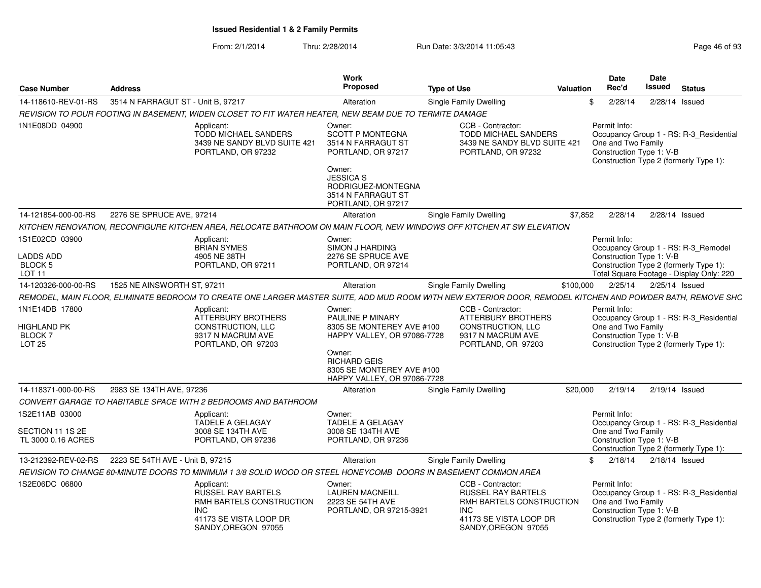| <b>Case Number</b>                                              | <b>Address</b>                     |                                                                                                                                                            | <b>Work</b><br>Proposed                                                                                                                                                                           | <b>Type of Use</b> |                                                                                                                                          | Valuation | <b>Date</b><br>Rec'd               |                          | <b>Date</b><br>Issued | <b>Status</b>                                                                      |
|-----------------------------------------------------------------|------------------------------------|------------------------------------------------------------------------------------------------------------------------------------------------------------|---------------------------------------------------------------------------------------------------------------------------------------------------------------------------------------------------|--------------------|------------------------------------------------------------------------------------------------------------------------------------------|-----------|------------------------------------|--------------------------|-----------------------|------------------------------------------------------------------------------------|
| 14-118610-REV-01-RS                                             | 3514 N FARRAGUT ST - Unit B, 97217 |                                                                                                                                                            | Alteration                                                                                                                                                                                        |                    | Single Family Dwelling                                                                                                                   |           | 2/28/14<br>\$                      |                          | 2/28/14 Issued        |                                                                                    |
|                                                                 |                                    | REVISION TO POUR FOOTING IN BASEMENT, WIDEN CLOSET TO FIT WATER HEATER, NEW BEAM DUE TO TERMITE DAMAGE                                                     |                                                                                                                                                                                                   |                    |                                                                                                                                          |           |                                    |                          |                       |                                                                                    |
| 1N1E08DD 04900                                                  |                                    | Applicant:<br>TODD MICHAEL SANDERS<br>3439 NE SANDY BLVD SUITE 421<br>PORTLAND, OR 97232                                                                   | Owner:<br><b>SCOTT P MONTEGNA</b><br>3514 N FARRAGUT ST<br>PORTLAND, OR 97217<br>Owner:<br><b>JESSICA S</b><br>RODRIGUEZ-MONTEGNA                                                                 |                    | CCB - Contractor:<br><b>TODD MICHAEL SANDERS</b><br>3439 NE SANDY BLVD SUITE 421<br>PORTLAND, OR 97232                                   |           | Permit Info:<br>One and Two Family | Construction Type 1: V-B |                       | Occupancy Group 1 - RS: R-3 Residential<br>Construction Type 2 (formerly Type 1):  |
|                                                                 |                                    |                                                                                                                                                            | 3514 N FARRAGUT ST<br>PORTLAND, OR 97217                                                                                                                                                          |                    |                                                                                                                                          |           |                                    |                          |                       |                                                                                    |
| 14-121854-000-00-RS                                             | 2276 SE SPRUCE AVE, 97214          |                                                                                                                                                            | Alteration                                                                                                                                                                                        |                    | Single Family Dwelling                                                                                                                   | \$7,852   | 2/28/14                            |                          | 2/28/14 Issued        |                                                                                    |
|                                                                 |                                    | KITCHEN RENOVATION, RECONFIGURE KITCHEN AREA, RELOCATE BATHROOM ON MAIN FLOOR, NEW WINDOWS OFF KITCHEN AT SW ELEVATION                                     |                                                                                                                                                                                                   |                    |                                                                                                                                          |           |                                    |                          |                       |                                                                                    |
| 1S1E02CD 03900                                                  |                                    | Applicant:<br><b>BRIAN SYMES</b>                                                                                                                           | Owner:<br>SIMON J HARDING                                                                                                                                                                         |                    |                                                                                                                                          |           | Permit Info:                       |                          |                       | Occupancy Group 1 - RS: R-3 Remodel                                                |
| <b>LADDS ADD</b><br>BLOCK 5<br>LOT <sub>11</sub>                |                                    | 4905 NE 38TH<br>PORTLAND, OR 97211                                                                                                                         | 2276 SE SPRUCE AVE<br>PORTLAND, OR 97214                                                                                                                                                          |                    |                                                                                                                                          |           |                                    | Construction Type 1: V-B |                       | Construction Type 2 (formerly Type 1):<br>Total Square Footage - Display Only: 220 |
| 14-120326-000-00-RS                                             | 1525 NE AINSWORTH ST, 97211        |                                                                                                                                                            | Alteration                                                                                                                                                                                        |                    | <b>Single Family Dwelling</b>                                                                                                            | \$100,000 | 2/25/14                            |                          | 2/25/14 Issued        |                                                                                    |
|                                                                 |                                    | REMODEL, MAIN FLOOR, ELIMINATE BEDROOM TO CREATE ONE LARGER MASTER SUITE, ADD MUD ROOM WITH NEW EXTERIOR DOOR, REMODEL KITCHEN AND POWDER BATH, REMOVE SHC |                                                                                                                                                                                                   |                    |                                                                                                                                          |           |                                    |                          |                       |                                                                                    |
| 1N1E14DB 17800<br><b>HIGHLAND PK</b><br><b>BLOCK7</b><br>LOT 25 |                                    | Applicant:<br>ATTERBURY BROTHERS<br>CONSTRUCTION, LLC<br>9317 N MACRUM AVE<br>PORTLAND, OR 97203                                                           | Owner:<br><b>PAULINE P MINARY</b><br>8305 SE MONTEREY AVE #100<br><b>HAPPY VALLEY, OR 97086-7728</b><br>Owner:<br><b>RICHARD GEIS</b><br>8305 SE MONTEREY AVE #100<br>HAPPY VALLEY, OR 97086-7728 |                    | CCB - Contractor:<br><b>ATTERBURY BROTHERS</b><br>CONSTRUCTION, LLC<br>9317 N MACRUM AVE<br>PORTLAND, OR 97203                           |           | Permit Info:<br>One and Two Family | Construction Type 1: V-B |                       | Occupancy Group 1 - RS: R-3_Residential<br>Construction Type 2 (formerly Type 1):  |
| 14-118371-000-00-RS                                             | 2983 SE 134TH AVE, 97236           |                                                                                                                                                            | Alteration                                                                                                                                                                                        |                    | Single Family Dwelling                                                                                                                   | \$20,000  | 2/19/14                            |                          | 2/19/14 Issued        |                                                                                    |
|                                                                 |                                    | CONVERT GARAGE TO HABITABLE SPACE WITH 2 BEDROOMS AND BATHROOM                                                                                             |                                                                                                                                                                                                   |                    |                                                                                                                                          |           |                                    |                          |                       |                                                                                    |
| 1S2E11AB 03000                                                  |                                    | Applicant:<br><b>TADELE A GELAGAY</b>                                                                                                                      | Owner:<br><b>TADELE A GELAGAY</b>                                                                                                                                                                 |                    |                                                                                                                                          |           | Permit Info:                       |                          |                       | Occupancy Group 1 - RS: R-3_Residential                                            |
| SECTION 11 1S 2E<br>TL 3000 0.16 ACRES                          |                                    | 3008 SE 134TH AVE<br>PORTLAND, OR 97236                                                                                                                    | 3008 SE 134TH AVE<br>PORTLAND, OR 97236                                                                                                                                                           |                    |                                                                                                                                          |           | One and Two Family                 | Construction Type 1: V-B |                       | Construction Type 2 (formerly Type 1):                                             |
| 13-212392-REV-02-RS                                             | 2223 SE 54TH AVE - Unit B, 97215   |                                                                                                                                                            | Alteration                                                                                                                                                                                        |                    | Single Family Dwelling                                                                                                                   |           | 2/18/14<br>\$                      |                          | $2/18/14$ Issued      |                                                                                    |
|                                                                 |                                    | REVISION TO CHANGE 60-MINUTE DOORS TO MINIMUM 1 3/8 SOLID WOOD OR STEEL HONEYCOMB DOORS IN BASEMENT COMMON AREA                                            |                                                                                                                                                                                                   |                    |                                                                                                                                          |           |                                    |                          |                       |                                                                                    |
| 1S2E06DC 06800                                                  |                                    | Applicant:<br>RUSSEL RAY BARTELS<br>RMH BARTELS CONSTRUCTION<br><b>INC</b><br>41173 SE VISTA LOOP DR<br>SANDY.OREGON 97055                                 | Owner:<br><b>LAUREN MACNEILL</b><br>2223 SE 54TH AVE<br>PORTLAND, OR 97215-3921                                                                                                                   |                    | CCB - Contractor:<br><b>RUSSEL RAY BARTELS</b><br>RMH BARTELS CONSTRUCTION<br><b>INC</b><br>41173 SE VISTA LOOP DR<br>SANDY.OREGON 97055 |           | Permit Info:<br>One and Two Family | Construction Type 1: V-B |                       | Occupancy Group 1 - RS: R-3 Residential<br>Construction Type 2 (formerly Type 1):  |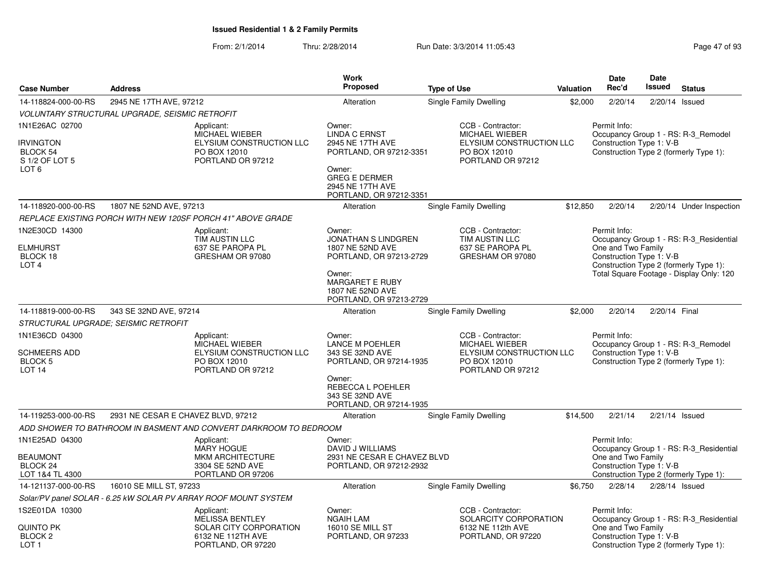|                                                                                      |                                                       |                                                                                                           | <b>Work</b>                                                                                                                                                    |                                                                                                             |           | <b>Date</b>                                                    | Date             |                                                                                                                               |
|--------------------------------------------------------------------------------------|-------------------------------------------------------|-----------------------------------------------------------------------------------------------------------|----------------------------------------------------------------------------------------------------------------------------------------------------------------|-------------------------------------------------------------------------------------------------------------|-----------|----------------------------------------------------------------|------------------|-------------------------------------------------------------------------------------------------------------------------------|
| <b>Case Number</b>                                                                   | <b>Address</b>                                        |                                                                                                           | <b>Proposed</b>                                                                                                                                                | <b>Type of Use</b>                                                                                          | Valuation | Rec'd                                                          | Issued           | <b>Status</b>                                                                                                                 |
| 14-118824-000-00-RS                                                                  | 2945 NE 17TH AVE, 97212                               |                                                                                                           | Alteration                                                                                                                                                     | Single Family Dwelling                                                                                      | \$2,000   | 2/20/14                                                        | 2/20/14 Issued   |                                                                                                                               |
|                                                                                      | <b>VOLUNTARY STRUCTURAL UPGRADE, SEISMIC RETROFIT</b> |                                                                                                           |                                                                                                                                                                |                                                                                                             |           |                                                                |                  |                                                                                                                               |
| 1N1E26AC 02700<br><b>IRVINGTON</b><br>BLOCK 54<br>S 1/2 OF LOT 5<br>LOT <sub>6</sub> |                                                       | Applicant:<br>MICHAEL WIEBER<br>ELYSIUM CONSTRUCTION LLC<br>PO BOX 12010<br>PORTLAND OR 97212             | Owner:<br><b>LINDA C ERNST</b><br>2945 NE 17TH AVE<br>PORTLAND, OR 97212-3351<br>Owner:<br><b>GREG E DERMER</b><br>2945 NE 17TH AVE<br>PORTLAND, OR 97212-3351 | CCB - Contractor:<br>MICHAEL WIEBER<br>ELYSIUM CONSTRUCTION LLC<br>PO BOX 12010<br>PORTLAND OR 97212        |           | Permit Info:<br>Construction Type 1: V-B                       |                  | Occupancy Group 1 - RS: R-3_Remodel<br>Construction Type 2 (formerly Type 1):                                                 |
| 14-118920-000-00-RS                                                                  | 1807 NE 52ND AVE, 97213                               |                                                                                                           | Alteration                                                                                                                                                     | <b>Single Family Dwelling</b>                                                                               | \$12,850  | 2/20/14                                                        |                  | 2/20/14 Under Inspection                                                                                                      |
|                                                                                      |                                                       | REPLACE EXISTING PORCH WITH NEW 120SF PORCH 41" ABOVE GRADE                                               |                                                                                                                                                                |                                                                                                             |           |                                                                |                  |                                                                                                                               |
| 1N2E30CD 14300<br><b>ELMHURST</b><br>BLOCK 18<br>LOT <sub>4</sub>                    |                                                       | Applicant:<br>TIM AUSTIN LLC<br>637 SE PAROPA PL<br>GRESHAM OR 97080                                      | Owner:<br><b>JONATHAN S LINDGREN</b><br>1807 NE 52ND AVE<br>PORTLAND, OR 97213-2729<br>Owner:<br><b>MARGARET E RUBY</b>                                        | CCB - Contractor:<br>TIM AUSTIN LLC<br>637 SE PAROPA PL<br>GRESHAM OR 97080                                 |           | Permit Info:<br>One and Two Family<br>Construction Type 1: V-B |                  | Occupancy Group 1 - RS: R-3 Residential<br>Construction Type 2 (formerly Type 1):<br>Total Square Footage - Display Only: 120 |
| 14-118819-000-00-RS                                                                  | 343 SE 32ND AVE, 97214                                |                                                                                                           | 1807 NE 52ND AVE<br>PORTLAND, OR 97213-2729<br>Alteration                                                                                                      | <b>Single Family Dwelling</b>                                                                               | \$2,000   | 2/20/14                                                        | 2/20/14 Final    |                                                                                                                               |
|                                                                                      | STRUCTURAL UPGRADE; SEISMIC RETROFIT                  |                                                                                                           |                                                                                                                                                                |                                                                                                             |           |                                                                |                  |                                                                                                                               |
| 1N1E36CD 04300<br>SCHMEERS ADD<br><b>BLOCK 5</b><br>LOT <sub>14</sub>                |                                                       | Applicant:<br>MICHAEL WIEBER<br>ELYSIUM CONSTRUCTION LLC<br>PO BOX 12010<br>PORTLAND OR 97212             | Owner:<br><b>LANCE M POEHLER</b><br>343 SE 32ND AVE<br>PORTLAND, OR 97214-1935<br>Owner:<br>REBECCA L POEHLER<br>343 SE 32ND AVE<br>PORTLAND, OR 97214-1935    | CCB - Contractor:<br><b>MICHAEL WIEBER</b><br>ELYSIUM CONSTRUCTION LLC<br>PO BOX 12010<br>PORTLAND OR 97212 |           | Permit Info:<br>Construction Type 1: V-B                       |                  | Occupancy Group 1 - RS: R-3_Remodel<br>Construction Type 2 (formerly Type 1):                                                 |
| 14-119253-000-00-RS                                                                  | 2931 NE CESAR E CHAVEZ BLVD, 97212                    |                                                                                                           | Alteration                                                                                                                                                     | Single Family Dwelling                                                                                      | \$14,500  | 2/21/14                                                        | $2/21/14$ Issued |                                                                                                                               |
|                                                                                      |                                                       | ADD SHOWER TO BATHROOM IN BASMENT AND CONVERT DARKROOM TO BEDROOM                                         |                                                                                                                                                                |                                                                                                             |           |                                                                |                  |                                                                                                                               |
| 1N1E25AD 04300<br><b>BEAUMONT</b><br>BLOCK 24<br>LOT 1&4 TL 4300                     |                                                       | Applicant:<br><b>MARY HOGUE</b><br>MKM ARCHITECTURE<br>3304 SE 52ND AVE<br>PORTLAND OR 97206              | Owner:<br><b>DAVID J WILLIAMS</b><br>2931 NE CESAR E CHAVEZ BLVD<br>PORTLAND, OR 97212-2932                                                                    |                                                                                                             |           | Permit Info:<br>One and Two Family<br>Construction Type 1: V-B |                  | Occupancy Group 1 - RS: R-3_Residential<br>Construction Type 2 (formerly Type 1):                                             |
| 14-121137-000-00-RS                                                                  | 16010 SE MILL ST, 97233                               |                                                                                                           | Alteration                                                                                                                                                     | Single Family Dwelling                                                                                      | \$6,750   | 2/28/14                                                        | $2/28/14$ Issued |                                                                                                                               |
|                                                                                      |                                                       | Solar/PV panel SOLAR - 6.25 kW SOLAR PV ARRAY ROOF MOUNT SYSTEM                                           |                                                                                                                                                                |                                                                                                             |           |                                                                |                  |                                                                                                                               |
| 1S2E01DA 10300<br>QUINTO PK<br>BLOCK <sub>2</sub><br>LOT <sub>1</sub>                |                                                       | Applicant:<br><b>MELISSA BENTLEY</b><br>SOLAR CITY CORPORATION<br>6132 NE 112TH AVE<br>PORTLAND, OR 97220 | Owner:<br><b>NGAIH LAM</b><br>16010 SE MILL ST<br>PORTLAND, OR 97233                                                                                           | CCB - Contractor:<br>SOLARCITY CORPORATION<br>6132 NE 112th AVE<br>PORTLAND, OR 97220                       |           | Permit Info:<br>One and Two Family<br>Construction Type 1: V-B |                  | Occupancy Group 1 - RS: R-3_Residential<br>Construction Type 2 (formerly Type 1):                                             |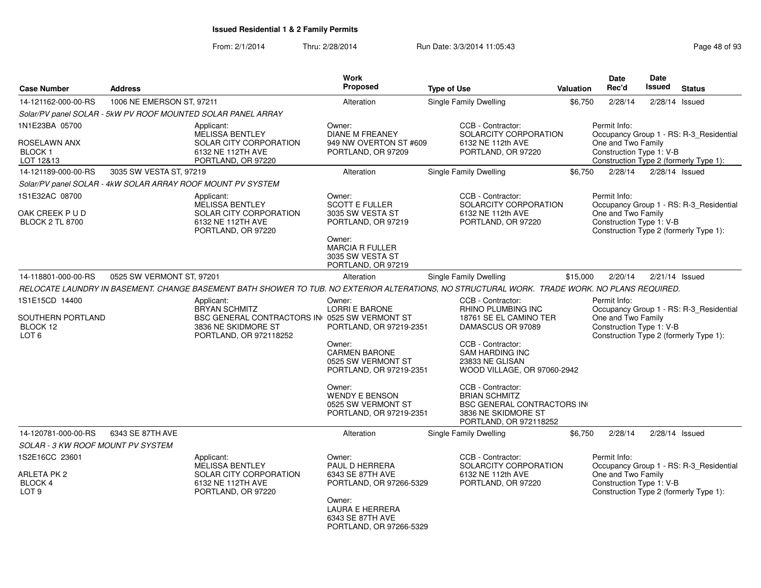| <b>Case Number</b>                                                  | <b>Address</b>            |                                                                                                                                               | <b>Work</b><br><b>Proposed</b>                                                                                                                             | <b>Type of Use</b> |                                                                                                                                 | <b>Valuation</b> | Date<br>Rec'd                                                  | Date<br>Issued | <b>Status</b>                                                                     |
|---------------------------------------------------------------------|---------------------------|-----------------------------------------------------------------------------------------------------------------------------------------------|------------------------------------------------------------------------------------------------------------------------------------------------------------|--------------------|---------------------------------------------------------------------------------------------------------------------------------|------------------|----------------------------------------------------------------|----------------|-----------------------------------------------------------------------------------|
| 14-121162-000-00-RS                                                 | 1006 NE EMERSON ST, 97211 |                                                                                                                                               | Alteration                                                                                                                                                 |                    | <b>Single Family Dwelling</b>                                                                                                   | \$6,750          | 2/28/14                                                        |                | 2/28/14 Issued                                                                    |
|                                                                     |                           | Solar/PV panel SOLAR - 5kW PV ROOF MOUNTED SOLAR PANEL ARRAY                                                                                  |                                                                                                                                                            |                    |                                                                                                                                 |                  |                                                                |                |                                                                                   |
| 1N1E23BA 05700<br>ROSELAWN ANX<br>BLOCK <sub>1</sub>                |                           | Applicant:<br>MELISSA BENTLEY<br>SOLAR CITY CORPORATION<br>6132 NE 112TH AVE                                                                  | Owner:<br><b>DIANE M FREANEY</b><br>949 NW OVERTON ST #609<br>PORTLAND, OR 97209                                                                           |                    | CCB - Contractor:<br>SOLARCITY CORPORATION<br>6132 NE 112th AVE<br>PORTLAND, OR 97220                                           |                  | Permit Info:<br>One and Two Family<br>Construction Type 1: V-B |                | Occupancy Group 1 - RS: R-3 Residential                                           |
| LOT 12&13                                                           |                           | PORTLAND, OR 97220                                                                                                                            |                                                                                                                                                            |                    |                                                                                                                                 |                  |                                                                |                | Construction Type 2 (formerly Type 1):                                            |
| 14-121189-000-00-RS                                                 | 3035 SW VESTA ST, 97219   |                                                                                                                                               | Alteration                                                                                                                                                 |                    | Single Family Dwelling                                                                                                          | \$6.750          | 2/28/14                                                        |                | $2/28/14$ Issued                                                                  |
|                                                                     |                           | Solar/PV panel SOLAR - 4kW SOLAR ARRAY ROOF MOUNT PV SYSTEM                                                                                   |                                                                                                                                                            |                    |                                                                                                                                 |                  |                                                                |                |                                                                                   |
| 1S1E32AC 08700<br>OAK CREEK P U D<br><b>BLOCK 2 TL 8700</b>         |                           | Applicant:<br><b>MELISSA BENTLEY</b><br><b>SOLAR CITY CORPORATION</b><br>6132 NE 112TH AVE<br>PORTLAND, OR 97220                              | Owner:<br><b>SCOTT E FULLER</b><br>3035 SW VESTA ST<br>PORTLAND, OR 97219<br>Owner:<br><b>MARCIA R FULLER</b><br>3035 SW VESTA ST<br>PORTLAND, OR 97219    |                    | CCB - Contractor:<br>SOLARCITY CORPORATION<br>6132 NE 112th AVE<br>PORTLAND, OR 97220                                           |                  | Permit Info:<br>One and Two Family<br>Construction Type 1: V-B |                | Occupancy Group 1 - RS: R-3_Residential<br>Construction Type 2 (formerly Type 1): |
| 14-118801-000-00-RS                                                 | 0525 SW VERMONT ST, 97201 |                                                                                                                                               | Alteration                                                                                                                                                 |                    | Single Family Dwelling                                                                                                          | \$15,000         | 2/20/14                                                        |                | 2/21/14 Issued                                                                    |
|                                                                     |                           | RELOCATE LAUNDRY IN BASEMENT. CHANGE BASEMENT BATH SHOWER TO TUB. NO EXTERIOR ALTERATIONS, NO STRUCTURAL WORK. TRADE WORK. NO PLANS REQUIRED. |                                                                                                                                                            |                    |                                                                                                                                 |                  |                                                                |                |                                                                                   |
| 1S1E15CD 14400<br>SOUTHERN PORTLAND<br>BLOCK 12<br>LOT <sub>6</sub> |                           | Applicant:<br><b>BRYAN SCHMITZ</b><br>BSC GENERAL CONTRACTORS IN 0525 SW VERMONT ST<br>3836 NE SKIDMORE ST<br>PORTLAND, OR 972118252          | Owner:<br><b>LORRI E BARONE</b><br>PORTLAND, OR 97219-2351                                                                                                 |                    | CCB - Contractor:<br>RHINO PLUMBING INC<br>18761 SE EL CAMINO TER<br>DAMASCUS OR 97089                                          |                  | Permit Info:<br>One and Two Family<br>Construction Type 1: V-B |                | Occupancy Group 1 - RS: R-3_Residential<br>Construction Type 2 (formerly Type 1): |
|                                                                     |                           |                                                                                                                                               | Owner:<br><b>CARMEN BARONE</b><br>0525 SW VERMONT ST<br>PORTLAND, OR 97219-2351                                                                            |                    | CCB - Contractor:<br><b>SAM HARDING INC</b><br>23833 NE GLISAN<br>WOOD VILLAGE, OR 97060-2942                                   |                  |                                                                |                |                                                                                   |
|                                                                     |                           |                                                                                                                                               | Owner:<br><b>WENDY E BENSON</b><br>0525 SW VERMONT ST<br>PORTLAND, OR 97219-2351                                                                           |                    | CCB - Contractor:<br><b>BRIAN SCHMITZ</b><br><b>BSC GENERAL CONTRACTORS IN</b><br>3836 NE SKIDMORE ST<br>PORTLAND, OR 972118252 |                  |                                                                |                |                                                                                   |
| 14-120781-000-00-RS                                                 | 6343 SE 87TH AVE          |                                                                                                                                               | Alteration                                                                                                                                                 |                    | <b>Single Family Dwelling</b>                                                                                                   | \$6,750          | 2/28/14                                                        |                | 2/28/14 Issued                                                                    |
| <b>SOLAR - 3 KW ROOF MOUNT PV SYSTEM</b>                            |                           |                                                                                                                                               |                                                                                                                                                            |                    |                                                                                                                                 |                  |                                                                |                |                                                                                   |
| 1S2E16CC 23601<br>ARLETA PK 2<br>BLOCK 4<br>LOT <sub>9</sub>        |                           | Applicant:<br>MELISSA BENTLEY<br>SOLAR CITY CORPORATION<br>6132 NE 112TH AVE<br>PORTLAND, OR 97220                                            | Owner:<br>PAUL D HERRERA<br>6343 SE 87TH AVE<br>PORTLAND, OR 97266-5329<br>Owner:<br><b>LAURA E HERRERA</b><br>6343 SE 87TH AVE<br>PORTLAND, OR 97266-5329 |                    | CCB - Contractor:<br>SOLARCITY CORPORATION<br>6132 NE 112th AVE<br>PORTLAND, OR 97220                                           |                  | Permit Info:<br>One and Two Family<br>Construction Type 1: V-B |                | Occupancy Group 1 - RS: R-3_Residential<br>Construction Type 2 (formerly Type 1): |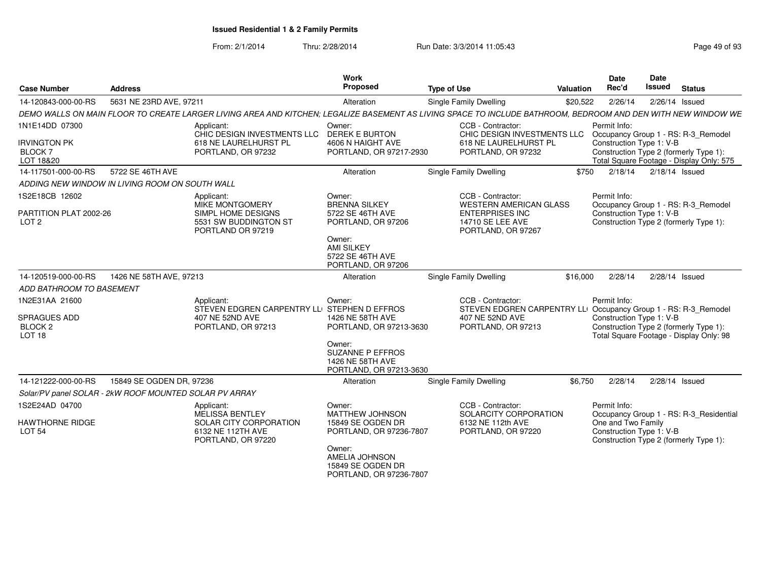| <b>Case Number</b>                                                        | <b>Address</b>           |                                                                                                                                                              | Work<br>Proposed                                                                           | <b>Type of Use</b>                                                                                                            | Valuation | <b>Date</b><br>Rec'd                                                                     | Date<br>Issued | <b>Status</b>                                                                   |
|---------------------------------------------------------------------------|--------------------------|--------------------------------------------------------------------------------------------------------------------------------------------------------------|--------------------------------------------------------------------------------------------|-------------------------------------------------------------------------------------------------------------------------------|-----------|------------------------------------------------------------------------------------------|----------------|---------------------------------------------------------------------------------|
| 14-120843-000-00-RS                                                       | 5631 NE 23RD AVE, 97211  |                                                                                                                                                              | Alteration                                                                                 | <b>Single Family Dwelling</b>                                                                                                 | \$20,522  | 2/26/14                                                                                  | 2/26/14 Issued |                                                                                 |
|                                                                           |                          | DEMO WALLS ON MAIN FLOOR TO CREATE LARGER LIVING AREA AND KITCHEN: LEGALIZE BASEMENT AS LIVING SPACE TO INCLUDE BATHROOM. BEDROOM AND DEN WITH NEW WINDOW WE |                                                                                            |                                                                                                                               |           |                                                                                          |                |                                                                                 |
| 1N1E14DD 07300                                                            |                          | Applicant:                                                                                                                                                   | Owner:                                                                                     | CCB - Contractor:                                                                                                             |           | Permit Info:                                                                             |                |                                                                                 |
| <b>IRVINGTON PK</b><br><b>BLOCK7</b><br>LOT 18&20                         |                          | CHIC DESIGN INVESTMENTS LLC DEREK E BURTON<br>618 NE LAURELHURST PL<br>PORTLAND, OR 97232                                                                    | 4606 N HAIGHT AVE<br>PORTLAND, OR 97217-2930                                               | CHIC DESIGN INVESTMENTS LLC<br>618 NE LAURELHURST PL<br>PORTLAND, OR 97232                                                    |           | Construction Type 1: V-B<br>Construction Type 2 (formerly Type 1):                       |                | Occupancy Group 1 - RS: R-3_Remodel<br>Total Square Footage - Display Only: 575 |
| 14-117501-000-00-RS                                                       | 5722 SE 46TH AVE         |                                                                                                                                                              | Alteration                                                                                 | Single Family Dwelling                                                                                                        | \$750     | 2/18/14                                                                                  | 2/18/14 Issued |                                                                                 |
| ADDING NEW WINDOW IN LIVING ROOM ON SOUTH WALL                            |                          |                                                                                                                                                              |                                                                                            |                                                                                                                               |           |                                                                                          |                |                                                                                 |
| 1S2E18CB 12602<br>PARTITION PLAT 2002-26                                  |                          | Applicant:<br><b>MIKE MONTGOMERY</b><br>SIMPL HOME DESIGNS                                                                                                   | Owner:<br><b>BRENNA SILKEY</b><br>5722 SE 46TH AVE                                         | CCB - Contractor:<br><b>WESTERN AMERICAN GLASS</b><br><b>ENTERPRISES INC</b>                                                  |           | Permit Info:<br>Construction Type 1: V-B                                                 |                | Occupancy Group 1 - RS: R-3_Remodel                                             |
| LOT <sub>2</sub>                                                          |                          | 5531 SW BUDDINGTON ST<br>PORTLAND OR 97219                                                                                                                   | PORTLAND, OR 97206<br>Owner:                                                               | 14710 SE LEE AVE<br>PORTLAND, OR 97267                                                                                        |           | Construction Type 2 (formerly Type 1):                                                   |                |                                                                                 |
|                                                                           |                          |                                                                                                                                                              | <b>AMI SILKEY</b><br>5722 SE 46TH AVE<br>PORTLAND, OR 97206                                |                                                                                                                               |           |                                                                                          |                |                                                                                 |
| 14-120519-000-00-RS                                                       | 1426 NE 58TH AVE, 97213  |                                                                                                                                                              | Alteration                                                                                 | <b>Single Family Dwelling</b>                                                                                                 | \$16,000  | 2/28/14                                                                                  | 2/28/14 Issued |                                                                                 |
| <b>ADD BATHROOM TO BASEMENT</b>                                           |                          |                                                                                                                                                              |                                                                                            |                                                                                                                               |           |                                                                                          |                |                                                                                 |
| 1N2E31AA 21600<br>SPRAGUES ADD<br>BLOCK <sub>2</sub><br>LOT <sub>18</sub> |                          | Applicant:<br>STEVEN EDGREN CARPENTRY LLI STEPHEN D EFFROS<br>407 NE 52ND AVE<br>PORTLAND, OR 97213                                                          | Owner:<br>1426 NE 58TH AVE<br>PORTLAND, OR 97213-3630<br>Owner:<br><b>SUZANNE P EFFROS</b> | CCB - Contractor:<br>STEVEN EDGREN CARPENTRY LLI Occupancy Group 1 - RS: R-3_Remodel<br>407 NE 52ND AVE<br>PORTLAND, OR 97213 |           | Permit Info:<br>Construction Type 1: V-B<br>Construction Type 2 (formerly Type 1):       |                | Total Square Footage - Display Only: 98                                         |
|                                                                           |                          |                                                                                                                                                              | 1426 NE 58TH AVE<br>PORTLAND, OR 97213-3630                                                |                                                                                                                               |           |                                                                                          |                |                                                                                 |
| 14-121222-000-00-RS                                                       | 15849 SE OGDEN DR, 97236 |                                                                                                                                                              | Alteration                                                                                 | Single Family Dwelling                                                                                                        | \$6.750   | 2/28/14                                                                                  | 2/28/14 Issued |                                                                                 |
| Solar/PV panel SOLAR - 2kW ROOF MOUNTED SOLAR PV ARRAY                    |                          |                                                                                                                                                              |                                                                                            |                                                                                                                               |           |                                                                                          |                |                                                                                 |
| 1S2E24AD 04700                                                            |                          | Applicant:                                                                                                                                                   | Owner:                                                                                     | CCB - Contractor:                                                                                                             |           | Permit Info:                                                                             |                |                                                                                 |
|                                                                           |                          | MELISSA BENTLEY                                                                                                                                              | <b>MATTHEW JOHNSON</b>                                                                     | SOLARCITY CORPORATION                                                                                                         |           |                                                                                          |                | Occupancy Group 1 - RS: R-3_Residential                                         |
| <b>HAWTHORNE RIDGE</b><br><b>LOT 54</b>                                   |                          | SOLAR CITY CORPORATION<br>6132 NE 112TH AVE<br>PORTLAND, OR 97220                                                                                            | 15849 SE OGDEN DR<br>PORTLAND, OR 97236-7807<br>Owner:                                     | 6132 NE 112th AVE<br>PORTLAND, OR 97220                                                                                       |           | One and Two Family<br>Construction Type 1: V-B<br>Construction Type 2 (formerly Type 1): |                |                                                                                 |
|                                                                           |                          |                                                                                                                                                              | <b>AMELIA JOHNSON</b><br>15849 SE OGDEN DR<br>PORTLAND, OR 97236-7807                      |                                                                                                                               |           |                                                                                          |                |                                                                                 |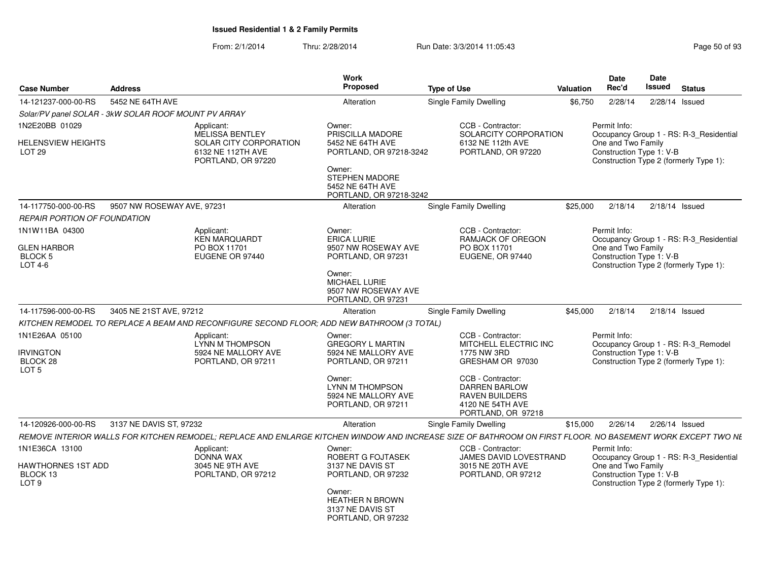|                                                                      |                            |                                                                                            | Work<br>Proposed                                                                                                                                                |                                                                                                                                                                                               |           | <b>Date</b>                        | Date<br><b>Issued</b>                          |                                                                                   |
|----------------------------------------------------------------------|----------------------------|--------------------------------------------------------------------------------------------|-----------------------------------------------------------------------------------------------------------------------------------------------------------------|-----------------------------------------------------------------------------------------------------------------------------------------------------------------------------------------------|-----------|------------------------------------|------------------------------------------------|-----------------------------------------------------------------------------------|
| <b>Case Number</b>                                                   | Address                    |                                                                                            |                                                                                                                                                                 | <b>Type of Use</b>                                                                                                                                                                            | Valuation | Rec'd                              |                                                | <b>Status</b>                                                                     |
| 14-121237-000-00-RS                                                  | 5452 NE 64TH AVE           |                                                                                            | Alteration                                                                                                                                                      | Single Family Dwelling                                                                                                                                                                        | \$6,750   | 2/28/14                            |                                                | $2/28/14$ Issued                                                                  |
| Solar/PV panel SOLAR - 3kW SOLAR ROOF MOUNT PV ARRAY                 |                            |                                                                                            |                                                                                                                                                                 |                                                                                                                                                                                               |           |                                    |                                                |                                                                                   |
| 1N2E20BB 01029                                                       |                            | Applicant:<br><b>MELISSA BENTLEY</b>                                                       | Owner:<br>PRISCILLA MADORE                                                                                                                                      | CCB - Contractor:<br>SOLARCITY CORPORATION                                                                                                                                                    |           | Permit Info:                       |                                                | Occupancy Group 1 - RS: R-3 Residential                                           |
| HELENSVIEW HEIGHTS<br>LOT <sub>29</sub>                              |                            | SOLAR CITY CORPORATION<br>6132 NE 112TH AVE<br>PORTLAND, OR 97220                          | 5452 NE 64TH AVE<br>PORTLAND, OR 97218-3242<br>Owner:<br>STEPHEN MADORE<br>5452 NE 64TH AVE<br>PORTLAND, OR 97218-3242                                          | 6132 NE 112th AVE<br>PORTLAND, OR 97220                                                                                                                                                       |           |                                    | One and Two Family<br>Construction Type 1: V-B | Construction Type 2 (formerly Type 1):                                            |
| 14-117750-000-00-RS                                                  | 9507 NW ROSEWAY AVE, 97231 |                                                                                            | Alteration                                                                                                                                                      | <b>Single Family Dwelling</b>                                                                                                                                                                 | \$25,000  | 2/18/14                            |                                                | 2/18/14 Issued                                                                    |
| REPAIR PORTION OF FOUNDATION                                         |                            |                                                                                            |                                                                                                                                                                 |                                                                                                                                                                                               |           |                                    |                                                |                                                                                   |
| 1N1W11BA 04300<br><b>GLEN HARBOR</b><br>BLOCK 5<br>LOT 4-6           |                            | Applicant:<br><b>KEN MARQUARDT</b><br>PO BOX 11701<br>EUGENE OR 97440                      | Owner:<br><b>ERICA LURIE</b><br>9507 NW ROSEWAY AVE<br>PORTLAND, OR 97231<br>Owner:<br><b>MICHAEL LURIE</b><br>9507 NW ROSEWAY AVE<br>PORTLAND, OR 97231        | CCB - Contractor:<br><b>RAMJACK OF OREGON</b><br>PO BOX 11701<br>EUGENE, OR 97440                                                                                                             |           | Permit Info:                       | One and Two Family<br>Construction Type 1: V-B | Occupancy Group 1 - RS: R-3 Residential<br>Construction Type 2 (formerly Type 1): |
| 14-117596-000-00-RS                                                  | 3405 NE 21ST AVE, 97212    |                                                                                            | Alteration                                                                                                                                                      | <b>Single Family Dwelling</b>                                                                                                                                                                 | \$45,000  | 2/18/14                            |                                                | 2/18/14 Issued                                                                    |
|                                                                      |                            | KITCHEN REMODEL TO REPLACE A BEAM AND RECONFIGURE SECOND FLOOR: ADD NEW BATHROOM (3 TOTAL) |                                                                                                                                                                 |                                                                                                                                                                                               |           |                                    |                                                |                                                                                   |
| 1N1E26AA 05100<br><b>IRVINGTON</b><br>BLOCK 28<br>LOT <sub>5</sub>   |                            | Applicant:<br>LYNN M THOMPSON<br>5924 NE MALLORY AVE<br>PORTLAND, OR 97211                 | Owner:<br><b>GREGORY L MARTIN</b><br>5924 NE MALLORY AVE<br>PORTLAND, OR 97211<br>Owner:<br><b>LYNN M THOMPSON</b><br>5924 NE MALLORY AVE<br>PORTLAND, OR 97211 | CCB - Contractor:<br>MITCHELL ELECTRIC INC<br>1775 NW 3RD<br>GRESHAM OR 97030<br>CCB - Contractor:<br><b>DARREN BARLOW</b><br><b>RAVEN BUILDERS</b><br>4120 NE 54TH AVE<br>PORTLAND, OR 97218 |           | Permit Info:                       | Construction Type 1: V-B                       | Occupancy Group 1 - RS: R-3_Remodel<br>Construction Type 2 (formerly Type 1):     |
| 14-120926-000-00-RS                                                  | 3137 NE DAVIS ST, 97232    |                                                                                            | Alteration                                                                                                                                                      | Single Family Dwelling                                                                                                                                                                        | \$15,000  | 2/26/14                            |                                                | 2/26/14 Issued                                                                    |
|                                                                      |                            |                                                                                            |                                                                                                                                                                 | REMOVE INTERIOR WALLS FOR KITCHEN REMODEL; REPLACE AND ENLARGE KITCHEN WINDOW AND INCREASE SIZE OF BATHROOM ON FIRST FLOOR. NO BASEMENT WORK EXCEPT TWO NE                                    |           |                                    |                                                |                                                                                   |
| 1N1E36CA 13100<br>HAWTHORNES 1ST ADD<br>BLOCK 13<br>LOT <sub>9</sub> |                            | Applicant:<br>DONNA WAX<br>3045 NE 9TH AVE<br>PORLTAND, OR 97212                           | Owner:<br>ROBERT G FOJTASEK<br>3137 NE DAVIS ST<br>PORTLAND, OR 97232<br>Owner:<br><b>HEATHER N BROWN</b><br>3137 NE DAVIS ST<br>PORTLAND, OR 97232             | CCB - Contractor:<br>JAMES DAVID LOVESTRAND<br>3015 NE 20TH AVE<br>PORTLAND, OR 97212                                                                                                         |           | Permit Info:<br>One and Two Family | Construction Type 1: V-B                       | Occupancy Group 1 - RS: R-3_Residential<br>Construction Type 2 (formerly Type 1): |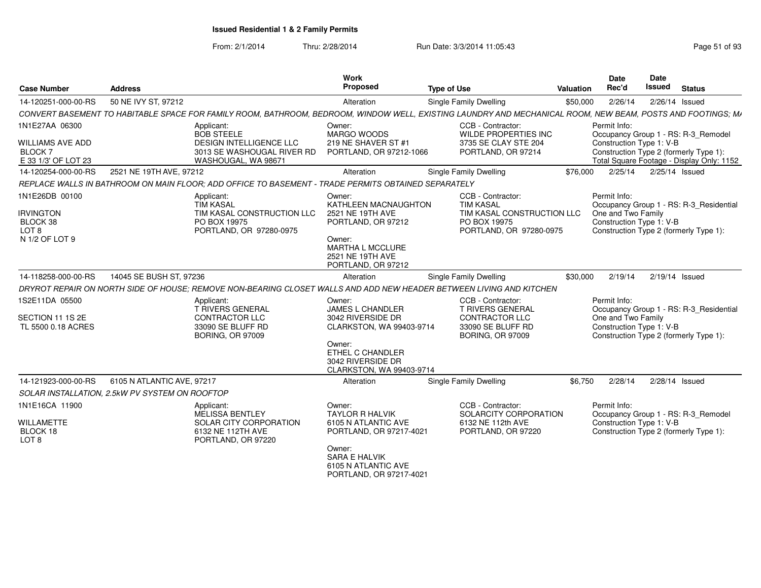| <b>Case Number</b>                                                                | <b>Address</b>                                 |                                                                                                                        | Work<br>Proposed                                                                                                                                                       | <b>Type of Use</b>                                                                                                                                          | Valuation | <b>Date</b><br>Rec'd                                                                                                                                                   | Date<br><b>Issued</b> | <b>Status</b> |
|-----------------------------------------------------------------------------------|------------------------------------------------|------------------------------------------------------------------------------------------------------------------------|------------------------------------------------------------------------------------------------------------------------------------------------------------------------|-------------------------------------------------------------------------------------------------------------------------------------------------------------|-----------|------------------------------------------------------------------------------------------------------------------------------------------------------------------------|-----------------------|---------------|
| 14-120251-000-00-RS                                                               | 50 NE IVY ST, 97212                            |                                                                                                                        | Alteration                                                                                                                                                             | <b>Single Family Dwelling</b>                                                                                                                               | \$50,000  | 2/26/14                                                                                                                                                                | 2/26/14 Issued        |               |
|                                                                                   |                                                |                                                                                                                        |                                                                                                                                                                        | CONVERT BASEMENT TO HABITABLE SPACE FOR FAMILY ROOM, BATHROOM, BEDROOM, WINDOW WELL, EXISTING LAUNDRY AND MECHANICAL ROOM, NEW BEAM, POSTS AND FOOTINGS; MA |           |                                                                                                                                                                        |                       |               |
| 1N1E27AA 06300<br><b>WILLIAMS AVE ADD</b><br><b>BLOCK7</b><br>E 33 1/3' OF LOT 23 |                                                | Applicant:<br><b>BOB STEELE</b><br><b>DESIGN INTELLIGENCE LLC</b><br>3013 SE WASHOUGAL RIVER RD<br>WASHOUGAL, WA 98671 | Owner:<br>MARGO WOODS<br>219 NE SHAVER ST #1<br>PORTLAND, OR 97212-1066                                                                                                | CCB - Contractor:<br>WILDE PROPERTIES INC<br>3735 SE CLAY STE 204<br>PORTLAND, OR 97214                                                                     |           | Permit Info:<br>Occupancy Group 1 - RS: R-3 Remodel<br>Construction Type 1: V-B<br>Construction Type 2 (formerly Type 1):<br>Total Square Footage - Display Only: 1152 |                       |               |
| 14-120254-000-00-RS                                                               | 2521 NE 19TH AVE, 97212                        |                                                                                                                        | Alteration                                                                                                                                                             | Single Family Dwelling                                                                                                                                      | \$76,000  | 2/25/14                                                                                                                                                                | 2/25/14 Issued        |               |
|                                                                                   |                                                | REPLACE WALLS IN BATHROOM ON MAIN FLOOR; ADD OFFICE TO BASEMENT - TRADE PERMITS OBTAINED SEPARATELY                    |                                                                                                                                                                        |                                                                                                                                                             |           |                                                                                                                                                                        |                       |               |
| 1N1E26DB 00100<br><b>IRVINGTON</b><br>BLOCK 38<br>LOT 8<br>N 1/2 OF LOT 9         |                                                | Applicant:<br><b>TIM KASAL</b><br>TIM KASAL CONSTRUCTION LLC<br>PO BOX 19975<br>PORTLAND, OR 97280-0975                | Owner:<br>KATHLEEN MACNAUGHTON<br>2521 NE 19TH AVE<br>PORTLAND, OR 97212<br>Owner:<br><b>MARTHA L MCCLURE</b><br>2521 NE 19TH AVE<br>PORTLAND, OR 97212                | CCB - Contractor:<br><b>TIM KASAL</b><br>TIM KASAL CONSTRUCTION LLC<br>PO BOX 19975<br>PORTLAND, OR 97280-0975                                              |           | Permit Info:<br>Occupancy Group 1 - RS: R-3 Residential<br>One and Two Family<br>Construction Type 1: V-B<br>Construction Type 2 (formerly Type 1):                    |                       |               |
| 14-118258-000-00-RS                                                               | 14045 SE BUSH ST, 97236                        |                                                                                                                        | Alteration                                                                                                                                                             | Single Family Dwelling                                                                                                                                      | \$30,000  | 2/19/14                                                                                                                                                                | 2/19/14 Issued        |               |
|                                                                                   |                                                | DRYROT REPAIR ON NORTH SIDE OF HOUSE: REMOVE NON-BEARING CLOSET WALLS AND ADD NEW HEADER BETWEEN LIVING AND KITCHEN    |                                                                                                                                                                        |                                                                                                                                                             |           |                                                                                                                                                                        |                       |               |
| 1S2E11DA 05500<br>SECTION 11 1S 2E<br>TL 5500 0.18 ACRES                          |                                                | Applicant:<br><b>T RIVERS GENERAL</b><br>CONTRACTOR LLC<br>33090 SE BLUFF RD<br><b>BORING, OR 97009</b>                | Owner:<br><b>JAMES L CHANDLER</b><br>3042 RIVERSIDE DR<br>CLARKSTON, WA 99403-9714<br>Owner:<br>ETHEL C CHANDLER<br>3042 RIVERSIDE DR<br>CLARKSTON, WA 99403-9714      | CCB - Contractor:<br><b>T RIVERS GENERAL</b><br>CONTRACTOR LLC<br>33090 SE BLUFF RD<br><b>BORING, OR 97009</b>                                              |           | Permit Info:<br>Occupancy Group 1 - RS: R-3 Residential<br>One and Two Family<br>Construction Type 1: V-B<br>Construction Type 2 (formerly Type 1):                    |                       |               |
| 14-121923-000-00-RS                                                               | 6105 N ATLANTIC AVE, 97217                     |                                                                                                                        | Alteration                                                                                                                                                             | Single Family Dwelling                                                                                                                                      | \$6,750   | 2/28/14                                                                                                                                                                | 2/28/14 Issued        |               |
|                                                                                   | SOLAR INSTALLATION, 2.5kW PV SYSTEM ON ROOFTOP |                                                                                                                        |                                                                                                                                                                        |                                                                                                                                                             |           |                                                                                                                                                                        |                       |               |
| 1N1E16CA 11900<br><b>WILLAMETTE</b><br>BLOCK 18<br>LOT 8                          |                                                | Applicant:<br>MELISSA BENTLEY<br>SOLAR CITY CORPORATION<br>6132 NE 112TH AVE<br>PORTLAND, OR 97220                     | Owner:<br><b>TAYLOR R HALVIK</b><br>6105 N ATLANTIC AVE<br>PORTLAND, OR 97217-4021<br>Owner:<br><b>SARA E HALVIK</b><br>6105 N ATLANTIC AVE<br>PORTLAND, OR 97217-4021 | CCB - Contractor:<br>SOLARCITY CORPORATION<br>6132 NE 112th AVE<br>PORTLAND, OR 97220                                                                       |           | Permit Info:<br>Occupancy Group 1 - RS: R-3_Remodel<br>Construction Type 1: V-B<br>Construction Type 2 (formerly Type 1):                                              |                       |               |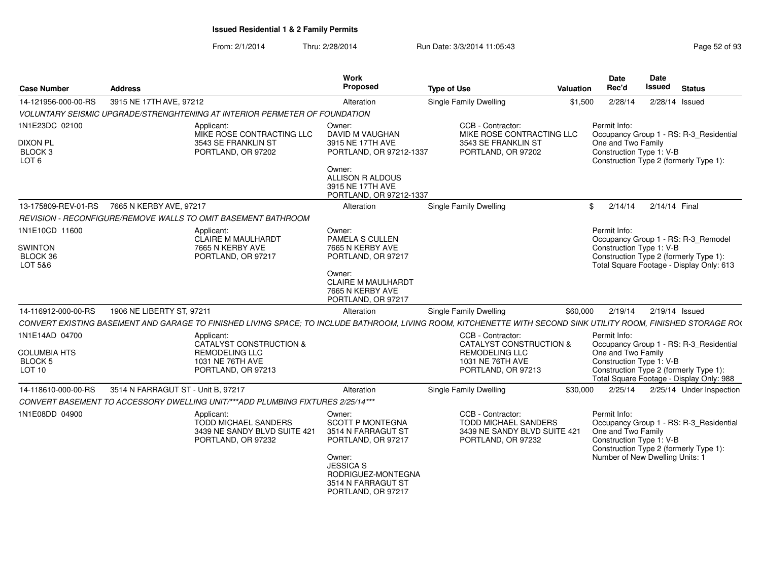| <b>Case Number</b>                                                          | <b>Address</b>                                                                                                                                                   | Work<br>Proposed                                                                                                                                                    | <b>Type of Use</b>                                                                                                  | <b>Valuation</b> | Date<br>Rec'd                                                                                                                                                                                   | Date<br><b>Issued</b> | <b>Status</b>            |  |
|-----------------------------------------------------------------------------|------------------------------------------------------------------------------------------------------------------------------------------------------------------|---------------------------------------------------------------------------------------------------------------------------------------------------------------------|---------------------------------------------------------------------------------------------------------------------|------------------|-------------------------------------------------------------------------------------------------------------------------------------------------------------------------------------------------|-----------------------|--------------------------|--|
| 14-121956-000-00-RS                                                         | 3915 NE 17TH AVE, 97212                                                                                                                                          | Alteration                                                                                                                                                          | Single Family Dwelling                                                                                              | \$1,500          | 2/28/14                                                                                                                                                                                         |                       | 2/28/14 Issued           |  |
|                                                                             | VOLUNTARY SEISMIC UPGRADE/STRENGHTENING AT INTERIOR PERMETER OF FOUNDATION                                                                                       |                                                                                                                                                                     |                                                                                                                     |                  |                                                                                                                                                                                                 |                       |                          |  |
| 1N1E23DC 02100<br><b>DIXON PL</b><br>BLOCK <sub>3</sub><br>LOT <sub>6</sub> | Applicant:<br>MIKE ROSE CONTRACTING LLC<br>3543 SE FRANKLIN ST<br>PORTLAND, OR 97202                                                                             | Owner:<br>DAVID M VAUGHAN<br>3915 NE 17TH AVE<br>PORTLAND, OR 97212-1337<br>Owner:<br>ALLISON R ALDOUS<br>3915 NE 17TH AVE                                          | CCB - Contractor:<br>MIKE ROSE CONTRACTING LLC<br>3543 SE FRANKLIN ST<br>PORTLAND, OR 97202                         |                  | Permit Info:<br>Occupancy Group 1 - RS: R-3_Residential<br>One and Two Family<br>Construction Type 1: V-B<br>Construction Type 2 (formerly Type 1):                                             |                       |                          |  |
|                                                                             |                                                                                                                                                                  | PORTLAND, OR 97212-1337                                                                                                                                             |                                                                                                                     |                  |                                                                                                                                                                                                 |                       |                          |  |
| 13-175809-REV-01-RS                                                         | 7665 N KERBY AVE, 97217                                                                                                                                          | Alteration                                                                                                                                                          | Single Family Dwelling                                                                                              |                  | \$2/14/14                                                                                                                                                                                       | 2/14/14 Final         |                          |  |
|                                                                             | REVISION - RECONFIGURE/REMOVE WALLS TO OMIT BASEMENT BATHROOM                                                                                                    |                                                                                                                                                                     |                                                                                                                     |                  |                                                                                                                                                                                                 |                       |                          |  |
| 1N1E10CD 11600<br><b>SWINTON</b><br>BLOCK 36<br>LOT 5&6                     | Applicant:<br>CLAIRE M MAULHARDT<br>7665 N KERBY AVE<br>PORTLAND, OR 97217                                                                                       | Owner:<br>PAMELA S CULLEN<br>7665 N KERBY AVE<br>PORTLAND, OR 97217<br>Owner:<br><b>CLAIRE M MAULHARDT</b>                                                          |                                                                                                                     |                  | Permit Info:<br>Occupancy Group 1 - RS: R-3_Remodel<br>Construction Type 1: V-B<br>Construction Type 2 (formerly Type 1):<br>Total Square Footage - Display Only: 613                           |                       |                          |  |
| 14-116912-000-00-RS                                                         | 1906 NE LIBERTY ST, 97211                                                                                                                                        | 7665 N KERBY AVE<br>PORTLAND, OR 97217<br>Alteration                                                                                                                | <b>Single Family Dwelling</b>                                                                                       | \$60,000         | 2/19/14                                                                                                                                                                                         |                       | 2/19/14 Issued           |  |
|                                                                             |                                                                                                                                                                  |                                                                                                                                                                     |                                                                                                                     |                  |                                                                                                                                                                                                 |                       |                          |  |
|                                                                             | CONVERT EXISTING BASEMENT AND GARAGE TO FINISHED LIVING SPACE; TO INCLUDE BATHROOM, LIVING ROOM, KITCHENETTE WITH SECOND SINK UTILITY ROOM, FINISHED STORAGE ROO |                                                                                                                                                                     |                                                                                                                     |                  |                                                                                                                                                                                                 |                       |                          |  |
| 1N1E14AD 04700<br><b>COLUMBIA HTS</b><br>BLOCK 5<br><b>LOT 10</b>           | Applicant:<br>CATALYST CONSTRUCTION &<br><b>REMODELING LLC</b><br>1031 NE 76TH AVE<br>PORTLAND, OR 97213                                                         |                                                                                                                                                                     | CCB - Contractor:<br><b>CATALYST CONSTRUCTION &amp;</b><br>REMODELING LLC<br>1031 NE 76TH AVE<br>PORTLAND, OR 97213 |                  | Permit Info:<br>Occupancy Group 1 - RS: R-3_Residential<br>One and Two Family<br>Construction Type 1: V-B<br>Construction Type 2 (formerly Type 1):<br>Total Square Footage - Display Only: 988 |                       |                          |  |
| 14-118610-000-00-RS                                                         | 3514 N FARRAGUT ST - Unit B. 97217                                                                                                                               | Alteration                                                                                                                                                          | Single Family Dwelling                                                                                              | \$30,000         | 2/25/14                                                                                                                                                                                         |                       | 2/25/14 Under Inspection |  |
|                                                                             | CONVERT BASEMENT TO ACCESSORY DWELLING UNIT/***ADD PLUMBING FIXTURES 2/25/14***                                                                                  |                                                                                                                                                                     |                                                                                                                     |                  |                                                                                                                                                                                                 |                       |                          |  |
| 1N1E08DD 04900                                                              | Applicant:                                                                                                                                                       | Owner:                                                                                                                                                              | CCB - Contractor:                                                                                                   |                  | Permit Info:                                                                                                                                                                                    |                       |                          |  |
|                                                                             | <b>TODD MICHAEL SANDERS</b><br>3439 NE SANDY BLVD SUITE 421<br>PORTLAND, OR 97232                                                                                | <b>SCOTT P MONTEGNA</b><br>3514 N FARRAGUT ST<br>PORTLAND, OR 97217<br>Owner:<br><b>JESSICA S</b><br>RODRIGUEZ-MONTEGNA<br>3514 N FARRAGUT ST<br>PORTLAND, OR 97217 | <b>TODD MICHAEL SANDERS</b><br>3439 NE SANDY BLVD SUITE 421<br>PORTLAND, OR 97232                                   |                  | Occupancy Group 1 - RS: R-3_Residential<br>One and Two Family<br>Construction Type 1: V-B<br>Construction Type 2 (formerly Type 1):<br>Number of New Dwelling Units: 1                          |                       |                          |  |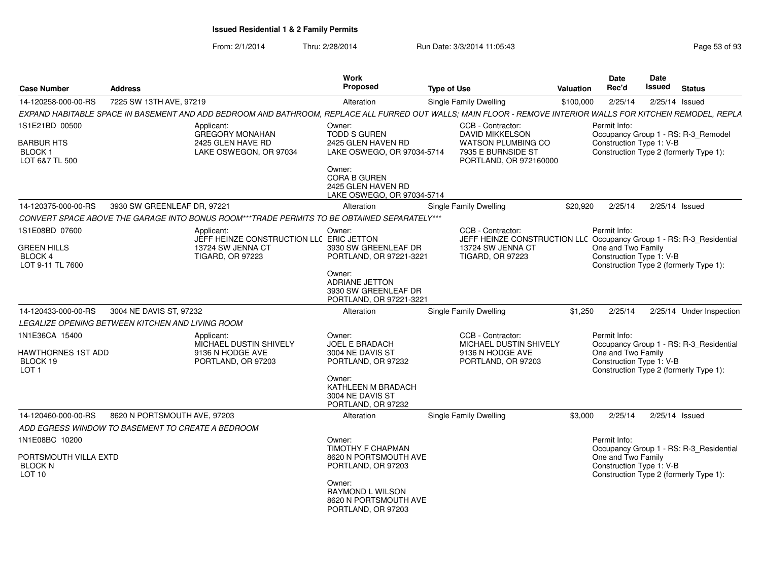| <b>Case Number</b>                                                   | <b>Address</b>                                                                                                                                               | Work<br>Proposed                                                                    | <b>Type of Use</b>                                                                                             | <b>Valuation</b> | Date<br>Rec'd                                                  | Date<br>Issued | <b>Status</b>                                                                     |
|----------------------------------------------------------------------|--------------------------------------------------------------------------------------------------------------------------------------------------------------|-------------------------------------------------------------------------------------|----------------------------------------------------------------------------------------------------------------|------------------|----------------------------------------------------------------|----------------|-----------------------------------------------------------------------------------|
| 14-120258-000-00-RS                                                  | 7225 SW 13TH AVE, 97219                                                                                                                                      | Alteration                                                                          | Single Family Dwelling                                                                                         | \$100,000        | 2/25/14                                                        |                | $2/25/14$ Issued                                                                  |
|                                                                      | EXPAND HABITABLE SPACE IN BASEMENT AND ADD BEDROOM AND BATHROOM, REPLACE ALL FURRED OUT WALLS; MAIN FLOOR - REMOVE INTERIOR WALLS FOR KITCHEN REMODEL, REPLA |                                                                                     |                                                                                                                |                  |                                                                |                |                                                                                   |
| 1S1E21BD 00500                                                       | Applicant:<br><b>GREGORY MONAHAN</b>                                                                                                                         | Owner:<br><b>TODD S GUREN</b>                                                       | CCB - Contractor:<br><b>DAVID MIKKELSON</b>                                                                    |                  | Permit Info:                                                   |                | Occupancy Group 1 - RS: R-3_Remodel                                               |
| <b>BARBUR HTS</b><br>BLOCK 1<br>LOT 6&7 TL 500                       | 2425 GLEN HAVE RD<br>LAKE OSWEGON, OR 97034                                                                                                                  | 2425 GLEN HAVEN RD<br>LAKE OSWEGO, OR 97034-5714                                    | <b>WATSON PLUMBING CO</b><br>7935 E BURNSIDE ST<br>PORTLAND, OR 972160000                                      |                  | Construction Type 1: V-B                                       |                | Construction Type 2 (formerly Type 1):                                            |
|                                                                      |                                                                                                                                                              | Owner:<br><b>CORA B GUREN</b><br>2425 GLEN HAVEN RD<br>LAKE OSWEGO, OR 97034-5714   |                                                                                                                |                  |                                                                |                |                                                                                   |
| 14-120375-000-00-RS                                                  | 3930 SW GREENLEAF DR, 97221                                                                                                                                  | Alteration                                                                          | Single Family Dwelling                                                                                         | \$20.920         | 2/25/14                                                        |                | 2/25/14 Issued                                                                    |
|                                                                      | CONVERT SPACE ABOVE THE GARAGE INTO BONUS ROOM***TRADE PERMITS TO BE OBTAINED SEPARATELY***                                                                  |                                                                                     |                                                                                                                |                  |                                                                |                |                                                                                   |
| 1S1E08BD 07600<br><b>GREEN HILLS</b>                                 | Applicant:<br>JEFF HEINZE CONSTRUCTION LLC ERIC JETTON<br>13724 SW JENNA CT                                                                                  | Owner:<br>3930 SW GREENLEAF DR                                                      | CCB - Contractor:<br>JEFF HEINZE CONSTRUCTION LLC Occupancy Group 1 - RS: R-3_Residential<br>13724 SW JENNA CT |                  | Permit Info:<br>One and Two Family                             |                |                                                                                   |
| BLOCK 4<br>LOT 9-11 TL 7600                                          | <b>TIGARD, OR 97223</b>                                                                                                                                      | PORTLAND, OR 97221-3221                                                             | <b>TIGARD, OR 97223</b>                                                                                        |                  | Construction Type 1: V-B                                       |                | Construction Type 2 (formerly Type 1):                                            |
|                                                                      |                                                                                                                                                              | Owner:<br><b>ADRIANE JETTON</b><br>3930 SW GREENLEAF DR<br>PORTLAND, OR 97221-3221  |                                                                                                                |                  |                                                                |                |                                                                                   |
| 14-120433-000-00-RS                                                  | 3004 NE DAVIS ST, 97232                                                                                                                                      | Alteration                                                                          | Single Family Dwelling                                                                                         | \$1,250          | 2/25/14                                                        |                | 2/25/14 Under Inspection                                                          |
|                                                                      | LEGALIZE OPENING BETWEEN KITCHEN AND LIVING ROOM                                                                                                             |                                                                                     |                                                                                                                |                  |                                                                |                |                                                                                   |
| 1N1E36CA 15400<br>HAWTHORNES 1ST ADD<br>BLOCK 19<br>LOT <sub>1</sub> | Applicant:<br>MICHAEL DUSTIN SHIVELY<br>9136 N HODGE AVE<br>PORTLAND, OR 97203                                                                               | Owner:<br><b>JOEL E BRADACH</b><br>3004 NE DAVIS ST<br>PORTLAND, OR 97232<br>Owner: | CCB - Contractor:<br>MICHAEL DUSTIN SHIVELY<br>9136 N HODGE AVE<br>PORTLAND, OR 97203                          |                  | Permit Info:<br>One and Two Family<br>Construction Type 1: V-B |                | Occupancy Group 1 - RS: R-3_Residential<br>Construction Type 2 (formerly Type 1): |
|                                                                      |                                                                                                                                                              | KATHLEEN M BRADACH<br>3004 NE DAVIS ST<br>PORTLAND, OR 97232                        |                                                                                                                |                  |                                                                |                |                                                                                   |
| 14-120460-000-00-RS                                                  | 8620 N PORTSMOUTH AVE, 97203<br>ADD EGRESS WINDOW TO BASEMENT TO CREATE A BEDROOM                                                                            | Alteration                                                                          | <b>Single Family Dwelling</b>                                                                                  | \$3,000          | 2/25/14                                                        |                | $2/25/14$ Issued                                                                  |
| 1N1E08BC 10200                                                       |                                                                                                                                                              | Owner:                                                                              |                                                                                                                |                  | Permit Info:                                                   |                |                                                                                   |
| PORTSMOUTH VILLA EXTD<br><b>BLOCK N</b><br><b>LOT 10</b>             |                                                                                                                                                              | <b>TIMOTHY F CHAPMAN</b><br>8620 N PORTSMOUTH AVE<br>PORTLAND, OR 97203             |                                                                                                                |                  | One and Two Family<br>Construction Type 1: V-B                 |                | Occupancy Group 1 - RS: R-3_Residential<br>Construction Type 2 (formerly Type 1): |
|                                                                      |                                                                                                                                                              | Owner:<br>RAYMOND L WILSON<br>8620 N PORTSMOUTH AVE<br>PORTLAND, OR 97203           |                                                                                                                |                  |                                                                |                |                                                                                   |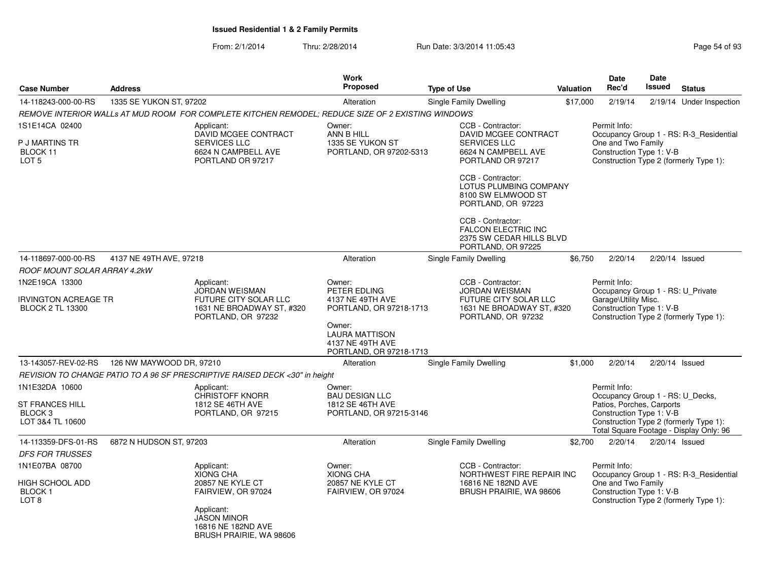|                                                                         |                          |                                                                                                   | Work<br><b>Proposed</b>                                                                        |                                                               |                                                                    |          | <b>Date</b><br>Rec'd                                           | <b>Date</b><br><b>Issued</b> |                                                                                   |
|-------------------------------------------------------------------------|--------------------------|---------------------------------------------------------------------------------------------------|------------------------------------------------------------------------------------------------|---------------------------------------------------------------|--------------------------------------------------------------------|----------|----------------------------------------------------------------|------------------------------|-----------------------------------------------------------------------------------|
| <b>Case Number</b>                                                      | <b>Address</b>           |                                                                                                   |                                                                                                | <b>Type of Use</b>                                            | Valuation                                                          |          |                                                                |                              | <b>Status</b>                                                                     |
| 14-118243-000-00-RS                                                     | 1335 SE YUKON ST, 97202  |                                                                                                   | Alteration                                                                                     | Single Family Dwelling                                        |                                                                    | \$17,000 | 2/19/14                                                        |                              | 2/19/14 Under Inspection                                                          |
|                                                                         |                          | REMOVE INTERIOR WALLs AT MUD ROOM FOR COMPLETE KITCHEN REMODEL; REDUCE SIZE OF 2 EXISTING WINDOWS |                                                                                                |                                                               |                                                                    |          |                                                                |                              |                                                                                   |
| 1S1E14CA 02400<br>P J MARTINS TR<br>BLOCK 11<br>LOT <sub>5</sub>        |                          | Applicant:<br>DAVID MCGEE CONTRACT<br>SERVICES LLC<br>6624 N CAMPBELL AVE<br>PORTLAND OR 97217    | Owner:<br>ANN B HILL<br>1335 SE YUKON ST<br>PORTLAND, OR 97202-5313                            | CCB - Contractor:<br><b>SERVICES LLC</b><br>PORTLAND OR 97217 | DAVID MCGEE CONTRACT<br>6624 N CAMPBELL AVE                        |          | Permit Info:<br>One and Two Family<br>Construction Type 1: V-B |                              | Occupancy Group 1 - RS: R-3_Residential<br>Construction Type 2 (formerly Type 1): |
|                                                                         |                          |                                                                                                   |                                                                                                | CCB - Contractor:                                             | LOTUS PLUMBING COMPANY<br>8100 SW ELMWOOD ST<br>PORTLAND, OR 97223 |          |                                                                |                              |                                                                                   |
|                                                                         |                          |                                                                                                   |                                                                                                | CCB - Contractor:<br>PORTLAND, OR 97225                       | <b>FALCON ELECTRIC INC</b><br>2375 SW CEDAR HILLS BLVD             |          |                                                                |                              |                                                                                   |
| 14-118697-000-00-RS                                                     | 4137 NE 49TH AVE, 97218  |                                                                                                   | Alteration                                                                                     | Single Family Dwelling                                        |                                                                    | \$6,750  | 2/20/14                                                        | $2/20/14$ Issued             |                                                                                   |
| ROOF MOUNT SOLAR ARRAY 4.2kW                                            |                          |                                                                                                   |                                                                                                |                                                               |                                                                    |          |                                                                |                              |                                                                                   |
| 1N2E19CA 13300                                                          |                          | Applicant:                                                                                        | Owner:                                                                                         | CCB - Contractor:                                             |                                                                    |          | Permit Info:                                                   |                              |                                                                                   |
| IRVINGTON ACREAGE TR<br><b>BLOCK 2 TL 13300</b>                         |                          | <b>JORDAN WEISMAN</b><br>FUTURE CITY SOLAR LLC<br>1631 NE BROADWAY ST, #320<br>PORTLAND, OR 97232 | PETER EDLING<br>4137 NE 49TH AVE<br>PORTLAND, OR 97218-1713<br>Owner:<br><b>LAURA MATTISON</b> | <b>JORDAN WEISMAN</b><br>PORTLAND, OR 97232                   | FUTURE CITY SOLAR LLC<br>1631 NE BROADWAY ST, #320                 |          | Garage\Utility Misc.<br>Construction Type 1: V-B               |                              | Occupancy Group 1 - RS: U_Private<br>Construction Type 2 (formerly Type 1):       |
|                                                                         |                          |                                                                                                   | 4137 NE 49TH AVE<br>PORTLAND, OR 97218-1713                                                    |                                                               |                                                                    |          |                                                                |                              |                                                                                   |
| 13-143057-REV-02-RS                                                     | 126 NW MAYWOOD DR, 97210 |                                                                                                   | Alteration                                                                                     | Single Family Dwelling                                        |                                                                    | \$1,000  | 2/20/14                                                        | $2/20/14$ Issued             |                                                                                   |
|                                                                         |                          | REVISION TO CHANGE PATIO TO A 96 SF PRESCRIPTIVE RAISED DECK <30" in height                       |                                                                                                |                                                               |                                                                    |          |                                                                |                              |                                                                                   |
| 1N1E32DA 10600                                                          |                          | Applicant:<br><b>CHRISTOFF KNORR</b>                                                              | Owner:<br><b>BAU DESIGN LLC</b>                                                                |                                                               |                                                                    |          | Permit Info:<br>Occupancy Group 1 - RS: U Decks,               |                              |                                                                                   |
| <b>ST FRANCES HILL</b><br>BLOCK <sub>3</sub><br>LOT 3&4 TL 10600        |                          | 1812 SE 46TH AVE<br>PORTLAND, OR 97215                                                            | 1812 SE 46TH AVE<br>PORTLAND, OR 97215-3146                                                    |                                                               |                                                                    |          | Patios, Porches, Carports<br>Construction Type 1: V-B          |                              | Construction Type 2 (formerly Type 1):<br>Total Square Footage - Display Only: 96 |
| 14-113359-DFS-01-RS                                                     | 6872 N HUDSON ST, 97203  |                                                                                                   | Alteration                                                                                     | Single Family Dwelling                                        |                                                                    | \$2,700  | 2/20/14                                                        | $2/20/14$ Issued             |                                                                                   |
| <b>DFS FOR TRUSSES</b>                                                  |                          |                                                                                                   |                                                                                                |                                                               |                                                                    |          |                                                                |                              |                                                                                   |
| 1N1E07BA 08700<br><b>HIGH SCHOOL ADD</b><br>BLOCK 1<br>LOT <sub>8</sub> |                          | Applicant:<br><b>XIONG CHA</b><br><b>20857 NE KYLE CT</b><br>FAIRVIEW, OR 97024                   | Owner:<br><b>XIONG CHA</b><br><b>20857 NE KYLE CT</b><br>FAIRVIEW, OR 97024                    | CCB - Contractor:<br>16816 NE 182ND AVE                       | NORTHWEST FIRE REPAIR INC<br>BRUSH PRAIRIE, WA 98606               |          | Permit Info:<br>One and Two Family<br>Construction Type 1: V-B |                              | Occupancy Group 1 - RS: R-3_Residential<br>Construction Type 2 (formerly Type 1): |
|                                                                         |                          | Applicant:<br><b>JASON MINOR</b><br>16816 NE 182ND AVE<br>BRUSH PRAIRIE, WA 98606                 |                                                                                                |                                                               |                                                                    |          |                                                                |                              |                                                                                   |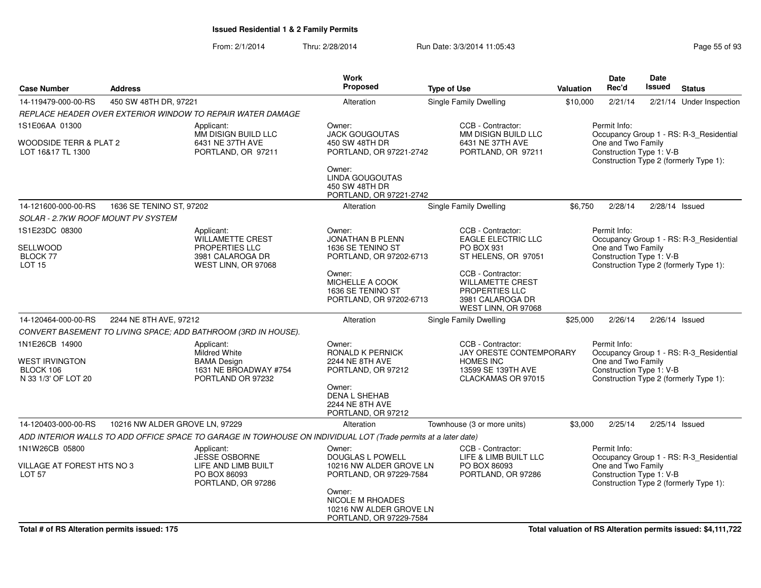From: 2/1/2014Thru: 2/28/2014 **Run Date: 3/3/2014 11:05:43** Page 55 of 93

|                                    |                                |                                                                                                                | Work<br>Proposed                            |                                                |                  | Date<br>Rec'd            | <b>Date</b><br><b>Issued</b> |                                         |
|------------------------------------|--------------------------------|----------------------------------------------------------------------------------------------------------------|---------------------------------------------|------------------------------------------------|------------------|--------------------------|------------------------------|-----------------------------------------|
| <b>Case Number</b>                 | <b>Address</b>                 |                                                                                                                |                                             | <b>Type of Use</b>                             | <b>Valuation</b> |                          |                              | <b>Status</b>                           |
| 14-119479-000-00-RS                | 450 SW 48TH DR. 97221          |                                                                                                                | Alteration                                  | Single Family Dwelling                         | \$10,000         | 2/21/14                  |                              | 2/21/14 Under Inspection                |
|                                    |                                | REPLACE HEADER OVER EXTERIOR WINDOW TO REPAIR WATER DAMAGE                                                     |                                             |                                                |                  |                          |                              |                                         |
| 1S1E06AA 01300                     |                                | Applicant:<br>MM DISIGN BUILD LLC                                                                              | Owner:<br><b>JACK GOUGOUTAS</b>             | CCB - Contractor:<br>MM DISIGN BUILD LLC       |                  | Permit Info:             |                              | Occupancy Group 1 - RS: R-3_Residential |
| WOODSIDE TERR & PLAT 2             |                                | 6431 NE 37TH AVE                                                                                               | 450 SW 48TH DR                              | 6431 NE 37TH AVE                               |                  | One and Two Family       |                              |                                         |
| LOT 16&17 TL 1300                  |                                | PORTLAND, OR 97211                                                                                             | PORTLAND, OR 97221-2742                     | PORTLAND, OR 97211                             |                  | Construction Type 1: V-B |                              |                                         |
|                                    |                                |                                                                                                                | Owner:                                      |                                                |                  |                          |                              | Construction Type 2 (formerly Type 1):  |
|                                    |                                |                                                                                                                | LINDA GOUGOUTAS                             |                                                |                  |                          |                              |                                         |
|                                    |                                |                                                                                                                | 450 SW 48TH DR                              |                                                |                  |                          |                              |                                         |
|                                    | 1636 SE TENINO ST, 97202       |                                                                                                                | PORTLAND, OR 97221-2742                     | Single Family Dwelling                         | \$6,750          | 2/28/14                  |                              |                                         |
| 14-121600-000-00-RS                |                                |                                                                                                                | Alteration                                  |                                                |                  |                          |                              | $2/28/14$ Issued                        |
| SOLAR - 2.7KW ROOF MOUNT PV SYSTEM |                                |                                                                                                                |                                             |                                                |                  |                          |                              |                                         |
| 1S1E23DC 08300                     |                                | Applicant:<br>WILLAMETTE CREST                                                                                 | Owner:<br>JONATHAN B PLENN                  | CCB - Contractor:<br><b>EAGLE ELECTRIC LLC</b> |                  | Permit Info:             |                              | Occupancy Group 1 - RS: R-3_Residential |
| SELLWOOD                           |                                | PROPERTIES LLC                                                                                                 | 1636 SE TENINO ST                           | PO BOX 931                                     |                  | One and Two Family       |                              |                                         |
| BLOCK 77                           |                                | 3981 CALAROGA DR                                                                                               | PORTLAND, OR 97202-6713                     | ST HELENS, OR 97051                            |                  | Construction Type 1: V-B |                              | Construction Type 2 (formerly Type 1):  |
| <b>LOT 15</b>                      |                                | WEST LINN, OR 97068                                                                                            | Owner:                                      | CCB - Contractor:                              |                  |                          |                              |                                         |
|                                    |                                |                                                                                                                | MICHELLE A COOK                             | <b>WILLAMETTE CREST</b>                        |                  |                          |                              |                                         |
|                                    |                                |                                                                                                                | 1636 SE TENINO ST                           | PROPERTIES LLC                                 |                  |                          |                              |                                         |
|                                    |                                |                                                                                                                | PORTLAND, OR 97202-6713                     | 3981 CALAROGA DR<br>WEST LINN, OR 97068        |                  |                          |                              |                                         |
| 14-120464-000-00-RS                | 2244 NE 8TH AVE, 97212         |                                                                                                                | Alteration                                  | Single Family Dwelling                         | \$25,000         | 2/26/14                  |                              | $2/26/14$ Issued                        |
|                                    |                                | CONVERT BASEMENT TO LIVING SPACE; ADD BATHROOM (3RD IN HOUSE).                                                 |                                             |                                                |                  |                          |                              |                                         |
| 1N1E26CB 14900                     |                                | Applicant:                                                                                                     | Owner:                                      | CCB - Contractor:                              |                  | Permit Info:             |                              |                                         |
| <b>WEST IRVINGTON</b>              |                                | Mildred White<br><b>BAMA Design</b>                                                                            | RONALD K PERNICK<br><b>2244 NE 8TH AVE</b>  | JAY ORESTE CONTEMPORARY<br><b>HOMES INC</b>    |                  | One and Two Family       |                              | Occupancy Group 1 - RS: R-3_Residential |
| BLOCK 106                          |                                | 1631 NE BROADWAY #754                                                                                          | PORTLAND, OR 97212                          | 13599 SE 139TH AVE                             |                  | Construction Type 1: V-B |                              |                                         |
| N 33 1/3' OF LOT 20                |                                | PORTLAND OR 97232                                                                                              |                                             | CLACKAMAS OR 97015                             |                  |                          |                              | Construction Type 2 (formerly Type 1):  |
|                                    |                                |                                                                                                                | Owner:<br><b>DENA L SHEHAB</b>              |                                                |                  |                          |                              |                                         |
|                                    |                                |                                                                                                                | 2244 NE 8TH AVE                             |                                                |                  |                          |                              |                                         |
|                                    |                                |                                                                                                                | PORTLAND, OR 97212                          |                                                |                  |                          |                              |                                         |
| 14-120403-000-00-RS                | 10216 NW ALDER GROVE LN, 97229 |                                                                                                                | Alteration                                  | Townhouse (3 or more units)                    | \$3,000          | 2/25/14                  |                              | 2/25/14 Issued                          |
|                                    |                                | ADD INTERIOR WALLS TO ADD OFFICE SPACE TO GARAGE IN TOWHOUSE ON INDIVIDUAL LOT (Trade permits at a later date) |                                             |                                                |                  |                          |                              |                                         |
| 1N1W26CB 05800                     |                                | Applicant:                                                                                                     | Owner:                                      | CCB - Contractor:                              |                  | Permit Info:             |                              |                                         |
| VILLAGE AT FOREST HTS NO 3         |                                | <b>JESSE OSBORNE</b><br>LIFE AND LIMB BUILT                                                                    | DOUGLAS L POWELL<br>10216 NW ALDER GROVE LN | LIFE & LIMB BUILT LLC<br>PO BOX 86093          |                  | One and Two Family       |                              | Occupancy Group 1 - RS: R-3_Residential |
| <b>LOT 57</b>                      |                                | PO BOX 86093                                                                                                   | PORTLAND, OR 97229-7584                     | PORTLAND, OR 97286                             |                  | Construction Type 1: V-B |                              |                                         |
|                                    |                                | PORTLAND, OR 97286                                                                                             |                                             |                                                |                  |                          |                              | Construction Type 2 (formerly Type 1):  |
|                                    |                                |                                                                                                                | Owner:<br>NICOLE M RHOADES                  |                                                |                  |                          |                              |                                         |
|                                    |                                |                                                                                                                | 10216 NW ALDER GROVE LN                     |                                                |                  |                          |                              |                                         |
|                                    |                                |                                                                                                                | PORTLAND, OR 97229-7584                     |                                                |                  |                          |                              |                                         |

**Total valuation of RS Alteration permits issued: \$4,111,722**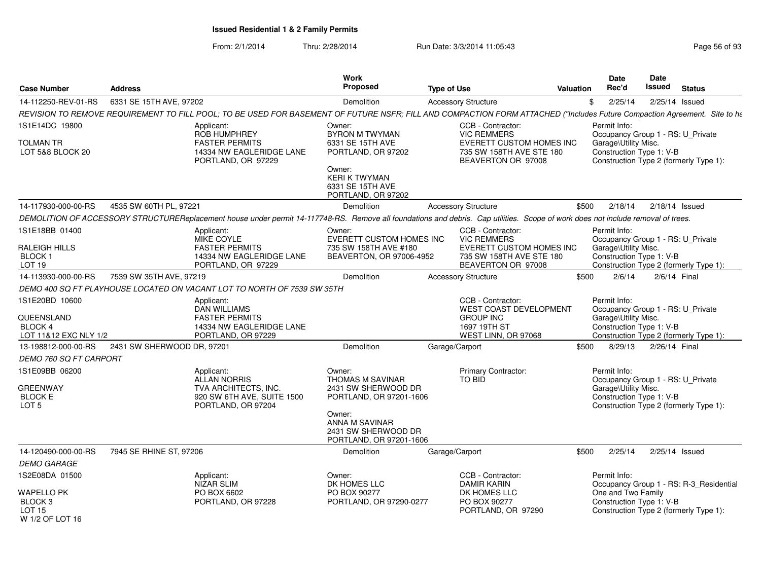| <b>Case Number</b>                                                       | <b>Address</b>             |                                                                                                                                                                                  | Work<br>Proposed                                                                        | <b>Type of Use</b> |                                                                                                                       | Valuation | <b>Date</b><br>Rec'd                                             | <b>Date</b><br><b>Issued</b> | <b>Status</b>                                                               |
|--------------------------------------------------------------------------|----------------------------|----------------------------------------------------------------------------------------------------------------------------------------------------------------------------------|-----------------------------------------------------------------------------------------|--------------------|-----------------------------------------------------------------------------------------------------------------------|-----------|------------------------------------------------------------------|------------------------------|-----------------------------------------------------------------------------|
| 14-112250-REV-01-RS                                                      | 6331 SE 15TH AVE, 97202    |                                                                                                                                                                                  | Demolition                                                                              |                    | <b>Accessory Structure</b>                                                                                            |           | 2/25/14<br>\$                                                    |                              | 2/25/14 Issued                                                              |
|                                                                          |                            | REVISION TO REMOVE REQUIREMENT TO FILL POOL; TO BE USED FOR BASEMENT OF FUTURE NSFR; FILL AND COMPACTION FORM ATTACHED ("Includes Future Compaction Agreement. Site to ha        |                                                                                         |                    |                                                                                                                       |           |                                                                  |                              |                                                                             |
| 1S1E14DC 19800                                                           |                            | Applicant:<br><b>ROB HUMPHREY</b>                                                                                                                                                | Owner:<br><b>BYRON M TWYMAN</b>                                                         |                    | CCB - Contractor:<br><b>VIC REMMERS</b>                                                                               |           | Permit Info:                                                     |                              | Occupancy Group 1 - RS: U_Private                                           |
| <b>TOLMAN TR</b><br>LOT 5&8 BLOCK 20                                     |                            | <b>FASTER PERMITS</b><br>14334 NW EAGLERIDGE LANE<br>PORTLAND, OR 97229                                                                                                          | 6331 SE 15TH AVE<br>PORTLAND, OR 97202                                                  |                    | EVERETT CUSTOM HOMES INC<br>735 SW 158TH AVE STE 180<br>BEAVERTON OR 97008                                            |           | Garage\Utility Misc.<br>Construction Type 1: V-B                 |                              | Construction Type 2 (formerly Type 1):                                      |
|                                                                          |                            |                                                                                                                                                                                  | Owner:<br>KERI K TWYMAN<br>6331 SE 15TH AVE<br>PORTLAND, OR 97202                       |                    |                                                                                                                       |           |                                                                  |                              |                                                                             |
| 14-117930-000-00-RS                                                      | 4535 SW 60TH PL, 97221     |                                                                                                                                                                                  | Demolition                                                                              |                    | <b>Accessory Structure</b>                                                                                            | \$500     | 2/18/14                                                          |                              | $2/18/14$ Issued                                                            |
|                                                                          |                            | DEMOLITION OF ACCESSORY STRUCTUREReplacement house under permit 14-117748-RS. Remove all foundations and debris. Cap utilities. Scope of work does not include removal of trees. |                                                                                         |                    |                                                                                                                       |           |                                                                  |                              |                                                                             |
| 1S1E18BB 01400<br>RALEIGH HILLS<br>BLOCK 1<br>LOT 19                     |                            | Applicant:<br>MIKE COYLE<br><b>FASTER PERMITS</b><br>14334 NW EAGLERIDGE LANE<br>PORTLAND, OR 97229                                                                              | Owner:<br>EVERETT CUSTOM HOMES INC<br>735 SW 158TH AVE #180<br>BEAVERTON, OR 97006-4952 |                    | CCB - Contractor:<br><b>VIC REMMERS</b><br>EVERETT CUSTOM HOMES INC<br>735 SW 158TH AVE STE 180<br>BEAVERTON OR 97008 |           | Permit Info:<br>Garage\Utility Misc.<br>Construction Type 1: V-B |                              | Occupancy Group 1 - RS: U_Private<br>Construction Type 2 (formerly Type 1): |
| 14-113930-000-00-RS                                                      | 7539 SW 35TH AVE, 97219    |                                                                                                                                                                                  | Demolition                                                                              |                    | <b>Accessory Structure</b>                                                                                            | \$500     | 2/6/14                                                           |                              | 2/6/14 Final                                                                |
|                                                                          |                            | DEMO 400 SQ FT PLAYHOUSE LOCATED ON VACANT LOT TO NORTH OF 7539 SW 35TH                                                                                                          |                                                                                         |                    |                                                                                                                       |           |                                                                  |                              |                                                                             |
| 1S1E20BD 10600                                                           |                            | Applicant:<br>DAN WILLIAMS                                                                                                                                                       |                                                                                         |                    | CCB - Contractor:<br>WEST COAST DEVELOPMENT                                                                           |           | Permit Info:                                                     |                              | Occupancy Group 1 - RS: U_Private                                           |
| QUEENSLAND<br><b>BLOCK 4</b><br>LOT 11&12 EXC NLY 1/2                    |                            | <b>FASTER PERMITS</b><br>14334 NW EAGLERIDGE LANE<br>PORTLAND, OR 97229                                                                                                          |                                                                                         |                    | <b>GROUP INC</b><br>1697 19TH ST<br>WEST LINN, OR 97068                                                               |           | Garage\Utility Misc.<br>Construction Type 1: V-B                 |                              | Construction Type 2 (formerly Type 1):                                      |
| 13-198812-000-00-RS                                                      | 2431 SW SHERWOOD DR, 97201 |                                                                                                                                                                                  | Demolition                                                                              | Garage/Carport     |                                                                                                                       | \$500     | 8/29/13                                                          |                              | 2/26/14 Final                                                               |
| DEMO 760 SQ FT CARPORT                                                   |                            |                                                                                                                                                                                  |                                                                                         |                    |                                                                                                                       |           |                                                                  |                              |                                                                             |
| 1S1E09BB 06200                                                           |                            | Applicant:<br>ALLAN NORRIS                                                                                                                                                       | Owner:<br><b>THOMAS M SAVINAR</b>                                                       |                    | Primary Contractor:<br><b>TO BID</b>                                                                                  |           | Permit Info:<br>Occupancy Group 1 - RS: U_Private                |                              |                                                                             |
| <b>GREENWAY</b><br><b>BLOCK E</b><br>LOT <sub>5</sub>                    |                            | TVA ARCHITECTS, INC.<br>920 SW 6TH AVE, SUITE 1500<br>PORTLAND, OR 97204                                                                                                         | 2431 SW SHERWOOD DR<br>PORTLAND, OR 97201-1606                                          |                    |                                                                                                                       |           | Garage\Utility Misc.<br>Construction Type 1: V-B                 |                              | Construction Type 2 (formerly Type 1):                                      |
|                                                                          |                            |                                                                                                                                                                                  | Owner:<br>ANNA M SAVINAR<br>2431 SW SHERWOOD DR<br>PORTLAND, OR 97201-1606              |                    |                                                                                                                       |           |                                                                  |                              |                                                                             |
| 14-120490-000-00-RS                                                      | 7945 SE RHINE ST, 97206    |                                                                                                                                                                                  | Demolition                                                                              | Garage/Carport     |                                                                                                                       | \$500     | 2/25/14                                                          |                              | $2/25/14$ Issued                                                            |
| <b>DEMO GARAGE</b>                                                       |                            |                                                                                                                                                                                  |                                                                                         |                    |                                                                                                                       |           |                                                                  |                              |                                                                             |
| 1S2E08DA 01500                                                           |                            | Applicant:<br>NIZAR SLIM                                                                                                                                                         | Owner:<br>DK HOMES LLC                                                                  |                    | CCB - Contractor:<br><b>DAMIR KARIN</b>                                                                               |           | Permit Info:                                                     |                              | Occupancy Group 1 - RS: R-3 Residential                                     |
| WAPELLO PK<br>BLOCK <sub>3</sub><br>LOT <sub>15</sub><br>W 1/2 OF LOT 16 |                            | PO BOX 6602<br>PORTLAND, OR 97228                                                                                                                                                | PO BOX 90277<br>PORTLAND, OR 97290-0277                                                 |                    | DK HOMES LLC<br>PO BOX 90277<br>PORTLAND, OR 97290                                                                    |           | One and Two Family<br>Construction Type 1: V-B                   |                              | Construction Type 2 (formerly Type 1):                                      |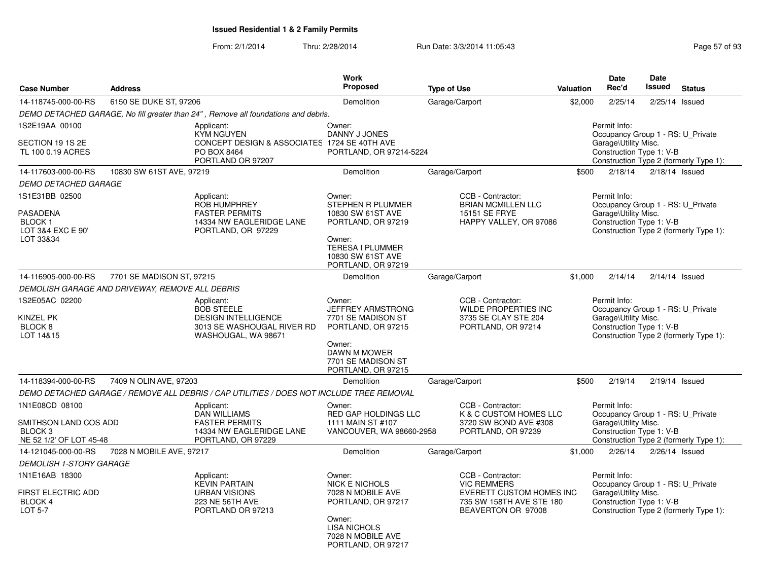| <b>Case Number</b>                                                                       | <b>Address</b>                                  | <b>Work</b><br>Proposed<br><b>Type of Use</b>                                                                      |                                                                                                                                                        |                                                                                                                       | Valuation | <b>Date</b><br>Rec'd                                                                                  | <b>Date</b><br>Issued | <b>Status</b>                          |
|------------------------------------------------------------------------------------------|-------------------------------------------------|--------------------------------------------------------------------------------------------------------------------|--------------------------------------------------------------------------------------------------------------------------------------------------------|-----------------------------------------------------------------------------------------------------------------------|-----------|-------------------------------------------------------------------------------------------------------|-----------------------|----------------------------------------|
| 14-118745-000-00-RS                                                                      | 6150 SE DUKE ST, 97206                          |                                                                                                                    | Demolition                                                                                                                                             | Garage/Carport                                                                                                        | \$2,000   | 2/25/14                                                                                               | $2/25/14$ Issued      |                                        |
|                                                                                          |                                                 | DEMO DETACHED GARAGE, No fill greater than 24", Remove all foundations and debris.                                 |                                                                                                                                                        |                                                                                                                       |           |                                                                                                       |                       |                                        |
| 1S2E19AA 00100<br>SECTION 19 1S 2E<br>TL 100 0.19 ACRES                                  |                                                 | Applicant:<br>KYM NGUYEN<br>CONCEPT DESIGN & ASSOCIATES 1724 SE 40TH AVE<br>PO BOX 8464<br>PORTLAND OR 97207       | Owner:<br>DANNY J JONES<br>PORTLAND, OR 97214-5224                                                                                                     |                                                                                                                       |           | Permit Info:<br>Occupancy Group 1 - RS: U Private<br>Garage\Utility Misc.<br>Construction Type 1: V-B |                       | Construction Type 2 (formerly Type 1): |
| 14-117603-000-00-RS                                                                      | 10830 SW 61ST AVE, 97219                        |                                                                                                                    | Demolition                                                                                                                                             | Garage/Carport                                                                                                        | \$500     | 2/18/14                                                                                               | $2/18/14$ Issued      |                                        |
| DEMO DETACHED GARAGE                                                                     |                                                 |                                                                                                                    |                                                                                                                                                        |                                                                                                                       |           |                                                                                                       |                       |                                        |
| 1S1E31BB 02500                                                                           |                                                 | Applicant:                                                                                                         | Owner:                                                                                                                                                 | CCB - Contractor:                                                                                                     |           | Permit Info:                                                                                          |                       |                                        |
| PASADENA<br>BLOCK <sub>1</sub><br>LOT 3&4 EXC E 90'<br>LOT 33&34                         |                                                 | ROB HUMPHREY<br><b>FASTER PERMITS</b><br>14334 NW EAGLERIDGE LANE<br>PORTLAND, OR 97229                            | <b>STEPHEN R PLUMMER</b><br>10830 SW 61ST AVE<br>PORTLAND, OR 97219<br>Owner:<br><b>TERESA I PLUMMER</b><br>10830 SW 61ST AVE<br>PORTLAND, OR 97219    | <b>BRIAN MCMILLEN LLC</b><br>15151 SE FRYE<br>HAPPY VALLEY, OR 97086                                                  |           | Occupancy Group 1 - RS: U Private<br>Garage\Utility Misc.<br>Construction Type 1: V-B                 |                       | Construction Type 2 (formerly Type 1): |
| 14-116905-000-00-RS                                                                      | 7701 SE MADISON ST, 97215                       |                                                                                                                    | Demolition                                                                                                                                             | Garage/Carport                                                                                                        | \$1,000   | 2/14/14                                                                                               |                       | $2/14/14$ Issued                       |
|                                                                                          | DEMOLISH GARAGE AND DRIVEWAY, REMOVE ALL DEBRIS |                                                                                                                    |                                                                                                                                                        |                                                                                                                       |           |                                                                                                       |                       |                                        |
| 1S2E05AC 02200<br>KINZEL PK<br>BLOCK <sub>8</sub><br>LOT 14&15                           |                                                 | Applicant:<br><b>BOB STEELE</b><br><b>DESIGN INTELLIGENCE</b><br>3013 SE WASHOUGAL RIVER RD<br>WASHOUGAL, WA 98671 | Owner:<br><b>JEFFREY ARMSTRONG</b><br>7701 SE MADISON ST<br>PORTLAND, OR 97215<br>Owner:<br>DAWN M MOWER                                               | CCB - Contractor:<br><b>WILDE PROPERTIES INC</b><br>3735 SE CLAY STE 204<br>PORTLAND, OR 97214                        |           | Permit Info:<br>Occupancy Group 1 - RS: U_Private<br>Garage\Utility Misc.<br>Construction Type 1: V-B |                       | Construction Type 2 (formerly Type 1): |
|                                                                                          |                                                 |                                                                                                                    | 7701 SE MADISON ST<br>PORTLAND, OR 97215                                                                                                               |                                                                                                                       |           |                                                                                                       |                       |                                        |
| 14-118394-000-00-RS                                                                      | 7409 N OLIN AVE, 97203                          |                                                                                                                    | Demolition                                                                                                                                             | Garage/Carport                                                                                                        | \$500     | 2/19/14                                                                                               | $2/19/14$ Issued      |                                        |
|                                                                                          |                                                 | DEMO DETACHED GARAGE / REMOVE ALL DEBRIS / CAP UTILITIES / DOES NOT INCLUDE TREE REMOVAL                           |                                                                                                                                                        |                                                                                                                       |           |                                                                                                       |                       |                                        |
| 1N1E08CD 08100<br>SMITHSON LAND COS ADD<br>BLOCK <sub>3</sub><br>NE 52 1/2' OF LOT 45-48 |                                                 | Applicant:<br><b>DAN WILLIAMS</b><br><b>FASTER PERMITS</b><br>14334 NW EAGLERIDGE LANE<br>PORTLAND, OR 97229       | Owner:<br><b>RED GAP HOLDINGS LLC</b><br>1111 MAIN ST #107<br>VANCOUVER, WA 98660-2958                                                                 | CCB - Contractor:<br>K & C CUSTOM HOMES LLC<br>3720 SW BOND AVE #308<br>PORTLAND, OR 97239                            |           | Permit Info:<br>Occupancy Group 1 - RS: U Private<br>Garage\Utility Misc.<br>Construction Type 1: V-B |                       | Construction Type 2 (formerly Type 1): |
| 14-121045-000-00-RS                                                                      | 7028 N MOBILE AVE, 97217                        |                                                                                                                    | Demolition                                                                                                                                             | Garage/Carport                                                                                                        | \$1,000   | 2/26/14                                                                                               | $2/26/14$ Issued      |                                        |
| <b>DEMOLISH 1-STORY GARAGE</b>                                                           |                                                 |                                                                                                                    |                                                                                                                                                        |                                                                                                                       |           |                                                                                                       |                       |                                        |
| 1N1E16AB 18300<br>FIRST ELECTRIC ADD<br><b>BLOCK 4</b><br>LOT 5-7                        |                                                 | Applicant:<br><b>KEVIN PARTAIN</b><br><b>URBAN VISIONS</b><br>223 NE 56TH AVE<br>PORTLAND OR 97213                 | Owner:<br><b>NICK E NICHOLS</b><br>7028 N MOBILE AVE<br>PORTLAND, OR 97217<br>Owner:<br><b>LISA NICHOLS</b><br>7028 N MOBILE AVE<br>PORTLAND, OR 97217 | CCB - Contractor:<br><b>VIC REMMERS</b><br>EVERETT CUSTOM HOMES INC<br>735 SW 158TH AVE STE 180<br>BEAVERTON OR 97008 |           | Permit Info:<br>Occupancy Group 1 - RS: U Private<br>Garage\Utility Misc.<br>Construction Type 1: V-B |                       | Construction Type 2 (formerly Type 1): |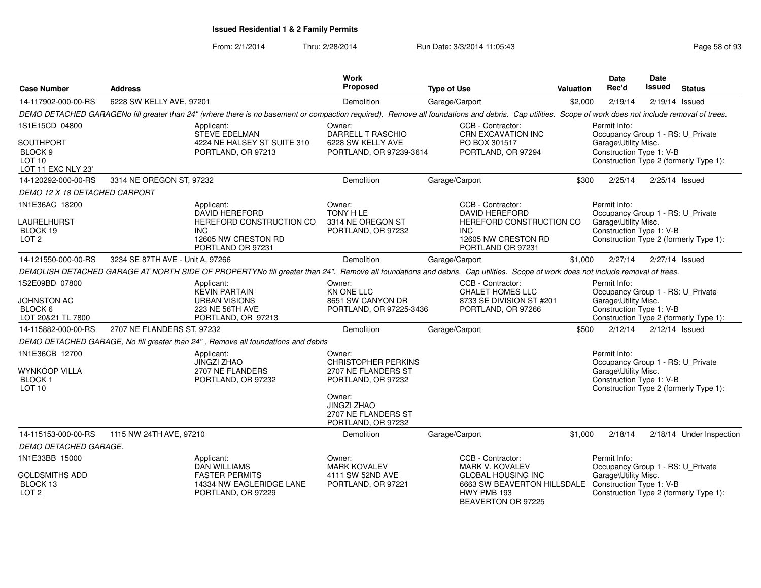From: 2/1/2014

Thru: 2/28/2014 Run Date: 3/3/2014 11:05:43

| <b>Case Number</b>                                                                | <b>Address</b>                   |                                                                                                                                                                                                      | <b>Work</b><br>Proposed                                                                                                                  | <b>Type of Use</b> |                                                                                                                    | <b>Valuation</b> | Date<br>Rec'd                                                                                         | <b>Date</b><br>Issued | <b>Status</b>                          |
|-----------------------------------------------------------------------------------|----------------------------------|------------------------------------------------------------------------------------------------------------------------------------------------------------------------------------------------------|------------------------------------------------------------------------------------------------------------------------------------------|--------------------|--------------------------------------------------------------------------------------------------------------------|------------------|-------------------------------------------------------------------------------------------------------|-----------------------|----------------------------------------|
| 14-117902-000-00-RS                                                               | 6228 SW KELLY AVE, 97201         |                                                                                                                                                                                                      | Demolition                                                                                                                               | Garage/Carport     |                                                                                                                    | \$2,000          | 2/19/14                                                                                               |                       | 2/19/14 Issued                         |
|                                                                                   |                                  | DEMO DETACHED GARAGENo fill greater than 24" (where there is no basement or compaction required). Remove all foundations and debris. Cap utilities. Scope of work does not include removal of trees. |                                                                                                                                          |                    |                                                                                                                    |                  |                                                                                                       |                       |                                        |
| 1S1E15CD 04800                                                                    |                                  | Applicant:<br><b>STEVE EDELMAN</b>                                                                                                                                                                   | Owner:<br><b>DARRELL T RASCHIO</b>                                                                                                       |                    | CCB - Contractor:<br>CRN EXCAVATION INC                                                                            |                  | Permit Info:<br>Occupancy Group 1 - RS: U_Private                                                     |                       |                                        |
| <b>SOUTHPORT</b><br>BLOCK <sub>9</sub><br>LOT <sub>10</sub><br>LOT 11 EXC NLY 23' |                                  | 4224 NE HALSEY ST SUITE 310<br>PORTLAND, OR 97213                                                                                                                                                    | 6228 SW KELLY AVE<br>PORTLAND, OR 97239-3614                                                                                             |                    | PO BOX 301517<br>PORTLAND, OR 97294                                                                                |                  | Garage\Utility Misc.<br>Construction Type 1: V-B                                                      |                       | Construction Type 2 (formerly Type 1): |
| 14-120292-000-00-RS                                                               | 3314 NE OREGON ST, 97232         |                                                                                                                                                                                                      | Demolition                                                                                                                               | Garage/Carport     |                                                                                                                    | \$300            | 2/25/14                                                                                               |                       | 2/25/14 Issued                         |
| DEMO 12 X 18 DETACHED CARPORT                                                     |                                  |                                                                                                                                                                                                      |                                                                                                                                          |                    |                                                                                                                    |                  |                                                                                                       |                       |                                        |
| 1N1E36AC 18200<br>LAURELHURST<br>BLOCK 19<br>LOT <sub>2</sub>                     |                                  | Applicant:<br><b>DAVID HEREFORD</b><br>HEREFORD CONSTRUCTION CO<br>INC.<br>12605 NW CRESTON RD<br>PORTLAND OR 97231                                                                                  | Owner:<br>TONY H LE<br>3314 NE OREGON ST<br>PORTLAND, OR 97232                                                                           | INC                | CCB - Contractor:<br><b>DAVID HEREFORD</b><br>HEREFORD CONSTRUCTION CO<br>12605 NW CRESTON RD<br>PORTLAND OR 97231 |                  | Permit Info:<br>Occupancy Group 1 - RS: U_Private<br>Garage\Utility Misc.<br>Construction Type 1: V-B |                       | Construction Type 2 (formerly Type 1): |
| 14-121550-000-00-RS                                                               | 3234 SE 87TH AVE - Unit A, 97266 |                                                                                                                                                                                                      | Demolition                                                                                                                               | Garage/Carport     |                                                                                                                    | \$1,000          | 2/27/14                                                                                               |                       | 2/27/14 Issued                         |
|                                                                                   |                                  | DEMOLISH DETACHED GARAGE AT NORTH SIDE OF PROPERTYNo fill greater than 24". Remove all foundations and debris. Cap utilities. Scope of work does not include removal of trees.                       |                                                                                                                                          |                    |                                                                                                                    |                  |                                                                                                       |                       |                                        |
| 1S2E09BD 07800<br>JOHNSTON AC<br>BLOCK 6<br>LOT 20&21 TL 7800                     |                                  | Applicant:<br><b>KEVIN PARTAIN</b><br><b>URBAN VISIONS</b><br>223 NE 56TH AVE<br>PORTLAND, OR 97213                                                                                                  | Owner:<br><b>KN ONE LLC</b><br>8651 SW CANYON DR<br>PORTLAND, OR 97225-3436                                                              |                    | CCB - Contractor:<br><b>CHALET HOMES LLC</b><br>8733 SE DIVISION ST #201<br>PORTLAND, OR 97266                     |                  | Permit Info:<br>Occupancy Group 1 - RS: U_Private<br>Garage\Utility Misc.<br>Construction Type 1: V-B |                       | Construction Type 2 (formerly Type 1): |
| 14-115882-000-00-RS                                                               | 2707 NE FLANDERS ST, 97232       |                                                                                                                                                                                                      | Demolition                                                                                                                               | Garage/Carport     |                                                                                                                    | \$500            | 2/12/14                                                                                               |                       | $2/12/14$ Issued                       |
|                                                                                   |                                  | DEMO DETACHED GARAGE, No fill greater than 24", Remove all foundations and debris                                                                                                                    |                                                                                                                                          |                    |                                                                                                                    |                  |                                                                                                       |                       |                                        |
| 1N1E36CB 12700<br><b>WYNKOOP VILLA</b><br><b>BLOCK1</b><br>LOT <sub>10</sub>      |                                  | Applicant:<br><b>JINGZI ZHAO</b><br>2707 NE FLANDERS<br>PORTLAND, OR 97232                                                                                                                           | Owner:<br><b>CHRISTOPHER PERKINS</b><br>2707 NE FLANDERS ST<br>PORTLAND, OR 97232<br>Owner:<br><b>JINGZI ZHAO</b><br>2707 NE FLANDERS ST |                    |                                                                                                                    |                  | Permit Info:<br>Occupancy Group 1 - RS: U_Private<br>Garage\Utility Misc.<br>Construction Type 1: V-B |                       | Construction Type 2 (formerly Type 1): |
|                                                                                   |                                  |                                                                                                                                                                                                      | PORTLAND, OR 97232                                                                                                                       |                    |                                                                                                                    |                  |                                                                                                       |                       |                                        |
| 14-115153-000-00-RS                                                               | 1115 NW 24TH AVE, 97210          |                                                                                                                                                                                                      | Demolition                                                                                                                               | Garage/Carport     |                                                                                                                    | \$1,000          | 2/18/14                                                                                               |                       | 2/18/14 Under Inspection               |
| DEMO DETACHED GARAGE.                                                             |                                  |                                                                                                                                                                                                      |                                                                                                                                          |                    |                                                                                                                    |                  |                                                                                                       |                       |                                        |
| 1N1E33BB 15000                                                                    |                                  | Applicant:<br><b>DAN WILLIAMS</b>                                                                                                                                                                    | Owner:<br><b>MARK KOVALEV</b>                                                                                                            |                    | CCB - Contractor:<br><b>MARK V. KOVALEV</b>                                                                        |                  | Permit Info:<br>Occupancy Group 1 - RS: U Private                                                     |                       |                                        |
| <b>GOLDSMITHS ADD</b><br>BLOCK 13<br>LOT <sub>2</sub>                             |                                  | <b>FASTER PERMITS</b><br>14334 NW EAGLERIDGE LANE<br>PORTLAND, OR 97229                                                                                                                              | 4111 SW 52ND AVE<br>PORTLAND, OR 97221                                                                                                   |                    | <b>GLOBAL HOUSING INC</b><br>6663 SW BEAVERTON HILLSDALE<br>HWY PMB 193<br>BEAVERTON OR 97225                      |                  | Garage\Utility Misc.<br>Construction Type 1: V-B                                                      |                       | Construction Type 2 (formerly Type 1): |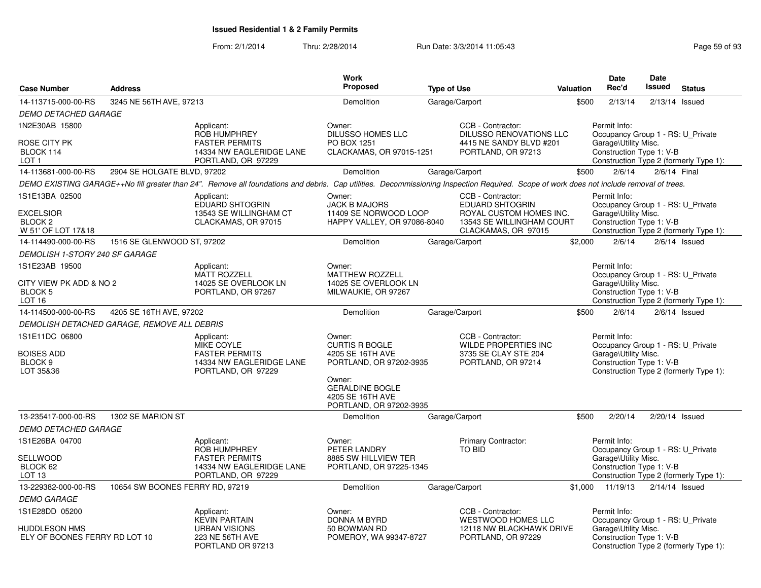| <b>Case Number</b>                                                         | <b>Address</b>                              |                                                                                                                                                                                         | <b>Work</b><br><b>Proposed</b>                                                                                                                                    | <b>Type of Use</b> |                                                                                                                            | Valuation | Date<br>Rec'd                                                                                         | <b>Date</b><br>Issued | <b>Status</b>                          |
|----------------------------------------------------------------------------|---------------------------------------------|-----------------------------------------------------------------------------------------------------------------------------------------------------------------------------------------|-------------------------------------------------------------------------------------------------------------------------------------------------------------------|--------------------|----------------------------------------------------------------------------------------------------------------------------|-----------|-------------------------------------------------------------------------------------------------------|-----------------------|----------------------------------------|
| 14-113715-000-00-RS                                                        | 3245 NE 56TH AVE, 97213                     |                                                                                                                                                                                         | Demolition                                                                                                                                                        | Garage/Carport     |                                                                                                                            | \$500     | 2/13/14                                                                                               |                       | $2/13/14$ Issued                       |
| <b>DEMO DETACHED GARAGE</b>                                                |                                             |                                                                                                                                                                                         |                                                                                                                                                                   |                    |                                                                                                                            |           |                                                                                                       |                       |                                        |
| 1N2E30AB 15800                                                             |                                             | Applicant:<br>ROB HUMPHREY                                                                                                                                                              | Owner:<br><b>DILUSSO HOMES LLC</b>                                                                                                                                |                    | CCB - Contractor:<br><b>DILUSSO RENOVATIONS LLC</b>                                                                        |           | Permit Info:<br>Occupancy Group 1 - RS: U_Private                                                     |                       |                                        |
| ROSE CITY PK<br>BLOCK 114<br>LOT 1                                         |                                             | <b>FASTER PERMITS</b><br>14334 NW EAGLERIDGE LANE<br>PORTLAND, OR 97229                                                                                                                 | PO BOX 1251<br>CLACKAMAS, OR 97015-1251                                                                                                                           |                    | 4415 NE SANDY BLVD #201<br>PORTLAND, OR 97213                                                                              |           | Garage\Utility Misc.<br>Construction Type 1: V-B                                                      |                       | Construction Type 2 (formerly Type 1): |
| 14-113681-000-00-RS                                                        | 2904 SE HOLGATE BLVD, 97202                 |                                                                                                                                                                                         | Demolition                                                                                                                                                        | Garage/Carport     |                                                                                                                            | \$500     | 2/6/14                                                                                                | 2/6/14 Final          |                                        |
|                                                                            |                                             | DEMO EXISTING GARAGE++No fill greater than 24". Remove all foundations and debris. Cap utilities. Decommissioning Inspection Required. Scope of work does not include removal of trees. |                                                                                                                                                                   |                    |                                                                                                                            |           |                                                                                                       |                       |                                        |
| 1S1E13BA 02500<br><b>EXCELSIOR</b><br><b>BLOCK 2</b><br>W 51' OF LOT 17&18 |                                             | Applicant:<br><b>EDUARD SHTOGRIN</b><br>13543 SE WILLINGHAM CT<br>CLACKAMAS, OR 97015                                                                                                   | Owner:<br><b>JACK B MAJORS</b><br>11409 SE NORWOOD LOOP<br>HAPPY VALLEY, OR 97086-8040                                                                            |                    | CCB - Contractor:<br><b>EDUARD SHTOGRIN</b><br>ROYAL CUSTOM HOMES INC.<br>13543 SE WILLINGHAM COURT<br>CLACKAMAS, OR 97015 |           | Permit Info:<br>Occupancy Group 1 - RS: U Private<br>Garage\Utility Misc.<br>Construction Type 1: V-B |                       | Construction Type 2 (formerly Type 1): |
| 14-114490-000-00-RS                                                        | 1516 SE GLENWOOD ST, 97202                  |                                                                                                                                                                                         | Demolition                                                                                                                                                        | Garage/Carport     |                                                                                                                            | \$2,000   | 2/6/14                                                                                                |                       | $2/6/14$ Issued                        |
| DEMOLISH 1-STORY 240 SF GARAGE                                             |                                             |                                                                                                                                                                                         |                                                                                                                                                                   |                    |                                                                                                                            |           |                                                                                                       |                       |                                        |
| 1S1E23AB 19500                                                             |                                             | Applicant:<br><b>MATT ROZZELL</b>                                                                                                                                                       | Owner:<br><b>MATTHEW ROZZELL</b>                                                                                                                                  |                    |                                                                                                                            |           | Permit Info:<br>Occupancy Group 1 - RS: U Private                                                     |                       |                                        |
| CITY VIEW PK ADD & NO 2<br><b>BLOCK 5</b><br>LOT 16                        |                                             | 14025 SE OVERLOOK LN<br>PORTLAND, OR 97267                                                                                                                                              | 14025 SE OVERLOOK LN<br>MILWAUKIE, OR 97267                                                                                                                       |                    |                                                                                                                            |           | Garage\Utility Misc.<br>Construction Type 1: V-B                                                      |                       | Construction Type 2 (formerly Type 1): |
| 14-114500-000-00-RS                                                        | 4205 SE 16TH AVE, 97202                     |                                                                                                                                                                                         | Demolition                                                                                                                                                        | Garage/Carport     |                                                                                                                            | \$500     | 2/6/14                                                                                                |                       | $2/6/14$ Issued                        |
|                                                                            | DEMOLISH DETACHED GARAGE, REMOVE ALL DEBRIS |                                                                                                                                                                                         |                                                                                                                                                                   |                    |                                                                                                                            |           |                                                                                                       |                       |                                        |
| 1S1E11DC 06800<br><b>BOISES ADD</b><br>BLOCK <sub>9</sub><br>LOT 35&36     |                                             | Applicant:<br><b>MIKE COYLE</b><br><b>FASTER PERMITS</b><br>14334 NW EAGLERIDGE LANE<br>PORTLAND, OR 97229                                                                              | Owner:<br><b>CURTIS R BOGLE</b><br>4205 SE 16TH AVE<br>PORTLAND, OR 97202-3935<br>Owner:<br><b>GERALDINE BOGLE</b><br>4205 SE 16TH AVE<br>PORTLAND, OR 97202-3935 |                    | CCB - Contractor:<br><b>WILDE PROPERTIES INC</b><br>3735 SE CLAY STE 204<br>PORTLAND, OR 97214                             |           | Permit Info:<br>Occupancy Group 1 - RS: U_Private<br>Garage\Utility Misc.<br>Construction Type 1: V-B |                       | Construction Type 2 (formerly Type 1): |
| 13-235417-000-00-RS                                                        | 1302 SE MARION ST                           |                                                                                                                                                                                         | Demolition                                                                                                                                                        | Garage/Carport     |                                                                                                                            | \$500     | 2/20/14                                                                                               |                       | 2/20/14 Issued                         |
| <b>DEMO DETACHED GARAGE</b>                                                |                                             |                                                                                                                                                                                         |                                                                                                                                                                   |                    |                                                                                                                            |           |                                                                                                       |                       |                                        |
| 1S1E26BA 04700<br>SELLWOOD                                                 |                                             | Applicant:<br>ROB HUMPHREY<br><b>FASTER PERMITS</b>                                                                                                                                     | Owner:<br>PETER LANDRY<br>8885 SW HILLVIEW TER                                                                                                                    |                    | <b>Primary Contractor:</b><br>TO BID                                                                                       |           | Permit Info:<br>Occupancy Group 1 - RS: U_Private<br>Garage\Utility Misc.                             |                       |                                        |
| BLOCK 62<br>LOT <sub>13</sub>                                              |                                             | 14334 NW EAGLERIDGE LANE<br>PORTLAND, OR 97229                                                                                                                                          | PORTLAND, OR 97225-1345                                                                                                                                           |                    |                                                                                                                            |           | Construction Type 1: V-B                                                                              |                       | Construction Type 2 (formerly Type 1): |
| 13-229382-000-00-RS                                                        | 10654 SW BOONES FERRY RD, 97219             |                                                                                                                                                                                         | Demolition                                                                                                                                                        | Garage/Carport     |                                                                                                                            | \$1,000   | 11/19/13                                                                                              |                       | $2/14/14$ Issued                       |
| <b>DEMO GARAGE</b>                                                         |                                             |                                                                                                                                                                                         |                                                                                                                                                                   |                    |                                                                                                                            |           |                                                                                                       |                       |                                        |
| 1S1E28DD 05200                                                             |                                             | Applicant:<br><b>KEVIN PARTAIN</b>                                                                                                                                                      | Owner:<br>DONNA M BYRD                                                                                                                                            |                    | CCB - Contractor:<br><b>WESTWOOD HOMES LLC</b>                                                                             |           | Permit Info:<br>Occupancy Group 1 - RS: U_Private                                                     |                       |                                        |
| <b>HUDDLESON HMS</b><br>ELY OF BOONES FERRY RD LOT 10                      |                                             | <b>URBAN VISIONS</b><br>223 NE 56TH AVE<br>PORTLAND OR 97213                                                                                                                            | 50 BOWMAN RD<br>POMEROY, WA 99347-8727                                                                                                                            |                    | 12118 NW BLACKHAWK DRIVE<br>PORTLAND, OR 97229                                                                             |           | Garage\Utility Misc.<br>Construction Type 1: V-B                                                      |                       | Construction Type 2 (formerly Type 1): |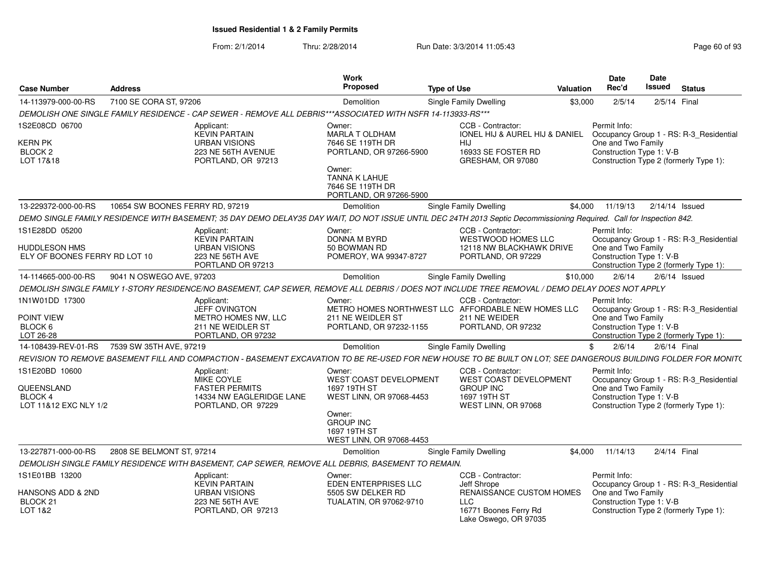| <b>Case Number</b>                                    | <b>Address</b>                  |                                                                                                                                                                      | Work<br>Proposed                                                             | <b>Type of Use</b> |                                                                                                 | Valuation | Date<br>Rec'd                                                                                                                       | Date<br>Issued  | <b>Status</b> |  |
|-------------------------------------------------------|---------------------------------|----------------------------------------------------------------------------------------------------------------------------------------------------------------------|------------------------------------------------------------------------------|--------------------|-------------------------------------------------------------------------------------------------|-----------|-------------------------------------------------------------------------------------------------------------------------------------|-----------------|---------------|--|
| 14-113979-000-00-RS                                   | 7100 SE CORA ST, 97206          |                                                                                                                                                                      | Demolition                                                                   |                    | Single Family Dwelling                                                                          | \$3,000   | 2/5/14                                                                                                                              | 2/5/14 Final    |               |  |
|                                                       |                                 | DEMOLISH ONE SINGLE FAMILY RESIDENCE - CAP SEWER - REMOVE ALL DEBRIS***ASSOCIATED WITH NSFR 14-113933-RS***                                                          |                                                                              |                    |                                                                                                 |           |                                                                                                                                     |                 |               |  |
| 1S2E08CD 06700<br><b>KERN PK</b><br>BLOCK 2           |                                 | Applicant<br><b>KEVIN PARTAIN</b><br><b>URBAN VISIONS</b><br>223 NE 56TH AVENUE                                                                                      | Owner:<br>MARLA T OLDHAM<br>7646 SE 119TH DR<br>PORTLAND, OR 97266-5900      |                    | CCB - Contractor:<br><b>IONEL HIJ &amp; AUREL HIJ &amp; DANIEL</b><br>HIJ<br>16933 SE FOSTER RD |           | Permit Info:<br>Occupancy Group 1 - RS: R-3 Residential<br>One and Two Family<br>Construction Type 1: V-B                           |                 |               |  |
| LOT 17&18                                             |                                 | PORTLAND, OR 97213                                                                                                                                                   | Owner:<br>TANNA K LAHUE<br>7646 SE 119TH DR<br>PORTLAND, OR 97266-5900       |                    | GRESHAM, OR 97080                                                                               |           | Construction Type 2 (formerly Type 1):                                                                                              |                 |               |  |
| 13-229372-000-00-RS                                   | 10654 SW BOONES FERRY RD, 97219 |                                                                                                                                                                      | Demolition                                                                   |                    | Single Family Dwelling                                                                          | \$4,000   | 11/19/13                                                                                                                            | 2/14/14 Issued  |               |  |
|                                                       |                                 | DEMO SINGLE FAMILY RESIDENCE WITH BASEMENT; 35 DAY DEMO DELAY35 DAY WAIT, DO NOT ISSUE UNTIL DEC 24TH 2013 Septic Decommissioning Required. Call for Inspection 842. |                                                                              |                    |                                                                                                 |           |                                                                                                                                     |                 |               |  |
| 1S1E28DD 05200                                        |                                 | Applicant:<br><b>KEVIN PARTAIN</b>                                                                                                                                   | Owner:<br>DONNA M BYRD                                                       |                    | CCB - Contractor:<br><b>WESTWOOD HOMES LLC</b>                                                  |           | Permit Info:<br>Occupancy Group 1 - RS: R-3 Residential                                                                             |                 |               |  |
| <b>HUDDLESON HMS</b><br>ELY OF BOONES FERRY RD LOT 10 |                                 | <b>URBAN VISIONS</b><br>223 NE 56TH AVE<br>PORTLAND OR 97213                                                                                                         | 50 BOWMAN RD<br>POMEROY, WA 99347-8727                                       |                    | 12118 NW BLACKHAWK DRIVE<br>PORTLAND, OR 97229                                                  |           | One and Two Family<br>Construction Type 1: V-B<br>Construction Type 2 (formerly Type 1):                                            |                 |               |  |
| 14-114665-000-00-RS                                   | 9041 N OSWEGO AVE, 97203        |                                                                                                                                                                      | Demolition                                                                   |                    | Single Family Dwelling                                                                          | \$10,000  | 2/6/14                                                                                                                              | $2/6/14$ Issued |               |  |
|                                                       |                                 | DEMOLISH SINGLE FAMILY 1-STORY RESIDENCE/NO BASEMENT, CAP SEWER, REMOVE ALL DEBRIS / DOES NOT INCLUDE TREE REMOVAL / DEMO DELAY DOES NOT APPLY                       |                                                                              |                    |                                                                                                 |           |                                                                                                                                     |                 |               |  |
| 1N1W01DD 17300                                        |                                 | Applicant:<br>JEFF OVINGTON                                                                                                                                          | Owner:<br>METRO HOMES NORTHWEST LLC AFFORDABLE NEW HOMES LLC                 |                    | CCB - Contractor:                                                                               |           | Permit Info:<br>Occupancy Group 1 - RS: R-3_Residential                                                                             |                 |               |  |
| POINT VIEW<br>BLOCK 6<br>LOT 26-28                    |                                 | METRO HOMES NW, LLC<br>211 NE WEIDLER ST<br>PORTLAND, OR 97232                                                                                                       | 211 NE WEIDLER ST<br>PORTLAND, OR 97232-1155                                 |                    | 211 NE WEIDER<br>PORTLAND, OR 97232                                                             |           | One and Two Family<br>Construction Type 1: V-B<br>Construction Type 2 (formerly Type 1):                                            |                 |               |  |
| 14-108439-REV-01-RS                                   | 7539 SW 35TH AVE, 97219         |                                                                                                                                                                      | Demolition                                                                   |                    | <b>Single Family Dwelling</b>                                                                   | \$        | 2/6/14                                                                                                                              | 2/6/14 Final    |               |  |
|                                                       |                                 | REVISION TO REMOVE BASEMENT FILL AND COMPACTION - BASEMENT EXCAVATION TO BE RE-USED FOR NEW HOUSE TO BE BUILT ON LOT; SEE DANGEROUS BUILDING FOLDER FOR MONIT(       |                                                                              |                    |                                                                                                 |           |                                                                                                                                     |                 |               |  |
| 1S1E20BD 10600                                        |                                 | Applicant:                                                                                                                                                           | Owner:                                                                       |                    | CCB - Contractor:                                                                               |           | Permit Info:                                                                                                                        |                 |               |  |
| QUEENSLAND<br>BLOCK 4<br>LOT 11&12 EXC NLY 1/2        |                                 | MIKE COYLE<br><b>FASTER PERMITS</b><br>14334 NW EAGLERIDGE LANE<br>PORTLAND, OR 97229                                                                                | WEST COAST DEVELOPMENT<br>1697 19TH ST<br>WEST LINN, OR 97068-4453<br>Owner: |                    | WEST COAST DEVELOPMENT<br><b>GROUP INC</b><br>1697 19TH ST<br>WEST LINN, OR 97068               |           | Occupancy Group 1 - RS: R-3 Residential<br>One and Two Family<br>Construction Type 1: V-B<br>Construction Type 2 (formerly Type 1): |                 |               |  |
|                                                       |                                 |                                                                                                                                                                      | <b>GROUP INC</b><br>1697 19TH ST<br>WEST LINN, OR 97068-4453                 |                    |                                                                                                 |           |                                                                                                                                     |                 |               |  |
| 13-227871-000-00-RS                                   | 2808 SE BELMONT ST, 97214       |                                                                                                                                                                      | Demolition                                                                   |                    | Single Family Dwelling                                                                          | \$4.000   | 11/14/13                                                                                                                            | 2/4/14 Final    |               |  |
|                                                       |                                 | DEMOLISH SINGLE FAMILY RESIDENCE WITH BASEMENT, CAP SEWER, REMOVE ALL DEBRIS, BASEMENT TO REMAIN.                                                                    |                                                                              |                    |                                                                                                 |           |                                                                                                                                     |                 |               |  |
| 1S1E01BB 13200                                        |                                 | Applicant:<br><b>KEVIN PARTAIN</b>                                                                                                                                   | Owner:<br>EDEN ENTERPRISES LLC                                               |                    | CCB - Contractor:<br>Jeff Shrope                                                                |           | Permit Info:<br>Occupancy Group 1 - RS: R-3_Residential                                                                             |                 |               |  |
| HANSONS ADD & 2ND<br>BLOCK 21<br>LOT 1&2              |                                 | <b>URBAN VISIONS</b><br>223 NE 56TH AVE<br>PORTLAND, OR 97213                                                                                                        | 5505 SW DELKER RD<br>TUALATIN, OR 97062-9710                                 |                    | RENAISSANCE CUSTOM HOMES<br>LLC<br>16771 Boones Ferry Rd<br>Lake Oswego, OR 97035               |           | One and Two Family<br>Construction Type 1: V-B<br>Construction Type 2 (formerly Type 1):                                            |                 |               |  |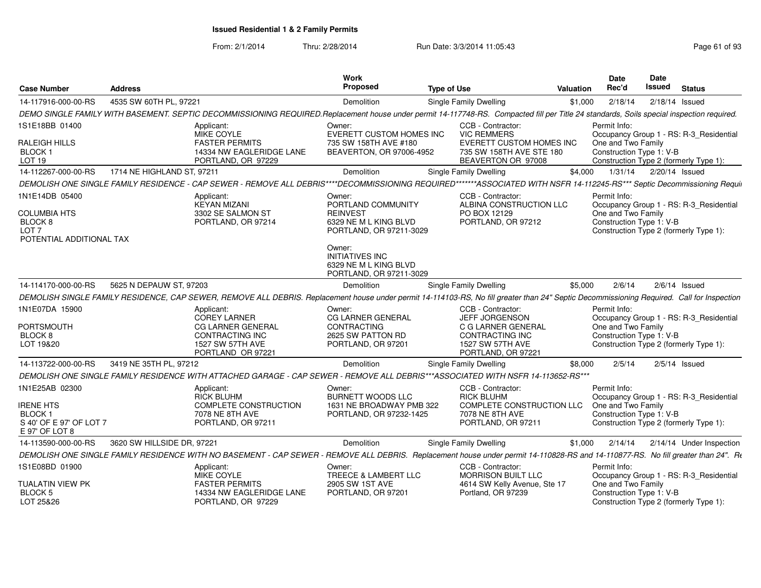| <b>Case Number</b>                                                                                          | <b>Address</b>             |                                                                                                                                                                                            | Work<br>Proposed                                                                                    | <b>Type of Use</b>                                                                                                                   | Valuation | <b>Date</b><br>Rec'd                                           | Date<br>Issued | <b>Status</b>                                                                     |
|-------------------------------------------------------------------------------------------------------------|----------------------------|--------------------------------------------------------------------------------------------------------------------------------------------------------------------------------------------|-----------------------------------------------------------------------------------------------------|--------------------------------------------------------------------------------------------------------------------------------------|-----------|----------------------------------------------------------------|----------------|-----------------------------------------------------------------------------------|
| 14-117916-000-00-RS                                                                                         | 4535 SW 60TH PL, 97221     |                                                                                                                                                                                            | Demolition                                                                                          | <b>Single Family Dwelling</b>                                                                                                        | \$1,000   | 2/18/14                                                        | 2/18/14 Issued |                                                                                   |
|                                                                                                             |                            | DEMO SINGLE FAMILY WITH BASEMENT. SEPTIC DECOMMISSIONING REQUIRED.Replacement house under permit 14-117748-RS. Compacted fill per Title 24 standards, Soils special inspection required.   |                                                                                                     |                                                                                                                                      |           |                                                                |                |                                                                                   |
| 1S1E18BB 01400<br>RALEIGH HILLS<br>BLOCK <sub>1</sub><br><b>LOT 19</b>                                      |                            | Applicant:<br>MIKE COYLE<br><b>FASTER PERMITS</b><br>14334 NW EAGLERIDGE LANE<br>PORTLAND, OR 97229                                                                                        | Owner:<br>EVERETT CUSTOM HOMES INC<br>735 SW 158TH AVE #180<br>BEAVERTON, OR 97006-4952             | CCB - Contractor:<br><b>VIC REMMERS</b><br><b>EVERETT CUSTOM HOMES INC</b><br>735 SW 158TH AVE STE 180<br>BEAVERTON OR 97008         |           | Permit Info:<br>One and Two Family<br>Construction Type 1: V-B |                | Occupancy Group 1 - RS: R-3 Residential<br>Construction Type 2 (formerly Type 1): |
| 14-112267-000-00-RS                                                                                         | 1714 NE HIGHLAND ST, 97211 |                                                                                                                                                                                            | Demolition                                                                                          | Single Family Dwelling                                                                                                               | \$4.000   | 1/31/14                                                        | 2/20/14 Issued |                                                                                   |
|                                                                                                             |                            | DEMOLISH ONE SINGLE FAMILY RESIDENCE - CAP SEWER - REMOVE ALL DEBRIS****DECOMMISSIONING REQUIRED*******ASSOCIATED WITH NSFR 14-112245-RS*** Septic Decommissioning Requir                  |                                                                                                     |                                                                                                                                      |           |                                                                |                |                                                                                   |
| 1N1E14DB 05400<br><b>COLUMBIA HTS</b><br>BLOCK <sub>8</sub><br>LOT <sub>7</sub><br>POTENTIAL ADDITIONAL TAX |                            | Applicant:<br><b>KEYAN MIZANI</b><br>3302 SE SALMON ST<br>PORTLAND, OR 97214                                                                                                               | Owner:<br>PORTLAND COMMUNITY<br><b>REINVEST</b><br>6329 NE M L KING BLVD<br>PORTLAND, OR 97211-3029 | CCB - Contractor:<br>ALBINA CONSTRUCTION LLC<br>PO BOX 12129<br>PORTLAND, OR 97212                                                   |           | Permit Info:<br>One and Two Family<br>Construction Type 1: V-B |                | Occupancy Group 1 - RS: R-3 Residential<br>Construction Type 2 (formerly Type 1): |
|                                                                                                             |                            |                                                                                                                                                                                            | Owner:<br><b>INITIATIVES INC</b><br>6329 NE M L KING BLVD<br>PORTLAND, OR 97211-3029                |                                                                                                                                      |           |                                                                |                |                                                                                   |
| 14-114170-000-00-RS                                                                                         | 5625 N DEPAUW ST, 97203    |                                                                                                                                                                                            | Demolition                                                                                          | Single Family Dwelling                                                                                                               | \$5,000   | 2/6/14                                                         |                | $2/6/14$ Issued                                                                   |
|                                                                                                             |                            | DEMOLISH SINGLE FAMILY RESIDENCE, CAP SEWER, REMOVE ALL DEBRIS. Replacement house under permit 14-114103-RS, No fill greater than 24" Septic Decommissioning Required. Call for Inspection |                                                                                                     |                                                                                                                                      |           |                                                                |                |                                                                                   |
| 1N1E07DA 15900<br><b>PORTSMOUTH</b><br>BLOCK <sub>8</sub><br>LOT 19&20                                      |                            | Applicant:<br>COREY LARNER<br><b>CG LARNER GENERAL</b><br><b>CONTRACTING INC</b><br><b>1527 SW 57TH AVE</b><br>PORTLAND OR 97221                                                           | Owner:<br><b>CG LARNER GENERAL</b><br><b>CONTRACTING</b><br>2625 SW PATTON RD<br>PORTLAND, OR 97201 | CCB - Contractor:<br>JEFF JORGENSON<br>C G LARNER GENERAL<br><b>CONTRACTING INC</b><br><b>1527 SW 57TH AVE</b><br>PORTLAND, OR 97221 |           | Permit Info:<br>One and Two Family<br>Construction Type 1: V-B |                | Occupancy Group 1 - RS: R-3_Residential<br>Construction Type 2 (formerly Type 1): |
| 14-113722-000-00-RS                                                                                         | 3419 NE 35TH PL, 97212     |                                                                                                                                                                                            | Demolition                                                                                          | <b>Single Family Dwelling</b>                                                                                                        | \$8,000   | 2/5/14                                                         |                | $2/5/14$ Issued                                                                   |
|                                                                                                             |                            | DEMOLISH ONE SINGLE FAMILY RESIDENCE WITH ATTACHED GARAGE - CAP SEWER - REMOVE ALL DEBRIS***ASSOCIATED WITH NSFR 14-113652-RS***                                                           |                                                                                                     |                                                                                                                                      |           |                                                                |                |                                                                                   |
| 1N1E25AB 02300<br><b>IRENE HTS</b><br><b>BLOCK1</b><br>S 40' OF E 97' OF LOT 7<br>E 97' OF LOT 8            |                            | Applicant:<br><b>RICK BLUHM</b><br><b>COMPLETE CONSTRUCTION</b><br>7078 NE 8TH AVE<br>PORTLAND, OR 97211                                                                                   | Owner:<br><b>BURNETT WOODS LLC</b><br>1631 NE BROADWAY PMB 322<br>PORTLAND, OR 97232-1425           | CCB - Contractor:<br><b>RICK BLUHM</b><br>COMPLETE CONSTRUCTION LLC<br>7078 NE 8TH AVE<br>PORTLAND, OR 97211                         |           | Permit Info:<br>One and Two Family<br>Construction Type 1: V-B |                | Occupancy Group 1 - RS: R-3_Residential<br>Construction Type 2 (formerly Type 1): |
| 14-113590-000-00-RS                                                                                         | 3620 SW HILLSIDE DR. 97221 |                                                                                                                                                                                            | Demolition                                                                                          | <b>Single Family Dwelling</b>                                                                                                        | \$1,000   | 2/14/14                                                        |                | 2/14/14 Under Inspection                                                          |
|                                                                                                             |                            | DEMOLISH ONE SINGLE FAMILY RESIDENCE WITH NO BASEMENT - CAP SEWER - REMOVE ALL DEBRIS. Replacement house under permit 14-110828-RS and 14-110877-RS. No fill greater than 24". Re          |                                                                                                     |                                                                                                                                      |           |                                                                |                |                                                                                   |
| 1S1E08BD 01900<br>TUALATIN VIEW PK                                                                          |                            | Applicant:<br>MIKE COYLE<br><b>FASTER PERMITS</b>                                                                                                                                          | Owner:<br>TREECE & LAMBERT LLC<br>2905 SW 1ST AVE                                                   | CCB - Contractor:<br><b>MORRISON BUILT LLC</b><br>4614 SW Kelly Avenue, Ste 17                                                       |           | Permit Info:<br>One and Two Family                             |                | Occupancy Group 1 - RS: R-3 Residential                                           |
| <b>BLOCK 5</b><br>LOT 25&26                                                                                 |                            | 14334 NW EAGLERIDGE LANE<br>PORTLAND, OR 97229                                                                                                                                             | PORTLAND, OR 97201                                                                                  | Portland, OR 97239                                                                                                                   |           | Construction Type 1: V-B                                       |                | Construction Type 2 (formerly Type 1):                                            |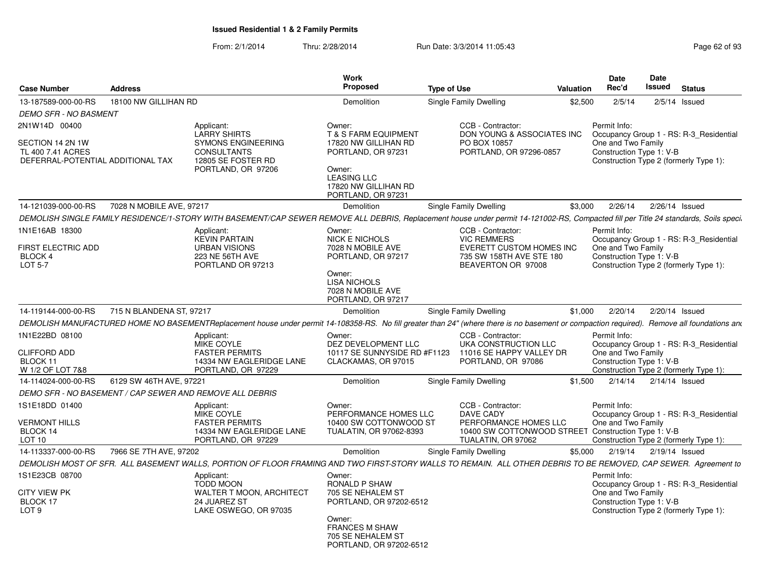| <b>Case Number</b>                                                         | <b>Address</b>           |                                                                                                                                                                                             | <b>Work</b><br><b>Proposed</b>                                                                                                                              | <b>Type of Use</b>                                                                               | <b>Valuation</b> | Date<br>Rec'd                                                                            | <b>Date</b><br>Issued | <b>Status</b>                                                                     |
|----------------------------------------------------------------------------|--------------------------|---------------------------------------------------------------------------------------------------------------------------------------------------------------------------------------------|-------------------------------------------------------------------------------------------------------------------------------------------------------------|--------------------------------------------------------------------------------------------------|------------------|------------------------------------------------------------------------------------------|-----------------------|-----------------------------------------------------------------------------------|
| 13-187589-000-00-RS                                                        | 18100 NW GILLIHAN RD     |                                                                                                                                                                                             | Demolition                                                                                                                                                  | Single Family Dwelling                                                                           | \$2,500          | 2/5/14                                                                                   |                       | $2/5/14$ Issued                                                                   |
| <b>DEMO SFR - NO BASMENT</b>                                               |                          |                                                                                                                                                                                             |                                                                                                                                                             |                                                                                                  |                  |                                                                                          |                       |                                                                                   |
| 2N1W14D 00400                                                              |                          | Applicant:                                                                                                                                                                                  | Owner:                                                                                                                                                      | CCB - Contractor:                                                                                |                  | Permit Info:                                                                             |                       |                                                                                   |
| SECTION 14 2N 1W<br>TL 400 7.41 ACRES<br>DEFERRAL-POTENTIAL ADDITIONAL TAX |                          | <b>LARRY SHIRTS</b><br><b>SYMONS ENGINEERING</b><br><b>CONSULTANTS</b><br>12805 SE FOSTER RD<br>PORTLAND, OR 97206                                                                          | <b>T &amp; S FARM EQUIPMENT</b><br>17820 NW GILLIHAN RD<br>PORTLAND, OR 97231<br>Owner:<br><b>LEASING LLC</b><br>17820 NW GILLIHAN RD<br>PORTLAND, OR 97231 | DON YOUNG & ASSOCIATES INC<br>PO BOX 10857<br>PORTLAND, OR 97296-0857                            |                  | One and Two Family<br>Construction Type 1: V-B<br>Construction Type 2 (formerly Type 1): |                       | Occupancy Group 1 - RS: R-3_Residential                                           |
| 14-121039-000-00-RS                                                        | 7028 N MOBILE AVE, 97217 |                                                                                                                                                                                             | Demolition                                                                                                                                                  | Single Family Dwelling                                                                           | \$3.000          | 2/26/14                                                                                  | 2/26/14 Issued        |                                                                                   |
|                                                                            |                          | DEMOLISH SINGLE FAMILY RESIDENCE/1-STORY WITH BASEMENT/CAP SEWER REMOVE ALL DEBRIS, Replacement house under permit 14-121002-RS, Compacted fill per Title 24 standards, Soils speci.        |                                                                                                                                                             |                                                                                                  |                  |                                                                                          |                       |                                                                                   |
| 1N1E16AB 18300                                                             |                          | Applicant:                                                                                                                                                                                  | Owner:                                                                                                                                                      | CCB - Contractor:                                                                                |                  | Permit Info:                                                                             |                       |                                                                                   |
| <b>FIRST ELECTRIC ADD</b><br>BLOCK 4<br>LOT 5-7                            |                          | <b>KEVIN PARTAIN</b><br><b>URBAN VISIONS</b><br>223 NE 56TH AVE<br>PORTLAND OR 97213                                                                                                        | <b>NICK E NICHOLS</b><br>7028 N MOBILE AVE<br>PORTLAND, OR 97217<br>Owner:<br><b>LISA NICHOLS</b><br>7028 N MOBILE AVE                                      | <b>VIC REMMERS</b><br>EVERETT CUSTOM HOMES INC<br>735 SW 158TH AVE STE 180<br>BEAVERTON OR 97008 |                  | One and Two Family<br>Construction Type 1: V-B                                           |                       | Occupancy Group 1 - RS: R-3 Residential<br>Construction Type 2 (formerly Type 1): |
|                                                                            |                          |                                                                                                                                                                                             | PORTLAND, OR 97217                                                                                                                                          |                                                                                                  |                  |                                                                                          |                       |                                                                                   |
| 14-119144-000-00-RS                                                        | 715 N BLANDENA ST. 97217 |                                                                                                                                                                                             | Demolition                                                                                                                                                  | Single Family Dwelling                                                                           | \$1,000          | 2/20/14                                                                                  | 2/20/14 Issued        |                                                                                   |
|                                                                            |                          | DEMOLISH MANUFACTURED HOME NO BASEMENTReplacement house under permit 14-108358-RS. No fill greater than 24" (where there is no basement or compaction required). Remove all foundations and |                                                                                                                                                             |                                                                                                  |                  |                                                                                          |                       |                                                                                   |
| 1N1E22BD 08100                                                             |                          | Applicant:<br>MIKE COYLE                                                                                                                                                                    | Owner:<br>DEZ DEVELOPMENT LLC                                                                                                                               | CCB - Contractor:<br>UKA CONSTRUCTION LLC                                                        |                  | Permit Info:                                                                             |                       | Occupancy Group 1 - RS: R-3_Residential                                           |
| <b>CLIFFORD ADD</b>                                                        |                          | <b>FASTER PERMITS</b>                                                                                                                                                                       | 10117 SE SUNNYSIDE RD #F1123                                                                                                                                | 11016 SE HAPPY VALLEY DR                                                                         |                  | One and Two Family                                                                       |                       |                                                                                   |
| BLOCK 11                                                                   |                          | 14334 NW EAGLERIDGE LANE                                                                                                                                                                    | CLACKAMAS, OR 97015                                                                                                                                         | PORTLAND, OR 97086                                                                               |                  | Construction Type 1: V-B                                                                 |                       |                                                                                   |
| W 1/2 OF LOT 7&8                                                           |                          | PORTLAND, OR 97229                                                                                                                                                                          |                                                                                                                                                             |                                                                                                  |                  |                                                                                          |                       | Construction Type 2 (formerly Type 1):                                            |
| 14-114024-000-00-RS                                                        | 6129 SW 46TH AVE, 97221  |                                                                                                                                                                                             | Demolition                                                                                                                                                  | Single Family Dwelling                                                                           | \$1,500          | 2/14/14                                                                                  | 2/14/14 Issued        |                                                                                   |
|                                                                            |                          | DEMO SFR - NO BASEMENT / CAP SEWER AND REMOVE ALL DEBRIS                                                                                                                                    |                                                                                                                                                             |                                                                                                  |                  |                                                                                          |                       |                                                                                   |
| 1S1E18DD 01400                                                             |                          | Applicant:<br><b>MIKE COYLE</b>                                                                                                                                                             | Owner:<br>PERFORMANCE HOMES LLC                                                                                                                             | CCB - Contractor:<br><b>DAVE CADY</b>                                                            |                  | Permit Info:                                                                             |                       |                                                                                   |
| <b>VERMONT HILLS</b>                                                       |                          | <b>FASTER PERMITS</b>                                                                                                                                                                       | 10400 SW COTTONWOOD ST                                                                                                                                      | PERFORMANCE HOMES LLC                                                                            |                  | One and Two Family                                                                       |                       | Occupancy Group 1 - RS: R-3_Residential                                           |
| BLOCK 14                                                                   |                          | 14334 NW EAGLERIDGE LANE                                                                                                                                                                    | TUALATIN, OR 97062-8393                                                                                                                                     | 10400 SW COTTONWOOD STREET Construction Type 1: V-B                                              |                  |                                                                                          |                       |                                                                                   |
| LOT 10                                                                     |                          | PORTLAND, OR 97229                                                                                                                                                                          |                                                                                                                                                             | TUALATIN, OR 97062                                                                               |                  |                                                                                          |                       | Construction Type 2 (formerly Type 1):                                            |
| 14-113337-000-00-RS                                                        | 7966 SE 7TH AVE, 97202   |                                                                                                                                                                                             | Demolition                                                                                                                                                  | Single Family Dwelling                                                                           | \$5,000          | 2/19/14                                                                                  | 2/19/14 Issued        |                                                                                   |
|                                                                            |                          | DEMOLISH MOST OF SFR. ALL BASEMENT WALLS, PORTION OF FLOOR FRAMING AND TWO FIRST-STORY WALLS TO REMAIN. ALL OTHER DEBRIS TO BE REMOVED, CAP SEWER. Agreement to                             |                                                                                                                                                             |                                                                                                  |                  |                                                                                          |                       |                                                                                   |
| 1S1E23CB 08700                                                             |                          | Applicant:<br><b>TODD MOON</b>                                                                                                                                                              | Owner:<br><b>RONALD P SHAW</b>                                                                                                                              |                                                                                                  |                  | Permit Info:                                                                             |                       | Occupancy Group 1 - RS: R-3 Residential                                           |
| <b>CITY VIEW PK</b><br>BLOCK 17<br>LOT <sub>9</sub>                        |                          | WALTER T MOON, ARCHITECT<br>24 JUAREZ ST<br>LAKE OSWEGO, OR 97035                                                                                                                           | 705 SE NEHALEM ST<br>PORTLAND, OR 97202-6512                                                                                                                |                                                                                                  |                  | One and Two Family<br>Construction Type 1: V-B                                           |                       | Construction Type 2 (formerly Type 1):                                            |
|                                                                            |                          |                                                                                                                                                                                             | Owner:<br><b>FRANCES M SHAW</b><br>705 SE NEHALEM ST<br>PORTLAND, OR 97202-6512                                                                             |                                                                                                  |                  |                                                                                          |                       |                                                                                   |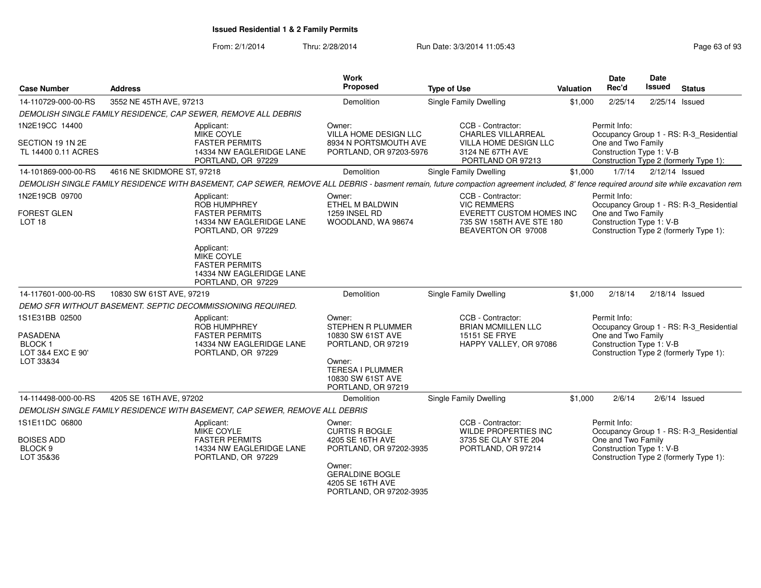| <b>Case Number</b>                                                                   | <b>Address</b>             |                                                                                                                                                                                         | Work<br>Proposed                                                                                                                                                  | <b>Type of Use</b>                                                                                                           | <b>Valuation</b> | <b>Date</b><br>Rec'd                                           | <b>Date</b><br>Issued | <b>Status</b>                                                                     |
|--------------------------------------------------------------------------------------|----------------------------|-----------------------------------------------------------------------------------------------------------------------------------------------------------------------------------------|-------------------------------------------------------------------------------------------------------------------------------------------------------------------|------------------------------------------------------------------------------------------------------------------------------|------------------|----------------------------------------------------------------|-----------------------|-----------------------------------------------------------------------------------|
| 14-110729-000-00-RS                                                                  | 3552 NE 45TH AVE, 97213    |                                                                                                                                                                                         | Demolition                                                                                                                                                        | <b>Single Family Dwelling</b>                                                                                                | \$1,000          | 2/25/14                                                        |                       | 2/25/14 Issued                                                                    |
|                                                                                      |                            | DEMOLISH SINGLE FAMILY RESIDENCE, CAP SEWER, REMOVE ALL DEBRIS                                                                                                                          |                                                                                                                                                                   |                                                                                                                              |                  |                                                                |                       |                                                                                   |
| 1N2E19CC 14400<br>SECTION 19 1N 2E<br>TL 14400 0.11 ACRES                            |                            | Applicant:<br>MIKE COYLE<br><b>FASTER PERMITS</b><br>14334 NW EAGLERIDGE LANE<br>PORTLAND, OR 97229                                                                                     | Owner:<br><b>VILLA HOME DESIGN LLC</b><br>8934 N PORTSMOUTH AVE<br>PORTLAND, OR 97203-5976                                                                        | CCB - Contractor:<br><b>CHARLES VILLARREAL</b><br><b>VILLA HOME DESIGN LLC</b><br>3124 NE 67TH AVE<br>PORTLAND OR 97213      |                  | Permit Info:<br>One and Two Family<br>Construction Type 1: V-B |                       | Occupancy Group 1 - RS: R-3_Residential<br>Construction Type 2 (formerly Type 1): |
| 14-101869-000-00-RS                                                                  | 4616 NE SKIDMORE ST, 97218 |                                                                                                                                                                                         | Demolition                                                                                                                                                        | Single Family Dwelling                                                                                                       | \$1,000          | 1/7/14                                                         |                       | 2/12/14 Issued                                                                    |
|                                                                                      |                            | DEMOLISH SINGLE FAMILY RESIDENCE WITH BASEMENT, CAP SEWER, REMOVE ALL DEBRIS - basment remain, future compaction agreement included, 8' fence required around site while excavation rem |                                                                                                                                                                   |                                                                                                                              |                  |                                                                |                       |                                                                                   |
| 1N2E19CB 09700<br><b>FOREST GLEN</b><br>LOT <sub>18</sub>                            |                            | Applicant:<br><b>ROB HUMPHREY</b><br><b>FASTER PERMITS</b><br>14334 NW EAGLERIDGE LANE<br>PORTLAND, OR 97229<br>Applicant:                                                              | Owner:<br>ETHEL M BALDWIN<br>1259 INSEL RD<br>WOODLAND, WA 98674                                                                                                  | CCB - Contractor:<br><b>VIC REMMERS</b><br><b>EVERETT CUSTOM HOMES INC</b><br>735 SW 158TH AVE STE 180<br>BEAVERTON OR 97008 |                  | Permit Info:<br>One and Two Family<br>Construction Type 1: V-B |                       | Occupancy Group 1 - RS: R-3_Residential<br>Construction Type 2 (formerly Type 1): |
| 14-117601-000-00-RS                                                                  | 10830 SW 61ST AVE, 97219   | MIKE COYLE<br><b>FASTER PERMITS</b><br>14334 NW EAGLERIDGE LANE<br>PORTLAND, OR 97229                                                                                                   | Demolition                                                                                                                                                        | <b>Single Family Dwelling</b>                                                                                                | \$1,000          | 2/18/14                                                        |                       | $2/18/14$ Issued                                                                  |
|                                                                                      |                            |                                                                                                                                                                                         |                                                                                                                                                                   |                                                                                                                              |                  |                                                                |                       |                                                                                   |
| 1S1E31BB 02500<br><b>PASADENA</b><br><b>BLOCK1</b><br>LOT 3&4 EXC E 90'<br>LOT 33&34 |                            | DEMO SFR WITHOUT BASEMENT. SEPTIC DECOMMISSIONING REQUIRED.<br>Applicant:<br><b>ROB HUMPHREY</b><br><b>FASTER PERMITS</b><br>14334 NW EAGLERIDGE LANE<br>PORTLAND, OR 97229             | Owner:<br><b>STEPHEN R PLUMMER</b><br>10830 SW 61ST AVE<br>PORTLAND, OR 97219<br>Owner:<br><b>TERESA I PLUMMER</b><br>10830 SW 61ST AVE<br>PORTLAND, OR 97219     | CCB - Contractor:<br><b>BRIAN MCMILLEN LLC</b><br><b>15151 SE FRYE</b><br>HAPPY VALLEY, OR 97086                             |                  | Permit Info:<br>One and Two Family<br>Construction Type 1: V-B |                       | Occupancy Group 1 - RS: R-3_Residential<br>Construction Type 2 (formerly Type 1): |
| 14-114498-000-00-RS                                                                  | 4205 SE 16TH AVE, 97202    |                                                                                                                                                                                         | Demolition                                                                                                                                                        | <b>Single Family Dwelling</b>                                                                                                | \$1,000          | 2/6/14                                                         |                       | $2/6/14$ Issued                                                                   |
|                                                                                      |                            | DEMOLISH SINGLE FAMILY RESIDENCE WITH BASEMENT, CAP SEWER, REMOVE ALL DEBRIS                                                                                                            |                                                                                                                                                                   |                                                                                                                              |                  |                                                                |                       |                                                                                   |
| 1S1E11DC 06800<br><b>BOISES ADD</b><br>BLOCK 9<br>LOT 35&36                          |                            | Applicant:<br>MIKE COYLE<br><b>FASTER PERMITS</b><br>14334 NW EAGLERIDGE LANE<br>PORTLAND, OR 97229                                                                                     | Owner:<br><b>CURTIS R BOGLE</b><br>4205 SE 16TH AVE<br>PORTLAND, OR 97202-3935<br>Owner:<br><b>GERALDINE BOGLE</b><br>4205 SE 16TH AVE<br>PORTLAND, OR 97202-3935 | CCB - Contractor:<br>WILDE PROPERTIES INC<br>3735 SE CLAY STE 204<br>PORTLAND, OR 97214                                      |                  | Permit Info:<br>One and Two Family<br>Construction Type 1: V-B |                       | Occupancy Group 1 - RS: R-3_Residential<br>Construction Type 2 (formerly Type 1): |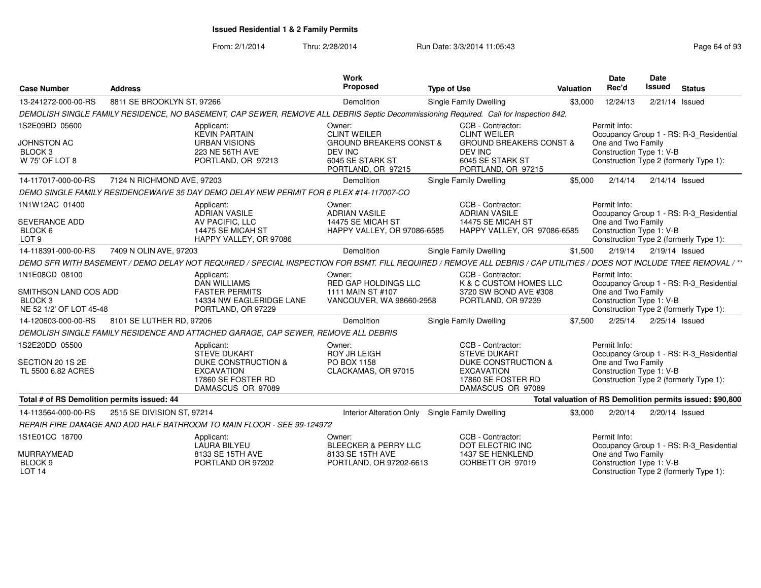| <b>Case Number</b>                                                                       | <b>Address</b>             |                                                                                                                                                                        | Work<br>Proposed                                                                                                         | <b>Type of Use</b> |                                                                                                                                            | <b>Valuation</b> | <b>Date</b><br>Rec'd                                                                                     | Date<br><b>Issued</b> | <b>Status</b>                                                                     |
|------------------------------------------------------------------------------------------|----------------------------|------------------------------------------------------------------------------------------------------------------------------------------------------------------------|--------------------------------------------------------------------------------------------------------------------------|--------------------|--------------------------------------------------------------------------------------------------------------------------------------------|------------------|----------------------------------------------------------------------------------------------------------|-----------------------|-----------------------------------------------------------------------------------|
| 13-241272-000-00-RS                                                                      | 8811 SE BROOKLYN ST, 97266 |                                                                                                                                                                        | Demolition                                                                                                               |                    | Single Family Dwelling                                                                                                                     | \$3.000          | 12/24/13                                                                                                 |                       | 2/21/14 Issued                                                                    |
|                                                                                          |                            | DEMOLISH SINGLE FAMILY RESIDENCE, NO BASEMENT, CAP SEWER, REMOVE ALL DEBRIS Septic Decommissioning Required. Call for Inspection 842.                                  |                                                                                                                          |                    |                                                                                                                                            |                  |                                                                                                          |                       |                                                                                   |
| 1S2E09BD 05600<br>JOHNSTON AC<br><b>BLOCK3</b><br>W 75' OF LOT 8                         |                            | Applicant:<br><b>KEVIN PARTAIN</b><br><b>URBAN VISIONS</b><br>223 NE 56TH AVE<br>PORTLAND, OR 97213                                                                    | Owner:<br><b>CLINT WEILER</b><br><b>GROUND BREAKERS CONST &amp;</b><br>DEV INC<br>6045 SE STARK ST<br>PORTLAND, OR 97215 |                    | CCB - Contractor:<br><b>CLINT WEILER</b><br><b>GROUND BREAKERS CONST &amp;</b><br>DEV INC<br>6045 SE STARK ST<br>PORTLAND, OR 97215        |                  | Permit Info:<br>One and Two Family<br>Construction Type 1: V-B<br>Construction Type 2 (formerly Type 1): |                       | Occupancy Group 1 - RS: R-3 Residential                                           |
| 14-117017-000-00-RS                                                                      | 7124 N RICHMOND AVE, 97203 |                                                                                                                                                                        | Demolition                                                                                                               |                    | Single Family Dwelling                                                                                                                     | \$5.000          | 2/14/14                                                                                                  |                       | $2/14/14$ Issued                                                                  |
|                                                                                          |                            | DEMO SINGLE FAMILY RESIDENCEWAIVE 35 DAY DEMO DELAY NEW PERMIT FOR 6 PLEX #14-117007-CO                                                                                |                                                                                                                          |                    |                                                                                                                                            |                  |                                                                                                          |                       |                                                                                   |
| 1N1W12AC 01400<br><b>SEVERANCE ADD</b><br>BLOCK 6<br>LOT <sub>9</sub>                    |                            | Applicant:<br><b>ADRIAN VASILE</b><br>AV PACIFIC, LLC<br>14475 SE MICAH ST<br>HAPPY VALLEY, OR 97086                                                                   | Owner:<br><b>ADRIAN VASILE</b><br>14475 SE MICAH ST<br>HAPPY VALLEY, OR 97086-6585                                       |                    | CCB - Contractor:<br><b>ADRIAN VASILE</b><br>14475 SE MICAH ST<br>HAPPY VALLEY, OR 97086-6585                                              |                  | Permit Info:<br>One and Two Family<br>Construction Type 1: V-B                                           |                       | Occupancy Group 1 - RS: R-3 Residential<br>Construction Type 2 (formerly Type 1): |
| 14-118391-000-00-RS                                                                      | 7409 N OLIN AVE, 97203     |                                                                                                                                                                        | Demolition                                                                                                               |                    | <b>Single Family Dwelling</b>                                                                                                              | \$1,500          | 2/19/14                                                                                                  | 2/19/14 Issued        |                                                                                   |
|                                                                                          |                            | DEMO SFR WITH BASEMENT / DEMO DELAY NOT REQUIRED / SPECIAL INSPECTION FOR BSMT. FILL REQUIRED / REMOVE ALL DEBRIS / CAP UTILITIES / DOES NOT INCLUDE TREE REMOVAL / ** |                                                                                                                          |                    |                                                                                                                                            |                  |                                                                                                          |                       |                                                                                   |
| 1N1E08CD 08100<br>SMITHSON LAND COS ADD<br>BLOCK <sub>3</sub><br>NE 52 1/2' OF LOT 45-48 |                            | Applicant:<br><b>DAN WILLIAMS</b><br><b>FASTER PERMITS</b><br>14334 NW EAGLERIDGE LANE<br>PORTLAND, OR 97229                                                           | Owner:<br>RED GAP HOLDINGS LLC<br>1111 MAIN ST #107<br>VANCOUVER, WA 98660-2958                                          |                    | CCB - Contractor:<br>K & C CUSTOM HOMES LLC<br>3720 SW BOND AVE #308<br>PORTLAND, OR 97239                                                 |                  | Permit Info:<br>One and Two Family<br>Construction Type 1: V-B                                           |                       | Occupancy Group 1 - RS: R-3_Residential<br>Construction Type 2 (formerly Type 1): |
| 14-120603-000-00-RS                                                                      | 8101 SE LUTHER RD, 97206   |                                                                                                                                                                        | Demolition                                                                                                               |                    | Single Family Dwelling                                                                                                                     | \$7,500          | 2/25/14                                                                                                  |                       | 2/25/14 Issued                                                                    |
|                                                                                          |                            | DEMOLISH SINGLE FAMILY RESIDENCE AND ATTACHED GARAGE. CAP SEWER. REMOVE ALL DEBRIS                                                                                     |                                                                                                                          |                    |                                                                                                                                            |                  |                                                                                                          |                       |                                                                                   |
| 1S2E20DD 05500<br>SECTION 20 1S 2E<br>TL 5500 6.82 ACRES                                 |                            | Applicant:<br><b>STEVE DUKART</b><br><b>DUKE CONSTRUCTION &amp;</b><br><b>EXCAVATION</b><br>17860 SE FOSTER RD<br>DAMASCUS OR 97089                                    | Owner:<br><b>ROY JR LEIGH</b><br>PO BOX 1158<br>CLACKAMAS, OR 97015                                                      |                    | CCB - Contractor:<br><b>STEVE DUKART</b><br><b>DUKE CONSTRUCTION &amp;</b><br><b>EXCAVATION</b><br>17860 SE FOSTER RD<br>DAMASCUS OR 97089 |                  | Permit Info:<br>One and Two Family<br>Construction Type 1: V-B<br>Construction Type 2 (formerly Type 1): |                       | Occupancy Group 1 - RS: R-3_Residential                                           |
| Total # of RS Demolition permits issued: 44                                              |                            |                                                                                                                                                                        |                                                                                                                          |                    |                                                                                                                                            |                  |                                                                                                          |                       | Total valuation of RS Demolition permits issued: \$90,800                         |
| 14-113564-000-00-RS                                                                      | 2515 SE DIVISION ST, 97214 |                                                                                                                                                                        | <b>Interior Alteration Only</b>                                                                                          |                    | <b>Single Family Dwelling</b>                                                                                                              | \$3.000          | 2/20/14                                                                                                  |                       | 2/20/14 Issued                                                                    |
|                                                                                          |                            | REPAIR FIRE DAMAGE AND ADD HALF BATHROOM TO MAIN FLOOR - SEE 99-124972                                                                                                 |                                                                                                                          |                    |                                                                                                                                            |                  |                                                                                                          |                       |                                                                                   |
| 1S1E01CC 18700<br>MURRAYMEAD<br>BLOCK <sub>9</sub>                                       |                            | Applicant:<br>LAURA BILYEU<br>8133 SE 15TH AVE<br>PORTLAND OR 97202                                                                                                    | Owner:<br><b>BLEECKER &amp; PERRY LLC</b><br>8133 SE 15TH AVE<br>PORTLAND, OR 97202-6613                                 |                    | CCB - Contractor:<br>DOT ELECTRIC INC<br>1437 SE HENKLEND<br>CORBETT OR 97019                                                              |                  | Permit Info:<br>One and Two Family<br>Construction Type 1: V-B                                           |                       | Occupancy Group 1 - RS: R-3_Residential                                           |
| <b>LOT 14</b>                                                                            |                            |                                                                                                                                                                        |                                                                                                                          |                    |                                                                                                                                            |                  | Construction Type 2 (formerly Type 1):                                                                   |                       |                                                                                   |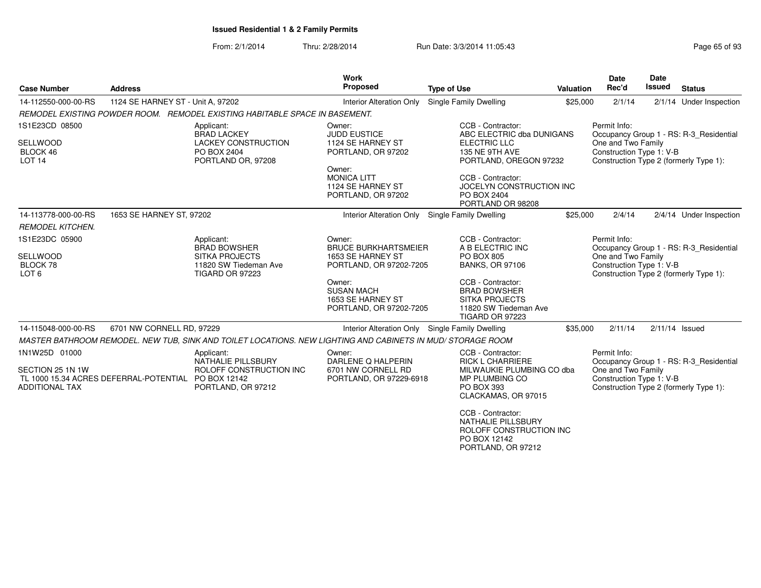#### From: 2/1/2014Thru: 2/28/2014 Run Date: 3/3/2014 11:05:43

| <b>Case Number</b>                                      | <b>Address</b>                                      |                                                                                                             | <b>Work</b><br>Proposed                                                     | <b>Type of Use</b>                                                                                                   | <b>Valuation</b> | <b>Date</b><br>Rec'd                                           | <b>Date</b><br><b>Issued</b> | <b>Status</b>                                                                     |
|---------------------------------------------------------|-----------------------------------------------------|-------------------------------------------------------------------------------------------------------------|-----------------------------------------------------------------------------|----------------------------------------------------------------------------------------------------------------------|------------------|----------------------------------------------------------------|------------------------------|-----------------------------------------------------------------------------------|
| 14-112550-000-00-RS                                     | 1124 SE HARNEY ST - Unit A, 97202                   |                                                                                                             | <b>Interior Alteration Only</b>                                             | <b>Single Family Dwelling</b>                                                                                        | \$25,000         | 2/1/14                                                         |                              | 2/1/14 Under Inspection                                                           |
|                                                         |                                                     | REMODEL EXISTING POWDER ROOM. REMODEL EXISTING HABITABLE SPACE IN BASEMENT.                                 |                                                                             |                                                                                                                      |                  |                                                                |                              |                                                                                   |
| 1S1E23CD 08500<br>SELLWOOD<br>BLOCK 46<br><b>LOT 14</b> |                                                     | Applicant:<br><b>BRAD LACKEY</b><br>LACKEY CONSTRUCTION<br>PO BOX 2404<br>PORTLAND OR, 97208                | Owner:<br><b>JUDD EUSTICE</b><br>1124 SE HARNEY ST<br>PORTLAND, OR 97202    | CCB - Contractor:<br>ABC ELECTRIC dba DUNIGANS<br>ELECTRIC LLC<br>135 NE 9TH AVE<br>PORTLAND, OREGON 97232           |                  | Permit Info:<br>One and Two Family<br>Construction Type 1: V-B |                              | Occupancy Group 1 - RS: R-3 Residential<br>Construction Type 2 (formerly Type 1): |
|                                                         |                                                     |                                                                                                             | Owner:<br><b>MONICA LITT</b><br>1124 SE HARNEY ST<br>PORTLAND, OR 97202     | CCB - Contractor:<br>JOCELYN CONSTRUCTION INC<br>PO BOX 2404<br>PORTLAND OR 98208                                    |                  |                                                                |                              |                                                                                   |
| 14-113778-000-00-RS                                     | 1653 SE HARNEY ST, 97202                            |                                                                                                             | <b>Interior Alteration Only</b>                                             | Single Family Dwelling                                                                                               | \$25,000         | 2/4/14                                                         |                              | 2/4/14 Under Inspection                                                           |
| <b>REMODEL KITCHEN.</b>                                 |                                                     |                                                                                                             |                                                                             |                                                                                                                      |                  |                                                                |                              |                                                                                   |
| 1S1E23DC 05900                                          |                                                     | Applicant:<br><b>BRAD BOWSHER</b>                                                                           | Owner:<br><b>BRUCE BURKHARTSMEIER</b>                                       | CCB - Contractor:<br>A B ELECTRIC INC                                                                                |                  | Permit Info:                                                   |                              | Occupancy Group 1 - RS: R-3_Residential                                           |
| <b>SELLWOOD</b><br>BLOCK 78<br>LOT <sub>6</sub>         |                                                     | <b>SITKA PROJECTS</b><br>11820 SW Tiedeman Ave<br>TIGARD OR 97223                                           | 1653 SE HARNEY ST<br>PORTLAND, OR 97202-7205                                | <b>PO BOX 805</b><br><b>BANKS, OR 97106</b>                                                                          |                  | One and Two Family<br>Construction Type 1: V-B                 |                              | Construction Type 2 (formerly Type 1):                                            |
|                                                         |                                                     |                                                                                                             | Owner:<br><b>SUSAN MACH</b><br>1653 SE HARNEY ST<br>PORTLAND, OR 97202-7205 | CCB - Contractor:<br><b>BRAD BOWSHER</b><br><b>SITKA PROJECTS</b><br>11820 SW Tiedeman Ave<br><b>TIGARD OR 97223</b> |                  |                                                                |                              |                                                                                   |
| 14-115048-000-00-RS                                     | 6701 NW CORNELL RD, 97229                           |                                                                                                             | Interior Alteration Only Single Family Dwelling                             |                                                                                                                      | \$35,000         | 2/11/14                                                        |                              | $2/11/14$ Issued                                                                  |
|                                                         |                                                     | MASTER BATHROOM REMODEL. NEW TUB, SINK AND TOILET LOCATIONS. NEW LIGHTING AND CABINETS IN MUD/ STORAGE ROOM |                                                                             |                                                                                                                      |                  |                                                                |                              |                                                                                   |
| 1N1W25D 01000                                           |                                                     | Applicant:<br>NATHALIE PILLSBURY                                                                            | Owner:<br>DARLENE Q HALPERIN                                                | CCB - Contractor:<br><b>RICK L CHARRIERE</b>                                                                         |                  | Permit Info:                                                   |                              | Occupancy Group 1 - RS: R-3_Residential                                           |
| SECTION 25 1N 1W<br><b>ADDITIONAL TAX</b>               | TL 1000 15.34 ACRES DEFERRAL-POTENTIAL PO BOX 12142 | ROLOFF CONSTRUCTION INC<br>PORTLAND, OR 97212                                                               | 6701 NW CORNELL RD<br>PORTLAND, OR 97229-6918                               | MILWAUKIE PLUMBING CO dba<br>MP PLUMBING CO<br>PO BOX 393<br>CLACKAMAS, OR 97015                                     |                  | One and Two Family<br>Construction Type 1: V-B                 |                              | Construction Type 2 (formerly Type 1):                                            |
|                                                         |                                                     |                                                                                                             |                                                                             | CCB - Contractor:<br><b>NATHALIE PILLSBURY</b><br>ROLOFF CONSTRUCTION INC<br>PO BOX 12142                            |                  |                                                                |                              |                                                                                   |

PORTLAND, OR 97212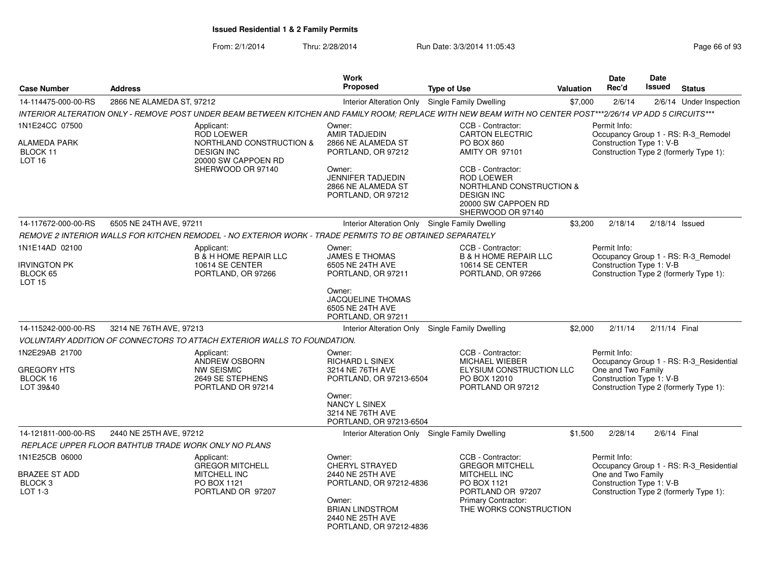| <b>Case Number</b>                                                      | <b>Address</b>                                                                                                                                              | <b>Work</b><br><b>Proposed</b>                                                                                                                             | <b>Type of Use</b>                                                                                                                                      | <b>Valuation</b> | Date<br>Rec'd                                                  | Date<br><b>Issued</b> | <b>Status</b>                                                                     |
|-------------------------------------------------------------------------|-------------------------------------------------------------------------------------------------------------------------------------------------------------|------------------------------------------------------------------------------------------------------------------------------------------------------------|---------------------------------------------------------------------------------------------------------------------------------------------------------|------------------|----------------------------------------------------------------|-----------------------|-----------------------------------------------------------------------------------|
| 14-114475-000-00-RS                                                     | 2866 NE ALAMEDA ST, 97212                                                                                                                                   | Interior Alteration Only Single Family Dwelling                                                                                                            |                                                                                                                                                         | \$7,000          | 2/6/14                                                         |                       | 2/6/14 Under Inspection                                                           |
|                                                                         | INTERIOR ALTERATION ONLY - REMOVE POST UNDER BEAM BETWEEN KITCHEN AND FAMILY ROOM; REPLACE WITH NEW BEAM WITH NO CENTER POST***2/26/14 VP ADD 5 CIRCUITS*** |                                                                                                                                                            |                                                                                                                                                         |                  |                                                                |                       |                                                                                   |
| 1N1E24CC 07500<br>ALAMEDA PARK<br>BLOCK 11<br>LOT <sub>16</sub>         | Applicant:<br><b>ROD LOEWER</b><br>NORTHLAND CONSTRUCTION &<br><b>DESIGN INC</b><br>20000 SW CAPPOEN RD<br>SHERWOOD OR 97140                                | Owner:<br><b>AMIR TADJEDIN</b><br>2866 NE ALAMEDA ST<br>PORTLAND, OR 97212<br>Owner:<br><b>JENNIFER TADJEDIN</b>                                           | CCB - Contractor:<br><b>CARTON ELECTRIC</b><br>PO BOX 860<br>AMITY OR 97101<br>CCB - Contractor:<br><b>ROD LOEWER</b>                                   |                  | Permit Info:<br>Construction Type 1: V-B                       |                       | Occupancy Group 1 - RS: R-3_Remodel<br>Construction Type 2 (formerly Type 1):     |
|                                                                         |                                                                                                                                                             | 2866 NE ALAMEDA ST<br>PORTLAND, OR 97212                                                                                                                   | NORTHLAND CONSTRUCTION &<br><b>DESIGN INC</b><br>20000 SW CAPPOEN RD<br>SHERWOOD OR 97140                                                               |                  |                                                                |                       |                                                                                   |
| 14-117672-000-00-RS                                                     | 6505 NE 24TH AVE, 97211                                                                                                                                     | Interior Alteration Only Single Family Dwelling                                                                                                            |                                                                                                                                                         | \$3,200          | 2/18/14                                                        | $2/18/14$ Issued      |                                                                                   |
|                                                                         | REMOVE 2 INTERIOR WALLS FOR KITCHEN REMODEL - NO EXTERIOR WORK - TRADE PERMITS TO BE OBTAINED SEPARATELY                                                    |                                                                                                                                                            |                                                                                                                                                         |                  |                                                                |                       |                                                                                   |
| 1N1E14AD 02100<br><b>IRVINGTON PK</b>                                   | Applicant:<br><b>B</b> & H HOME REPAIR LLC<br>10614 SE CENTER                                                                                               | Owner:<br>JAMES E THOMAS<br>6505 NE 24TH AVE                                                                                                               | CCB - Contractor:<br><b>B &amp; H HOME REPAIR LLC</b><br>10614 SE CENTER                                                                                |                  | Permit Info:<br>Construction Type 1: V-B                       |                       | Occupancy Group 1 - RS: R-3_Remodel                                               |
| BLOCK 65<br><b>LOT 15</b>                                               | PORTLAND, OR 97266                                                                                                                                          | PORTLAND, OR 97211<br>Owner:<br><b>JACQUELINE THOMAS</b><br>6505 NE 24TH AVE                                                                               | PORTLAND, OR 97266                                                                                                                                      |                  |                                                                |                       | Construction Type 2 (formerly Type 1):                                            |
|                                                                         | 3214 NE 76TH AVE, 97213                                                                                                                                     | PORTLAND, OR 97211                                                                                                                                         |                                                                                                                                                         |                  |                                                                |                       |                                                                                   |
| 14-115242-000-00-RS                                                     |                                                                                                                                                             | Interior Alteration Only Single Family Dwelling                                                                                                            |                                                                                                                                                         | \$2,000          | 2/11/14                                                        | 2/11/14 Final         |                                                                                   |
|                                                                         | VOLUNTARY ADDITION OF CONNECTORS TO ATTACH EXTERIOR WALLS TO FOUNDATION.                                                                                    |                                                                                                                                                            |                                                                                                                                                         |                  |                                                                |                       |                                                                                   |
| 1N2E29AB 21700<br><b>GREGORY HTS</b><br>BLOCK 16<br>LOT 39&40           | Applicant:<br>ANDREW OSBORN<br><b>NW SEISMIC</b><br>2649 SE STEPHENS<br>PORTLAND OR 97214                                                                   | Owner:<br>RICHARD L SINEX<br>3214 NE 76TH AVE<br>PORTLAND, OR 97213-6504                                                                                   | CCB - Contractor:<br><b>MICHAEL WIEBER</b><br>ELYSIUM CONSTRUCTION LLC<br>PO BOX 12010<br>PORTLAND OR 97212                                             |                  | Permit Info:<br>One and Two Family<br>Construction Type 1: V-B |                       | Occupancy Group 1 - RS: R-3_Residential<br>Construction Type 2 (formerly Type 1): |
|                                                                         |                                                                                                                                                             | Owner:<br>NANCY L SINEX<br>3214 NE 76TH AVE<br>PORTLAND, OR 97213-6504                                                                                     |                                                                                                                                                         |                  |                                                                |                       |                                                                                   |
| 14-121811-000-00-RS                                                     | 2440 NE 25TH AVE, 97212                                                                                                                                     | Interior Alteration Only Single Family Dwelling                                                                                                            |                                                                                                                                                         | \$1,500          | 2/28/14                                                        | 2/6/14 Final          |                                                                                   |
|                                                                         | REPLACE UPPER FLOOR BATHTUB TRADE WORK ONLY NO PLANS                                                                                                        |                                                                                                                                                            |                                                                                                                                                         |                  |                                                                |                       |                                                                                   |
| 1N1E25CB 06000<br><b>BRAZEE ST ADD</b><br>BLOCK <sub>3</sub><br>LOT 1-3 | Applicant:<br>GREGOR MITCHELL<br><b>MITCHELL INC</b><br>PO BOX 1121<br>PORTLAND OR 97207                                                                    | Owner:<br>CHERYL STRAYED<br>2440 NE 25TH AVE<br>PORTLAND, OR 97212-4836<br>Owner:<br><b>BRIAN LINDSTROM</b><br>2440 NE 25TH AVE<br>PORTLAND, OR 97212-4836 | CCB - Contractor:<br><b>GREGOR MITCHELL</b><br><b>MITCHELL INC</b><br>PO BOX 1121<br>PORTLAND OR 97207<br>Primary Contractor:<br>THE WORKS CONSTRUCTION |                  | Permit Info:<br>One and Two Family<br>Construction Type 1: V-B |                       | Occupancy Group 1 - RS: R-3_Residential<br>Construction Type 2 (formerly Type 1): |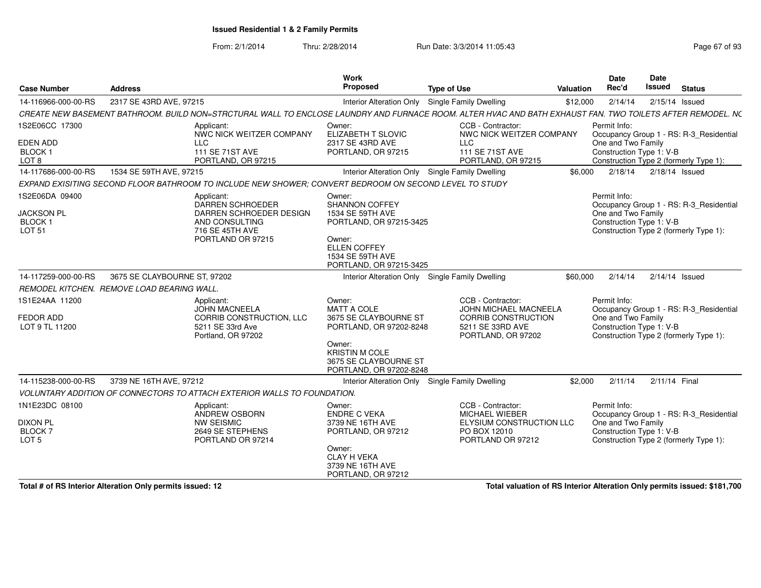From: 2/1/2014Thru: 2/28/2014 Run Date: 3/3/2014 11:05:43 Research 2010 Rage 67 of 93

| <b>Case Number</b>                                                          | <b>Address</b>                                                                                                                                             | <b>Work</b><br><b>Proposed</b>                                                                                                                                   | <b>Type of Use</b>                                                                                                 | Date<br>Rec'd<br><b>Valuation</b>  | <b>Date</b><br><b>Issued</b>                   | <b>Status</b>                                                                                          |
|-----------------------------------------------------------------------------|------------------------------------------------------------------------------------------------------------------------------------------------------------|------------------------------------------------------------------------------------------------------------------------------------------------------------------|--------------------------------------------------------------------------------------------------------------------|------------------------------------|------------------------------------------------|--------------------------------------------------------------------------------------------------------|
| 14-116966-000-00-RS                                                         | 2317 SE 43RD AVE, 97215                                                                                                                                    | Interior Alteration Only Single Family Dwelling                                                                                                                  |                                                                                                                    | 2/14/14<br>\$12,000                |                                                | $2/15/14$ Issued                                                                                       |
|                                                                             | CREATE NEW BASEMENT BATHROOM. BUILD NON=STRCTURAL WALL TO ENCLOSE LAUNDRY AND FURNACE ROOM. ALTER HVAC AND BATH EXHAUST FAN. TWO TOILETS AFTER REMODEL. NC |                                                                                                                                                                  |                                                                                                                    |                                    |                                                |                                                                                                        |
| 1S2E06CC 17300<br>EDEN ADD<br>BLOCK 1<br>LOT <sub>8</sub>                   | Applicant:<br>NWC NICK WEITZER COMPANY<br><b>LLC</b><br>111 SE 71ST AVE<br>PORTLAND, OR 97215                                                              | Owner:<br>ELIZABETH T SLOVIC<br>2317 SE 43RD AVE<br>PORTLAND, OR 97215                                                                                           | CCB - Contractor:<br>NWC NICK WEITZER COMPANY<br><b>LLC</b><br>111 SE 71ST AVE<br>PORTLAND, OR 97215               | Permit Info:                       | One and Two Family<br>Construction Type 1: V-B | Occupancy Group 1 - RS: R-3_Residential<br>Construction Type 2 (formerly Type 1):                      |
| 14-117686-000-00-RS                                                         | 1534 SE 59TH AVE, 97215                                                                                                                                    | Interior Alteration Only Single Family Dwelling                                                                                                                  |                                                                                                                    | \$6.000<br>2/18/14                 |                                                | $2/18/14$ Issued                                                                                       |
|                                                                             | EXPAND EXISITING SECOND FLOOR BATHROOM TO INCLUDE NEW SHOWER: CONVERT BEDROOM ON SECOND LEVEL TO STUDY                                                     |                                                                                                                                                                  |                                                                                                                    |                                    |                                                |                                                                                                        |
| 1S2E06DA 09400<br><b>JACKSON PL</b><br>BLOCK 1<br><b>LOT 51</b>             | Applicant:<br>DARREN SCHROEDER<br>DARREN SCHROEDER DESIGN<br>AND CONSULTING<br>716 SE 45TH AVE<br>PORTLAND OR 97215                                        | Owner:<br>SHANNON COFFEY<br>1534 SE 59TH AVE<br>PORTLAND, OR 97215-3425<br>Owner:<br>ELLEN COFFEY<br>1534 SE 59TH AVE<br>PORTLAND, OR 97215-3425                 |                                                                                                                    | Permit Info:<br>One and Two Family | Construction Type 1: V-B                       | Occupancy Group 1 - RS: R-3_Residential<br>Construction Type 2 (formerly Type 1):                      |
| 14-117259-000-00-RS                                                         | 3675 SE CLAYBOURNE ST, 97202                                                                                                                               | Interior Alteration Only Single Family Dwelling                                                                                                                  |                                                                                                                    | \$60,000<br>2/14/14                |                                                | $2/14/14$ Issued                                                                                       |
|                                                                             | REMODEL KITCHEN. REMOVE LOAD BEARING WALL.                                                                                                                 |                                                                                                                                                                  |                                                                                                                    |                                    |                                                |                                                                                                        |
| 1S1E24AA 11200<br><b>FEDOR ADD</b><br>LOT 9 TL 11200                        | Applicant:<br><b>JOHN MACNEELA</b><br>CORRIB CONSTRUCTION, LLC<br>5211 SE 33rd Ave<br>Portland, OR 97202                                                   | Owner:<br>MATT A COLE<br>3675 SE CLAYBOURNE ST<br>PORTLAND, OR 97202-8248<br>Owner:<br><b>KRISTIN M COLE</b><br>3675 SE CLAYBOURNE ST<br>PORTLAND, OR 97202-8248 | CCB - Contractor:<br>JOHN MICHAEL MACNEELA<br><b>CORRIB CONSTRUCTION</b><br>5211 SE 33RD AVE<br>PORTLAND, OR 97202 | Permit Info:<br>One and Two Family | Construction Type 1: V-B                       | Occupancy Group 1 - RS: R-3_Residential<br>Construction Type 2 (formerly Type 1):                      |
| 14-115238-000-00-RS                                                         | 3739 NE 16TH AVE, 97212                                                                                                                                    | Interior Alteration Only Single Family Dwelling                                                                                                                  |                                                                                                                    | \$2,000<br>2/11/14                 | 2/11/14 Final                                  |                                                                                                        |
|                                                                             | VOLUNTARY ADDITION OF CONNECTORS TO ATTACH EXTERIOR WALLS TO FOUNDATION.                                                                                   |                                                                                                                                                                  |                                                                                                                    |                                    |                                                |                                                                                                        |
| 1N1E23DC 08100<br><b>DIXON PL</b><br>BLOCK <sub>7</sub><br>LOT <sub>5</sub> | Applicant:<br>ANDREW OSBORN<br><b>NW SEISMIC</b><br>2649 SE STEPHENS<br>PORTLAND OR 97214                                                                  | Owner:<br><b>ENDRE C VEKA</b><br>3739 NE 16TH AVE<br>PORTLAND, OR 97212<br>Owner:<br><b>CLAY H VEKA</b><br>3739 NE 16TH AVE<br>PORTLAND, OR 97212                | CCB - Contractor:<br><b>MICHAEL WIEBER</b><br>ELYSIUM CONSTRUCTION LLC<br>PO BOX 12010<br>PORTLAND OR 97212        | Permit Info:<br>One and Two Family | Construction Type 1: V-B                       | Occupancy Group 1 - RS: R-3_Residential<br>Construction Type 2 (formerly Type 1):                      |
|                                                                             |                                                                                                                                                            |                                                                                                                                                                  |                                                                                                                    |                                    |                                                | $\mathbf{a}$ , $\mathbf{b}$ , $\mathbf{a}$ , $\mathbf{a}$ , $\mathbf{a}$ , $\mathbf{a}$ , $\mathbf{a}$ |

**Total # of RS Interior Alteration Only permits issued: 12**

**Total valuation of RS Interior Alteration Only permits issued: \$181,700**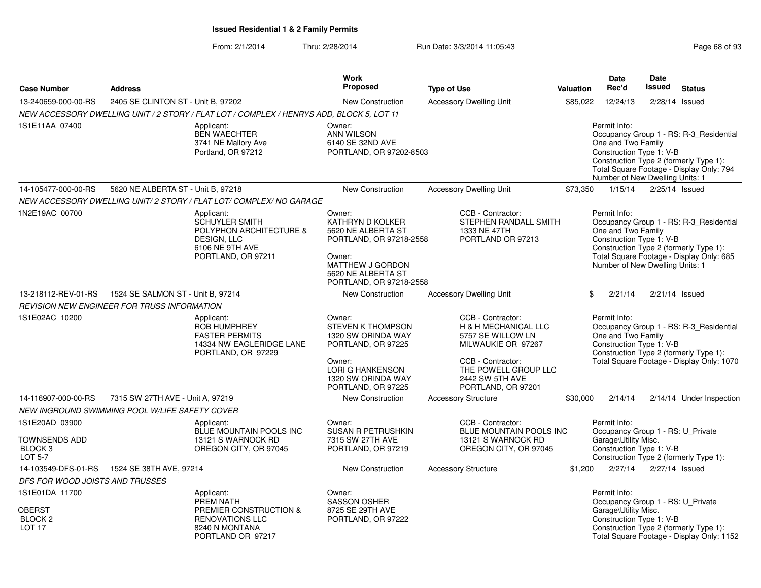|  | Page 68 of 93 |  |  |  |
|--|---------------|--|--|--|
|--|---------------|--|--|--|

|                                                                                |                                                    |                                                                                                                           | <b>Work</b>                                                                                                                                                       |                                                                                                                                                                                       |           | Date                                                                                                  | <b>Date</b>   |                                                                                                                                |
|--------------------------------------------------------------------------------|----------------------------------------------------|---------------------------------------------------------------------------------------------------------------------------|-------------------------------------------------------------------------------------------------------------------------------------------------------------------|---------------------------------------------------------------------------------------------------------------------------------------------------------------------------------------|-----------|-------------------------------------------------------------------------------------------------------|---------------|--------------------------------------------------------------------------------------------------------------------------------|
| <b>Case Number</b>                                                             | <b>Address</b>                                     |                                                                                                                           | <b>Proposed</b>                                                                                                                                                   | <b>Type of Use</b>                                                                                                                                                                    | Valuation | Rec'd                                                                                                 | <b>Issued</b> | <b>Status</b>                                                                                                                  |
| 13-240659-000-00-RS                                                            | 2405 SE CLINTON ST - Unit B, 97202                 |                                                                                                                           | New Construction                                                                                                                                                  | <b>Accessory Dwelling Unit</b>                                                                                                                                                        | \$85,022  | 12/24/13                                                                                              |               | 2/28/14 Issued                                                                                                                 |
|                                                                                |                                                    | NEW ACCESSORY DWELLING UNIT / 2 STORY / FLAT LOT / COMPLEX / HENRYS ADD, BLOCK 5, LOT 11                                  |                                                                                                                                                                   |                                                                                                                                                                                       |           |                                                                                                       |               |                                                                                                                                |
| 1S1E11AA 07400                                                                 |                                                    | Applicant:<br><b>BEN WAECHTER</b><br>3741 NE Mallory Ave<br>Portland, OR 97212                                            | Owner:<br><b>ANN WILSON</b><br>6140 SE 32ND AVE<br>PORTLAND, OR 97202-8503                                                                                        |                                                                                                                                                                                       |           | Permit Info:<br>One and Two Family<br>Construction Type 1: V-B<br>Number of New Dwelling Units: 1     |               | Occupancy Group 1 - RS: R-3_Residential<br>Construction Type 2 (formerly Type 1):<br>Total Square Footage - Display Only: 794  |
| 14-105477-000-00-RS                                                            | 5620 NE ALBERTA ST - Unit B, 97218                 |                                                                                                                           | <b>New Construction</b>                                                                                                                                           | <b>Accessory Dwelling Unit</b>                                                                                                                                                        | \$73,350  | 1/15/14                                                                                               |               | 2/25/14 Issued                                                                                                                 |
|                                                                                |                                                    | NEW ACCESSORY DWELLING UNIT/2 STORY / FLAT LOT/ COMPLEX/ NO GARAGE                                                        |                                                                                                                                                                   |                                                                                                                                                                                       |           |                                                                                                       |               |                                                                                                                                |
| 1N2E19AC 00700                                                                 |                                                    | Applicant:<br><b>SCHUYLER SMITH</b><br>POLYPHON ARCHITECTURE &<br>DESIGN, LLC<br>6106 NE 9TH AVE<br>PORTLAND, OR 97211    | Owner:<br><b>KATHRYN D KOLKER</b><br>5620 NE ALBERTA ST<br>PORTLAND, OR 97218-2558<br>Owner:<br>MATTHEW J GORDON<br>5620 NE ALBERTA ST<br>PORTLAND, OR 97218-2558 | CCB - Contractor:<br>STEPHEN RANDALL SMITH<br>1333 NE 47TH<br>PORTLAND OR 97213                                                                                                       |           | Permit Info:<br>One and Two Family<br>Construction Type 1: V-B<br>Number of New Dwelling Units: 1     |               | Occupancy Group 1 - RS: R-3_Residential<br>Construction Type 2 (formerly Type 1):<br>Total Square Footage - Display Only: 685  |
| 13-218112-REV-01-RS                                                            | 1524 SE SALMON ST - Unit B, 97214                  |                                                                                                                           | <b>New Construction</b>                                                                                                                                           | <b>Accessory Dwelling Unit</b>                                                                                                                                                        | \$        | 2/21/14                                                                                               |               | $2/21/14$ Issued                                                                                                               |
|                                                                                | <b>REVISION NEW ENGINEER FOR TRUSS INFORMATION</b> |                                                                                                                           |                                                                                                                                                                   |                                                                                                                                                                                       |           |                                                                                                       |               |                                                                                                                                |
| 1S1E02AC 10200                                                                 |                                                    | Applicant:<br><b>ROB HUMPHREY</b><br><b>FASTER PERMITS</b><br>14334 NW EAGLERIDGE LANE<br>PORTLAND, OR 97229              | Owner:<br><b>STEVEN K THOMPSON</b><br>1320 SW ORINDA WAY<br>PORTLAND, OR 97225<br>Owner:<br><b>LORI G HANKENSON</b><br>1320 SW ORINDA WAY<br>PORTLAND, OR 97225   | CCB - Contractor:<br><b>H &amp; H MECHANICAL LLC</b><br>5757 SE WILLOW LN<br>MILWAUKIE OR 97267<br>CCB - Contractor:<br>THE POWELL GROUP LLC<br>2442 SW 5TH AVE<br>PORTLAND, OR 97201 |           | Permit Info:<br>One and Two Family<br>Construction Type 1: V-B                                        |               | Occupancy Group 1 - RS: R-3 Residential<br>Construction Type 2 (formerly Type 1):<br>Total Square Footage - Display Only: 1070 |
| 14-116907-000-00-RS                                                            | 7315 SW 27TH AVE - Unit A, 97219                   |                                                                                                                           | New Construction                                                                                                                                                  | <b>Accessory Structure</b>                                                                                                                                                            | \$30,000  | 2/14/14                                                                                               |               | 2/14/14 Under Inspection                                                                                                       |
|                                                                                | NEW INGROUND SWIMMING POOL W/LIFE SAFETY COVER     |                                                                                                                           |                                                                                                                                                                   |                                                                                                                                                                                       |           |                                                                                                       |               |                                                                                                                                |
| 1S1E20AD 03900<br><b>TOWNSENDS ADD</b><br>BLOCK <sub>3</sub><br><b>LOT 5-7</b> |                                                    | Applicant:<br>BLUE MOUNTAIN POOLS INC<br>13121 S WARNOCK RD<br>OREGON CITY, OR 97045                                      | Owner:<br><b>SUSAN R PETRUSHKIN</b><br>7315 SW 27TH AVE<br>PORTLAND, OR 97219                                                                                     | CCB - Contractor:<br><b>BLUE MOUNTAIN POOLS INC.</b><br>13121 S WARNOCK RD<br>OREGON CITY, OR 97045                                                                                   |           | Permit Info:<br>Occupancy Group 1 - RS: U_Private<br>Garage\Utility Misc.<br>Construction Type 1: V-B |               | Construction Type 2 (formerly Type 1):                                                                                         |
| 14-103549-DFS-01-RS                                                            | 1524 SE 38TH AVE, 97214                            |                                                                                                                           | <b>New Construction</b>                                                                                                                                           | <b>Accessory Structure</b>                                                                                                                                                            | \$1,200   | 2/27/14                                                                                               |               | 2/27/14 Issued                                                                                                                 |
| DFS FOR WOOD JOISTS AND TRUSSES                                                |                                                    |                                                                                                                           |                                                                                                                                                                   |                                                                                                                                                                                       |           |                                                                                                       |               |                                                                                                                                |
| 1S1E01DA 11700<br><b>OBERST</b><br>BLOCK <sub>2</sub><br>LOT <sub>17</sub>     |                                                    | Applicant:<br><b>PREM NATH</b><br>PREMIER CONSTRUCTION &<br><b>RENOVATIONS LLC</b><br>8240 N MONTANA<br>PORTLAND OR 97217 | Owner:<br><b>SASSON OSHER</b><br>8725 SE 29TH AVE<br>PORTLAND, OR 97222                                                                                           |                                                                                                                                                                                       |           | Permit Info:<br>Occupancy Group 1 - RS: U_Private<br>Garage\Utility Misc.<br>Construction Type 1: V-B |               | Construction Type 2 (formerly Type 1):<br>Total Square Footage - Display Only: 1152                                            |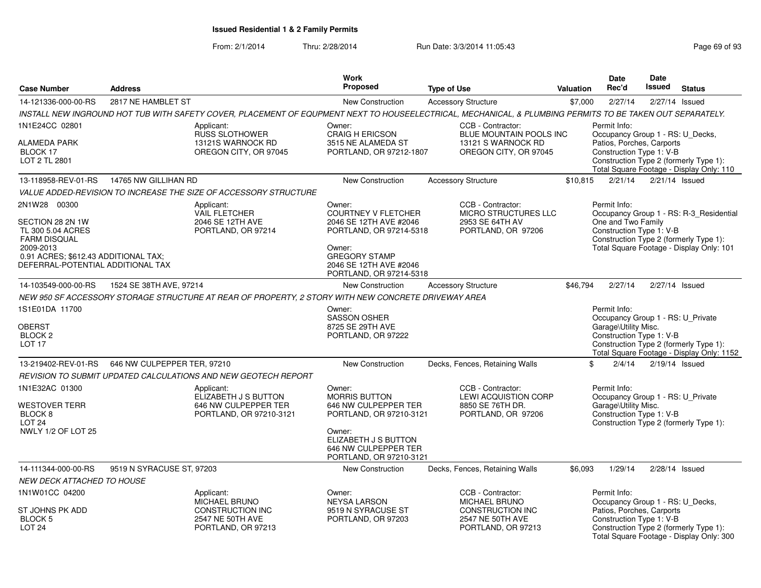|                                                                                                                                                                        |                             |                                                                                                                                                           | Work                                                                                                                                                                             |                                                                                                         |           | <b>Date</b>                                                                                                                                           | <b>Date</b>   |                                                                                                                               |
|------------------------------------------------------------------------------------------------------------------------------------------------------------------------|-----------------------------|-----------------------------------------------------------------------------------------------------------------------------------------------------------|----------------------------------------------------------------------------------------------------------------------------------------------------------------------------------|---------------------------------------------------------------------------------------------------------|-----------|-------------------------------------------------------------------------------------------------------------------------------------------------------|---------------|-------------------------------------------------------------------------------------------------------------------------------|
| <b>Case Number</b>                                                                                                                                                     | <b>Address</b>              |                                                                                                                                                           | <b>Proposed</b>                                                                                                                                                                  | <b>Type of Use</b>                                                                                      | Valuation | Rec'd                                                                                                                                                 | <b>Issued</b> | <b>Status</b>                                                                                                                 |
| 14-121336-000-00-RS                                                                                                                                                    | 2817 NE HAMBLET ST          |                                                                                                                                                           | New Construction                                                                                                                                                                 | <b>Accessory Structure</b>                                                                              | \$7,000   | 2/27/14                                                                                                                                               |               | 2/27/14 Issued                                                                                                                |
|                                                                                                                                                                        |                             | INSTALL NEW INGROUND HOT TUB WITH SAFETY COVER, PLACEMENT OF EQUPMENT NEXT TO HOUSEELECTRICAL, MECHANICAL, & PLUMBING PERMITS TO BE TAKEN OUT SEPARATELY. |                                                                                                                                                                                  |                                                                                                         |           |                                                                                                                                                       |               |                                                                                                                               |
| 1N1E24CC 02801<br><b>ALAMEDA PARK</b><br>BLOCK 17<br>LOT 2 TL 2801                                                                                                     |                             | Applicant:<br><b>RUSS SLOTHOWER</b><br>13121S WARNOCK RD<br>OREGON CITY, OR 97045                                                                         | Owner:<br>CRAIG H ERICSON<br>3515 NE ALAMEDA ST<br>PORTLAND, OR 97212-1807                                                                                                       | CCB - Contractor:<br>BLUE MOUNTAIN POOLS INC<br>13121 S WARNOCK RD<br>OREGON CITY, OR 97045             |           | Permit Info:<br>Occupancy Group 1 - RS: U_Decks,<br>Patios, Porches, Carports<br>Construction Type 1: V-B                                             |               | Construction Type 2 (formerly Type 1):<br>Total Square Footage - Display Only: 110                                            |
| 13-118958-REV-01-RS                                                                                                                                                    | 14765 NW GILLIHAN RD        |                                                                                                                                                           | <b>New Construction</b>                                                                                                                                                          | <b>Accessory Structure</b>                                                                              | \$10,815  | 2/21/14                                                                                                                                               |               | $2/21/14$ Issued                                                                                                              |
|                                                                                                                                                                        |                             | VALUE ADDED-REVISION TO INCREASE THE SIZE OF ACCESSORY STRUCTURE                                                                                          |                                                                                                                                                                                  |                                                                                                         |           |                                                                                                                                                       |               |                                                                                                                               |
| 2N1W28 00300<br>SECTION 28 2N 1W<br>TL 300 5.04 ACRES<br><b>FARM DISQUAL</b><br>2009-2013<br>0.91 ACRES; \$612.43 ADDITIONAL TAX;<br>DEFERRAL-POTENTIAL ADDITIONAL TAX |                             | Applicant:<br><b>VAIL FLETCHER</b><br>2046 SE 12TH AVE<br>PORTLAND, OR 97214                                                                              | Owner:<br><b>COURTNEY V FLETCHER</b><br>2046 SE 12TH AVE #2046<br>PORTLAND, OR 97214-5318<br>Owner:<br><b>GREGORY STAMP</b><br>2046 SE 12TH AVE #2046<br>PORTLAND, OR 97214-5318 | CCB - Contractor:<br>MICRO STRUCTURES LLC<br>2953 SE 64TH AV<br>PORTLAND, OR 97206                      |           | Permit Info:<br>One and Two Family<br>Construction Type 1: V-B                                                                                        |               | Occupancy Group 1 - RS: R-3_Residential<br>Construction Type 2 (formerly Type 1):<br>Total Square Footage - Display Only: 101 |
| 14-103549-000-00-RS                                                                                                                                                    | 1524 SE 38TH AVE, 97214     |                                                                                                                                                           | New Construction                                                                                                                                                                 | <b>Accessory Structure</b>                                                                              | \$46,794  | 2/27/14                                                                                                                                               |               | 2/27/14 Issued                                                                                                                |
|                                                                                                                                                                        |                             | NEW 950 SF ACCESSORY STORAGE STRUCTURE AT REAR OF PROPERTY, 2 STORY WITH NEW CONCRETE DRIVEWAY AREA                                                       |                                                                                                                                                                                  |                                                                                                         |           |                                                                                                                                                       |               |                                                                                                                               |
| 1S1E01DA 11700<br>OBERST<br><b>BLOCK 2</b><br><b>LOT 17</b>                                                                                                            |                             |                                                                                                                                                           | Owner:<br><b>SASSON OSHER</b><br>8725 SE 29TH AVE<br>PORTLAND, OR 97222                                                                                                          |                                                                                                         |           | Permit Info:<br>Occupancy Group 1 - RS: U_Private<br>Garage\Utility Misc.<br>Construction Type 1: V-B                                                 |               | Construction Type 2 (formerly Type 1):<br>Total Square Footage - Display Only: 1152                                           |
| 13-219402-REV-01-RS                                                                                                                                                    | 646 NW CULPEPPER TER, 97210 |                                                                                                                                                           | New Construction                                                                                                                                                                 | Decks, Fences, Retaining Walls                                                                          |           | \$<br>2/4/14                                                                                                                                          |               | $2/19/14$ Issued                                                                                                              |
|                                                                                                                                                                        |                             | REVISION TO SUBMIT UPDATED CALCULATIONS AND NEW GEOTECH REPORT                                                                                            |                                                                                                                                                                                  |                                                                                                         |           |                                                                                                                                                       |               |                                                                                                                               |
| 1N1E32AC 01300<br><b>WESTOVER TERR</b><br>BLOCK 8<br>LOT <sub>24</sub><br><b>NWLY 1/2 OF LOT 25</b>                                                                    |                             | Applicant:<br>ELIZABETH J S BUTTON<br>646 NW CULPEPPER TER<br>PORTLAND, OR 97210-3121                                                                     | Owner:<br><b>MORRIS BUTTON</b><br>646 NW CULPEPPER TER<br>PORTLAND, OR 97210-3121<br>Owner:<br>ELIZABETH J S BUTTON<br>646 NW CULPEPPER TER<br>PORTLAND, OR 97210-3121           | CCB - Contractor:<br><b>LEWI ACQUISTION CORP</b><br>8850 SE 76TH DR.<br>PORTLAND, OR 97206              |           | Permit Info:<br>Occupancy Group 1 - RS: U_Private<br>Garage\Utility Misc.<br>Construction Type 1: V-B                                                 |               | Construction Type 2 (formerly Type 1):                                                                                        |
| 14-111344-000-00-RS                                                                                                                                                    | 9519 N SYRACUSE ST, 97203   |                                                                                                                                                           | New Construction                                                                                                                                                                 | Decks, Fences, Retaining Walls                                                                          | \$6,093   | 1/29/14                                                                                                                                               |               | $2/28/14$ Issued                                                                                                              |
| <b>NEW DECK ATTACHED TO HOUSE</b>                                                                                                                                      |                             |                                                                                                                                                           |                                                                                                                                                                                  |                                                                                                         |           |                                                                                                                                                       |               |                                                                                                                               |
| 1N1W01CC 04200<br>ST JOHNS PK ADD<br>BLOCK 5<br>LOT <sub>24</sub>                                                                                                      |                             | Applicant:<br><b>MICHAEL BRUNO</b><br><b>CONSTRUCTION INC</b><br>2547 NE 50TH AVE<br>PORTLAND, OR 97213                                                   | Owner:<br><b>NEYSA LARSON</b><br>9519 N SYRACUSE ST<br>PORTLAND, OR 97203                                                                                                        | CCB - Contractor:<br><b>MICHAEL BRUNO</b><br>CONSTRUCTION INC<br>2547 NE 50TH AVE<br>PORTLAND, OR 97213 |           | Permit Info:<br>Occupancy Group 1 - RS: U_Decks,<br>Patios, Porches, Carports<br>Construction Type 1: V-B<br>Total Square Footage - Display Only: 300 |               | Construction Type 2 (formerly Type 1):                                                                                        |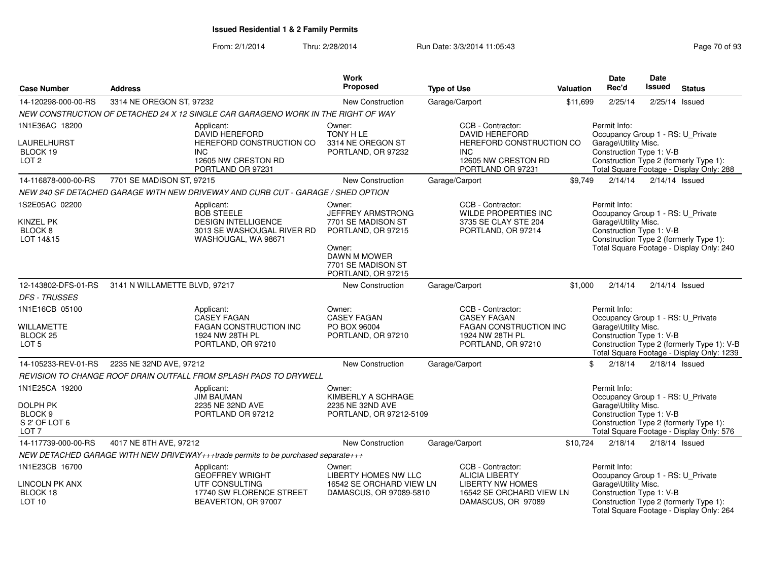| <b>Case Number</b>                                                                | <b>Address</b>                |                                                                                                                    | Work<br>Proposed                                                                             | <b>Type of Use</b>                                                                                | Valuation | Date<br>Rec'd                                                                                                                                                                               | Date<br><b>Issued</b> | <b>Status</b>                                                                      |
|-----------------------------------------------------------------------------------|-------------------------------|--------------------------------------------------------------------------------------------------------------------|----------------------------------------------------------------------------------------------|---------------------------------------------------------------------------------------------------|-----------|---------------------------------------------------------------------------------------------------------------------------------------------------------------------------------------------|-----------------------|------------------------------------------------------------------------------------|
| 14-120298-000-00-RS                                                               | 3314 NE OREGON ST, 97232      |                                                                                                                    | New Construction                                                                             | Garage/Carport                                                                                    | \$11,699  | 2/25/14                                                                                                                                                                                     |                       | $2/25/14$ Issued                                                                   |
|                                                                                   |                               | NEW CONSTRUCTION OF DETACHED 24 X 12 SINGLE CAR GARAGENO WORK IN THE RIGHT OF WAY                                  |                                                                                              |                                                                                                   |           |                                                                                                                                                                                             |                       |                                                                                    |
| 1N1E36AC 18200                                                                    |                               | Applicant:<br><b>DAVID HEREFORD</b>                                                                                | Owner:<br>TONY H LE                                                                          | CCB - Contractor:<br><b>DAVID HEREFORD</b>                                                        |           | Permit Info:<br>Occupancy Group 1 - RS: U_Private                                                                                                                                           |                       |                                                                                    |
| LAURELHURST<br>BLOCK 19<br>LOT <sub>2</sub>                                       |                               | HEREFORD CONSTRUCTION CO<br>INC.<br>12605 NW CRESTON RD<br>PORTLAND OR 97231                                       | 3314 NE OREGON ST<br>PORTLAND, OR 97232                                                      | HEREFORD CONSTRUCTION CO<br><b>INC</b><br>12605 NW CRESTON RD<br>PORTLAND OR 97231                |           | Garage\Utility Misc.<br>Construction Type 1: V-B                                                                                                                                            |                       | Construction Type 2 (formerly Type 1):<br>Total Square Footage - Display Only: 288 |
| 14-116878-000-00-RS                                                               | 7701 SE MADISON ST, 97215     |                                                                                                                    | <b>New Construction</b>                                                                      | Garage/Carport                                                                                    | \$9,749   | 2/14/14                                                                                                                                                                                     |                       | $2/14/14$ Issued                                                                   |
|                                                                                   |                               | NEW 240 SF DETACHED GARAGE WITH NEW DRIVEWAY AND CURB CUT - GARAGE / SHED OPTION                                   |                                                                                              |                                                                                                   |           |                                                                                                                                                                                             |                       |                                                                                    |
| 1S2E05AC 02200<br><b>KINZEL PK</b><br>BLOCK 8<br>LOT 14&15                        |                               | Applicant:<br><b>BOB STEELE</b><br><b>DESIGN INTELLIGENCE</b><br>3013 SE WASHOUGAL RIVER RD<br>WASHOUGAL, WA 98671 |                                                                                              | CCB - Contractor:<br><b>WILDE PROPERTIES INC</b><br>3735 SE CLAY STE 204<br>PORTLAND, OR 97214    |           | Permit Info:<br>Occupancy Group 1 - RS: U_Private<br>Garage\Utility Misc.<br>Construction Type 1: V-B<br>Construction Type 2 (formerly Type 1):<br>Total Square Footage - Display Only: 240 |                       |                                                                                    |
|                                                                                   |                               |                                                                                                                    | Owner:<br><b>DAWN M MOWER</b><br>7701 SE MADISON ST<br>PORTLAND, OR 97215                    |                                                                                                   |           |                                                                                                                                                                                             |                       |                                                                                    |
| 12-143802-DFS-01-RS                                                               | 3141 N WILLAMETTE BLVD, 97217 |                                                                                                                    | <b>New Construction</b>                                                                      | Garage/Carport                                                                                    | \$1,000   | 2/14/14                                                                                                                                                                                     |                       | $2/14/14$ Issued                                                                   |
| <b>DFS - TRUSSES</b>                                                              |                               |                                                                                                                    |                                                                                              |                                                                                                   |           |                                                                                                                                                                                             |                       |                                                                                    |
| 1N1E16CB 05100                                                                    |                               | Applicant:<br>CASEY FAGAN                                                                                          | Owner:<br><b>CASEY FAGAN</b>                                                                 | CCB - Contractor:<br><b>CASEY FAGAN</b>                                                           |           | Permit Info:<br>Occupancy Group 1 - RS: U Private                                                                                                                                           |                       |                                                                                    |
| WILLAMETTE<br>BLOCK <sub>25</sub><br>LOT <sub>5</sub>                             |                               | FAGAN CONSTRUCTION INC<br>1924 NW 28TH PL<br>PORTLAND, OR 97210                                                    | PO BOX 96004<br>PORTLAND, OR 97210                                                           | FAGAN CONSTRUCTION INC<br>1924 NW 28TH PL<br>PORTLAND, OR 97210                                   |           | Garage\Utility Misc.<br>Construction Type 1: V-B<br>Construction Type 2 (formerly Type 1): V-B<br>Total Square Footage - Display Only: 1239                                                 |                       |                                                                                    |
| 14-105233-REV-01-RS                                                               | 2235 NE 32ND AVE, 97212       |                                                                                                                    | New Construction                                                                             | Garage/Carport                                                                                    |           | 2/18/14<br>\$                                                                                                                                                                               |                       | $2/18/14$ Issued                                                                   |
|                                                                                   |                               | REVISION TO CHANGE ROOF DRAIN OUTFALL FROM SPLASH PADS TO DRYWELL                                                  |                                                                                              |                                                                                                   |           |                                                                                                                                                                                             |                       |                                                                                    |
| 1N1E25CA 19200<br><b>DOLPH PK</b><br>BLOCK 9<br>S 2' OF LOT 6<br>LOT <sub>7</sub> |                               | Applicant:<br><b>JIM BAUMAN</b><br>2235 NE 32ND AVE<br>PORTLAND OR 97212                                           | Owner:<br>KIMBERLY A SCHRAGE<br>2235 NE 32ND AVE<br>PORTLAND, OR 97212-5109                  |                                                                                                   |           | Permit Info:<br>Occupancy Group 1 - RS: U_Private<br>Garage\Utility Misc.<br>Construction Type 1: V-B                                                                                       |                       | Construction Type 2 (formerly Type 1):<br>Total Square Footage - Display Only: 576 |
| 14-117739-000-00-RS                                                               | 4017 NE 8TH AVE, 97212        |                                                                                                                    | New Construction                                                                             | Garage/Carport                                                                                    | \$10,724  | 2/18/14                                                                                                                                                                                     |                       | $2/18/14$ Issued                                                                   |
|                                                                                   |                               | NEW DETACHED GARAGE WITH NEW DRIVEWAY+++trade permits to be purchased separate+++                                  |                                                                                              |                                                                                                   |           |                                                                                                                                                                                             |                       |                                                                                    |
| 1N1E23CB 16700<br>LINCOLN PK ANX<br>BLOCK 18                                      |                               | Applicant:<br><b>GEOFFREY WRIGHT</b><br>UTF CONSULTING<br>17740 SW FLORENCE STREET                                 | Owner:<br><b>LIBERTY HOMES NW LLC</b><br>16542 SE ORCHARD VIEW LN<br>DAMASCUS, OR 97089-5810 | CCB - Contractor:<br><b>ALICIA LIBERTY</b><br><b>LIBERTY NW HOMES</b><br>16542 SE ORCHARD VIEW LN |           | Permit Info:<br>Occupancy Group 1 - RS: U_Private<br>Garage\Utility Misc.<br>Construction Type 1: V-B                                                                                       |                       |                                                                                    |
| LOT <sub>10</sub>                                                                 |                               | BEAVERTON, OR 97007                                                                                                |                                                                                              | DAMASCUS, OR 97089                                                                                |           |                                                                                                                                                                                             |                       | Construction Type 2 (formerly Type 1):<br>Total Square Footage - Display Only: 264 |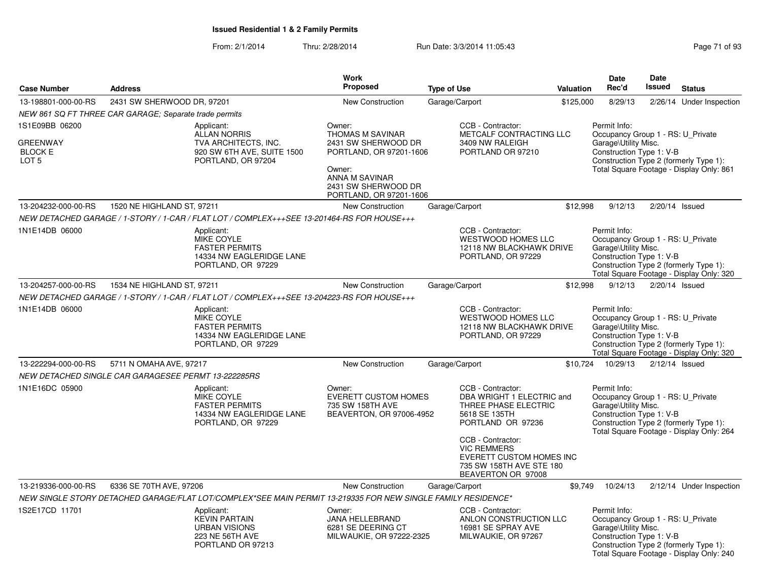|                                                                         |                                                        |                                                                                                               | <b>Work</b>                                                                                              |                    |                                                                                                                                   |           | Date                                                                                                  | <b>Date</b> |                                                                                    |
|-------------------------------------------------------------------------|--------------------------------------------------------|---------------------------------------------------------------------------------------------------------------|----------------------------------------------------------------------------------------------------------|--------------------|-----------------------------------------------------------------------------------------------------------------------------------|-----------|-------------------------------------------------------------------------------------------------------|-------------|------------------------------------------------------------------------------------|
| <b>Case Number</b>                                                      | <b>Address</b>                                         |                                                                                                               | Proposed                                                                                                 | <b>Type of Use</b> |                                                                                                                                   | Valuation | Rec'd                                                                                                 | Issued      | <b>Status</b>                                                                      |
| 13-198801-000-00-RS                                                     | 2431 SW SHERWOOD DR, 97201                             |                                                                                                               | <b>New Construction</b>                                                                                  | Garage/Carport     |                                                                                                                                   | \$125,000 | 8/29/13                                                                                               |             | 2/26/14 Under Inspection                                                           |
|                                                                         | NEW 861 SQ FT THREE CAR GARAGE; Separate trade permits |                                                                                                               |                                                                                                          |                    |                                                                                                                                   |           |                                                                                                       |             |                                                                                    |
| 1S1E09BB 06200<br><b>GREENWAY</b><br><b>BLOCK E</b><br>LOT <sub>5</sub> |                                                        | Applicant:<br><b>ALLAN NORRIS</b><br>TVA ARCHITECTS, INC.<br>920 SW 6TH AVE, SUITE 1500<br>PORTLAND, OR 97204 | Owner:<br>THOMAS M SAVINAR<br>2431 SW SHERWOOD DR<br>PORTLAND, OR 97201-1606<br>Owner:<br>ANNA M SAVINAR |                    | CCB - Contractor:<br>METCALF CONTRACTING LLC<br>3409 NW RALEIGH<br>PORTLAND OR 97210                                              |           | Permit Info:<br>Occupancy Group 1 - RS: U_Private<br>Garage\Utility Misc.<br>Construction Type 1: V-B |             | Construction Type 2 (formerly Type 1):<br>Total Square Footage - Display Only: 861 |
|                                                                         |                                                        |                                                                                                               | 2431 SW SHERWOOD DR<br>PORTLAND, OR 97201-1606                                                           |                    |                                                                                                                                   |           |                                                                                                       |             |                                                                                    |
| 13-204232-000-00-RS                                                     | 1520 NE HIGHLAND ST, 97211                             |                                                                                                               | New Construction                                                                                         | Garage/Carport     |                                                                                                                                   | \$12,998  | 9/12/13                                                                                               |             | 2/20/14 Issued                                                                     |
|                                                                         |                                                        | NEW DETACHED GARAGE / 1-STORY / 1-CAR / FLAT LOT / COMPLEX+++SEE 13-201464-RS FOR HOUSE+++                    |                                                                                                          |                    |                                                                                                                                   |           |                                                                                                       |             |                                                                                    |
| 1N1E14DB 06000                                                          |                                                        | Applicant:<br>MIKE COYLE<br><b>FASTER PERMITS</b><br>14334 NW EAGLERIDGE LANE<br>PORTLAND, OR 97229           |                                                                                                          |                    | CCB - Contractor:<br><b>WESTWOOD HOMES LLC</b><br>12118 NW BLACKHAWK DRIVE<br>PORTLAND, OR 97229                                  |           | Permit Info:<br>Occupancy Group 1 - RS: U Private<br>Garage\Utility Misc.<br>Construction Type 1: V-B |             | Construction Type 2 (formerly Type 1):<br>Total Square Footage - Display Only: 320 |
| 13-204257-000-00-RS                                                     | 1534 NE HIGHLAND ST, 97211                             |                                                                                                               | <b>New Construction</b>                                                                                  | Garage/Carport     |                                                                                                                                   | \$12,998  | 9/12/13                                                                                               |             | 2/20/14 Issued                                                                     |
|                                                                         |                                                        | NEW DETACHED GARAGE / 1-STORY / 1-CAR / FLAT LOT / COMPLEX+++SEE 13-204223-RS FOR HOUSE+++                    |                                                                                                          |                    |                                                                                                                                   |           |                                                                                                       |             |                                                                                    |
| 1N1E14DB 06000                                                          |                                                        | Applicant:<br><b>MIKE COYLE</b><br><b>FASTER PERMITS</b><br>14334 NW EAGLERIDGE LANE<br>PORTLAND, OR 97229    |                                                                                                          |                    | CCB - Contractor:<br><b>WESTWOOD HOMES LLC</b><br>12118 NW BLACKHAWK DRIVE<br>PORTLAND, OR 97229                                  |           | Permit Info:<br>Occupancy Group 1 - RS: U_Private<br>Garage\Utility Misc.<br>Construction Type 1: V-B |             | Construction Type 2 (formerly Type 1):<br>Total Square Footage - Display Only: 320 |
| 13-222294-000-00-RS                                                     | 5711 N OMAHA AVE, 97217                                |                                                                                                               | <b>New Construction</b>                                                                                  | Garage/Carport     |                                                                                                                                   | \$10,724  | 10/29/13                                                                                              |             | $2/12/14$ Issued                                                                   |
|                                                                         | NEW DETACHED SINGLE CAR GARAGESEE PERMT 13-222285RS    |                                                                                                               |                                                                                                          |                    |                                                                                                                                   |           |                                                                                                       |             |                                                                                    |
| 1N1E16DC 05900                                                          |                                                        | Applicant:<br>MIKE COYLE<br><b>FASTER PERMITS</b><br>14334 NW EAGLERIDGE LANE<br>PORTLAND, OR 97229           | Owner:<br><b>EVERETT CUSTOM HOMES</b><br>735 SW 158TH AVE<br>BEAVERTON, OR 97006-4952                    |                    | CCB - Contractor:<br>DBA WRIGHT 1 ELECTRIC and<br>THREE PHASE ELECTRIC<br>5618 SE 135TH<br>PORTLAND OR 97236<br>CCB - Contractor: |           | Permit Info:<br>Occupancy Group 1 - RS: U_Private<br>Garage\Utility Misc.<br>Construction Type 1: V-B |             | Construction Type 2 (formerly Type 1):<br>Total Square Footage - Display Only: 264 |
|                                                                         |                                                        |                                                                                                               |                                                                                                          |                    | <b>VIC REMMERS</b><br>EVERETT CUSTOM HOMES INC<br>735 SW 158TH AVE STE 180<br>BEAVERTON OR 97008                                  |           |                                                                                                       |             |                                                                                    |
| 13-219336-000-00-RS                                                     | 6336 SE 70TH AVE, 97206                                |                                                                                                               | <b>New Construction</b>                                                                                  | Garage/Carport     |                                                                                                                                   | \$9.749   | 10/24/13                                                                                              |             | 2/12/14 Under Inspection                                                           |
|                                                                         |                                                        | NEW SINGLE STORY DETACHED GARAGE/FLAT LOT/COMPLEX*SEE MAIN PERMIT 13-219335 FOR NEW SINGLE FAMILY RESIDENCE*  |                                                                                                          |                    |                                                                                                                                   |           |                                                                                                       |             |                                                                                    |
| 1S2E17CD 11701                                                          |                                                        | Applicant:<br><b>KEVIN PARTAIN</b><br><b>URBAN VISIONS</b><br>223 NE 56TH AVE<br>PORTLAND OR 97213            | Owner:<br>JANA HELLEBRAND<br>6281 SE DEERING CT<br>MILWAUKIE, OR 97222-2325                              |                    | CCB - Contractor:<br>ANLON CONSTRUCTION LLC<br>16981 SE SPRAY AVE<br>MILWAUKIE, OR 97267                                          |           | Permit Info:<br>Occupancy Group 1 - RS: U_Private<br>Garage\Utility Misc.<br>Construction Type 1: V-B |             | Construction Type 2 (formerly Type 1):<br>Total Square Footage - Display Only: 240 |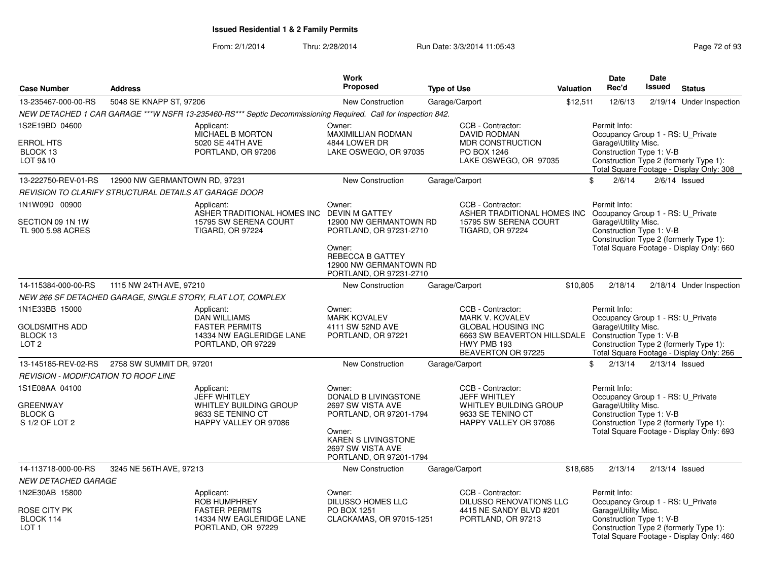|                                                                       |                          |                                                                                                                  | Work                                                                                                                                                            |                    |                                                                                                                                                                       |                  | Date                                                                                                  | <b>Date</b>   |                                                                                    |
|-----------------------------------------------------------------------|--------------------------|------------------------------------------------------------------------------------------------------------------|-----------------------------------------------------------------------------------------------------------------------------------------------------------------|--------------------|-----------------------------------------------------------------------------------------------------------------------------------------------------------------------|------------------|-------------------------------------------------------------------------------------------------------|---------------|------------------------------------------------------------------------------------|
| <b>Case Number</b>                                                    | <b>Address</b>           |                                                                                                                  | <b>Proposed</b>                                                                                                                                                 | <b>Type of Use</b> |                                                                                                                                                                       | <b>Valuation</b> | Rec'd                                                                                                 | <b>Issued</b> | <b>Status</b>                                                                      |
| 13-235467-000-00-RS                                                   | 5048 SE KNAPP ST, 97206  |                                                                                                                  | New Construction                                                                                                                                                |                    | Garage/Carport                                                                                                                                                        | \$12,511         | 12/6/13                                                                                               | 2/19/14       | Under Inspection                                                                   |
|                                                                       |                          | NEW DETACHED 1 CAR GARAGE ***W NSFR 13-235460-RS*** Septic Decommissioning Required. Call for Inspection 842.    |                                                                                                                                                                 |                    |                                                                                                                                                                       |                  |                                                                                                       |               |                                                                                    |
| 1S2E19BD 04600<br><b>ERROL HTS</b><br>BLOCK 13<br>LOT 9&10            |                          | Applicant:<br>MICHAEL B MORTON<br>5020 SE 44TH AVE<br>PORTLAND, OR 97206                                         | Owner:<br>MAXIMILLIAN RODMAN<br>4844 LOWER DR<br>LAKE OSWEGO, OR 97035                                                                                          |                    | CCB - Contractor:<br><b>DAVID RODMAN</b><br><b>MDR CONSTRUCTION</b><br>PO BOX 1246<br>LAKE OSWEGO, OR 97035                                                           |                  | Permit Info:<br>Occupancy Group 1 - RS: U_Private<br>Garage\Utility Misc.<br>Construction Type 1: V-B |               | Construction Type 2 (formerly Type 1):<br>Total Square Footage - Display Only: 308 |
| 13-222750-REV-01-RS  12900 NW GERMANTOWN RD, 97231                    |                          |                                                                                                                  | New Construction                                                                                                                                                |                    | Garage/Carport                                                                                                                                                        |                  | \$<br>2/6/14                                                                                          |               | $2/6/14$ Issued                                                                    |
| REVISION TO CLARIFY STRUCTURAL DETAILS AT GARAGE DOOR                 |                          |                                                                                                                  |                                                                                                                                                                 |                    |                                                                                                                                                                       |                  |                                                                                                       |               |                                                                                    |
| 1N1W09D 00900<br>SECTION 09 1N 1W<br>TL 900 5.98 ACRES                |                          | Applicant:<br>ASHER TRADITIONAL HOMES INC DEVIN M GATTEY<br>15795 SW SERENA COURT<br><b>TIGARD, OR 97224</b>     | Owner:<br>12900 NW GERMANTOWN RD<br>PORTLAND, OR 97231-2710<br>Owner:<br>REBECCA B GATTEY<br>12900 NW GERMANTOWN RD<br>PORTLAND, OR 97231-2710                  |                    | CCB - Contractor:<br>ASHER TRADITIONAL HOMES INC Occupancy Group 1 - RS: U_Private<br>15795 SW SERENA COURT<br><b>TIGARD, OR 97224</b>                                |                  | Permit Info:<br>Garage\Utility Misc.<br>Construction Type 1: V-B                                      |               | Construction Type 2 (formerly Type 1):<br>Total Square Footage - Display Only: 660 |
| 14-115384-000-00-RS                                                   | 1115 NW 24TH AVE, 97210  |                                                                                                                  | New Construction                                                                                                                                                |                    | Garage/Carport                                                                                                                                                        | \$10,805         | 2/18/14                                                                                               |               | 2/18/14 Under Inspection                                                           |
|                                                                       |                          | NEW 266 SF DETACHED GARAGE, SINGLE STORY, FLAT LOT, COMPLEX                                                      |                                                                                                                                                                 |                    |                                                                                                                                                                       |                  |                                                                                                       |               |                                                                                    |
| 1N1E33BB 15000<br>GOLDSMITHS ADD<br>BLOCK 13<br>LOT <sub>2</sub>      |                          | Applicant:<br><b>DAN WILLIAMS</b><br><b>FASTER PERMITS</b><br>14334 NW EAGLERIDGE LANE<br>PORTLAND, OR 97229     | Owner:<br><b>MARK KOVALEV</b><br>4111 SW 52ND AVE<br>PORTLAND, OR 97221                                                                                         |                    | CCB - Contractor:<br><b>MARK V. KOVALEV</b><br><b>GLOBAL HOUSING INC</b><br>6663 SW BEAVERTON HILLSDALE Construction Type 1: V-B<br>HWY PMB 193<br>BEAVERTON OR 97225 |                  | Permit Info:<br>Occupancy Group 1 - RS: U_Private<br>Garage\Utility Misc.                             |               | Construction Type 2 (formerly Type 1):<br>Total Square Footage - Display Only: 266 |
| 13-145185-REV-02-RS                                                   | 2758 SW SUMMIT DR, 97201 |                                                                                                                  | New Construction                                                                                                                                                |                    | Garage/Carport                                                                                                                                                        |                  | \$<br>2/13/14                                                                                         |               | $2/13/14$ Issued                                                                   |
| <b>REVISION - MODIFICATION TO ROOF LINE</b>                           |                          |                                                                                                                  |                                                                                                                                                                 |                    |                                                                                                                                                                       |                  |                                                                                                       |               |                                                                                    |
| 1S1E08AA 04100<br><b>GREENWAY</b><br><b>BLOCK G</b><br>S 1/2 OF LOT 2 |                          | Applicant:<br><b>JEFF WHITLEY</b><br><b>WHITLEY BUILDING GROUP</b><br>9633 SE TENINO CT<br>HAPPY VALLEY OR 97086 | Owner:<br>DONALD B LIVINGSTONE<br>2697 SW VISTA AVE<br>PORTLAND, OR 97201-1794<br>Owner:<br>KAREN S LIVINGSTONE<br>2697 SW VISTA AVE<br>PORTLAND, OR 97201-1794 |                    | CCB - Contractor:<br><b>JEFF WHITLEY</b><br><b>WHITLEY BUILDING GROUP</b><br>9633 SE TENINO CT<br>HAPPY VALLEY OR 97086                                               |                  | Permit Info:<br>Occupancy Group 1 - RS: U_Private<br>Garage\Utility Misc.<br>Construction Type 1: V-B |               | Construction Type 2 (formerly Type 1):<br>Total Square Footage - Display Only: 693 |
| 14-113718-000-00-RS                                                   | 3245 NE 56TH AVE, 97213  |                                                                                                                  | New Construction                                                                                                                                                |                    | Garage/Carport                                                                                                                                                        | \$18,685         | 2/13/14                                                                                               |               | $2/13/14$ Issued                                                                   |
| NEW DETACHED GARAGE                                                   |                          |                                                                                                                  |                                                                                                                                                                 |                    |                                                                                                                                                                       |                  |                                                                                                       |               |                                                                                    |
| 1N2E30AB 15800<br>ROSE CITY PK<br>BLOCK 114<br>LOT <sub>1</sub>       |                          | Applicant:<br><b>ROB HUMPHREY</b><br><b>FASTER PERMITS</b><br>14334 NW EAGLERIDGE LANE<br>PORTLAND, OR 97229     | Owner:<br><b>DILUSSO HOMES LLC</b><br>PO BOX 1251<br>CLACKAMAS, OR 97015-1251                                                                                   |                    | CCB - Contractor:<br>DILUSSO RENOVATIONS LLC<br>4415 NE SANDY BLVD #201<br>PORTLAND, OR 97213                                                                         |                  | Permit Info:<br>Occupancy Group 1 - RS: U_Private<br>Garage\Utility Misc.<br>Construction Type 1: V-B |               | Construction Type 2 (formerly Type 1):<br>Total Square Footage - Display Only: 460 |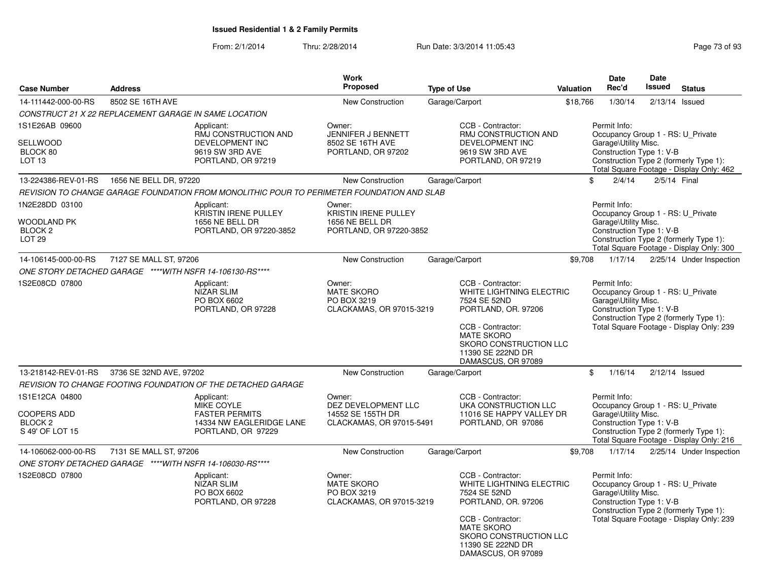|                                                                               |                         |                                                                                                       | Work                                                                                |                    |                                                                                                                                                                                                            |                  | <b>Date</b>                                                                                           | <b>Date</b>  |                                                                                    |
|-------------------------------------------------------------------------------|-------------------------|-------------------------------------------------------------------------------------------------------|-------------------------------------------------------------------------------------|--------------------|------------------------------------------------------------------------------------------------------------------------------------------------------------------------------------------------------------|------------------|-------------------------------------------------------------------------------------------------------|--------------|------------------------------------------------------------------------------------|
| <b>Case Number</b>                                                            | <b>Address</b>          |                                                                                                       | <b>Proposed</b>                                                                     | <b>Type of Use</b> |                                                                                                                                                                                                            | <b>Valuation</b> | Rec'd                                                                                                 | Issued       | <b>Status</b>                                                                      |
| 14-111442-000-00-RS                                                           | 8502 SE 16TH AVE        |                                                                                                       | New Construction                                                                    | Garage/Carport     |                                                                                                                                                                                                            | \$18,766         | 1/30/14                                                                                               |              | $2/13/14$ Issued                                                                   |
| CONSTRUCT 21 X 22 REPLACEMENT GARAGE IN SAME LOCATION                         |                         |                                                                                                       |                                                                                     |                    |                                                                                                                                                                                                            |                  |                                                                                                       |              |                                                                                    |
| 1S1E26AB 09600<br>SELLWOOD<br>BLOCK 80<br>LOT 13                              |                         | Applicant:<br>RMJ CONSTRUCTION AND<br><b>DEVELOPMENT INC</b><br>9619 SW 3RD AVE<br>PORTLAND, OR 97219 | Owner:<br>JENNIFER J BENNETT<br>8502 SE 16TH AVE<br>PORTLAND, OR 97202              |                    | CCB - Contractor:<br>RMJ CONSTRUCTION AND<br>DEVELOPMENT INC<br>9619 SW 3RD AVE<br>PORTLAND, OR 97219                                                                                                      |                  | Permit Info:<br>Occupancy Group 1 - RS: U Private<br>Garage\Utility Misc.<br>Construction Type 1: V-B |              | Construction Type 2 (formerly Type 1):<br>Total Square Footage - Display Only: 462 |
| 13-224386-REV-01-RS                                                           | 1656 NE BELL DR, 97220  |                                                                                                       | <b>New Construction</b>                                                             | Garage/Carport     |                                                                                                                                                                                                            | \$               | 2/4/14                                                                                                | 2/5/14 Final |                                                                                    |
|                                                                               |                         | REVISION TO CHANGE GARAGE FOUNDATION FROM MONOLITHIC POUR TO PERIMETER FOUNDATION AND SLAB            |                                                                                     |                    |                                                                                                                                                                                                            |                  |                                                                                                       |              |                                                                                    |
| 1N2E28DD 03100<br>WOODLAND PK<br>BLOCK <sub>2</sub><br>LOT <sub>29</sub>      |                         | Applicant:<br>KRISTIN IRENE PULLEY<br>1656 NE BELL DR<br>PORTLAND, OR 97220-3852                      | Owner:<br><b>KRISTIN IRENE PULLEY</b><br>1656 NE BELL DR<br>PORTLAND, OR 97220-3852 |                    |                                                                                                                                                                                                            |                  | Permit Info:<br>Occupancy Group 1 - RS: U_Private<br>Garage\Utility Misc.<br>Construction Type 1: V-B |              | Construction Type 2 (formerly Type 1):<br>Total Square Footage - Display Only: 300 |
| 14-106145-000-00-RS                                                           | 7127 SE MALL ST, 97206  |                                                                                                       | <b>New Construction</b>                                                             | Garage/Carport     |                                                                                                                                                                                                            | \$9,708          | 1/17/14                                                                                               |              | 2/25/14 Under Inspection                                                           |
| ONE STORY DETACHED GARAGE ****WITH NSFR 14-106130-RS****                      |                         |                                                                                                       |                                                                                     |                    |                                                                                                                                                                                                            |                  |                                                                                                       |              |                                                                                    |
| 1S2E08CD 07800                                                                |                         | Applicant:<br><b>NIZAR SLIM</b><br>PO BOX 6602<br>PORTLAND, OR 97228                                  | Owner:<br><b>MATE SKORO</b><br>PO BOX 3219<br>CLACKAMAS, OR 97015-3219              |                    | CCB - Contractor:<br>WHITE LIGHTNING ELECTRIC<br>7524 SE 52ND<br>PORTLAND, OR. 97206<br>CCB - Contractor:<br><b>MATE SKORO</b><br><b>SKORO CONSTRUCTION LLC</b><br>11390 SE 222ND DR<br>DAMASCUS, OR 97089 |                  | Permit Info:<br>Occupancy Group 1 - RS: U_Private<br>Garage\Utility Misc.<br>Construction Type 1: V-B |              | Construction Type 2 (formerly Type 1):<br>Total Square Footage - Display Only: 239 |
| 13-218142-REV-01-RS                                                           | 3736 SE 32ND AVE, 97202 |                                                                                                       | New Construction                                                                    |                    | Garage/Carport                                                                                                                                                                                             | \$               | 1/16/14                                                                                               |              | $2/12/14$ Issued                                                                   |
|                                                                               |                         | REVISION TO CHANGE FOOTING FOUNDATION OF THE DETACHED GARAGE                                          |                                                                                     |                    |                                                                                                                                                                                                            |                  |                                                                                                       |              |                                                                                    |
| 1S1E12CA 04800<br><b>COOPERS ADD</b><br>BLOCK <sub>2</sub><br>S 49' OF LOT 15 |                         | Applicant:<br>MIKE COYLE<br><b>FASTER PERMITS</b><br>14334 NW EAGLERIDGE LANE<br>PORTLAND, OR 97229   | Owner:<br>DEZ DEVELOPMENT LLC<br>14552 SE 155TH DR<br>CLACKAMAS, OR 97015-5491      |                    | CCB - Contractor:<br>UKA CONSTRUCTION LLC<br>11016 SE HAPPY VALLEY DR<br>PORTLAND, OR 97086                                                                                                                |                  | Permit Info:<br>Occupancy Group 1 - RS: U_Private<br>Garage\Utility Misc.<br>Construction Type 1: V-B |              | Construction Type 2 (formerly Type 1):<br>Total Square Footage - Display Only: 216 |
| 14-106062-000-00-RS                                                           | 7131 SE MALL ST, 97206  |                                                                                                       | <b>New Construction</b>                                                             | Garage/Carport     |                                                                                                                                                                                                            | \$9,708          | 1/17/14                                                                                               |              | 2/25/14 Under Inspection                                                           |
| ONE STORY DETACHED GARAGE ****WITH NSFR 14-106030-RS****                      |                         |                                                                                                       |                                                                                     |                    |                                                                                                                                                                                                            |                  |                                                                                                       |              |                                                                                    |
| 1S2E08CD 07800                                                                |                         | Applicant:<br><b>NIZAR SLIM</b><br>PO BOX 6602<br>PORTLAND, OR 97228                                  | Owner:<br><b>MATE SKORO</b><br>PO BOX 3219<br>CLACKAMAS, OR 97015-3219              |                    | CCB - Contractor:<br>WHITE LIGHTNING ELECTRIC<br>7524 SE 52ND<br>PORTLAND, OR. 97206<br>CCB - Contractor:<br><b>MATE SKORO</b><br><b>SKORO CONSTRUCTION LLC</b><br>11390 SE 222ND DR<br>DAMASCUS, OR 97089 |                  | Permit Info:<br>Occupancy Group 1 - RS: U_Private<br>Garage\Utility Misc.<br>Construction Type 1: V-B |              | Construction Type 2 (formerly Type 1):<br>Total Square Footage - Display Only: 239 |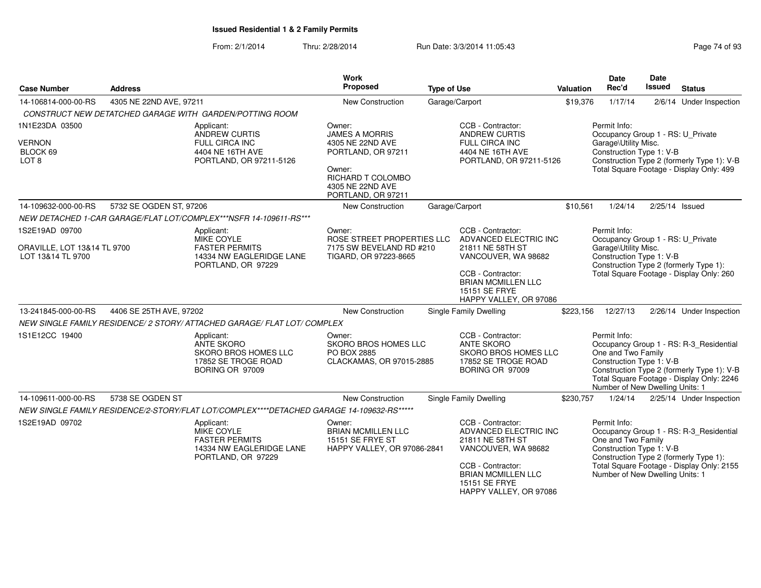| <b>Case Number</b>                                              | <b>Address</b>                                                                                      |                                                                                                                                                                                        | <b>Work</b><br>Proposed                                                                                                                            | <b>Type of Use</b>                                                         |                                                                                                                 | <b>Valuation</b>                                 | <b>Date</b><br>Rec'd                                                                                                                                                                             | <b>Date</b><br>Issued                                                              | <b>Status</b>                                                                                                                      |
|-----------------------------------------------------------------|-----------------------------------------------------------------------------------------------------|----------------------------------------------------------------------------------------------------------------------------------------------------------------------------------------|----------------------------------------------------------------------------------------------------------------------------------------------------|----------------------------------------------------------------------------|-----------------------------------------------------------------------------------------------------------------|--------------------------------------------------|--------------------------------------------------------------------------------------------------------------------------------------------------------------------------------------------------|------------------------------------------------------------------------------------|------------------------------------------------------------------------------------------------------------------------------------|
| 14-106814-000-00-RS                                             | 4305 NE 22ND AVE, 97211                                                                             |                                                                                                                                                                                        | New Construction                                                                                                                                   |                                                                            | Garage/Carport                                                                                                  | \$19,376                                         | 1/17/14                                                                                                                                                                                          |                                                                                    | 2/6/14 Under Inspection                                                                                                            |
|                                                                 |                                                                                                     | CONSTRUCT NEW DETATCHED GARAGE WITH GARDEN/POTTING ROOM                                                                                                                                |                                                                                                                                                    |                                                                            |                                                                                                                 |                                                  |                                                                                                                                                                                                  |                                                                                    |                                                                                                                                    |
| 1N1E23DA 03500<br><b>VERNON</b><br>BLOCK 69<br>LOT <sub>8</sub> |                                                                                                     | Applicant:<br><b>ANDREW CURTIS</b><br>FULL CIRCA INC<br>4404 NE 16TH AVE<br>PORTLAND, OR 97211-5126                                                                                    | Owner:<br><b>JAMES A MORRIS</b><br>4305 NE 22ND AVE<br>PORTLAND, OR 97211<br>Owner:<br>RICHARD T COLOMBO<br>4305 NE 22ND AVE<br>PORTLAND, OR 97211 |                                                                            | CCB - Contractor:<br><b>ANDREW CURTIS</b><br>FULL CIRCA INC<br>4404 NE 16TH AVE<br>PORTLAND, OR 97211-5126      |                                                  | Permit Info:<br>Occupancy Group 1 - RS: U_Private<br>Garage\Utility Misc.<br>Construction Type 1: V-B                                                                                            |                                                                                    | Construction Type 2 (formerly Type 1): V-B<br>Total Square Footage - Display Only: 499                                             |
| 14-109632-000-00-RS                                             | 5732 SE OGDEN ST, 97206                                                                             |                                                                                                                                                                                        | New Construction                                                                                                                                   |                                                                            | Garage/Carport                                                                                                  | \$10,561                                         | 1/24/14                                                                                                                                                                                          |                                                                                    | 2/25/14 Issued                                                                                                                     |
|                                                                 |                                                                                                     | NEW DETACHED 1-CAR GARAGE/FLAT LOT/COMPLEX***NSFR 14-109611-RS***                                                                                                                      |                                                                                                                                                    |                                                                            |                                                                                                                 |                                                  |                                                                                                                                                                                                  |                                                                                    |                                                                                                                                    |
| 1S2E19AD 09700                                                  |                                                                                                     | Applicant:<br>MIKE COYLE                                                                                                                                                               | Owner:<br>ROSE STREET PROPERTIES LLC                                                                                                               |                                                                            | CCB - Contractor:<br>ADVANCED ELECTRIC INC                                                                      |                                                  | Permit Info:<br>Occupancy Group 1 - RS: U_Private                                                                                                                                                |                                                                                    |                                                                                                                                    |
| ORAVILLE, LOT 13&14 TL 9700<br>LOT 13&14 TL 9700                |                                                                                                     | <b>FASTER PERMITS</b><br>7175 SW BEVELAND RD #210<br>21811 NE 58TH ST<br>14334 NW EAGLERIDGE LANE<br>TIGARD, OR 97223-8665<br>PORTLAND, OR 97229<br>CCB - Contractor:<br>15151 SE FRYE |                                                                                                                                                    | VANCOUVER, WA 98682<br><b>BRIAN MCMILLEN LLC</b><br>HAPPY VALLEY, OR 97086 |                                                                                                                 | Garage\Utility Misc.<br>Construction Type 1: V-B |                                                                                                                                                                                                  | Construction Type 2 (formerly Type 1):<br>Total Square Footage - Display Only: 260 |                                                                                                                                    |
| 13-241845-000-00-RS                                             | 4406 SE 25TH AVE, 97202                                                                             |                                                                                                                                                                                        | New Construction                                                                                                                                   |                                                                            | Single Family Dwelling                                                                                          | \$223,156                                        | 12/27/13                                                                                                                                                                                         |                                                                                    | 2/26/14 Under Inspection                                                                                                           |
|                                                                 |                                                                                                     | NEW SINGLE FAMILY RESIDENCE/ 2 STORY/ ATTACHED GARAGE/ FLAT LOT/ COMPLEX                                                                                                               |                                                                                                                                                    |                                                                            |                                                                                                                 |                                                  |                                                                                                                                                                                                  |                                                                                    |                                                                                                                                    |
| 1S1E12CC 19400                                                  |                                                                                                     | Applicant:<br>ANTE SKORO<br><b>SKORO BROS HOMES LLC</b><br>17852 SE TROGE ROAD<br>BORING OR 97009                                                                                      | Owner:<br>SKORO BROS HOMES LLC<br>PO BOX 2885<br>CLACKAMAS, OR 97015-2885                                                                          |                                                                            | CCB - Contractor:<br><b>ANTE SKORO</b><br><b>SKORO BROS HOMES LLC</b><br>17852 SE TROGE ROAD<br>BORING OR 97009 |                                                  | Permit Info:<br>One and Two Family<br>Construction Type 1: V-B<br>Number of New Dwelling Units: 1                                                                                                |                                                                                    | Occupancy Group 1 - RS: R-3_Residential<br>Construction Type 2 (formerly Type 1): V-B<br>Total Square Footage - Display Only: 2246 |
| 14-109611-000-00-RS                                             | 5738 SE OGDEN ST                                                                                    |                                                                                                                                                                                        | New Construction                                                                                                                                   |                                                                            | <b>Single Family Dwelling</b>                                                                                   | \$230,757                                        | 1/24/14                                                                                                                                                                                          |                                                                                    | 2/25/14 Under Inspection                                                                                                           |
|                                                                 |                                                                                                     | NEW SINGLE FAMILY RESIDENCE/2-STORY/FLAT LOT/COMPLEX****DETACHED GARAGE 14-109632-RS*****                                                                                              |                                                                                                                                                    |                                                                            |                                                                                                                 |                                                  |                                                                                                                                                                                                  |                                                                                    |                                                                                                                                    |
| 1S2E19AD 09702                                                  | Applicant:<br>MIKE COYLE<br><b>FASTER PERMITS</b><br>14334 NW EAGLERIDGE LANE<br>PORTLAND, OR 97229 |                                                                                                                                                                                        | Owner:<br><b>BRIAN MCMILLEN LLC</b><br><b>15151 SE FRYE ST</b><br>HAPPY VALLEY, OR 97086-2841                                                      |                                                                            | CCB - Contractor:<br>ADVANCED ELECTRIC INC<br>21811 NE 58TH ST<br>VANCOUVER, WA 98682<br>CCB - Contractor:      |                                                  | Permit Info:<br>Occupancy Group 1 - RS: R-3 Residential<br>One and Two Family<br>Construction Type 1: V-B<br>Construction Type 2 (formerly Type 1):<br>Total Square Footage - Display Only: 2155 |                                                                                    |                                                                                                                                    |
|                                                                 |                                                                                                     |                                                                                                                                                                                        |                                                                                                                                                    |                                                                            | <b>BRIAN MCMILLEN LLC</b><br>15151 SE FRYE<br>HAPPY VALLEY, OR 97086                                            |                                                  | Number of New Dwelling Units: 1                                                                                                                                                                  |                                                                                    |                                                                                                                                    |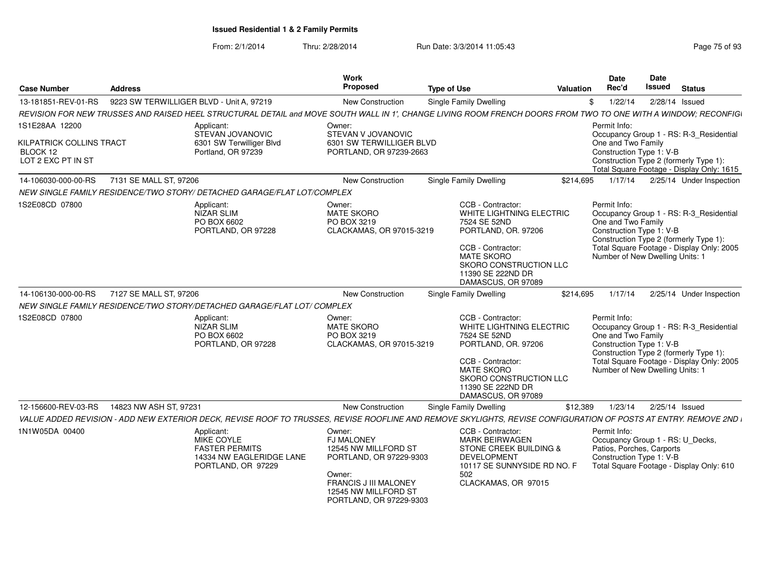| <b>Case Number</b>                                         | <b>Address</b>                           |                                                                                                                                                                  | <b>Work</b><br><b>Proposed</b>                                                                                                                                              | <b>Type of Use</b>                                                                                                                                                                                  | Valuation | <b>Date</b><br>Rec'd                                                                                                                        | <b>Date</b><br><b>Issued</b> | <b>Status</b>                                                                                                                  |
|------------------------------------------------------------|------------------------------------------|------------------------------------------------------------------------------------------------------------------------------------------------------------------|-----------------------------------------------------------------------------------------------------------------------------------------------------------------------------|-----------------------------------------------------------------------------------------------------------------------------------------------------------------------------------------------------|-----------|---------------------------------------------------------------------------------------------------------------------------------------------|------------------------------|--------------------------------------------------------------------------------------------------------------------------------|
| 13-181851-REV-01-RS                                        | 9223 SW TERWILLIGER BLVD - Unit A, 97219 |                                                                                                                                                                  | <b>New Construction</b>                                                                                                                                                     | <b>Single Family Dwelling</b>                                                                                                                                                                       | \$        | 1/22/14                                                                                                                                     | 2/28/14 Issued               |                                                                                                                                |
|                                                            |                                          | REVISION FOR NEW TRUSSES AND RAISED HEEL STRUCTURAL DETAIL and MOVE SOUTH WALL IN 1'. CHANGE LIVING ROOM FRENCH DOORS FROM TWO TO ONE WITH A WINDOW: RECONFIGI   |                                                                                                                                                                             |                                                                                                                                                                                                     |           |                                                                                                                                             |                              |                                                                                                                                |
| 1S1E28AA 12200                                             |                                          | Applicant:<br>STEVAN JOVANOVIC                                                                                                                                   | Owner:<br>STEVAN V JOVANOVIC                                                                                                                                                |                                                                                                                                                                                                     |           | Permit Info:                                                                                                                                |                              | Occupancy Group 1 - RS: R-3_Residential                                                                                        |
| KILPATRICK COLLINS TRACT<br>BLOCK 12<br>LOT 2 EXC PT IN ST |                                          | 6301 SW Terwilliger Blvd<br>Portland, OR 97239                                                                                                                   | 6301 SW TERWILLIGER BLVD<br>PORTLAND, OR 97239-2663                                                                                                                         |                                                                                                                                                                                                     |           | One and Two Family<br>Construction Type 1: V-B                                                                                              |                              | Construction Type 2 (formerly Type 1):<br>Total Square Footage - Display Only: 1615                                            |
| 14-106030-000-00-RS                                        | 7131 SE MALL ST, 97206                   |                                                                                                                                                                  | New Construction                                                                                                                                                            | <b>Single Family Dwelling</b>                                                                                                                                                                       | \$214,695 | 1/17/14                                                                                                                                     |                              | 2/25/14 Under Inspection                                                                                                       |
|                                                            |                                          | NEW SINGLE FAMILY RESIDENCE/TWO STORY/ DETACHED GARAGE/FLAT LOT/COMPLEX                                                                                          |                                                                                                                                                                             |                                                                                                                                                                                                     |           |                                                                                                                                             |                              |                                                                                                                                |
| 1S2E08CD 07800                                             |                                          | Applicant:<br><b>NIZAR SLIM</b><br>PO BOX 6602<br>PORTLAND, OR 97228                                                                                             | Owner:<br><b>MATE SKORO</b><br>PO BOX 3219<br>CLACKAMAS, OR 97015-3219                                                                                                      | CCB - Contractor:<br>WHITE LIGHTNING ELECTRIC<br>7524 SE 52ND<br>PORTLAND, OR. 97206<br>CCB - Contractor:<br><b>MATE SKORO</b><br>SKORO CONSTRUCTION LLC<br>11390 SE 222ND DR<br>DAMASCUS, OR 97089 |           | Permit Info:<br>One and Two Family<br>Construction Type 1: V-B<br>Construction Type 2 (formerly Type 1):<br>Number of New Dwelling Units: 1 |                              | Occupancy Group 1 - RS: R-3_Residential<br>Total Square Footage - Display Only: 2005                                           |
| 14-106130-000-00-RS                                        | 7127 SE MALL ST, 97206                   |                                                                                                                                                                  | New Construction                                                                                                                                                            | Single Family Dwelling                                                                                                                                                                              | \$214,695 | 1/17/14                                                                                                                                     |                              | 2/25/14 Under Inspection                                                                                                       |
|                                                            |                                          | NEW SINGLE FAMILY RESIDENCE/TWO STORY/DETACHED GARAGE/FLAT LOT/ COMPLEX                                                                                          |                                                                                                                                                                             |                                                                                                                                                                                                     |           |                                                                                                                                             |                              |                                                                                                                                |
| 1S2E08CD 07800                                             |                                          | Applicant:<br>NIZAR SLIM<br>PO BOX 6602<br>PORTLAND, OR 97228                                                                                                    | Owner:<br><b>MATE SKORO</b><br>PO BOX 3219<br>CLACKAMAS, OR 97015-3219                                                                                                      | CCB - Contractor:<br>WHITE LIGHTNING ELECTRIC<br>7524 SE 52ND<br>PORTLAND, OR. 97206<br>CCB - Contractor:<br><b>MATE SKORO</b><br>SKORO CONSTRUCTION LLC<br>11390 SE 222ND DR<br>DAMASCUS, OR 97089 |           | Permit Info:<br>One and Two Family<br>Construction Type 1: V-B<br>Number of New Dwelling Units: 1                                           |                              | Occupancy Group 1 - RS: R-3_Residential<br>Construction Type 2 (formerly Type 1):<br>Total Square Footage - Display Only: 2005 |
| 12-156600-REV-03-RS                                        | 14823 NW ASH ST, 97231                   |                                                                                                                                                                  | <b>New Construction</b>                                                                                                                                                     | Single Family Dwelling                                                                                                                                                                              | \$12,389  | 1/23/14                                                                                                                                     | 2/25/14 Issued               |                                                                                                                                |
|                                                            |                                          | VALUE ADDED REVISION - ADD NEW EXTERIOR DECK, REVISE ROOF TO TRUSSES, REVISE ROOFLINE AND REMOVE SKYLIGHTS, REVISE CONFIGURATION OF POSTS AT ENTRY. REMOVE 2ND I |                                                                                                                                                                             |                                                                                                                                                                                                     |           |                                                                                                                                             |                              |                                                                                                                                |
| 1N1W05DA 00400                                             |                                          | Applicant:<br>MIKE COYLE<br><b>FASTER PERMITS</b><br>14334 NW EAGLERIDGE LANE<br>PORTLAND, OR 97229                                                              | Owner:<br><b>FJ MALONEY</b><br>12545 NW MILLFORD ST<br>PORTLAND, OR 97229-9303<br>Owner:<br><b>FRANCIS J III MALONEY</b><br>12545 NW MILLFORD ST<br>PORTLAND, OR 97229-9303 | CCB - Contractor:<br><b>MARK BEIRWAGEN</b><br>STONE CREEK BUILDING &<br><b>DEVELOPMENT</b><br>10117 SE SUNNYSIDE RD NO. F<br>502<br>CLACKAMAS, OR 97015                                             |           | Permit Info:<br>Occupancy Group 1 - RS: U_Decks,<br>Patios, Porches, Carports<br>Construction Type 1: V-B                                   |                              | Total Square Footage - Display Only: 610                                                                                       |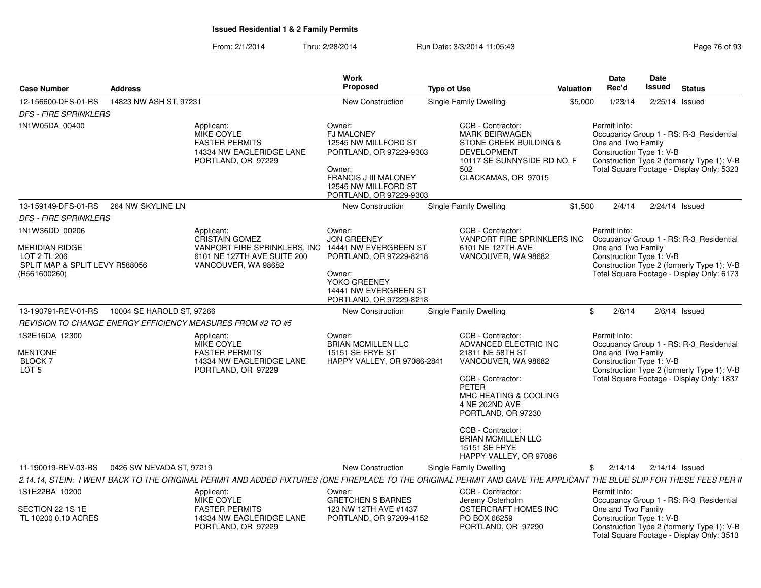|                                                                                                           |                           |                                                                                                                                                                        | <b>Work</b>                                                                                                                                                                 |                                                                                                                                                                                                                                                                                          |           | Date                                                           | Date             |                                                                                                                                    |
|-----------------------------------------------------------------------------------------------------------|---------------------------|------------------------------------------------------------------------------------------------------------------------------------------------------------------------|-----------------------------------------------------------------------------------------------------------------------------------------------------------------------------|------------------------------------------------------------------------------------------------------------------------------------------------------------------------------------------------------------------------------------------------------------------------------------------|-----------|----------------------------------------------------------------|------------------|------------------------------------------------------------------------------------------------------------------------------------|
| <b>Case Number</b>                                                                                        | <b>Address</b>            |                                                                                                                                                                        | Proposed                                                                                                                                                                    | <b>Type of Use</b>                                                                                                                                                                                                                                                                       | Valuation | Rec'd                                                          | Issued           | <b>Status</b>                                                                                                                      |
| 12-156600-DFS-01-RS                                                                                       | 14823 NW ASH ST, 97231    |                                                                                                                                                                        | New Construction                                                                                                                                                            | Single Family Dwelling                                                                                                                                                                                                                                                                   | \$5,000   | 1/23/14                                                        | 2/25/14 Issued   |                                                                                                                                    |
| <b>DFS - FIRE SPRINKLERS</b>                                                                              |                           |                                                                                                                                                                        |                                                                                                                                                                             |                                                                                                                                                                                                                                                                                          |           |                                                                |                  |                                                                                                                                    |
| 1N1W05DA 00400                                                                                            |                           | Applicant:<br>MIKE COYLE<br><b>FASTER PERMITS</b><br>14334 NW EAGLERIDGE LANE<br>PORTLAND, OR 97229                                                                    | Owner:<br><b>FJ MALONEY</b><br>12545 NW MILLFORD ST<br>PORTLAND, OR 97229-9303<br>Owner:<br><b>FRANCIS J III MALONEY</b><br>12545 NW MILLFORD ST<br>PORTLAND, OR 97229-9303 | CCB - Contractor:<br><b>MARK BEIRWAGEN</b><br><b>STONE CREEK BUILDING &amp;</b><br><b>DEVELOPMENT</b><br>10117 SE SUNNYSIDE RD NO. F<br>502<br>CLACKAMAS, OR 97015                                                                                                                       |           | Permit Info:<br>One and Two Family<br>Construction Type 1: V-B |                  | Occupancy Group 1 - RS: R-3_Residential<br>Construction Type 2 (formerly Type 1): V-B<br>Total Square Footage - Display Only: 5323 |
| 13-159149-DFS-01-RS                                                                                       | 264 NW SKYLINE LN         |                                                                                                                                                                        | New Construction                                                                                                                                                            | Single Family Dwelling                                                                                                                                                                                                                                                                   | \$1,500   | 2/4/14                                                         | $2/24/14$ Issued |                                                                                                                                    |
| <b>DFS - FIRE SPRINKLERS</b>                                                                              |                           |                                                                                                                                                                        |                                                                                                                                                                             |                                                                                                                                                                                                                                                                                          |           |                                                                |                  |                                                                                                                                    |
| 1N1W36DD 00206<br><b>MERIDIAN RIDGE</b><br>LOT 2 TL 206<br>SPLIT MAP & SPLIT LEVY R588056<br>(R561600260) |                           | Applicant:<br><b>CRISTAIN GOMEZ</b><br>VANPORT FIRE SPRINKLERS, INC<br>6101 NE 127TH AVE SUITE 200<br>VANCOUVER, WA 98682                                              | Owner:<br><b>JON GREENEY</b><br>14441 NW EVERGREEN ST<br>PORTLAND, OR 97229-8218<br>Owner:<br>YOKO GREENEY<br>14441 NW EVERGREEN ST<br>PORTLAND, OR 97229-8218              | CCB - Contractor:<br>VANPORT FIRE SPRINKLERS INC<br>6101 NE 127TH AVE<br>VANCOUVER, WA 98682                                                                                                                                                                                             |           | Permit Info:<br>One and Two Family<br>Construction Type 1: V-B |                  | Occupancy Group 1 - RS: R-3 Residential<br>Construction Type 2 (formerly Type 1): V-B<br>Total Square Footage - Display Only: 6173 |
| 13-190791-REV-01-RS                                                                                       | 10004 SE HAROLD ST, 97266 |                                                                                                                                                                        | New Construction                                                                                                                                                            | <b>Single Family Dwelling</b>                                                                                                                                                                                                                                                            |           | 2/6/14<br>\$                                                   |                  | $2/6/14$ Issued                                                                                                                    |
|                                                                                                           |                           | <b>REVISION TO CHANGE ENERGY EFFICIENCY MEASURES FROM #2 TO #5</b>                                                                                                     |                                                                                                                                                                             |                                                                                                                                                                                                                                                                                          |           |                                                                |                  |                                                                                                                                    |
| 1S2E16DA 12300<br><b>MENTONE</b><br><b>BLOCK 7</b><br>LOT <sub>5</sub>                                    |                           | Applicant:<br><b>MIKE COYLE</b><br><b>FASTER PERMITS</b><br>14334 NW EAGLERIDGE LANE<br>PORTLAND, OR 97229                                                             | Owner:<br><b>BRIAN MCMILLEN LLC</b><br><b>15151 SE FRYE ST</b><br><b>HAPPY VALLEY, OR 97086-2841</b>                                                                        | CCB - Contractor:<br>ADVANCED ELECTRIC INC<br>21811 NE 58TH ST<br>VANCOUVER, WA 98682<br>CCB - Contractor:<br><b>PETER</b><br>MHC HEATING & COOLING<br>4 NE 202ND AVE<br>PORTLAND, OR 97230<br>CCB - Contractor:<br><b>BRIAN MCMILLEN LLC</b><br>15151 SE FRYE<br>HAPPY VALLEY, OR 97086 |           | Permit Info:<br>One and Two Family<br>Construction Type 1: V-B |                  | Occupancy Group 1 - RS: R-3 Residential<br>Construction Type 2 (formerly Type 1): V-B<br>Total Square Footage - Display Only: 1837 |
| 11-190019-REV-03-RS                                                                                       | 0426 SW NEVADA ST, 97219  |                                                                                                                                                                        | New Construction                                                                                                                                                            | Single Family Dwelling                                                                                                                                                                                                                                                                   |           | 2/14/14<br>\$                                                  | $2/14/14$ Issued |                                                                                                                                    |
|                                                                                                           |                           | 2.14.14, STEIN: I WENT BACK TO THE ORIGINAL PERMIT AND ADDED FIXTURES (ONE FIREPLACE TO THE ORIGINAL PERMIT AND GAVE THE APPLICANT THE BLUE SLIP FOR THESE FEES PER II |                                                                                                                                                                             |                                                                                                                                                                                                                                                                                          |           |                                                                |                  |                                                                                                                                    |
| 1S1E22BA 10200<br>SECTION 22 1S 1E                                                                        |                           | Applicant:<br>MIKE COYLE<br><b>FASTER PERMITS</b>                                                                                                                      | Owner:<br><b>GRETCHEN S BARNES</b><br>123 NW 12TH AVE #1437                                                                                                                 | CCB - Contractor:<br>Jeremy Osterholm<br>OSTERCRAFT HOMES INC                                                                                                                                                                                                                            |           | Permit Info:<br>One and Two Family                             |                  | Occupancy Group 1 - RS: R-3_Residential                                                                                            |
| TL 10200 0.10 ACRES                                                                                       |                           | 14334 NW EAGLERIDGE LANE<br>PORTLAND, OR 97229                                                                                                                         | PORTLAND, OR 97209-4152                                                                                                                                                     | PO BOX 66259<br>PORTLAND, OR 97290                                                                                                                                                                                                                                                       |           | Construction Type 1: V-B                                       |                  | Construction Type 2 (formerly Type 1): V-B<br>Total Square Footage - Display Only: 3513                                            |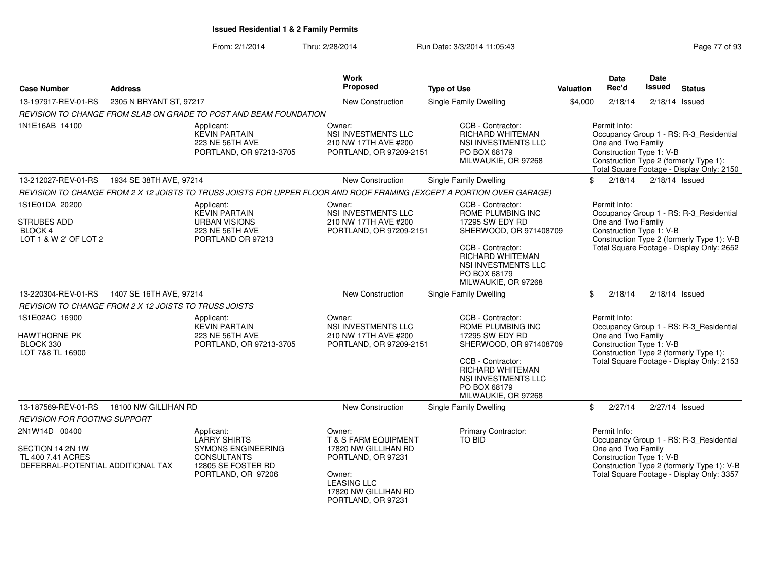### From: 2/1/2014Thru: 2/28/2014 **Run Date: 3/3/2014 11:05:43** Page 77 of 93/3/2014 11:05:43

| Page 77 of 93 |
|---------------|
|---------------|

| <b>Case Number</b>                                                                          | <b>Address</b>          |                                                                                                                                  | Work<br>Proposed                                                                                                                                                      | <b>Type of Use</b>                                                                                                                                                                                | <b>Valuation</b> | <b>Date</b><br>Rec'd                                           | Date<br>Issued | <b>Status</b>                                                                                                                      |
|---------------------------------------------------------------------------------------------|-------------------------|----------------------------------------------------------------------------------------------------------------------------------|-----------------------------------------------------------------------------------------------------------------------------------------------------------------------|---------------------------------------------------------------------------------------------------------------------------------------------------------------------------------------------------|------------------|----------------------------------------------------------------|----------------|------------------------------------------------------------------------------------------------------------------------------------|
| 13-197917-REV-01-RS                                                                         | 2305 N BRYANT ST, 97217 |                                                                                                                                  | New Construction                                                                                                                                                      | Single Family Dwelling                                                                                                                                                                            | \$4,000          | 2/18/14                                                        |                | $2/18/14$ Issued                                                                                                                   |
|                                                                                             |                         | REVISION TO CHANGE FROM SLAB ON GRADE TO POST AND BEAM FOUNDATION                                                                |                                                                                                                                                                       |                                                                                                                                                                                                   |                  |                                                                |                |                                                                                                                                    |
| 1N1E16AB 14100                                                                              |                         | Applicant:<br><b>KEVIN PARTAIN</b><br>223 NE 56TH AVE<br>PORTLAND, OR 97213-3705                                                 | Owner:<br>NSI INVESTMENTS LLC<br>210 NW 17TH AVE #200<br>PORTLAND, OR 97209-2151                                                                                      | CCB - Contractor:<br><b>RICHARD WHITEMAN</b><br>NSI INVESTMENTS LLC<br>PO BOX 68179<br>MILWAUKIE, OR 97268                                                                                        |                  | Permit Info:<br>One and Two Family<br>Construction Type 1: V-B |                | Occupancy Group 1 - RS: R-3_Residential<br>Construction Type 2 (formerly Type 1):<br>Total Square Footage - Display Only: 2150     |
| 13-212027-REV-01-RS                                                                         | 1934 SE 38TH AVE, 97214 |                                                                                                                                  | <b>New Construction</b>                                                                                                                                               | Single Family Dwelling                                                                                                                                                                            | \$               | 2/18/14                                                        |                | $2/18/14$ Issued                                                                                                                   |
|                                                                                             |                         |                                                                                                                                  |                                                                                                                                                                       | REVISION TO CHANGE FROM 2 X 12 JOISTS TO TRUSS JOISTS FOR UPPER FLOOR AND ROOF FRAMING (EXCEPT A PORTION OVER GARAGE)                                                                             |                  |                                                                |                |                                                                                                                                    |
| 1S1E01DA 20200<br>STRUBES ADD<br>BLOCK 4<br>LOT 1 & W 2' OF LOT 2                           |                         | Applicant:<br><b>KEVIN PARTAIN</b><br><b>URBAN VISIONS</b><br>223 NE 56TH AVE<br>PORTLAND OR 97213                               | Owner:<br>NSI INVESTMENTS LLC<br>210 NW 17TH AVE #200<br>PORTLAND, OR 97209-2151                                                                                      | CCB - Contractor:<br>ROME PLUMBING INC<br>17295 SW EDY RD<br>SHERWOOD, OR 971408709<br>CCB - Contractor:<br><b>RICHARD WHITEMAN</b><br>NSI INVESTMENTS LLC<br>PO BOX 68179<br>MILWAUKIE, OR 97268 |                  | Permit Info:<br>One and Two Family<br>Construction Type 1: V-B |                | Occupancy Group 1 - RS: R-3_Residential<br>Construction Type 2 (formerly Type 1): V-B<br>Total Square Footage - Display Only: 2652 |
| 13-220304-REV-01-RS                                                                         | 1407 SE 16TH AVE, 97214 |                                                                                                                                  | New Construction                                                                                                                                                      | Single Family Dwelling                                                                                                                                                                            |                  | \$<br>2/18/14                                                  |                | $2/18/14$ Issued                                                                                                                   |
| REVISION TO CHANGE FROM 2 X 12 JOISTS TO TRUSS JOISTS                                       |                         |                                                                                                                                  |                                                                                                                                                                       |                                                                                                                                                                                                   |                  |                                                                |                |                                                                                                                                    |
| 1S1E02AC 16900<br><b>HAWTHORNE PK</b><br>BLOCK 330<br>LOT 7&8 TL 16900                      |                         | Applicant:<br><b>KEVIN PARTAIN</b><br>223 NE 56TH AVE<br>PORTLAND, OR 97213-3705                                                 | Owner:<br>NSI INVESTMENTS LLC<br>210 NW 17TH AVE #200<br>PORTLAND, OR 97209-2151                                                                                      | CCB - Contractor:<br>ROME PLUMBING INC<br>17295 SW EDY RD<br>SHERWOOD, OR 971408709<br>CCB - Contractor:<br><b>RICHARD WHITEMAN</b><br>NSI INVESTMENTS LLC<br>PO BOX 68179<br>MILWAUKIE, OR 97268 |                  | Permit Info:<br>One and Two Family<br>Construction Type 1: V-B |                | Occupancy Group 1 - RS: R-3_Residential<br>Construction Type 2 (formerly Type 1):<br>Total Square Footage - Display Only: 2153     |
| 13-187569-REV-01-RS                                                                         | 18100 NW GILLIHAN RD    |                                                                                                                                  | New Construction                                                                                                                                                      | Single Family Dwelling                                                                                                                                                                            | \$               | 2/27/14                                                        |                | 2/27/14 Issued                                                                                                                     |
| <b>REVISION FOR FOOTING SUPPORT</b>                                                         |                         |                                                                                                                                  |                                                                                                                                                                       |                                                                                                                                                                                                   |                  |                                                                |                |                                                                                                                                    |
| 2N1W14D 00400<br>SECTION 14 2N 1W<br>TL 400 7.41 ACRES<br>DEFERRAL-POTENTIAL ADDITIONAL TAX |                         | Applicant:<br><b>LARRY SHIRTS</b><br><b>SYMONS ENGINEERING</b><br><b>CONSULTANTS</b><br>12805 SE FOSTER RD<br>PORTLAND, OR 97206 | Owner:<br><b>T &amp; S FARM EQUIPMENT</b><br>17820 NW GILLIHAN RD<br>PORTLAND, OR 97231<br>Owner:<br><b>LEASING LLC</b><br>17820 NW GILLIHAN RD<br>PORTLAND, OR 97231 | Primary Contractor:<br>TO BID                                                                                                                                                                     |                  | Permit Info:<br>One and Two Family<br>Construction Type 1: V-B |                | Occupancy Group 1 - RS: R-3_Residential<br>Construction Type 2 (formerly Type 1): V-B<br>Total Square Footage - Display Only: 3357 |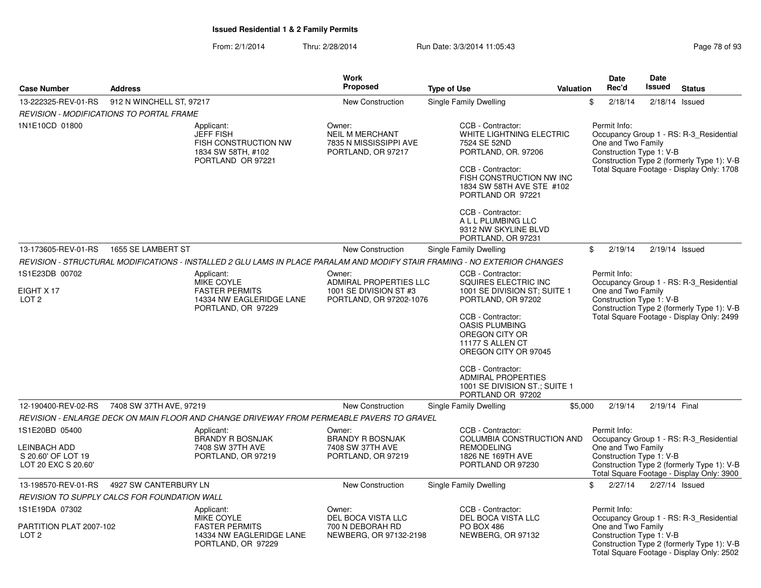|                                                                             |                                                 |                                                                                                   | <b>Work</b>                                                                      |                                                                                                                                                                                                                                    |                  | <b>Date</b>                                                    | Date             |                                                                                                                                    |
|-----------------------------------------------------------------------------|-------------------------------------------------|---------------------------------------------------------------------------------------------------|----------------------------------------------------------------------------------|------------------------------------------------------------------------------------------------------------------------------------------------------------------------------------------------------------------------------------|------------------|----------------------------------------------------------------|------------------|------------------------------------------------------------------------------------------------------------------------------------|
| <b>Case Number</b>                                                          | <b>Address</b>                                  |                                                                                                   | <b>Proposed</b>                                                                  | <b>Type of Use</b>                                                                                                                                                                                                                 | <b>Valuation</b> | Rec'd                                                          | Issued           | <b>Status</b>                                                                                                                      |
| 13-222325-REV-01-RS                                                         | 912 N WINCHELL ST, 97217                        |                                                                                                   | <b>New Construction</b>                                                          | <b>Single Family Dwelling</b>                                                                                                                                                                                                      | \$               | 2/18/14                                                        | $2/18/14$ Issued |                                                                                                                                    |
|                                                                             | <b>REVISION - MODIFICATIONS TO PORTAL FRAME</b> |                                                                                                   |                                                                                  |                                                                                                                                                                                                                                    |                  |                                                                |                  |                                                                                                                                    |
| 1N1E10CD 01800                                                              |                                                 | Applicant:<br><b>JEFF FISH</b><br>FISH CONSTRUCTION NW<br>1834 SW 58TH, #102<br>PORTLAND OR 97221 | Owner:<br><b>NEIL M MERCHANT</b><br>7835 N MISSISSIPPI AVE<br>PORTLAND, OR 97217 | CCB - Contractor:<br>WHITE LIGHTNING ELECTRIC<br>7524 SE 52ND<br>PORTLAND, OR. 97206<br>CCB - Contractor:<br>FISH CONSTRUCTION NW INC<br>1834 SW 58TH AVE STE #102<br>PORTLAND OR 97221<br>CCB - Contractor:<br>A L L PLUMBING LLC |                  | Permit Info:<br>One and Two Family<br>Construction Type 1: V-B |                  | Occupancy Group 1 - RS: R-3_Residential<br>Construction Type 2 (formerly Type 1): V-B<br>Total Square Footage - Display Only: 1708 |
|                                                                             |                                                 |                                                                                                   |                                                                                  | 9312 NW SKYLINE BLVD<br>PORTLAND, OR 97231                                                                                                                                                                                         |                  |                                                                |                  |                                                                                                                                    |
| 13-173605-REV-01-RS                                                         | 1655 SE LAMBERT ST                              |                                                                                                   | <b>New Construction</b>                                                          | <b>Single Family Dwelling</b>                                                                                                                                                                                                      | \$               | 2/19/14                                                        | $2/19/14$ Issued |                                                                                                                                    |
|                                                                             |                                                 |                                                                                                   |                                                                                  | REVISION - STRUCTURAL MODIFICATIONS - INSTALLED 2 GLU LAMS IN PLACE PARALAM AND MODIFY STAIR FRAMING - NO EXTERIOR CHANGES                                                                                                         |                  |                                                                |                  |                                                                                                                                    |
| 1S1E23DB 00702                                                              |                                                 | Applicant:                                                                                        | Owner:                                                                           | CCB - Contractor:                                                                                                                                                                                                                  |                  | Permit Info:                                                   |                  |                                                                                                                                    |
| EIGHT X 17                                                                  |                                                 | MIKE COYLE<br><b>FASTER PERMITS</b>                                                               | ADMIRAL PROPERTIES LLC<br>1001 SE DIVISION ST #3                                 | SQUIRES ELECTRIC INC<br>1001 SE DIVISION ST; SUITE 1                                                                                                                                                                               |                  | One and Two Family                                             |                  | Occupancy Group 1 - RS: R-3 Residential                                                                                            |
| LOT <sub>2</sub>                                                            |                                                 | 14334 NW EAGLERIDGE LANE                                                                          | PORTLAND, OR 97202-1076                                                          | PORTLAND, OR 97202                                                                                                                                                                                                                 |                  | Construction Type 1: V-B                                       |                  |                                                                                                                                    |
|                                                                             |                                                 | PORTLAND, OR 97229                                                                                |                                                                                  | CCB - Contractor:<br><b>OASIS PLUMBING</b><br>OREGON CITY OR<br>11177 S ALLEN CT<br>OREGON CITY OR 97045                                                                                                                           |                  |                                                                |                  | Construction Type 2 (formerly Type 1): V-B<br>Total Square Footage - Display Only: 2499                                            |
|                                                                             |                                                 |                                                                                                   |                                                                                  | CCB - Contractor:<br><b>ADMIRAL PROPERTIES</b><br>1001 SE DIVISION ST.; SUITE 1<br>PORTLAND OR 97202                                                                                                                               |                  |                                                                |                  |                                                                                                                                    |
| 12-190400-REV-02-RS                                                         | 7408 SW 37TH AVE, 97219                         |                                                                                                   | New Construction                                                                 | <b>Single Family Dwelling</b>                                                                                                                                                                                                      | \$5,000          | 2/19/14                                                        | 2/19/14 Final    |                                                                                                                                    |
|                                                                             |                                                 | REVISION - ENLARGE DECK ON MAIN FLOOR AND CHANGE DRIVEWAY FROM PERMEABLE PAVERS TO GRAVEL         |                                                                                  |                                                                                                                                                                                                                                    |                  |                                                                |                  |                                                                                                                                    |
| 1S1E20BD 05400<br>LEINBACH ADD<br>S 20.60' OF LOT 19<br>LOT 20 EXC S 20.60' |                                                 | Applicant:<br><b>BRANDY R BOSNJAK</b><br>7408 SW 37TH AVE<br>PORTLAND, OR 97219                   | Owner:<br><b>BRANDY R BOSNJAK</b><br>7408 SW 37TH AVE<br>PORTLAND, OR 97219      | CCB - Contractor:<br>COLUMBIA CONSTRUCTION AND<br><b>REMODELING</b><br>1826 NE 169TH AVE<br>PORTLAND OR 97230                                                                                                                      |                  | Permit Info:<br>One and Two Family<br>Construction Type 1: V-B |                  | Occupancy Group 1 - RS: R-3_Residential<br>Construction Type 2 (formerly Type 1): V-B<br>Total Square Footage - Display Only: 3900 |
| 13-198570-REV-01-RS                                                         | 4927 SW CANTERBURY LN                           |                                                                                                   | New Construction                                                                 | <b>Single Family Dwelling</b>                                                                                                                                                                                                      | \$               | 2/27/14                                                        | 2/27/14 Issued   |                                                                                                                                    |
|                                                                             | REVISION TO SUPPLY CALCS FOR FOUNDATION WALL    |                                                                                                   |                                                                                  |                                                                                                                                                                                                                                    |                  |                                                                |                  |                                                                                                                                    |
| 1S1E19DA 07302                                                              |                                                 | Applicant:                                                                                        | Owner:                                                                           | CCB - Contractor:                                                                                                                                                                                                                  |                  | Permit Info:                                                   |                  |                                                                                                                                    |
| PARTITION PLAT 2007-102<br>LOT <sub>2</sub>                                 |                                                 | <b>MIKE COYLE</b><br><b>FASTER PERMITS</b><br>14334 NW EAGLERIDGE LANE<br>PORTLAND, OR 97229      | DEL BOCA VISTA LLC<br>700 N DEBORAH RD<br>NEWBERG, OR 97132-2198                 | DEL BOCA VISTA LLC<br><b>PO BOX 486</b><br>NEWBERG, OR 97132                                                                                                                                                                       |                  | One and Two Family<br>Construction Type 1: V-B                 |                  | Occupancy Group 1 - RS: R-3_Residential<br>Construction Type 2 (formerly Type 1): V-B<br>Total Square Footage - Display Only: 2502 |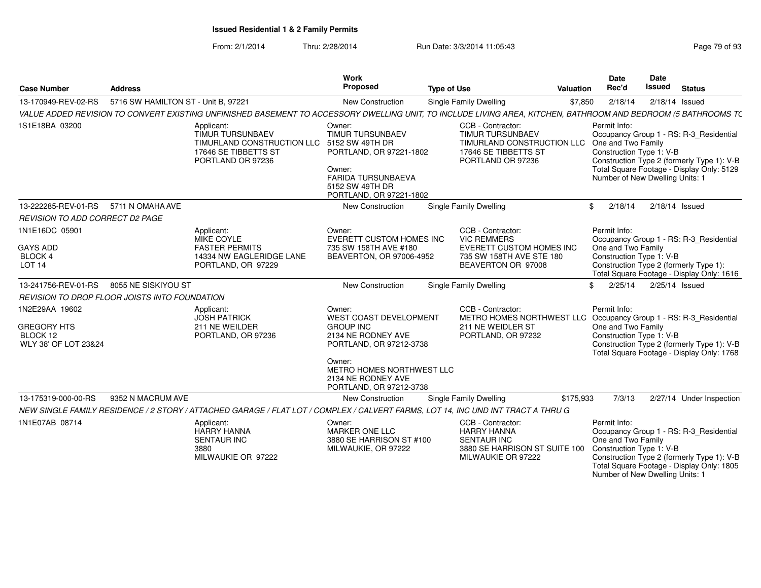From: 2/1/2014Thru: 2/28/2014 Run Date: 3/3/2014 11:05:43

Number of New Dwelling Units: 1

| <b>Case Number</b>                                                       | <b>Address</b>                      |                                                                                                                                                                | Work<br>Proposed                                                                                                                                                                              | <b>Type of Use</b>            | Valuation                                                                                                                    |         | Date<br>Rec'd                                                                                     | Date<br><b>Issued</b> | <b>Status</b>                                                                                                                      |
|--------------------------------------------------------------------------|-------------------------------------|----------------------------------------------------------------------------------------------------------------------------------------------------------------|-----------------------------------------------------------------------------------------------------------------------------------------------------------------------------------------------|-------------------------------|------------------------------------------------------------------------------------------------------------------------------|---------|---------------------------------------------------------------------------------------------------|-----------------------|------------------------------------------------------------------------------------------------------------------------------------|
| 13-170949-REV-02-RS                                                      | 5716 SW HAMILTON ST - Unit B, 97221 |                                                                                                                                                                | New Construction                                                                                                                                                                              | Single Family Dwelling        |                                                                                                                              | \$7,850 | 2/18/14                                                                                           | $2/18/14$ Issued      |                                                                                                                                    |
|                                                                          |                                     | VALUE ADDED REVISION TO CONVERT EXISTING UNFINISHED BASEMENT TO ACCESSORY DWELLING UNIT, TO INCLUDE LIVING AREA, KITCHEN, BATHROOM AND BEDROOM (5 BATHROOMS T( |                                                                                                                                                                                               |                               |                                                                                                                              |         |                                                                                                   |                       |                                                                                                                                    |
| 1S1E18BA 03200                                                           |                                     | Applicant:<br><b>TIMUR TURSUNBAEV</b><br>TIMURLAND CONSTRUCTION LLC 5152 SW 49TH DR<br>17646 SE TIBBETTS ST<br>PORTLAND OR 97236                               | Owner:<br>TIMUR TURSUNBAEV<br>PORTLAND, OR 97221-1802<br>Owner:<br><b>FARIDA TURSUNBAEVA</b><br>5152 SW 49TH DR<br>PORTLAND, OR 97221-1802                                                    |                               | CCB - Contractor:<br>TIMUR TURSUNBAEV<br>TIMURLAND CONSTRUCTION LLC<br>17646 SE TIBBETTS ST<br>PORTLAND OR 97236             |         | Permit Info:<br>One and Two Family<br>Construction Type 1: V-B<br>Number of New Dwelling Units: 1 |                       | Occupancy Group 1 - RS: R-3_Residential<br>Construction Type 2 (formerly Type 1): V-B<br>Total Square Footage - Display Only: 5129 |
| 13-222285-REV-01-RS                                                      | 5711 N OMAHA AVE                    |                                                                                                                                                                | <b>New Construction</b>                                                                                                                                                                       | <b>Single Family Dwelling</b> |                                                                                                                              | \$      | 2/18/14                                                                                           | $2/18/14$ Issued      |                                                                                                                                    |
| REVISION TO ADD CORRECT D2 PAGE                                          |                                     |                                                                                                                                                                |                                                                                                                                                                                               |                               |                                                                                                                              |         |                                                                                                   |                       |                                                                                                                                    |
| 1N1E16DC 05901<br><b>GAYS ADD</b><br>BLOCK 4<br>LOT <sub>14</sub>        |                                     | Applicant:<br>MIKE COYLE<br><b>FASTER PERMITS</b><br>14334 NW EAGLERIDGE LANE<br>PORTLAND, OR 97229                                                            | Owner:<br>EVERETT CUSTOM HOMES INC<br>735 SW 158TH AVE #180<br>BEAVERTON, OR 97006-4952                                                                                                       |                               | CCB - Contractor:<br><b>VIC REMMERS</b><br><b>EVERETT CUSTOM HOMES INC</b><br>735 SW 158TH AVE STE 180<br>BEAVERTON OR 97008 |         | Permit Info:<br>One and Two Family<br>Construction Type 1: V-B                                    |                       | Occupancy Group 1 - RS: R-3 Residential<br>Construction Type 2 (formerly Type 1):<br>Total Square Footage - Display Only: 1616     |
| 13-241756-REV-01-RS                                                      | 8055 NE SISKIYOU ST                 |                                                                                                                                                                | <b>New Construction</b>                                                                                                                                                                       | <b>Single Family Dwelling</b> |                                                                                                                              | \$      | 2/25/14                                                                                           | 2/25/14 Issued        |                                                                                                                                    |
| REVISION TO DROP FLOOR JOISTS INTO FOUNDATION                            |                                     |                                                                                                                                                                |                                                                                                                                                                                               |                               |                                                                                                                              |         |                                                                                                   |                       |                                                                                                                                    |
| 1N2E29AA 19602<br><b>GREGORY HTS</b><br>BLOCK 12<br>WLY 38' OF LOT 23&24 |                                     | Applicant:<br><b>JOSH PATRICK</b><br>211 NE WEILDER<br>PORTLAND, OR 97236                                                                                      | Owner:<br>WEST COAST DEVELOPMENT<br><b>GROUP INC</b><br>2134 NE RODNEY AVE<br>PORTLAND, OR 97212-3738<br>Owner:<br>METRO HOMES NORTHWEST LLC<br>2134 NE RODNEY AVE<br>PORTLAND, OR 97212-3738 |                               | CCB - Contractor:<br>METRO HOMES NORTHWEST LLC<br>211 NE WEIDLER ST<br>PORTLAND, OR 97232                                    |         | Permit Info:<br>One and Two Family<br>Construction Type 1: V-B                                    |                       | Occupancy Group 1 - RS: R-3_Residential<br>Construction Type 2 (formerly Type 1): V-B<br>Total Square Footage - Display Only: 1768 |
| 13-175319-000-00-RS                                                      | 9352 N MACRUM AVE                   |                                                                                                                                                                | New Construction                                                                                                                                                                              | Single Family Dwelling        | \$175,933                                                                                                                    |         | 7/3/13                                                                                            |                       | 2/27/14 Under Inspection                                                                                                           |
|                                                                          |                                     | NEW SINGLE FAMILY RESIDENCE / 2 STORY / ATTACHED GARAGE / FLAT LOT / COMPLEX / CALVERT FARMS, LOT 14, INC UND INT TRACT A THRU G                               |                                                                                                                                                                                               |                               |                                                                                                                              |         |                                                                                                   |                       |                                                                                                                                    |
| 1N1E07AB 08714                                                           |                                     | Applicant:<br><b>HARRY HANNA</b><br><b>SENTAUR INC</b><br>3880<br>MILWAUKIE OR 97222                                                                           | Owner:<br><b>MARKER ONE LLC</b><br>3880 SE HARRISON ST #100<br>MILWAUKIE, OR 97222                                                                                                            |                               | CCB - Contractor:<br><b>HARRY HANNA</b><br><b>SENTAUR INC</b><br>3880 SE HARRISON ST SUITE 100<br>MILWAUKIE OR 97222         |         | Permit Info:<br>One and Two Family<br>Construction Type 1: V-B                                    |                       | Occupancy Group 1 - RS: R-3 Residential<br>Construction Type 2 (formerly Type 1): V-B<br>Total Square Footage - Display Only: 1805 |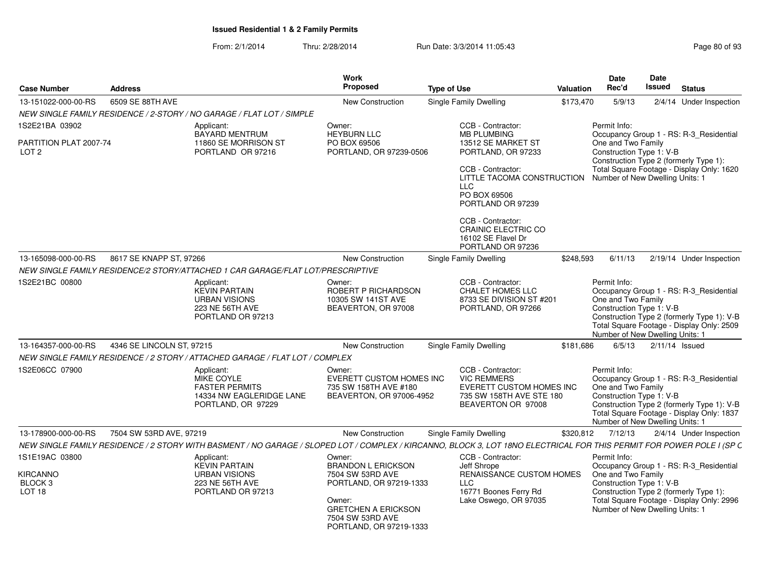| <b>Case Number</b>                         | <b>Address</b>            |                                                                                                                                                                       | Work<br><b>Proposed</b>                                                                                        | <b>Type of Use</b>                                                                                                                                                                                                                                | <b>Valuation</b> | <b>Date</b><br>Rec'd                                                                              | Date<br><b>Issued</b> | <b>Status</b>                                                                                                                      |
|--------------------------------------------|---------------------------|-----------------------------------------------------------------------------------------------------------------------------------------------------------------------|----------------------------------------------------------------------------------------------------------------|---------------------------------------------------------------------------------------------------------------------------------------------------------------------------------------------------------------------------------------------------|------------------|---------------------------------------------------------------------------------------------------|-----------------------|------------------------------------------------------------------------------------------------------------------------------------|
| 13-151022-000-00-RS                        | 6509 SE 88TH AVE          |                                                                                                                                                                       | <b>New Construction</b>                                                                                        | Single Family Dwelling                                                                                                                                                                                                                            | \$173,470        | 5/9/13                                                                                            |                       | 2/4/14 Under Inspection                                                                                                            |
|                                            |                           | NEW SINGLE FAMILY RESIDENCE / 2-STORY / NO GARAGE / FLAT LOT / SIMPLE                                                                                                 |                                                                                                                |                                                                                                                                                                                                                                                   |                  |                                                                                                   |                       |                                                                                                                                    |
| 1S2E21BA 03902                             |                           | Applicant:<br><b>BAYARD MENTRUM</b>                                                                                                                                   | Owner:<br><b>HEYBURN LLC</b>                                                                                   | CCB - Contractor:<br><b>MB PLUMBING</b>                                                                                                                                                                                                           |                  | Permit Info:                                                                                      |                       | Occupancy Group 1 - RS: R-3_Residential                                                                                            |
| PARTITION PLAT 2007-74<br>LOT <sub>2</sub> |                           | 11860 SE MORRISON ST<br>PORTLAND OR 97216                                                                                                                             | PO BOX 69506<br>PORTLAND, OR 97239-0506                                                                        | 13512 SE MARKET ST<br>PORTLAND, OR 97233<br>CCB - Contractor:<br>LITTLE TACOMA CONSTRUCTION Number of New Dwelling Units: 1<br>LLC.<br>PO BOX 69506<br>PORTLAND OR 97239<br>CCB - Contractor:<br><b>CRAINIC ELECTRIC CO</b><br>16102 SE Flavel Dr |                  | One and Two Family<br>Construction Type 1: V-B                                                    |                       | Construction Type 2 (formerly Type 1):<br>Total Square Footage - Display Only: 1620                                                |
|                                            |                           |                                                                                                                                                                       |                                                                                                                | PORTLAND OR 97236                                                                                                                                                                                                                                 |                  |                                                                                                   |                       |                                                                                                                                    |
| 13-165098-000-00-RS                        | 8617 SE KNAPP ST, 97266   |                                                                                                                                                                       | <b>New Construction</b>                                                                                        | Single Family Dwelling                                                                                                                                                                                                                            | \$248,593        | 6/11/13                                                                                           |                       | 2/19/14 Under Inspection                                                                                                           |
|                                            |                           | NEW SINGLE FAMILY RESIDENCE/2 STORY/ATTACHED 1 CAR GARAGE/FLAT LOT/PRESCRIPTIVE                                                                                       |                                                                                                                |                                                                                                                                                                                                                                                   |                  |                                                                                                   |                       |                                                                                                                                    |
| 1S2E21BC 00800                             |                           | Applicant:<br><b>KEVIN PARTAIN</b><br><b>URBAN VISIONS</b><br>223 NE 56TH AVE<br>PORTLAND OR 97213                                                                    | Owner:<br>ROBERT P RICHARDSON<br>10305 SW 141ST AVE<br>BEAVERTON, OR 97008                                     | CCB - Contractor:<br><b>CHALET HOMES LLC</b><br>8733 SE DIVISION ST #201<br>PORTLAND, OR 97266                                                                                                                                                    |                  | Permit Info:<br>One and Two Family<br>Construction Type 1: V-B<br>Number of New Dwelling Units: 1 |                       | Occupancy Group 1 - RS: R-3 Residential<br>Construction Type 2 (formerly Type 1): V-B<br>Total Square Footage - Display Only: 2509 |
| 13-164357-000-00-RS                        | 4346 SE LINCOLN ST, 97215 |                                                                                                                                                                       | <b>New Construction</b>                                                                                        | Single Family Dwelling                                                                                                                                                                                                                            | \$181,686        | 6/5/13                                                                                            |                       | $2/11/14$ Issued                                                                                                                   |
|                                            |                           | NEW SINGLE FAMILY RESIDENCE / 2 STORY / ATTACHED GARAGE / FLAT LOT / COMPLEX                                                                                          |                                                                                                                |                                                                                                                                                                                                                                                   |                  |                                                                                                   |                       |                                                                                                                                    |
| 1S2E06CC 07900                             |                           | Applicant:<br>MIKE COYLE<br><b>FASTER PERMITS</b><br>14334 NW EAGLERIDGE LANE<br>PORTLAND, OR 97229                                                                   | Owner:<br>EVERETT CUSTOM HOMES INC<br>735 SW 158TH AVE #180<br>BEAVERTON, OR 97006-4952                        | CCB - Contractor:<br><b>VIC REMMERS</b><br><b>EVERETT CUSTOM HOMES INC</b><br>735 SW 158TH AVE STE 180<br>BEAVERTON OR 97008                                                                                                                      |                  | Permit Info:<br>One and Two Family<br>Construction Type 1: V-B<br>Number of New Dwelling Units: 1 |                       | Occupancy Group 1 - RS: R-3_Residential<br>Construction Type 2 (formerly Type 1): V-B<br>Total Square Footage - Display Only: 1837 |
| 13-178900-000-00-RS                        | 7504 SW 53RD AVE, 97219   |                                                                                                                                                                       | <b>New Construction</b>                                                                                        | Single Family Dwelling                                                                                                                                                                                                                            | \$320,812        | 7/12/13                                                                                           |                       | 2/4/14 Under Inspection                                                                                                            |
|                                            |                           | NEW SINGLE FAMILY RESIDENCE / 2 STORY WITH BASMENT / NO GARAGE / SLOPED LOT / COMPLEX / KIRCANNO, BLOCK 3, LOT 18NO ELECTRICAL FOR THIS PERMIT FOR POWER POLE I (SP C |                                                                                                                |                                                                                                                                                                                                                                                   |                  |                                                                                                   |                       |                                                                                                                                    |
| 1S1E19AC 03800<br><b>KIRCANNO</b>          |                           | Applicant:<br><b>KEVIN PARTAIN</b><br><b>URBAN VISIONS</b>                                                                                                            | Owner:<br><b>BRANDON L ERICKSON</b><br>7504 SW 53RD AVE                                                        | CCB - Contractor:<br>Jeff Shrope<br><b>RENAISSANCE CUSTOM HOMES</b>                                                                                                                                                                               |                  | Permit Info:<br>One and Two Family                                                                |                       | Occupancy Group 1 - RS: R-3_Residential                                                                                            |
| BLOCK <sub>3</sub><br>LOT <sub>18</sub>    |                           | 223 NE 56TH AVE<br>PORTLAND OR 97213                                                                                                                                  | PORTLAND, OR 97219-1333<br>Owner:<br><b>GRETCHEN A ERICKSON</b><br>7504 SW 53RD AVE<br>PORTLAND, OR 97219-1333 | LLC<br>16771 Boones Ferry Rd<br>Lake Oswego, OR 97035                                                                                                                                                                                             |                  | Construction Type 1: V-B<br>Number of New Dwelling Units: 1                                       |                       | Construction Type 2 (formerly Type 1):<br>Total Square Footage - Display Only: 2996                                                |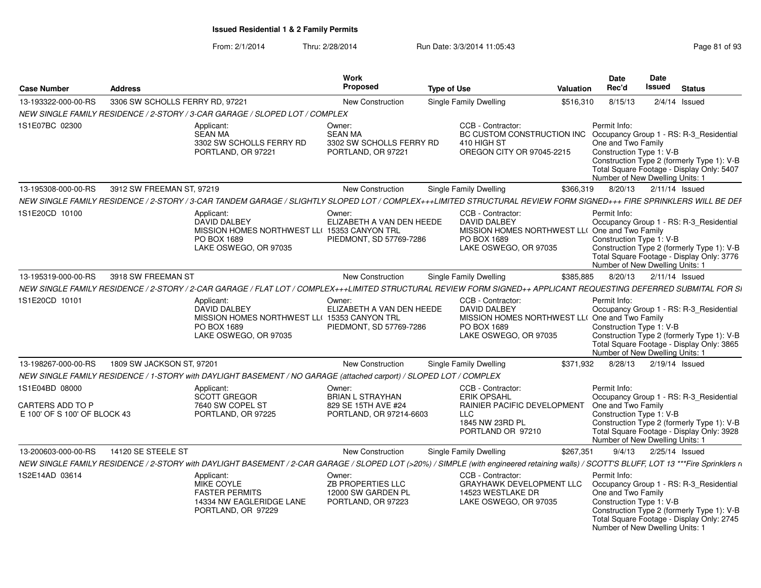| <b>Case Number</b>                                                 | <b>Address</b>                  |                                                                                                                                                                                         | <b>Work</b><br>Proposed                                                             | <b>Type of Use</b> |                                                                                                                                    | <b>Valuation</b> | Date<br>Rec'd                                                                                     | Date<br>Issued | <b>Status</b>                                                                                                                      |
|--------------------------------------------------------------------|---------------------------------|-----------------------------------------------------------------------------------------------------------------------------------------------------------------------------------------|-------------------------------------------------------------------------------------|--------------------|------------------------------------------------------------------------------------------------------------------------------------|------------------|---------------------------------------------------------------------------------------------------|----------------|------------------------------------------------------------------------------------------------------------------------------------|
| 13-193322-000-00-RS                                                | 3306 SW SCHOLLS FERRY RD, 97221 |                                                                                                                                                                                         | <b>New Construction</b>                                                             |                    | <b>Single Family Dwelling</b>                                                                                                      | \$516,310        | 8/15/13                                                                                           |                | $2/4/14$ Issued                                                                                                                    |
|                                                                    |                                 | NEW SINGLE FAMILY RESIDENCE / 2-STORY / 3-CAR GARAGE / SLOPED LOT / COMPLEX                                                                                                             |                                                                                     |                    |                                                                                                                                    |                  |                                                                                                   |                |                                                                                                                                    |
| 1S1E07BC 02300                                                     |                                 | Applicant:<br><b>SEAN MA</b><br>3302 SW SCHOLLS FERRY RD<br>PORTLAND, OR 97221                                                                                                          | Owner:<br><b>SEAN MA</b><br>3302 SW SCHOLLS FERRY RD<br>PORTLAND, OR 97221          |                    | CCB - Contractor:<br>BC CUSTOM CONSTRUCTION INC<br>410 HIGH ST<br>OREGON CITY OR 97045-2215                                        |                  | Permit Info:<br>One and Two Family<br>Construction Type 1: V-B<br>Number of New Dwelling Units: 1 |                | Occupancy Group 1 - RS: R-3 Residential<br>Construction Type 2 (formerly Type 1): V-B<br>Total Square Footage - Display Only: 5407 |
| 13-195308-000-00-RS                                                | 3912 SW FREEMAN ST, 97219       |                                                                                                                                                                                         | New Construction                                                                    |                    | <b>Single Family Dwelling</b>                                                                                                      | \$366,319        | 8/20/13                                                                                           |                | $2/11/14$ Issued                                                                                                                   |
|                                                                    |                                 | NEW SINGLE FAMILY RESIDENCE / 2-STORY / 3-CAR TANDEM GARAGE / SLIGHTLY SLOPED LOT / COMPLEX+++LIMITED STRUCTURAL REVIEW FORM SIGNED+++ FIRE SPRINKLERS WILL BE DEF                      |                                                                                     |                    |                                                                                                                                    |                  |                                                                                                   |                |                                                                                                                                    |
| 1S1E20CD 10100                                                     |                                 | Applicant:<br>DAVID DALBEY<br>MISSION HOMES NORTHWEST LL( 15353 CANYON TRL<br>PO BOX 1689<br>LAKE OSWEGO, OR 97035                                                                      | Owner:<br>ELIZABETH A VAN DEN HEEDE<br>PIEDMONT, SD 57769-7286                      |                    | CCB - Contractor:<br><b>DAVID DALBEY</b><br>MISSION HOMES NORTHWEST LL( One and Two Family<br>PO BOX 1689<br>LAKE OSWEGO, OR 97035 |                  | Permit Info:<br>Construction Type 1: V-B<br>Number of New Dwelling Units: 1                       |                | Occupancy Group 1 - RS: R-3_Residential<br>Construction Type 2 (formerly Type 1): V-B<br>Total Square Footage - Display Only: 3776 |
| 13-195319-000-00-RS                                                | 3918 SW FREEMAN ST              |                                                                                                                                                                                         | <b>New Construction</b>                                                             |                    | <b>Single Family Dwelling</b>                                                                                                      | \$385.885        | 8/20/13                                                                                           |                | $2/11/14$ Issued                                                                                                                   |
|                                                                    |                                 | NEW SINGLE FAMILY RESIDENCE / 2-STORY / 2-CAR GARAGE / FLAT LOT / COMPLEX+++LIMITED STRUCTURAL REVIEW FORM SIGNED++ APPLICANT REQUESTING DEFERRED SUBMITAL FOR SI                       |                                                                                     |                    |                                                                                                                                    |                  |                                                                                                   |                |                                                                                                                                    |
| 1S1E20CD 10101                                                     |                                 | Applicant:<br><b>DAVID DALBEY</b><br>MISSION HOMES NORTHWEST LL( 15353 CANYON TRL<br>PO BOX 1689<br>LAKE OSWEGO, OR 97035                                                               | Owner:<br>ELIZABETH A VAN DEN HEEDE<br>PIEDMONT, SD 57769-7286                      |                    | CCB - Contractor:<br><b>DAVID DALBEY</b><br>MISSION HOMES NORTHWEST LL( One and Two Family<br>PO BOX 1689<br>LAKE OSWEGO, OR 97035 |                  | Permit Info:<br>Construction Type 1: V-B<br>Number of New Dwelling Units: 1                       |                | Occupancy Group 1 - RS: R-3_Residential<br>Construction Type 2 (formerly Type 1): V-B<br>Total Square Footage - Display Only: 3865 |
| 13-198267-000-00-RS                                                | 1809 SW JACKSON ST, 97201       |                                                                                                                                                                                         | <b>New Construction</b>                                                             |                    | Single Family Dwelling                                                                                                             | \$371,932        | 8/28/13                                                                                           |                | $2/19/14$ Issued                                                                                                                   |
|                                                                    |                                 | NEW SINGLE FAMILY RESIDENCE / 1-STORY with DAYLIGHT BASEMENT / NO GARAGE (attached carport) / SLOPED LOT / COMPLEX                                                                      |                                                                                     |                    |                                                                                                                                    |                  |                                                                                                   |                |                                                                                                                                    |
| 1S1E04BD 08000<br>CARTERS ADD TO P<br>E 100' OF S 100' OF BLOCK 43 |                                 | Applicant:<br><b>SCOTT GREGOR</b><br>7640 SW COPEL ST<br>PORTLAND, OR 97225                                                                                                             | Owner:<br><b>BRIAN L STRAYHAN</b><br>829 SE 15TH AVE #24<br>PORTLAND, OR 97214-6603 |                    | CCB - Contractor:<br><b>ERIK OPSAHL</b><br>RAINIER PACIFIC DEVELOPMENT<br><b>LLC</b><br>1845 NW 23RD PL<br>PORTLAND OR 97210       |                  | Permit Info:<br>One and Two Family<br>Construction Type 1: V-B                                    |                | Occupancy Group 1 - RS: R-3 Residential<br>Construction Type 2 (formerly Type 1): V-B<br>Total Square Footage - Display Only: 3928 |
|                                                                    |                                 |                                                                                                                                                                                         |                                                                                     |                    |                                                                                                                                    |                  | Number of New Dwelling Units: 1                                                                   |                |                                                                                                                                    |
| 13-200603-000-00-RS                                                | 14120 SE STEELE ST              |                                                                                                                                                                                         | <b>New Construction</b>                                                             |                    | Single Family Dwelling                                                                                                             | \$267,351        | 9/4/13                                                                                            | 2/25/14 Issued |                                                                                                                                    |
|                                                                    |                                 | NEW SINGLE FAMILY RESIDENCE / 2-STORY with DAYLIGHT BASEMENT / 2-CAR GARAGE / SLOPED LOT (>20%) / SIMPLE (with engineered retaining walls) / SCOTT'S BLUFF, LOT 13 ***Fire Sprinklers n |                                                                                     |                    |                                                                                                                                    |                  |                                                                                                   |                |                                                                                                                                    |
| 1S2E14AD 03614                                                     |                                 | Applicant:<br><b>MIKE COYLE</b><br><b>FASTER PERMITS</b><br>14334 NW EAGLERIDGE LANE<br>PORTLAND, OR 97229                                                                              | Owner:<br>ZB PROPERTIES LLC<br>12000 SW GARDEN PL<br>PORTLAND, OR 97223             |                    | CCB - Contractor:<br>GRAYHAWK DEVELOPMENT LLC<br>14523 WESTLAKE DR<br>LAKE OSWEGO, OR 97035                                        |                  | Permit Info:<br>One and Two Family<br>Construction Type 1: V-B<br>Number of New Dwelling Units: 1 |                | Occupancy Group 1 - RS: R-3 Residential<br>Construction Type 2 (formerly Type 1): V-B<br>Total Square Footage - Display Only: 2745 |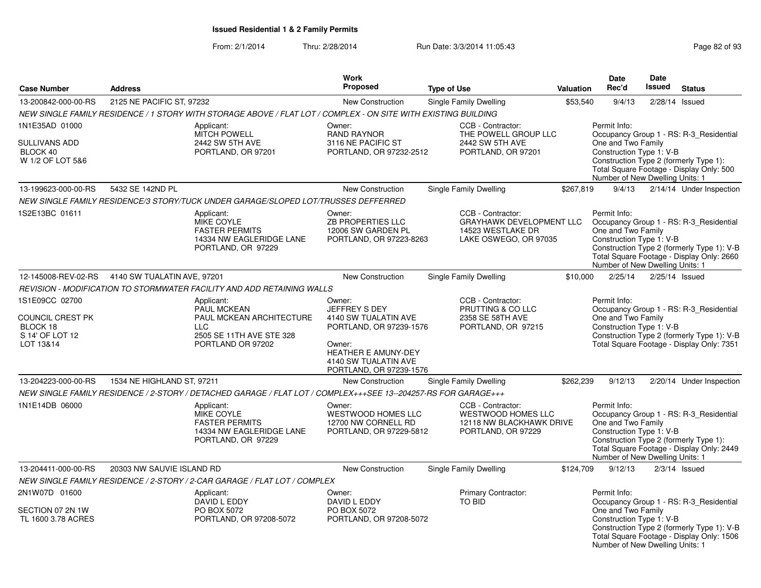|                                                                                |                             |                                                                                                                             | Work                                                                                                                                                           |                                                                                                    |           | Date                                                                                              | <b>Date</b> |                                                                                                                                    |
|--------------------------------------------------------------------------------|-----------------------------|-----------------------------------------------------------------------------------------------------------------------------|----------------------------------------------------------------------------------------------------------------------------------------------------------------|----------------------------------------------------------------------------------------------------|-----------|---------------------------------------------------------------------------------------------------|-------------|------------------------------------------------------------------------------------------------------------------------------------|
| <b>Case Number</b>                                                             | <b>Address</b>              |                                                                                                                             | <b>Proposed</b>                                                                                                                                                | <b>Type of Use</b>                                                                                 | Valuation | Rec'd                                                                                             | Issued      | <b>Status</b>                                                                                                                      |
| 13-200842-000-00-RS                                                            | 2125 NE PACIFIC ST, 97232   |                                                                                                                             | <b>New Construction</b>                                                                                                                                        | Single Family Dwelling                                                                             | \$53,540  | 9/4/13                                                                                            |             | 2/28/14 Issued                                                                                                                     |
|                                                                                |                             | NEW SINGLE FAMILY RESIDENCE / 1 STORY WITH STORAGE ABOVE / FLAT LOT / COMPLEX - ON SITE WITH EXISTING BUILDING              |                                                                                                                                                                |                                                                                                    |           |                                                                                                   |             |                                                                                                                                    |
| 1N1E35AD 01000<br><b>SULLIVANS ADD</b><br>BLOCK 40<br>W 1/2 OF LOT 5&6         |                             | Applicant:<br><b>MITCH POWELL</b><br>2442 SW 5TH AVE<br>PORTLAND, OR 97201                                                  | Owner:<br><b>RAND RAYNOR</b><br>3116 NE PACIFIC ST<br>PORTLAND, OR 97232-2512                                                                                  | CCB - Contractor:<br>THE POWELL GROUP LLC<br>2442 SW 5TH AVE<br>PORTLAND, OR 97201                 |           | Permit Info:<br>One and Two Family<br>Construction Type 1: V-B<br>Number of New Dwelling Units: 1 |             | Occupancy Group 1 - RS: R-3 Residential<br>Construction Type 2 (formerly Type 1):<br>Total Square Footage - Display Only: 500      |
| 13-199623-000-00-RS                                                            | 5432 SE 142ND PL            |                                                                                                                             | New Construction                                                                                                                                               | Single Family Dwelling                                                                             | \$267,819 | 9/4/13                                                                                            |             | 2/14/14 Under Inspection                                                                                                           |
|                                                                                |                             | NEW SINGLE FAMILY RESIDENCE/3 STORY/TUCK UNDER GARAGE/SLOPED LOT/TRUSSES DEFFERRED                                          |                                                                                                                                                                |                                                                                                    |           |                                                                                                   |             |                                                                                                                                    |
| 1S2E13BC 01611                                                                 |                             | Applicant:<br>MIKE COYLE<br><b>FASTER PERMITS</b><br>14334 NW EAGLERIDGE LANE<br>PORTLAND, OR 97229                         | Owner:<br>ZB PROPERTIES LLC<br>12006 SW GARDEN PL<br>PORTLAND, OR 97223-8263                                                                                   | CCB - Contractor:<br><b>GRAYHAWK DEVELOPMENT LLC</b><br>14523 WESTLAKE DR<br>LAKE OSWEGO, OR 97035 |           | Permit Info:<br>One and Two Family<br>Construction Type 1: V-B<br>Number of New Dwelling Units: 1 |             | Occupancy Group 1 - RS: R-3 Residential<br>Construction Type 2 (formerly Type 1): V-B<br>Total Square Footage - Display Only: 2660 |
| 12-145008-REV-02-RS                                                            | 4140 SW TUALATIN AVE, 97201 |                                                                                                                             | <b>New Construction</b>                                                                                                                                        | <b>Single Family Dwelling</b>                                                                      | \$10,000  | 2/25/14                                                                                           |             | 2/25/14 Issued                                                                                                                     |
|                                                                                |                             | REVISION - MODIFICATION TO STORMWATER FACILITY AND ADD RETAINING WALLS                                                      |                                                                                                                                                                |                                                                                                    |           |                                                                                                   |             |                                                                                                                                    |
| 1S1E09CC 02700<br>COUNCIL CREST PK<br>BLOCK 18<br>S 14' OF LOT 12<br>LOT 13&14 |                             | Applicant:<br><b>PAUL MCKEAN</b><br>PAUL MCKEAN ARCHITECTURE<br><b>LLC</b><br>2505 SE 11TH AVE STE 328<br>PORTLAND OR 97202 | Owner:<br>JEFFREY S DEY<br>4140 SW TUALATIN AVE<br>PORTLAND, OR 97239-1576<br>Owner:<br>HEATHER E AMUNY-DEY<br>4140 SW TUALATIN AVE<br>PORTLAND, OR 97239-1576 | CCB - Contractor:<br>PRUTTING & CO LLC<br>2358 SE 58TH AVE<br>PORTLAND, OR 97215                   |           | Permit Info:<br>One and Two Family<br>Construction Type 1: V-B                                    |             | Occupancy Group 1 - RS: R-3_Residential<br>Construction Type 2 (formerly Type 1): V-B<br>Total Square Footage - Display Only: 7351 |
| 13-204223-000-00-RS                                                            | 1534 NE HIGHLAND ST, 97211  |                                                                                                                             | <b>New Construction</b>                                                                                                                                        | Single Family Dwelling                                                                             | \$262,239 | 9/12/13                                                                                           |             | 2/20/14 Under Inspection                                                                                                           |
|                                                                                |                             | NEW SINGLE FAMILY RESIDENCE / 2-STORY / DETACHED GARAGE / FLAT LOT / COMPLEX+++SEE 13--204257-RS FOR GARAGE+++              |                                                                                                                                                                |                                                                                                    |           |                                                                                                   |             |                                                                                                                                    |
| 1N1E14DB 06000                                                                 |                             | Applicant:<br><b>MIKE COYLE</b><br><b>FASTER PERMITS</b><br>14334 NW EAGLERIDGE LANE<br>PORTLAND, OR 97229                  | Owner:<br>WESTWOOD HOMES LLC<br>12700 NW CORNELL RD<br>PORTLAND, OR 97229-5812                                                                                 | CCB - Contractor:<br>WESTWOOD HOMES LLC<br>12118 NW BLACKHAWK DRIVE<br>PORTLAND, OR 97229          |           | Permit Info:<br>One and Two Family<br>Construction Type 1: V-B<br>Number of New Dwelling Units: 1 |             | Occupancy Group 1 - RS: R-3_Residential<br>Construction Type 2 (formerly Type 1):<br>Total Square Footage - Display Only: 2449     |
| 13-204411-000-00-RS                                                            | 20303 NW SAUVIE ISLAND RD   |                                                                                                                             | <b>New Construction</b>                                                                                                                                        | Single Family Dwelling                                                                             | \$124,709 | 9/12/13                                                                                           |             | $2/3/14$ Issued                                                                                                                    |
|                                                                                |                             | NEW SINGLE FAMILY RESIDENCE / 2-STORY / 2-CAR GARAGE / FLAT LOT / COMPLEX                                                   |                                                                                                                                                                |                                                                                                    |           |                                                                                                   |             |                                                                                                                                    |
| 2N1W07D 01600<br>SECTION 07 2N 1W<br>TL 1600 3.78 ACRES                        |                             | Applicant:<br>DAVID L EDDY<br>PO BOX 5072<br>PORTLAND, OR 97208-5072                                                        | Owner:<br>DAVID L EDDY<br>PO BOX 5072<br>PORTLAND, OR 97208-5072                                                                                               | Primary Contractor:<br>TO BID                                                                      |           | Permit Info:<br>One and Two Family<br>Construction Type 1: V-B<br>Number of New Dwelling Units: 1 |             | Occupancy Group 1 - RS: R-3_Residential<br>Construction Type 2 (formerly Type 1): V-B<br>Total Square Footage - Display Only: 1506 |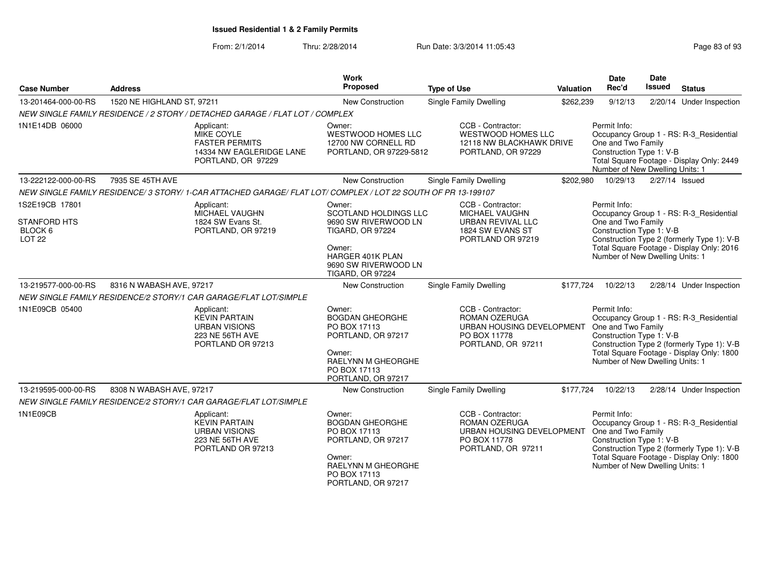| <b>Case Number</b>                                          | <b>Address</b>             |                                                                                                             | <b>Work</b><br>Proposed                                                                                                                      | <b>Type of Use</b>                                                                                    | Valuation | Date<br>Rec'd                                                                                     | <b>Date</b><br><b>Issued</b> | <b>Status</b>                                                                                                                      |
|-------------------------------------------------------------|----------------------------|-------------------------------------------------------------------------------------------------------------|----------------------------------------------------------------------------------------------------------------------------------------------|-------------------------------------------------------------------------------------------------------|-----------|---------------------------------------------------------------------------------------------------|------------------------------|------------------------------------------------------------------------------------------------------------------------------------|
| 13-201464-000-00-RS                                         | 1520 NE HIGHLAND ST, 97211 |                                                                                                             | New Construction                                                                                                                             | Single Family Dwelling                                                                                | \$262,239 | 9/12/13                                                                                           |                              | 2/20/14 Under Inspection                                                                                                           |
|                                                             |                            | NEW SINGLE FAMILY RESIDENCE / 2 STORY / DETACHED GARAGE / FLAT LOT / COMPLEX                                |                                                                                                                                              |                                                                                                       |           |                                                                                                   |                              |                                                                                                                                    |
| 1N1E14DB 06000                                              |                            | Applicant:<br>MIKE COYLE<br><b>FASTER PERMITS</b><br>14334 NW EAGLERIDGE LANE<br>PORTLAND, OR 97229         | Owner:<br><b>WESTWOOD HOMES LLC</b><br>12700 NW CORNELL RD<br>PORTLAND, OR 97229-5812                                                        | CCB - Contractor:<br><b>WESTWOOD HOMES LLC</b><br>12118 NW BLACKHAWK DRIVE<br>PORTLAND, OR 97229      |           | Permit Info:<br>One and Two Family<br>Construction Type 1: V-B<br>Number of New Dwelling Units: 1 |                              | Occupancy Group 1 - RS: R-3_Residential<br>Total Square Footage - Display Only: 2449                                               |
| 13-222122-000-00-RS                                         | 7935 SE 45TH AVE           |                                                                                                             | New Construction                                                                                                                             | Single Family Dwelling                                                                                | \$202,980 | 10/29/13                                                                                          | 2/27/14 Issued               |                                                                                                                                    |
|                                                             |                            | NEW SINGLE FAMILY RESIDENCE/3 STORY/1-CAR ATTACHED GARAGE/ FLAT LOT/ COMPLEX / LOT 22 SOUTH OF PR 13-199107 |                                                                                                                                              |                                                                                                       |           |                                                                                                   |                              |                                                                                                                                    |
| 1S2E19CB 17801<br><b>STANFORD HTS</b><br>BLOCK <sub>6</sub> |                            | Applicant:<br>MICHAEL VAUGHN<br>1824 SW Evans St.<br>PORTLAND, OR 97219                                     | Owner:<br>SCOTLAND HOLDINGS LLC<br>9690 SW RIVERWOOD LN<br><b>TIGARD, OR 97224</b>                                                           | CCB - Contractor:<br>MICHAEL VAUGHN<br>URBAN REVIVAL LLC<br>1824 SW EVANS ST                          |           | Permit Info:<br>One and Two Family<br>Construction Type 1: V-B                                    |                              | Occupancy Group 1 - RS: R-3_Residential                                                                                            |
| <b>LOT 22</b>                                               |                            |                                                                                                             | Owner:<br>HARGER 401K PLAN<br>9690 SW RIVERWOOD LN<br><b>TIGARD, OR 97224</b>                                                                | PORTLAND OR 97219                                                                                     |           | Number of New Dwelling Units: 1                                                                   |                              | Construction Type 2 (formerly Type 1): V-B<br>Total Square Footage - Display Only: 2016                                            |
| 13-219577-000-00-RS                                         | 8316 N WABASH AVE, 97217   |                                                                                                             | New Construction                                                                                                                             | <b>Single Family Dwelling</b>                                                                         | \$177,724 | 10/22/13                                                                                          |                              | 2/28/14 Under Inspection                                                                                                           |
|                                                             |                            | NEW SINGLE FAMILY RESIDENCE/2 STORY/1 CAR GARAGE/FLAT LOT/SIMPLE                                            |                                                                                                                                              |                                                                                                       |           |                                                                                                   |                              |                                                                                                                                    |
| 1N1E09CB 05400                                              |                            | Applicant:<br><b>KEVIN PARTAIN</b><br><b>URBAN VISIONS</b><br>223 NE 56TH AVE<br>PORTLAND OR 97213          | Owner:<br><b>BOGDAN GHEORGHE</b><br>PO BOX 17113<br>PORTLAND, OR 97217<br>Owner:<br>RAELYNN M GHEORGHE<br>PO BOX 17113<br>PORTLAND, OR 97217 | CCB - Contractor:<br>ROMAN OZERUGA<br>URBAN HOUSING DEVELOPMENT<br>PO BOX 11778<br>PORTLAND, OR 97211 |           | Permit Info:<br>One and Two Family<br>Construction Type 1: V-B<br>Number of New Dwelling Units: 1 |                              | Occupancy Group 1 - RS: R-3_Residential<br>Construction Type 2 (formerly Type 1): V-B<br>Total Square Footage - Display Only: 1800 |
| 13-219595-000-00-RS                                         | 8308 N WABASH AVE, 97217   |                                                                                                             | New Construction                                                                                                                             | <b>Single Family Dwelling</b>                                                                         | \$177,724 | 10/22/13                                                                                          |                              | 2/28/14 Under Inspection                                                                                                           |
|                                                             |                            | NEW SINGLE FAMILY RESIDENCE/2 STORY/1 CAR GARAGE/FLAT LOT/SIMPLE                                            |                                                                                                                                              |                                                                                                       |           |                                                                                                   |                              |                                                                                                                                    |
| 1N1E09CB                                                    |                            | Applicant:<br><b>KEVIN PARTAIN</b><br><b>URBAN VISIONS</b><br>223 NE 56TH AVE<br>PORTLAND OR 97213          | Owner:<br><b>BOGDAN GHEORGHE</b><br>PO BOX 17113<br>PORTLAND, OR 97217<br>Owner:<br>RAELYNN M GHEORGHE<br>PO BOX 17113<br>PORTLAND, OR 97217 | CCB - Contractor:<br>ROMAN OZERUGA<br>URBAN HOUSING DEVELOPMENT<br>PO BOX 11778<br>PORTLAND, OR 97211 |           | Permit Info:<br>One and Two Family<br>Construction Type 1: V-B<br>Number of New Dwelling Units: 1 |                              | Occupancy Group 1 - RS: R-3_Residential<br>Construction Type 2 (formerly Type 1): V-B<br>Total Square Footage - Display Only: 1800 |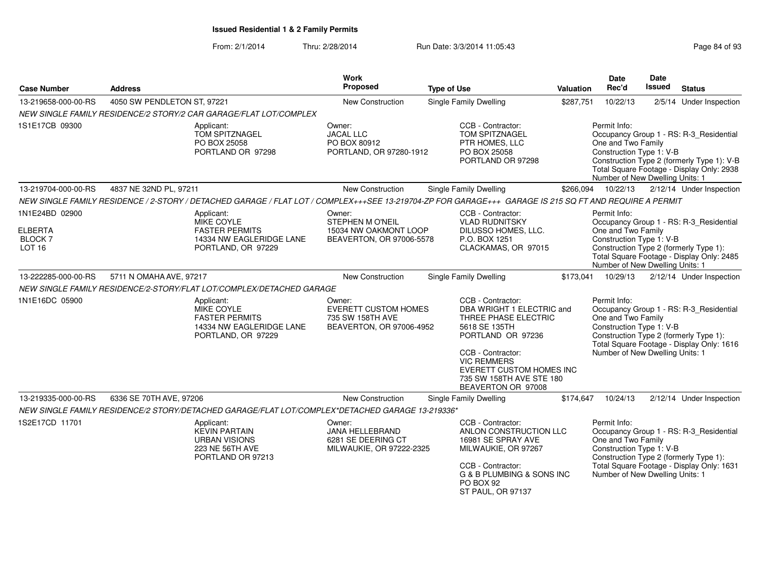| Work<br>Proposed<br><b>Case Number</b><br><b>Address</b>                                             |                                                                                              |                                                                                                                                                        | <b>Type of Use</b>                                                                    | Valuation                                                                                                                                                                                                                             | <b>Date</b><br>Rec'd                                                                                                                                                                                                | Date<br><b>Issued</b>                                                                                                                                                                             | <b>Status</b> |                                                                                                                                |
|------------------------------------------------------------------------------------------------------|----------------------------------------------------------------------------------------------|--------------------------------------------------------------------------------------------------------------------------------------------------------|---------------------------------------------------------------------------------------|---------------------------------------------------------------------------------------------------------------------------------------------------------------------------------------------------------------------------------------|---------------------------------------------------------------------------------------------------------------------------------------------------------------------------------------------------------------------|---------------------------------------------------------------------------------------------------------------------------------------------------------------------------------------------------|---------------|--------------------------------------------------------------------------------------------------------------------------------|
| 13-219658-000-00-RS                                                                                  | 4050 SW PENDLETON ST, 97221                                                                  |                                                                                                                                                        | New Construction                                                                      | <b>Single Family Dwelling</b>                                                                                                                                                                                                         | \$287,751                                                                                                                                                                                                           | 10/22/13                                                                                                                                                                                          |               | 2/5/14 Under Inspection                                                                                                        |
|                                                                                                      |                                                                                              | NEW SINGLE FAMILY RESIDENCE/2 STORY/2 CAR GARAGE/FLAT LOT/COMPLEX                                                                                      |                                                                                       |                                                                                                                                                                                                                                       |                                                                                                                                                                                                                     |                                                                                                                                                                                                   |               |                                                                                                                                |
| 1S1E17CB 09300<br>Applicant:<br>TOM SPITZNAGEL<br>PO BOX 25058<br>PORTLAND OR 97298                  |                                                                                              |                                                                                                                                                        | Owner:<br><b>JACAL LLC</b><br>PO BOX 80912<br>PORTLAND, OR 97280-1912                 | CCB - Contractor:<br>TOM SPITZNAGEL<br>PTR HOMES, LLC<br>PO BOX 25058<br>PORTLAND OR 97298                                                                                                                                            |                                                                                                                                                                                                                     | Occupancy Group 1 - RS: R-3_Residential<br>Construction Type 1: V-B<br>Construction Type 2 (formerly Type 1): V-B<br>Total Square Footage - Display Only: 2938<br>Number of New Dwelling Units: 1 |               |                                                                                                                                |
| 13-219704-000-00-RS                                                                                  | 4837 NE 32ND PL, 97211                                                                       |                                                                                                                                                        | <b>New Construction</b>                                                               | <b>Single Family Dwelling</b>                                                                                                                                                                                                         | \$266,094                                                                                                                                                                                                           | 10/22/13                                                                                                                                                                                          |               | 2/12/14 Under Inspection                                                                                                       |
|                                                                                                      |                                                                                              | NEW SINGLE FAMILY RESIDENCE / 2-STORY / DETACHED GARAGE / FLAT LOT / COMPLEX+++SEE 13-219704-ZP FOR GARAGE+++ GARAGE IS 215 SQ FT AND REQUIRE A PERMIT |                                                                                       |                                                                                                                                                                                                                                       |                                                                                                                                                                                                                     |                                                                                                                                                                                                   |               |                                                                                                                                |
| 1N1E24BD 02900                                                                                       |                                                                                              | Applicant:                                                                                                                                             | Owner:                                                                                | CCB - Contractor:                                                                                                                                                                                                                     |                                                                                                                                                                                                                     | Permit Info:                                                                                                                                                                                      |               |                                                                                                                                |
| <b>ELBERTA</b><br><b>BLOCK7</b><br>LOT <sub>16</sub>                                                 | <b>MIKE COYLE</b><br><b>FASTER PERMITS</b><br>14334 NW EAGLERIDGE LANE<br>PORTLAND, OR 97229 |                                                                                                                                                        | <b>STEPHEN M O'NEIL</b><br>15034 NW OAKMONT LOOP<br>BEAVERTON, OR 97006-5578          | <b>VLAD RUDNITSKY</b><br>DILUSSO HOMES, LLC.<br>P.O. BOX 1251<br>CLACKAMAS, OR 97015                                                                                                                                                  | Occupancy Group 1 - RS: R-3_Residential<br>One and Two Family<br>Construction Type 1: V-B<br>Construction Type 2 (formerly Type 1):<br>Total Square Footage - Display Only: 2485<br>Number of New Dwelling Units: 1 |                                                                                                                                                                                                   |               |                                                                                                                                |
| 13-222285-000-00-RS                                                                                  | 5711 N OMAHA AVE, 97217                                                                      |                                                                                                                                                        | New Construction                                                                      | Single Family Dwelling                                                                                                                                                                                                                | \$173,041                                                                                                                                                                                                           | 10/29/13                                                                                                                                                                                          |               | 2/12/14 Under Inspection                                                                                                       |
|                                                                                                      |                                                                                              |                                                                                                                                                        |                                                                                       |                                                                                                                                                                                                                                       |                                                                                                                                                                                                                     |                                                                                                                                                                                                   |               |                                                                                                                                |
| NEW SINGLE FAMILY RESIDENCE/2-STORY/FLAT LOT/COMPLEX/DETACHED GARAGE<br>1N1E16DC 05900<br>Applicant: |                                                                                              | <b>MIKE COYLE</b><br><b>FASTER PERMITS</b><br>14334 NW EAGLERIDGE LANE<br>PORTLAND, OR 97229                                                           | Owner:<br><b>EVERETT CUSTOM HOMES</b><br>735 SW 158TH AVE<br>BEAVERTON, OR 97006-4952 | CCB - Contractor:<br>DBA WRIGHT 1 ELECTRIC and<br>THREE PHASE ELECTRIC<br>5618 SE 135TH<br>PORTLAND OR 97236<br>CCB - Contractor:<br><b>VIC REMMERS</b><br>EVERETT CUSTOM HOMES INC<br>735 SW 158TH AVE STE 180<br>BEAVERTON OR 97008 |                                                                                                                                                                                                                     | Permit Info:<br>One and Two Family<br>Construction Type 1: V-B<br>Number of New Dwelling Units: 1                                                                                                 |               | Occupancy Group 1 - RS: R-3_Residential<br>Construction Type 2 (formerly Type 1):<br>Total Square Footage - Display Only: 1616 |
| 13-219335-000-00-RS                                                                                  | 6336 SE 70TH AVE, 97206                                                                      |                                                                                                                                                        | <b>New Construction</b>                                                               | Single Family Dwelling                                                                                                                                                                                                                | \$174,647                                                                                                                                                                                                           | 10/24/13                                                                                                                                                                                          |               | 2/12/14 Under Inspection                                                                                                       |
|                                                                                                      |                                                                                              | NEW SINGLE FAMILY RESIDENCE/2 STORY/DETACHED GARAGE/FLAT LOT/COMPLEX*DETACHED GARAGE 13-219336*                                                        |                                                                                       |                                                                                                                                                                                                                                       |                                                                                                                                                                                                                     |                                                                                                                                                                                                   |               |                                                                                                                                |
| 1S2E17CD 11701                                                                                       |                                                                                              | Applicant:<br><b>KEVIN PARTAIN</b><br><b>URBAN VISIONS</b><br>223 NE 56TH AVE<br>PORTLAND OR 97213                                                     | Owner:<br>JANA HELLEBRAND<br>6281 SE DEERING CT<br>MILWAUKIE, OR 97222-2325           | CCB - Contractor:<br>ANLON CONSTRUCTION LLC<br>16981 SE SPRAY AVE<br>MILWAUKIE, OR 97267<br>CCB - Contractor:<br>G & B PLUMBING & SONS INC<br>PO BOX 92<br>ST PAUL, OR 97137                                                          |                                                                                                                                                                                                                     | Permit Info:<br>One and Two Family<br>Construction Type 1: V-B<br>Number of New Dwelling Units: 1                                                                                                 |               | Occupancy Group 1 - RS: R-3_Residential<br>Construction Type 2 (formerly Type 1):<br>Total Square Footage - Display Only: 1631 |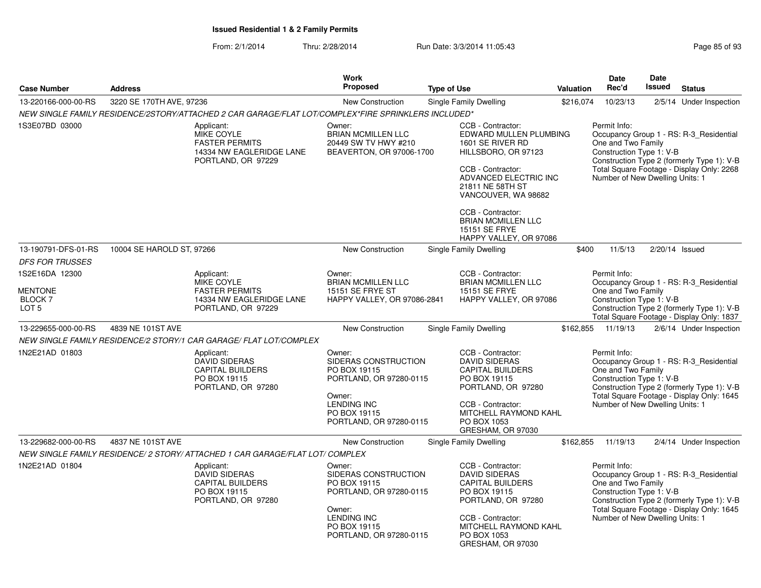| Page 85 of 93 |  |  |  |
|---------------|--|--|--|
|---------------|--|--|--|

| <b>Case Number</b>                                                     | <b>Address</b>            | <b>Work</b><br><b>Proposed</b><br><b>Type of Use</b>                                                       |                                                                                                                                                      | Valuation                                                                                                                                                                                                                                                             | <b>Date</b><br>Rec'd | <b>Date</b><br><b>Issued</b>                                                                      | <b>Status</b>  |                                                                                                                                    |
|------------------------------------------------------------------------|---------------------------|------------------------------------------------------------------------------------------------------------|------------------------------------------------------------------------------------------------------------------------------------------------------|-----------------------------------------------------------------------------------------------------------------------------------------------------------------------------------------------------------------------------------------------------------------------|----------------------|---------------------------------------------------------------------------------------------------|----------------|------------------------------------------------------------------------------------------------------------------------------------|
| 13-220166-000-00-RS                                                    | 3220 SE 170TH AVE, 97236  |                                                                                                            | New Construction                                                                                                                                     | Single Family Dwelling                                                                                                                                                                                                                                                | \$216,074            | 10/23/13                                                                                          |                | 2/5/14 Under Inspection                                                                                                            |
|                                                                        |                           | NEW SINGLE FAMILY RESIDENCE/2STORY/ATTACHED 2 CAR GARAGE/FLAT LOT/COMPLEX*FIRE SPRINKLERS INCLUDED*        |                                                                                                                                                      |                                                                                                                                                                                                                                                                       |                      |                                                                                                   |                |                                                                                                                                    |
| 1S3E07BD 03000                                                         |                           | Applicant:<br>MIKE COYLE<br><b>FASTER PERMITS</b><br>14334 NW EAGLERIDGE LANE<br>PORTLAND, OR 97229        | Owner:<br><b>BRIAN MCMILLEN LLC</b><br>20449 SW TV HWY #210<br>BEAVERTON, OR 97006-1700                                                              | CCB - Contractor:<br>EDWARD MULLEN PLUMBING<br>1601 SE RIVER RD<br>HILLSBORO, OR 97123<br>CCB - Contractor:<br>ADVANCED ELECTRIC INC<br>21811 NE 58TH ST<br>VANCOUVER, WA 98682<br>CCB - Contractor:<br>BRIAN MCMILLEN LLC<br>15151 SE FRYE<br>HAPPY VALLEY, OR 97086 |                      | Permit Info:<br>One and Two Family<br>Construction Type 1: V-B<br>Number of New Dwelling Units: 1 |                | Occupancy Group 1 - RS: R-3 Residential<br>Construction Type 2 (formerly Type 1): V-B<br>Total Square Footage - Display Only: 2268 |
| 13-190791-DFS-01-RS                                                    | 10004 SE HAROLD ST, 97266 |                                                                                                            | New Construction                                                                                                                                     | Single Family Dwelling                                                                                                                                                                                                                                                | \$400                | 11/5/13                                                                                           | 2/20/14 Issued |                                                                                                                                    |
| <b>DFS FOR TRUSSES</b>                                                 |                           |                                                                                                            |                                                                                                                                                      |                                                                                                                                                                                                                                                                       |                      |                                                                                                   |                |                                                                                                                                    |
| 1S2E16DA 12300<br><b>MENTONE</b><br><b>BLOCK 7</b><br>LOT <sub>5</sub> |                           | Applicant:<br><b>MIKE COYLE</b><br><b>FASTER PERMITS</b><br>14334 NW EAGLERIDGE LANE<br>PORTLAND, OR 97229 | Owner:<br><b>BRIAN MCMILLEN LLC</b><br>15151 SE FRYE ST<br>HAPPY VALLEY, OR 97086-2841                                                               | CCB - Contractor:<br><b>BRIAN MCMILLEN LLC</b><br>15151 SE FRYE<br>HAPPY VALLEY, OR 97086                                                                                                                                                                             |                      | Permit Info:<br>One and Two Family<br>Construction Type 1: V-B                                    |                | Occupancy Group 1 - RS: R-3_Residential<br>Construction Type 2 (formerly Type 1): V-B<br>Total Square Footage - Display Only: 1837 |
| 13-229655-000-00-RS                                                    | 4839 NE 101ST AVE         |                                                                                                            | <b>New Construction</b>                                                                                                                              | <b>Single Family Dwelling</b>                                                                                                                                                                                                                                         | \$162,855            | 11/19/13                                                                                          |                | 2/6/14 Under Inspection                                                                                                            |
|                                                                        |                           | NEW SINGLE FAMILY RESIDENCE/2 STORY/1 CAR GARAGE/ FLAT LOT/COMPLEX                                         |                                                                                                                                                      |                                                                                                                                                                                                                                                                       |                      |                                                                                                   |                |                                                                                                                                    |
| 1N2E21AD 01803                                                         |                           | Applicant:<br><b>DAVID SIDERAS</b><br><b>CAPITAL BUILDERS</b><br>PO BOX 19115<br>PORTLAND, OR 97280        | Owner:<br>SIDERAS CONSTRUCTION<br>PO BOX 19115<br>PORTLAND, OR 97280-0115<br>Owner:<br><b>LENDING INC</b><br>PO BOX 19115<br>PORTLAND, OR 97280-0115 | CCB - Contractor:<br><b>DAVID SIDERAS</b><br><b>CAPITAL BUILDERS</b><br>PO BOX 19115<br>PORTLAND, OR 97280<br>CCB - Contractor:<br>MITCHELL RAYMOND KAHL<br>PO BOX 1053<br>GRESHAM, OR 97030                                                                          |                      | Permit Info:<br>One and Two Family<br>Construction Type 1: V-B<br>Number of New Dwelling Units: 1 |                | Occupancy Group 1 - RS: R-3_Residential<br>Construction Type 2 (formerly Type 1): V-B<br>Total Square Footage - Display Only: 1645 |
| 13-229682-000-00-RS                                                    | 4837 NE 101ST AVE         |                                                                                                            | New Construction                                                                                                                                     | Single Family Dwelling                                                                                                                                                                                                                                                | \$162,855            | 11/19/13                                                                                          |                | 2/4/14 Under Inspection                                                                                                            |
|                                                                        |                           | NEW SINGLE FAMILY RESIDENCE/ 2 STORY/ ATTACHED 1 CAR GARAGE/FLAT LOT/ COMPLEX                              |                                                                                                                                                      |                                                                                                                                                                                                                                                                       |                      |                                                                                                   |                |                                                                                                                                    |
| 1N2E21AD 01804                                                         |                           | Applicant:<br><b>DAVID SIDERAS</b><br><b>CAPITAL BUILDERS</b><br>PO BOX 19115<br>PORTLAND, OR 97280        | Owner:<br>SIDERAS CONSTRUCTION<br>PO BOX 19115<br>PORTLAND, OR 97280-0115<br>Owner:<br><b>LENDING INC</b><br>PO BOX 19115<br>PORTLAND, OR 97280-0115 | CCB - Contractor:<br><b>DAVID SIDERAS</b><br><b>CAPITAL BUILDERS</b><br>PO BOX 19115<br>PORTLAND, OR 97280<br>CCB - Contractor:<br>MITCHELL RAYMOND KAHL<br>PO BOX 1053<br>GRESHAM, OR 97030                                                                          |                      | Permit Info:<br>One and Two Family<br>Construction Type 1: V-B<br>Number of New Dwelling Units: 1 |                | Occupancy Group 1 - RS: R-3_Residential<br>Construction Type 2 (formerly Type 1): V-B<br>Total Square Footage - Display Only: 1645 |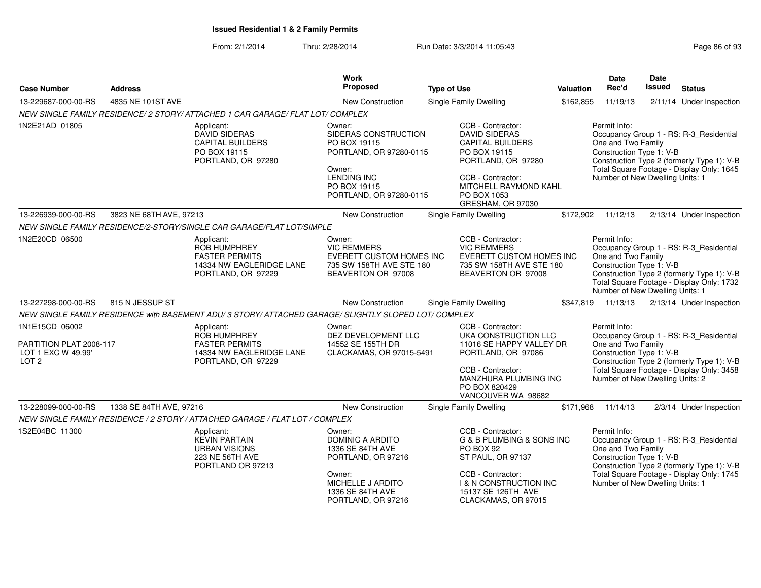| <b>Address</b><br><b>Case Number</b>                                                |                         | <b>Work</b><br>Proposed                                                                                      | <b>Type of Use</b>                                                                                                                                   | Valuation                                                                                                                                                                                    | Date<br>Rec'd | Date<br>Issued                                                                                    | <b>Status</b> |                                                                                                                                    |
|-------------------------------------------------------------------------------------|-------------------------|--------------------------------------------------------------------------------------------------------------|------------------------------------------------------------------------------------------------------------------------------------------------------|----------------------------------------------------------------------------------------------------------------------------------------------------------------------------------------------|---------------|---------------------------------------------------------------------------------------------------|---------------|------------------------------------------------------------------------------------------------------------------------------------|
| 13-229687-000-00-RS                                                                 | 4835 NE 101ST AVE       |                                                                                                              | New Construction                                                                                                                                     | <b>Single Family Dwelling</b>                                                                                                                                                                | \$162,855     | 11/19/13                                                                                          |               | 2/11/14 Under Inspection                                                                                                           |
|                                                                                     |                         | NEW SINGLE FAMILY RESIDENCE/ 2 STORY/ ATTACHED 1 CAR GARAGE/ FLAT LOT/ COMPLEX                               |                                                                                                                                                      |                                                                                                                                                                                              |               |                                                                                                   |               |                                                                                                                                    |
| 1N2E21AD 01805                                                                      |                         | Applicant:<br><b>DAVID SIDERAS</b><br><b>CAPITAL BUILDERS</b><br>PO BOX 19115<br>PORTLAND, OR 97280          | Owner:<br>SIDERAS CONSTRUCTION<br>PO BOX 19115<br>PORTLAND, OR 97280-0115<br>Owner:<br><b>LENDING INC</b><br>PO BOX 19115<br>PORTLAND, OR 97280-0115 | CCB - Contractor:<br><b>DAVID SIDERAS</b><br><b>CAPITAL BUILDERS</b><br>PO BOX 19115<br>PORTLAND, OR 97280<br>CCB - Contractor:<br>MITCHELL RAYMOND KAHL<br>PO BOX 1053<br>GRESHAM, OR 97030 |               | Permit Info:<br>One and Two Family<br>Construction Type 1: V-B<br>Number of New Dwelling Units: 1 |               | Occupancy Group 1 - RS: R-3_Residential<br>Construction Type 2 (formerly Type 1): V-B<br>Total Square Footage - Display Only: 1645 |
| 13-226939-000-00-RS                                                                 | 3823 NE 68TH AVE, 97213 |                                                                                                              | New Construction                                                                                                                                     | Single Family Dwelling                                                                                                                                                                       | \$172,902     | 11/12/13                                                                                          |               | 2/13/14 Under Inspection                                                                                                           |
|                                                                                     |                         | NEW SINGLE FAMILY RESIDENCE/2-STORY/SINGLE CAR GARAGE/FLAT LOT/SIMPLE                                        |                                                                                                                                                      |                                                                                                                                                                                              |               |                                                                                                   |               |                                                                                                                                    |
| 1N2E20CD 06500                                                                      |                         | Applicant:<br><b>ROB HUMPHREY</b><br><b>FASTER PERMITS</b><br>14334 NW EAGLERIDGE LANE<br>PORTLAND, OR 97229 | Owner:<br><b>VIC REMMERS</b><br><b>EVERETT CUSTOM HOMES INC</b><br>735 SW 158TH AVE STE 180<br>BEAVERTON OR 97008                                    | CCB - Contractor:<br><b>VIC REMMERS</b><br>EVERETT CUSTOM HOMES INC<br>735 SW 158TH AVE STE 180<br>BEAVERTON OR 97008                                                                        |               | Permit Info:<br>One and Two Family<br>Construction Type 1: V-B<br>Number of New Dwelling Units: 1 |               | Occupancy Group 1 - RS: R-3_Residential<br>Construction Type 2 (formerly Type 1): V-B<br>Total Square Footage - Display Only: 1732 |
| 13-227298-000-00-RS                                                                 | 815 N JESSUP ST         |                                                                                                              | New Construction                                                                                                                                     | Single Family Dwelling                                                                                                                                                                       | \$347,819     | 11/13/13                                                                                          |               | 2/13/14 Under Inspection                                                                                                           |
|                                                                                     |                         | NEW SINGLE FAMILY RESIDENCE with BASEMENT ADU/ 3 STORY/ ATTACHED GARAGE/ SLIGHTLY SLOPED LOT/ COMPLEX        |                                                                                                                                                      |                                                                                                                                                                                              |               |                                                                                                   |               |                                                                                                                                    |
| 1N1E15CD 06002<br>PARTITION PLAT 2008-117<br>LOT 1 EXC W 49.99'<br>LOT <sub>2</sub> |                         | Applicant:<br>ROB HUMPHREY<br><b>FASTER PERMITS</b><br>14334 NW EAGLERIDGE LANE<br>PORTLAND, OR 97229        | Owner:<br>DEZ DEVELOPMENT LLC<br>14552 SE 155TH DR<br>CLACKAMAS, OR 97015-5491                                                                       | CCB - Contractor:<br>UKA CONSTRUCTION LLC<br>11016 SE HAPPY VALLEY DR<br>PORTLAND, OR 97086<br>CCB - Contractor:<br>MANZHURA PLUMBING INC<br>PO BOX 820429<br>VANCOUVER WA 98682             |               | Permit Info:<br>One and Two Family<br>Construction Type 1: V-B<br>Number of New Dwelling Units: 2 |               | Occupancy Group 1 - RS: R-3_Residential<br>Construction Type 2 (formerly Type 1): V-B<br>Total Square Footage - Display Only: 3458 |
| 13-228099-000-00-RS                                                                 | 1338 SE 84TH AVE, 97216 |                                                                                                              | New Construction                                                                                                                                     | Single Family Dwelling                                                                                                                                                                       | \$171,968     | 11/14/13                                                                                          |               | 2/3/14 Under Inspection                                                                                                            |
|                                                                                     |                         | NEW SINGLE FAMILY RESIDENCE / 2 STORY / ATTACHED GARAGE / FLAT LOT / COMPLEX                                 |                                                                                                                                                      |                                                                                                                                                                                              |               |                                                                                                   |               |                                                                                                                                    |
| 1S2E04BC 11300                                                                      |                         | Applicant:<br><b>KEVIN PARTAIN</b><br><b>URBAN VISIONS</b><br><b>223 NE 56TH AVE</b><br>PORTLAND OR 97213    | Owner:<br><b>DOMINIC A ARDITO</b><br>1336 SE 84TH AVE<br>PORTLAND, OR 97216<br>Owner:<br>MICHELLE J ARDITO<br>1336 SE 84TH AVE<br>PORTLAND, OR 97216 | CCB - Contractor:<br>G & B PLUMBING & SONS INC<br>PO BOX 92<br>ST PAUL, OR 97137<br>CCB - Contractor:<br><b>I &amp; N CONSTRUCTION INC</b><br>15137 SE 126TH AVE<br>CLACKAMAS, OR 97015      |               | Permit Info:<br>One and Two Family<br>Construction Type 1: V-B<br>Number of New Dwelling Units: 1 |               | Occupancy Group 1 - RS: R-3_Residential<br>Construction Type 2 (formerly Type 1): V-B<br>Total Square Footage - Display Only: 1745 |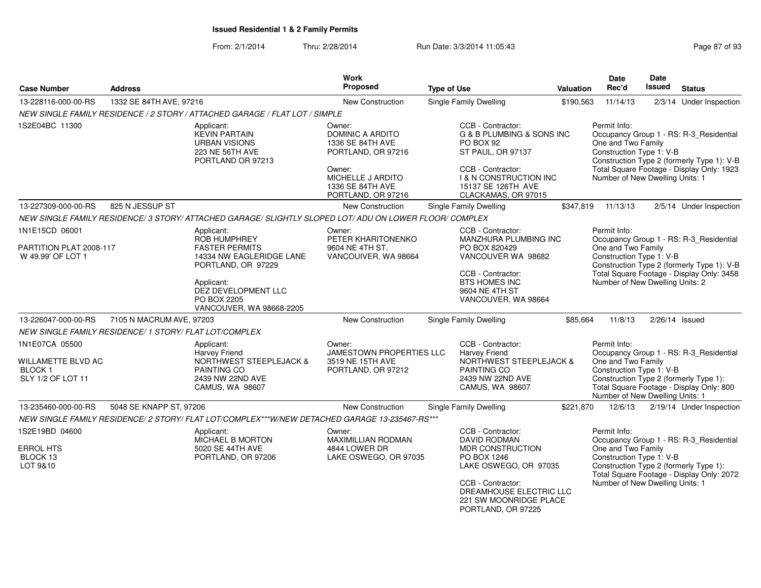| <b>Case Number</b><br><b>Address</b>                                                                                                                                                 |                                                                              | Work<br>Proposed<br><b>Type of Use</b>                                                                       |                                                                                                                                                                                                                       | Valuation                                                                                                              | <b>Date</b><br>Rec'd                                                       | <b>Date</b><br>Issued                                                                                                                                                                                | <b>Status</b>                                                                                                                                                  |                                                                                                                                |  |
|--------------------------------------------------------------------------------------------------------------------------------------------------------------------------------------|------------------------------------------------------------------------------|--------------------------------------------------------------------------------------------------------------|-----------------------------------------------------------------------------------------------------------------------------------------------------------------------------------------------------------------------|------------------------------------------------------------------------------------------------------------------------|----------------------------------------------------------------------------|------------------------------------------------------------------------------------------------------------------------------------------------------------------------------------------------------|----------------------------------------------------------------------------------------------------------------------------------------------------------------|--------------------------------------------------------------------------------------------------------------------------------|--|
| 13-228116-000-00-RS                                                                                                                                                                  | 1332 SE 84TH AVE, 97216                                                      |                                                                                                              | New Construction                                                                                                                                                                                                      | <b>Single Family Dwelling</b>                                                                                          | \$190,563                                                                  | 11/14/13                                                                                                                                                                                             |                                                                                                                                                                | 2/3/14 Under Inspection                                                                                                        |  |
|                                                                                                                                                                                      |                                                                              | NEW SINGLE FAMILY RESIDENCE / 2 STORY / ATTACHED GARAGE / FLAT LOT / SIMPLE                                  |                                                                                                                                                                                                                       |                                                                                                                        |                                                                            |                                                                                                                                                                                                      |                                                                                                                                                                |                                                                                                                                |  |
| 1S2E04BC 11300                                                                                                                                                                       |                                                                              | Applicant:<br><b>KEVIN PARTAIN</b><br><b>URBAN VISIONS</b><br>223 NE 56TH AVE<br>PORTLAND OR 97213           | Owner:<br>DOMINIC A ARDITO<br>1336 SE 84TH AVE<br>PORTLAND, OR 97216<br>Owner:                                                                                                                                        | CCB - Contractor:<br>PO BOX 92<br>ST PAUL, OR 97137<br>CCB - Contractor:                                               | G & B PLUMBING & SONS INC                                                  | Permit Info:<br>One and Two Family                                                                                                                                                                   | Occupancy Group 1 - RS: R-3_Residential<br>Construction Type 1: V-B<br>Construction Type 2 (formerly Type 1): V-B<br>Total Square Footage - Display Only: 1923 |                                                                                                                                |  |
|                                                                                                                                                                                      |                                                                              |                                                                                                              | MICHELLE J ARDITO<br>1336 SE 84TH AVE<br>PORTLAND, OR 97216                                                                                                                                                           | <b>I &amp; N CONSTRUCTION INC</b><br>15137 SE 126TH AVE<br>CLACKAMAS, OR 97015                                         |                                                                            | Number of New Dwelling Units: 1                                                                                                                                                                      |                                                                                                                                                                |                                                                                                                                |  |
| 13-227309-000-00-RS                                                                                                                                                                  | 825 N JESSUP ST                                                              |                                                                                                              | New Construction                                                                                                                                                                                                      | Single Family Dwelling                                                                                                 | \$347,819                                                                  | 11/13/13                                                                                                                                                                                             |                                                                                                                                                                | 2/5/14 Under Inspection                                                                                                        |  |
|                                                                                                                                                                                      |                                                                              | NEW SINGLE FAMILY RESIDENCE/3 STORY/ ATTACHED GARAGE/ SLIGHTLY SLOPED LOT/ ADU ON LOWER FLOOR/ COMPLEX       |                                                                                                                                                                                                                       |                                                                                                                        |                                                                            |                                                                                                                                                                                                      |                                                                                                                                                                |                                                                                                                                |  |
| 1N1E15CD 06001<br>PARTITION PLAT 2008-117<br>W 49.99' OF LOT 1                                                                                                                       |                                                                              | Applicant:<br><b>ROB HUMPHREY</b><br><b>FASTER PERMITS</b><br>14334 NW EAGLERIDGE LANE<br>PORTLAND, OR 97229 | Owner:<br>PETER KHARITONENKO<br>9604 NE 4TH ST.<br>VANCOUIVER, WA 98664                                                                                                                                               | CCB - Contractor:<br>PO BOX 820429<br>VANCOUVER WA 98682<br>CCB - Contractor:                                          | <b>MANZHURA PLUMBING INC</b>                                               | Permit Info:<br>Occupancy Group 1 - RS: R-3_Residential<br>One and Two Family<br>Construction Type 1: V-B<br>Construction Type 2 (formerly Type 1): V-B<br>Total Square Footage - Display Only: 3458 |                                                                                                                                                                |                                                                                                                                |  |
|                                                                                                                                                                                      | Applicant:<br>DEZ DEVELOPMENT LLC<br>PO BOX 2205<br>VANCOUVER, WA 98668-2205 |                                                                                                              |                                                                                                                                                                                                                       | BTS HOMES INC<br>9604 NE 4TH ST<br>VANCOUVER, WA 98664                                                                 |                                                                            | Number of New Dwelling Units: 2                                                                                                                                                                      |                                                                                                                                                                |                                                                                                                                |  |
| 13-226047-000-00-RS                                                                                                                                                                  | 7105 N MACRUM AVE, 97203                                                     |                                                                                                              | New Construction                                                                                                                                                                                                      | Single Family Dwelling                                                                                                 | \$85,664                                                                   | 11/8/13                                                                                                                                                                                              |                                                                                                                                                                | 2/26/14 Issued                                                                                                                 |  |
|                                                                                                                                                                                      | NEW SINGLE FAMILY RESIDENCE/ 1 STORY/ FLAT LOT/COMPLEX                       |                                                                                                              |                                                                                                                                                                                                                       |                                                                                                                        |                                                                            |                                                                                                                                                                                                      |                                                                                                                                                                |                                                                                                                                |  |
| 1N1E07CA 05500<br>Applicant:<br><b>Harvey Friend</b><br><b>WILLAMETTE BLVD AC</b><br><b>BLOCK1</b><br><b>PAINTING CO</b><br>SLY 1/2 OF LOT 11<br>2439 NW 22ND AVE<br>CAMUS, WA 98607 |                                                                              | <b>NORTHWEST STEEPLEJACK &amp;</b>                                                                           | CCB - Contractor:<br>Owner:<br>JAMESTOWN PROPERTIES LLC<br><b>Harvey Friend</b><br>3519 NE 15TH AVE<br><b>NORTHWEST STEEPLEJACK &amp;</b><br>PAINTING CO<br>PORTLAND, OR 97212<br>2439 NW 22ND AVE<br>CAMUS, WA 98607 |                                                                                                                        |                                                                            | Permit Info:<br>One and Two Family<br>Construction Type 1: V-B<br>Number of New Dwelling Units: 1                                                                                                    |                                                                                                                                                                | Occupancy Group 1 - RS: R-3_Residential<br>Construction Type 2 (formerly Type 1):<br>Total Square Footage - Display Only: 800  |  |
| 13-235460-000-00-RS                                                                                                                                                                  | 5048 SE KNAPP ST, 97206                                                      |                                                                                                              | New Construction                                                                                                                                                                                                      | Single Family Dwelling                                                                                                 | \$221,870                                                                  | 12/6/13                                                                                                                                                                                              |                                                                                                                                                                | 2/19/14 Under Inspection                                                                                                       |  |
|                                                                                                                                                                                      |                                                                              | NEW SINGLE FAMILY RESIDENCE/ 2 STORY/ FLAT LOT/COMPLEX***W/NEW DETACHED GARAGE 13-235467-RS***               |                                                                                                                                                                                                                       |                                                                                                                        |                                                                            |                                                                                                                                                                                                      |                                                                                                                                                                |                                                                                                                                |  |
| 1S2E19BD 04600<br><b>ERROL HTS</b><br>BLOCK 13<br>LOT 9&10                                                                                                                           |                                                                              | Applicant:<br>MICHAEL B MORTON<br>5020 SE 44TH AVE<br>PORTLAND, OR 97206                                     | Owner:<br>MAXIMILLIAN RODMAN<br>4844 LOWER DR<br>LAKE OSWEGO, OR 97035                                                                                                                                                | CCB - Contractor:<br>DAVID RODMAN<br><b>MDR CONSTRUCTION</b><br>PO BOX 1246<br>CCB - Contractor:<br>PORTLAND, OR 97225 | LAKE OSWEGO, OR 97035<br>DREAMHOUSE ELECTRIC LLC<br>221 SW MOONRIDGE PLACE | Permit Info:<br>One and Two Family<br>Construction Type 1: V-B<br>Number of New Dwelling Units: 1                                                                                                    |                                                                                                                                                                | Occupancy Group 1 - RS: R-3_Residential<br>Construction Type 2 (formerly Type 1):<br>Total Square Footage - Display Only: 2072 |  |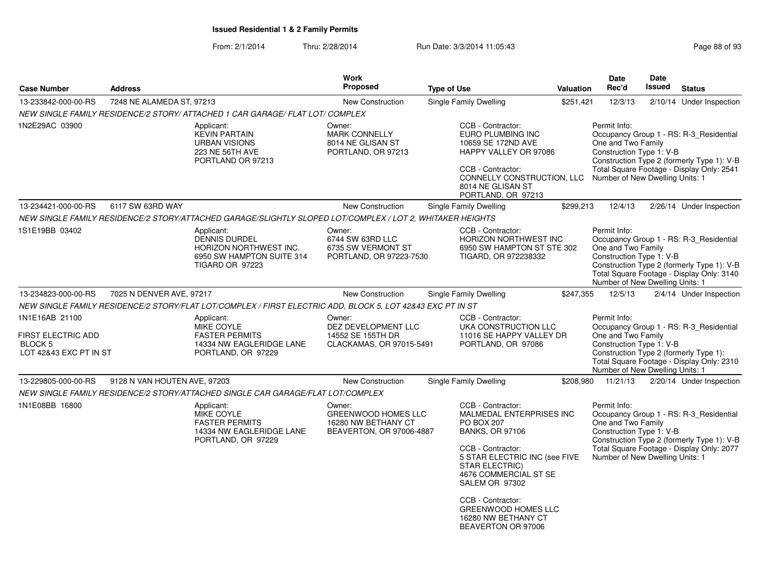| <b>Address</b><br><b>Case Number</b>                                                                                                                                                                                                                                                                  |                              |                                                                                                                     | <b>Work</b><br><b>Proposed</b>                                                          | <b>Valuation</b>                                                                                                                                                                                                                                                                                                | <b>Date</b><br>Rec'd | Date<br>Issued                                                                                    | <b>Status</b> |                                                                                                                                    |
|-------------------------------------------------------------------------------------------------------------------------------------------------------------------------------------------------------------------------------------------------------------------------------------------------------|------------------------------|---------------------------------------------------------------------------------------------------------------------|-----------------------------------------------------------------------------------------|-----------------------------------------------------------------------------------------------------------------------------------------------------------------------------------------------------------------------------------------------------------------------------------------------------------------|----------------------|---------------------------------------------------------------------------------------------------|---------------|------------------------------------------------------------------------------------------------------------------------------------|
| 13-233842-000-00-RS                                                                                                                                                                                                                                                                                   | 7248 NE ALAMEDA ST, 97213    |                                                                                                                     | <b>New Construction</b>                                                                 | <b>Single Family Dwelling</b>                                                                                                                                                                                                                                                                                   | \$251,421            | 12/3/13                                                                                           |               | 2/10/14 Under Inspection                                                                                                           |
|                                                                                                                                                                                                                                                                                                       |                              | NEW SINGLE FAMILY RESIDENCE/2 STORY/ ATTACHED 1 CAR GARAGE/ FLAT LOT/ COMPLEX                                       |                                                                                         |                                                                                                                                                                                                                                                                                                                 |                      |                                                                                                   |               |                                                                                                                                    |
| 1N2E29AC 03900                                                                                                                                                                                                                                                                                        |                              | Applicant:<br><b>KEVIN PARTAIN</b><br><b>URBAN VISIONS</b><br>223 NE 56TH AVE<br>PORTLAND OR 97213                  | Owner:<br><b>MARK CONNELLY</b><br>8014 NE GLISAN ST<br>PORTLAND, OR 97213               | CCB - Contractor:<br>EURO PLUMBING INC<br>10659 SE 172ND AVE<br>HAPPY VALLEY OR 97086<br>CCB - Contractor:<br>CONNELLY CONSTRUCTION, LLC<br>8014 NE GLISAN ST<br>PORTLAND, OR 97213                                                                                                                             |                      | Permit Info:<br>One and Two Family<br>Construction Type 1: V-B<br>Number of New Dwelling Units: 1 |               | Occupancy Group 1 - RS: R-3_Residential<br>Construction Type 2 (formerly Type 1): V-B<br>Total Square Footage - Display Only: 2541 |
| 13-234421-000-00-RS                                                                                                                                                                                                                                                                                   | 6117 SW 63RD WAY             |                                                                                                                     | New Construction                                                                        | Single Family Dwelling                                                                                                                                                                                                                                                                                          | \$299,213            | 12/4/13                                                                                           |               | 2/26/14 Under Inspection                                                                                                           |
|                                                                                                                                                                                                                                                                                                       |                              | NEW SINGLE FAMILY RESIDENCE/2 STORY/ATTACHED GARAGE/SLIGHTLY SLOPED LOT/COMPLEX / LOT 2, WHITAKER HEIGHTS           |                                                                                         |                                                                                                                                                                                                                                                                                                                 |                      |                                                                                                   |               |                                                                                                                                    |
| 1S1E19BB 03402                                                                                                                                                                                                                                                                                        |                              | Applicant:<br><b>DENNIS DURDEL</b><br><b>HORIZON NORTHWEST INC.</b><br>6950 SW HAMPTON SUITE 314<br>TIGARD OR 97223 | Owner:<br>6744 SW 63RD LLC<br>6735 SW VERMONT ST<br>PORTLAND, OR 97223-7530             | CCB - Contractor:<br><b>HORIZON NORTHWEST INC</b><br>6950 SW HAMPTON ST STE 302<br>TIGARD, OR 972238332                                                                                                                                                                                                         |                      | Permit Info:<br>One and Two Family<br>Construction Type 1: V-B<br>Number of New Dwelling Units: 1 |               | Occupancy Group 1 - RS: R-3 Residential<br>Construction Type 2 (formerly Type 1): V-B<br>Total Square Footage - Display Only: 3140 |
| 13-234823-000-00-RS                                                                                                                                                                                                                                                                                   | 7025 N DENVER AVE, 97217     |                                                                                                                     | New Construction                                                                        | <b>Single Family Dwelling</b>                                                                                                                                                                                                                                                                                   | \$247,355            | 12/5/13                                                                                           |               | 2/4/14 Under Inspection                                                                                                            |
|                                                                                                                                                                                                                                                                                                       |                              |                                                                                                                     |                                                                                         |                                                                                                                                                                                                                                                                                                                 |                      |                                                                                                   |               |                                                                                                                                    |
| NEW SINGLE FAMILY RESIDENCE/2 STORY/FLAT LOT/COMPLEX / FIRST ELECTRIC ADD, BLOCK 5, LOT 42843 EXC PT IN ST<br>1N1E16AB 21100<br>Applicant:<br>MIKE COYLE<br>FIRST ELECTRIC ADD<br><b>FASTER PERMITS</b><br><b>BLOCK 5</b><br>14334 NW EAGLERIDGE LANE<br>LOT 42&43 EXC PT IN ST<br>PORTLAND, OR 97229 |                              |                                                                                                                     | Owner:<br>DEZ DEVELOPMENT LLC<br>14552 SE 155TH DR<br>CLACKAMAS, OR 97015-5491          | Permit Info:<br>Occupancy Group 1 - RS: R-3 Residential<br>UKA CONSTRUCTION LLC<br>One and Two Family<br>11016 SE HAPPY VALLEY DR<br>Construction Type 1: V-B<br>Construction Type 2 (formerly Type 1):<br>Total Square Footage - Display Only: 2310<br>Number of New Dwelling Units: 1                         |                      |                                                                                                   |               |                                                                                                                                    |
| 13-229805-000-00-RS                                                                                                                                                                                                                                                                                   | 9128 N VAN HOUTEN AVE, 97203 |                                                                                                                     | <b>New Construction</b>                                                                 | <b>Single Family Dwelling</b>                                                                                                                                                                                                                                                                                   | \$208,980            | 11/21/13                                                                                          |               | 2/20/14 Under Inspection                                                                                                           |
|                                                                                                                                                                                                                                                                                                       |                              | NEW SINGLE FAMILY RESIDENCE/2 STORY/ATTACHED SINGLE CAR GARAGE/FLAT LOT/COMPLEX                                     |                                                                                         |                                                                                                                                                                                                                                                                                                                 |                      |                                                                                                   |               |                                                                                                                                    |
| 1N1E08BB 16800                                                                                                                                                                                                                                                                                        |                              | Applicant:<br>MIKE COYLE<br><b>FASTER PERMITS</b><br>14334 NW EAGLERIDGE LANE<br>PORTLAND, OR 97229                 | Owner:<br><b>GREENWOOD HOMES LLC</b><br>16280 NW BETHANY CT<br>BEAVERTON, OR 97006-4887 | CCB - Contractor:<br>MALMEDAL ENTERPRISES INC<br>PO BOX 207<br><b>BANKS, OR 97106</b><br>CCB - Contractor:<br>5 STAR ELECTRIC INC (see FIVE<br><b>STAR ELECTRIC)</b><br>4676 COMMERCIAL ST SE<br>SALEM OR 97302<br>CCB - Contractor:<br><b>GREENWOOD HOMES LLC</b><br>16280 NW BETHANY CT<br>BEAVERTON OR 97006 |                      | Permit Info:<br>One and Two Family<br>Construction Type 1: V-B<br>Number of New Dwelling Units: 1 |               | Occupancy Group 1 - RS: R-3 Residential<br>Construction Type 2 (formerly Type 1): V-B<br>Total Square Footage - Display Only: 2077 |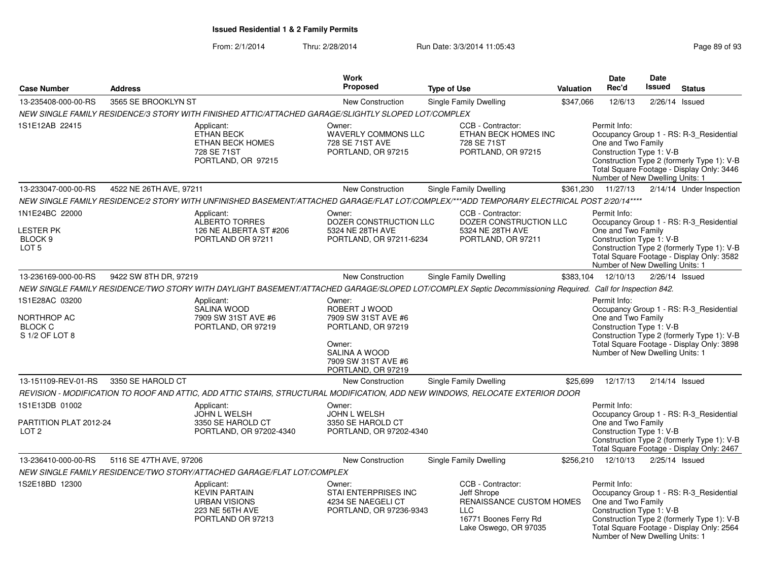|                                                                              |                         |                                                                                                     | <b>Work</b>                                                                                                                                  |                                                                                                                                                           |                  | Date                                                                                              | Date             |                                                                                                                                    |
|------------------------------------------------------------------------------|-------------------------|-----------------------------------------------------------------------------------------------------|----------------------------------------------------------------------------------------------------------------------------------------------|-----------------------------------------------------------------------------------------------------------------------------------------------------------|------------------|---------------------------------------------------------------------------------------------------|------------------|------------------------------------------------------------------------------------------------------------------------------------|
| <b>Case Number</b>                                                           | <b>Address</b>          |                                                                                                     | <b>Proposed</b>                                                                                                                              | <b>Type of Use</b>                                                                                                                                        | <b>Valuation</b> | Rec'd                                                                                             | <b>Issued</b>    | <b>Status</b>                                                                                                                      |
| 13-235408-000-00-RS                                                          | 3565 SE BROOKLYN ST     |                                                                                                     | <b>New Construction</b>                                                                                                                      | <b>Single Family Dwelling</b>                                                                                                                             | \$347.066        | 12/6/13                                                                                           | 2/26/14          | Issued                                                                                                                             |
|                                                                              |                         | NEW SINGLE FAMILY RESIDENCE/3 STORY WITH FINISHED ATTIC/ATTACHED GARAGE/SLIGHTLY SLOPED LOT/COMPLEX |                                                                                                                                              |                                                                                                                                                           |                  |                                                                                                   |                  |                                                                                                                                    |
| 1S1E12AB 22415                                                               |                         | Applicant:<br><b>ETHAN BECK</b><br><b>ETHAN BECK HOMES</b><br>728 SE 71ST<br>PORTLAND, OR 97215     | Owner:<br><b>WAVERLY COMMONS LLC</b><br>728 SE 71ST AVE<br>PORTLAND, OR 97215                                                                | CCB - Contractor:<br>ETHAN BECK HOMES INC<br>728 SE 71ST<br>PORTLAND, OR 97215                                                                            |                  | Permit Info:<br>One and Two Family<br>Construction Type 1: V-B<br>Number of New Dwelling Units: 1 |                  | Occupancy Group 1 - RS: R-3 Residential<br>Construction Type 2 (formerly Type 1): V-B<br>Total Square Footage - Display Only: 3446 |
| 13-233047-000-00-RS                                                          | 4522 NE 26TH AVE, 97211 |                                                                                                     | New Construction                                                                                                                             | Single Family Dwelling                                                                                                                                    | \$361,230        | 11/27/13                                                                                          |                  | 2/14/14 Under Inspection                                                                                                           |
|                                                                              |                         |                                                                                                     |                                                                                                                                              | NEW SINGLE FAMILY RESIDENCE/2 STORY WITH UNFINISHED BASEMENT/ATTACHED GARAGE/FLAT LOT/COMPLEX/***ADD TEMPORARY ELECTRICAL POST 2/20/14****                |                  |                                                                                                   |                  |                                                                                                                                    |
| 1N1E24BC 22000<br><b>LESTER PK</b><br>BLOCK <sub>9</sub><br>LOT <sub>5</sub> |                         | Applicant:<br><b>ALBERTO TORRES</b><br>126 NE ALBERTA ST #206<br>PORTLAND OR 97211                  | Owner:<br>DOZER CONSTRUCTION LLC<br>5324 NE 28TH AVE<br>PORTLAND, OR 97211-6234                                                              | CCB - Contractor:<br>DOZER CONSTRUCTION LLC<br>5324 NE 28TH AVE<br>PORTLAND, OR 97211                                                                     |                  | Permit Info:<br>One and Two Family<br>Construction Type 1: V-B<br>Number of New Dwelling Units: 1 |                  | Occupancy Group 1 - RS: R-3_Residential<br>Construction Type 2 (formerly Type 1): V-B<br>Total Square Footage - Display Only: 3582 |
| 13-236169-000-00-RS                                                          | 9422 SW 8TH DR, 97219   |                                                                                                     | <b>New Construction</b>                                                                                                                      | Single Family Dwelling                                                                                                                                    | \$383,104        | 12/10/13                                                                                          | 2/26/14 Issued   |                                                                                                                                    |
|                                                                              |                         |                                                                                                     |                                                                                                                                              | NEW SINGLE FAMILY RESIDENCE/TWO STORY WITH DAYLIGHT BASEMENT/ATTACHED GARAGE/SLOPED LOT/COMPLEX Septic Decommissioning Required. Call for Inspection 842. |                  |                                                                                                   |                  |                                                                                                                                    |
| 1S1E28AC 03200<br>NORTHROP AC<br><b>BLOCK C</b><br>S 1/2 OF LOT 8            |                         | Applicant:<br>SALINA WOOD<br>7909 SW 31ST AVE #6<br>PORTLAND, OR 97219                              | Owner:<br>ROBERT J WOOD<br>7909 SW 31ST AVE #6<br>PORTLAND, OR 97219<br>Owner:<br>SALINA A WOOD<br>7909 SW 31ST AVE #6<br>PORTLAND, OR 97219 |                                                                                                                                                           |                  | Permit Info:<br>One and Two Family<br>Construction Type 1: V-B<br>Number of New Dwelling Units: 1 |                  | Occupancy Group 1 - RS: R-3_Residential<br>Construction Type 2 (formerly Type 1): V-B<br>Total Square Footage - Display Only: 3898 |
| 13-151109-REV-01-RS                                                          | 3350 SE HAROLD CT       |                                                                                                     | <b>New Construction</b>                                                                                                                      | Single Family Dwelling                                                                                                                                    | \$25,699         | 12/17/13                                                                                          | $2/14/14$ Issued |                                                                                                                                    |
|                                                                              |                         |                                                                                                     |                                                                                                                                              | REVISION - MODIFICATION TO ROOF AND ATTIC, ADD ATTIC STAIRS, STRUCTURAL MODIFICATION, ADD NEW WINDOWS, RELOCATE EXTERIOR DOOR                             |                  |                                                                                                   |                  |                                                                                                                                    |
| 1S1E13DB 01002<br>PARTITION PLAT 2012-24<br>LOT <sub>2</sub>                 |                         | Applicant:<br>JOHN L WELSH<br>3350 SE HAROLD CT<br>PORTLAND, OR 97202-4340                          | Owner:<br>JOHN L WELSH<br>3350 SE HAROLD CT<br>PORTLAND, OR 97202-4340                                                                       |                                                                                                                                                           |                  | Permit Info:<br>One and Two Family<br>Construction Type 1: V-B                                    |                  | Occupancy Group 1 - RS: R-3_Residential<br>Construction Type 2 (formerly Type 1): V-B<br>Total Square Footage - Display Only: 2467 |
| 13-236410-000-00-RS                                                          | 5116 SE 47TH AVE, 97206 |                                                                                                     | <b>New Construction</b>                                                                                                                      | <b>Single Family Dwelling</b>                                                                                                                             | \$256,210        | 12/10/13                                                                                          | 2/25/14 Issued   |                                                                                                                                    |
|                                                                              |                         | NEW SINGLE FAMILY RESIDENCE/TWO STORY/ATTACHED GARAGE/FLAT LOT/COMPLEX                              |                                                                                                                                              |                                                                                                                                                           |                  |                                                                                                   |                  |                                                                                                                                    |
| 1S2E18BD 12300                                                               |                         | Applicant:<br><b>KEVIN PARTAIN</b><br><b>URBAN VISIONS</b><br>223 NE 56TH AVE<br>PORTLAND OR 97213  | Owner:<br>STAI ENTERPRISES INC<br>4234 SE NAEGELI CT<br>PORTLAND, OR 97236-9343                                                              | CCB - Contractor:<br>Jeff Shrope<br>RENAISSANCE CUSTOM HOMES<br><b>LLC</b><br>16771 Boones Ferry Rd<br>Lake Oswego, OR 97035                              |                  | Permit Info:<br>One and Two Family<br>Construction Type 1: V-B<br>Number of New Dwelling Units: 1 |                  | Occupancy Group 1 - RS: R-3_Residential<br>Construction Type 2 (formerly Type 1): V-B<br>Total Square Footage - Display Only: 2564 |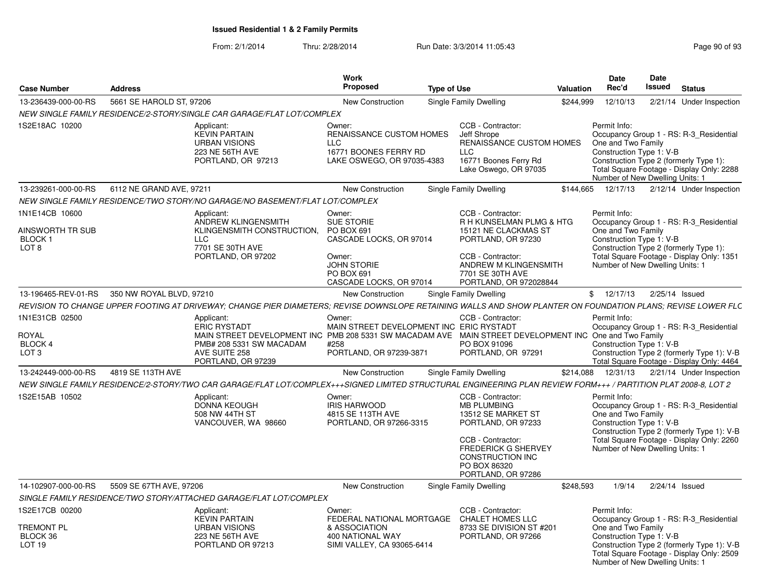| <b>Case Number</b>                                                   | <b>Address</b>           |                                                                                                                                                                                                                | <b>Work</b><br><b>Proposed</b>                                                                                                                | <b>Type of Use</b> |                                                                                                                                                                                                  | <b>Valuation</b> | Date<br>Rec'd                                                                                     | Date<br>Issued           | <b>Status</b>                                                                                                                      |
|----------------------------------------------------------------------|--------------------------|----------------------------------------------------------------------------------------------------------------------------------------------------------------------------------------------------------------|-----------------------------------------------------------------------------------------------------------------------------------------------|--------------------|--------------------------------------------------------------------------------------------------------------------------------------------------------------------------------------------------|------------------|---------------------------------------------------------------------------------------------------|--------------------------|------------------------------------------------------------------------------------------------------------------------------------|
| 13-236439-000-00-RS                                                  | 5661 SE HAROLD ST, 97206 |                                                                                                                                                                                                                | New Construction                                                                                                                              |                    | Single Family Dwelling                                                                                                                                                                           | \$244.999        | 12/10/13                                                                                          |                          | 2/21/14 Under Inspection                                                                                                           |
|                                                                      |                          | NEW SINGLE FAMILY RESIDENCE/2-STORY/SINGLE CAR GARAGE/FLAT LOT/COMPLEX                                                                                                                                         |                                                                                                                                               |                    |                                                                                                                                                                                                  |                  |                                                                                                   |                          |                                                                                                                                    |
| 1S2E18AC 10200                                                       |                          | Applicant:<br><b>KEVIN PARTAIN</b><br><b>URBAN VISIONS</b><br>223 NE 56TH AVE<br>PORTLAND, OR 97213                                                                                                            | Owner:<br>RENAISSANCE CUSTOM HOMES<br><b>LLC</b><br>16771 BOONES FERRY RD<br>LAKE OSWEGO, OR 97035-4383                                       |                    | CCB - Contractor:<br>Jeff Shrope<br>RENAISSANCE CUSTOM HOMES<br><b>LLC</b><br>16771 Boones Ferry Rd<br>Lake Oswego, OR 97035                                                                     |                  | Permit Info:<br>One and Two Family<br>Number of New Dwelling Units: 1                             | Construction Type 1: V-B | Occupancy Group 1 - RS: R-3 Residential<br>Construction Type 2 (formerly Type 1):<br>Total Square Footage - Display Only: 2288     |
| 13-239261-000-00-RS                                                  | 6112 NE GRAND AVE, 97211 |                                                                                                                                                                                                                | New Construction                                                                                                                              |                    | Single Family Dwelling                                                                                                                                                                           | \$144.665        | 12/17/13                                                                                          |                          | 2/12/14 Under Inspection                                                                                                           |
|                                                                      |                          | NEW SINGLE FAMILY RESIDENCE/TWO STORY/NO GARAGE/NO BASEMENT/FLAT LOT/COMPLEX                                                                                                                                   |                                                                                                                                               |                    |                                                                                                                                                                                                  |                  |                                                                                                   |                          |                                                                                                                                    |
| 1N1E14CB 10600<br>AINSWORTH TR SUB<br>BLOCK 1<br>LOT <sub>8</sub>    |                          | Applicant:<br>ANDREW KLINGENSMITH<br>KLINGENSMITH CONSTRUCTION,<br><b>LLC</b><br>7701 SE 30TH AVE<br>PORTLAND, OR 97202                                                                                        | Owner:<br><b>SUE STORIE</b><br>PO BOX 691<br>CASCADE LOCKS, OR 97014<br>Owner:<br><b>JOHN STORIE</b><br>PO BOX 691<br>CASCADE LOCKS, OR 97014 |                    | CCB - Contractor:<br>R H KUNSELMAN PLMG & HTG<br>15121 NE CLACKMAS ST<br>PORTLAND, OR 97230<br>CCB - Contractor:<br>ANDREW M KLINGENSMITH<br>7701 SE 30TH AVE<br>PORTLAND, OR 972028844          |                  | Permit Info:<br>One and Two Family<br>Construction Type 1: V-B<br>Number of New Dwelling Units: 1 |                          | Occupancy Group 1 - RS: R-3_Residential<br>Construction Type 2 (formerly Type 1):<br>Total Square Footage - Display Only: 1351     |
| 13-196465-REV-01-RS                                                  | 350 NW ROYAL BLVD, 97210 |                                                                                                                                                                                                                | New Construction                                                                                                                              |                    | Single Family Dwelling                                                                                                                                                                           |                  | \$12/17/13                                                                                        |                          | 2/25/14 Issued                                                                                                                     |
|                                                                      |                          | REVISION TO CHANGE UPPER FOOTING AT DRIVEWAY; CHANGE PIER DIAMETERS: REVISE DOWNSLOPE RETAINING WALLS AND SHOW PLANTER ON FOUNDATION PLANS; REVISE LOWER FLC                                                   |                                                                                                                                               |                    |                                                                                                                                                                                                  |                  |                                                                                                   |                          |                                                                                                                                    |
| 1N1E31CB 02500<br>ROYAL<br>BLOCK 4<br>LOT <sub>3</sub>               |                          | Applicant:<br><b>ERIC RYSTADT</b><br>MAIN STREET DEVELOPMENT INC PMB 208 5331 SW MACADAM AVE MAIN STREET DEVELOPMENT INC One and Two Family<br>PMB# 208 5331 SW MACADAM<br>AVE SUITE 258<br>PORTLAND, OR 97239 | Owner:<br>MAIN STREET DEVELOPMENT INC ERIC RYSTADT<br>#258<br>PORTLAND, OR 97239-3871                                                         |                    | CCB - Contractor:<br>PO BOX 91096<br>PORTLAND, OR 97291                                                                                                                                          |                  | Permit Info:<br>Construction Type 1: V-B                                                          |                          | Occupancy Group 1 - RS: R-3 Residential<br>Construction Type 2 (formerly Type 1): V-B<br>Total Square Footage - Display Only: 4464 |
| 13-242449-000-00-RS                                                  | 4819 SE 113TH AVE        |                                                                                                                                                                                                                | New Construction                                                                                                                              |                    | Single Family Dwelling                                                                                                                                                                           | \$214,088        | 12/31/13                                                                                          |                          | 2/21/14 Under Inspection                                                                                                           |
|                                                                      |                          | NEW SINGLE FAMILY RESIDENCE/2-STORY/TWO CAR GARAGE/FLAT LOT/COMPLEX+++SIGNED LIMITED STRUCTURAL ENGINEERING PLAN REVIEW FORM+++ / PARTITION PLAT 2008-8, LOT 2                                                 |                                                                                                                                               |                    |                                                                                                                                                                                                  |                  |                                                                                                   |                          |                                                                                                                                    |
| 1S2E15AB 10502                                                       |                          | Applicant:<br>DONNA KEOUGH<br>508 NW 44TH ST<br>VANCOUVER, WA 98660                                                                                                                                            | Owner:<br><b>IRIS HARWOOD</b><br>4815 SE 113TH AVE<br>PORTLAND, OR 97266-3315                                                                 |                    | CCB - Contractor:<br><b>MB PLUMBING</b><br>13512 SE MARKET ST<br>PORTLAND, OR 97233<br>CCB - Contractor:<br><b>FREDERICK G SHERVEY</b><br>CONSTRUCTION INC<br>PO BOX 86320<br>PORTLAND, OR 97286 |                  | Permit Info:<br>One and Two Family<br>Construction Type 1: V-B<br>Number of New Dwelling Units: 1 |                          | Occupancy Group 1 - RS: R-3 Residential<br>Construction Type 2 (formerly Type 1): V-B<br>Total Square Footage - Display Only: 2260 |
| 14-102907-000-00-RS                                                  | 5509 SE 67TH AVE, 97206  |                                                                                                                                                                                                                | <b>New Construction</b>                                                                                                                       |                    | Single Family Dwelling                                                                                                                                                                           | \$248,593        | 1/9/14                                                                                            |                          | $2/24/14$ Issued                                                                                                                   |
|                                                                      |                          | SINGLE FAMILY RESIDENCE/TWO STORY/ATTACHED GARAGE/FLAT LOT/COMPLEX                                                                                                                                             |                                                                                                                                               |                    |                                                                                                                                                                                                  |                  |                                                                                                   |                          |                                                                                                                                    |
| 1S2E17CB 00200<br><b>TREMONT PL</b><br>BLOCK 36<br>LOT <sub>19</sub> |                          | Applicant:<br><b>KEVIN PARTAIN</b><br><b>URBAN VISIONS</b><br>223 NE 56TH AVE<br>PORTLAND OR 97213                                                                                                             | Owner:<br>FEDERAL NATIONAL MORTGAGE<br>& ASSOCIATION<br>400 NATIONAL WAY<br>SIMI VALLEY, CA 93065-6414                                        |                    | CCB - Contractor:<br>CHALET HOMES LLC<br>8733 SE DIVISION ST #201<br>PORTLAND, OR 97266                                                                                                          |                  | Permit Info:<br>One and Two Family<br>Construction Type 1: V-B<br>Number of New Dwelling Units: 1 |                          | Occupancy Group 1 - RS: R-3_Residential<br>Construction Type 2 (formerly Type 1): V-B<br>Total Square Footage - Display Only: 2509 |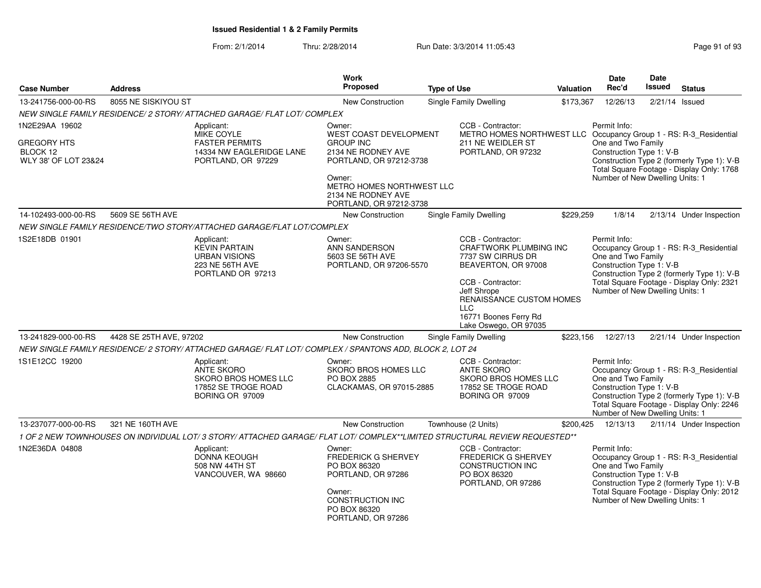|                                                        |                                                                                                    |                                                                                                                         | <b>Work</b>                                                                                                                                    |                               |                                                                                                                     | <b>Date</b>                                                                                                                                                                                                                             | <b>Date</b>   |                                                                                                                                    |
|--------------------------------------------------------|----------------------------------------------------------------------------------------------------|-------------------------------------------------------------------------------------------------------------------------|------------------------------------------------------------------------------------------------------------------------------------------------|-------------------------------|---------------------------------------------------------------------------------------------------------------------|-----------------------------------------------------------------------------------------------------------------------------------------------------------------------------------------------------------------------------------------|---------------|------------------------------------------------------------------------------------------------------------------------------------|
| <b>Case Number</b>                                     | <b>Address</b>                                                                                     |                                                                                                                         | <b>Proposed</b>                                                                                                                                | <b>Type of Use</b>            | Valuation                                                                                                           | Rec'd                                                                                                                                                                                                                                   | <b>Issued</b> | <b>Status</b>                                                                                                                      |
| 13-241756-000-00-RS                                    | 8055 NE SISKIYOU ST                                                                                |                                                                                                                         | New Construction                                                                                                                               | <b>Single Family Dwelling</b> | \$173,367                                                                                                           | 12/26/13                                                                                                                                                                                                                                | 2/21/14       | Issued                                                                                                                             |
|                                                        |                                                                                                    | NEW SINGLE FAMILY RESIDENCE/ 2 STORY/ ATTACHED GARAGE/ FLAT LOT/ COMPLEX                                                |                                                                                                                                                |                               |                                                                                                                     |                                                                                                                                                                                                                                         |               |                                                                                                                                    |
| 1N2E29AA 19602                                         |                                                                                                    | Applicant:                                                                                                              | Owner:                                                                                                                                         |                               | CCB - Contractor:                                                                                                   | Permit Info:                                                                                                                                                                                                                            |               |                                                                                                                                    |
| <b>GREGORY HTS</b><br>BLOCK 12<br>WLY 38' OF LOT 23&24 | <b>MIKE COYLE</b><br><b>FASTER PERMITS</b><br>14334 NW EAGLERIDGE LANE<br>PORTLAND, OR 97229       |                                                                                                                         | <b>WEST COAST DEVELOPMENT</b><br><b>GROUP INC</b><br>2134 NE RODNEY AVE<br>PORTLAND, OR 97212-3738                                             |                               | 211 NE WEIDLER ST<br>PORTLAND, OR 97232                                                                             | METRO HOMES NORTHWEST LLC Occupancy Group 1 - RS: R-3_Residential<br>One and Two Family<br>Construction Type 1: V-B<br>Construction Type 2 (formerly Type 1): V-B<br>Total Square Footage - Display Only: 1768                          |               |                                                                                                                                    |
|                                                        |                                                                                                    |                                                                                                                         | Owner:<br>METRO HOMES NORTHWEST LLC<br>2134 NE RODNEY AVE<br>PORTLAND, OR 97212-3738                                                           |                               |                                                                                                                     | Number of New Dwelling Units: 1                                                                                                                                                                                                         |               |                                                                                                                                    |
| 14-102493-000-00-RS                                    | 5609 SE 56TH AVE                                                                                   |                                                                                                                         | <b>New Construction</b>                                                                                                                        | <b>Single Family Dwelling</b> | \$229,259                                                                                                           | 1/8/14                                                                                                                                                                                                                                  |               | 2/13/14 Under Inspection                                                                                                           |
|                                                        |                                                                                                    | NEW SINGLE FAMILY RESIDENCE/TWO STORY/ATTACHED GARAGE/FLAT LOT/COMPLEX                                                  |                                                                                                                                                |                               |                                                                                                                     |                                                                                                                                                                                                                                         |               |                                                                                                                                    |
| 1S2E18DB 01901                                         | Applicant:<br><b>KEVIN PARTAIN</b><br><b>URBAN VISIONS</b><br>223 NE 56TH AVE<br>PORTLAND OR 97213 |                                                                                                                         | Owner:<br>ANN SANDERSON<br>5603 SE 56TH AVE<br>PORTLAND, OR 97206-5570                                                                         |                               | CCB - Contractor:<br><b>CRAFTWORK PLUMBING INC</b><br>7737 SW CIRRUS DR<br>BEAVERTON, OR 97008<br>CCB - Contractor: | Permit Info:<br>Occupancy Group 1 - RS: R-3_Residential<br>One and Two Family<br>Construction Type 1: V-B<br>Construction Type 2 (formerly Type 1): V-B<br>Total Square Footage - Display Only: 2321<br>Number of New Dwelling Units: 1 |               |                                                                                                                                    |
|                                                        |                                                                                                    |                                                                                                                         |                                                                                                                                                |                               | Jeff Shrope<br>RENAISSANCE CUSTOM HOMES<br>16771 Boones Ferry Rd<br>Lake Oswego, OR 97035                           |                                                                                                                                                                                                                                         |               |                                                                                                                                    |
| 13-241829-000-00-RS                                    | 4428 SE 25TH AVE, 97202                                                                            |                                                                                                                         | <b>New Construction</b>                                                                                                                        | <b>Single Family Dwelling</b> | \$223,156                                                                                                           | 12/27/13                                                                                                                                                                                                                                |               | 2/21/14 Under Inspection                                                                                                           |
|                                                        |                                                                                                    | NEW SINGLE FAMILY RESIDENCE/2 STORY/ ATTACHED GARAGE/ FLAT LOT/ COMPLEX / SPANTONS ADD, BLOCK 2, LOT 24                 |                                                                                                                                                |                               |                                                                                                                     |                                                                                                                                                                                                                                         |               |                                                                                                                                    |
| 1S1E12CC 19200                                         |                                                                                                    | Applicant:<br>ANTE SKORO<br>SKORO BROS HOMES LLC<br>17852 SE TROGE ROAD<br>BORING OR 97009                              | Owner:<br>SKORO BROS HOMES LLC<br>PO BOX 2885<br>CLACKAMAS, OR 97015-2885                                                                      |                               | CCB - Contractor:<br>ANTE SKORO<br><b>SKORO BROS HOMES LLC</b><br>17852 SE TROGE ROAD<br>BORING OR 97009            | Permit Info:<br>One and Two Family<br>Construction Type 1: V-B<br>Number of New Dwelling Units: 1                                                                                                                                       |               | Occupancy Group 1 - RS: R-3_Residential<br>Construction Type 2 (formerly Type 1): V-B<br>Total Square Footage - Display Only: 2246 |
| 13-237077-000-00-RS                                    | 321 NE 160TH AVE                                                                                   |                                                                                                                         | New Construction                                                                                                                               | Townhouse (2 Units)           | \$200,425                                                                                                           | 12/13/13                                                                                                                                                                                                                                |               | 2/11/14 Under Inspection                                                                                                           |
|                                                        |                                                                                                    | 1 OF 2 NEW TOWNHOUSES ON INDIVIDUAL LOT/3 STORY/ATTACHED GARAGE/FLAT LOT/COMPLEX**LIMITED STRUCTURAL REVIEW REQUESTED** |                                                                                                                                                |                               |                                                                                                                     |                                                                                                                                                                                                                                         |               |                                                                                                                                    |
| 1N2E36DA 04808                                         |                                                                                                    | Applicant:<br><b>DONNA KEOUGH</b><br>508 NW 44TH ST<br>VANCOUVER, WA 98660                                              | Owner:<br><b>FREDERICK G SHERVEY</b><br>PO BOX 86320<br>PORTLAND, OR 97286<br>Owner:<br>CONSTRUCTION INC<br>PO BOX 86320<br>PORTLAND, OR 97286 |                               | CCB - Contractor:<br>FREDERICK G SHERVEY<br>CONSTRUCTION INC<br>PO BOX 86320<br>PORTLAND, OR 97286                  | Permit Info:<br>One and Two Family<br>Construction Type 1: V-B<br>Number of New Dwelling Units: 1                                                                                                                                       |               | Occupancy Group 1 - RS: R-3_Residential<br>Construction Type 2 (formerly Type 1): V-B<br>Total Square Footage - Display Only: 2012 |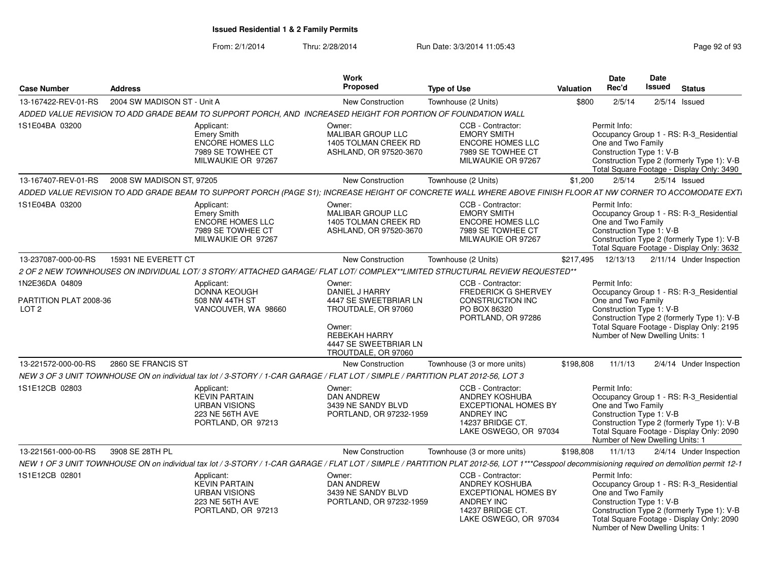| <b>Case Number</b>                       | <b>Address</b>              |                                                                                                     | <b>Work</b><br><b>Proposed</b>                                                                                                  | <b>Type of Use</b>                                                                                                                                                                           | Valuation | <b>Date</b><br>Rec'd                                                                                                                                                                                                                    | Date<br><b>Issued</b>                                                                                                                                                                                                   | <b>Status</b>   |                          |
|------------------------------------------|-----------------------------|-----------------------------------------------------------------------------------------------------|---------------------------------------------------------------------------------------------------------------------------------|----------------------------------------------------------------------------------------------------------------------------------------------------------------------------------------------|-----------|-----------------------------------------------------------------------------------------------------------------------------------------------------------------------------------------------------------------------------------------|-------------------------------------------------------------------------------------------------------------------------------------------------------------------------------------------------------------------------|-----------------|--------------------------|
| 13-167422-REV-01-RS                      | 2004 SW MADISON ST - Unit A |                                                                                                     | <b>New Construction</b>                                                                                                         | Townhouse (2 Units)                                                                                                                                                                          | \$800     | 2/5/14                                                                                                                                                                                                                                  |                                                                                                                                                                                                                         | $2/5/14$ Issued |                          |
|                                          |                             |                                                                                                     | ADDED VALUE REVISION TO ADD GRADE BEAM TO SUPPORT PORCH, AND INCREASED HEIGHT FOR PORTION OF FOUNDATION WALL                    |                                                                                                                                                                                              |           |                                                                                                                                                                                                                                         |                                                                                                                                                                                                                         |                 |                          |
| 1S1E04BA 03200                           |                             | Applicant:<br><b>Emery Smith</b><br>ENCORE HOMES LLC<br>7989 SE TOWHEE CT<br>MILWAUKIE OR 97267     | Owner:<br>MALIBAR GROUP LLC<br>1405 TOLMAN CREEK RD<br>ASHLAND, OR 97520-3670                                                   | CCB - Contractor:<br><b>EMORY SMITH</b><br><b>ENCORE HOMES LLC</b><br>7989 SE TOWHEE CT<br>MILWAUKIE OR 97267                                                                                |           | Permit Info:<br>Occupancy Group 1 - RS: R-3 Residential<br>One and Two Family<br>Construction Type 1: V-B<br>Construction Type 2 (formerly Type 1): V-B<br>Total Square Footage - Display Only: 3490                                    |                                                                                                                                                                                                                         |                 |                          |
| 13-167407-REV-01-RS                      | 2008 SW MADISON ST, 97205   |                                                                                                     | New Construction                                                                                                                | Townhouse (2 Units)                                                                                                                                                                          | \$1,200   | 2/5/14                                                                                                                                                                                                                                  |                                                                                                                                                                                                                         | $2/5/14$ Issued |                          |
|                                          |                             |                                                                                                     |                                                                                                                                 | ADDED VALUE REVISION TO ADD GRADE BEAM TO SUPPORT PORCH (PAGE S1); INCREASE HEIGHT OF CONCRETE WALL WHERE ABOVE FINISH FLOOR AT NW CORNER TO ACCOMODATE EXTI                                 |           |                                                                                                                                                                                                                                         |                                                                                                                                                                                                                         |                 |                          |
| 1S1E04BA 03200                           |                             | Applicant:<br>Emery Smith<br><b>ENCORE HOMES LLC</b><br>7989 SE TOWHEE CT<br>MILWAUKIE OR 97267     | Owner:<br>MALIBAR GROUP LLC<br>1405 TOLMAN CREEK RD<br>ASHLAND, OR 97520-3670                                                   | CCB - Contractor:<br><b>EMORY SMITH</b><br><b>ENCORE HOMES LLC</b><br>7989 SE TOWHEE CT<br>MILWAUKIE OR 97267                                                                                |           | Permit Info:<br>Occupancy Group 1 - RS: R-3_Residential<br>One and Two Family<br>Construction Type 1: V-B<br>Construction Type 2 (formerly Type 1): V-B<br>Total Square Footage - Display Only: 3632                                    |                                                                                                                                                                                                                         |                 |                          |
| 13-237087-000-00-RS                      | 15931 NE EVERETT CT         |                                                                                                     | <b>New Construction</b>                                                                                                         | Townhouse (2 Units)                                                                                                                                                                          | \$217,495 | 12/13/13                                                                                                                                                                                                                                |                                                                                                                                                                                                                         |                 | 2/11/14 Under Inspection |
|                                          |                             |                                                                                                     |                                                                                                                                 | 2 OF 2 NEW TOWNHOUSES ON INDIVIDUAL LOT/ 3 STORY/ ATTACHED GARAGE/ FLAT LOT/ COMPLEX**LIMITED STRUCTURAL REVIEW REQUESTED**                                                                  |           |                                                                                                                                                                                                                                         |                                                                                                                                                                                                                         |                 |                          |
| 1N2E36DA 04809<br>PARTITION PLAT 2008-36 |                             | Applicant:<br><b>DONNA KEOUGH</b><br>508 NW 44TH ST                                                 | Owner:<br>DANIEL J HARRY<br>4447 SE SWEETBRIAR LN                                                                               | CCB - Contractor:<br><b>FREDERICK G SHERVEY</b><br>CONSTRUCTION INC                                                                                                                          |           | Permit Info:<br>Occupancy Group 1 - RS: R-3 Residential<br>One and Two Family                                                                                                                                                           |                                                                                                                                                                                                                         |                 |                          |
| LOT <sub>2</sub>                         |                             | VANCOUVER, WA 98660                                                                                 | TROUTDALE, OR 97060                                                                                                             | PO BOX 86320<br>PORTLAND, OR 97286                                                                                                                                                           |           | Construction Type 1: V-B<br>Construction Type 2 (formerly Type 1): V-B<br>Total Square Footage - Display Only: 2195                                                                                                                     |                                                                                                                                                                                                                         |                 |                          |
|                                          |                             |                                                                                                     | Owner:<br>REBEKAH HARRY<br>4447 SE SWEETBRIAR LN<br>TROUTDALE, OR 97060                                                         |                                                                                                                                                                                              |           | Number of New Dwelling Units: 1                                                                                                                                                                                                         |                                                                                                                                                                                                                         |                 |                          |
| 13-221572-000-00-RS                      | 2860 SE FRANCIS ST          |                                                                                                     | <b>New Construction</b>                                                                                                         | Townhouse (3 or more units)                                                                                                                                                                  | \$198,808 | 11/1/13                                                                                                                                                                                                                                 |                                                                                                                                                                                                                         |                 | 2/4/14 Under Inspection  |
|                                          |                             |                                                                                                     | NEW 3 OF 3 UNIT TOWNHOUSE ON on individual tax lot / 3-STORY / 1-CAR GARAGE / FLAT LOT / SIMPLE / PARTITION PLAT 2012-56, LOT 3 |                                                                                                                                                                                              |           |                                                                                                                                                                                                                                         |                                                                                                                                                                                                                         |                 |                          |
| 1S1E12CB 02803                           |                             | Applicant:<br><b>KEVIN PARTAIN</b><br><b>URBAN VISIONS</b><br>223 NE 56TH AVE<br>PORTLAND, OR 97213 | Owner:<br>DAN ANDREW<br>3439 NE SANDY BLVD<br>PORTLAND, OR 97232-1959                                                           | CCB - Contractor:<br>ANDREY KOSHUBA<br><b>EXCEPTIONAL HOMES BY</b><br><b>ANDREY INC</b><br>14237 BRIDGE CT.<br>LAKE OSWEGO, OR 97034                                                         |           | Permit Info:                                                                                                                                                                                                                            | Occupancy Group 1 - RS: R-3_Residential<br>One and Two Family<br>Construction Type 1: V-B<br>Construction Type 2 (formerly Type 1): V-B<br>Total Square Footage - Display Only: 2090<br>Number of New Dwelling Units: 1 |                 |                          |
| 13-221561-000-00-RS                      | 3908 SE 28TH PL             |                                                                                                     | <b>New Construction</b>                                                                                                         | Townhouse (3 or more units)                                                                                                                                                                  | \$198,808 | 11/1/13                                                                                                                                                                                                                                 |                                                                                                                                                                                                                         |                 | 2/4/14 Under Inspection  |
|                                          |                             |                                                                                                     |                                                                                                                                 | NEW 1 OF 3 UNIT TOWNHOUSE ON on individual tax lot / 3-STORY / 1-CAR GARAGE / FLAT LOT / SIMPLE / PARTITION PLAT 2012-56, LOT 1***Cesspool decommisioning required on demolition permit 12-1 |           |                                                                                                                                                                                                                                         |                                                                                                                                                                                                                         |                 |                          |
| 1S1E12CB 02801                           |                             | Applicant:<br><b>KEVIN PARTAIN</b><br><b>URBAN VISIONS</b><br>223 NE 56TH AVE<br>PORTLAND, OR 97213 | Owner:<br><b>DAN ANDREW</b><br>3439 NE SANDY BLVD<br>PORTLAND, OR 97232-1959                                                    | CCB - Contractor:<br>ANDREY KOSHUBA<br><b>EXCEPTIONAL HOMES BY</b><br><b>ANDREY INC</b><br>14237 BRIDGE CT.<br>LAKE OSWEGO, OR 97034                                                         |           | Permit Info:<br>Occupancy Group 1 - RS: R-3_Residential<br>One and Two Family<br>Construction Type 1: V-B<br>Construction Type 2 (formerly Type 1): V-B<br>Total Square Footage - Display Only: 2090<br>Number of New Dwelling Units: 1 |                                                                                                                                                                                                                         |                 |                          |